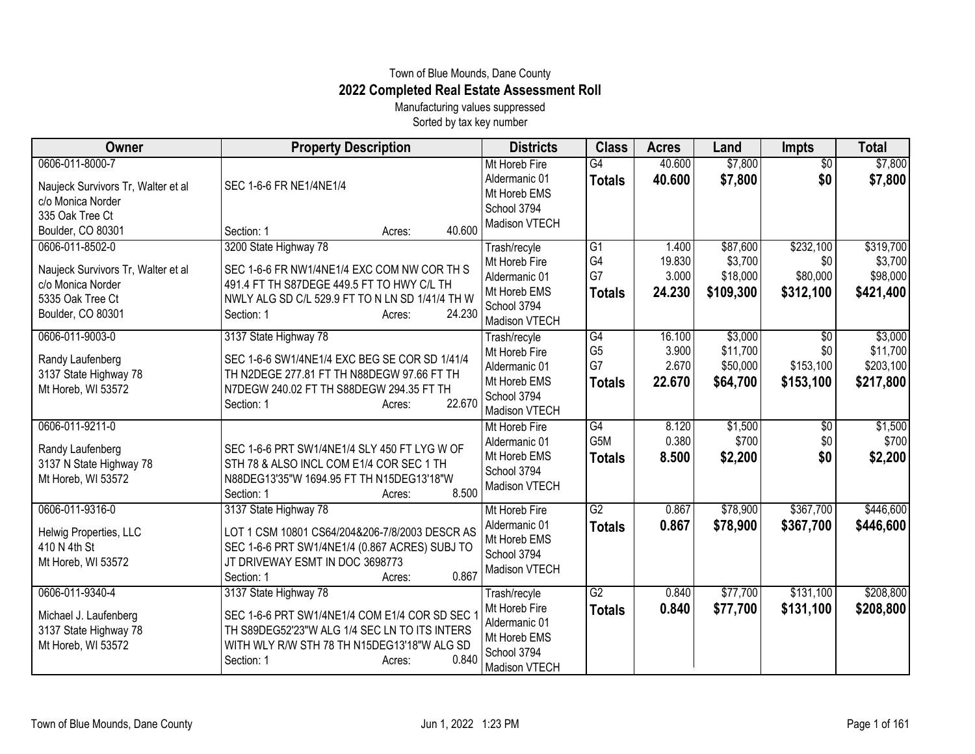## Town of Blue Mounds, Dane County **2022 Completed Real Estate Assessment Roll**

Manufacturing values suppressed Sorted by tax key number

| Owner                                                                                                               | <b>Property Description</b>                                                                                                                                                                             | <b>Districts</b>                                                                               | <b>Class</b>                                 | <b>Acres</b>                       | Land                                         | <b>Impts</b>                                     | <b>Total</b>                                  |
|---------------------------------------------------------------------------------------------------------------------|---------------------------------------------------------------------------------------------------------------------------------------------------------------------------------------------------------|------------------------------------------------------------------------------------------------|----------------------------------------------|------------------------------------|----------------------------------------------|--------------------------------------------------|-----------------------------------------------|
| 0606-011-8000-7<br>Naujeck Survivors Tr, Walter et al<br>c/o Monica Norder<br>335 Oak Tree Ct                       | SEC 1-6-6 FR NE1/4NE1/4                                                                                                                                                                                 | Mt Horeb Fire<br>Aldermanic 01<br>Mt Horeb EMS<br>School 3794                                  | G4<br><b>Totals</b>                          | 40.600<br>40.600                   | \$7,800<br>\$7,800                           | $\sqrt{$0}$<br>\$0                               | \$7,800<br>\$7,800                            |
| Boulder, CO 80301                                                                                                   | 40.600<br>Section: 1<br>Acres:                                                                                                                                                                          | Madison VTECH                                                                                  |                                              |                                    |                                              |                                                  |                                               |
| 0606-011-8502-0<br>Naujeck Survivors Tr, Walter et al<br>c/o Monica Norder<br>5335 Oak Tree Ct<br>Boulder, CO 80301 | 3200 State Highway 78<br>SEC 1-6-6 FR NW1/4NE1/4 EXC COM NW COR TH S<br>491.4 FT TH S87DEGE 449.5 FT TO HWY C/L TH<br>NWLY ALG SD C/L 529.9 FT TO N LN SD 1/41/4 TH W<br>24.230<br>Section: 1<br>Acres: | Trash/recyle<br>Mt Horeb Fire<br>Aldermanic 01<br>Mt Horeb EMS<br>School 3794<br>Madison VTECH | $\overline{G1}$<br>G4<br>G7<br><b>Totals</b> | 1.400<br>19.830<br>3.000<br>24.230 | \$87,600<br>\$3,700<br>\$18,000<br>\$109,300 | \$232,100<br>\$0<br>\$80,000<br>\$312,100        | \$319,700<br>\$3,700<br>\$98,000<br>\$421,400 |
| 0606-011-9003-0<br>Randy Laufenberg<br>3137 State Highway 78<br>Mt Horeb, WI 53572                                  | 3137 State Highway 78<br>SEC 1-6-6 SW1/4NE1/4 EXC BEG SE COR SD 1/41/4<br>TH N2DEGE 277.81 FT TH N88DEGW 97.66 FT TH<br>N7DEGW 240.02 FT TH S88DEGW 294.35 FT TH<br>22.670<br>Section: 1<br>Acres:      | Trash/recyle<br>Mt Horeb Fire<br>Aldermanic 01<br>Mt Horeb EMS<br>School 3794<br>Madison VTECH | G4<br>G <sub>5</sub><br>G7<br><b>Totals</b>  | 16.100<br>3.900<br>2.670<br>22.670 | \$3,000<br>\$11,700<br>\$50,000<br>\$64,700  | $\overline{50}$<br>\$0<br>\$153,100<br>\$153,100 | \$3,000<br>\$11,700<br>\$203,100<br>\$217,800 |
| 0606-011-9211-0<br>Randy Laufenberg<br>3137 N State Highway 78<br>Mt Horeb, WI 53572                                | SEC 1-6-6 PRT SW1/4NE1/4 SLY 450 FT LYG W OF<br>STH 78 & ALSO INCL COM E1/4 COR SEC 1 TH<br>N88DEG13'35"W 1694.95 FT TH N15DEG13'18"W<br>8.500<br>Section: 1<br>Acres:                                  | Mt Horeb Fire<br>Aldermanic 01<br>Mt Horeb EMS<br>School 3794<br>Madison VTECH                 | G4<br>G5M<br><b>Totals</b>                   | 8.120<br>0.380<br>8.500            | \$1,500<br>\$700<br>\$2,200                  | \$0<br>\$0<br>\$0                                | \$1,500<br>\$700<br>\$2,200                   |
| 0606-011-9316-0<br>Helwig Properties, LLC<br>410 N 4th St<br>Mt Horeb, WI 53572                                     | 3137 State Highway 78<br>LOT 1 CSM 10801 CS64/204&206-7/8/2003 DESCR AS<br>SEC 1-6-6 PRT SW1/4NE1/4 (0.867 ACRES) SUBJ TO<br>JT DRIVEWAY ESMT IN DOC 3698773<br>0.867<br>Section: 1<br>Acres:           | Mt Horeb Fire<br>Aldermanic 01<br>Mt Horeb EMS<br>School 3794<br>Madison VTECH                 | G2<br><b>Totals</b>                          | 0.867<br>0.867                     | \$78,900<br>\$78,900                         | \$367,700<br>\$367,700                           | \$446,600<br>\$446,600                        |
| 0606-011-9340-4<br>Michael J. Laufenberg<br>3137 State Highway 78<br>Mt Horeb, WI 53572                             | 3137 State Highway 78<br>SEC 1-6-6 PRT SW1/4NE1/4 COM E1/4 COR SD SEC<br>TH S89DEG52'23"W ALG 1/4 SEC LN TO ITS INTERS<br>WITH WLY R/W STH 78 TH N15DEG13'18"W ALG SD<br>0.840<br>Section: 1<br>Acres:  | Trash/recyle<br>Mt Horeb Fire<br>Aldermanic 01<br>Mt Horeb EMS<br>School 3794<br>Madison VTECH | G2<br><b>Totals</b>                          | 0.840<br>0.840                     | \$77,700<br>\$77,700                         | \$131,100<br>\$131,100                           | \$208,800<br>\$208,800                        |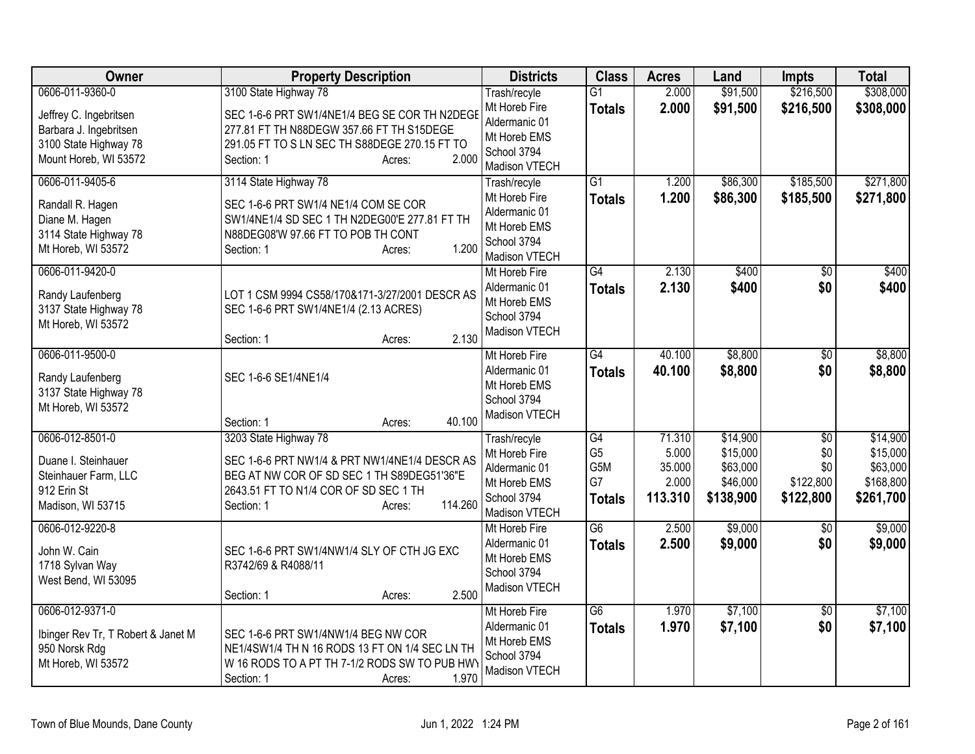| Owner                                                                                              | <b>Property Description</b>                                                                                                                                                  | <b>Districts</b>                                                               | <b>Class</b>                                 | <b>Acres</b>                        | Land                                          | <b>Impts</b>                         | <b>Total</b>                                   |
|----------------------------------------------------------------------------------------------------|------------------------------------------------------------------------------------------------------------------------------------------------------------------------------|--------------------------------------------------------------------------------|----------------------------------------------|-------------------------------------|-----------------------------------------------|--------------------------------------|------------------------------------------------|
| 0606-011-9360-0                                                                                    | 3100 State Highway 78                                                                                                                                                        | Trash/recyle                                                                   | $\overline{G1}$                              | 2.000                               | \$91,500                                      | \$216,500                            | \$308,000                                      |
| Jeffrey C. Ingebritsen<br>Barbara J. Ingebritsen<br>3100 State Highway 78<br>Mount Horeb, WI 53572 | SEC 1-6-6 PRT SW1/4NE1/4 BEG SE COR TH N2DEGE<br>277.81 FT TH N88DEGW 357.66 FT TH S15DEGE<br>291.05 FT TO S LN SEC TH S88DEGE 270.15 FT TO<br>2.000<br>Section: 1<br>Acres: | Mt Horeb Fire<br>Aldermanic 01<br>Mt Horeb EMS<br>School 3794<br>Madison VTECH | <b>Totals</b>                                | 2.000                               | \$91,500                                      | \$216,500                            | \$308,000                                      |
| 0606-011-9405-6                                                                                    | 3114 State Highway 78                                                                                                                                                        | Trash/recyle                                                                   | $\overline{G1}$                              | 1.200                               | \$86,300                                      | \$185,500                            | \$271,800                                      |
| Randall R. Hagen<br>Diane M. Hagen<br>3114 State Highway 78<br>Mt Horeb, WI 53572                  | SEC 1-6-6 PRT SW1/4 NE1/4 COM SE COR<br>SW1/4NE1/4 SD SEC 1 TH N2DEG00'E 277.81 FT TH<br>N88DEG08'W 97.66 FT TO POB TH CONT<br>1.200<br>Section: 1<br>Acres:                 | Mt Horeb Fire<br>Aldermanic 01<br>Mt Horeb EMS<br>School 3794<br>Madison VTECH | <b>Totals</b>                                | 1.200                               | \$86,300                                      | \$185,500                            | \$271,800                                      |
| 0606-011-9420-0                                                                                    |                                                                                                                                                                              | Mt Horeb Fire                                                                  | $\overline{G4}$                              | 2.130                               | \$400                                         | $\overline{50}$                      | \$400                                          |
| Randy Laufenberg<br>3137 State Highway 78<br>Mt Horeb, WI 53572                                    | LOT 1 CSM 9994 CS58/170&171-3/27/2001 DESCR AS<br>SEC 1-6-6 PRT SW1/4NE1/4 (2.13 ACRES)<br>2.130<br>Section: 1<br>Acres:                                                     | Aldermanic 01<br>Mt Horeb EMS<br>School 3794<br>Madison VTECH                  | <b>Totals</b>                                | 2.130                               | \$400                                         | \$0                                  | \$400                                          |
| 0606-011-9500-0                                                                                    |                                                                                                                                                                              | Mt Horeb Fire                                                                  | G4                                           | 40.100                              | \$8,800                                       | $\overline{50}$                      | \$8,800                                        |
| Randy Laufenberg<br>3137 State Highway 78<br>Mt Horeb, WI 53572                                    | SEC 1-6-6 SE1/4NE1/4<br>40.100<br>Section: 1                                                                                                                                 | Aldermanic 01<br>Mt Horeb EMS<br>School 3794<br>Madison VTECH                  | <b>Totals</b>                                | 40.100                              | \$8,800                                       | \$0                                  | \$8,800                                        |
| 0606-012-8501-0                                                                                    | Acres:<br>3203 State Highway 78                                                                                                                                              | Trash/recyle                                                                   | $\overline{G4}$                              | 71.310                              | \$14,900                                      | $\overline{30}$                      | \$14,900                                       |
| Duane I. Steinhauer<br>Steinhauer Farm, LLC<br>912 Erin St<br>Madison, WI 53715                    | SEC 1-6-6 PRT NW1/4 & PRT NW1/4NE1/4 DESCR AS<br>BEG AT NW COR OF SD SEC 1 TH S89DEG51'36"E<br>2643.51 FT TO N1/4 COR OF SD SEC 1 TH<br>114.260<br>Section: 1<br>Acres:      | Mt Horeb Fire<br>Aldermanic 01<br>Mt Horeb EMS<br>School 3794<br>Madison VTECH | G <sub>5</sub><br>G5M<br>G7<br><b>Totals</b> | 5.000<br>35.000<br>2.000<br>113.310 | \$15,000<br>\$63,000<br>\$46,000<br>\$138,900 | \$0<br>\$0<br>\$122,800<br>\$122,800 | \$15,000<br>\$63,000<br>\$168,800<br>\$261,700 |
| 0606-012-9220-8                                                                                    |                                                                                                                                                                              | Mt Horeb Fire                                                                  | $\overline{G6}$                              | 2.500                               | \$9,000                                       | $\overline{50}$                      | \$9,000                                        |
| John W. Cain<br>1718 Sylvan Way<br>West Bend, WI 53095                                             | SEC 1-6-6 PRT SW1/4NW1/4 SLY OF CTH JG EXC<br>R3742/69 & R4088/11<br>2.500<br>Section: 1<br>Acres:                                                                           | Aldermanic 01<br>Mt Horeb EMS<br>School 3794<br>Madison VTECH                  | <b>Totals</b>                                | 2.500                               | \$9,000                                       | \$0                                  | \$9,000                                        |
| 0606-012-9371-0<br>Ibinger Rev Tr, T Robert & Janet M<br>950 Norsk Rdg<br>Mt Horeb, WI 53572       | SEC 1-6-6 PRT SW1/4NW1/4 BEG NW COR<br>NE1/4SW1/4 TH N 16 RODS 13 FT ON 1/4 SEC LN TH<br>W 16 RODS TO A PT TH 7-1/2 RODS SW TO PUB HWY<br>1.970<br>Section: 1<br>Acres:      | Mt Horeb Fire<br>Aldermanic 01<br>Mt Horeb EMS<br>School 3794<br>Madison VTECH | $\overline{G6}$<br><b>Totals</b>             | 1.970<br>1.970                      | \$7,100<br>\$7,100                            | $\overline{50}$<br>\$0               | \$7,100<br>\$7,100                             |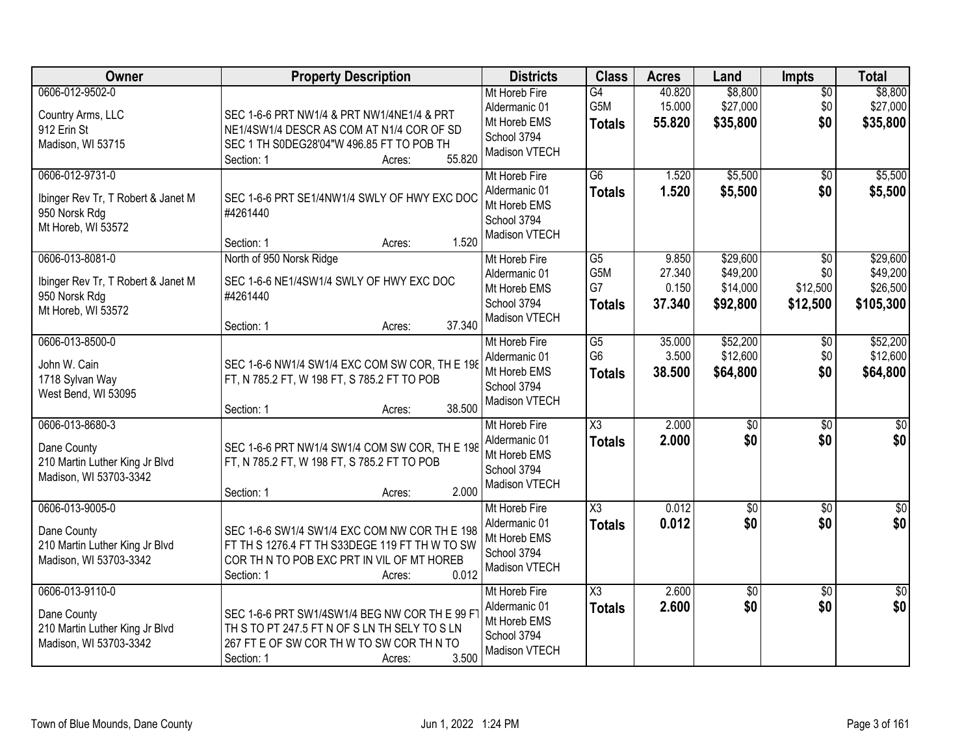| <b>Owner</b>                                                                                 | <b>Property Description</b>                                                                                                                                                    | <b>Districts</b>                                                               | <b>Class</b>                                  | <b>Acres</b>                       | Land                                         | <b>Impts</b>                                   | <b>Total</b>                                  |
|----------------------------------------------------------------------------------------------|--------------------------------------------------------------------------------------------------------------------------------------------------------------------------------|--------------------------------------------------------------------------------|-----------------------------------------------|------------------------------------|----------------------------------------------|------------------------------------------------|-----------------------------------------------|
| 0606-012-9502-0<br>Country Arms, LLC<br>912 Erin St<br>Madison, WI 53715                     | SEC 1-6-6 PRT NW1/4 & PRT NW1/4NE1/4 & PRT<br>NE1/4SW1/4 DESCR AS COM AT N1/4 COR OF SD<br>SEC 1 TH S0DEG28'04"W 496.85 FT TO POB TH<br>55.820<br>Section: 1<br>Acres:         | Mt Horeb Fire<br>Aldermanic 01<br>Mt Horeb EMS<br>School 3794<br>Madison VTECH | G4<br>G5M<br><b>Totals</b>                    | 40.820<br>15.000<br>55.820         | \$8,800<br>\$27,000<br>\$35,800              | $\overline{50}$<br>\$0<br>\$0                  | \$8,800<br>\$27,000<br>\$35,800               |
| 0606-012-9731-0<br>Ibinger Rev Tr, T Robert & Janet M<br>950 Norsk Rdg<br>Mt Horeb, WI 53572 | SEC 1-6-6 PRT SE1/4NW1/4 SWLY OF HWY EXC DOC<br>#4261440<br>1.520<br>Section: 1<br>Acres:                                                                                      | Mt Horeb Fire<br>Aldermanic 01<br>Mt Horeb EMS<br>School 3794<br>Madison VTECH | $\overline{G6}$<br><b>Totals</b>              | 1.520<br>1.520                     | \$5,500<br>\$5,500                           | \$0<br>\$0                                     | \$5,500<br>\$5,500                            |
| 0606-013-8081-0<br>Ibinger Rev Tr, T Robert & Janet M<br>950 Norsk Rdg<br>Mt Horeb, WI 53572 | North of 950 Norsk Ridge<br>SEC 1-6-6 NE1/4SW1/4 SWLY OF HWY EXC DOC<br>#4261440<br>37.340<br>Section: 1<br>Acres:                                                             | Mt Horeb Fire<br>Aldermanic 01<br>Mt Horeb EMS<br>School 3794<br>Madison VTECH | $\overline{G5}$<br>G5M<br>G7<br><b>Totals</b> | 9.850<br>27.340<br>0.150<br>37.340 | \$29,600<br>\$49,200<br>\$14,000<br>\$92,800 | $\overline{50}$<br>\$0<br>\$12,500<br>\$12,500 | \$29,600<br>\$49,200<br>\$26,500<br>\$105,300 |
| 0606-013-8500-0<br>John W. Cain<br>1718 Sylvan Way<br>West Bend, WI 53095                    | SEC 1-6-6 NW1/4 SW1/4 EXC COM SW COR, TH E 198<br>FT, N 785.2 FT, W 198 FT, S 785.2 FT TO POB<br>38.500<br>Section: 1<br>Acres:                                                | Mt Horeb Fire<br>Aldermanic 01<br>Mt Horeb EMS<br>School 3794<br>Madison VTECH | G5<br>G <sub>6</sub><br><b>Totals</b>         | 35.000<br>3.500<br>38.500          | \$52,200<br>\$12,600<br>\$64,800             | \$0<br>\$0<br>\$0                              | \$52,200<br>\$12,600<br>\$64,800              |
| 0606-013-8680-3<br>Dane County<br>210 Martin Luther King Jr Blvd<br>Madison, WI 53703-3342   | SEC 1-6-6 PRT NW1/4 SW1/4 COM SW COR, TH E 198<br>FT, N 785.2 FT, W 198 FT, S 785.2 FT TO POB<br>2.000<br>Section: 1<br>Acres:                                                 | Mt Horeb Fire<br>Aldermanic 01<br>Mt Horeb EMS<br>School 3794<br>Madison VTECH | $\overline{\text{X3}}$<br><b>Totals</b>       | 2.000<br>2.000                     | $\overline{50}$<br>\$0                       | $\overline{50}$<br>\$0                         | \$0<br>\$0                                    |
| 0606-013-9005-0<br>Dane County<br>210 Martin Luther King Jr Blvd<br>Madison, WI 53703-3342   | SEC 1-6-6 SW1/4 SW1/4 EXC COM NW COR TH E 198<br>FT TH S 1276.4 FT TH S33DEGE 119 FT TH W TO SW<br>COR THIN TO POB EXC PRT IN VIL OF MT HOREB<br>0.012<br>Section: 1<br>Acres: | Mt Horeb Fire<br>Aldermanic 01<br>Mt Horeb EMS<br>School 3794<br>Madison VTECH | $\overline{\text{X3}}$<br><b>Totals</b>       | 0.012<br>0.012                     | $\sqrt{30}$<br>\$0                           | $\overline{50}$<br>\$0                         | $\overline{50}$<br>\$0                        |
| 0606-013-9110-0<br>Dane County<br>210 Martin Luther King Jr Blvd<br>Madison, WI 53703-3342   | SEC 1-6-6 PRT SW1/4SW1/4 BEG NW COR TH E 99 F<br>TH S TO PT 247.5 FT N OF S LN TH SELY TO S LN<br>267 FT E OF SW COR TH W TO SW COR TH N TO<br>3.500<br>Section: 1<br>Acres:   | Mt Horeb Fire<br>Aldermanic 01<br>Mt Horeb EMS<br>School 3794<br>Madison VTECH | $\overline{\text{X3}}$<br><b>Totals</b>       | 2.600<br>2.600                     | $\sqrt{6}$<br>\$0                            | $\overline{50}$<br>\$0                         | $\overline{50}$<br>\$0                        |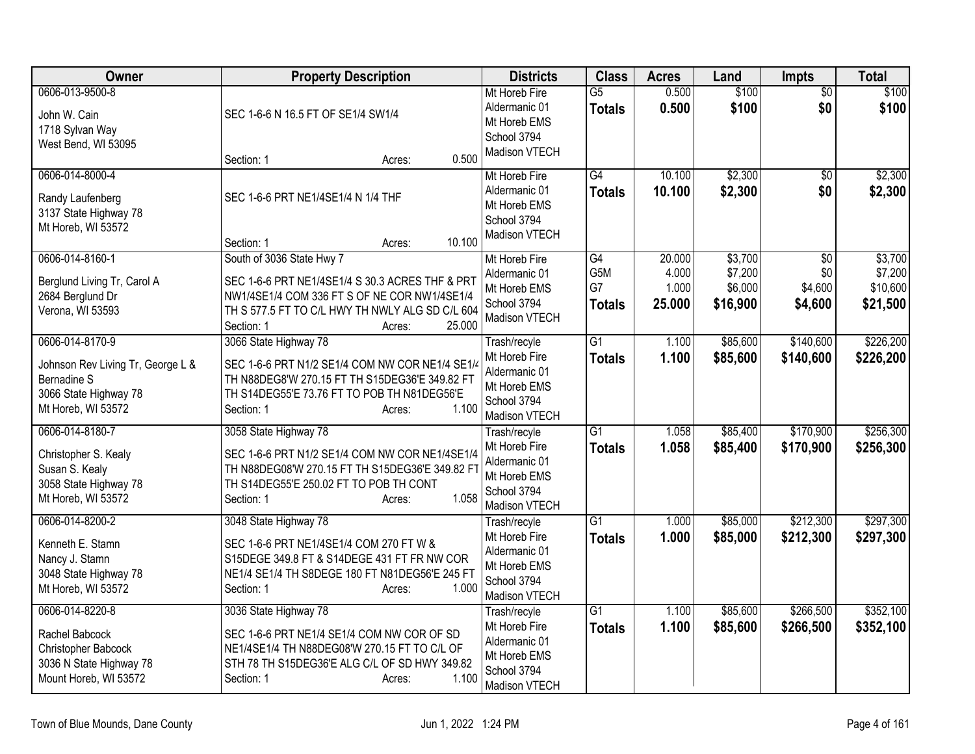| Owner                                                                                                                     | <b>Property Description</b>                                                                                                                                                                                       | <b>Districts</b>                                                                               | <b>Class</b>                     | <b>Acres</b>                       | Land                                      | <b>Impts</b>                                 | <b>Total</b>                               |
|---------------------------------------------------------------------------------------------------------------------------|-------------------------------------------------------------------------------------------------------------------------------------------------------------------------------------------------------------------|------------------------------------------------------------------------------------------------|----------------------------------|------------------------------------|-------------------------------------------|----------------------------------------------|--------------------------------------------|
| 0606-013-9500-8<br>John W. Cain<br>1718 Sylvan Way<br>West Bend, WI 53095                                                 | SEC 1-6-6 N 16.5 FT OF SE1/4 SW1/4<br>0.500<br>Section: 1<br>Acres:                                                                                                                                               | Mt Horeb Fire<br>Aldermanic 01<br>Mt Horeb EMS<br>School 3794<br>Madison VTECH                 | $\overline{G5}$<br><b>Totals</b> | 0.500<br>0.500                     | \$100<br>\$100                            | $\overline{50}$<br>\$0                       | \$100<br>\$100                             |
| 0606-014-8000-4<br>Randy Laufenberg<br>3137 State Highway 78<br>Mt Horeb, WI 53572                                        | SEC 1-6-6 PRT NE1/4SE1/4 N 1/4 THF<br>10.100<br>Section: 1<br>Acres:                                                                                                                                              | Mt Horeb Fire<br>Aldermanic 01<br>Mt Horeb EMS<br>School 3794<br>Madison VTECH                 | G4<br><b>Totals</b>              | 10.100<br>10.100                   | \$2,300<br>\$2,300                        | $\overline{50}$<br>\$0                       | \$2,300<br>\$2,300                         |
| 0606-014-8160-1<br>Berglund Living Tr, Carol A<br>2684 Berglund Dr<br>Verona, WI 53593                                    | South of 3036 State Hwy 7<br>SEC 1-6-6 PRT NE1/4SE1/4 S 30.3 ACRES THF & PRT<br>NW1/4SE1/4 COM 336 FT S OF NE COR NW1/4SE1/4<br>TH S 577.5 FT TO C/L HWY TH NWLY ALG SD C/L 604<br>25.000<br>Section: 1<br>Acres: | Mt Horeb Fire<br>Aldermanic 01<br>Mt Horeb EMS<br>School 3794<br>Madison VTECH                 | G4<br>G5M<br>G7<br><b>Totals</b> | 20.000<br>4.000<br>1.000<br>25.000 | \$3,700<br>\$7,200<br>\$6,000<br>\$16,900 | $\overline{50}$<br>\$0<br>\$4,600<br>\$4,600 | \$3,700<br>\$7,200<br>\$10,600<br>\$21,500 |
| 0606-014-8170-9<br>Johnson Rev Living Tr, George L &<br><b>Bernadine S</b><br>3066 State Highway 78<br>Mt Horeb, WI 53572 | 3066 State Highway 78<br>SEC 1-6-6 PRT N1/2 SE1/4 COM NW COR NE1/4 SE1/4<br>TH N88DEG8'W 270.15 FT TH S15DEG36'E 349.82 FT<br>TH S14DEG55'E 73.76 FT TO POB TH N81DEG56'E<br>1.100<br>Section: 1<br>Acres:        | Trash/recyle<br>Mt Horeb Fire<br>Aldermanic 01<br>Mt Horeb EMS<br>School 3794<br>Madison VTECH | $\overline{G1}$<br><b>Totals</b> | 1.100<br>1.100                     | \$85,600<br>\$85,600                      | \$140,600<br>\$140,600                       | \$226,200<br>\$226,200                     |
| 0606-014-8180-7<br>Christopher S. Kealy<br>Susan S. Kealy<br>3058 State Highway 78<br>Mt Horeb, WI 53572                  | 3058 State Highway 78<br>SEC 1-6-6 PRT N1/2 SE1/4 COM NW COR NE1/4SE1/4<br>TH N88DEG08'W 270.15 FT TH S15DEG36'E 349.82 FT<br>TH S14DEG55'E 250.02 FT TO POB TH CONT<br>1.058<br>Section: 1<br>Acres:             | Trash/recyle<br>Mt Horeb Fire<br>Aldermanic 01<br>Mt Horeb EMS<br>School 3794<br>Madison VTECH | $\overline{G1}$<br><b>Totals</b> | 1.058<br>1.058                     | \$85,400<br>\$85,400                      | \$170,900<br>\$170,900                       | \$256,300<br>\$256,300                     |
| 0606-014-8200-2<br>Kenneth E. Stamn<br>Nancy J. Stamn<br>3048 State Highway 78<br>Mt Horeb, WI 53572                      | 3048 State Highway 78<br>SEC 1-6-6 PRT NE1/4SE1/4 COM 270 FT W &<br>S15DEGE 349.8 FT & S14DEGE 431 FT FR NW COR<br>NE1/4 SE1/4 TH S8DEGE 180 FT N81DEG56'E 245 FT<br>Section: 1<br>1.000<br>Acres:                | Trash/recyle<br>Mt Horeb Fire<br>Aldermanic 01<br>Mt Horeb EMS<br>School 3794<br>Madison VTECH | $\overline{G1}$<br><b>Totals</b> | 1.000<br>1.000                     | \$85,000<br>\$85,000                      | \$212,300<br>\$212,300                       | \$297,300<br>\$297,300                     |
| 0606-014-8220-8<br>Rachel Babcock<br>Christopher Babcock<br>3036 N State Highway 78<br>Mount Horeb, WI 53572              | 3036 State Highway 78<br>SEC 1-6-6 PRT NE1/4 SE1/4 COM NW COR OF SD<br>NE1/4SE1/4 TH N88DEG08'W 270.15 FT TO C/L OF<br>STH 78 TH S15DEG36'E ALG C/L OF SD HWY 349.82<br>1.100<br>Section: 1<br>Acres:             | Trash/recyle<br>Mt Horeb Fire<br>Aldermanic 01<br>Mt Horeb EMS<br>School 3794<br>Madison VTECH | $\overline{G1}$<br><b>Totals</b> | 1.100<br>1.100                     | \$85,600<br>\$85,600                      | \$266,500<br>\$266,500                       | \$352,100<br>\$352,100                     |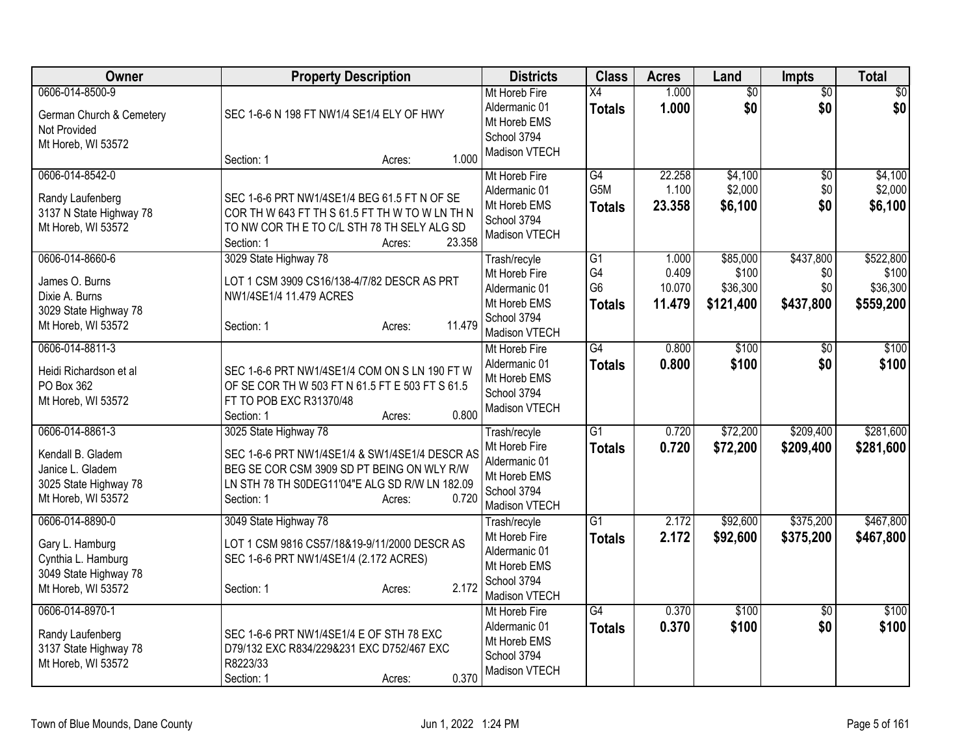| Owner                                                                                                   | <b>Property Description</b>                                                                                                                                                                              | <b>Districts</b>                                                                               | <b>Class</b>                                | <b>Acres</b>                       | Land                                       | <b>Impts</b>                         | <b>Total</b>                                |
|---------------------------------------------------------------------------------------------------------|----------------------------------------------------------------------------------------------------------------------------------------------------------------------------------------------------------|------------------------------------------------------------------------------------------------|---------------------------------------------|------------------------------------|--------------------------------------------|--------------------------------------|---------------------------------------------|
| 0606-014-8500-9<br>German Church & Cemetery<br>Not Provided<br>Mt Horeb, WI 53572                       | SEC 1-6-6 N 198 FT NW1/4 SE1/4 ELY OF HWY<br>1.000<br>Section: 1<br>Acres:                                                                                                                               | Mt Horeb Fire<br>Aldermanic 01<br>Mt Horeb EMS<br>School 3794<br>Madison VTECH                 | X4<br><b>Totals</b>                         | 1.000<br>1.000                     | $\overline{50}$<br>\$0                     | $\overline{50}$<br>\$0               | $\sqrt{50}$<br>\$0                          |
| 0606-014-8542-0<br>Randy Laufenberg<br>3137 N State Highway 78<br>Mt Horeb, WI 53572                    | SEC 1-6-6 PRT NW1/4SE1/4 BEG 61.5 FT N OF SE<br>COR TH W 643 FT TH S 61.5 FT TH W TO W LN TH N<br>TO NW COR THE TO C/L STH 78 TH SELY ALG SD<br>23.358<br>Section: 1<br>Acres:                           | Mt Horeb Fire<br>Aldermanic 01<br>Mt Horeb EMS<br>School 3794<br>Madison VTECH                 | G4<br>G5M<br><b>Totals</b>                  | 22.258<br>1.100<br>23.358          | \$4,100<br>\$2,000<br>\$6,100              | \$0<br>\$0<br>\$0                    | \$4,100<br>\$2,000<br>\$6,100               |
| 0606-014-8660-6<br>James O. Burns<br>Dixie A. Burns<br>3029 State Highway 78<br>Mt Horeb, WI 53572      | 3029 State Highway 78<br>LOT 1 CSM 3909 CS16/138-4/7/82 DESCR AS PRT<br>NW1/4SE1/4 11.479 ACRES<br>11.479<br>Section: 1<br>Acres:                                                                        | Trash/recyle<br>Mt Horeb Fire<br>Aldermanic 01<br>Mt Horeb EMS<br>School 3794<br>Madison VTECH | G1<br>G4<br>G <sub>6</sub><br><b>Totals</b> | 1.000<br>0.409<br>10.070<br>11.479 | \$85,000<br>\$100<br>\$36,300<br>\$121,400 | \$437,800<br>\$0<br>\$0<br>\$437,800 | \$522,800<br>\$100<br>\$36,300<br>\$559,200 |
| 0606-014-8811-3<br>Heidi Richardson et al<br>PO Box 362<br>Mt Horeb, WI 53572                           | SEC 1-6-6 PRT NW1/4SE1/4 COM ON S LN 190 FT W<br>OF SE COR TH W 503 FT N 61.5 FT E 503 FT S 61.5<br>FT TO POB EXC R31370/48<br>0.800<br>Section: 1<br>Acres:                                             | Mt Horeb Fire<br>Aldermanic 01<br>Mt Horeb EMS<br>School 3794<br>Madison VTECH                 | G4<br><b>Totals</b>                         | 0.800<br>0.800                     | \$100<br>\$100                             | $\overline{50}$<br>\$0               | \$100<br>\$100                              |
| 0606-014-8861-3<br>Kendall B. Gladem<br>Janice L. Gladem<br>3025 State Highway 78<br>Mt Horeb, WI 53572 | 3025 State Highway 78<br>SEC 1-6-6 PRT NW1/4SE1/4 & SW1/4SE1/4 DESCR AS<br>BEG SE COR CSM 3909 SD PT BEING ON WLY R/W<br>LN STH 78 TH S0DEG11'04"E ALG SD R/W LN 182.09<br>0.720<br>Section: 1<br>Acres: | Trash/recyle<br>Mt Horeb Fire<br>Aldermanic 01<br>Mt Horeb EMS<br>School 3794<br>Madison VTECH | $\overline{G1}$<br><b>Totals</b>            | 0.720<br>0.720                     | \$72,200<br>\$72,200                       | \$209,400<br>\$209,400               | \$281,600<br>\$281,600                      |
| 0606-014-8890-0<br>Gary L. Hamburg<br>Cynthia L. Hamburg<br>3049 State Highway 78<br>Mt Horeb, WI 53572 | 3049 State Highway 78<br>LOT 1 CSM 9816 CS57/18&19-9/11/2000 DESCR AS<br>SEC 1-6-6 PRT NW1/4SE1/4 (2.172 ACRES)<br>2.172<br>Section: 1<br>Acres:                                                         | Trash/recyle<br>Mt Horeb Fire<br>Aldermanic 01<br>Mt Horeb EMS<br>School 3794<br>Madison VTECH | $\overline{G1}$<br><b>Totals</b>            | 2.172<br>2.172                     | \$92,600<br>\$92,600                       | \$375,200<br>\$375,200               | \$467,800<br>\$467,800                      |
| 0606-014-8970-1<br>Randy Laufenberg<br>3137 State Highway 78<br>Mt Horeb, WI 53572                      | SEC 1-6-6 PRT NW1/4SE1/4 E OF STH 78 EXC<br>D79/132 EXC R834/229&231 EXC D752/467 EXC<br>R8223/33<br>0.370<br>Section: 1<br>Acres:                                                                       | Mt Horeb Fire<br>Aldermanic 01<br>Mt Horeb EMS<br>School 3794<br>Madison VTECH                 | $\overline{G4}$<br><b>Totals</b>            | 0.370<br>0.370                     | \$100<br>\$100                             | $\overline{50}$<br>\$0               | \$100<br>\$100                              |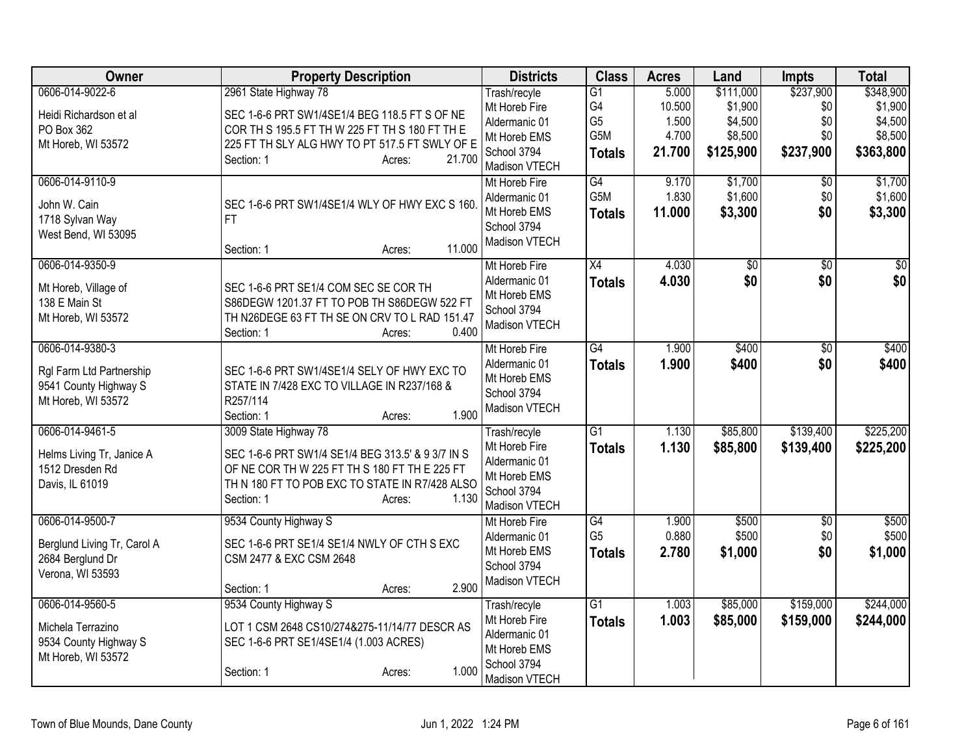| Owner                                                                                      | <b>Property Description</b>                                                                                                                                                                                    | <b>Districts</b>                                                                               | <b>Class</b>                                                    | <b>Acres</b>                                | Land                                                    | <b>Impts</b>                                | <b>Total</b>                                            |
|--------------------------------------------------------------------------------------------|----------------------------------------------------------------------------------------------------------------------------------------------------------------------------------------------------------------|------------------------------------------------------------------------------------------------|-----------------------------------------------------------------|---------------------------------------------|---------------------------------------------------------|---------------------------------------------|---------------------------------------------------------|
| 0606-014-9022-6<br>Heidi Richardson et al<br>PO Box 362<br>Mt Horeb, WI 53572              | 2961 State Highway 78<br>SEC 1-6-6 PRT SW1/4SE1/4 BEG 118.5 FT S OF NE<br>COR TH S 195.5 FT TH W 225 FT TH S 180 FT TH E<br>225 FT TH SLY ALG HWY TO PT 517.5 FT SWLY OF E<br>21.700<br>Section: 1<br>Acres:   | Trash/recyle<br>Mt Horeb Fire<br>Aldermanic 01<br>Mt Horeb EMS<br>School 3794<br>Madison VTECH | $\overline{G1}$<br>G4<br>G <sub>5</sub><br>G5M<br><b>Totals</b> | 5.000<br>10.500<br>1.500<br>4.700<br>21.700 | \$111,000<br>\$1,900<br>\$4,500<br>\$8,500<br>\$125,900 | \$237,900<br>\$0<br>\$0<br>\$0<br>\$237,900 | \$348,900<br>\$1,900<br>\$4,500<br>\$8,500<br>\$363,800 |
| 0606-014-9110-9<br>John W. Cain<br>1718 Sylvan Way<br>West Bend, WI 53095                  | SEC 1-6-6 PRT SW1/4SE1/4 WLY OF HWY EXC S 160<br><b>FT</b><br>11.000<br>Section: 1<br>Acres:                                                                                                                   | Mt Horeb Fire<br>Aldermanic 01<br>Mt Horeb EMS<br>School 3794<br>Madison VTECH                 | G4<br>G <sub>5</sub> M<br><b>Totals</b>                         | 9.170<br>1.830<br>11.000                    | \$1,700<br>\$1,600<br>\$3,300                           | \$0<br>\$0<br>\$0                           | \$1,700<br>\$1,600<br>\$3,300                           |
| 0606-014-9350-9<br>Mt Horeb, Village of<br>138 E Main St<br>Mt Horeb, WI 53572             | SEC 1-6-6 PRT SE1/4 COM SEC SE COR TH<br>S86DEGW 1201.37 FT TO POB TH S86DEGW 522 FT<br>TH N26DEGE 63 FT TH SE ON CRV TO L RAD 151.47<br>0.400<br>Section: 1<br>Acres:                                         | Mt Horeb Fire<br>Aldermanic 01<br>Mt Horeb EMS<br>School 3794<br>Madison VTECH                 | X4<br><b>Totals</b>                                             | 4.030<br>4.030                              | $\sqrt{$0}$<br>\$0                                      | $\overline{50}$<br>\$0                      | $\frac{1}{2}$<br>\$0                                    |
| 0606-014-9380-3<br>Rgl Farm Ltd Partnership<br>9541 County Highway S<br>Mt Horeb, WI 53572 | SEC 1-6-6 PRT SW1/4SE1/4 SELY OF HWY EXC TO<br>STATE IN 7/428 EXC TO VILLAGE IN R237/168 &<br>R257/114<br>Section: 1<br>1.900<br>Acres:                                                                        | Mt Horeb Fire<br>Aldermanic 01<br>Mt Horeb EMS<br>School 3794<br>Madison VTECH                 | G4<br><b>Totals</b>                                             | 1.900<br>1.900                              | \$400<br>\$400                                          | $\overline{50}$<br>\$0                      | \$400<br>\$400                                          |
| 0606-014-9461-5<br>Helms Living Tr, Janice A<br>1512 Dresden Rd<br>Davis, IL 61019         | 3009 State Highway 78<br>SEC 1-6-6 PRT SW1/4 SE1/4 BEG 313.5' & 9 3/7 IN S<br>OF NE COR TH W 225 FT TH S 180 FT TH E 225 FT<br>TH N 180 FT TO POB EXC TO STATE IN R7/428 ALSO<br>1.130<br>Section: 1<br>Acres: | Trash/recyle<br>Mt Horeb Fire<br>Aldermanic 01<br>Mt Horeb EMS<br>School 3794<br>Madison VTECH | $\overline{G1}$<br><b>Totals</b>                                | 1.130<br>1.130                              | \$85,800<br>\$85,800                                    | \$139,400<br>\$139,400                      | \$225,200<br>\$225,200                                  |
| 0606-014-9500-7<br>Berglund Living Tr, Carol A<br>2684 Berglund Dr<br>Verona, WI 53593     | 9534 County Highway S<br>SEC 1-6-6 PRT SE1/4 SE1/4 NWLY OF CTH S EXC<br>CSM 2477 & EXC CSM 2648<br>2.900<br>Section: 1<br>Acres:                                                                               | Mt Horeb Fire<br>Aldermanic 01<br>Mt Horeb EMS<br>School 3794<br>Madison VTECH                 | G4<br>G <sub>5</sub><br><b>Totals</b>                           | 1.900<br>0.880<br>2.780                     | \$500<br>\$500<br>\$1,000                               | $\overline{50}$<br>\$0<br>\$0               | \$500<br>\$500<br>\$1,000                               |
| 0606-014-9560-5<br>Michela Terrazino<br>9534 County Highway S<br>Mt Horeb, WI 53572        | 9534 County Highway S<br>LOT 1 CSM 2648 CS10/274&275-11/14/77 DESCR AS<br>SEC 1-6-6 PRT SE1/4SE1/4 (1.003 ACRES)<br>1.000<br>Section: 1<br>Acres:                                                              | Trash/recyle<br>Mt Horeb Fire<br>Aldermanic 01<br>Mt Horeb EMS<br>School 3794<br>Madison VTECH | $\overline{G1}$<br><b>Totals</b>                                | 1.003<br>1.003                              | \$85,000<br>\$85,000                                    | \$159,000<br>\$159,000                      | \$244,000<br>\$244,000                                  |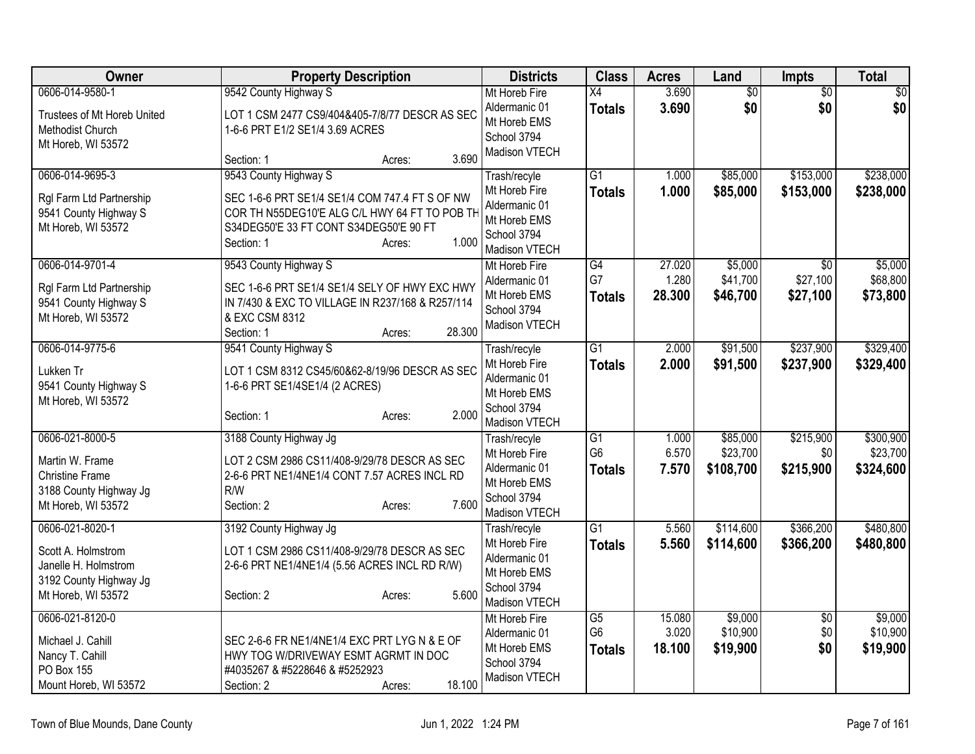| Owner                                       | <b>Property Description</b>                                        | <b>Districts</b>               | <b>Class</b>    | <b>Acres</b> | Land      | Impts           | <b>Total</b> |
|---------------------------------------------|--------------------------------------------------------------------|--------------------------------|-----------------|--------------|-----------|-----------------|--------------|
| 0606-014-9580-1                             | 9542 County Highway S                                              | Mt Horeb Fire                  | $\overline{X4}$ | 3.690        | \$0       | $\overline{50}$ | \$0          |
| Trustees of Mt Horeb United                 | LOT 1 CSM 2477 CS9/404&405-7/8/77 DESCR AS SEC                     | Aldermanic 01                  | <b>Totals</b>   | 3.690        | \$0       | \$0             | \$0          |
| Methodist Church                            | 1-6-6 PRT E1/2 SE1/4 3.69 ACRES                                    | Mt Horeb EMS<br>School 3794    |                 |              |           |                 |              |
| Mt Horeb, WI 53572                          |                                                                    | Madison VTECH                  |                 |              |           |                 |              |
|                                             | 3.690<br>Section: 1<br>Acres:                                      |                                |                 |              |           |                 |              |
| 0606-014-9695-3                             | 9543 County Highway S                                              | Trash/recyle                   | $\overline{G1}$ | 1.000        | \$85,000  | \$153,000       | \$238,000    |
| Rgl Farm Ltd Partnership                    | SEC 1-6-6 PRT SE1/4 SE1/4 COM 747.4 FT S OF NW                     | Mt Horeb Fire                  | <b>Totals</b>   | 1.000        | \$85,000  | \$153,000       | \$238,000    |
| 9541 County Highway S                       | COR TH N55DEG10'E ALG C/L HWY 64 FT TO POB TH                      | Aldermanic 01                  |                 |              |           |                 |              |
| Mt Horeb, WI 53572                          | S34DEG50'E 33 FT CONT S34DEG50'E 90 FT                             | Mt Horeb EMS<br>School 3794    |                 |              |           |                 |              |
|                                             | 1.000<br>Section: 1<br>Acres:                                      | Madison VTECH                  |                 |              |           |                 |              |
| 0606-014-9701-4                             | 9543 County Highway S                                              | Mt Horeb Fire                  | $\overline{G4}$ | 27.020       | \$5,000   | $\overline{30}$ | \$5,000      |
|                                             |                                                                    | Aldermanic 01                  | G7              | 1.280        | \$41,700  | \$27,100        | \$68,800     |
| RgI Farm Ltd Partnership                    | SEC 1-6-6 PRT SE1/4 SE1/4 SELY OF HWY EXC HWY                      | Mt Horeb EMS                   | <b>Totals</b>   | 28.300       | \$46,700  | \$27,100        | \$73,800     |
| 9541 County Highway S<br>Mt Horeb, WI 53572 | IN 7/430 & EXC TO VILLAGE IN R237/168 & R257/114<br>& EXC CSM 8312 | School 3794                    |                 |              |           |                 |              |
|                                             | 28.300<br>Section: 1<br>Acres:                                     | Madison VTECH                  |                 |              |           |                 |              |
| 0606-014-9775-6                             | 9541 County Highway S                                              | Trash/recyle                   | $\overline{G1}$ | 2.000        | \$91,500  | \$237,900       | \$329,400    |
|                                             |                                                                    | Mt Horeb Fire                  | <b>Totals</b>   | 2.000        | \$91,500  | \$237,900       | \$329,400    |
| Lukken Tr                                   | LOT 1 CSM 8312 CS45/60&62-8/19/96 DESCR AS SEC                     | Aldermanic 01                  |                 |              |           |                 |              |
| 9541 County Highway S<br>Mt Horeb, WI 53572 | 1-6-6 PRT SE1/4SE1/4 (2 ACRES)                                     | Mt Horeb EMS                   |                 |              |           |                 |              |
|                                             | 2.000<br>Section: 1<br>Acres:                                      | School 3794                    |                 |              |           |                 |              |
|                                             |                                                                    | Madison VTECH                  |                 |              |           |                 |              |
| 0606-021-8000-5                             | 3188 County Highway Jg                                             | Trash/recyle                   | $\overline{G1}$ | 1.000        | \$85,000  | \$215,900       | \$300,900    |
| Martin W. Frame                             | LOT 2 CSM 2986 CS11/408-9/29/78 DESCR AS SEC                       | Mt Horeb Fire                  | G <sub>6</sub>  | 6.570        | \$23,700  | \$0             | \$23,700     |
| <b>Christine Frame</b>                      | 2-6-6 PRT NE1/4NE1/4 CONT 7.57 ACRES INCL RD                       | Aldermanic 01<br>Mt Horeb EMS  | <b>Totals</b>   | 7.570        | \$108,700 | \$215,900       | \$324,600    |
| 3188 County Highway Jg                      | R/W                                                                | School 3794                    |                 |              |           |                 |              |
| Mt Horeb, WI 53572                          | 7.600<br>Section: 2<br>Acres:                                      | Madison VTECH                  |                 |              |           |                 |              |
| 0606-021-8020-1                             | 3192 County Highway Jg                                             | Trash/recyle                   | G1              | 5.560        | \$114,600 | \$366,200       | \$480,800    |
| Scott A. Holmstrom                          | LOT 1 CSM 2986 CS11/408-9/29/78 DESCR AS SEC                       | Mt Horeb Fire                  | <b>Totals</b>   | 5.560        | \$114,600 | \$366,200       | \$480,800    |
| Janelle H. Holmstrom                        | 2-6-6 PRT NE1/4NE1/4 (5.56 ACRES INCL RD R/W)                      | Aldermanic 01                  |                 |              |           |                 |              |
| 3192 County Highway Jg                      |                                                                    | Mt Horeb EMS                   |                 |              |           |                 |              |
| Mt Horeb, WI 53572                          | 5.600<br>Section: 2<br>Acres:                                      | School 3794                    |                 |              |           |                 |              |
| 0606-021-8120-0                             |                                                                    | Madison VTECH<br>Mt Horeb Fire | $\overline{G5}$ | 15.080       | \$9,000   | $\overline{50}$ | \$9,000      |
|                                             |                                                                    | Aldermanic 01                  | G <sub>6</sub>  | 3.020        | \$10,900  | \$0             | \$10,900     |
| Michael J. Cahill                           | SEC 2-6-6 FR NE1/4NE1/4 EXC PRT LYG N & E OF                       | Mt Horeb EMS                   | <b>Totals</b>   | 18.100       | \$19,900  | \$0             | \$19,900     |
| Nancy T. Cahill                             | HWY TOG W/DRIVEWAY ESMT AGRMT IN DOC                               | School 3794                    |                 |              |           |                 |              |
| PO Box 155                                  | #4035267 & #5228646 & #5252923                                     | Madison VTECH                  |                 |              |           |                 |              |
| Mount Horeb, WI 53572                       | 18.100<br>Section: 2<br>Acres:                                     |                                |                 |              |           |                 |              |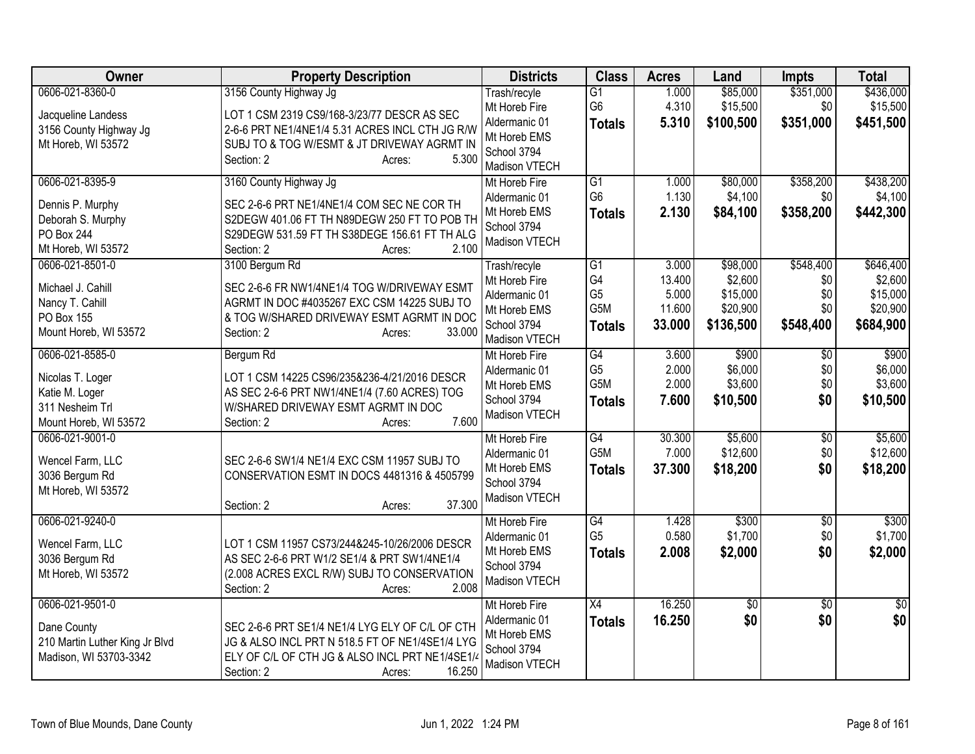| Owner                                                                            | <b>Property Description</b>                                                                                                                                                    | <b>Districts</b>                                              | <b>Class</b>                     | <b>Acres</b>    | Land                 | <b>Impts</b>     | <b>Total</b>          |
|----------------------------------------------------------------------------------|--------------------------------------------------------------------------------------------------------------------------------------------------------------------------------|---------------------------------------------------------------|----------------------------------|-----------------|----------------------|------------------|-----------------------|
| 0606-021-8360-0                                                                  | 3156 County Highway Jg                                                                                                                                                         | Trash/recyle<br>Mt Horeb Fire                                 | G1<br>G <sub>6</sub>             | 1.000<br>4.310  | \$85,000<br>\$15,500 | \$351,000<br>\$0 | \$436,000<br>\$15,500 |
| Jacqueline Landess<br>3156 County Highway Jg<br>Mt Horeb, WI 53572               | LOT 1 CSM 2319 CS9/168-3/23/77 DESCR AS SEC<br>2-6-6 PRT NE1/4NE1/4 5.31 ACRES INCL CTH JG R/W<br>SUBJ TO & TOG W/ESMT & JT DRIVEWAY AGRMT IN<br>5.300<br>Section: 2<br>Acres: | Aldermanic 01<br>Mt Horeb EMS<br>School 3794<br>Madison VTECH | <b>Totals</b>                    | 5.310           | \$100,500            | \$351,000        | \$451,500             |
| 0606-021-8395-9                                                                  | 3160 County Highway Jg                                                                                                                                                         | Mt Horeb Fire                                                 | G1                               | 1.000           | \$80,000             | \$358,200        | \$438,200             |
| Dennis P. Murphy<br>Deborah S. Murphy<br><b>PO Box 244</b><br>Mt Horeb, WI 53572 | SEC 2-6-6 PRT NE1/4NE1/4 COM SEC NE COR TH<br>S2DEGW 401.06 FT TH N89DEGW 250 FT TO POB TH<br>S29DEGW 531.59 FT TH S38DEGE 156.61 FT TH ALG<br>2.100<br>Section: 2<br>Acres:   | Aldermanic 01<br>Mt Horeb EMS<br>School 3794<br>Madison VTECH | G <sub>6</sub><br><b>Totals</b>  | 1.130<br>2.130  | \$4,100<br>\$84,100  | \$0<br>\$358,200 | \$4,100<br>\$442,300  |
| 0606-021-8501-0                                                                  | 3100 Bergum Rd                                                                                                                                                                 | Trash/recyle                                                  | G1                               | 3.000           | \$98,000             | \$548,400        | \$646,400             |
| Michael J. Cahill                                                                | SEC 2-6-6 FR NW1/4NE1/4 TOG W/DRIVEWAY ESMT                                                                                                                                    | Mt Horeb Fire<br>Aldermanic 01                                | G <sub>4</sub><br>G <sub>5</sub> | 13.400<br>5.000 | \$2,600<br>\$15,000  | \$0<br>\$0       | \$2,600<br>\$15,000   |
| Nancy T. Cahill                                                                  | AGRMT IN DOC #4035267 EXC CSM 14225 SUBJ TO                                                                                                                                    | Mt Horeb EMS                                                  | G5M                              | 11.600          | \$20,900             | \$0              | \$20,900              |
| PO Box 155<br>Mount Horeb, WI 53572                                              | & TOG W/SHARED DRIVEWAY ESMT AGRMT IN DOC<br>33.000<br>Section: 2<br>Acres:                                                                                                    | School 3794<br>Madison VTECH                                  | <b>Totals</b>                    | 33.000          | \$136,500            | \$548,400        | \$684,900             |
| 0606-021-8585-0                                                                  | Bergum Rd                                                                                                                                                                      | Mt Horeb Fire                                                 | G4                               | 3.600           | \$900                | \$0              | \$900                 |
| Nicolas T. Loger                                                                 | LOT 1 CSM 14225 CS96/235&236-4/21/2016 DESCR                                                                                                                                   | Aldermanic 01                                                 | G <sub>5</sub><br>G5M            | 2.000           | \$6,000              | \$0              | \$6,000               |
| Katie M. Loger                                                                   | AS SEC 2-6-6 PRT NW1/4NE1/4 (7.60 ACRES) TOG                                                                                                                                   | Mt Horeb EMS<br>School 3794                                   | <b>Totals</b>                    | 2.000<br>7.600  | \$3,600<br>\$10,500  | \$0<br>\$0       | \$3,600<br>\$10,500   |
| 311 Nesheim Trl<br>Mount Horeb, WI 53572                                         | W/SHARED DRIVEWAY ESMT AGRMT IN DOC<br>7.600<br>Section: 2<br>Acres:                                                                                                           | Madison VTECH                                                 |                                  |                 |                      |                  |                       |
| 0606-021-9001-0                                                                  |                                                                                                                                                                                | Mt Horeb Fire                                                 | G4                               | 30.300          | \$5,600              | $\overline{50}$  | \$5,600               |
| Wencel Farm, LLC                                                                 | SEC 2-6-6 SW1/4 NE1/4 EXC CSM 11957 SUBJ TO                                                                                                                                    | Aldermanic 01                                                 | G5M                              | 7.000           | \$12,600             | \$0              | \$12,600              |
| 3036 Bergum Rd                                                                   | CONSERVATION ESMT IN DOCS 4481316 & 4505799                                                                                                                                    | Mt Horeb EMS<br>School 3794                                   | <b>Totals</b>                    | 37.300          | \$18,200             | \$0              | \$18,200              |
| Mt Horeb, WI 53572                                                               | 37.300<br>Section: 2<br>Acres:                                                                                                                                                 | Madison VTECH                                                 |                                  |                 |                      |                  |                       |
| 0606-021-9240-0                                                                  |                                                                                                                                                                                | Mt Horeb Fire                                                 | G4                               | 1.428           | \$300                | \$0              | \$300                 |
| Wencel Farm, LLC                                                                 | LOT 1 CSM 11957 CS73/244&245-10/26/2006 DESCR                                                                                                                                  | Aldermanic 01<br>Mt Horeb EMS                                 | G <sub>5</sub>                   | 0.580<br>2.008  | \$1,700              | \$0<br>\$0       | \$1,700               |
| 3036 Bergum Rd                                                                   | AS SEC 2-6-6 PRT W1/2 SE1/4 & PRT SW1/4NE1/4                                                                                                                                   | School 3794                                                   | <b>Totals</b>                    |                 | \$2,000              |                  | \$2,000               |
| Mt Horeb, WI 53572                                                               | (2.008 ACRES EXCL R/W) SUBJ TO CONSERVATION<br>2.008<br>Section: 2<br>Acres:                                                                                                   | Madison VTECH                                                 |                                  |                 |                      |                  |                       |
| 0606-021-9501-0                                                                  |                                                                                                                                                                                | Mt Horeb Fire                                                 | $\overline{X4}$                  | 16.250          | $\overline{50}$      | $\overline{50}$  | $\overline{50}$       |
| Dane County                                                                      | SEC 2-6-6 PRT SE1/4 NE1/4 LYG ELY OF C/L OF CTH                                                                                                                                | Aldermanic 01<br>Mt Horeb EMS                                 | <b>Totals</b>                    | 16.250          | \$0                  | \$0              | \$0                   |
| 210 Martin Luther King Jr Blvd                                                   | JG & ALSO INCL PRT N 518.5 FT OF NE1/4SE1/4 LYG                                                                                                                                | School 3794                                                   |                                  |                 |                      |                  |                       |
| Madison, WI 53703-3342                                                           | ELY OF C/L OF CTH JG & ALSO INCL PRT NE1/4SE1/4                                                                                                                                | Madison VTECH                                                 |                                  |                 |                      |                  |                       |
|                                                                                  | 16.250<br>Section: 2<br>Acres:                                                                                                                                                 |                                                               |                                  |                 |                      |                  |                       |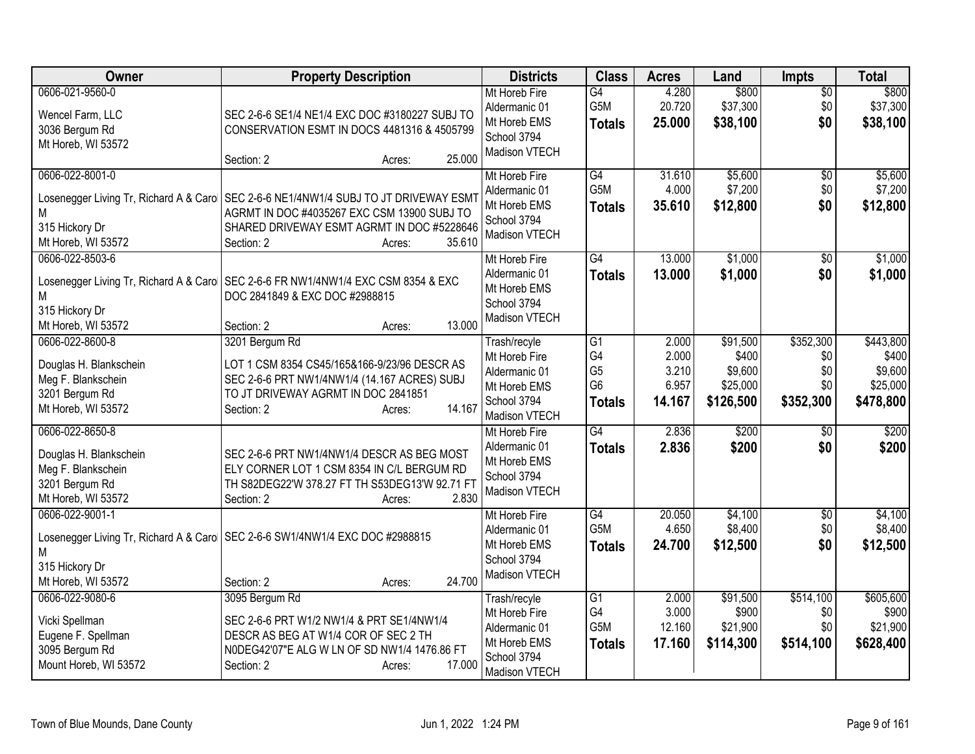| Owner                                                                                                   | <b>Property Description</b>                                                                                                                                                                                           | <b>Districts</b>                                                                               | <b>Class</b>                                                  | <b>Acres</b>                               | Land                                                  | <b>Impts</b>                                | <b>Total</b>                                           |
|---------------------------------------------------------------------------------------------------------|-----------------------------------------------------------------------------------------------------------------------------------------------------------------------------------------------------------------------|------------------------------------------------------------------------------------------------|---------------------------------------------------------------|--------------------------------------------|-------------------------------------------------------|---------------------------------------------|--------------------------------------------------------|
| 0606-021-9560-0<br>Wencel Farm, LLC<br>3036 Bergum Rd<br>Mt Horeb, WI 53572                             | SEC 2-6-6 SE1/4 NE1/4 EXC DOC #3180227 SUBJ TO<br>CONSERVATION ESMT IN DOCS 4481316 & 4505799<br>25.000<br>Section: 2<br>Acres:                                                                                       | Mt Horeb Fire<br>Aldermanic 01<br>Mt Horeb EMS<br>School 3794<br>Madison VTECH                 | $\overline{G4}$<br>G5M<br><b>Totals</b>                       | 4.280<br>20.720<br>25.000                  | \$800<br>\$37,300<br>\$38,100                         | $\overline{50}$<br>\$0<br>\$0               | \$800<br>\$37,300<br>\$38,100                          |
| 0606-022-8001-0<br>Μ<br>315 Hickory Dr<br>Mt Horeb, WI 53572                                            | Losenegger Living Tr, Richard A & Caro   SEC 2-6-6 NE1/4NW1/4 SUBJ TO JT DRIVEWAY ESMT<br>AGRMT IN DOC #4035267 EXC CSM 13900 SUBJ TO<br>SHARED DRIVEWAY ESMT AGRMT IN DOC #5228646<br>35.610<br>Section: 2<br>Acres: | Mt Horeb Fire<br>Aldermanic 01<br>Mt Horeb EMS<br>School 3794<br>Madison VTECH                 | G4<br>G5M<br><b>Totals</b>                                    | 31.610<br>4.000<br>35.610                  | \$5,600<br>\$7,200<br>\$12,800                        | \$0<br>\$0<br>\$0                           | \$5,600<br>\$7,200<br>\$12,800                         |
| 0606-022-8503-6<br>Losenegger Living Tr, Richard A & Caro<br>М<br>315 Hickory Dr<br>Mt Horeb, WI 53572  | SEC 2-6-6 FR NW1/4NW1/4 EXC CSM 8354 & EXC<br>DOC 2841849 & EXC DOC #2988815<br>13.000<br>Section: 2<br>Acres:                                                                                                        | Mt Horeb Fire<br>Aldermanic 01<br>Mt Horeb EMS<br>School 3794<br>Madison VTECH                 | G4<br><b>Totals</b>                                           | 13.000<br>13.000                           | \$1,000<br>\$1,000                                    | $\overline{50}$<br>\$0                      | \$1,000<br>\$1,000                                     |
| 0606-022-8600-8<br>Douglas H. Blankschein<br>Meg F. Blankschein<br>3201 Bergum Rd<br>Mt Horeb, WI 53572 | 3201 Bergum Rd<br>LOT 1 CSM 8354 CS45/165&166-9/23/96 DESCR AS<br>SEC 2-6-6 PRT NW1/4NW1/4 (14.167 ACRES) SUBJ<br>TO JT DRIVEWAY AGRMT IN DOC 2841851<br>14.167<br>Section: 2<br>Acres:                               | Trash/recyle<br>Mt Horeb Fire<br>Aldermanic 01<br>Mt Horeb EMS<br>School 3794<br>Madison VTECH | G1<br>G4<br>G <sub>5</sub><br>G <sub>6</sub><br><b>Totals</b> | 2.000<br>2.000<br>3.210<br>6.957<br>14.167 | \$91,500<br>\$400<br>\$9,600<br>\$25,000<br>\$126,500 | \$352,300<br>\$0<br>\$0<br>\$0<br>\$352,300 | \$443,800<br>\$400<br>\$9,600<br>\$25,000<br>\$478,800 |
| 0606-022-8650-8<br>Douglas H. Blankschein<br>Meg F. Blankschein<br>3201 Bergum Rd<br>Mt Horeb, WI 53572 | SEC 2-6-6 PRT NW1/4NW1/4 DESCR AS BEG MOST<br>ELY CORNER LOT 1 CSM 8354 IN C/L BERGUM RD<br>TH S82DEG22'W 378.27 FT TH S53DEG13'W 92.71 FT<br>2.830<br>Section: 2<br>Acres:                                           | Mt Horeb Fire<br>Aldermanic 01<br>Mt Horeb EMS<br>School 3794<br>Madison VTECH                 | $\overline{G4}$<br><b>Totals</b>                              | 2.836<br>2.836                             | \$200<br>\$200                                        | $\overline{30}$<br>\$0                      | \$200<br>\$200                                         |
| 0606-022-9001-1<br>М<br>315 Hickory Dr<br>Mt Horeb, WI 53572                                            | Losenegger Living Tr, Richard A & Caro   SEC 2-6-6 SW1/4NW1/4 EXC DOC #2988815<br>24.700<br>Section: 2<br>Acres:                                                                                                      | Mt Horeb Fire<br>Aldermanic 01<br>Mt Horeb EMS<br>School 3794<br>Madison VTECH                 | G4<br>G5M<br><b>Totals</b>                                    | 20.050<br>4.650<br>24.700                  | \$4,100<br>\$8,400<br>\$12,500                        | $\overline{50}$<br>\$0<br>\$0               | \$4,100<br>\$8,400<br>\$12,500                         |
| 0606-022-9080-6<br>Vicki Spellman<br>Eugene F. Spellman<br>3095 Bergum Rd<br>Mount Horeb, WI 53572      | 3095 Bergum Rd<br>SEC 2-6-6 PRT W1/2 NW1/4 & PRT SE1/4NW1/4<br>DESCR AS BEG AT W1/4 COR OF SEC 2 TH<br>N0DEG42'07"E ALG W LN OF SD NW1/4 1476.86 FT<br>17.000<br>Section: 2<br>Acres:                                 | Trash/recyle<br>Mt Horeb Fire<br>Aldermanic 01<br>Mt Horeb EMS<br>School 3794<br>Madison VTECH | $\overline{G1}$<br>G4<br>G5M<br><b>Totals</b>                 | 2.000<br>3.000<br>12.160<br>17.160         | \$91,500<br>\$900<br>\$21,900<br>\$114,300            | \$514,100<br>\$0<br>\$0<br>\$514,100        | \$605,600<br>\$900<br>\$21,900<br>\$628,400            |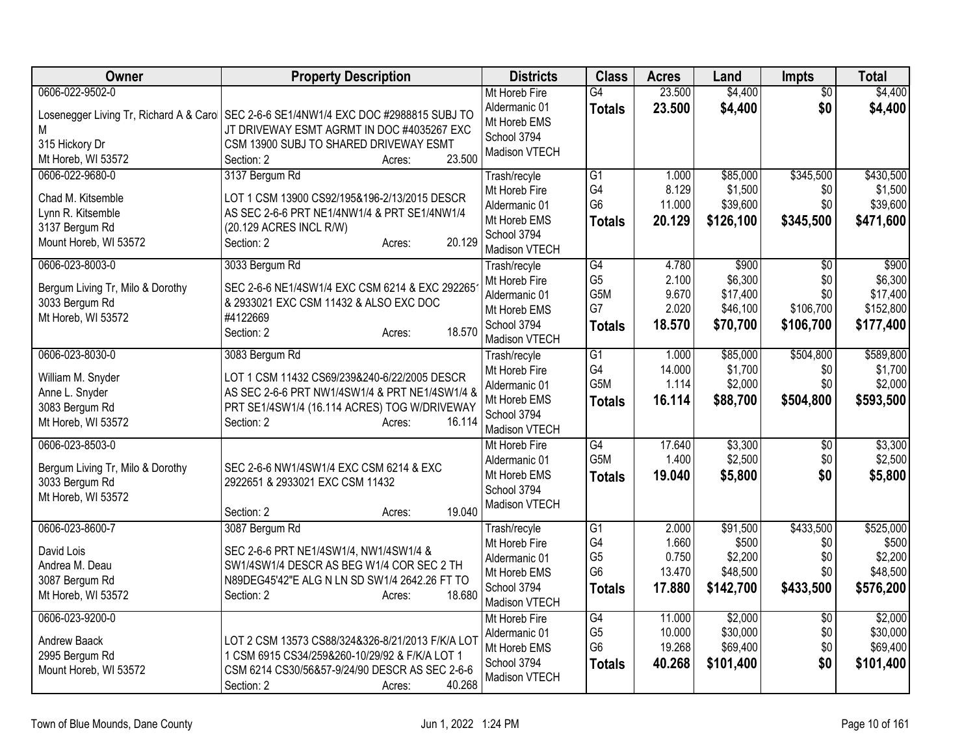| Owner                                                                                                | <b>Property Description</b>                                                                                                                                                                                      | <b>Districts</b>                                                                               | <b>Class</b>                                                              | <b>Acres</b>                                | Land                                                  | <b>Impts</b>                                            | <b>Total</b>                                           |
|------------------------------------------------------------------------------------------------------|------------------------------------------------------------------------------------------------------------------------------------------------------------------------------------------------------------------|------------------------------------------------------------------------------------------------|---------------------------------------------------------------------------|---------------------------------------------|-------------------------------------------------------|---------------------------------------------------------|--------------------------------------------------------|
| 0606-022-9502-0<br>315 Hickory Dr<br>Mt Horeb, WI 53572                                              | Losenegger Living Tr, Richard A & Caro   SEC 2-6-6 SE1/4NW1/4 EXC DOC #2988815 SUBJ TO<br>JT DRIVEWAY ESMT AGRMT IN DOC #4035267 EXC<br>CSM 13900 SUBJ TO SHARED DRIVEWAY ESMT<br>23.500<br>Section: 2<br>Acres: | Mt Horeb Fire<br>Aldermanic 01<br>Mt Horeb EMS<br>School 3794<br>Madison VTECH                 | G4<br><b>Totals</b>                                                       | 23.500<br>23.500                            | \$4,400<br>\$4,400                                    | \$0<br>\$0                                              | \$4,400<br>\$4,400                                     |
| 0606-022-9680-0<br>Chad M. Kitsemble<br>Lynn R. Kitsemble<br>3137 Bergum Rd<br>Mount Horeb, WI 53572 | 3137 Bergum Rd<br>LOT 1 CSM 13900 CS92/195&196-2/13/2015 DESCR<br>AS SEC 2-6-6 PRT NE1/4NW1/4 & PRT SE1/4NW1/4<br>(20.129 ACRES INCL R/W)<br>20.129<br>Section: 2<br>Acres:                                      | Trash/recyle<br>Mt Horeb Fire<br>Aldermanic 01<br>Mt Horeb EMS<br>School 3794<br>Madison VTECH | G1<br>G4<br>G <sub>6</sub><br><b>Totals</b>                               | 1.000<br>8.129<br>11.000<br>20.129          | \$85,000<br>\$1,500<br>\$39,600<br>\$126,100          | \$345,500<br>\$0<br>\$0<br>\$345,500                    | \$430,500<br>\$1,500<br>\$39,600<br>\$471,600          |
| 0606-023-8003-0<br>Bergum Living Tr, Milo & Dorothy<br>3033 Bergum Rd<br>Mt Horeb, WI 53572          | 3033 Bergum Rd<br>SEC 2-6-6 NE1/4SW1/4 EXC CSM 6214 & EXC 292265<br>& 2933021 EXC CSM 11432 & ALSO EXC DOC<br>#4122669<br>18.570<br>Section: 2<br>Acres:                                                         | Trash/recyle<br>Mt Horeb Fire<br>Aldermanic 01<br>Mt Horeb EMS<br>School 3794<br>Madison VTECH | $\overline{G4}$<br>G <sub>5</sub><br>G5M<br>G7<br><b>Totals</b>           | 4.780<br>2.100<br>9.670<br>2.020<br>18.570  | \$900<br>\$6,300<br>\$17,400<br>\$46,100<br>\$70,700  | $\overline{50}$<br>\$0<br>\$0<br>\$106,700<br>\$106,700 | \$900<br>\$6,300<br>\$17,400<br>\$152,800<br>\$177,400 |
| 0606-023-8030-0<br>William M. Snyder<br>Anne L. Snyder<br>3083 Bergum Rd<br>Mt Horeb, WI 53572       | 3083 Bergum Rd<br>LOT 1 CSM 11432 CS69/239&240-6/22/2005 DESCR<br>AS SEC 2-6-6 PRT NW1/4SW1/4 & PRT NE1/4SW1/4 &<br>PRT SE1/4SW1/4 (16.114 ACRES) TOG W/DRIVEWAY<br>Section: 2<br>16.114<br>Acres:               | Trash/recyle<br>Mt Horeb Fire<br>Aldermanic 01<br>Mt Horeb EMS<br>School 3794<br>Madison VTECH | $\overline{G1}$<br>G4<br>G5M<br><b>Totals</b>                             | 1.000<br>14.000<br>1.114<br>16.114          | \$85,000<br>\$1,700<br>\$2,000<br>\$88,700            | \$504,800<br>\$0<br>\$0<br>\$504,800                    | \$589,800<br>\$1,700<br>\$2,000<br>\$593,500           |
| 0606-023-8503-0<br>Bergum Living Tr, Milo & Dorothy<br>3033 Bergum Rd<br>Mt Horeb, WI 53572          | SEC 2-6-6 NW1/4SW1/4 EXC CSM 6214 & EXC<br>2922651 & 2933021 EXC CSM 11432<br>19.040<br>Section: 2<br>Acres:                                                                                                     | Mt Horeb Fire<br>Aldermanic 01<br>Mt Horeb EMS<br>School 3794<br>Madison VTECH                 | G4<br>G5M<br><b>Totals</b>                                                | 17.640<br>1.400<br>19.040                   | \$3,300<br>\$2,500<br>\$5,800                         | $\sqrt{6}$<br>\$0<br>\$0                                | \$3,300<br>\$2,500<br>\$5,800                          |
| 0606-023-8600-7<br>David Lois<br>Andrea M. Deau<br>3087 Bergum Rd<br>Mt Horeb, WI 53572              | 3087 Bergum Rd<br>SEC 2-6-6 PRT NE1/4SW1/4, NW1/4SW1/4 &<br>SW1/4SW1/4 DESCR AS BEG W1/4 COR SEC 2 TH<br>N89DEG45'42"E ALG N LN SD SW1/4 2642.26 FT TO<br>18.680<br>Section: 2<br>Acres:                         | Trash/recyle<br>Mt Horeb Fire<br>Aldermanic 01<br>Mt Horeb EMS<br>School 3794<br>Madison VTECH | G <sub>1</sub><br>G4<br>G <sub>5</sub><br>G <sub>6</sub><br><b>Totals</b> | 2.000<br>1.660<br>0.750<br>13.470<br>17.880 | \$91,500<br>\$500<br>\$2,200<br>\$48,500<br>\$142,700 | \$433,500<br>\$0<br>\$0<br>\$0<br>\$433,500             | \$525,000<br>\$500<br>\$2,200<br>\$48,500<br>\$576,200 |
| 0606-023-9200-0<br><b>Andrew Baack</b><br>2995 Bergum Rd<br>Mount Horeb, WI 53572                    | LOT 2 CSM 13573 CS88/324&326-8/21/2013 F/K/A LOT<br>1 CSM 6915 CS34/259&260-10/29/92 & F/K/A LOT 1<br>CSM 6214 CS30/56&57-9/24/90 DESCR AS SEC 2-6-6<br>40.268<br>Section: 2<br>Acres:                           | Mt Horeb Fire<br>Aldermanic 01<br>Mt Horeb EMS<br>School 3794<br>Madison VTECH                 | G4<br>G <sub>5</sub><br>G <sub>6</sub><br><b>Totals</b>                   | 11.000<br>10.000<br>19.268<br>40.268        | \$2,000<br>\$30,000<br>\$69,400<br>\$101,400          | $\overline{50}$<br>\$0<br>\$0<br>\$0                    | \$2,000<br>\$30,000<br>\$69,400<br>\$101,400           |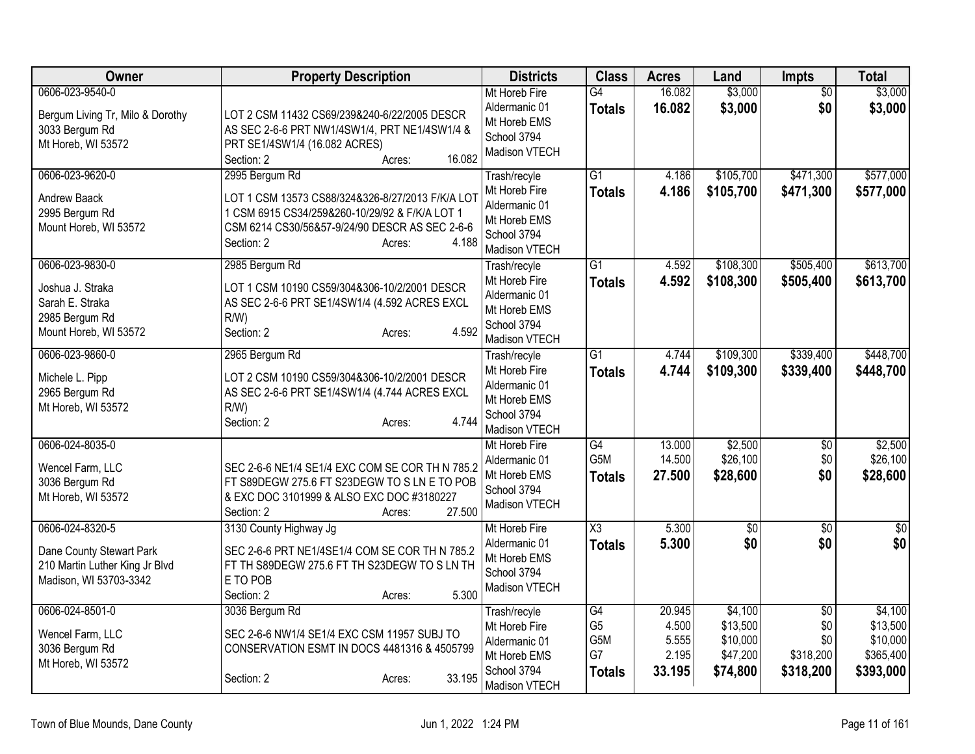| Owner                                                                                                   | <b>Property Description</b>                                                                                                                                                                             | <b>Districts</b>                                                                               | <b>Class</b>                                       | <b>Acres</b>                                | Land                                                    | Impts                                                   | <b>Total</b>                                              |
|---------------------------------------------------------------------------------------------------------|---------------------------------------------------------------------------------------------------------------------------------------------------------------------------------------------------------|------------------------------------------------------------------------------------------------|----------------------------------------------------|---------------------------------------------|---------------------------------------------------------|---------------------------------------------------------|-----------------------------------------------------------|
| 0606-023-9540-0<br>Bergum Living Tr, Milo & Dorothy<br>3033 Bergum Rd<br>Mt Horeb, WI 53572             | LOT 2 CSM 11432 CS69/239&240-6/22/2005 DESCR<br>AS SEC 2-6-6 PRT NW1/4SW1/4, PRT NE1/4SW1/4 &<br>PRT SE1/4SW1/4 (16.082 ACRES)<br>16.082<br>Section: 2<br>Acres:                                        | Mt Horeb Fire<br>Aldermanic 01<br>Mt Horeb EMS<br>School 3794<br>Madison VTECH                 | G4<br><b>Totals</b>                                | 16.082<br>16.082                            | \$3,000<br>\$3,000                                      | $\overline{50}$<br>\$0                                  | \$3,000<br>\$3,000                                        |
| 0606-023-9620-0<br>Andrew Baack<br>2995 Bergum Rd<br>Mount Horeb, WI 53572                              | 2995 Bergum Rd<br>LOT 1 CSM 13573 CS88/324&326-8/27/2013 F/K/A LOT<br>1 CSM 6915 CS34/259&260-10/29/92 & F/K/A LOT 1<br>CSM 6214 CS30/56&57-9/24/90 DESCR AS SEC 2-6-6<br>4.188<br>Section: 2<br>Acres: | Trash/recyle<br>Mt Horeb Fire<br>Aldermanic 01<br>Mt Horeb EMS<br>School 3794<br>Madison VTECH | G1<br><b>Totals</b>                                | 4.186<br>4.186                              | \$105,700<br>\$105,700                                  | \$471,300<br>\$471,300                                  | \$577,000<br>\$577,000                                    |
| 0606-023-9830-0<br>Joshua J. Straka<br>Sarah E. Straka<br>2985 Bergum Rd<br>Mount Horeb, WI 53572       | 2985 Bergum Rd<br>LOT 1 CSM 10190 CS59/304&306-10/2/2001 DESCR<br>AS SEC 2-6-6 PRT SE1/4SW1/4 (4.592 ACRES EXCL<br>$R/W$ )<br>4.592<br>Section: 2<br>Acres:                                             | Trash/recyle<br>Mt Horeb Fire<br>Aldermanic 01<br>Mt Horeb EMS<br>School 3794<br>Madison VTECH | $\overline{G1}$<br><b>Totals</b>                   | 4.592<br>4.592                              | \$108,300<br>\$108,300                                  | \$505,400<br>\$505,400                                  | \$613,700<br>\$613,700                                    |
| 0606-023-9860-0<br>Michele L. Pipp<br>2965 Bergum Rd<br>Mt Horeb, WI 53572                              | 2965 Bergum Rd<br>LOT 2 CSM 10190 CS59/304&306-10/2/2001 DESCR<br>AS SEC 2-6-6 PRT SE1/4SW1/4 (4.744 ACRES EXCL<br>$R/W$ )<br>4.744<br>Section: 2<br>Acres:                                             | Trash/recyle<br>Mt Horeb Fire<br>Aldermanic 01<br>Mt Horeb EMS<br>School 3794<br>Madison VTECH | $\overline{G1}$<br><b>Totals</b>                   | 4.744<br>4.744                              | \$109,300<br>\$109,300                                  | \$339,400<br>\$339,400                                  | \$448,700<br>\$448,700                                    |
| 0606-024-8035-0<br>Wencel Farm, LLC<br>3036 Bergum Rd<br>Mt Horeb, WI 53572                             | SEC 2-6-6 NE1/4 SE1/4 EXC COM SE COR TH N 785.2<br>FT S89DEGW 275.6 FT S23DEGW TO S LN E TO POB<br>& EXC DOC 3101999 & ALSO EXC DOC #3180227<br>27.500<br>Section: 2<br>Acres:                          | Mt Horeb Fire<br>Aldermanic 01<br>Mt Horeb EMS<br>School 3794<br>Madison VTECH                 | G4<br>G5M<br><b>Totals</b>                         | 13.000<br>14.500<br>27.500                  | \$2,500<br>\$26,100<br>\$28,600                         | \$0<br>\$0<br>\$0                                       | \$2,500<br>\$26,100<br>\$28,600                           |
| 0606-024-8320-5<br>Dane County Stewart Park<br>210 Martin Luther King Jr Blvd<br>Madison, WI 53703-3342 | 3130 County Highway Jg<br>SEC 2-6-6 PRT NE1/4SE1/4 COM SE COR TH N 785.2<br>FT TH S89DEGW 275.6 FT TH S23DEGW TO SLN TH<br>E TO POB<br>5.300<br>Section: 2<br>Acres:                                    | Mt Horeb Fire<br>Aldermanic 01<br>Mt Horeb EMS<br>School 3794<br>Madison VTECH                 | X3<br><b>Totals</b>                                | 5.300<br>5.300                              | $\overline{50}$<br>\$0                                  | $\sqrt[6]{30}$<br>\$0                                   | $\sqrt{50}$<br>\$0                                        |
| 0606-024-8501-0<br>Wencel Farm, LLC<br>3036 Bergum Rd<br>Mt Horeb, WI 53572                             | 3036 Bergum Rd<br>SEC 2-6-6 NW1/4 SE1/4 EXC CSM 11957 SUBJ TO<br>CONSERVATION ESMT IN DOCS 4481316 & 4505799<br>33.195<br>Section: 2<br>Acres:                                                          | Trash/recyle<br>Mt Horeb Fire<br>Aldermanic 01<br>Mt Horeb EMS<br>School 3794<br>Madison VTECH | G4<br>G <sub>5</sub><br>G5M<br>G7<br><b>Totals</b> | 20.945<br>4.500<br>5.555<br>2.195<br>33.195 | \$4,100<br>\$13,500<br>\$10,000<br>\$47,200<br>\$74,800 | $\overline{50}$<br>\$0<br>\$0<br>\$318,200<br>\$318,200 | \$4,100<br>\$13,500<br>\$10,000<br>\$365,400<br>\$393,000 |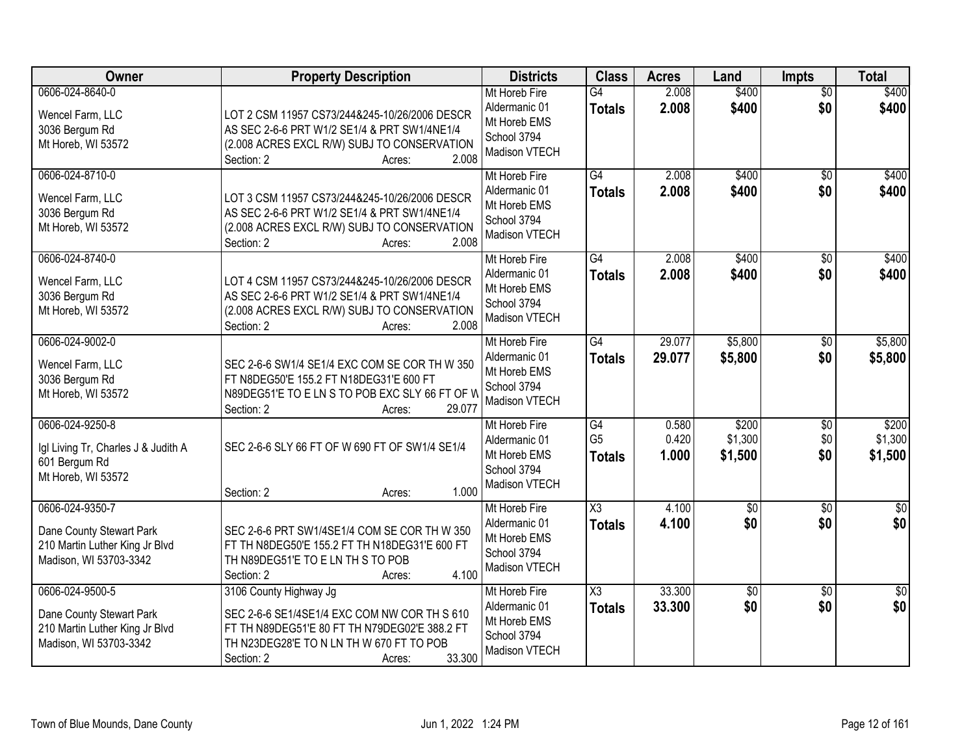| <b>Owner</b>                                                                                            | <b>Property Description</b>                                                                                                                                                                           | <b>Districts</b>                                                               | <b>Class</b>                          | <b>Acres</b>            | Land                        | <b>Impts</b>           | <b>Total</b>                |
|---------------------------------------------------------------------------------------------------------|-------------------------------------------------------------------------------------------------------------------------------------------------------------------------------------------------------|--------------------------------------------------------------------------------|---------------------------------------|-------------------------|-----------------------------|------------------------|-----------------------------|
| 0606-024-8640-0<br>Wencel Farm, LLC<br>3036 Bergum Rd<br>Mt Horeb, WI 53572                             | LOT 2 CSM 11957 CS73/244&245-10/26/2006 DESCR<br>AS SEC 2-6-6 PRT W1/2 SE1/4 & PRT SW1/4NE1/4<br>(2.008 ACRES EXCL R/W) SUBJ TO CONSERVATION<br>2.008<br>Section: 2<br>Acres:                         | Mt Horeb Fire<br>Aldermanic 01<br>Mt Horeb EMS<br>School 3794<br>Madison VTECH | $\overline{G4}$<br><b>Totals</b>      | 2.008<br>2.008          | \$400<br>\$400              | $\overline{50}$<br>\$0 | \$400<br>\$400              |
| 0606-024-8710-0<br>Wencel Farm, LLC<br>3036 Bergum Rd<br>Mt Horeb, WI 53572                             | LOT 3 CSM 11957 CS73/244&245-10/26/2006 DESCR<br>AS SEC 2-6-6 PRT W1/2 SE1/4 & PRT SW1/4NE1/4<br>(2.008 ACRES EXCL R/W) SUBJ TO CONSERVATION<br>2.008<br>Section: 2<br>Acres:                         | Mt Horeb Fire<br>Aldermanic 01<br>Mt Horeb EMS<br>School 3794<br>Madison VTECH | $\overline{G4}$<br><b>Totals</b>      | 2.008<br>2.008          | \$400<br>\$400              | \$0<br>\$0             | \$400<br>\$400              |
| 0606-024-8740-0<br>Wencel Farm, LLC<br>3036 Bergum Rd<br>Mt Horeb, WI 53572                             | LOT 4 CSM 11957 CS73/244&245-10/26/2006 DESCR<br>AS SEC 2-6-6 PRT W1/2 SE1/4 & PRT SW1/4NE1/4<br>(2.008 ACRES EXCL R/W) SUBJ TO CONSERVATION<br>2.008<br>Section: 2<br>Acres:                         | Mt Horeb Fire<br>Aldermanic 01<br>Mt Horeb EMS<br>School 3794<br>Madison VTECH | G4<br><b>Totals</b>                   | 2.008<br>2.008          | \$400<br>\$400              | \$0<br>\$0             | \$400<br>\$400              |
| 0606-024-9002-0<br>Wencel Farm, LLC<br>3036 Bergum Rd<br>Mt Horeb, WI 53572                             | SEC 2-6-6 SW1/4 SE1/4 EXC COM SE COR TH W 350<br>FT N8DEG50'E 155.2 FT N18DEG31'E 600 FT<br>N89DEG51'E TO E LN S TO POB EXC SLY 66 FT OF W<br>29.077<br>Section: 2<br>Acres:                          | Mt Horeb Fire<br>Aldermanic 01<br>Mt Horeb EMS<br>School 3794<br>Madison VTECH | G4<br><b>Totals</b>                   | 29.077<br>29.077        | \$5,800<br>\$5,800          | \$0<br>\$0             | \$5,800<br>\$5,800          |
| 0606-024-9250-8<br>Igl Living Tr, Charles J & Judith A<br>601 Bergum Rd<br>Mt Horeb, WI 53572           | SEC 2-6-6 SLY 66 FT OF W 690 FT OF SW1/4 SE1/4<br>1.000<br>Section: 2<br>Acres:                                                                                                                       | Mt Horeb Fire<br>Aldermanic 01<br>Mt Horeb EMS<br>School 3794<br>Madison VTECH | G4<br>G <sub>5</sub><br><b>Totals</b> | 0.580<br>0.420<br>1.000 | \$200<br>\$1,300<br>\$1,500 | \$0<br>\$0<br>\$0      | \$200<br>\$1,300<br>\$1,500 |
| 0606-024-9350-7<br>Dane County Stewart Park<br>210 Martin Luther King Jr Blvd<br>Madison, WI 53703-3342 | SEC 2-6-6 PRT SW1/4SE1/4 COM SE COR THW 350<br>FT TH N8DEG50'E 155.2 FT TH N18DEG31'E 600 FT<br>TH N89DEG51'E TO E LN TH S TO POB<br>4.100<br>Section: 2<br>Acres:                                    | Mt Horeb Fire<br>Aldermanic 01<br>Mt Horeb EMS<br>School 3794<br>Madison VTECH | X3<br><b>Totals</b>                   | 4.100<br>4.100          | $\sqrt{6}$<br>\$0           | \$0<br>\$0             | \$0<br>\$0                  |
| 0606-024-9500-5<br>Dane County Stewart Park<br>210 Martin Luther King Jr Blvd<br>Madison, WI 53703-3342 | 3106 County Highway Jg<br>SEC 2-6-6 SE1/4SE1/4 EXC COM NW COR TH S 610<br>FT TH N89DEG51'E 80 FT TH N79DEG02'E 388.2 FT<br>TH N23DEG28'E TO N LN TH W 670 FT TO POB<br>33.300<br>Section: 2<br>Acres: | Mt Horeb Fire<br>Aldermanic 01<br>Mt Horeb EMS<br>School 3794<br>Madison VTECH | X3<br><b>Totals</b>                   | 33.300<br>33.300        | $\overline{50}$<br>\$0      | $\overline{30}$<br>\$0 | $\overline{50}$<br>\$0      |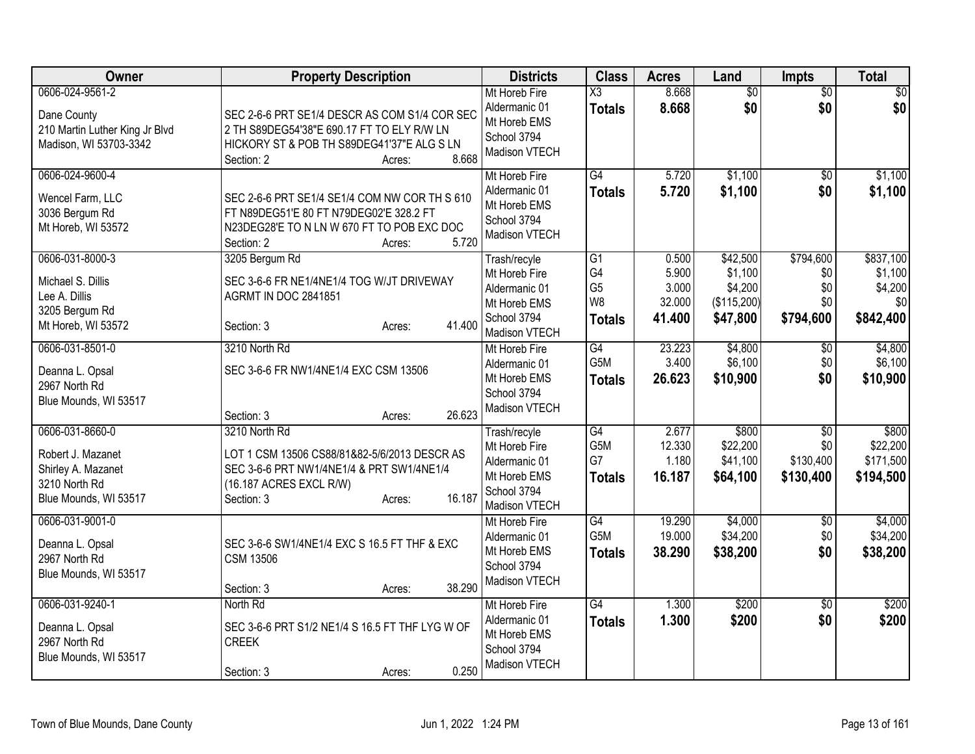| Owner                                                                                                | <b>Property Description</b>                                                                                                                                                | <b>Districts</b>                                                                               | <b>Class</b>                                      | <b>Acres</b>                                | Land                                                      | <b>Impts</b>                                     | <b>Total</b>                                        |
|------------------------------------------------------------------------------------------------------|----------------------------------------------------------------------------------------------------------------------------------------------------------------------------|------------------------------------------------------------------------------------------------|---------------------------------------------------|---------------------------------------------|-----------------------------------------------------------|--------------------------------------------------|-----------------------------------------------------|
| 0606-024-9561-2<br>Dane County<br>210 Martin Luther King Jr Blvd<br>Madison, WI 53703-3342           | SEC 2-6-6 PRT SE1/4 DESCR AS COM S1/4 COR SEC<br>2 TH S89DEG54'38"E 690.17 FT TO ELY R/W LN<br>HICKORY ST & POB TH S89DEG41'37"E ALG S LN<br>8.668<br>Section: 2<br>Acres: | Mt Horeb Fire<br>Aldermanic 01<br>Mt Horeb EMS<br>School 3794<br>Madison VTECH                 | X3<br><b>Totals</b>                               | 8.668<br>8.668                              | $\overline{50}$<br>\$0                                    | $\overline{50}$<br>\$0                           | $\sqrt{50}$<br>\$0                                  |
| 0606-024-9600-4<br>Wencel Farm, LLC<br>3036 Bergum Rd<br>Mt Horeb, WI 53572                          | SEC 2-6-6 PRT SE1/4 SE1/4 COM NW COR TH S 610<br>FT N89DEG51'E 80 FT N79DEG02'E 328.2 FT<br>N23DEG28'E TO N LN W 670 FT TO POB EXC DOC<br>5.720<br>Section: 2<br>Acres:    | Mt Horeb Fire<br>Aldermanic 01<br>Mt Horeb EMS<br>School 3794<br>Madison VTECH                 | G4<br><b>Totals</b>                               | 5.720<br>5.720                              | \$1,100<br>\$1,100                                        | $\sqrt{50}$<br>\$0                               | \$1,100<br>\$1,100                                  |
| 0606-031-8000-3<br>Michael S. Dillis<br>Lee A. Dillis<br>3205 Bergum Rd<br>Mt Horeb, WI 53572        | 3205 Bergum Rd<br>SEC 3-6-6 FR NE1/4NE1/4 TOG W/JT DRIVEWAY<br><b>AGRMT IN DOC 2841851</b><br>41.400<br>Section: 3<br>Acres:                                               | Trash/recyle<br>Mt Horeb Fire<br>Aldermanic 01<br>Mt Horeb EMS<br>School 3794<br>Madison VTECH | G1<br>G4<br>G <sub>5</sub><br>W8<br><b>Totals</b> | 0.500<br>5.900<br>3.000<br>32.000<br>41.400 | \$42,500<br>\$1,100<br>\$4,200<br>(\$115,200)<br>\$47,800 | \$794,600<br>\$0<br>\$0<br>\$0<br>\$794,600      | \$837,100<br>\$1,100<br>\$4,200<br>\$0<br>\$842,400 |
| 0606-031-8501-0<br>Deanna L. Opsal<br>2967 North Rd<br>Blue Mounds, WI 53517                         | 3210 North Rd<br>SEC 3-6-6 FR NW1/4NE1/4 EXC CSM 13506<br>26.623<br>Section: 3<br>Acres:                                                                                   | Mt Horeb Fire<br>Aldermanic 01<br>Mt Horeb EMS<br>School 3794<br>Madison VTECH                 | G4<br>G5M<br><b>Totals</b>                        | 23.223<br>3.400<br>26.623                   | \$4,800<br>\$6,100<br>\$10,900                            | \$0<br>\$0<br>\$0                                | \$4,800<br>\$6,100<br>\$10,900                      |
| 0606-031-8660-0<br>Robert J. Mazanet<br>Shirley A. Mazanet<br>3210 North Rd<br>Blue Mounds, WI 53517 | 3210 North Rd<br>LOT 1 CSM 13506 CS88/81&82-5/6/2013 DESCR AS<br>SEC 3-6-6 PRT NW1/4NE1/4 & PRT SW1/4NE1/4<br>(16.187 ACRES EXCL R/W)<br>16.187<br>Section: 3<br>Acres:    | Trash/recyle<br>Mt Horeb Fire<br>Aldermanic 01<br>Mt Horeb EMS<br>School 3794<br>Madison VTECH | G4<br>G5M<br>G7<br><b>Totals</b>                  | 2.677<br>12.330<br>1.180<br>16.187          | \$800<br>\$22,200<br>\$41,100<br>\$64,100                 | $\overline{50}$<br>\$0<br>\$130,400<br>\$130,400 | \$800<br>\$22,200<br>\$171,500<br>\$194,500         |
| 0606-031-9001-0<br>Deanna L. Opsal<br>2967 North Rd<br>Blue Mounds, WI 53517                         | SEC 3-6-6 SW1/4NE1/4 EXC S 16.5 FT THF & EXC<br><b>CSM 13506</b><br>38.290<br>Section: 3<br>Acres:                                                                         | Mt Horeb Fire<br>Aldermanic 01<br>Mt Horeb EMS<br>School 3794<br>Madison VTECH                 | $\overline{G4}$<br>G5M<br><b>Totals</b>           | 19.290<br>19.000<br>38.290                  | \$4,000<br>\$34,200<br>\$38,200                           | \$0<br>\$0<br>\$0                                | \$4,000<br>\$34,200<br>\$38,200                     |
| 0606-031-9240-1<br>Deanna L. Opsal<br>2967 North Rd<br>Blue Mounds, WI 53517                         | North Rd<br>SEC 3-6-6 PRT S1/2 NE1/4 S 16.5 FT THF LYG W OF<br><b>CREEK</b><br>0.250<br>Section: 3<br>Acres:                                                               | Mt Horeb Fire<br>Aldermanic 01<br>Mt Horeb EMS<br>School 3794<br>Madison VTECH                 | G4<br><b>Totals</b>                               | 1.300<br>1.300                              | \$200<br>\$200                                            | $\overline{30}$<br>\$0                           | \$200<br>\$200                                      |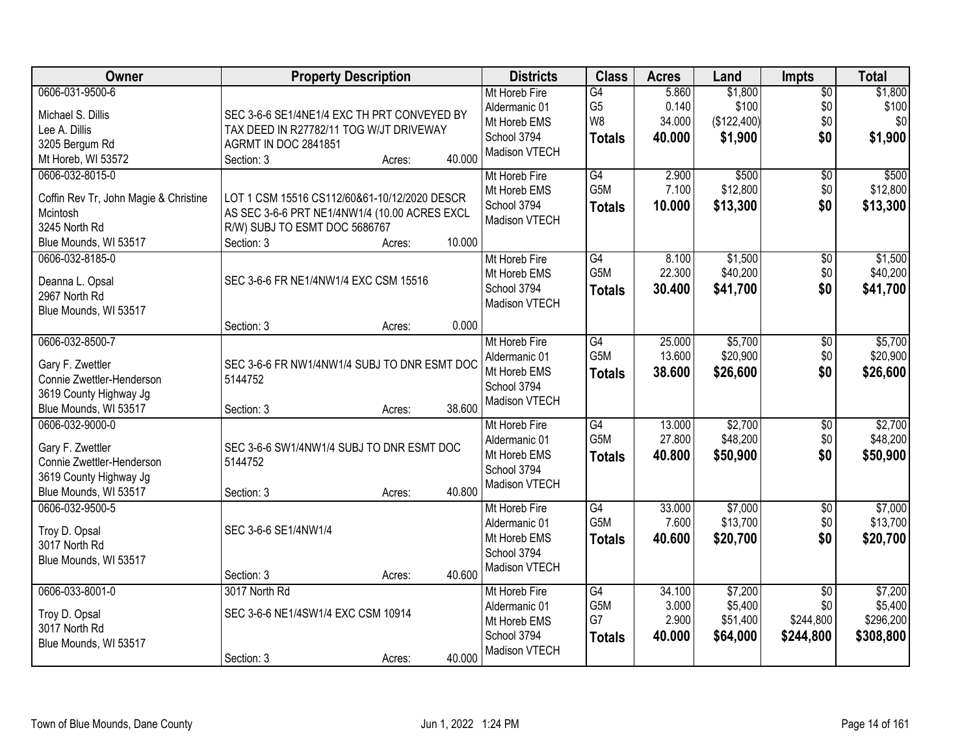| \$1,800<br>0606-031-9500-6<br>5.860<br>Mt Horeb Fire<br>$\overline{G4}$<br>$\overline{50}$<br>G <sub>5</sub><br>0.140<br>\$100<br>\$0<br>Aldermanic 01<br>Michael S. Dillis<br>SEC 3-6-6 SE1/4NE1/4 EXC TH PRT CONVEYED BY<br>W8<br>(\$122,400)<br>\$0<br>\$0<br>34.000<br>Mt Horeb EMS<br>Lee A. Dillis<br>TAX DEED IN R27782/11 TOG W/JT DRIVEWAY<br>\$1,900<br>\$0<br>\$1,900<br>School 3794<br>40.000<br><b>Totals</b><br>3205 Bergum Rd<br>AGRMT IN DOC 2841851<br>Madison VTECH<br>40.000<br>Mt Horeb, WI 53572<br>Section: 3<br>Acres:<br>0606-032-8015-0<br>G4<br>2.900<br>\$500<br>\$500<br>Mt Horeb Fire<br>\$0<br>G <sub>5</sub> M<br>7.100<br>\$12,800<br>\$0<br>Mt Horeb EMS<br>Coffin Rev Tr, John Magie & Christine<br>LOT 1 CSM 15516 CS112/60&61-10/12/2020 DESCR<br>\$0<br>School 3794<br>10.000<br>\$13,300<br>\$13,300<br><b>Totals</b><br>Mcintosh<br>AS SEC 3-6-6 PRT NE1/4NW1/4 (10.00 ACRES EXCL<br>Madison VTECH<br>3245 North Rd<br>R/W) SUBJ TO ESMT DOC 5686767<br>10.000<br>Blue Mounds, WI 53517<br>Section: 3<br>Acres:<br>\$1,500<br>0606-032-8185-0<br>G4<br>8.100<br>Mt Horeb Fire<br>\$0<br>G5M<br>\$0<br>22.300<br>\$40,200<br>Mt Horeb EMS<br>SEC 3-6-6 FR NE1/4NW1/4 EXC CSM 15516<br>Deanna L. Opsal<br>School 3794<br>\$41,700<br>\$0<br>30.400<br>\$41,700<br><b>Totals</b><br>2967 North Rd<br>Madison VTECH<br>Blue Mounds, WI 53517<br>0.000<br>Section: 3<br>Acres:<br>0606-032-8500-7<br>\$5,700<br>Mt Horeb Fire<br>G4<br>25.000<br>\$0<br>G5M<br>13.600<br>\$20,900<br>\$0<br>Aldermanic 01<br>SEC 3-6-6 FR NW1/4NW1/4 SUBJ TO DNR ESMT DOC<br>Gary F. Zwettler<br>\$0<br>Mt Horeb EMS<br>38.600<br>\$26,600<br>\$26,600<br><b>Totals</b><br>5144752<br>Connie Zwettler-Henderson<br>School 3794<br>3619 County Highway Jg<br>Madison VTECH<br>38.600<br>Blue Mounds, WI 53517<br>Section: 3<br>Acres:<br>\$2,700<br>\$2,700<br>0606-032-9000-0<br>$\overline{G4}$<br>13.000<br>Mt Horeb Fire<br>\$0<br>G <sub>5</sub> M<br>\$48,200<br>27.800<br>\$0<br>Aldermanic 01<br>Gary F. Zwettler<br>SEC 3-6-6 SW1/4NW1/4 SUBJ TO DNR ESMT DOC<br>Mt Horeb EMS<br>40.800<br>\$50,900<br>\$0<br>\$50,900<br><b>Totals</b><br>Connie Zwettler-Henderson<br>5144752<br>School 3794<br>3619 County Highway Jg<br>Madison VTECH<br>40.800<br>Blue Mounds, WI 53517<br>Section: 3<br>Acres:<br>0606-032-9500-5<br>G4<br>\$7,000<br>Mt Horeb Fire<br>33.000<br>$\sqrt{6}$<br>G5M<br>\$13,700<br>7.600<br>\$0<br>Aldermanic 01<br>Troy D. Opsal<br>SEC 3-6-6 SE1/4NW1/4<br>Mt Horeb EMS<br>40.600<br>\$20,700<br>\$0<br>\$20,700<br><b>Totals</b><br>3017 North Rd<br>School 3794<br>Blue Mounds, WI 53517 | Owner | <b>Property Description</b> | <b>Districts</b> | <b>Class</b> | <b>Acres</b> | Land | <b>Impts</b> | <b>Total</b>     |
|---------------------------------------------------------------------------------------------------------------------------------------------------------------------------------------------------------------------------------------------------------------------------------------------------------------------------------------------------------------------------------------------------------------------------------------------------------------------------------------------------------------------------------------------------------------------------------------------------------------------------------------------------------------------------------------------------------------------------------------------------------------------------------------------------------------------------------------------------------------------------------------------------------------------------------------------------------------------------------------------------------------------------------------------------------------------------------------------------------------------------------------------------------------------------------------------------------------------------------------------------------------------------------------------------------------------------------------------------------------------------------------------------------------------------------------------------------------------------------------------------------------------------------------------------------------------------------------------------------------------------------------------------------------------------------------------------------------------------------------------------------------------------------------------------------------------------------------------------------------------------------------------------------------------------------------------------------------------------------------------------------------------------------------------------------------------------------------------------------------------------------------------------------------------------------------------------------------------------------------------------------------------------------------------------------------------------------------------------------------------------------------------------------------------------------------------------------------------------------------------------------------------------------------------------------------------------------------------------------------------------------------------|-------|-----------------------------|------------------|--------------|--------------|------|--------------|------------------|
|                                                                                                                                                                                                                                                                                                                                                                                                                                                                                                                                                                                                                                                                                                                                                                                                                                                                                                                                                                                                                                                                                                                                                                                                                                                                                                                                                                                                                                                                                                                                                                                                                                                                                                                                                                                                                                                                                                                                                                                                                                                                                                                                                                                                                                                                                                                                                                                                                                                                                                                                                                                                                                             |       |                             |                  |              |              |      |              | \$1,800<br>\$100 |
|                                                                                                                                                                                                                                                                                                                                                                                                                                                                                                                                                                                                                                                                                                                                                                                                                                                                                                                                                                                                                                                                                                                                                                                                                                                                                                                                                                                                                                                                                                                                                                                                                                                                                                                                                                                                                                                                                                                                                                                                                                                                                                                                                                                                                                                                                                                                                                                                                                                                                                                                                                                                                                             |       |                             |                  |              |              |      |              |                  |
| \$12,800<br>\$1,500<br>\$40,200<br>\$5,700<br>\$20,900<br>\$7,000                                                                                                                                                                                                                                                                                                                                                                                                                                                                                                                                                                                                                                                                                                                                                                                                                                                                                                                                                                                                                                                                                                                                                                                                                                                                                                                                                                                                                                                                                                                                                                                                                                                                                                                                                                                                                                                                                                                                                                                                                                                                                                                                                                                                                                                                                                                                                                                                                                                                                                                                                                           |       |                             |                  |              |              |      |              |                  |
| \$48,200<br>\$13,700                                                                                                                                                                                                                                                                                                                                                                                                                                                                                                                                                                                                                                                                                                                                                                                                                                                                                                                                                                                                                                                                                                                                                                                                                                                                                                                                                                                                                                                                                                                                                                                                                                                                                                                                                                                                                                                                                                                                                                                                                                                                                                                                                                                                                                                                                                                                                                                                                                                                                                                                                                                                                        |       |                             |                  |              |              |      |              |                  |
|                                                                                                                                                                                                                                                                                                                                                                                                                                                                                                                                                                                                                                                                                                                                                                                                                                                                                                                                                                                                                                                                                                                                                                                                                                                                                                                                                                                                                                                                                                                                                                                                                                                                                                                                                                                                                                                                                                                                                                                                                                                                                                                                                                                                                                                                                                                                                                                                                                                                                                                                                                                                                                             |       |                             |                  |              |              |      |              |                  |
|                                                                                                                                                                                                                                                                                                                                                                                                                                                                                                                                                                                                                                                                                                                                                                                                                                                                                                                                                                                                                                                                                                                                                                                                                                                                                                                                                                                                                                                                                                                                                                                                                                                                                                                                                                                                                                                                                                                                                                                                                                                                                                                                                                                                                                                                                                                                                                                                                                                                                                                                                                                                                                             |       |                             |                  |              |              |      |              |                  |
|                                                                                                                                                                                                                                                                                                                                                                                                                                                                                                                                                                                                                                                                                                                                                                                                                                                                                                                                                                                                                                                                                                                                                                                                                                                                                                                                                                                                                                                                                                                                                                                                                                                                                                                                                                                                                                                                                                                                                                                                                                                                                                                                                                                                                                                                                                                                                                                                                                                                                                                                                                                                                                             |       |                             |                  |              |              |      |              |                  |
|                                                                                                                                                                                                                                                                                                                                                                                                                                                                                                                                                                                                                                                                                                                                                                                                                                                                                                                                                                                                                                                                                                                                                                                                                                                                                                                                                                                                                                                                                                                                                                                                                                                                                                                                                                                                                                                                                                                                                                                                                                                                                                                                                                                                                                                                                                                                                                                                                                                                                                                                                                                                                                             |       |                             |                  |              |              |      |              |                  |
|                                                                                                                                                                                                                                                                                                                                                                                                                                                                                                                                                                                                                                                                                                                                                                                                                                                                                                                                                                                                                                                                                                                                                                                                                                                                                                                                                                                                                                                                                                                                                                                                                                                                                                                                                                                                                                                                                                                                                                                                                                                                                                                                                                                                                                                                                                                                                                                                                                                                                                                                                                                                                                             |       |                             |                  |              |              |      |              |                  |
|                                                                                                                                                                                                                                                                                                                                                                                                                                                                                                                                                                                                                                                                                                                                                                                                                                                                                                                                                                                                                                                                                                                                                                                                                                                                                                                                                                                                                                                                                                                                                                                                                                                                                                                                                                                                                                                                                                                                                                                                                                                                                                                                                                                                                                                                                                                                                                                                                                                                                                                                                                                                                                             |       |                             |                  |              |              |      |              |                  |
|                                                                                                                                                                                                                                                                                                                                                                                                                                                                                                                                                                                                                                                                                                                                                                                                                                                                                                                                                                                                                                                                                                                                                                                                                                                                                                                                                                                                                                                                                                                                                                                                                                                                                                                                                                                                                                                                                                                                                                                                                                                                                                                                                                                                                                                                                                                                                                                                                                                                                                                                                                                                                                             |       |                             |                  |              |              |      |              |                  |
|                                                                                                                                                                                                                                                                                                                                                                                                                                                                                                                                                                                                                                                                                                                                                                                                                                                                                                                                                                                                                                                                                                                                                                                                                                                                                                                                                                                                                                                                                                                                                                                                                                                                                                                                                                                                                                                                                                                                                                                                                                                                                                                                                                                                                                                                                                                                                                                                                                                                                                                                                                                                                                             |       |                             |                  |              |              |      |              |                  |
|                                                                                                                                                                                                                                                                                                                                                                                                                                                                                                                                                                                                                                                                                                                                                                                                                                                                                                                                                                                                                                                                                                                                                                                                                                                                                                                                                                                                                                                                                                                                                                                                                                                                                                                                                                                                                                                                                                                                                                                                                                                                                                                                                                                                                                                                                                                                                                                                                                                                                                                                                                                                                                             |       |                             |                  |              |              |      |              |                  |
|                                                                                                                                                                                                                                                                                                                                                                                                                                                                                                                                                                                                                                                                                                                                                                                                                                                                                                                                                                                                                                                                                                                                                                                                                                                                                                                                                                                                                                                                                                                                                                                                                                                                                                                                                                                                                                                                                                                                                                                                                                                                                                                                                                                                                                                                                                                                                                                                                                                                                                                                                                                                                                             |       |                             |                  |              |              |      |              |                  |
|                                                                                                                                                                                                                                                                                                                                                                                                                                                                                                                                                                                                                                                                                                                                                                                                                                                                                                                                                                                                                                                                                                                                                                                                                                                                                                                                                                                                                                                                                                                                                                                                                                                                                                                                                                                                                                                                                                                                                                                                                                                                                                                                                                                                                                                                                                                                                                                                                                                                                                                                                                                                                                             |       |                             |                  |              |              |      |              |                  |
|                                                                                                                                                                                                                                                                                                                                                                                                                                                                                                                                                                                                                                                                                                                                                                                                                                                                                                                                                                                                                                                                                                                                                                                                                                                                                                                                                                                                                                                                                                                                                                                                                                                                                                                                                                                                                                                                                                                                                                                                                                                                                                                                                                                                                                                                                                                                                                                                                                                                                                                                                                                                                                             |       |                             |                  |              |              |      |              |                  |
|                                                                                                                                                                                                                                                                                                                                                                                                                                                                                                                                                                                                                                                                                                                                                                                                                                                                                                                                                                                                                                                                                                                                                                                                                                                                                                                                                                                                                                                                                                                                                                                                                                                                                                                                                                                                                                                                                                                                                                                                                                                                                                                                                                                                                                                                                                                                                                                                                                                                                                                                                                                                                                             |       |                             |                  |              |              |      |              |                  |
|                                                                                                                                                                                                                                                                                                                                                                                                                                                                                                                                                                                                                                                                                                                                                                                                                                                                                                                                                                                                                                                                                                                                                                                                                                                                                                                                                                                                                                                                                                                                                                                                                                                                                                                                                                                                                                                                                                                                                                                                                                                                                                                                                                                                                                                                                                                                                                                                                                                                                                                                                                                                                                             |       |                             |                  |              |              |      |              |                  |
|                                                                                                                                                                                                                                                                                                                                                                                                                                                                                                                                                                                                                                                                                                                                                                                                                                                                                                                                                                                                                                                                                                                                                                                                                                                                                                                                                                                                                                                                                                                                                                                                                                                                                                                                                                                                                                                                                                                                                                                                                                                                                                                                                                                                                                                                                                                                                                                                                                                                                                                                                                                                                                             |       |                             |                  |              |              |      |              |                  |
|                                                                                                                                                                                                                                                                                                                                                                                                                                                                                                                                                                                                                                                                                                                                                                                                                                                                                                                                                                                                                                                                                                                                                                                                                                                                                                                                                                                                                                                                                                                                                                                                                                                                                                                                                                                                                                                                                                                                                                                                                                                                                                                                                                                                                                                                                                                                                                                                                                                                                                                                                                                                                                             |       |                             |                  |              |              |      |              |                  |
|                                                                                                                                                                                                                                                                                                                                                                                                                                                                                                                                                                                                                                                                                                                                                                                                                                                                                                                                                                                                                                                                                                                                                                                                                                                                                                                                                                                                                                                                                                                                                                                                                                                                                                                                                                                                                                                                                                                                                                                                                                                                                                                                                                                                                                                                                                                                                                                                                                                                                                                                                                                                                                             |       |                             |                  |              |              |      |              |                  |
|                                                                                                                                                                                                                                                                                                                                                                                                                                                                                                                                                                                                                                                                                                                                                                                                                                                                                                                                                                                                                                                                                                                                                                                                                                                                                                                                                                                                                                                                                                                                                                                                                                                                                                                                                                                                                                                                                                                                                                                                                                                                                                                                                                                                                                                                                                                                                                                                                                                                                                                                                                                                                                             |       |                             |                  |              |              |      |              |                  |
|                                                                                                                                                                                                                                                                                                                                                                                                                                                                                                                                                                                                                                                                                                                                                                                                                                                                                                                                                                                                                                                                                                                                                                                                                                                                                                                                                                                                                                                                                                                                                                                                                                                                                                                                                                                                                                                                                                                                                                                                                                                                                                                                                                                                                                                                                                                                                                                                                                                                                                                                                                                                                                             |       |                             |                  |              |              |      |              |                  |
|                                                                                                                                                                                                                                                                                                                                                                                                                                                                                                                                                                                                                                                                                                                                                                                                                                                                                                                                                                                                                                                                                                                                                                                                                                                                                                                                                                                                                                                                                                                                                                                                                                                                                                                                                                                                                                                                                                                                                                                                                                                                                                                                                                                                                                                                                                                                                                                                                                                                                                                                                                                                                                             |       |                             |                  |              |              |      |              |                  |
|                                                                                                                                                                                                                                                                                                                                                                                                                                                                                                                                                                                                                                                                                                                                                                                                                                                                                                                                                                                                                                                                                                                                                                                                                                                                                                                                                                                                                                                                                                                                                                                                                                                                                                                                                                                                                                                                                                                                                                                                                                                                                                                                                                                                                                                                                                                                                                                                                                                                                                                                                                                                                                             |       |                             |                  |              |              |      |              |                  |
|                                                                                                                                                                                                                                                                                                                                                                                                                                                                                                                                                                                                                                                                                                                                                                                                                                                                                                                                                                                                                                                                                                                                                                                                                                                                                                                                                                                                                                                                                                                                                                                                                                                                                                                                                                                                                                                                                                                                                                                                                                                                                                                                                                                                                                                                                                                                                                                                                                                                                                                                                                                                                                             |       |                             |                  |              |              |      |              |                  |
|                                                                                                                                                                                                                                                                                                                                                                                                                                                                                                                                                                                                                                                                                                                                                                                                                                                                                                                                                                                                                                                                                                                                                                                                                                                                                                                                                                                                                                                                                                                                                                                                                                                                                                                                                                                                                                                                                                                                                                                                                                                                                                                                                                                                                                                                                                                                                                                                                                                                                                                                                                                                                                             |       |                             |                  |              |              |      |              |                  |
|                                                                                                                                                                                                                                                                                                                                                                                                                                                                                                                                                                                                                                                                                                                                                                                                                                                                                                                                                                                                                                                                                                                                                                                                                                                                                                                                                                                                                                                                                                                                                                                                                                                                                                                                                                                                                                                                                                                                                                                                                                                                                                                                                                                                                                                                                                                                                                                                                                                                                                                                                                                                                                             |       |                             |                  |              |              |      |              |                  |
| 40.600<br>Section: 3<br>Acres:                                                                                                                                                                                                                                                                                                                                                                                                                                                                                                                                                                                                                                                                                                                                                                                                                                                                                                                                                                                                                                                                                                                                                                                                                                                                                                                                                                                                                                                                                                                                                                                                                                                                                                                                                                                                                                                                                                                                                                                                                                                                                                                                                                                                                                                                                                                                                                                                                                                                                                                                                                                                              |       |                             | Madison VTECH    |              |              |      |              |                  |
| 0606-033-8001-0<br>34.100<br>\$7,200<br>\$7,200<br>3017 North Rd<br>Mt Horeb Fire<br>G4<br>$\overline{50}$                                                                                                                                                                                                                                                                                                                                                                                                                                                                                                                                                                                                                                                                                                                                                                                                                                                                                                                                                                                                                                                                                                                                                                                                                                                                                                                                                                                                                                                                                                                                                                                                                                                                                                                                                                                                                                                                                                                                                                                                                                                                                                                                                                                                                                                                                                                                                                                                                                                                                                                                  |       |                             |                  |              |              |      |              |                  |
| G5M<br>3.000<br>\$5,400<br>\$0<br>\$5,400<br>Aldermanic 01                                                                                                                                                                                                                                                                                                                                                                                                                                                                                                                                                                                                                                                                                                                                                                                                                                                                                                                                                                                                                                                                                                                                                                                                                                                                                                                                                                                                                                                                                                                                                                                                                                                                                                                                                                                                                                                                                                                                                                                                                                                                                                                                                                                                                                                                                                                                                                                                                                                                                                                                                                                  |       |                             |                  |              |              |      |              |                  |
| SEC 3-6-6 NE1/4SW1/4 EXC CSM 10914<br>Troy D. Opsal<br>G7<br>2.900<br>\$51,400<br>\$244,800<br>\$296,200<br>Mt Horeb EMS                                                                                                                                                                                                                                                                                                                                                                                                                                                                                                                                                                                                                                                                                                                                                                                                                                                                                                                                                                                                                                                                                                                                                                                                                                                                                                                                                                                                                                                                                                                                                                                                                                                                                                                                                                                                                                                                                                                                                                                                                                                                                                                                                                                                                                                                                                                                                                                                                                                                                                                    |       |                             |                  |              |              |      |              |                  |
| 3017 North Rd<br>School 3794<br>40.000<br>\$64,000<br>\$244,800<br>\$308,800<br><b>Totals</b><br>Blue Mounds, WI 53517                                                                                                                                                                                                                                                                                                                                                                                                                                                                                                                                                                                                                                                                                                                                                                                                                                                                                                                                                                                                                                                                                                                                                                                                                                                                                                                                                                                                                                                                                                                                                                                                                                                                                                                                                                                                                                                                                                                                                                                                                                                                                                                                                                                                                                                                                                                                                                                                                                                                                                                      |       |                             |                  |              |              |      |              |                  |
| Madison VTECH<br>40.000<br>Section: 3<br>Acres:                                                                                                                                                                                                                                                                                                                                                                                                                                                                                                                                                                                                                                                                                                                                                                                                                                                                                                                                                                                                                                                                                                                                                                                                                                                                                                                                                                                                                                                                                                                                                                                                                                                                                                                                                                                                                                                                                                                                                                                                                                                                                                                                                                                                                                                                                                                                                                                                                                                                                                                                                                                             |       |                             |                  |              |              |      |              |                  |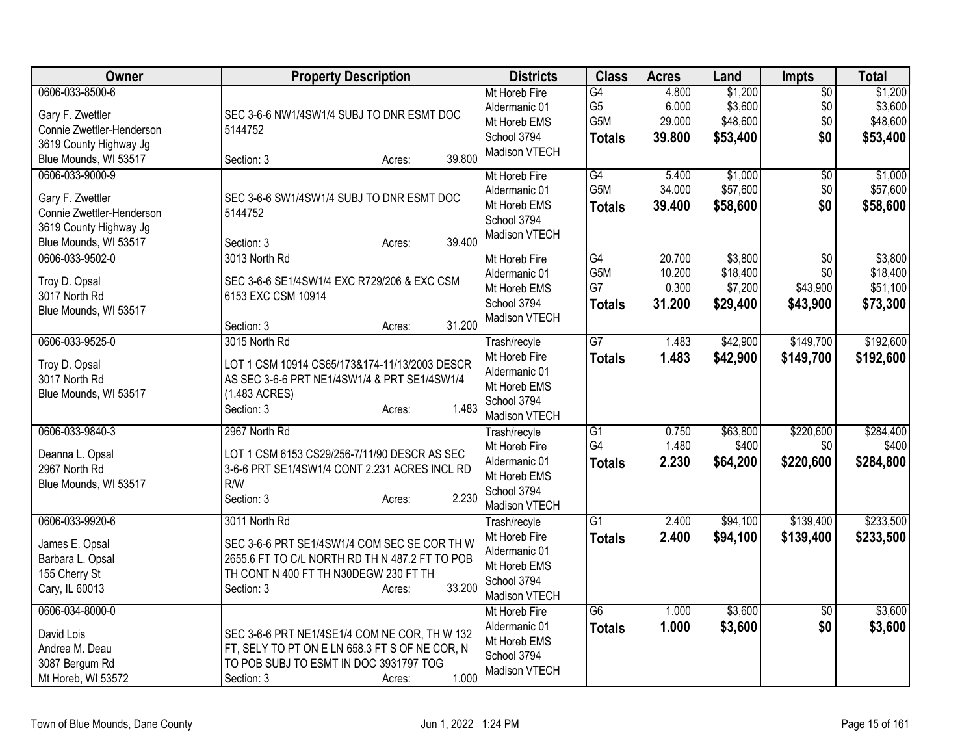| Owner                            | <b>Property Description</b>                    | <b>Districts</b>             | <b>Class</b>    | <b>Acres</b> | Land     | Impts           | <b>Total</b> |
|----------------------------------|------------------------------------------------|------------------------------|-----------------|--------------|----------|-----------------|--------------|
| 0606-033-8500-6                  |                                                | Mt Horeb Fire                | G4              | 4.800        | \$1,200  | $\overline{50}$ | \$1,200      |
| Gary F. Zwettler                 | SEC 3-6-6 NW1/4SW1/4 SUBJ TO DNR ESMT DOC      | Aldermanic 01                | G <sub>5</sub>  | 6.000        | \$3,600  | \$0             | \$3,600      |
| Connie Zwettler-Henderson        | 5144752                                        | Mt Horeb EMS                 | G5M             | 29.000       | \$48,600 | \$0             | \$48,600     |
| 3619 County Highway Jg           |                                                | School 3794                  | <b>Totals</b>   | 39.800       | \$53,400 | \$0             | \$53,400     |
| Blue Mounds, WI 53517            | 39.800<br>Section: 3<br>Acres:                 | Madison VTECH                |                 |              |          |                 |              |
| 0606-033-9000-9                  |                                                | Mt Horeb Fire                | $\overline{G4}$ | 5.400        | \$1,000  | \$0             | \$1,000      |
| Gary F. Zwettler                 | SEC 3-6-6 SW1/4SW1/4 SUBJ TO DNR ESMT DOC      | Aldermanic 01                | G5M             | 34.000       | \$57,600 | \$0             | \$57,600     |
| Connie Zwettler-Henderson        | 5144752                                        | Mt Horeb EMS                 | <b>Totals</b>   | 39.400       | \$58,600 | \$0             | \$58,600     |
| 3619 County Highway Jg           |                                                | School 3794                  |                 |              |          |                 |              |
| Blue Mounds, WI 53517            | 39.400<br>Section: 3<br>Acres:                 | Madison VTECH                |                 |              |          |                 |              |
| 0606-033-9502-0                  | 3013 North Rd                                  | Mt Horeb Fire                | G4              | 20.700       | \$3,800  | $\overline{50}$ | \$3,800      |
|                                  |                                                | Aldermanic 01                | G5M             | 10.200       | \$18,400 | \$0             | \$18,400     |
| Troy D. Opsal                    | SEC 3-6-6 SE1/4SW1/4 EXC R729/206 & EXC CSM    | Mt Horeb EMS                 | G7              | 0.300        | \$7,200  | \$43,900        | \$51,100     |
| 3017 North Rd                    | 6153 EXC CSM 10914                             | School 3794                  | <b>Totals</b>   | 31.200       | \$29,400 | \$43,900        | \$73,300     |
| Blue Mounds, WI 53517            | 31.200<br>Section: 3<br>Acres:                 | Madison VTECH                |                 |              |          |                 |              |
| 0606-033-9525-0                  | 3015 North Rd                                  | Trash/recyle                 | G7              | 1.483        | \$42,900 | \$149,700       | \$192,600    |
|                                  |                                                | Mt Horeb Fire                | <b>Totals</b>   | 1.483        | \$42,900 | \$149,700       | \$192,600    |
| Troy D. Opsal                    | LOT 1 CSM 10914 CS65/173&174-11/13/2003 DESCR  | Aldermanic 01                |                 |              |          |                 |              |
| 3017 North Rd                    | AS SEC 3-6-6 PRT NE1/4SW1/4 & PRT SE1/4SW1/4   | Mt Horeb EMS                 |                 |              |          |                 |              |
| Blue Mounds, WI 53517            | (1.483 ACRES)                                  | School 3794                  |                 |              |          |                 |              |
|                                  | 1.483<br>Section: 3<br>Acres:                  | Madison VTECH                |                 |              |          |                 |              |
| 0606-033-9840-3                  | 2967 North Rd                                  | Trash/recyle                 | $\overline{G1}$ | 0.750        | \$63,800 | \$220,600       | \$284,400    |
|                                  | LOT 1 CSM 6153 CS29/256-7/11/90 DESCR AS SEC   | Mt Horeb Fire                | G4              | 1.480        | \$400    | \$0             | \$400        |
| Deanna L. Opsal<br>2967 North Rd | 3-6-6 PRT SE1/4SW1/4 CONT 2.231 ACRES INCL RD  | Aldermanic 01                | <b>Totals</b>   | 2.230        | \$64,200 | \$220,600       | \$284,800    |
| Blue Mounds, WI 53517            | R/W                                            | Mt Horeb EMS                 |                 |              |          |                 |              |
|                                  | 2.230<br>Section: 3<br>Acres:                  | School 3794                  |                 |              |          |                 |              |
|                                  |                                                | Madison VTECH                |                 |              |          |                 |              |
| 0606-033-9920-6                  | 3011 North Rd                                  | Trash/recyle                 | $\overline{G1}$ | 2.400        | \$94,100 | \$139,400       | \$233,500    |
| James E. Opsal                   | SEC 3-6-6 PRT SE1/4SW1/4 COM SEC SE COR TH W   | Mt Horeb Fire                | <b>Totals</b>   | 2.400        | \$94,100 | \$139,400       | \$233,500    |
| Barbara L. Opsal                 | 2655.6 FT TO C/L NORTH RD TH N 487.2 FT TO POB | Aldermanic 01                |                 |              |          |                 |              |
| 155 Cherry St                    | TH CONT N 400 FT TH N30DEGW 230 FT TH          | Mt Horeb EMS                 |                 |              |          |                 |              |
| Cary, IL 60013                   | 33.200<br>Section: 3<br>Acres:                 | School 3794<br>Madison VTECH |                 |              |          |                 |              |
| 0606-034-8000-0                  |                                                | Mt Horeb Fire                | $\overline{G6}$ | 1.000        | \$3,600  | \$0             | \$3,600      |
|                                  |                                                | Aldermanic 01                |                 | 1.000        | \$3,600  | \$0             | \$3,600      |
| David Lois                       | SEC 3-6-6 PRT NE1/4SE1/4 COM NE COR, TH W 132  | Mt Horeb EMS                 | <b>Totals</b>   |              |          |                 |              |
| Andrea M. Deau                   | FT, SELY TO PT ON E LN 658.3 FT S OF NE COR, N | School 3794                  |                 |              |          |                 |              |
| 3087 Bergum Rd                   | TO POB SUBJ TO ESMT IN DOC 3931797 TOG         | Madison VTECH                |                 |              |          |                 |              |
| Mt Horeb, WI 53572               | 1.000<br>Section: 3<br>Acres:                  |                              |                 |              |          |                 |              |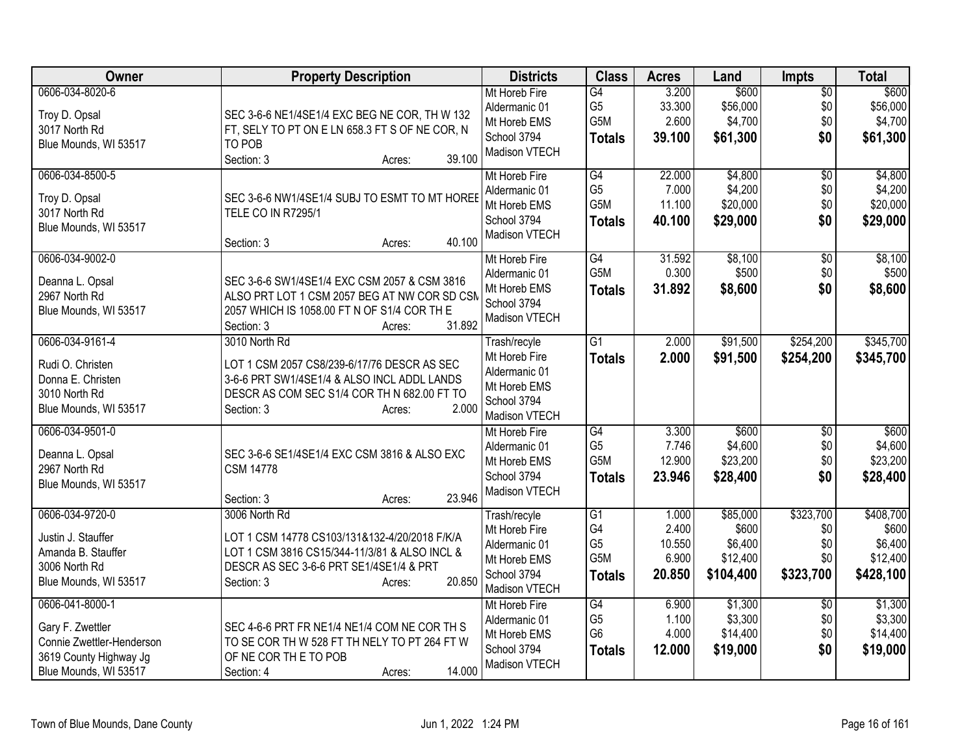| Owner                                                                                                               | <b>Property Description</b>                                                                                                                                                                  | <b>Districts</b>                                                                               | <b>Class</b>                                                         | <b>Acres</b>                                | Land                                                  | <b>Impts</b>                                | <b>Total</b>                                           |
|---------------------------------------------------------------------------------------------------------------------|----------------------------------------------------------------------------------------------------------------------------------------------------------------------------------------------|------------------------------------------------------------------------------------------------|----------------------------------------------------------------------|---------------------------------------------|-------------------------------------------------------|---------------------------------------------|--------------------------------------------------------|
| 0606-034-8020-6<br>Troy D. Opsal<br>3017 North Rd<br>Blue Mounds, WI 53517                                          | SEC 3-6-6 NE1/4SE1/4 EXC BEG NE COR, TH W 132<br>FT, SELY TO PT ON E LN 658.3 FT S OF NE COR, N<br>TO POB<br>39.100<br>Section: 3<br>Acres:                                                  | Mt Horeb Fire<br>Aldermanic 01<br>Mt Horeb EMS<br>School 3794<br>Madison VTECH                 | G4<br>G <sub>5</sub><br>G5M<br><b>Totals</b>                         | 3.200<br>33.300<br>2.600<br>39.100          | \$600<br>\$56,000<br>\$4,700<br>\$61,300              | $\overline{60}$<br>\$0<br>\$0<br>\$0        | \$600<br>\$56,000<br>\$4,700<br>\$61,300               |
| 0606-034-8500-5<br>Troy D. Opsal<br>3017 North Rd<br>Blue Mounds, WI 53517                                          | SEC 3-6-6 NW1/4SE1/4 SUBJ TO ESMT TO MT HOREE<br><b>TELE CO IN R7295/1</b><br>40.100<br>Section: 3<br>Acres:                                                                                 | Mt Horeb Fire<br>Aldermanic 01<br>Mt Horeb EMS<br>School 3794<br>Madison VTECH                 | G4<br>G <sub>5</sub><br>G5M<br><b>Totals</b>                         | 22.000<br>7.000<br>11.100<br>40.100         | \$4,800<br>\$4,200<br>\$20,000<br>\$29,000            | $\overline{60}$<br>\$0<br>\$0<br>\$0        | \$4,800<br>\$4,200<br>\$20,000<br>\$29,000             |
| 0606-034-9002-0<br>Deanna L. Opsal<br>2967 North Rd<br>Blue Mounds, WI 53517                                        | SEC 3-6-6 SW1/4SE1/4 EXC CSM 2057 & CSM 3816<br>ALSO PRT LOT 1 CSM 2057 BEG AT NW COR SD CSM<br>2057 WHICH IS 1058.00 FT N OF S1/4 COR TH E<br>31.892<br>Section: 3<br>Acres:                | Mt Horeb Fire<br>Aldermanic 01<br>Mt Horeb EMS<br>School 3794<br>Madison VTECH                 | G4<br>G5M<br><b>Totals</b>                                           | 31.592<br>0.300<br>31.892                   | \$8,100<br>\$500<br>\$8,600                           | \$0<br>\$0<br>\$0                           | \$8,100<br>\$500<br>\$8,600                            |
| 0606-034-9161-4<br>Rudi O. Christen<br>Donna E. Christen<br>3010 North Rd<br>Blue Mounds, WI 53517                  | 3010 North Rd<br>LOT 1 CSM 2057 CS8/239-6/17/76 DESCR AS SEC<br>3-6-6 PRT SW1/4SE1/4 & ALSO INCL ADDL LANDS<br>DESCR AS COM SEC S1/4 COR TH N 682.00 FT TO<br>2.000<br>Section: 3<br>Acres:  | Trash/recyle<br>Mt Horeb Fire<br>Aldermanic 01<br>Mt Horeb EMS<br>School 3794<br>Madison VTECH | G1<br><b>Totals</b>                                                  | 2.000<br>2.000                              | \$91,500<br>\$91,500                                  | \$254,200<br>\$254,200                      | \$345,700<br>\$345,700                                 |
| 0606-034-9501-0<br>Deanna L. Opsal<br>2967 North Rd<br>Blue Mounds, WI 53517                                        | SEC 3-6-6 SE1/4SE1/4 EXC CSM 3816 & ALSO EXC<br><b>CSM 14778</b><br>23.946<br>Section: 3<br>Acres:                                                                                           | Mt Horeb Fire<br>Aldermanic 01<br>Mt Horeb EMS<br>School 3794<br>Madison VTECH                 | G4<br>G <sub>5</sub><br>G5M<br><b>Totals</b>                         | 3.300<br>7.746<br>12.900<br>23.946          | \$600<br>\$4,600<br>\$23,200<br>\$28,400              | $\overline{30}$<br>\$0<br>\$0<br>\$0        | \$600<br>\$4,600<br>\$23,200<br>\$28,400               |
| 0606-034-9720-0<br>Justin J. Stauffer<br>Amanda B. Stauffer<br>3006 North Rd<br>Blue Mounds, WI 53517               | 3006 North Rd<br>LOT 1 CSM 14778 CS103/131&132-4/20/2018 F/K/A<br>LOT 1 CSM 3816 CS15/344-11/3/81 & ALSO INCL &<br>DESCR AS SEC 3-6-6 PRT SE1/4SE1/4 & PRT<br>20.850<br>Section: 3<br>Acres: | Trash/recyle<br>Mt Horeb Fire<br>Aldermanic 01<br>Mt Horeb EMS<br>School 3794<br>Madison VTECH | G1<br>G4<br>G <sub>5</sub><br>G5M<br><b>Totals</b>                   | 1.000<br>2.400<br>10.550<br>6.900<br>20.850 | \$85,000<br>\$600<br>\$6,400<br>\$12,400<br>\$104,400 | \$323,700<br>\$0<br>\$0<br>\$0<br>\$323,700 | \$408,700<br>\$600<br>\$6,400<br>\$12,400<br>\$428,100 |
| 0606-041-8000-1<br>Gary F. Zwettler<br>Connie Zwettler-Henderson<br>3619 County Highway Jg<br>Blue Mounds, WI 53517 | SEC 4-6-6 PRT FR NE1/4 NE1/4 COM NE COR TH S<br>TO SE COR TH W 528 FT TH NELY TO PT 264 FT W<br>OF NE COR THE TO POB<br>14.000<br>Section: 4<br>Acres:                                       | Mt Horeb Fire<br>Aldermanic 01<br>Mt Horeb EMS<br>School 3794<br>Madison VTECH                 | $\overline{G4}$<br>G <sub>5</sub><br>G <sub>6</sub><br><b>Totals</b> | 6.900<br>1.100<br>4.000<br>12.000           | \$1,300<br>\$3,300<br>\$14,400<br>\$19,000            | $\overline{30}$<br>\$0<br>\$0<br>\$0        | \$1,300<br>\$3,300<br>\$14,400<br>\$19,000             |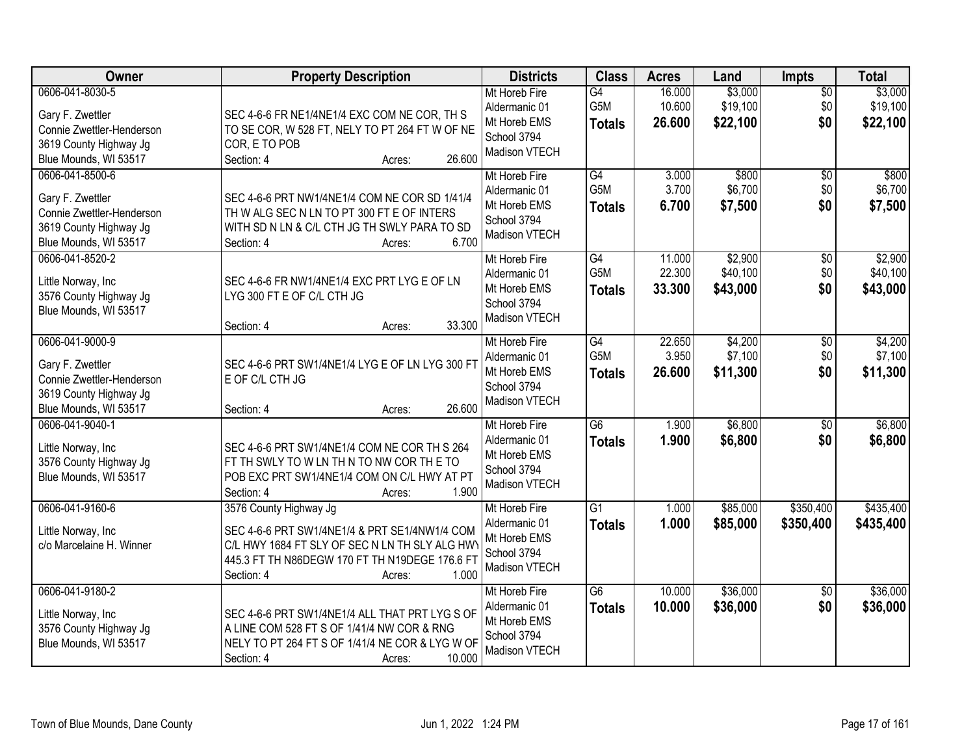| Owner                                                                                                               | <b>Property Description</b>                                                                                                                                                                                  | <b>Districts</b>                                                               | <b>Class</b>                            | <b>Acres</b>               | Land                            | Impts                         | <b>Total</b>                    |
|---------------------------------------------------------------------------------------------------------------------|--------------------------------------------------------------------------------------------------------------------------------------------------------------------------------------------------------------|--------------------------------------------------------------------------------|-----------------------------------------|----------------------------|---------------------------------|-------------------------------|---------------------------------|
| 0606-041-8030-5<br>Gary F. Zwettler<br>Connie Zwettler-Henderson<br>3619 County Highway Jg<br>Blue Mounds, WI 53517 | SEC 4-6-6 FR NE1/4NE1/4 EXC COM NE COR, TH S<br>TO SE COR, W 528 FT, NELY TO PT 264 FT W OF NE<br>COR, E TO POB<br>26.600<br>Section: 4<br>Acres:                                                            | Mt Horeb Fire<br>Aldermanic 01<br>Mt Horeb EMS<br>School 3794<br>Madison VTECH | G4<br>G5M<br><b>Totals</b>              | 16.000<br>10.600<br>26.600 | \$3,000<br>\$19,100<br>\$22,100 | $\overline{50}$<br>\$0<br>\$0 | \$3,000<br>\$19,100<br>\$22,100 |
| 0606-041-8500-6<br>Gary F. Zwettler<br>Connie Zwettler-Henderson<br>3619 County Highway Jg<br>Blue Mounds, WI 53517 | SEC 4-6-6 PRT NW1/4NE1/4 COM NE COR SD 1/41/4<br>TH W ALG SEC N LN TO PT 300 FT E OF INTERS<br>WITH SD N LN & C/L CTH JG TH SWLY PARA TO SD<br>6.700<br>Section: 4<br>Acres:                                 | Mt Horeb Fire<br>Aldermanic 01<br>Mt Horeb EMS<br>School 3794<br>Madison VTECH | $\overline{G4}$<br>G5M<br><b>Totals</b> | 3.000<br>3.700<br>6.700    | \$800<br>\$6,700<br>\$7,500     | \$0<br>\$0<br>\$0             | \$800<br>\$6,700<br>\$7,500     |
| 0606-041-8520-2<br>Little Norway, Inc<br>3576 County Highway Jg<br>Blue Mounds, WI 53517                            | SEC 4-6-6 FR NW1/4NE1/4 EXC PRT LYG E OF LN<br>LYG 300 FT E OF C/L CTH JG<br>33.300<br>Section: 4<br>Acres:                                                                                                  | Mt Horeb Fire<br>Aldermanic 01<br>Mt Horeb EMS<br>School 3794<br>Madison VTECH | G4<br>G5M<br><b>Totals</b>              | 11.000<br>22.300<br>33.300 | \$2,900<br>\$40,100<br>\$43,000 | \$0<br>\$0<br>\$0             | \$2,900<br>\$40,100<br>\$43,000 |
| 0606-041-9000-9<br>Gary F. Zwettler<br>Connie Zwettler-Henderson<br>3619 County Highway Jg<br>Blue Mounds, WI 53517 | SEC 4-6-6 PRT SW1/4NE1/4 LYG E OF LN LYG 300 FT<br>E OF C/L CTH JG<br>26.600<br>Section: 4<br>Acres:                                                                                                         | Mt Horeb Fire<br>Aldermanic 01<br>Mt Horeb EMS<br>School 3794<br>Madison VTECH | G4<br>G5M<br><b>Totals</b>              | 22.650<br>3.950<br>26.600  | \$4,200<br>\$7,100<br>\$11,300  | $\sqrt[6]{3}$<br>\$0<br>\$0   | \$4,200<br>\$7,100<br>\$11,300  |
| 0606-041-9040-1<br>Little Norway, Inc<br>3576 County Highway Jg<br>Blue Mounds, WI 53517                            | SEC 4-6-6 PRT SW1/4NE1/4 COM NE COR TH S 264<br>FT TH SWLY TO W LN TH N TO NW COR THE TO<br>POB EXC PRT SW1/4NE1/4 COM ON C/L HWY AT PT<br>1.900<br>Section: 4<br>Acres:                                     | Mt Horeb Fire<br>Aldermanic 01<br>Mt Horeb EMS<br>School 3794<br>Madison VTECH | $\overline{G6}$<br><b>Totals</b>        | 1.900<br>1.900             | \$6,800<br>\$6,800              | $\overline{50}$<br>\$0        | \$6,800<br>\$6,800              |
| 0606-041-9160-6<br>Little Norway, Inc<br>c/o Marcelaine H. Winner                                                   | 3576 County Highway Jg<br>SEC 4-6-6 PRT SW1/4NE1/4 & PRT SE1/4NW1/4 COM<br>C/L HWY 1684 FT SLY OF SEC N LN TH SLY ALG HWY<br>445.3 FT TH N86DEGW 170 FT TH N19DEGE 176.6 FT<br>1.000<br>Section: 4<br>Acres: | Mt Horeb Fire<br>Aldermanic 01<br>Mt Horeb EMS<br>School 3794<br>Madison VTECH | $\overline{G1}$<br><b>Totals</b>        | 1.000<br>1.000             | \$85,000<br>\$85,000            | \$350,400<br>\$350,400        | \$435,400<br>\$435,400          |
| 0606-041-9180-2<br>Little Norway, Inc<br>3576 County Highway Jg<br>Blue Mounds, WI 53517                            | SEC 4-6-6 PRT SW1/4NE1/4 ALL THAT PRT LYG S OF<br>A LINE COM 528 FT S OF 1/41/4 NW COR & RNG<br>NELY TO PT 264 FT S OF 1/41/4 NE COR & LYG W OF<br>10.000<br>Section: 4<br>Acres:                            | Mt Horeb Fire<br>Aldermanic 01<br>Mt Horeb EMS<br>School 3794<br>Madison VTECH | $\overline{G6}$<br><b>Totals</b>        | 10.000<br>10.000           | \$36,000<br>\$36,000            | $\overline{50}$<br>\$0        | \$36,000<br>\$36,000            |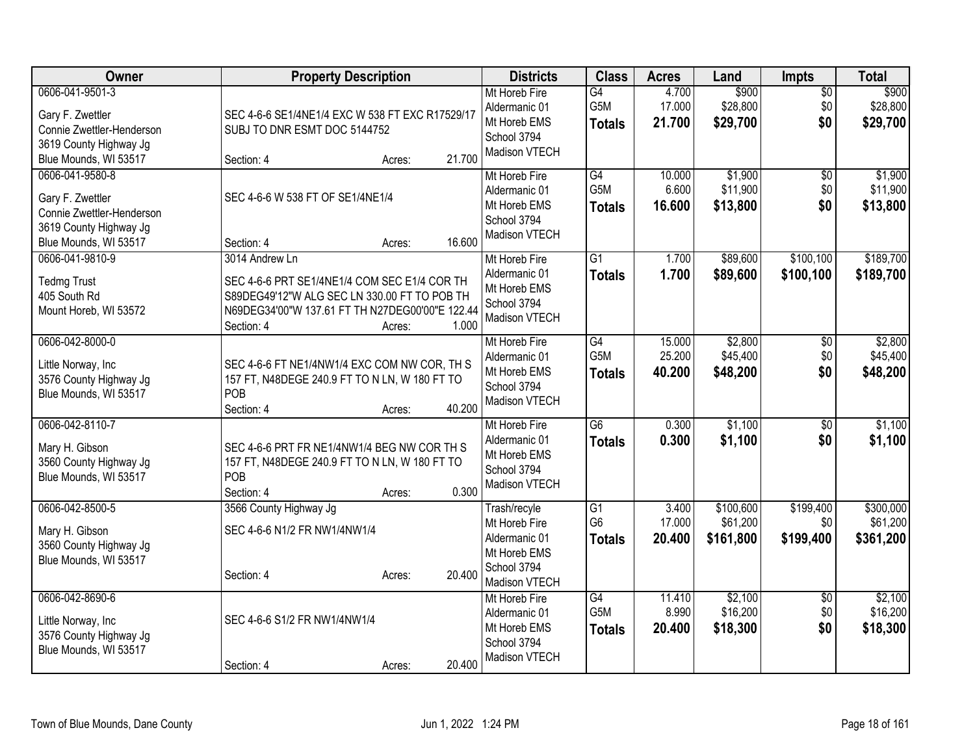| Owner                                                                                                                                        | <b>Property Description</b>                                                                                                                                                                        | <b>Districts</b>                                                                               | <b>Class</b>                                       | <b>Acres</b>               | Land                               | <b>Impts</b>                  | <b>Total</b>                       |
|----------------------------------------------------------------------------------------------------------------------------------------------|----------------------------------------------------------------------------------------------------------------------------------------------------------------------------------------------------|------------------------------------------------------------------------------------------------|----------------------------------------------------|----------------------------|------------------------------------|-------------------------------|------------------------------------|
| 0606-041-9501-3<br>Gary F. Zwettler<br>Connie Zwettler-Henderson<br>3619 County Highway Jg                                                   | SEC 4-6-6 SE1/4NE1/4 EXC W 538 FT EXC R17529/17<br>SUBJ TO DNR ESMT DOC 5144752                                                                                                                    | Mt Horeb Fire<br>Aldermanic 01<br>Mt Horeb EMS<br>School 3794<br>Madison VTECH                 | G4<br>G5M<br><b>Totals</b>                         | 4.700<br>17.000<br>21.700  | \$900<br>\$28,800<br>\$29,700      | $\overline{50}$<br>\$0<br>\$0 | \$900<br>\$28,800<br>\$29,700      |
| Blue Mounds, WI 53517<br>0606-041-9580-8<br>Gary F. Zwettler<br>Connie Zwettler-Henderson<br>3619 County Highway Jg<br>Blue Mounds, WI 53517 | 21.700<br>Section: 4<br>Acres:<br>SEC 4-6-6 W 538 FT OF SE1/4NE1/4<br>16.600<br>Section: 4<br>Acres:                                                                                               | Mt Horeb Fire<br>Aldermanic 01<br>Mt Horeb EMS<br>School 3794<br>Madison VTECH                 | G4<br>G <sub>5</sub> M<br><b>Totals</b>            | 10.000<br>6.600<br>16.600  | \$1,900<br>\$11,900<br>\$13,800    | $\overline{50}$<br>\$0<br>\$0 | \$1,900<br>\$11,900<br>\$13,800    |
| 0606-041-9810-9<br><b>Tedmg Trust</b><br>405 South Rd<br>Mount Horeb, WI 53572                                                               | 3014 Andrew Ln<br>SEC 4-6-6 PRT SE1/4NE1/4 COM SEC E1/4 COR TH<br>S89DEG49'12"W ALG SEC LN 330.00 FT TO POB TH<br>N69DEG34'00"W 137.61 FT TH N27DEG00'00"E 122.44<br>1.000<br>Section: 4<br>Acres: | Mt Horeb Fire<br>Aldermanic 01<br>Mt Horeb EMS<br>School 3794<br>Madison VTECH                 | $\overline{G1}$<br><b>Totals</b>                   | 1.700<br>1.700             | \$89,600<br>\$89,600               | \$100,100<br>\$100,100        | \$189,700<br>\$189,700             |
| 0606-042-8000-0<br>Little Norway, Inc<br>3576 County Highway Jg<br>Blue Mounds, WI 53517                                                     | SEC 4-6-6 FT NE1/4NW1/4 EXC COM NW COR, TH S<br>157 FT, N48DEGE 240.9 FT TO N LN, W 180 FT TO<br>POB<br>40.200<br>Section: 4<br>Acres:                                                             | Mt Horeb Fire<br>Aldermanic 01<br>Mt Horeb EMS<br>School 3794<br>Madison VTECH                 | $\overline{G4}$<br>G5M<br><b>Totals</b>            | 15.000<br>25.200<br>40.200 | \$2,800<br>\$45,400<br>\$48,200    | \$0<br>\$0<br>\$0             | \$2,800<br>\$45,400<br>\$48,200    |
| 0606-042-8110-7<br>Mary H. Gibson<br>3560 County Highway Jg<br>Blue Mounds, WI 53517                                                         | SEC 4-6-6 PRT FR NE1/4NW1/4 BEG NW COR TH S<br>157 FT, N48DEGE 240.9 FT TO N LN, W 180 FT TO<br>POB<br>0.300<br>Section: 4<br>Acres:                                                               | Mt Horeb Fire<br>Aldermanic 01<br>Mt Horeb EMS<br>School 3794<br>Madison VTECH                 | $\overline{G6}$<br><b>Totals</b>                   | 0.300<br>0.300             | \$1,100<br>\$1,100                 | \$0<br>\$0                    | \$1,100<br>\$1,100                 |
| 0606-042-8500-5<br>Mary H. Gibson<br>3560 County Highway Jg<br>Blue Mounds, WI 53517                                                         | 3566 County Highway Jg<br>SEC 4-6-6 N1/2 FR NW1/4NW1/4<br>20.400<br>Section: 4<br>Acres:                                                                                                           | Trash/recyle<br>Mt Horeb Fire<br>Aldermanic 01<br>Mt Horeb EMS<br>School 3794<br>Madison VTECH | $\overline{G1}$<br>G <sub>6</sub><br><b>Totals</b> | 3.400<br>17.000<br>20.400  | \$100,600<br>\$61,200<br>\$161,800 | \$199,400<br>\$0<br>\$199,400 | \$300,000<br>\$61,200<br>\$361,200 |
| 0606-042-8690-6<br>Little Norway, Inc<br>3576 County Highway Jg<br>Blue Mounds, WI 53517                                                     | SEC 4-6-6 S1/2 FR NW1/4NW1/4<br>20.400<br>Section: 4<br>Acres:                                                                                                                                     | Mt Horeb Fire<br>Aldermanic 01<br>Mt Horeb EMS<br>School 3794<br>Madison VTECH                 | $\overline{G4}$<br>G5M<br><b>Totals</b>            | 11.410<br>8.990<br>20.400  | \$2,100<br>\$16,200<br>\$18,300    | \$0<br>\$0<br>\$0             | \$2,100<br>\$16,200<br>\$18,300    |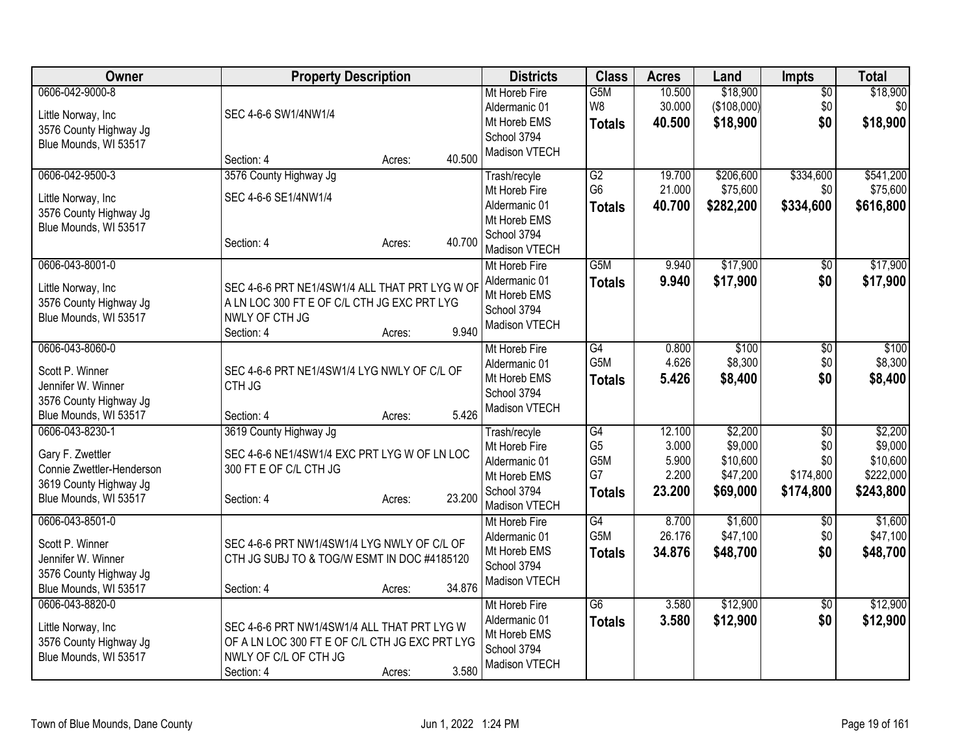| Owner                                                                                                       | <b>Property Description</b>                                                                                                                             | <b>Districts</b>                                                               | <b>Class</b>                                 | <b>Acres</b>                      | Land                                        | <b>Impts</b>                         | <b>Total</b>                                  |
|-------------------------------------------------------------------------------------------------------------|---------------------------------------------------------------------------------------------------------------------------------------------------------|--------------------------------------------------------------------------------|----------------------------------------------|-----------------------------------|---------------------------------------------|--------------------------------------|-----------------------------------------------|
| 0606-042-9000-8<br>Little Norway, Inc<br>3576 County Highway Jg<br>Blue Mounds, WI 53517                    | SEC 4-6-6 SW1/4NW1/4                                                                                                                                    | Mt Horeb Fire<br>Aldermanic 01<br>Mt Horeb EMS<br>School 3794<br>Madison VTECH | G5M<br>W8<br><b>Totals</b>                   | 10.500<br>30.000<br>40.500        | \$18,900<br>(\$108,000)<br>\$18,900         | $\overline{50}$<br>\$0<br>\$0        | \$18,900<br>\$0 <sub>1</sub><br>\$18,900      |
| 0606-042-9500-3<br>Little Norway, Inc                                                                       | 40.500<br>Section: 4<br>Acres:<br>3576 County Highway Jg<br>SEC 4-6-6 SE1/4NW1/4                                                                        | Trash/recyle<br>Mt Horeb Fire                                                  | G2<br>G <sub>6</sub>                         | 19.700<br>21.000                  | \$206,600<br>\$75,600                       | \$334,600<br>\$0                     | \$541,200<br>\$75,600                         |
| 3576 County Highway Jg<br>Blue Mounds, WI 53517                                                             | 40.700<br>Section: 4<br>Acres:                                                                                                                          | Aldermanic 01<br>Mt Horeb EMS<br>School 3794<br>Madison VTECH                  | <b>Totals</b>                                | 40.700                            | \$282,200                                   | \$334,600                            | \$616,800                                     |
| 0606-043-8001-0<br>Little Norway, Inc<br>3576 County Highway Jg<br>Blue Mounds, WI 53517                    | SEC 4-6-6 PRT NE1/4SW1/4 ALL THAT PRT LYG W OF<br>A LN LOC 300 FT E OF C/L CTH JG EXC PRT LYG<br>NWLY OF CTH JG<br>9.940<br>Section: 4<br>Acres:        | Mt Horeb Fire<br>Aldermanic 01<br>Mt Horeb EMS<br>School 3794<br>Madison VTECH | G <sub>5</sub> M<br><b>Totals</b>            | 9.940<br>9.940                    | \$17,900<br>\$17,900                        | $\overline{50}$<br>\$0               | \$17,900<br>\$17,900                          |
| 0606-043-8060-0<br>Scott P. Winner<br>Jennifer W. Winner<br>3576 County Highway Jg                          | SEC 4-6-6 PRT NE1/4SW1/4 LYG NWLY OF C/L OF<br>CTH JG                                                                                                   | Mt Horeb Fire<br>Aldermanic 01<br>Mt Horeb EMS<br>School 3794<br>Madison VTECH | $\overline{G4}$<br>G5M<br><b>Totals</b>      | 0.800<br>4.626<br>5.426           | \$100<br>\$8,300<br>\$8,400                 | $\overline{60}$<br>\$0<br>\$0        | \$100<br>\$8,300<br>\$8,400                   |
| Blue Mounds, WI 53517<br>0606-043-8230-1                                                                    | 5.426<br>Section: 4<br>Acres:<br>3619 County Highway Jg                                                                                                 | Trash/recyle                                                                   | G4                                           | 12.100                            | \$2,200                                     | $\overline{30}$                      | \$2,200                                       |
| Gary F. Zwettler<br>Connie Zwettler-Henderson<br>3619 County Highway Jg<br>Blue Mounds, WI 53517            | SEC 4-6-6 NE1/4SW1/4 EXC PRT LYG W OF LN LOC<br>300 FT E OF C/L CTH JG<br>23.200<br>Section: 4<br>Acres:                                                | Mt Horeb Fire<br>Aldermanic 01<br>Mt Horeb EMS<br>School 3794<br>Madison VTECH | G <sub>5</sub><br>G5M<br>G7<br><b>Totals</b> | 3.000<br>5.900<br>2.200<br>23.200 | \$9,000<br>\$10,600<br>\$47,200<br>\$69,000 | \$0<br>\$0<br>\$174,800<br>\$174,800 | \$9,000<br>\$10,600<br>\$222,000<br>\$243,800 |
| 0606-043-8501-0<br>Scott P. Winner<br>Jennifer W. Winner<br>3576 County Highway Jg<br>Blue Mounds, WI 53517 | SEC 4-6-6 PRT NW1/4SW1/4 LYG NWLY OF C/L OF<br>CTH JG SUBJ TO & TOG/W ESMT IN DOC #4185120<br>34.876<br>Section: 4<br>Acres:                            | Mt Horeb Fire<br>Aldermanic 01<br>Mt Horeb EMS<br>School 3794<br>Madison VTECH | G4<br>G5M<br><b>Totals</b>                   | 8.700<br>26.176<br>34.876         | \$1,600<br>\$47,100<br>\$48,700             | \$0<br>\$0<br>\$0                    | \$1,600<br>\$47,100<br>\$48,700               |
| 0606-043-8820-0<br>Little Norway, Inc<br>3576 County Highway Jg<br>Blue Mounds, WI 53517                    | SEC 4-6-6 PRT NW1/4SW1/4 ALL THAT PRT LYG W<br>OF A LN LOC 300 FT E OF C/L CTH JG EXC PRT LYG<br>NWLY OF C/L OF CTH JG<br>3.580<br>Section: 4<br>Acres: | Mt Horeb Fire<br>Aldermanic 01<br>Mt Horeb EMS<br>School 3794<br>Madison VTECH | $\overline{G6}$<br><b>Totals</b>             | 3.580<br>3.580                    | \$12,900<br>\$12,900                        | $\overline{50}$<br>\$0               | \$12,900<br>\$12,900                          |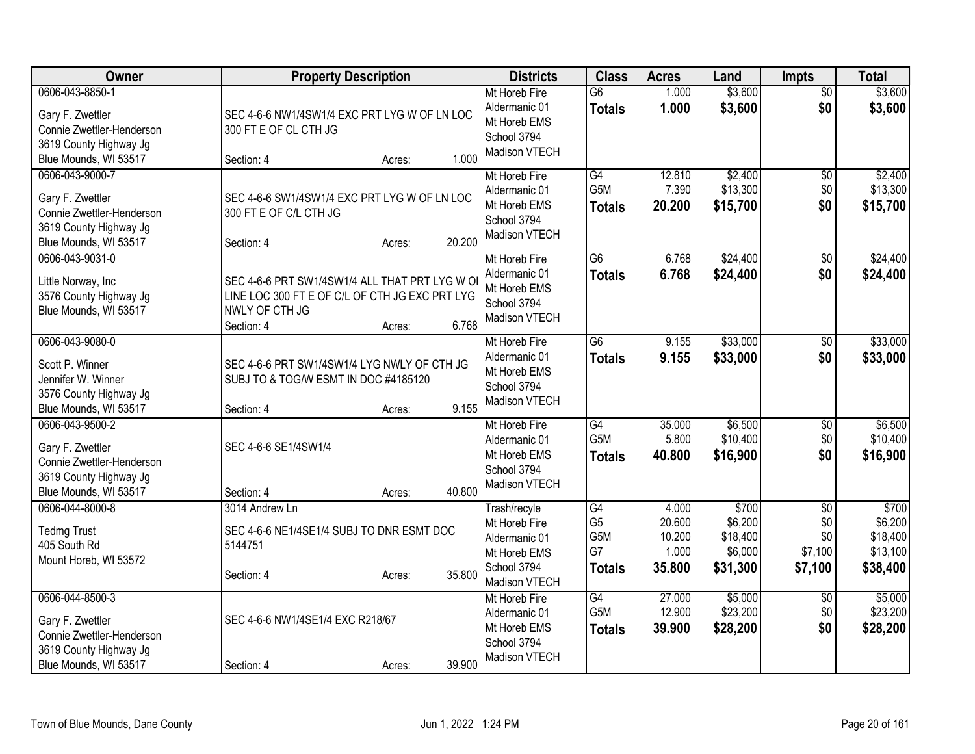| Owner                                                                                                               | <b>Property Description</b>                                                                                                                         | <b>Districts</b>                                                                               | <b>Class</b>                                                    | <b>Acres</b>                                 | Land                                                | <b>Impts</b>                                        | <b>Total</b>                                         |
|---------------------------------------------------------------------------------------------------------------------|-----------------------------------------------------------------------------------------------------------------------------------------------------|------------------------------------------------------------------------------------------------|-----------------------------------------------------------------|----------------------------------------------|-----------------------------------------------------|-----------------------------------------------------|------------------------------------------------------|
| 0606-043-8850-1<br>Gary F. Zwettler<br>Connie Zwettler-Henderson<br>3619 County Highway Jg<br>Blue Mounds, WI 53517 | SEC 4-6-6 NW1/4SW1/4 EXC PRT LYG W OF LN LOC<br>300 FT E OF CL CTH JG<br>1.000<br>Section: 4<br>Acres:                                              | Mt Horeb Fire<br>Aldermanic 01<br>Mt Horeb EMS<br>School 3794<br>Madison VTECH                 | $\overline{G6}$<br><b>Totals</b>                                | 1.000<br>1.000                               | \$3,600<br>\$3,600                                  | $\overline{50}$<br>\$0                              | \$3,600<br>\$3,600                                   |
| 0606-043-9000-7<br>Gary F. Zwettler<br>Connie Zwettler-Henderson<br>3619 County Highway Jg<br>Blue Mounds, WI 53517 | SEC 4-6-6 SW1/4SW1/4 EXC PRT LYG W OF LN LOC<br>300 FT E OF C/L CTH JG<br>20.200<br>Section: 4<br>Acres:                                            | Mt Horeb Fire<br>Aldermanic 01<br>Mt Horeb EMS<br>School 3794<br>Madison VTECH                 | $\overline{G4}$<br>G <sub>5</sub> M<br><b>Totals</b>            | 12.810<br>7.390<br>20.200                    | \$2,400<br>\$13,300<br>\$15,700                     | \$0<br>\$0<br>\$0                                   | \$2,400<br>\$13,300<br>\$15,700                      |
| 0606-043-9031-0<br>Little Norway, Inc<br>3576 County Highway Jg<br>Blue Mounds, WI 53517                            | SEC 4-6-6 PRT SW1/4SW1/4 ALL THAT PRT LYG W OI<br>LINE LOC 300 FT E OF C/L OF CTH JG EXC PRT LYG<br>NWLY OF CTH JG<br>6.768<br>Section: 4<br>Acres: | Mt Horeb Fire<br>Aldermanic 01<br>Mt Horeb EMS<br>School 3794<br>Madison VTECH                 | $\overline{G6}$<br><b>Totals</b>                                | 6.768<br>6.768                               | \$24,400<br>\$24,400                                | $\overline{50}$<br>\$0                              | \$24,400<br>\$24,400                                 |
| 0606-043-9080-0<br>Scott P. Winner<br>Jennifer W. Winner<br>3576 County Highway Jg<br>Blue Mounds, WI 53517         | SEC 4-6-6 PRT SW1/4SW1/4 LYG NWLY OF CTH JG<br>SUBJ TO & TOG/W ESMT IN DOC #4185120<br>9.155<br>Section: 4<br>Acres:                                | Mt Horeb Fire<br>Aldermanic 01<br>Mt Horeb EMS<br>School 3794<br>Madison VTECH                 | G <sub>6</sub><br><b>Totals</b>                                 | 9.155<br>9.155                               | \$33,000<br>\$33,000                                | \$0<br>\$0                                          | \$33,000<br>\$33,000                                 |
| 0606-043-9500-2<br>Gary F. Zwettler<br>Connie Zwettler-Henderson<br>3619 County Highway Jg<br>Blue Mounds, WI 53517 | SEC 4-6-6 SE1/4SW1/4<br>40.800<br>Section: 4<br>Acres:                                                                                              | Mt Horeb Fire<br>Aldermanic 01<br>Mt Horeb EMS<br>School 3794<br>Madison VTECH                 | $\overline{G4}$<br>G <sub>5</sub> M<br><b>Totals</b>            | 35.000<br>5.800<br>40,800                    | \$6,500<br>\$10,400<br>\$16,900                     | \$0<br>\$0<br>\$0                                   | \$6,500<br>\$10,400<br>\$16,900                      |
| 0606-044-8000-8<br><b>Tedmg Trust</b><br>405 South Rd<br>Mount Horeb, WI 53572                                      | 3014 Andrew Ln<br>SEC 4-6-6 NE1/4SE1/4 SUBJ TO DNR ESMT DOC<br>5144751<br>35.800<br>Section: 4<br>Acres:                                            | Trash/recyle<br>Mt Horeb Fire<br>Aldermanic 01<br>Mt Horeb EMS<br>School 3794<br>Madison VTECH | G4<br>G <sub>5</sub><br>G <sub>5</sub> M<br>G7<br><b>Totals</b> | 4.000<br>20.600<br>10.200<br>1.000<br>35.800 | \$700<br>\$6,200<br>\$18,400<br>\$6,000<br>\$31,300 | $\overline{50}$<br>\$0<br>\$0<br>\$7,100<br>\$7,100 | \$700<br>\$6,200<br>\$18,400<br>\$13,100<br>\$38,400 |
| 0606-044-8500-3<br>Gary F. Zwettler<br>Connie Zwettler-Henderson<br>3619 County Highway Jg<br>Blue Mounds, WI 53517 | SEC 4-6-6 NW1/4SE1/4 EXC R218/67<br>39.900<br>Section: 4<br>Acres:                                                                                  | Mt Horeb Fire<br>Aldermanic 01<br>Mt Horeb EMS<br>School 3794<br>Madison VTECH                 | $\overline{G4}$<br>G <sub>5</sub> M<br><b>Totals</b>            | 27.000<br>12.900<br>39.900                   | \$5,000<br>\$23,200<br>\$28,200                     | \$0<br>\$0<br>\$0                                   | \$5,000<br>\$23,200<br>\$28,200                      |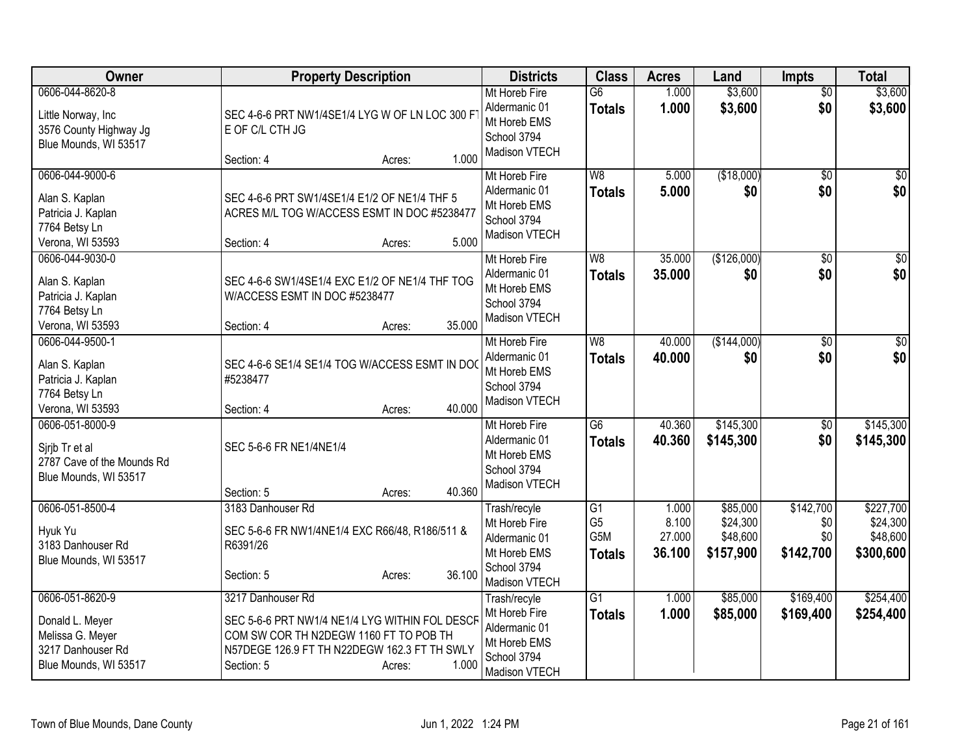| Owner                                                                                                | <b>Property Description</b>                                                                                                                                                                    | <b>Districts</b>                                                                               | <b>Class</b>                                              | <b>Acres</b>                       | Land                                          | <b>Impts</b>                         | <b>Total</b>                                   |
|------------------------------------------------------------------------------------------------------|------------------------------------------------------------------------------------------------------------------------------------------------------------------------------------------------|------------------------------------------------------------------------------------------------|-----------------------------------------------------------|------------------------------------|-----------------------------------------------|--------------------------------------|------------------------------------------------|
| 0606-044-8620-8<br>Little Norway, Inc<br>3576 County Highway Jg<br>Blue Mounds, WI 53517             | SEC 4-6-6 PRT NW1/4SE1/4 LYG W OF LN LOC 300 F<br>E OF C/L CTH JG<br>1.000<br>Section: 4<br>Acres:                                                                                             | Mt Horeb Fire<br>Aldermanic 01<br>Mt Horeb EMS<br>School 3794<br>Madison VTECH                 | $\overline{G6}$<br><b>Totals</b>                          | 1.000<br>1.000                     | \$3,600<br>\$3,600                            | $\overline{50}$<br>\$0               | \$3,600<br>\$3,600                             |
| 0606-044-9000-6<br>Alan S. Kaplan<br>Patricia J. Kaplan<br>7764 Betsy Ln<br>Verona, WI 53593         | SEC 4-6-6 PRT SW1/4SE1/4 E1/2 OF NE1/4 THF 5<br>ACRES M/L TOG W/ACCESS ESMT IN DOC #5238477<br>5.000<br>Section: 4<br>Acres:                                                                   | Mt Horeb Fire<br>Aldermanic 01<br>Mt Horeb EMS<br>School 3794<br>Madison VTECH                 | W8<br><b>Totals</b>                                       | 5.000<br>5.000                     | (\$18,000)<br>\$0                             | \$0<br>\$0                           | $\sqrt{50}$<br>\$0                             |
| 0606-044-9030-0<br>Alan S. Kaplan<br>Patricia J. Kaplan<br>7764 Betsy Ln<br>Verona, WI 53593         | SEC 4-6-6 SW1/4SE1/4 EXC E1/2 OF NE1/4 THF TOG<br>W/ACCESS ESMT IN DOC #5238477<br>35.000<br>Section: 4<br>Acres:                                                                              | Mt Horeb Fire<br>Aldermanic 01<br>Mt Horeb EMS<br>School 3794<br>Madison VTECH                 | W8<br><b>Totals</b>                                       | 35.000<br>35.000                   | (\$126,000)<br>\$0                            | $\overline{50}$<br>\$0               | $\sqrt{50}$<br>\$0                             |
| 0606-044-9500-1<br>Alan S. Kaplan<br>Patricia J. Kaplan<br>7764 Betsy Ln<br>Verona, WI 53593         | SEC 4-6-6 SE1/4 SE1/4 TOG W/ACCESS ESMT IN DOC<br>#5238477<br>40.000<br>Section: 4<br>Acres:                                                                                                   | Mt Horeb Fire<br>Aldermanic 01<br>Mt Horeb EMS<br>School 3794<br>Madison VTECH                 | $\overline{W8}$<br><b>Totals</b>                          | 40.000<br>40.000                   | (\$144,000)<br>\$0                            | $\overline{50}$<br>\$0               | $\sqrt{50}$<br>\$0                             |
| 0606-051-8000-9<br>Sirib Tr et al<br>2787 Cave of the Mounds Rd<br>Blue Mounds, WI 53517             | SEC 5-6-6 FR NE1/4NE1/4<br>40.360<br>Section: 5<br>Acres:                                                                                                                                      | Mt Horeb Fire<br>Aldermanic 01<br>Mt Horeb EMS<br>School 3794<br>Madison VTECH                 | $\overline{G6}$<br><b>Totals</b>                          | 40.360<br>40.360                   | \$145,300<br>\$145,300                        | $\overline{50}$<br>\$0               | \$145,300<br>\$145,300                         |
| 0606-051-8500-4<br>Hyuk Yu<br>3183 Danhouser Rd<br>Blue Mounds, WI 53517                             | 3183 Danhouser Rd<br>SEC 5-6-6 FR NW1/4NE1/4 EXC R66/48, R186/511 &<br>R6391/26<br>36.100<br>Section: 5<br>Acres:                                                                              | Trash/recyle<br>Mt Horeb Fire<br>Aldermanic 01<br>Mt Horeb EMS<br>School 3794<br>Madison VTECH | $\overline{G1}$<br>G <sub>5</sub><br>G5M<br><b>Totals</b> | 1.000<br>8.100<br>27.000<br>36.100 | \$85,000<br>\$24,300<br>\$48,600<br>\$157,900 | \$142,700<br>\$0<br>\$0<br>\$142,700 | \$227,700<br>\$24,300<br>\$48,600<br>\$300,600 |
| 0606-051-8620-9<br>Donald L. Meyer<br>Melissa G. Meyer<br>3217 Danhouser Rd<br>Blue Mounds, WI 53517 | 3217 Danhouser Rd<br>SEC 5-6-6 PRT NW1/4 NE1/4 LYG WITHIN FOL DESCF<br>COM SW COR TH N2DEGW 1160 FT TO POB TH<br>N57DEGE 126.9 FT TH N22DEGW 162.3 FT TH SWLY<br>1.000<br>Section: 5<br>Acres: | Trash/recyle<br>Mt Horeb Fire<br>Aldermanic 01<br>Mt Horeb EMS<br>School 3794<br>Madison VTECH | G1<br><b>Totals</b>                                       | 1.000<br>1.000                     | \$85,000<br>\$85,000                          | \$169,400<br>\$169,400               | \$254,400<br>\$254,400                         |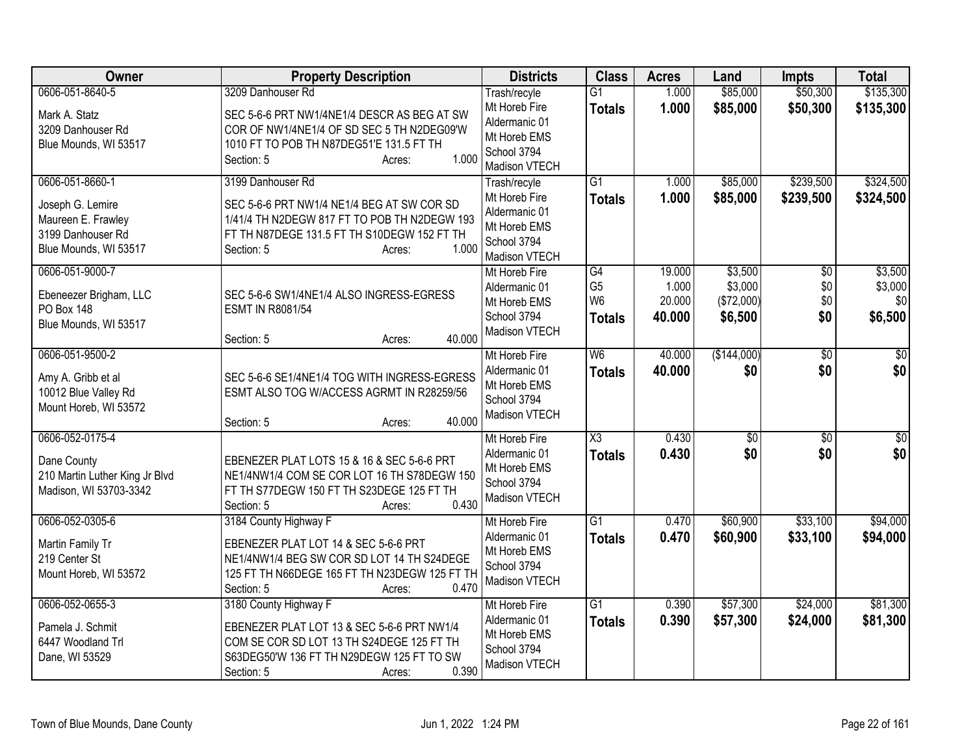| Owner                                                                                                   | <b>Property Description</b>                                                                                                                                                                     | <b>Districts</b>                                                                                      | <b>Class</b>                                            | <b>Acres</b>                        | Land                                        | <b>Impts</b>                         | <b>Total</b>                         |
|---------------------------------------------------------------------------------------------------------|-------------------------------------------------------------------------------------------------------------------------------------------------------------------------------------------------|-------------------------------------------------------------------------------------------------------|---------------------------------------------------------|-------------------------------------|---------------------------------------------|--------------------------------------|--------------------------------------|
| 0606-051-8640-5<br>Mark A. Statz<br>3209 Danhouser Rd<br>Blue Mounds, WI 53517                          | 3209 Danhouser Rd<br>SEC 5-6-6 PRT NW1/4NE1/4 DESCR AS BEG AT SW<br>COR OF NW1/4NE1/4 OF SD SEC 5 TH N2DEG09'W<br>1010 FT TO POB TH N87DEG51'E 131.5 FT TH<br>1.000<br>Section: 5<br>Acres:     | Trash/recyle<br>Mt Horeb Fire<br>Aldermanic 01<br>Mt Horeb EMS<br>School 3794<br><b>Madison VTECH</b> | $\overline{G1}$<br><b>Totals</b>                        | 1.000<br>1.000                      | \$85,000<br>\$85,000                        | \$50,300<br>\$50,300                 | \$135,300<br>\$135,300               |
| 0606-051-8660-1<br>Joseph G. Lemire<br>Maureen E. Frawley<br>3199 Danhouser Rd<br>Blue Mounds, WI 53517 | 3199 Danhouser Rd<br>SEC 5-6-6 PRT NW1/4 NE1/4 BEG AT SW COR SD<br>1/41/4 TH N2DEGW 817 FT TO POB TH N2DEGW 193<br>FT TH N87DEGE 131.5 FT TH S10DEGW 152 FT TH<br>1.000<br>Section: 5<br>Acres: | Trash/recyle<br>Mt Horeb Fire<br>Aldermanic 01<br>Mt Horeb EMS<br>School 3794<br>Madison VTECH        | $\overline{G1}$<br><b>Totals</b>                        | 1.000<br>1.000                      | \$85,000<br>\$85,000                        | \$239,500<br>\$239,500               | \$324,500<br>\$324,500               |
| 0606-051-9000-7<br>Ebeneezer Brigham, LLC<br>PO Box 148<br>Blue Mounds, WI 53517                        | SEC 5-6-6 SW1/4NE1/4 ALSO INGRESS-EGRESS<br><b>ESMT IN R8081/54</b><br>40.000<br>Section: 5<br>Acres:                                                                                           | Mt Horeb Fire<br>Aldermanic 01<br>Mt Horeb EMS<br>School 3794<br>Madison VTECH                        | G4<br>G <sub>5</sub><br>W <sub>6</sub><br><b>Totals</b> | 19.000<br>1.000<br>20.000<br>40.000 | \$3,500<br>\$3,000<br>(\$72,000)<br>\$6,500 | $\overline{50}$<br>\$0<br>\$0<br>\$0 | \$3,500<br>\$3,000<br>\$0<br>\$6,500 |
| 0606-051-9500-2<br>Amy A. Gribb et al<br>10012 Blue Valley Rd<br>Mount Horeb, WI 53572                  | SEC 5-6-6 SE1/4NE1/4 TOG WITH INGRESS-EGRESS<br>ESMT ALSO TOG W/ACCESS AGRMT IN R28259/56<br>40.000<br>Section: 5<br>Acres:                                                                     | Mt Horeb Fire<br>Aldermanic 01<br>Mt Horeb EMS<br>School 3794<br>Madison VTECH                        | W <sub>6</sub><br><b>Totals</b>                         | 40.000<br>40.000                    | (\$144,000)<br>\$0                          | $\overline{50}$<br>\$0               | \$0<br>\$0                           |
| 0606-052-0175-4<br>Dane County<br>210 Martin Luther King Jr Blvd<br>Madison, WI 53703-3342              | EBENEZER PLAT LOTS 15 & 16 & SEC 5-6-6 PRT<br>NE1/4NW1/4 COM SE COR LOT 16 TH S78DEGW 150<br>FT TH S77DEGW 150 FT TH S23DEGE 125 FT TH<br>0.430<br>Section: 5<br>Acres:                         | Mt Horeb Fire<br>Aldermanic 01<br>Mt Horeb EMS<br>School 3794<br>Madison VTECH                        | X3<br><b>Totals</b>                                     | 0.430<br>0.430                      | $\sqrt{6}$<br>\$0                           | $\overline{50}$<br>\$0               | $\overline{50}$<br>\$0               |
| 0606-052-0305-6<br>Martin Family Tr<br>219 Center St<br>Mount Horeb, WI 53572                           | 3184 County Highway F<br>EBENEZER PLAT LOT 14 & SEC 5-6-6 PRT<br>NE1/4NW1/4 BEG SW COR SD LOT 14 TH S24DEGE<br>125 FT TH N66DEGE 165 FT TH N23DEGW 125 FT TH<br>0.470<br>Section: 5<br>Acres:   | Mt Horeb Fire<br>Aldermanic 01<br>Mt Horeb EMS<br>School 3794<br>Madison VTECH                        | $\overline{G1}$<br><b>Totals</b>                        | 0.470<br>0.470                      | \$60,900<br>\$60,900                        | \$33,100<br>\$33,100                 | \$94,000<br>\$94,000                 |
| 0606-052-0655-3<br>Pamela J. Schmit<br>6447 Woodland Trl<br>Dane, WI 53529                              | 3180 County Highway F<br>EBENEZER PLAT LOT 13 & SEC 5-6-6 PRT NW1/4<br>COM SE COR SD LOT 13 TH S24DEGE 125 FT TH<br>S63DEG50'W 136 FT TH N29DEGW 125 FT TO SW<br>0.390<br>Section: 5<br>Acres:  | Mt Horeb Fire<br>Aldermanic 01<br>Mt Horeb EMS<br>School 3794<br>Madison VTECH                        | $\overline{G1}$<br><b>Totals</b>                        | 0.390<br>0.390                      | \$57,300<br>\$57,300                        | \$24,000<br>\$24,000                 | \$81,300<br>\$81,300                 |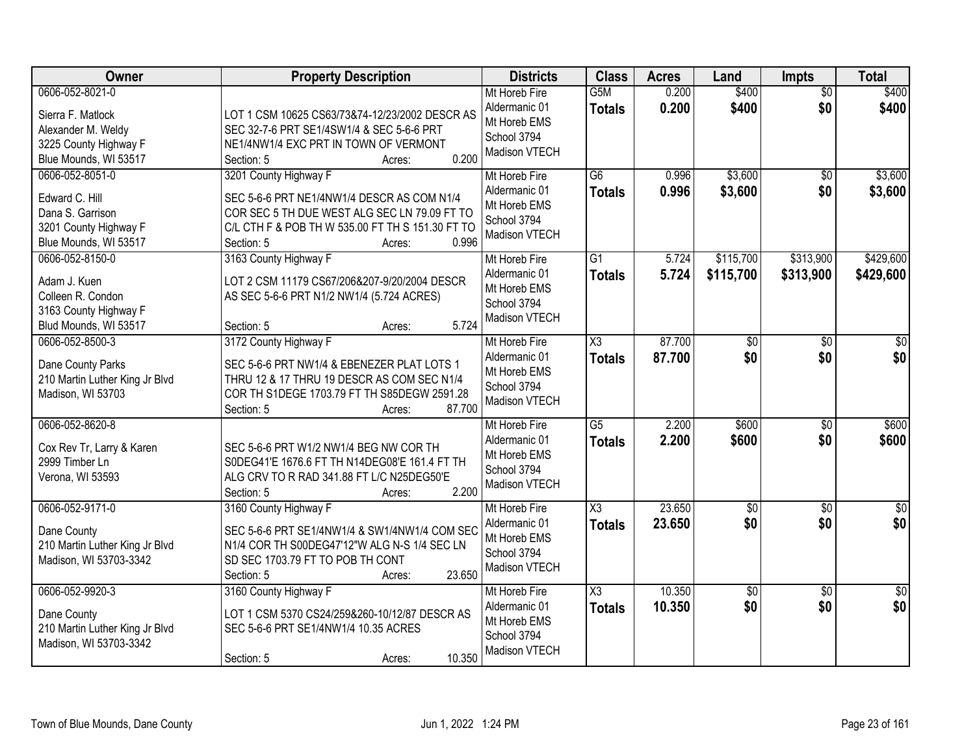| Owner                                                                                                        | <b>Property Description</b>                                                                                                                                                                              | <b>Districts</b>                                                               | <b>Class</b>                            | <b>Acres</b>     | Land                   | <b>Impts</b>           | <b>Total</b>           |
|--------------------------------------------------------------------------------------------------------------|----------------------------------------------------------------------------------------------------------------------------------------------------------------------------------------------------------|--------------------------------------------------------------------------------|-----------------------------------------|------------------|------------------------|------------------------|------------------------|
| 0606-052-8021-0<br>Sierra F. Matlock<br>Alexander M. Weldy<br>3225 County Highway F<br>Blue Mounds, WI 53517 | LOT 1 CSM 10625 CS63/73&74-12/23/2002 DESCR AS<br>SEC 32-7-6 PRT SE1/4SW1/4 & SEC 5-6-6 PRT<br>NE1/4NW1/4 EXC PRT IN TOWN OF VERMONT<br>0.200<br>Section: 5<br>Acres:                                    | Mt Horeb Fire<br>Aldermanic 01<br>Mt Horeb EMS<br>School 3794<br>Madison VTECH | G <sub>5</sub> M<br><b>Totals</b>       | 0.200<br>0.200   | \$400<br>\$400         | $\overline{50}$<br>\$0 | \$400<br>\$400         |
| 0606-052-8051-0<br>Edward C. Hill<br>Dana S. Garrison<br>3201 County Highway F<br>Blue Mounds, WI 53517      | 3201 County Highway F<br>SEC 5-6-6 PRT NE1/4NW1/4 DESCR AS COM N1/4<br>COR SEC 5 TH DUE WEST ALG SEC LN 79.09 FT TO<br>C/L CTH F & POB TH W 535.00 FT TH S 151.30 FT TO<br>0.996<br>Section: 5<br>Acres: | Mt Horeb Fire<br>Aldermanic 01<br>Mt Horeb EMS<br>School 3794<br>Madison VTECH | $\overline{G6}$<br><b>Totals</b>        | 0.996<br>0.996   | \$3,600<br>\$3,600     | $\overline{30}$<br>\$0 | \$3,600<br>\$3,600     |
| 0606-052-8150-0<br>Adam J. Kuen<br>Colleen R. Condon<br>3163 County Highway F<br>Blud Mounds, WI 53517       | 3163 County Highway F<br>LOT 2 CSM 11179 CS67/206&207-9/20/2004 DESCR<br>AS SEC 5-6-6 PRT N1/2 NW1/4 (5.724 ACRES)<br>5.724<br>Section: 5<br>Acres:                                                      | Mt Horeb Fire<br>Aldermanic 01<br>Mt Horeb EMS<br>School 3794<br>Madison VTECH | G1<br><b>Totals</b>                     | 5.724<br>5.724   | \$115,700<br>\$115,700 | \$313,900<br>\$313,900 | \$429,600<br>\$429,600 |
| 0606-052-8500-3<br>Dane County Parks<br>210 Martin Luther King Jr Blvd<br>Madison, WI 53703                  | 3172 County Highway F<br>SEC 5-6-6 PRT NW1/4 & EBENEZER PLAT LOTS 1<br>THRU 12 & 17 THRU 19 DESCR AS COM SEC N1/4<br>COR TH S1DEGE 1703.79 FT TH S85DEGW 2591.28<br>87.700<br>Section: 5<br>Acres:       | Mt Horeb Fire<br>Aldermanic 01<br>Mt Horeb EMS<br>School 3794<br>Madison VTECH | $\overline{\chi_3}$<br><b>Totals</b>    | 87.700<br>87.700 | $\overline{30}$<br>\$0 | \$0<br>\$0             | \$0<br>\$0             |
| 0606-052-8620-8<br>Cox Rev Tr, Larry & Karen<br>2999 Timber Ln<br>Verona, WI 53593                           | SEC 5-6-6 PRT W1/2 NW1/4 BEG NW COR TH<br>S0DEG41'E 1676.6 FT TH N14DEG08'E 161.4 FT TH<br>ALG CRV TO R RAD 341.88 FT L/C N25DEG50'E<br>2.200<br>Section: 5<br>Acres:                                    | Mt Horeb Fire<br>Aldermanic 01<br>Mt Horeb EMS<br>School 3794<br>Madison VTECH | $\overline{G5}$<br><b>Totals</b>        | 2.200<br>2.200   | \$600<br>\$600         | $\overline{50}$<br>\$0 | \$600<br>\$600         |
| 0606-052-9171-0<br>Dane County<br>210 Martin Luther King Jr Blvd<br>Madison, WI 53703-3342                   | 3160 County Highway F<br>SEC 5-6-6 PRT SE1/4NW1/4 & SW1/4NW1/4 COM SEC<br>N1/4 COR TH S00DEG47'12"W ALG N-S 1/4 SEC LN<br>SD SEC 1703.79 FT TO POB TH CONT<br>23.650<br>Section: 5<br>Acres:             | Mt Horeb Fire<br>Aldermanic 01<br>Mt Horeb EMS<br>School 3794<br>Madison VTECH | $\overline{\text{X3}}$<br><b>Totals</b> | 23.650<br>23.650 | $\sqrt{$0}$<br>\$0     | $\overline{50}$<br>\$0 | $\sqrt{50}$<br>\$0     |
| 0606-052-9920-3<br>Dane County<br>210 Martin Luther King Jr Blvd<br>Madison, WI 53703-3342                   | 3160 County Highway F<br>LOT 1 CSM 5370 CS24/259&260-10/12/87 DESCR AS<br>SEC 5-6-6 PRT SE1/4NW1/4 10.35 ACRES<br>10.350<br>Section: 5<br>Acres:                                                         | Mt Horeb Fire<br>Aldermanic 01<br>Mt Horeb EMS<br>School 3794<br>Madison VTECH | $\overline{\text{X3}}$<br><b>Totals</b> | 10.350<br>10.350 | $\overline{30}$<br>\$0 | $\overline{50}$<br>\$0 | $\overline{30}$<br>\$0 |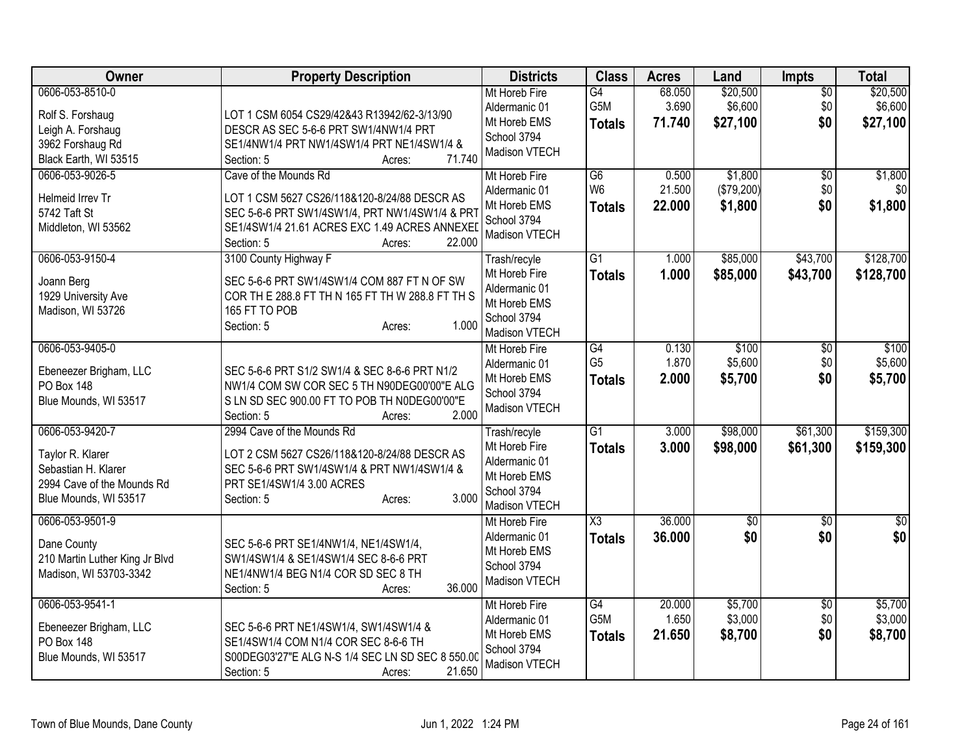| Owner                                                  | <b>Property Description</b>                                                                                      | <b>Districts</b>                               | <b>Class</b>           | <b>Acres</b>    | Land                | <b>Impts</b>           | <b>Total</b>        |
|--------------------------------------------------------|------------------------------------------------------------------------------------------------------------------|------------------------------------------------|------------------------|-----------------|---------------------|------------------------|---------------------|
| 0606-053-8510-0                                        |                                                                                                                  | Mt Horeb Fire<br>Aldermanic 01                 | G4<br>G5M              | 68.050<br>3.690 | \$20,500<br>\$6,600 | $\overline{50}$<br>\$0 | \$20,500<br>\$6,600 |
| Rolf S. Forshaug                                       | LOT 1 CSM 6054 CS29/42&43 R13942/62-3/13/90                                                                      | Mt Horeb EMS                                   | <b>Totals</b>          | 71.740          | \$27,100            | \$0                    | \$27,100            |
| Leigh A. Forshaug<br>3962 Forshaug Rd                  | DESCR AS SEC 5-6-6 PRT SW1/4NW1/4 PRT<br>SE1/4NW1/4 PRT NW1/4SW1/4 PRT NE1/4SW1/4 &                              | School 3794                                    |                        |                 |                     |                        |                     |
| Black Earth, WI 53515                                  | 71.740<br>Section: 5<br>Acres:                                                                                   | Madison VTECH                                  |                        |                 |                     |                        |                     |
| 0606-053-9026-5                                        | Cave of the Mounds Rd                                                                                            | Mt Horeb Fire                                  | G6                     | 0.500           | \$1,800             | \$0                    | \$1,800             |
|                                                        |                                                                                                                  | Aldermanic 01                                  | W <sub>6</sub>         | 21.500          | (\$79,200)          | \$0                    | \$0                 |
| Helmeid Irrev Tr                                       | LOT 1 CSM 5627 CS26/118&120-8/24/88 DESCR AS                                                                     | Mt Horeb EMS                                   | <b>Totals</b>          | 22.000          | \$1,800             | \$0                    | \$1,800             |
| 5742 Taft St                                           | SEC 5-6-6 PRT SW1/4SW1/4, PRT NW1/4SW1/4 & PRT                                                                   | School 3794                                    |                        |                 |                     |                        |                     |
| Middleton, WI 53562                                    | SE1/4SW1/4 21.61 ACRES EXC 1.49 ACRES ANNEXEI<br>22.000<br>Section: 5<br>Acres:                                  | Madison VTECH                                  |                        |                 |                     |                        |                     |
| 0606-053-9150-4                                        | 3100 County Highway F                                                                                            | Trash/recyle                                   | $\overline{G1}$        | 1.000           | \$85,000            | \$43,700               | \$128,700           |
| Joann Berg<br>1929 University Ave<br>Madison, WI 53726 | SEC 5-6-6 PRT SW1/4SW1/4 COM 887 FT N OF SW<br>COR TH E 288.8 FT TH N 165 FT TH W 288.8 FT TH S<br>165 FT TO POB | Mt Horeb Fire<br>Aldermanic 01<br>Mt Horeb EMS | <b>Totals</b>          | 1.000           | \$85,000            | \$43,700               | \$128,700           |
|                                                        | 1.000<br>Section: 5<br>Acres:                                                                                    | School 3794<br>Madison VTECH                   |                        |                 |                     |                        |                     |
| 0606-053-9405-0                                        |                                                                                                                  | Mt Horeb Fire                                  | $\overline{G4}$        | 0.130           | \$100               | $\overline{50}$        | \$100               |
| Ebeneezer Brigham, LLC                                 | SEC 5-6-6 PRT S1/2 SW1/4 & SEC 8-6-6 PRT N1/2                                                                    | Aldermanic 01                                  | G <sub>5</sub>         | 1.870           | \$5,600             | \$0                    | \$5,600             |
| PO Box 148                                             | NW1/4 COM SW COR SEC 5 TH N90DEG00'00"E ALG                                                                      | Mt Horeb EMS                                   | <b>Totals</b>          | 2.000           | \$5,700             | \$0                    | \$5,700             |
| Blue Mounds, WI 53517                                  | S LN SD SEC 900.00 FT TO POB TH N0DEG00'00"E                                                                     | School 3794                                    |                        |                 |                     |                        |                     |
|                                                        | 2.000<br>Section: 5<br>Acres:                                                                                    | Madison VTECH                                  |                        |                 |                     |                        |                     |
| 0606-053-9420-7                                        | 2994 Cave of the Mounds Rd                                                                                       | Trash/recyle                                   | $\overline{G1}$        | 3.000           | \$98,000            | \$61,300               | \$159,300           |
| Taylor R. Klarer                                       | LOT 2 CSM 5627 CS26/118&120-8/24/88 DESCR AS                                                                     | Mt Horeb Fire                                  | <b>Totals</b>          | 3.000           | \$98,000            | \$61,300               | \$159,300           |
| Sebastian H. Klarer                                    | SEC 5-6-6 PRT SW1/4SW1/4 & PRT NW1/4SW1/4 &                                                                      | Aldermanic 01                                  |                        |                 |                     |                        |                     |
| 2994 Cave of the Mounds Rd                             | PRT SE1/4SW1/4 3.00 ACRES                                                                                        | Mt Horeb EMS                                   |                        |                 |                     |                        |                     |
| Blue Mounds, WI 53517                                  | 3.000<br>Section: 5<br>Acres:                                                                                    | School 3794                                    |                        |                 |                     |                        |                     |
|                                                        |                                                                                                                  | Madison VTECH                                  |                        |                 |                     |                        |                     |
| 0606-053-9501-9                                        |                                                                                                                  | Mt Horeb Fire                                  | $\overline{\text{X3}}$ | 36.000          | $\sqrt{6}$          | $\overline{30}$        | $\overline{50}$     |
| Dane County                                            | SEC 5-6-6 PRT SE1/4NW1/4, NE1/4SW1/4,                                                                            | Aldermanic 01<br>Mt Horeb EMS                  | <b>Totals</b>          | 36.000          | \$0                 | \$0                    | \$0                 |
| 210 Martin Luther King Jr Blvd                         | SW1/4SW1/4 & SE1/4SW1/4 SEC 8-6-6 PRT                                                                            | School 3794                                    |                        |                 |                     |                        |                     |
| Madison, WI 53703-3342                                 | NE1/4NW1/4 BEG N1/4 COR SD SEC 8 TH                                                                              | Madison VTECH                                  |                        |                 |                     |                        |                     |
|                                                        | 36.000<br>Section: 5<br>Acres:                                                                                   |                                                |                        |                 |                     |                        |                     |
| 0606-053-9541-1                                        |                                                                                                                  | Mt Horeb Fire                                  | $\overline{G4}$        | 20.000          | \$5,700             | $\overline{50}$        | \$5,700             |
| Ebeneezer Brigham, LLC                                 | SEC 5-6-6 PRT NE1/4SW1/4, SW1/4SW1/4 &                                                                           | Aldermanic 01                                  | G5M                    | 1.650           | \$3,000             | \$0                    | \$3,000             |
| PO Box 148                                             | SE1/4SW1/4 COM N1/4 COR SEC 8-6-6 TH                                                                             | Mt Horeb EMS                                   | <b>Totals</b>          | 21.650          | \$8,700             | \$0                    | \$8,700             |
| Blue Mounds, WI 53517                                  | S00DEG03'27"E ALG N-S 1/4 SEC LN SD SEC 8 550.00<br>21.650<br>Section: 5<br>Acres:                               | School 3794<br>Madison VTECH                   |                        |                 |                     |                        |                     |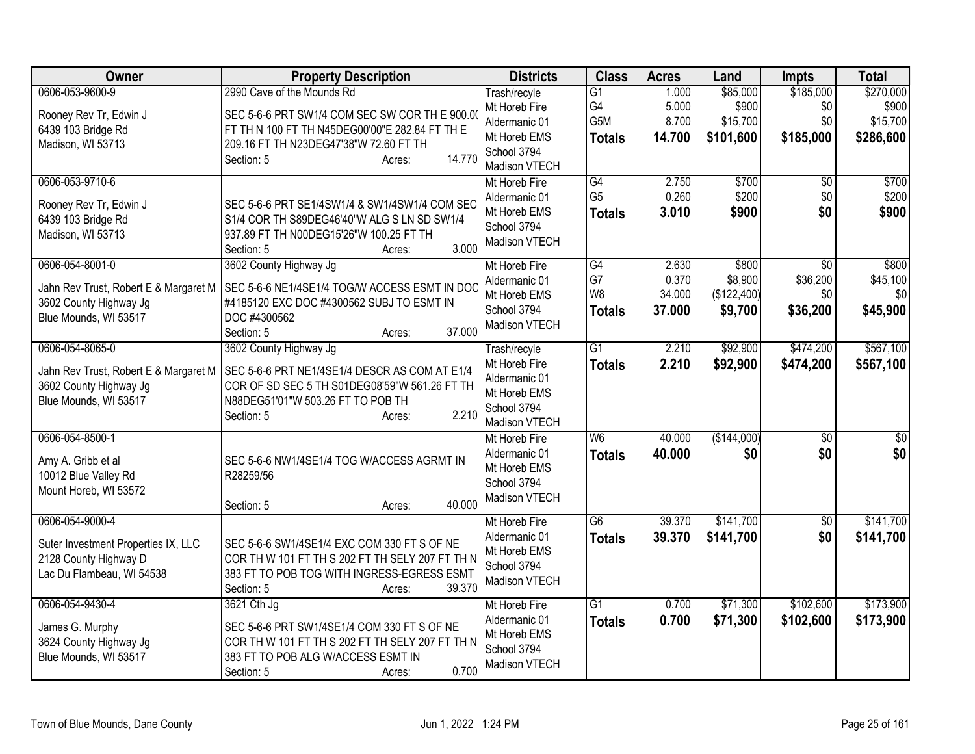| Owner                                                                                                        | <b>Property Description</b>                                                                                                                                                                                | <b>Districts</b>                                                                               | <b>Class</b>                          | <b>Acres</b>                       | Land                                       | Impts                                          | <b>Total</b>                                |
|--------------------------------------------------------------------------------------------------------------|------------------------------------------------------------------------------------------------------------------------------------------------------------------------------------------------------------|------------------------------------------------------------------------------------------------|---------------------------------------|------------------------------------|--------------------------------------------|------------------------------------------------|---------------------------------------------|
| 0606-053-9600-9<br>Rooney Rev Tr, Edwin J<br>6439 103 Bridge Rd<br>Madison, WI 53713                         | 2990 Cave of the Mounds Rd<br>SEC 5-6-6 PRT SW1/4 COM SEC SW COR TH E 900.00<br>FT TH N 100 FT TH N45DEG00'00"E 282.84 FT TH E<br>209.16 FT TH N23DEG47'38"W 72.60 FT TH<br>14.770<br>Section: 5<br>Acres: | Trash/recyle<br>Mt Horeb Fire<br>Aldermanic 01<br>Mt Horeb EMS<br>School 3794<br>Madison VTECH | G1<br>G4<br>G5M<br><b>Totals</b>      | 1.000<br>5.000<br>8.700<br>14.700  | \$85,000<br>\$900<br>\$15,700<br>\$101,600 | \$185,000<br>\$0<br>\$0<br>\$185,000           | \$270,000<br>\$900<br>\$15,700<br>\$286,600 |
| 0606-053-9710-6<br>Rooney Rev Tr, Edwin J<br>6439 103 Bridge Rd<br>Madison, WI 53713                         | SEC 5-6-6 PRT SE1/4SW1/4 & SW1/4SW1/4 COM SEC<br>S1/4 COR TH S89DEG46'40"W ALG S LN SD SW1/4<br>937.89 FT TH N00DEG15'26"W 100.25 FT TH<br>3.000<br>Section: 5<br>Acres:                                   | Mt Horeb Fire<br>Aldermanic 01<br>Mt Horeb EMS<br>School 3794<br>Madison VTECH                 | G4<br>G <sub>5</sub><br><b>Totals</b> | 2.750<br>0.260<br>3.010            | \$700<br>\$200<br>\$900                    | $\overline{50}$<br>\$0<br>\$0                  | \$700<br>\$200<br>\$900                     |
| 0606-054-8001-0<br>Jahn Rev Trust, Robert E & Margaret M<br>3602 County Highway Jg<br>Blue Mounds, WI 53517  | 3602 County Highway Jg<br>SEC 5-6-6 NE1/4SE1/4 TOG/W ACCESS ESMT IN DOC<br>#4185120 EXC DOC #4300562 SUBJ TO ESMT IN<br>DOC #4300562<br>37.000<br>Section: 5<br>Acres:                                     | Mt Horeb Fire<br>Aldermanic 01<br>Mt Horeb EMS<br>School 3794<br>Madison VTECH                 | G4<br>G7<br>W8<br><b>Totals</b>       | 2.630<br>0.370<br>34.000<br>37.000 | \$800<br>\$8,900<br>(\$122,400)<br>\$9,700 | $\overline{60}$<br>\$36,200<br>\$0<br>\$36,200 | \$800<br>\$45,100<br>\$0<br>\$45,900        |
| 0606-054-8065-0<br>Jahn Rev Trust, Robert E & Margaret M<br>3602 County Highway Jg<br>Blue Mounds, WI 53517  | 3602 County Highway Jg<br>SEC 5-6-6 PRT NE1/4SE1/4 DESCR AS COM AT E1/4<br>COR OF SD SEC 5 TH S01DEG08'59"W 561.26 FT TH<br>N88DEG51'01"W 503.26 FT TO POB TH<br>2.210<br>Section: 5<br>Acres:             | Trash/recyle<br>Mt Horeb Fire<br>Aldermanic 01<br>Mt Horeb EMS<br>School 3794<br>Madison VTECH | $\overline{G1}$<br><b>Totals</b>      | 2.210<br>2.210                     | \$92,900<br>\$92,900                       | \$474,200<br>\$474,200                         | \$567,100<br>\$567,100                      |
| 0606-054-8500-1<br>Amy A. Gribb et al<br>10012 Blue Valley Rd<br>Mount Horeb, WI 53572                       | SEC 5-6-6 NW1/4SE1/4 TOG W/ACCESS AGRMT IN<br>R28259/56<br>40.000<br>Section: 5<br>Acres:                                                                                                                  | Mt Horeb Fire<br>Aldermanic 01<br>Mt Horeb EMS<br>School 3794<br>Madison VTECH                 | W <sub>6</sub><br><b>Totals</b>       | 40.000<br>40.000                   | (\$144,000)<br>\$0                         | $\overline{30}$<br>\$0                         | $\overline{50}$<br>\$0                      |
| 0606-054-9000-4<br>Suter Investment Properties IX, LLC<br>2128 County Highway D<br>Lac Du Flambeau, WI 54538 | SEC 5-6-6 SW1/4SE1/4 EXC COM 330 FT S OF NE<br>COR TH W 101 FT TH S 202 FT TH SELY 207 FT TH N<br>383 FT TO POB TOG WITH INGRESS-EGRESS ESMT<br>39.370<br>Section: 5<br>Acres:                             | Mt Horeb Fire<br>Aldermanic 01<br>Mt Horeb EMS<br>School 3794<br>Madison VTECH                 | $\overline{G6}$<br><b>Totals</b>      | 39.370<br>39.370                   | \$141,700<br>\$141,700                     | $\overline{50}$<br>\$0                         | \$141,700<br>\$141,700                      |
| 0606-054-9430-4<br>James G. Murphy<br>3624 County Highway Jg<br>Blue Mounds, WI 53517                        | 3621 Cth Jg<br>SEC 5-6-6 PRT SW1/4SE1/4 COM 330 FT S OF NE<br>COR TH W 101 FT TH S 202 FT TH SELY 207 FT TH N<br>383 FT TO POB ALG W/ACCESS ESMT IN<br>0.700<br>Section: 5<br>Acres:                       | Mt Horeb Fire<br>Aldermanic 01<br>Mt Horeb EMS<br>School 3794<br>Madison VTECH                 | $\overline{G1}$<br><b>Totals</b>      | 0.700<br>0.700                     | \$71,300<br>\$71,300                       | \$102,600<br>\$102,600                         | \$173,900<br>\$173,900                      |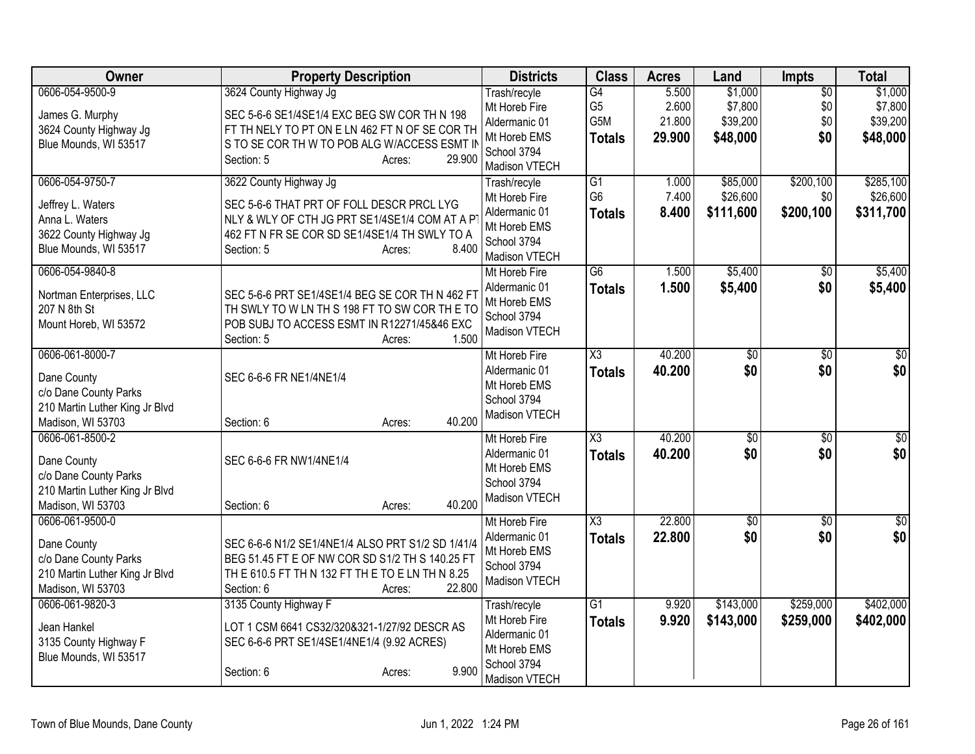| Owner                                               | <b>Property Description</b>                                                                    | <b>Districts</b>               | <b>Class</b>                     | <b>Acres</b>   | Land                   | Impts                  | <b>Total</b>           |
|-----------------------------------------------------|------------------------------------------------------------------------------------------------|--------------------------------|----------------------------------|----------------|------------------------|------------------------|------------------------|
| 0606-054-9500-9                                     | 3624 County Highway Jg                                                                         | Trash/recyle<br>Mt Horeb Fire  | G4<br>G <sub>5</sub>             | 5.500<br>2.600 | \$1,000<br>\$7,800     | $\overline{50}$<br>\$0 | \$1,000<br>\$7,800     |
| James G. Murphy<br>3624 County Highway Jg           | SEC 5-6-6 SE1/4SE1/4 EXC BEG SW COR TH N 198<br>FT TH NELY TO PT ON E LN 462 FT N OF SE COR TH | Aldermanic 01                  | G5M                              | 21.800         | \$39,200               | \$0                    | \$39,200               |
| Blue Mounds, WI 53517                               | S TO SE COR TH W TO POB ALG W/ACCESS ESMT II                                                   | Mt Horeb EMS                   | <b>Totals</b>                    | 29.900         | \$48,000               | \$0                    | \$48,000               |
|                                                     | 29.900<br>Section: 5<br>Acres:                                                                 | School 3794<br>Madison VTECH   |                                  |                |                        |                        |                        |
| 0606-054-9750-7                                     | 3622 County Highway Jg                                                                         | Trash/recyle                   | G1                               | 1.000          | \$85,000               | \$200,100              | \$285,100              |
| Jeffrey L. Waters                                   | SEC 5-6-6 THAT PRT OF FOLL DESCR PRCL LYG                                                      | Mt Horeb Fire<br>Aldermanic 01 | G <sub>6</sub>                   | 7.400<br>8.400 | \$26,600<br>\$111,600  | \$0                    | \$26,600               |
| Anna L. Waters                                      | NLY & WLY OF CTH JG PRT SE1/4SE1/4 COM AT A P                                                  | Mt Horeb EMS                   | <b>Totals</b>                    |                |                        | \$200,100              | \$311,700              |
| 3622 County Highway Jg<br>Blue Mounds, WI 53517     | 462 FT N FR SE COR SD SE1/4SE1/4 TH SWLY TO A<br>8.400                                         | School 3794                    |                                  |                |                        |                        |                        |
|                                                     | Section: 5<br>Acres:                                                                           | Madison VTECH                  |                                  |                |                        |                        |                        |
| 0606-054-9840-8                                     |                                                                                                | Mt Horeb Fire                  | G6                               | 1.500          | \$5,400                | $\frac{1}{20}$         | \$5,400                |
| Nortman Enterprises, LLC                            | SEC 5-6-6 PRT SE1/4SE1/4 BEG SE COR TH N 462 FT                                                | Aldermanic 01<br>Mt Horeb EMS  | <b>Totals</b>                    | 1.500          | \$5,400                | \$0                    | \$5,400                |
| 207 N 8th St                                        | TH SWLY TO W LN TH S 198 FT TO SW COR THE TO                                                   | School 3794                    |                                  |                |                        |                        |                        |
| Mount Horeb, WI 53572                               | POB SUBJ TO ACCESS ESMT IN R12271/45&46 EXC<br>1.500<br>Section: 5<br>Acres:                   | Madison VTECH                  |                                  |                |                        |                        |                        |
| 0606-061-8000-7                                     |                                                                                                | Mt Horeb Fire                  | $\overline{\text{X3}}$           | 40.200         | $\overline{50}$        | \$0                    | $\sqrt{50}$            |
| Dane County                                         | SEC 6-6-6 FR NE1/4NE1/4                                                                        | Aldermanic 01                  | <b>Totals</b>                    | 40.200         | \$0                    | \$0                    | \$0                    |
| c/o Dane County Parks                               |                                                                                                | Mt Horeb EMS                   |                                  |                |                        |                        |                        |
| 210 Martin Luther King Jr Blvd                      |                                                                                                | School 3794<br>Madison VTECH   |                                  |                |                        |                        |                        |
| Madison, WI 53703                                   | 40.200<br>Section: 6<br>Acres:                                                                 |                                |                                  |                |                        |                        |                        |
| 0606-061-8500-2                                     |                                                                                                | Mt Horeb Fire<br>Aldermanic 01 | $\overline{\text{X3}}$           | 40.200         | $\sqrt{$0}$            | $\overline{30}$        | $\sqrt{50}$            |
| Dane County                                         | SEC 6-6-6 FR NW1/4NE1/4                                                                        | Mt Horeb EMS                   | <b>Totals</b>                    | 40.200         | \$0                    | \$0                    | \$0                    |
| c/o Dane County Parks                               |                                                                                                | School 3794                    |                                  |                |                        |                        |                        |
| 210 Martin Luther King Jr Blvd<br>Madison, WI 53703 | 40.200<br>Section: 6<br>Acres:                                                                 | Madison VTECH                  |                                  |                |                        |                        |                        |
| 0606-061-9500-0                                     |                                                                                                | Mt Horeb Fire                  | $\overline{\text{X3}}$           | 22.800         | $\overline{50}$        | $\overline{30}$        | $\sqrt{$0]}$           |
| Dane County                                         | SEC 6-6-6 N1/2 SE1/4NE1/4 ALSO PRT S1/2 SD 1/41/4                                              | Aldermanic 01                  | <b>Totals</b>                    | 22.800         | \$0                    | \$0                    | \$0                    |
| c/o Dane County Parks                               | BEG 51.45 FT E OF NW COR SD S1/2 TH S 140.25 FT                                                | Mt Horeb EMS                   |                                  |                |                        |                        |                        |
| 210 Martin Luther King Jr Blvd                      | TH E 610.5 FT TH N 132 FT TH E TO E LN TH N 8.25                                               | School 3794<br>Madison VTECH   |                                  |                |                        |                        |                        |
| Madison, WI 53703                                   | 22.800<br>Section: 6<br>Acres:                                                                 |                                |                                  |                |                        |                        |                        |
| 0606-061-9820-3                                     | 3135 County Highway F                                                                          | Trash/recyle<br>Mt Horeb Fire  | $\overline{G1}$<br><b>Totals</b> | 9.920<br>9.920 | \$143,000<br>\$143,000 | \$259,000<br>\$259,000 | \$402,000<br>\$402,000 |
| Jean Hankel                                         | LOT 1 CSM 6641 CS32/320&321-1/27/92 DESCR AS                                                   | Aldermanic 01                  |                                  |                |                        |                        |                        |
| 3135 County Highway F<br>Blue Mounds, WI 53517      | SEC 6-6-6 PRT SE1/4SE1/4NE1/4 (9.92 ACRES)                                                     | Mt Horeb EMS                   |                                  |                |                        |                        |                        |
|                                                     | 9.900<br>Section: 6<br>Acres:                                                                  | School 3794                    |                                  |                |                        |                        |                        |
|                                                     |                                                                                                | Madison VTECH                  |                                  |                |                        |                        |                        |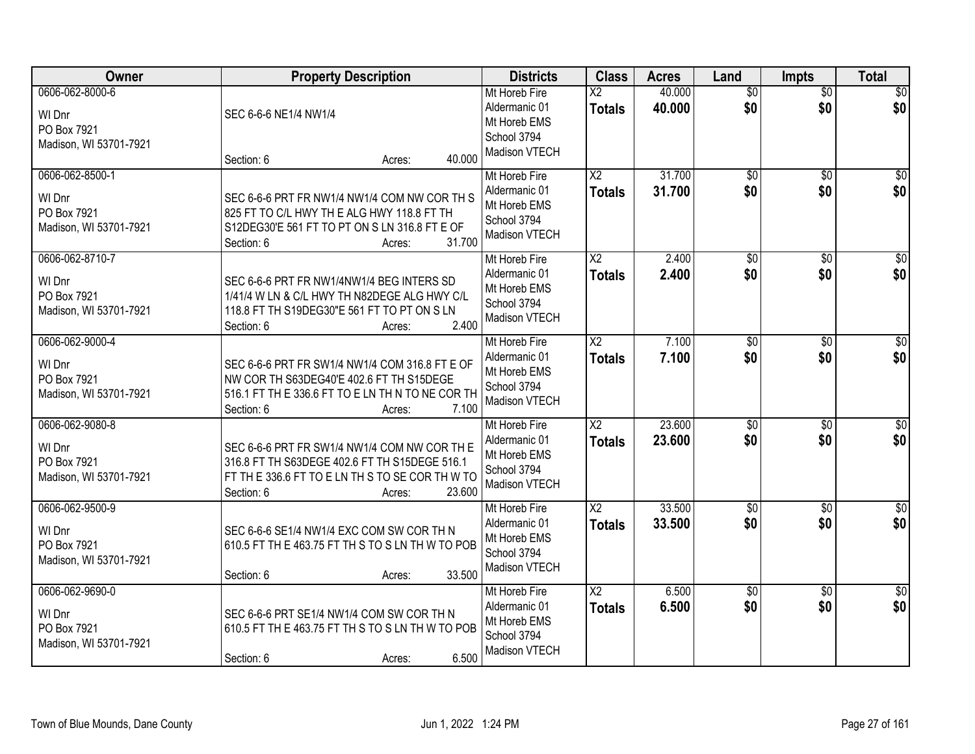| Owner                                                              | <b>Property Description</b>                                                                                                                                                      | <b>Districts</b>                                                               | <b>Class</b>                            | <b>Acres</b>     | Land                   | <b>Impts</b>           | <b>Total</b>            |
|--------------------------------------------------------------------|----------------------------------------------------------------------------------------------------------------------------------------------------------------------------------|--------------------------------------------------------------------------------|-----------------------------------------|------------------|------------------------|------------------------|-------------------------|
| 0606-062-8000-6<br>WI Dnr<br>PO Box 7921<br>Madison, WI 53701-7921 | SEC 6-6-6 NE1/4 NW1/4<br>40.000<br>Section: 6<br>Acres:                                                                                                                          | Mt Horeb Fire<br>Aldermanic 01<br>Mt Horeb EMS<br>School 3794<br>Madison VTECH | $\overline{\text{X2}}$<br><b>Totals</b> | 40.000<br>40.000 | $\overline{50}$<br>\$0 | $\overline{50}$<br>\$0 | \$0<br>\$0              |
| 0606-062-8500-1<br>WI Dnr<br>PO Box 7921<br>Madison, WI 53701-7921 | SEC 6-6-6 PRT FR NW1/4 NW1/4 COM NW COR TH S<br>825 FT TO C/L HWY TH E ALG HWY 118.8 FT TH<br>S12DEG30'E 561 FT TO PT ON S LN 316.8 FT E OF<br>31.700<br>Section: 6<br>Acres:    | Mt Horeb Fire<br>Aldermanic 01<br>Mt Horeb EMS<br>School 3794<br>Madison VTECH | $\overline{X2}$<br><b>Totals</b>        | 31.700<br>31.700 | $\overline{50}$<br>\$0 | $\overline{50}$<br>\$0 | \$0<br>\$0              |
| 0606-062-8710-7<br>WI Dnr<br>PO Box 7921<br>Madison, WI 53701-7921 | SEC 6-6-6 PRT FR NW1/4NW1/4 BEG INTERS SD<br>1/41/4 W LN & C/L HWY TH N82DEGE ALG HWY C/L<br>118.8 FT TH S19DEG30"E 561 FT TO PT ON S LN<br>2.400<br>Section: 6<br>Acres:        | Mt Horeb Fire<br>Aldermanic 01<br>Mt Horeb EMS<br>School 3794<br>Madison VTECH | $\overline{X2}$<br><b>Totals</b>        | 2.400<br>2.400   | $\overline{50}$<br>\$0 | \$0<br>\$0             | $\overline{\$0}$<br>\$0 |
| 0606-062-9000-4<br>WI Dnr<br>PO Box 7921<br>Madison, WI 53701-7921 | SEC 6-6-6 PRT FR SW1/4 NW1/4 COM 316.8 FT E OF<br>NW COR TH S63DEG40'E 402.6 FT TH S15DEGE<br>516.1 FT TH E 336.6 FT TO E LN TH N TO NE COR TH<br>7.100<br>Section: 6<br>Acres:  | Mt Horeb Fire<br>Aldermanic 01<br>Mt Horeb EMS<br>School 3794<br>Madison VTECH | X <sub>2</sub><br><b>Totals</b>         | 7.100<br>7.100   | \$0<br>\$0             | $\frac{1}{20}$<br>\$0  | $\sqrt{50}$<br>\$0      |
| 0606-062-9080-8<br>WI Dnr<br>PO Box 7921<br>Madison, WI 53701-7921 | SEC 6-6-6 PRT FR SW1/4 NW1/4 COM NW COR TH E<br>316.8 FT TH S63DEGE 402.6 FT TH S15DEGE 516.1<br>FT THE 336.6 FT TO ELN TH S TO SE COR TH W TO<br>23.600<br>Section: 6<br>Acres: | Mt Horeb Fire<br>Aldermanic 01<br>Mt Horeb EMS<br>School 3794<br>Madison VTECH | $\overline{X2}$<br><b>Totals</b>        | 23.600<br>23.600 | $\overline{50}$<br>\$0 | $\overline{30}$<br>\$0 | $\sqrt{50}$<br>\$0      |
| 0606-062-9500-9<br>WI Dnr<br>PO Box 7921<br>Madison, WI 53701-7921 | SEC 6-6-6 SE1/4 NW1/4 EXC COM SW COR TH N<br>610.5 FT TH E 463.75 FT TH S TO S LN TH W TO POB<br>33.500<br>Section: 6<br>Acres:                                                  | Mt Horeb Fire<br>Aldermanic 01<br>Mt Horeb EMS<br>School 3794<br>Madison VTECH | $\overline{X2}$<br><b>Totals</b>        | 33.500<br>33.500 | $\sqrt{6}$<br>\$0      | \$0<br>\$0             | $\overline{\$0}$<br>\$0 |
| 0606-062-9690-0<br>WI Dnr<br>PO Box 7921<br>Madison, WI 53701-7921 | SEC 6-6-6 PRT SE1/4 NW1/4 COM SW COR TH N<br>610.5 FT TH E 463.75 FT TH S TO S LN TH W TO POB<br>6.500<br>Section: 6<br>Acres:                                                   | Mt Horeb Fire<br>Aldermanic 01<br>Mt Horeb EMS<br>School 3794<br>Madison VTECH | $\overline{X2}$<br><b>Totals</b>        | 6.500<br>6.500   | $\overline{50}$<br>\$0 | $\overline{30}$<br>\$0 | $\overline{50}$<br>\$0  |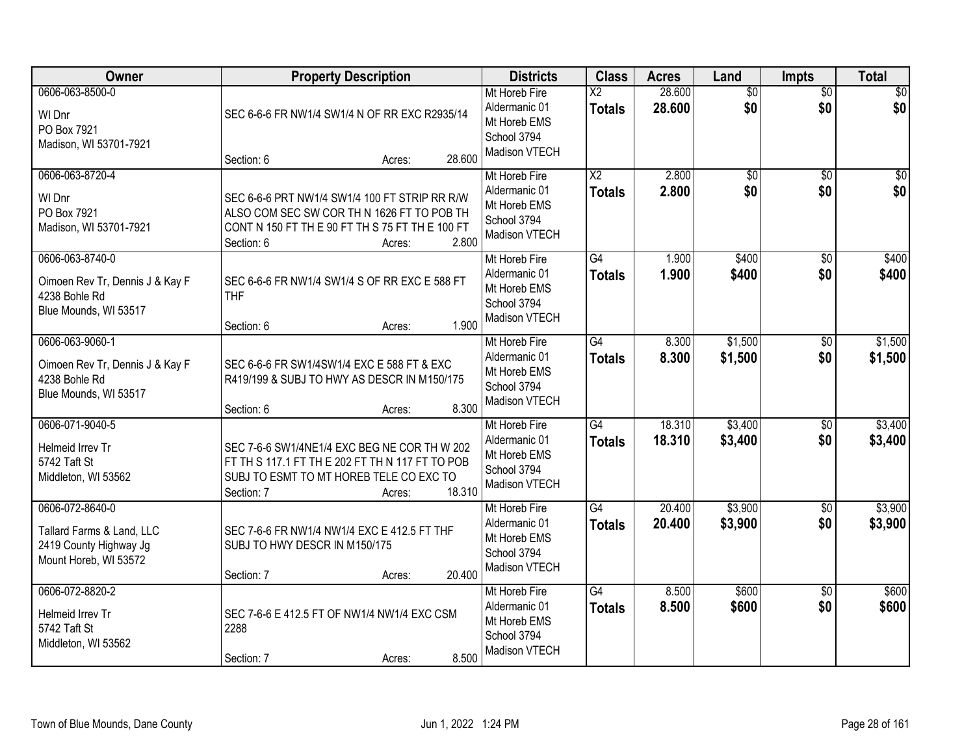| Owner                                                                                           | <b>Property Description</b>                                                                                                                                                   | <b>Districts</b>                                                               | <b>Class</b>                              | <b>Acres</b>     | Land                   | <b>Impts</b>           | <b>Total</b>       |
|-------------------------------------------------------------------------------------------------|-------------------------------------------------------------------------------------------------------------------------------------------------------------------------------|--------------------------------------------------------------------------------|-------------------------------------------|------------------|------------------------|------------------------|--------------------|
| 0606-063-8500-0<br>WI Dnr<br>PO Box 7921<br>Madison, WI 53701-7921                              | SEC 6-6-6 FR NW1/4 SW1/4 N OF RR EXC R2935/14<br>28.600<br>Section: 6<br>Acres:                                                                                               | Mt Horeb Fire<br>Aldermanic 01<br>Mt Horeb EMS<br>School 3794<br>Madison VTECH | $\overline{\mathsf{X2}}$<br><b>Totals</b> | 28.600<br>28.600 | $\overline{50}$<br>\$0 | $\overline{50}$<br>\$0 | $\sqrt{30}$<br>\$0 |
| 0606-063-8720-4<br>WI Dnr<br>PO Box 7921<br>Madison, WI 53701-7921                              | SEC 6-6-6 PRT NW1/4 SW1/4 100 FT STRIP RR R/W<br>ALSO COM SEC SW COR TH N 1626 FT TO POB TH<br>CONT N 150 FT THE 90 FT TH S 75 FT THE 100 FT<br>2.800<br>Section: 6<br>Acres: | Mt Horeb Fire<br>Aldermanic 01<br>Mt Horeb EMS<br>School 3794<br>Madison VTECH | $\overline{\text{X2}}$<br><b>Totals</b>   | 2.800<br>2.800   | $\overline{50}$<br>\$0 | $\overline{50}$<br>\$0 | $\sqrt{50}$<br>\$0 |
| 0606-063-8740-0<br>Oimoen Rev Tr, Dennis J & Kay F<br>4238 Bohle Rd<br>Blue Mounds, WI 53517    | SEC 6-6-6 FR NW1/4 SW1/4 S OF RR EXC E 588 FT<br><b>THF</b><br>1.900<br>Section: 6<br>Acres:                                                                                  | Mt Horeb Fire<br>Aldermanic 01<br>Mt Horeb EMS<br>School 3794<br>Madison VTECH | G4<br><b>Totals</b>                       | 1.900<br>1.900   | \$400<br>\$400         | $\overline{50}$<br>\$0 | \$400<br>\$400     |
| 0606-063-9060-1<br>Oimoen Rev Tr, Dennis J & Kay F<br>4238 Bohle Rd<br>Blue Mounds, WI 53517    | SEC 6-6-6 FR SW1/4SW1/4 EXC E 588 FT & EXC<br>R419/199 & SUBJ TO HWY AS DESCR IN M150/175<br>8.300<br>Section: 6<br>Acres:                                                    | Mt Horeb Fire<br>Aldermanic 01<br>Mt Horeb EMS<br>School 3794<br>Madison VTECH | $\overline{G4}$<br><b>Totals</b>          | 8.300<br>8.300   | \$1,500<br>\$1,500     | \$0<br>\$0             | \$1,500<br>\$1,500 |
| 0606-071-9040-5<br>Helmeid Irrev Tr<br>5742 Taft St<br>Middleton, WI 53562                      | SEC 7-6-6 SW1/4NE1/4 EXC BEG NE COR THW 202<br>FT TH S 117.1 FT TH E 202 FT TH N 117 FT TO POB<br>SUBJ TO ESMT TO MT HOREB TELE CO EXC TO<br>18.310<br>Section: 7<br>Acres:   | Mt Horeb Fire<br>Aldermanic 01<br>Mt Horeb EMS<br>School 3794<br>Madison VTECH | $\overline{G4}$<br><b>Totals</b>          | 18.310<br>18.310 | \$3,400<br>\$3,400     | \$0<br>\$0             | \$3,400<br>\$3,400 |
| 0606-072-8640-0<br>Tallard Farms & Land, LLC<br>2419 County Highway Jg<br>Mount Horeb, WI 53572 | SEC 7-6-6 FR NW1/4 NW1/4 EXC E 412.5 FT THF<br>SUBJ TO HWY DESCR IN M150/175<br>20.400<br>Section: 7<br>Acres:                                                                | Mt Horeb Fire<br>Aldermanic 01<br>Mt Horeb EMS<br>School 3794<br>Madison VTECH | $\overline{G4}$<br><b>Totals</b>          | 20.400<br>20.400 | \$3,900<br>\$3,900     | $\overline{60}$<br>\$0 | \$3,900<br>\$3,900 |
| 0606-072-8820-2<br>Helmeid Irrev Tr<br>5742 Taft St<br>Middleton, WI 53562                      | SEC 7-6-6 E 412.5 FT OF NW1/4 NW1/4 EXC CSM<br>2288<br>8.500<br>Section: 7<br>Acres:                                                                                          | Mt Horeb Fire<br>Aldermanic 01<br>Mt Horeb EMS<br>School 3794<br>Madison VTECH | G4<br><b>Totals</b>                       | 8.500<br>8.500   | \$600<br>\$600         | $\overline{30}$<br>\$0 | \$600<br>\$600     |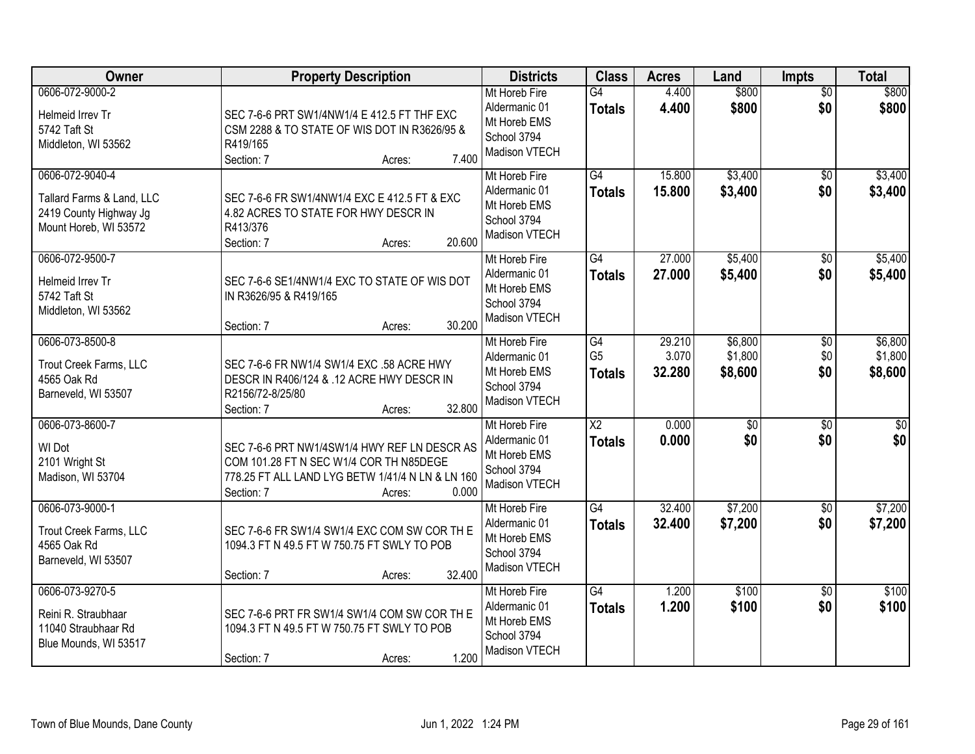| <b>Owner</b>                                                                                    | <b>Property Description</b>                                                                                                                                                  | <b>Districts</b>                                                               | <b>Class</b>                          | <b>Acres</b>              | Land                          | <b>Impts</b>                | <b>Total</b>                  |
|-------------------------------------------------------------------------------------------------|------------------------------------------------------------------------------------------------------------------------------------------------------------------------------|--------------------------------------------------------------------------------|---------------------------------------|---------------------------|-------------------------------|-----------------------------|-------------------------------|
| 0606-072-9000-2<br>Helmeid Irrev Tr<br>5742 Taft St<br>Middleton, WI 53562                      | SEC 7-6-6 PRT SW1/4NW1/4 E 412.5 FT THF EXC<br>CSM 2288 & TO STATE OF WIS DOT IN R3626/95 &<br>R419/165<br>7.400<br>Section: 7<br>Acres:                                     | Mt Horeb Fire<br>Aldermanic 01<br>Mt Horeb EMS<br>School 3794<br>Madison VTECH | $\overline{G4}$<br><b>Totals</b>      | 4.400<br>4.400            | \$800<br>\$800                | $\overline{50}$<br>\$0      | \$800<br>\$800                |
| 0606-072-9040-4<br>Tallard Farms & Land, LLC<br>2419 County Highway Jg<br>Mount Horeb, WI 53572 | SEC 7-6-6 FR SW1/4NW1/4 EXC E 412.5 FT & EXC<br>4.82 ACRES TO STATE FOR HWY DESCR IN<br>R413/376<br>20.600<br>Section: 7<br>Acres:                                           | Mt Horeb Fire<br>Aldermanic 01<br>Mt Horeb EMS<br>School 3794<br>Madison VTECH | G4<br><b>Totals</b>                   | 15.800<br>15.800          | \$3,400<br>\$3,400            | $\overline{50}$<br>\$0      | \$3,400<br>\$3,400            |
| 0606-072-9500-7<br>Helmeid Irrev Tr<br>5742 Taft St<br>Middleton, WI 53562                      | SEC 7-6-6 SE1/4NW1/4 EXC TO STATE OF WIS DOT<br>IN R3626/95 & R419/165<br>30.200<br>Section: 7<br>Acres:                                                                     | Mt Horeb Fire<br>Aldermanic 01<br>Mt Horeb EMS<br>School 3794<br>Madison VTECH | G4<br><b>Totals</b>                   | 27.000<br>27.000          | \$5,400<br>\$5,400            | \$0<br>\$0                  | \$5,400<br>\$5,400            |
| 0606-073-8500-8<br>Trout Creek Farms, LLC<br>4565 Oak Rd<br>Barneveld, WI 53507                 | SEC 7-6-6 FR NW1/4 SW1/4 EXC .58 ACRE HWY<br>DESCR IN R406/124 & .12 ACRE HWY DESCR IN<br>R2156/72-8/25/80<br>32.800<br>Section: 7<br>Acres:                                 | Mt Horeb Fire<br>Aldermanic 01<br>Mt Horeb EMS<br>School 3794<br>Madison VTECH | G4<br>G <sub>5</sub><br><b>Totals</b> | 29.210<br>3.070<br>32.280 | \$6,800<br>\$1,800<br>\$8,600 | $\sqrt[6]{3}$<br>\$0<br>\$0 | \$6,800<br>\$1,800<br>\$8,600 |
| 0606-073-8600-7<br>WI Dot<br>2101 Wright St<br>Madison, WI 53704                                | SEC 7-6-6 PRT NW1/4SW1/4 HWY REF LN DESCR AS<br>COM 101.28 FT N SEC W1/4 COR TH N85DEGE<br>778.25 FT ALL LAND LYG BETW 1/41/4 N LN & LN 160<br>0.000<br>Section: 7<br>Acres: | Mt Horeb Fire<br>Aldermanic 01<br>Mt Horeb EMS<br>School 3794<br>Madison VTECH | $\overline{X2}$<br><b>Totals</b>      | 0.000<br>0.000            | $\overline{50}$<br>\$0        | $\overline{50}$<br>\$0      | $\overline{50}$<br>\$0        |
| 0606-073-9000-1<br>Trout Creek Farms, LLC<br>4565 Oak Rd<br>Barneveld, WI 53507                 | SEC 7-6-6 FR SW1/4 SW1/4 EXC COM SW COR TH E<br>1094.3 FT N 49.5 FT W 750.75 FT SWLY TO POB<br>32.400<br>Section: 7<br>Acres:                                                | Mt Horeb Fire<br>Aldermanic 01<br>Mt Horeb EMS<br>School 3794<br>Madison VTECH | G4<br><b>Totals</b>                   | 32.400<br>32.400          | \$7,200<br>\$7,200            | \$0<br>\$0                  | \$7,200<br>\$7,200            |
| 0606-073-9270-5<br>Reini R. Straubhaar<br>11040 Straubhaar Rd<br>Blue Mounds, WI 53517          | SEC 7-6-6 PRT FR SW1/4 SW1/4 COM SW COR TH E<br>1094.3 FT N 49.5 FT W 750.75 FT SWLY TO POB<br>1.200<br>Section: 7<br>Acres:                                                 | Mt Horeb Fire<br>Aldermanic 01<br>Mt Horeb EMS<br>School 3794<br>Madison VTECH | G4<br><b>Totals</b>                   | 1.200<br>1.200            | \$100<br>\$100                | $\overline{30}$<br>\$0      | \$100<br>\$100                |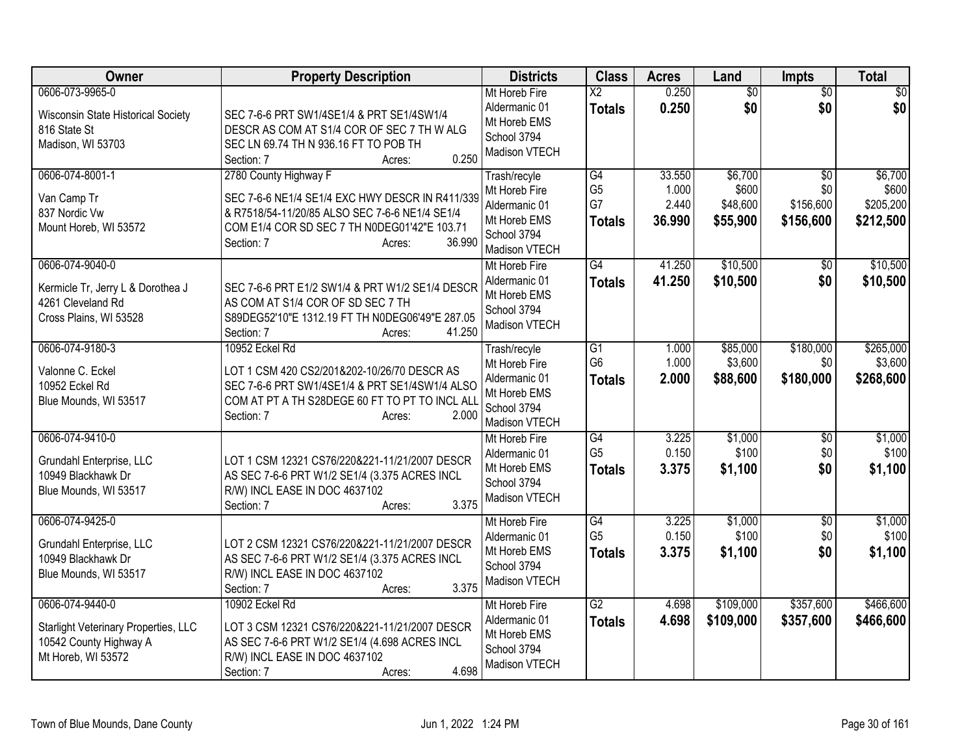| Owner                                                                                                          | <b>Property Description</b>                                                                                                                                                                                  | <b>Districts</b>                                                                               | <b>Class</b>                                       | <b>Acres</b>                       | Land                                     | <b>Impts</b>                                     | <b>Total</b>                               |
|----------------------------------------------------------------------------------------------------------------|--------------------------------------------------------------------------------------------------------------------------------------------------------------------------------------------------------------|------------------------------------------------------------------------------------------------|----------------------------------------------------|------------------------------------|------------------------------------------|--------------------------------------------------|--------------------------------------------|
| 0606-073-9965-0<br>Wisconsin State Historical Society<br>816 State St<br>Madison, WI 53703                     | SEC 7-6-6 PRT SW1/4SE1/4 & PRT SE1/4SW1/4<br>DESCR AS COM AT S1/4 COR OF SEC 7 TH W ALG<br>SEC LN 69.74 TH N 936.16 FT TO POB TH<br>0.250<br>Section: 7<br>Acres:                                            | Mt Horeb Fire<br>Aldermanic 01<br>Mt Horeb EMS<br>School 3794<br>Madison VTECH                 | $\overline{\text{X2}}$<br><b>Totals</b>            | 0.250<br>0.250                     | $\overline{50}$<br>\$0                   | $\overline{50}$<br>\$0                           | $\sqrt{30}$<br>\$0                         |
| 0606-074-8001-1<br>Van Camp Tr<br>837 Nordic Vw<br>Mount Horeb, WI 53572                                       | 2780 County Highway F<br>SEC 7-6-6 NE1/4 SE1/4 EXC HWY DESCR IN R411/339<br>& R7518/54-11/20/85 ALSO SEC 7-6-6 NE1/4 SE1/4<br>COM E1/4 COR SD SEC 7 TH N0DEG01'42"E 103.71<br>36.990<br>Section: 7<br>Acres: | Trash/recyle<br>Mt Horeb Fire<br>Aldermanic 01<br>Mt Horeb EMS<br>School 3794<br>Madison VTECH | G4<br>G <sub>5</sub><br>G7<br><b>Totals</b>        | 33.550<br>1.000<br>2.440<br>36.990 | \$6,700<br>\$600<br>\$48,600<br>\$55,900 | $\overline{50}$<br>\$0<br>\$156,600<br>\$156,600 | \$6,700<br>\$600<br>\$205,200<br>\$212,500 |
| 0606-074-9040-0<br>Kermicle Tr, Jerry L & Dorothea J<br>4261 Cleveland Rd<br>Cross Plains, WI 53528            | SEC 7-6-6 PRT E1/2 SW1/4 & PRT W1/2 SE1/4 DESCR<br>AS COM AT S1/4 COR OF SD SEC 7 TH<br>S89DEG52'10"E 1312.19 FT TH N0DEG06'49"E 287.05<br>41.250<br>Section: 7<br>Acres:                                    | Mt Horeb Fire<br>Aldermanic 01<br>Mt Horeb EMS<br>School 3794<br>Madison VTECH                 | $\overline{G4}$<br><b>Totals</b>                   | 41.250<br>41.250                   | \$10,500<br>\$10,500                     | \$0<br>\$0                                       | \$10,500<br>\$10,500                       |
| 0606-074-9180-3<br>Valonne C. Eckel<br>10952 Eckel Rd<br>Blue Mounds, WI 53517                                 | 10952 Eckel Rd<br>LOT 1 CSM 420 CS2/201&202-10/26/70 DESCR AS<br>SEC 7-6-6 PRT SW1/4SE1/4 & PRT SE1/4SW1/4 ALSO<br>COM AT PT A TH S28DEGE 60 FT TO PT TO INCL ALL<br>Section: 7<br>2.000<br>Acres:           | Trash/recyle<br>Mt Horeb Fire<br>Aldermanic 01<br>Mt Horeb EMS<br>School 3794<br>Madison VTECH | $\overline{G1}$<br>G <sub>6</sub><br><b>Totals</b> | 1.000<br>1.000<br>2.000            | \$85,000<br>\$3,600<br>\$88,600          | \$180,000<br>\$0<br>\$180,000                    | \$265,000<br>\$3,600<br>\$268,600          |
| 0606-074-9410-0<br>Grundahl Enterprise, LLC<br>10949 Blackhawk Dr<br>Blue Mounds, WI 53517                     | LOT 1 CSM 12321 CS76/220&221-11/21/2007 DESCR<br>AS SEC 7-6-6 PRT W1/2 SE1/4 (3.375 ACRES INCL<br>R/W) INCL EASE IN DOC 4637102<br>3.375<br>Section: 7<br>Acres:                                             | Mt Horeb Fire<br>Aldermanic 01<br>Mt Horeb EMS<br>School 3794<br>Madison VTECH                 | G4<br>G <sub>5</sub><br><b>Totals</b>              | 3.225<br>0.150<br>3.375            | \$1,000<br>\$100<br>\$1,100              | \$0<br>\$0<br>\$0                                | \$1,000<br>\$100<br>\$1,100                |
| 0606-074-9425-0<br>Grundahl Enterprise, LLC<br>10949 Blackhawk Dr<br>Blue Mounds, WI 53517                     | LOT 2 CSM 12321 CS76/220&221-11/21/2007 DESCR<br>AS SEC 7-6-6 PRT W1/2 SE1/4 (3.375 ACRES INCL<br>R/W) INCL EASE IN DOC 4637102<br>3.375<br>Section: 7<br>Acres:                                             | Mt Horeb Fire<br>Aldermanic 01<br>Mt Horeb EMS<br>School 3794<br>Madison VTECH                 | G4<br>G <sub>5</sub><br><b>Totals</b>              | 3.225<br>0.150<br>3.375            | \$1,000<br>\$100<br>\$1,100              | $\overline{50}$<br>\$0<br>\$0                    | \$1,000<br>\$100<br>\$1,100                |
| 0606-074-9440-0<br><b>Starlight Veterinary Properties, LLC</b><br>10542 County Highway A<br>Mt Horeb, WI 53572 | 10902 Eckel Rd<br>LOT 3 CSM 12321 CS76/220&221-11/21/2007 DESCR<br>AS SEC 7-6-6 PRT W1/2 SE1/4 (4.698 ACRES INCL<br>R/W) INCL EASE IN DOC 4637102<br>4.698<br>Section: 7<br>Acres:                           | Mt Horeb Fire<br>Aldermanic 01<br>Mt Horeb EMS<br>School 3794<br>Madison VTECH                 | $\overline{G2}$<br><b>Totals</b>                   | 4.698<br>4.698                     | \$109,000<br>\$109,000                   | \$357,600<br>\$357,600                           | \$466,600<br>\$466,600                     |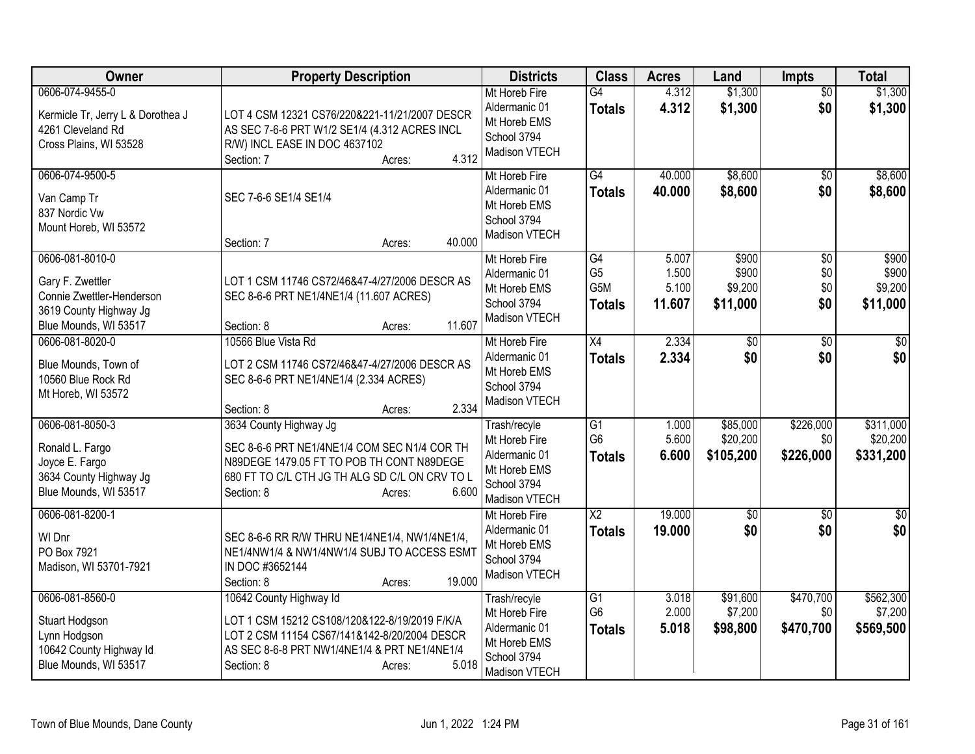| Owner                                                                                                               | <b>Property Description</b>                                                                                                                                                                               | <b>Districts</b>                                                                               | <b>Class</b>                                      | <b>Acres</b>                      | Land                                  | <b>Impts</b>                         | <b>Total</b>                          |
|---------------------------------------------------------------------------------------------------------------------|-----------------------------------------------------------------------------------------------------------------------------------------------------------------------------------------------------------|------------------------------------------------------------------------------------------------|---------------------------------------------------|-----------------------------------|---------------------------------------|--------------------------------------|---------------------------------------|
| 0606-074-9455-0<br>Kermicle Tr, Jerry L & Dorothea J<br>4261 Cleveland Rd<br>Cross Plains, WI 53528                 | LOT 4 CSM 12321 CS76/220&221-11/21/2007 DESCR<br>AS SEC 7-6-6 PRT W1/2 SE1/4 (4.312 ACRES INCL<br>R/W) INCL EASE IN DOC 4637102<br>4.312<br>Section: 7<br>Acres:                                          | Mt Horeb Fire<br>Aldermanic 01<br>Mt Horeb EMS<br>School 3794<br>Madison VTECH                 | $\overline{G4}$<br><b>Totals</b>                  | 4.312<br>4.312                    | \$1,300<br>\$1,300                    | $\overline{50}$<br>\$0               | \$1,300<br>\$1,300                    |
| 0606-074-9500-5<br>Van Camp Tr<br>837 Nordic Vw<br>Mount Horeb, WI 53572                                            | SEC 7-6-6 SE1/4 SE1/4<br>40.000<br>Section: 7<br>Acres:                                                                                                                                                   | Mt Horeb Fire<br>Aldermanic 01<br>Mt Horeb EMS<br>School 3794<br>Madison VTECH                 | G4<br><b>Totals</b>                               | 40.000<br>40.000                  | \$8,600<br>\$8,600                    | $\overline{50}$<br>\$0               | \$8,600<br>\$8,600                    |
| 0606-081-8010-0<br>Gary F. Zwettler<br>Connie Zwettler-Henderson<br>3619 County Highway Jg<br>Blue Mounds, WI 53517 | LOT 1 CSM 11746 CS72/46&47-4/27/2006 DESCR AS<br>SEC 8-6-6 PRT NE1/4NE1/4 (11.607 ACRES)<br>11.607<br>Section: 8<br>Acres:                                                                                | Mt Horeb Fire<br>Aldermanic 01<br>Mt Horeb EMS<br>School 3794<br>Madison VTECH                 | G4<br>G <sub>5</sub><br>G5M<br><b>Totals</b>      | 5.007<br>1.500<br>5.100<br>11.607 | \$900<br>\$900<br>\$9,200<br>\$11,000 | $\overline{30}$<br>\$0<br>\$0<br>\$0 | \$900<br>\$900<br>\$9,200<br>\$11,000 |
| 0606-081-8020-0<br>Blue Mounds, Town of<br>10560 Blue Rock Rd<br>Mt Horeb, WI 53572                                 | 10566 Blue Vista Rd<br>LOT 2 CSM 11746 CS72/46&47-4/27/2006 DESCR AS<br>SEC 8-6-6 PRT NE1/4NE1/4 (2.334 ACRES)<br>2.334<br>Section: 8<br>Acres:                                                           | Mt Horeb Fire<br>Aldermanic 01<br>Mt Horeb EMS<br>School 3794<br>Madison VTECH                 | X4<br><b>Totals</b>                               | 2.334<br>2.334                    | $\overline{30}$<br>\$0                | $\overline{50}$<br>\$0               | $\overline{50}$<br>\$0                |
| 0606-081-8050-3<br>Ronald L. Fargo<br>Joyce E. Fargo<br>3634 County Highway Jg<br>Blue Mounds, WI 53517             | 3634 County Highway Jg<br>SEC 8-6-6 PRT NE1/4NE1/4 COM SEC N1/4 COR TH<br>N89DEGE 1479.05 FT TO POB TH CONT N89DEGE<br>680 FT TO C/L CTH JG TH ALG SD C/L ON CRV TO L<br>6.600<br>Section: 8<br>Acres:    | Trash/recyle<br>Mt Horeb Fire<br>Aldermanic 01<br>Mt Horeb EMS<br>School 3794<br>Madison VTECH | G1<br>G <sub>6</sub><br><b>Totals</b>             | 1.000<br>5.600<br>6.600           | \$85,000<br>\$20,200<br>\$105,200     | \$226,000<br>\$0<br>\$226,000        | \$311,000<br>\$20,200<br>\$331,200    |
| 0606-081-8200-1<br>WI Dnr<br>PO Box 7921<br>Madison, WI 53701-7921                                                  | SEC 8-6-6 RR R/W THRU NE1/4NE1/4, NW1/4NE1/4,<br>NE1/4NW1/4 & NW1/4NW1/4 SUBJ TO ACCESS ESMT<br>IN DOC #3652144<br>19.000<br>Section: 8<br>Acres:                                                         | Mt Horeb Fire<br>Aldermanic 01<br>Mt Horeb EMS<br>School 3794<br>Madison VTECH                 | $\overline{X2}$<br><b>Totals</b>                  | 19.000<br>19,000                  | $\overline{50}$<br>\$0                | $\overline{50}$<br>\$0               | $\sqrt{50}$<br>\$0                    |
| 0606-081-8560-0<br>Stuart Hodgson<br>Lynn Hodgson<br>10642 County Highway Id<br>Blue Mounds, WI 53517               | 10642 County Highway Id<br>LOT 1 CSM 15212 CS108/120&122-8/19/2019 F/K/A<br>LOT 2 CSM 11154 CS67/141&142-8/20/2004 DESCR<br>AS SEC 8-6-8 PRT NW1/4NE1/4 & PRT NE1/4NE1/4<br>5.018<br>Section: 8<br>Acres: | Trash/recyle<br>Mt Horeb Fire<br>Aldermanic 01<br>Mt Horeb EMS<br>School 3794<br>Madison VTECH | G <sub>1</sub><br>G <sub>6</sub><br><b>Totals</b> | 3.018<br>2.000<br>5.018           | \$91,600<br>\$7,200<br>\$98,800       | \$470,700<br>\$0<br>\$470,700        | \$562,300<br>\$7,200<br>\$569,500     |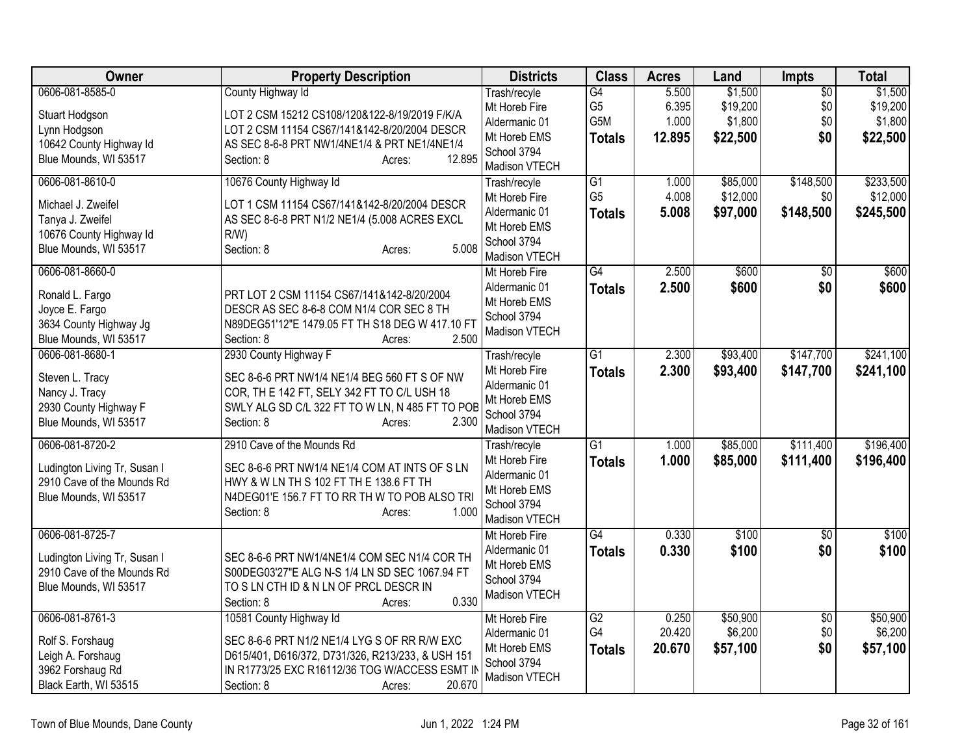| Owner                        | <b>Property Description</b>                       | <b>Districts</b>             | <b>Class</b>    | <b>Acres</b> | Land     | <b>Impts</b>    | <b>Total</b> |
|------------------------------|---------------------------------------------------|------------------------------|-----------------|--------------|----------|-----------------|--------------|
| 0606-081-8585-0              | County Highway Id                                 | Trash/recyle                 | $\overline{G4}$ | 5.500        | \$1,500  | $\overline{50}$ | \$1,500      |
| Stuart Hodgson               | LOT 2 CSM 15212 CS108/120&122-8/19/2019 F/K/A     | Mt Horeb Fire                | G <sub>5</sub>  | 6.395        | \$19,200 | \$0             | \$19,200     |
| Lynn Hodgson                 | LOT 2 CSM 11154 CS67/141&142-8/20/2004 DESCR      | Aldermanic 01                | G5M             | 1.000        | \$1,800  | \$0             | \$1,800      |
| 10642 County Highway Id      | AS SEC 8-6-8 PRT NW1/4NE1/4 & PRT NE1/4NE1/4      | Mt Horeb EMS                 | <b>Totals</b>   | 12.895       | \$22,500 | \$0             | \$22,500     |
| Blue Mounds, WI 53517        | 12.895<br>Section: 8<br>Acres:                    | School 3794                  |                 |              |          |                 |              |
|                              |                                                   | Madison VTECH                |                 |              |          |                 |              |
| 0606-081-8610-0              | 10676 County Highway Id                           | Trash/recyle                 | G1              | 1.000        | \$85,000 | \$148,500       | \$233,500    |
| Michael J. Zweifel           | LOT 1 CSM 11154 CS67/141&142-8/20/2004 DESCR      | Mt Horeb Fire                | G <sub>5</sub>  | 4.008        | \$12,000 | \$0             | \$12,000     |
| Tanya J. Zweifel             | AS SEC 8-6-8 PRT N1/2 NE1/4 (5.008 ACRES EXCL     | Aldermanic 01                | <b>Totals</b>   | 5.008        | \$97,000 | \$148,500       | \$245,500    |
| 10676 County Highway Id      | $R/W$ )                                           | Mt Horeb EMS                 |                 |              |          |                 |              |
| Blue Mounds, WI 53517        | 5.008<br>Section: 8<br>Acres:                     | School 3794<br>Madison VTECH |                 |              |          |                 |              |
| 0606-081-8660-0              |                                                   | Mt Horeb Fire                | G4              | 2.500        | \$600    | $\sqrt{6}$      | \$600        |
|                              |                                                   | Aldermanic 01                |                 |              |          |                 |              |
| Ronald L. Fargo              | PRT LOT 2 CSM 11154 CS67/141&142-8/20/2004        | Mt Horeb EMS                 | <b>Totals</b>   | 2.500        | \$600    | \$0             | \$600        |
| Joyce E. Fargo               | DESCR AS SEC 8-6-8 COM N1/4 COR SEC 8 TH          | School 3794                  |                 |              |          |                 |              |
| 3634 County Highway Jg       | N89DEG51'12"E 1479.05 FT TH S18 DEG W 417.10 FT   | Madison VTECH                |                 |              |          |                 |              |
| Blue Mounds, WI 53517        | 2.500<br>Section: 8<br>Acres:                     |                              |                 |              |          |                 |              |
| 0606-081-8680-1              | 2930 County Highway F                             | Trash/recyle                 | G1              | 2.300        | \$93,400 | \$147,700       | \$241,100    |
| Steven L. Tracy              | SEC 8-6-6 PRT NW1/4 NE1/4 BEG 560 FT S OF NW      | Mt Horeb Fire                | <b>Totals</b>   | 2.300        | \$93,400 | \$147,700       | \$241,100    |
| Nancy J. Tracy               | COR, TH E 142 FT, SELY 342 FT TO C/L USH 18       | Aldermanic 01                |                 |              |          |                 |              |
| 2930 County Highway F        | SWLY ALG SD C/L 322 FT TO W LN, N 485 FT TO POB   | Mt Horeb EMS                 |                 |              |          |                 |              |
| Blue Mounds, WI 53517        | Section: 8<br>2.300<br>Acres:                     | School 3794                  |                 |              |          |                 |              |
|                              |                                                   | Madison VTECH                |                 |              |          |                 |              |
| 0606-081-8720-2              | 2910 Cave of the Mounds Rd                        | Trash/recyle                 | $\overline{G1}$ | 1.000        | \$85,000 | \$111,400       | \$196,400    |
| Ludington Living Tr, Susan I | SEC 8-6-6 PRT NW1/4 NE1/4 COM AT INTS OF S LN     | Mt Horeb Fire                | <b>Totals</b>   | 1.000        | \$85,000 | \$111,400       | \$196,400    |
| 2910 Cave of the Mounds Rd   | HWY & W LN TH S 102 FT TH E 138.6 FT TH           | Aldermanic 01                |                 |              |          |                 |              |
| Blue Mounds, WI 53517        | N4DEG01'E 156.7 FT TO RR TH W TO POB ALSO TRI     | Mt Horeb EMS                 |                 |              |          |                 |              |
|                              | 1.000<br>Section: 8<br>Acres:                     | School 3794                  |                 |              |          |                 |              |
|                              |                                                   | Madison VTECH                |                 |              |          |                 |              |
| 0606-081-8725-7              |                                                   | Mt Horeb Fire                | $\overline{G4}$ | 0.330        | \$100    | $\overline{50}$ | \$100        |
| Ludington Living Tr, Susan I | SEC 8-6-6 PRT NW1/4NE1/4 COM SEC N1/4 COR TH      | Aldermanic 01                | <b>Totals</b>   | 0.330        | \$100    | \$0             | \$100        |
| 2910 Cave of the Mounds Rd   | S00DEG03'27"E ALG N-S 1/4 LN SD SEC 1067.94 FT    | Mt Horeb EMS<br>School 3794  |                 |              |          |                 |              |
| Blue Mounds, WI 53517        | TO S LN CTH ID & N LN OF PRCL DESCR IN            |                              |                 |              |          |                 |              |
|                              | 0.330<br>Section: 8<br>Acres:                     | Madison VTECH                |                 |              |          |                 |              |
| 0606-081-8761-3              | 10581 County Highway Id                           | Mt Horeb Fire                | $\overline{G2}$ | 0.250        | \$50,900 | $\overline{50}$ | \$50,900     |
| Rolf S. Forshaug             | SEC 8-6-6 PRT N1/2 NE1/4 LYG S OF RR R/W EXC      | Aldermanic 01                | G4              | 20.420       | \$6,200  | \$0             | \$6,200      |
| Leigh A. Forshaug            | D615/401, D616/372, D731/326, R213/233, & USH 151 | Mt Horeb EMS                 | <b>Totals</b>   | 20.670       | \$57,100 | \$0             | \$57,100     |
| 3962 Forshaug Rd             | IN R1773/25 EXC R16112/36 TOG W/ACCESS ESMT II    | School 3794                  |                 |              |          |                 |              |
| Black Earth, WI 53515        | 20.670<br>Section: 8<br>Acres:                    | Madison VTECH                |                 |              |          |                 |              |
|                              |                                                   |                              |                 |              |          |                 |              |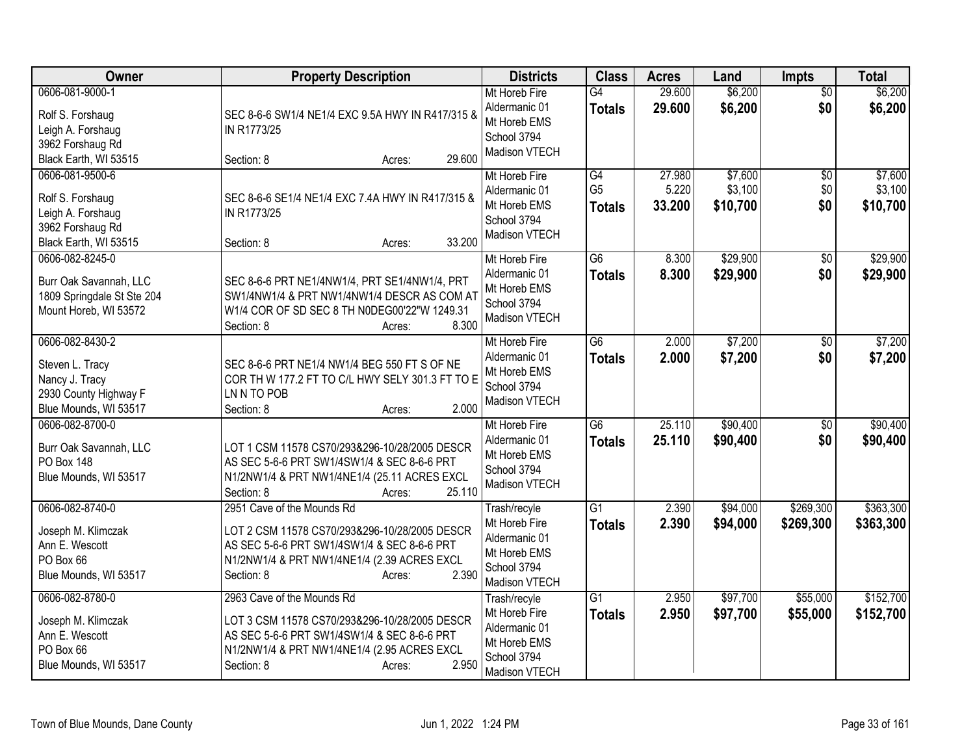| <b>Owner</b>                                                                                           | <b>Property Description</b>                                                                                                                                                                                | <b>Districts</b>                                                                               | <b>Class</b>                          | <b>Acres</b>              | Land                           | <b>Impts</b>           | <b>Total</b>                   |
|--------------------------------------------------------------------------------------------------------|------------------------------------------------------------------------------------------------------------------------------------------------------------------------------------------------------------|------------------------------------------------------------------------------------------------|---------------------------------------|---------------------------|--------------------------------|------------------------|--------------------------------|
| 0606-081-9000-1<br>Rolf S. Forshaug<br>Leigh A. Forshaug<br>3962 Forshaug Rd<br>Black Earth, WI 53515  | SEC 8-6-6 SW1/4 NE1/4 EXC 9.5A HWY IN R417/315 &<br>IN R1773/25<br>29.600<br>Section: 8<br>Acres:                                                                                                          | Mt Horeb Fire<br>Aldermanic 01<br>Mt Horeb EMS<br>School 3794<br>Madison VTECH                 | $\overline{G4}$<br><b>Totals</b>      | 29.600<br>29.600          | \$6,200<br>\$6,200             | $\overline{50}$<br>\$0 | \$6,200<br>\$6,200             |
| 0606-081-9500-6<br>Rolf S. Forshaug<br>Leigh A. Forshaug<br>3962 Forshaug Rd<br>Black Earth, WI 53515  | SEC 8-6-6 SE1/4 NE1/4 EXC 7.4A HWY IN R417/315 &<br>IN R1773/25<br>33.200<br>Section: 8<br>Acres:                                                                                                          | Mt Horeb Fire<br>Aldermanic 01<br>Mt Horeb EMS<br>School 3794<br>Madison VTECH                 | G4<br>G <sub>5</sub><br><b>Totals</b> | 27.980<br>5.220<br>33.200 | \$7,600<br>\$3,100<br>\$10,700 | \$0<br>\$0<br>\$0      | \$7,600<br>\$3,100<br>\$10,700 |
| 0606-082-8245-0<br>Burr Oak Savannah, LLC<br>1809 Springdale St Ste 204<br>Mount Horeb, WI 53572       | SEC 8-6-6 PRT NE1/4NW1/4, PRT SE1/4NW1/4, PRT<br>SW1/4NW1/4 & PRT NW1/4NW1/4 DESCR AS COM AT<br>W1/4 COR OF SD SEC 8 TH N0DEG00'22"W 1249.31<br>8.300<br>Section: 8<br>Acres:                              | Mt Horeb Fire<br>Aldermanic 01<br>Mt Horeb EMS<br>School 3794<br>Madison VTECH                 | $\overline{G6}$<br><b>Totals</b>      | 8.300<br>8.300            | \$29,900<br>\$29,900           | \$0<br>\$0             | \$29,900<br>\$29,900           |
| 0606-082-8430-2<br>Steven L. Tracy<br>Nancy J. Tracy<br>2930 County Highway F<br>Blue Mounds, WI 53517 | SEC 8-6-6 PRT NE1/4 NW1/4 BEG 550 FT S OF NE<br>COR TH W 177.2 FT TO C/L HWY SELY 301.3 FT TO E<br>LN N TO POB<br>2.000<br>Section: 8<br>Acres:                                                            | Mt Horeb Fire<br>Aldermanic 01<br>Mt Horeb EMS<br>School 3794<br>Madison VTECH                 | $\overline{G6}$<br><b>Totals</b>      | 2.000<br>2.000            | \$7,200<br>\$7,200             | $\overline{50}$<br>\$0 | \$7,200<br>\$7,200             |
| 0606-082-8700-0<br>Burr Oak Savannah, LLC<br><b>PO Box 148</b><br>Blue Mounds, WI 53517                | LOT 1 CSM 11578 CS70/293&296-10/28/2005 DESCR<br>AS SEC 5-6-6 PRT SW1/4SW1/4 & SEC 8-6-6 PRT<br>N1/2NW1/4 & PRT NW1/4NE1/4 (25.11 ACRES EXCL<br>25.110<br>Section: 8<br>Acres:                             | Mt Horeb Fire<br>Aldermanic 01<br>Mt Horeb EMS<br>School 3794<br>Madison VTECH                 | $\overline{G6}$<br><b>Totals</b>      | 25.110<br>25.110          | \$90,400<br>\$90,400           | $\overline{30}$<br>\$0 | \$90,400<br>\$90,400           |
| 0606-082-8740-0<br>Joseph M. Klimczak<br>Ann E. Wescott<br>PO Box 66<br>Blue Mounds, WI 53517          | 2951 Cave of the Mounds Rd<br>LOT 2 CSM 11578 CS70/293&296-10/28/2005 DESCR<br>AS SEC 5-6-6 PRT SW1/4SW1/4 & SEC 8-6-6 PRT<br>N1/2NW1/4 & PRT NW1/4NE1/4 (2.39 ACRES EXCL<br>2.390<br>Section: 8<br>Acres: | Trash/recyle<br>Mt Horeb Fire<br>Aldermanic 01<br>Mt Horeb EMS<br>School 3794<br>Madison VTECH | $\overline{G1}$<br><b>Totals</b>      | 2.390<br>2.390            | \$94,000<br>\$94,000           | \$269,300<br>\$269,300 | \$363,300<br>\$363,300         |
| 0606-082-8780-0<br>Joseph M. Klimczak<br>Ann E. Wescott<br>PO Box 66<br>Blue Mounds, WI 53517          | 2963 Cave of the Mounds Rd<br>LOT 3 CSM 11578 CS70/293&296-10/28/2005 DESCR<br>AS SEC 5-6-6 PRT SW1/4SW1/4 & SEC 8-6-6 PRT<br>N1/2NW1/4 & PRT NW1/4NE1/4 (2.95 ACRES EXCL<br>2.950<br>Section: 8<br>Acres: | Trash/recyle<br>Mt Horeb Fire<br>Aldermanic 01<br>Mt Horeb EMS<br>School 3794<br>Madison VTECH | $\overline{G1}$<br><b>Totals</b>      | 2.950<br>2.950            | \$97,700<br>\$97,700           | \$55,000<br>\$55,000   | \$152,700<br>\$152,700         |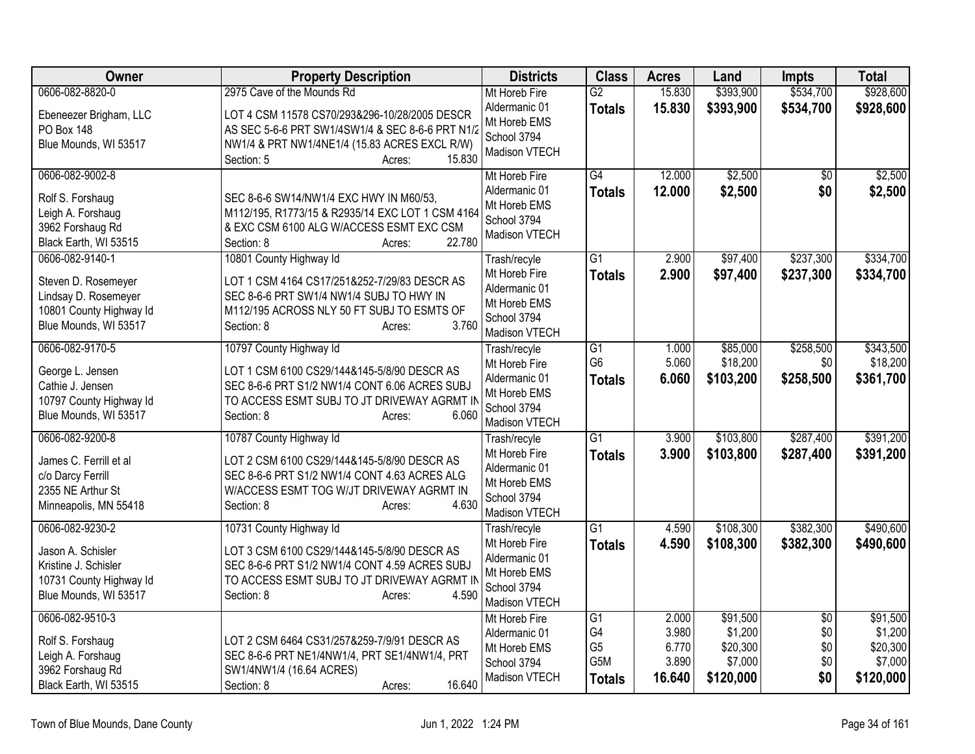| Owner                                                                                                              | <b>Property Description</b>                                                                                                                                                                             | <b>Districts</b>                                                                               | <b>Class</b>                                                    | <b>Acres</b>                               | Land                                                    | <b>Impts</b>                                | <b>Total</b>                                            |
|--------------------------------------------------------------------------------------------------------------------|---------------------------------------------------------------------------------------------------------------------------------------------------------------------------------------------------------|------------------------------------------------------------------------------------------------|-----------------------------------------------------------------|--------------------------------------------|---------------------------------------------------------|---------------------------------------------|---------------------------------------------------------|
| 0606-082-8820-0<br>Ebeneezer Brigham, LLC                                                                          | 2975 Cave of the Mounds Rd<br>LOT 4 CSM 11578 CS70/293&296-10/28/2005 DESCR                                                                                                                             | Mt Horeb Fire<br>Aldermanic 01                                                                 | G2<br><b>Totals</b>                                             | 15.830<br>15.830                           | \$393,900<br>\$393,900                                  | \$534,700<br>\$534,700                      | \$928,600<br>\$928,600                                  |
| PO Box 148<br>Blue Mounds, WI 53517                                                                                | AS SEC 5-6-6 PRT SW1/4SW1/4 & SEC 8-6-6 PRT N1/2<br>NW1/4 & PRT NW1/4NE1/4 (15.83 ACRES EXCL R/W)<br>15.830<br>Section: 5<br>Acres:                                                                     | Mt Horeb EMS<br>School 3794<br>Madison VTECH                                                   |                                                                 |                                            |                                                         |                                             |                                                         |
| 0606-082-9002-8<br>Rolf S. Forshaug<br>Leigh A. Forshaug<br>3962 Forshaug Rd<br>Black Earth, WI 53515              | SEC 8-6-6 SW14/NW1/4 EXC HWY IN M60/53.<br>M112/195, R1773/15 & R2935/14 EXC LOT 1 CSM 4164<br>& EXC CSM 6100 ALG W/ACCESS ESMT EXC CSM<br>22.780<br>Section: 8<br>Acres:                               | Mt Horeb Fire<br>Aldermanic 01<br>Mt Horeb EMS<br>School 3794<br>Madison VTECH                 | G4<br><b>Totals</b>                                             | 12.000<br>12.000                           | \$2,500<br>\$2,500                                      | \$0<br>\$0                                  | \$2,500<br>\$2,500                                      |
| 0606-082-9140-1<br>Steven D. Rosemeyer<br>Lindsay D. Rosemeyer<br>10801 County Highway Id<br>Blue Mounds, WI 53517 | 10801 County Highway Id<br>LOT 1 CSM 4164 CS17/251&252-7/29/83 DESCR AS<br>SEC 8-6-6 PRT SW1/4 NW1/4 SUBJ TO HWY IN<br>M112/195 ACROSS NLY 50 FT SUBJ TO ESMTS OF<br>3.760<br>Section: 8<br>Acres:      | Trash/recyle<br>Mt Horeb Fire<br>Aldermanic 01<br>Mt Horeb EMS<br>School 3794<br>Madison VTECH | $\overline{G1}$<br><b>Totals</b>                                | 2.900<br>2.900                             | \$97,400<br>\$97,400                                    | \$237,300<br>\$237,300                      | \$334,700<br>\$334,700                                  |
| 0606-082-9170-5<br>George L. Jensen<br>Cathie J. Jensen<br>10797 County Highway Id<br>Blue Mounds, WI 53517        | 10797 County Highway Id<br>LOT 1 CSM 6100 CS29/144&145-5/8/90 DESCR AS<br>SEC 8-6-6 PRT S1/2 NW1/4 CONT 6.06 ACRES SUBJ<br>TO ACCESS ESMT SUBJ TO JT DRIVEWAY AGRMT IN<br>6.060<br>Section: 8<br>Acres: | Trash/recyle<br>Mt Horeb Fire<br>Aldermanic 01<br>Mt Horeb EMS<br>School 3794<br>Madison VTECH | $\overline{G1}$<br>G <sub>6</sub><br><b>Totals</b>              | 1.000<br>5.060<br>6.060                    | \$85,000<br>\$18,200<br>\$103,200                       | \$258,500<br>\$0<br>\$258,500               | \$343,500<br>\$18,200<br>\$361,700                      |
| 0606-082-9200-8<br>James C. Ferrill et al<br>c/o Darcy Ferrill<br>2355 NE Arthur St<br>Minneapolis, MN 55418       | 10787 County Highway Id<br>LOT 2 CSM 6100 CS29/144&145-5/8/90 DESCR AS<br>SEC 8-6-6 PRT S1/2 NW1/4 CONT 4.63 ACRES ALG<br>W/ACCESS ESMT TOG W/JT DRIVEWAY AGRMT IN<br>Section: 8<br>4.630<br>Acres:     | Trash/recyle<br>Mt Horeb Fire<br>Aldermanic 01<br>Mt Horeb EMS<br>School 3794<br>Madison VTECH | $\overline{G1}$<br><b>Totals</b>                                | 3.900<br>3.900                             | \$103,800<br>\$103,800                                  | \$287,400<br>\$287,400                      | \$391,200<br>\$391,200                                  |
| 0606-082-9230-2<br>Jason A. Schisler<br>Kristine J. Schisler<br>10731 County Highway Id<br>Blue Mounds, WI 53517   | 10731 County Highway Id<br>LOT 3 CSM 6100 CS29/144&145-5/8/90 DESCR AS<br>SEC 8-6-6 PRT S1/2 NW1/4 CONT 4.59 ACRES SUBJ<br>TO ACCESS ESMT SUBJ TO JT DRIVEWAY AGRMT IN<br>Section: 8<br>4.590<br>Acres: | Trash/recyle<br>Mt Horeb Fire<br>Aldermanic 01<br>Mt Horeb EMS<br>School 3794<br>Madison VTECH | $\overline{G1}$<br><b>Totals</b>                                | 4.590<br>4.590                             | \$108,300<br>\$108,300                                  | \$382,300<br>\$382,300                      | \$490,600<br>\$490,600                                  |
| 0606-082-9510-3<br>Rolf S. Forshaug<br>Leigh A. Forshaug<br>3962 Forshaug Rd<br>Black Earth, WI 53515              | LOT 2 CSM 6464 CS31/257&259-7/9/91 DESCR AS<br>SEC 8-6-6 PRT NE1/4NW1/4, PRT SE1/4NW1/4, PRT<br>SW1/4NW1/4 (16.64 ACRES)<br>16.640<br>Section: 8<br>Acres:                                              | Mt Horeb Fire<br>Aldermanic 01<br>Mt Horeb EMS<br>School 3794<br>Madison VTECH                 | $\overline{G1}$<br>G4<br>G <sub>5</sub><br>G5M<br><b>Totals</b> | 2.000<br>3.980<br>6.770<br>3.890<br>16.640 | \$91,500<br>\$1,200<br>\$20,300<br>\$7,000<br>\$120,000 | $\overline{50}$<br>\$0<br>\$0<br>\$0<br>\$0 | \$91,500<br>\$1,200<br>\$20,300<br>\$7,000<br>\$120,000 |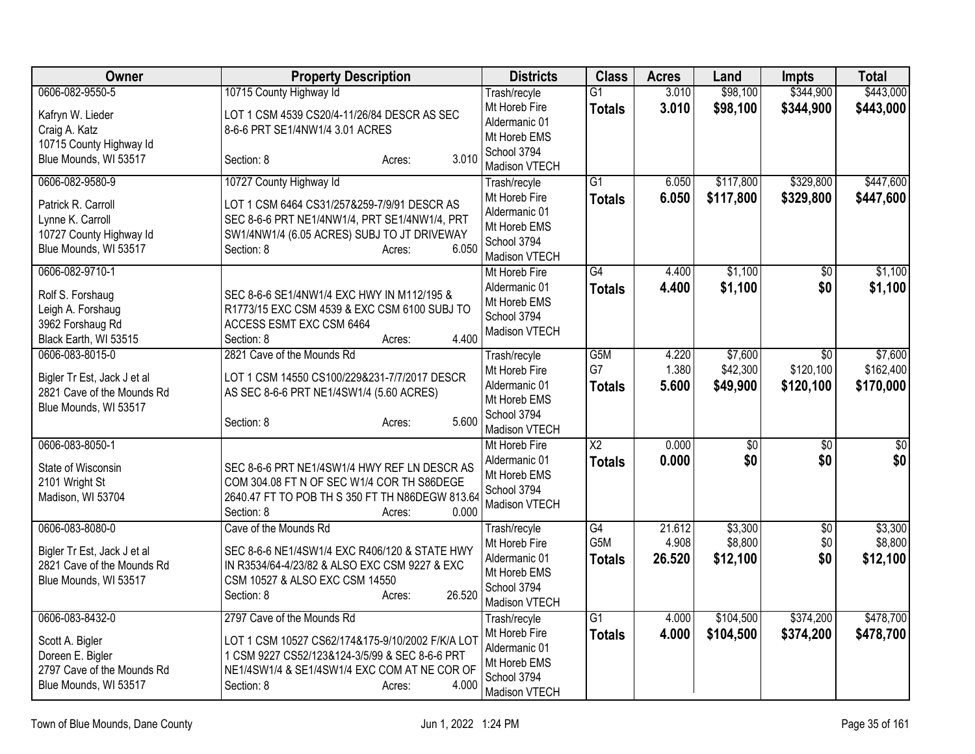| <b>Owner</b>                                                                                                  | <b>Property Description</b>                                                                                                                                                                                       | <b>Districts</b>                                                                               | <b>Class</b>                     | <b>Acres</b>              | Land                            | <b>Impts</b>                  | <b>Total</b>                      |
|---------------------------------------------------------------------------------------------------------------|-------------------------------------------------------------------------------------------------------------------------------------------------------------------------------------------------------------------|------------------------------------------------------------------------------------------------|----------------------------------|---------------------------|---------------------------------|-------------------------------|-----------------------------------|
| 0606-082-9550-5                                                                                               | 10715 County Highway Id                                                                                                                                                                                           | Trash/recyle                                                                                   | $\overline{G1}$                  | 3.010                     | \$98,100                        | \$344,900                     | \$443,000                         |
| Kafryn W. Lieder<br>Craig A. Katz<br>10715 County Highway Id                                                  | LOT 1 CSM 4539 CS20/4-11/26/84 DESCR AS SEC<br>8-6-6 PRT SE1/4NW1/4 3.01 ACRES<br>3.010                                                                                                                           | Mt Horeb Fire<br>Aldermanic 01<br>Mt Horeb EMS<br>School 3794                                  | <b>Totals</b>                    | 3.010                     | \$98,100                        | \$344,900                     | \$443,000                         |
| Blue Mounds, WI 53517                                                                                         | Section: 8<br>Acres:                                                                                                                                                                                              | Madison VTECH                                                                                  |                                  |                           |                                 |                               |                                   |
| 0606-082-9580-9<br>Patrick R. Carroll<br>Lynne K. Carroll<br>10727 County Highway Id<br>Blue Mounds, WI 53517 | 10727 County Highway Id<br>LOT 1 CSM 6464 CS31/257&259-7/9/91 DESCR AS<br>SEC 8-6-6 PRT NE1/4NW1/4, PRT SE1/4NW1/4, PRT<br>SW1/4NW1/4 (6.05 ACRES) SUBJ TO JT DRIVEWAY<br>6.050<br>Section: 8<br>Acres:           | Trash/recyle<br>Mt Horeb Fire<br>Aldermanic 01<br>Mt Horeb EMS<br>School 3794<br>Madison VTECH | $\overline{G1}$<br><b>Totals</b> | 6.050<br>6.050            | \$117,800<br>\$117,800          | \$329,800<br>\$329,800        | \$447,600<br>\$447,600            |
| 0606-082-9710-1<br>Rolf S. Forshaug<br>Leigh A. Forshaug<br>3962 Forshaug Rd<br>Black Earth, WI 53515         | SEC 8-6-6 SE1/4NW1/4 EXC HWY IN M112/195 &<br>R1773/15 EXC CSM 4539 & EXC CSM 6100 SUBJ TO<br>ACCESS ESMT EXC CSM 6464<br>4.400<br>Section: 8<br>Acres:                                                           | Mt Horeb Fire<br>Aldermanic 01<br>Mt Horeb EMS<br>School 3794<br>Madison VTECH                 | $\overline{G4}$<br><b>Totals</b> | 4.400<br>4.400            | \$1,100<br>\$1,100              | \$0<br>\$0                    | \$1,100<br>\$1,100                |
| 0606-083-8015-0<br>Bigler Tr Est, Jack J et al<br>2821 Cave of the Mounds Rd<br>Blue Mounds, WI 53517         | 2821 Cave of the Mounds Rd<br>LOT 1 CSM 14550 CS100/229&231-7/7/2017 DESCR<br>AS SEC 8-6-6 PRT NE1/4SW1/4 (5.60 ACRES)<br>5.600<br>Section: 8<br>Acres:                                                           | Trash/recyle<br>Mt Horeb Fire<br>Aldermanic 01<br>Mt Horeb EMS<br>School 3794<br>Madison VTECH | G5M<br>G7<br><b>Totals</b>       | 4.220<br>1.380<br>5.600   | \$7,600<br>\$42,300<br>\$49,900 | \$0<br>\$120,100<br>\$120,100 | \$7,600<br>\$162,400<br>\$170,000 |
| 0606-083-8050-1<br>State of Wisconsin<br>2101 Wright St<br>Madison, WI 53704                                  | SEC 8-6-6 PRT NE1/4SW1/4 HWY REF LN DESCR AS<br>COM 304.08 FT N OF SEC W1/4 COR TH S86DEGE<br>2640.47 FT TO POB TH S 350 FT TH N86DEGW 813.64<br>0.000<br>Section: 8<br>Acres:                                    | Mt Horeb Fire<br>Aldermanic 01<br>Mt Horeb EMS<br>School 3794<br><b>Madison VTECH</b>          | $\overline{X2}$<br><b>Totals</b> | 0.000<br>0.000            | $\overline{50}$<br>\$0          | $\overline{50}$<br>\$0        | $\overline{50}$<br>\$0            |
| 0606-083-8080-0<br>Bigler Tr Est, Jack J et al<br>2821 Cave of the Mounds Rd<br>Blue Mounds, WI 53517         | Cave of the Mounds Rd<br>SEC 8-6-6 NE1/4SW1/4 EXC R406/120 & STATE HWY<br>IN R3534/64-4/23/82 & ALSO EXC CSM 9227 & EXC<br>CSM 10527 & ALSO EXC CSM 14550<br>26.520<br>Section: 8<br>Acres:                       | Trash/recyle<br>Mt Horeb Fire<br>Aldermanic 01<br>Mt Horeb EMS<br>School 3794<br>Madison VTECH | G4<br>G5M<br><b>Totals</b>       | 21.612<br>4.908<br>26.520 | \$3,300<br>\$8,800<br>\$12,100  | $\overline{50}$<br>\$0<br>\$0 | \$3,300<br>\$8,800<br>\$12,100    |
| 0606-083-8432-0<br>Scott A. Bigler<br>Doreen E. Bigler<br>2797 Cave of the Mounds Rd<br>Blue Mounds, WI 53517 | 2797 Cave of the Mounds Rd<br>LOT 1 CSM 10527 CS62/174&175-9/10/2002 F/K/A LOT<br>1 CSM 9227 CS52/123&124-3/5/99 & SEC 8-6-6 PRT<br>NE1/4SW1/4 & SE1/4SW1/4 EXC COM AT NE COR OF<br>4.000<br>Section: 8<br>Acres: | Trash/recyle<br>Mt Horeb Fire<br>Aldermanic 01<br>Mt Horeb EMS<br>School 3794<br>Madison VTECH | $\overline{G1}$<br><b>Totals</b> | 4.000<br>4.000            | \$104,500<br>\$104,500          | \$374,200<br>\$374,200        | \$478,700<br>\$478,700            |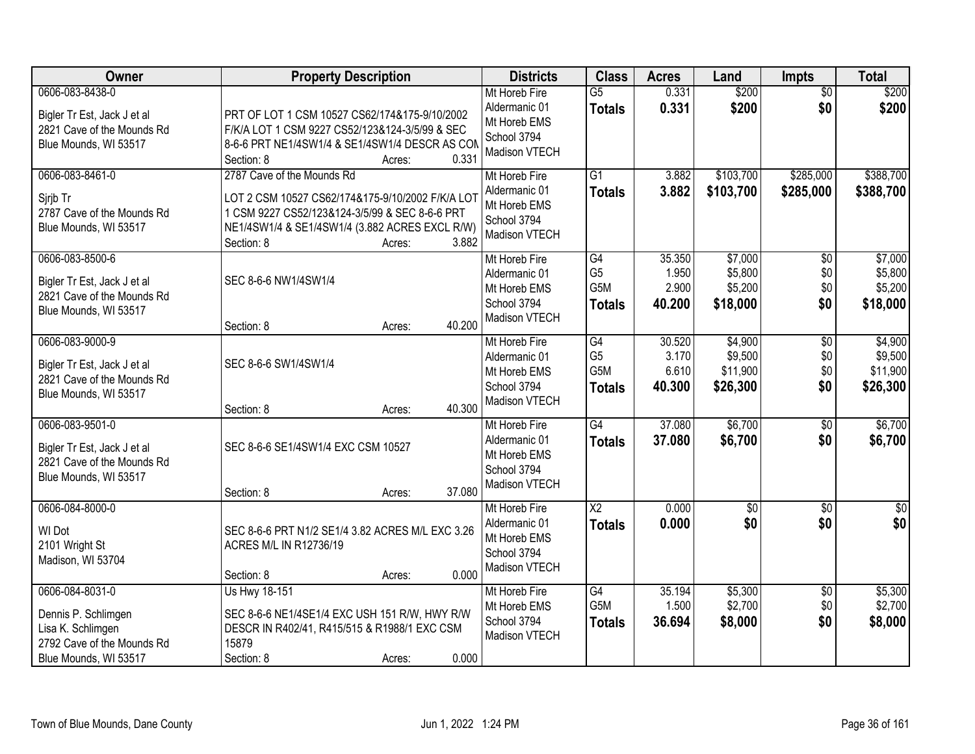| Owner                                                                                                              | <b>Property Description</b>                                                                                                                                                                                         | <b>Districts</b>                                                               | <b>Class</b>                                              | <b>Acres</b>                       | Land                                       | <b>Impts</b>                      | <b>Total</b>                               |
|--------------------------------------------------------------------------------------------------------------------|---------------------------------------------------------------------------------------------------------------------------------------------------------------------------------------------------------------------|--------------------------------------------------------------------------------|-----------------------------------------------------------|------------------------------------|--------------------------------------------|-----------------------------------|--------------------------------------------|
| 0606-083-8438-0<br>Bigler Tr Est, Jack J et al<br>2821 Cave of the Mounds Rd<br>Blue Mounds, WI 53517              | PRT OF LOT 1 CSM 10527 CS62/174&175-9/10/2002<br>F/K/A LOT 1 CSM 9227 CS52/123&124-3/5/99 & SEC<br>8-6-6 PRT NE1/4SW1/4 & SE1/4SW1/4 DESCR AS COM<br>0.331<br>Section: 8<br>Acres:                                  | Mt Horeb Fire<br>Aldermanic 01<br>Mt Horeb EMS<br>School 3794<br>Madison VTECH | $\overline{G5}$<br><b>Totals</b>                          | 0.331<br>0.331                     | \$200<br>\$200                             | $\overline{50}$<br>\$0            | \$200<br>\$200                             |
| 0606-083-8461-0<br>Sjrjb Tr<br>2787 Cave of the Mounds Rd<br>Blue Mounds, WI 53517                                 | 2787 Cave of the Mounds Rd<br>LOT 2 CSM 10527 CS62/174&175-9/10/2002 F/K/A LOT<br>1 CSM 9227 CS52/123&124-3/5/99 & SEC 8-6-6 PRT<br>NE1/4SW1/4 & SE1/4SW1/4 (3.882 ACRES EXCL R/W)<br>3.882<br>Section: 8<br>Acres: | Mt Horeb Fire<br>Aldermanic 01<br>Mt Horeb EMS<br>School 3794<br>Madison VTECH | $\overline{G1}$<br><b>Totals</b>                          | 3.882<br>3.882                     | \$103,700<br>\$103,700                     | \$285,000<br>\$285,000            | \$388,700<br>\$388,700                     |
| 0606-083-8500-6<br>Bigler Tr Est, Jack J et al<br>2821 Cave of the Mounds Rd<br>Blue Mounds, WI 53517              | SEC 8-6-6 NW1/4SW1/4<br>40.200<br>Section: 8<br>Acres:                                                                                                                                                              | Mt Horeb Fire<br>Aldermanic 01<br>Mt Horeb EMS<br>School 3794<br>Madison VTECH | G4<br>G <sub>5</sub><br>G <sub>5</sub> M<br><b>Totals</b> | 35.350<br>1.950<br>2.900<br>40.200 | \$7,000<br>\$5,800<br>\$5,200<br>\$18,000  | $\sqrt[6]{}$<br>\$0<br>\$0<br>\$0 | \$7,000<br>\$5,800<br>\$5,200<br>\$18,000  |
| 0606-083-9000-9<br>Bigler Tr Est, Jack J et al<br>2821 Cave of the Mounds Rd<br>Blue Mounds, WI 53517              | SEC 8-6-6 SW1/4SW1/4<br>40.300                                                                                                                                                                                      | Mt Horeb Fire<br>Aldermanic 01<br>Mt Horeb EMS<br>School 3794<br>Madison VTECH | G4<br>G <sub>5</sub><br>G5M<br><b>Totals</b>              | 30.520<br>3.170<br>6.610<br>40.300 | \$4,900<br>\$9,500<br>\$11,900<br>\$26,300 | \$0<br>\$0<br>\$0<br>\$0          | \$4,900<br>\$9,500<br>\$11,900<br>\$26,300 |
| 0606-083-9501-0<br>Bigler Tr Est, Jack J et al<br>2821 Cave of the Mounds Rd<br>Blue Mounds, WI 53517              | Section: 8<br>Acres:<br>SEC 8-6-6 SE1/4SW1/4 EXC CSM 10527<br>37.080<br>Section: 8<br>Acres:                                                                                                                        | Mt Horeb Fire<br>Aldermanic 01<br>Mt Horeb EMS<br>School 3794<br>Madison VTECH | G4<br><b>Totals</b>                                       | 37.080<br>37,080                   | \$6,700<br>\$6,700                         | \$0<br>\$0                        | \$6,700<br>\$6,700                         |
| 0606-084-8000-0<br>WI Dot<br>2101 Wright St<br>Madison, WI 53704                                                   | SEC 8-6-6 PRT N1/2 SE1/4 3.82 ACRES M/L EXC 3.26<br>ACRES M/L IN R12736/19<br>0.000<br>Section: 8<br>Acres:                                                                                                         | Mt Horeb Fire<br>Aldermanic 01<br>Mt Horeb EMS<br>School 3794<br>Madison VTECH | $\overline{X2}$<br><b>Totals</b>                          | 0.000<br>0.000                     | $\overline{50}$<br>\$0                     | $\overline{50}$<br>\$0            | $\overline{\$0}$<br>\$0                    |
| 0606-084-8031-0<br>Dennis P. Schlimgen<br>Lisa K. Schlimgen<br>2792 Cave of the Mounds Rd<br>Blue Mounds, WI 53517 | Us Hwy 18-151<br>SEC 8-6-6 NE1/4SE1/4 EXC USH 151 R/W, HWY R/W<br>DESCR IN R402/41, R415/515 & R1988/1 EXC CSM<br>15879<br>0.000<br>Section: 8<br>Acres:                                                            | Mt Horeb Fire<br>Mt Horeb EMS<br>School 3794<br>Madison VTECH                  | G4<br>G5M<br><b>Totals</b>                                | 35.194<br>1.500<br>36.694          | \$5,300<br>\$2,700<br>\$8,000              | $\overline{60}$<br>\$0<br>\$0     | \$5,300<br>\$2,700<br>\$8,000              |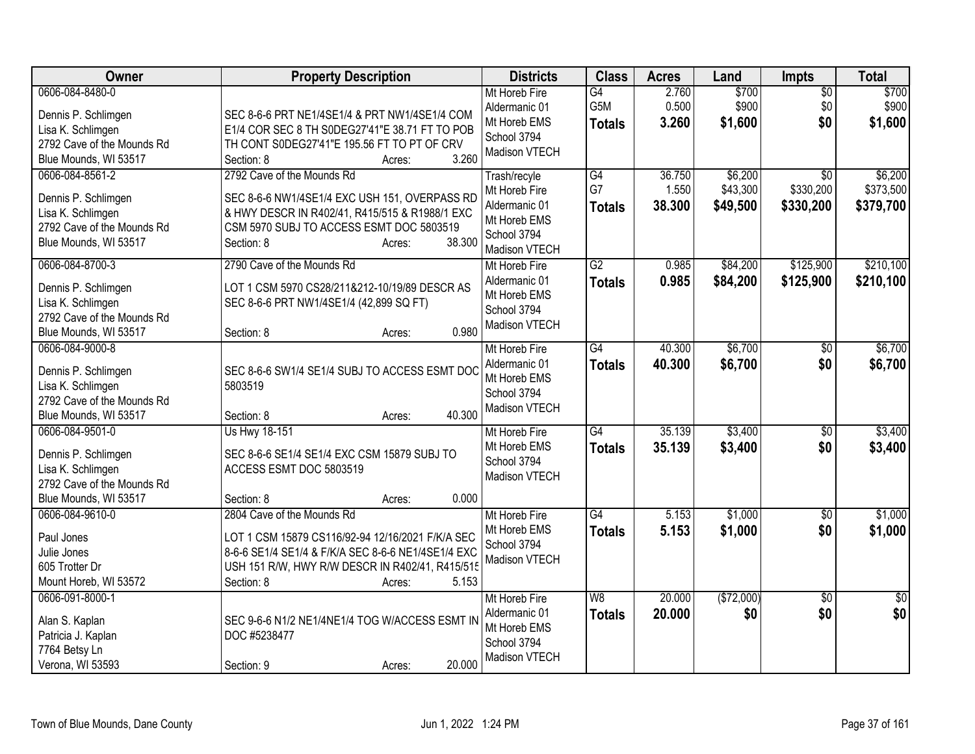| Owner                                                                                                              | <b>Property Description</b>                                                                                                                                                                                              | <b>Districts</b>                                                                               | <b>Class</b>                           | <b>Acres</b>              | Land                            | Impts                                     | <b>Total</b>                      |
|--------------------------------------------------------------------------------------------------------------------|--------------------------------------------------------------------------------------------------------------------------------------------------------------------------------------------------------------------------|------------------------------------------------------------------------------------------------|----------------------------------------|---------------------------|---------------------------------|-------------------------------------------|-----------------------------------|
| 0606-084-8480-0<br>Dennis P. Schlimgen<br>Lisa K. Schlimgen<br>2792 Cave of the Mounds Rd<br>Blue Mounds, WI 53517 | SEC 8-6-6 PRT NE1/4SE1/4 & PRT NW1/4SE1/4 COM<br>E1/4 COR SEC 8 TH S0DEG27'41"E 38.71 FT TO POB<br>TH CONT S0DEG27'41"E 195.56 FT TO PT OF CRV<br>3.260<br>Section: 8<br>Acres:                                          | Mt Horeb Fire<br>Aldermanic 01<br>Mt Horeb EMS<br>School 3794<br>Madison VTECH                 | G4<br>G5M<br><b>Totals</b>             | 2.760<br>0.500<br>3.260   | \$700<br>\$900<br>\$1,600       | $\overline{50}$<br>\$0<br>\$0             | \$700<br>\$900<br>\$1,600         |
| 0606-084-8561-2<br>Dennis P. Schlimgen<br>Lisa K. Schlimgen<br>2792 Cave of the Mounds Rd<br>Blue Mounds, WI 53517 | 2792 Cave of the Mounds Rd<br>SEC 8-6-6 NW1/4SE1/4 EXC USH 151, OVERPASS RD<br>& HWY DESCR IN R402/41, R415/515 & R1988/1 EXC<br>CSM 5970 SUBJ TO ACCESS ESMT DOC 5803519<br>38.300<br>Section: 8<br>Acres:              | Trash/recyle<br>Mt Horeb Fire<br>Aldermanic 01<br>Mt Horeb EMS<br>School 3794<br>Madison VTECH | $\overline{G4}$<br>G7<br><b>Totals</b> | 36.750<br>1.550<br>38.300 | \$6,200<br>\$43,300<br>\$49,500 | $\overline{30}$<br>\$330,200<br>\$330,200 | \$6,200<br>\$373,500<br>\$379,700 |
| 0606-084-8700-3<br>Dennis P. Schlimgen<br>Lisa K. Schlimgen<br>2792 Cave of the Mounds Rd<br>Blue Mounds, WI 53517 | 2790 Cave of the Mounds Rd<br>LOT 1 CSM 5970 CS28/211&212-10/19/89 DESCR AS<br>SEC 8-6-6 PRT NW1/4SE1/4 (42,899 SQ FT)<br>0.980<br>Section: 8<br>Acres:                                                                  | Mt Horeb Fire<br>Aldermanic 01<br>Mt Horeb EMS<br>School 3794<br>Madison VTECH                 | $\overline{G2}$<br><b>Totals</b>       | 0.985<br>0.985            | \$84,200<br>\$84,200            | \$125,900<br>\$125,900                    | \$210,100<br>\$210,100            |
| 0606-084-9000-8<br>Dennis P. Schlimgen<br>Lisa K. Schlimgen<br>2792 Cave of the Mounds Rd<br>Blue Mounds, WI 53517 | SEC 8-6-6 SW1/4 SE1/4 SUBJ TO ACCESS ESMT DOC<br>5803519<br>40.300<br>Section: 8<br>Acres:                                                                                                                               | Mt Horeb Fire<br>Aldermanic 01<br>Mt Horeb EMS<br>School 3794<br>Madison VTECH                 | $\overline{G4}$<br><b>Totals</b>       | 40.300<br>40.300          | \$6,700<br>\$6,700              | $\overline{50}$<br>\$0                    | \$6,700<br>\$6,700                |
| 0606-084-9501-0<br>Dennis P. Schlimgen<br>Lisa K. Schlimgen<br>2792 Cave of the Mounds Rd<br>Blue Mounds, WI 53517 | Us Hwy 18-151<br>SEC 8-6-6 SE1/4 SE1/4 EXC CSM 15879 SUBJ TO<br>ACCESS ESMT DOC 5803519<br>0.000<br>Section: 8<br>Acres:                                                                                                 | Mt Horeb Fire<br>Mt Horeb EMS<br>School 3794<br>Madison VTECH                                  | G4<br><b>Totals</b>                    | 35.139<br>35.139          | \$3,400<br>\$3,400              | \$0<br>\$0                                | \$3,400<br>\$3,400                |
| 0606-084-9610-0<br>Paul Jones<br>Julie Jones<br>605 Trotter Dr<br>Mount Horeb, WI 53572                            | 2804 Cave of the Mounds Rd<br>LOT 1 CSM 15879 CS116/92-94 12/16/2021 F/K/A SEC<br>8-6-6 SE1/4 SE1/4 & F/K/A SEC 8-6-6 NE1/4SE1/4 EXC<br>USH 151 R/W, HWY R/W DESCR IN R402/41, R415/515<br>Section: 8<br>5.153<br>Acres: | Mt Horeb Fire<br>Mt Horeb EMS<br>School 3794<br>Madison VTECH                                  | $\overline{G4}$<br><b>Totals</b>       | 5.153<br>5.153            | \$1,000<br>\$1,000              | \$0<br>\$0                                | \$1,000<br>\$1,000                |
| 0606-091-8000-1<br>Alan S. Kaplan<br>Patricia J. Kaplan<br>7764 Betsy Ln<br>Verona, WI 53593                       | SEC 9-6-6 N1/2 NE1/4NE1/4 TOG W/ACCESS ESMT IN<br>DOC #5238477<br>20.000<br>Section: 9<br>Acres:                                                                                                                         | Mt Horeb Fire<br>Aldermanic 01<br>Mt Horeb EMS<br>School 3794<br>Madison VTECH                 | W8<br><b>Totals</b>                    | 20.000<br>20.000          | (\$72,000)<br>\$0               | $\overline{50}$<br>\$0                    | $\overline{50}$<br>\$0            |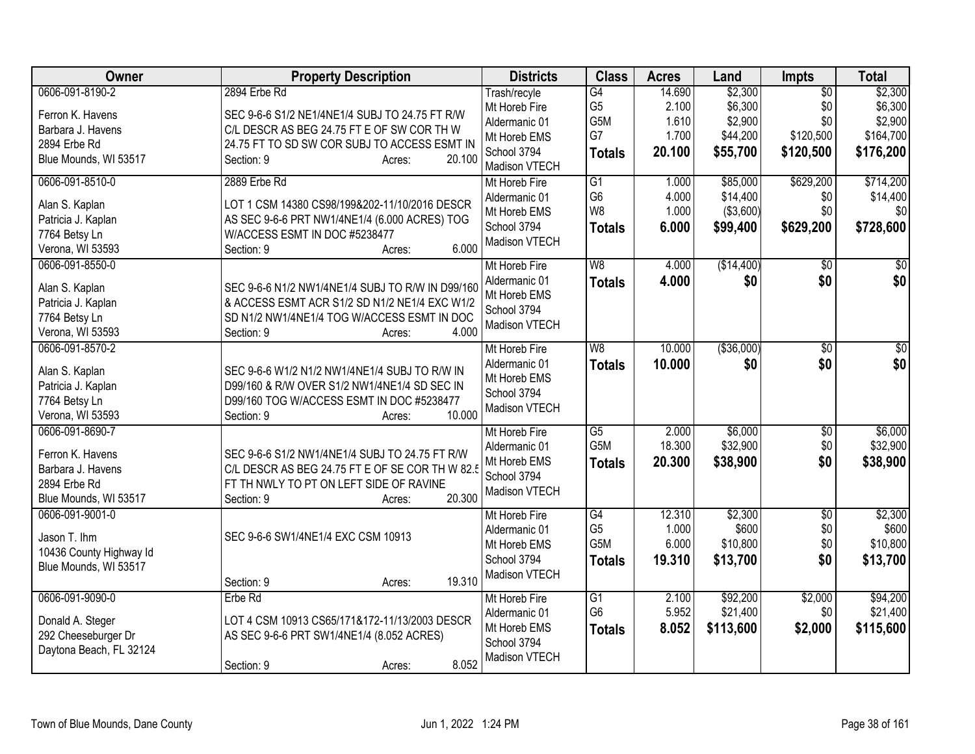| Owner                                            | <b>Property Description</b>                      | <b>Districts</b>              | <b>Class</b>                      | <b>Acres</b>   | Land                 | <b>Impts</b>    | <b>Total</b>          |
|--------------------------------------------------|--------------------------------------------------|-------------------------------|-----------------------------------|----------------|----------------------|-----------------|-----------------------|
| 0606-091-8190-2                                  | 2894 Erbe Rd                                     | Trash/recyle                  | G4                                | 14.690         | \$2,300              | $\overline{30}$ | \$2,300               |
| Ferron K. Havens                                 | SEC 9-6-6 S1/2 NE1/4NE1/4 SUBJ TO 24.75 FT R/W   | Mt Horeb Fire                 | G <sub>5</sub>                    | 2.100          | \$6,300              | \$0             | \$6,300               |
| Barbara J. Havens                                | C/L DESCR AS BEG 24.75 FT E OF SW COR TH W       | Aldermanic 01                 | G5M                               | 1.610          | \$2,900              | \$0             | \$2,900               |
| 2894 Erbe Rd                                     | 24.75 FT TO SD SW COR SUBJ TO ACCESS ESMT IN     | Mt Horeb EMS                  | G7                                | 1.700          | \$44,200             | \$120,500       | \$164,700             |
| Blue Mounds, WI 53517                            | 20.100<br>Section: 9<br>Acres:                   | School 3794                   | <b>Totals</b>                     | 20.100         | \$55,700             | \$120,500       | \$176,200             |
|                                                  |                                                  | Madison VTECH                 |                                   |                |                      |                 |                       |
| 0606-091-8510-0                                  | 2889 Erbe Rd                                     | Mt Horeb Fire                 | $\overline{G1}$<br>G <sub>6</sub> | 1.000<br>4.000 | \$85,000<br>\$14,400 | \$629,200       | \$714,200<br>\$14,400 |
| Alan S. Kaplan                                   | LOT 1 CSM 14380 CS98/199&202-11/10/2016 DESCR    | Aldermanic 01<br>Mt Horeb EMS | W8                                | 1.000          | (\$3,600)            | \$0<br>\$0      | \$0                   |
| Patricia J. Kaplan                               | AS SEC 9-6-6 PRT NW1/4NE1/4 (6.000 ACRES) TOG    | School 3794                   |                                   | 6.000          | \$99,400             | \$629,200       |                       |
| 7764 Betsy Ln                                    | W/ACCESS ESMT IN DOC #5238477                    | Madison VTECH                 | <b>Totals</b>                     |                |                      |                 | \$728,600             |
| Verona, WI 53593                                 | 6.000<br>Section: 9<br>Acres:                    |                               |                                   |                |                      |                 |                       |
| 0606-091-8550-0                                  |                                                  | Mt Horeb Fire                 | W8                                | 4.000          | (\$14,400)           | $\overline{30}$ | $\sqrt{50}$           |
| Alan S. Kaplan                                   | SEC 9-6-6 N1/2 NW1/4NE1/4 SUBJ TO R/W IN D99/160 | Aldermanic 01                 | <b>Totals</b>                     | 4.000          | \$0                  | \$0             | \$0                   |
| Patricia J. Kaplan                               | & ACCESS ESMT ACR S1/2 SD N1/2 NE1/4 EXC W1/2    | Mt Horeb EMS                  |                                   |                |                      |                 |                       |
| 7764 Betsy Ln                                    | SD N1/2 NW1/4NE1/4 TOG W/ACCESS ESMT IN DOC      | School 3794                   |                                   |                |                      |                 |                       |
| Verona, WI 53593                                 | 4.000<br>Section: 9<br>Acres:                    | Madison VTECH                 |                                   |                |                      |                 |                       |
| 0606-091-8570-2                                  |                                                  | Mt Horeb Fire                 | W8                                | 10.000         | ( \$36,000)          | $\overline{50}$ | $\sqrt{30}$           |
|                                                  |                                                  | Aldermanic 01                 | <b>Totals</b>                     | 10.000         | \$0                  | \$0             | \$0                   |
| Alan S. Kaplan                                   | SEC 9-6-6 W1/2 N1/2 NW1/4NE1/4 SUBJ TO R/W IN    | Mt Horeb EMS                  |                                   |                |                      |                 |                       |
| Patricia J. Kaplan                               | D99/160 & R/W OVER S1/2 NW1/4NE1/4 SD SEC IN     | School 3794                   |                                   |                |                      |                 |                       |
| 7764 Betsy Ln                                    | D99/160 TOG W/ACCESS ESMT IN DOC #5238477        | Madison VTECH                 |                                   |                |                      |                 |                       |
| Verona, WI 53593                                 | 10.000<br>Section: 9<br>Acres:                   |                               |                                   |                |                      |                 |                       |
| 0606-091-8690-7                                  |                                                  | Mt Horeb Fire                 | $\overline{G5}$                   | 2.000          | \$6,000              | $\overline{50}$ | \$6,000               |
| Ferron K. Havens                                 | SEC 9-6-6 S1/2 NW1/4NE1/4 SUBJ TO 24.75 FT R/W   | Aldermanic 01                 | G <sub>5</sub> M                  | 18.300         | \$32,900             | \$0             | \$32,900              |
| Barbara J. Havens                                | C/L DESCR AS BEG 24.75 FT E OF SE COR TH W 82.5  | Mt Horeb EMS                  | <b>Totals</b>                     | 20.300         | \$38,900             | \$0             | \$38,900              |
| 2894 Erbe Rd                                     | FT TH NWLY TO PT ON LEFT SIDE OF RAVINE          | School 3794                   |                                   |                |                      |                 |                       |
| Blue Mounds, WI 53517                            | 20.300<br>Section: 9<br>Acres:                   | Madison VTECH                 |                                   |                |                      |                 |                       |
| 0606-091-9001-0                                  |                                                  | Mt Horeb Fire                 | $\overline{G4}$                   | 12.310         | \$2,300              | \$0             | \$2,300               |
|                                                  |                                                  | Aldermanic 01                 | G <sub>5</sub>                    | 1.000          | \$600                | \$0             | \$600                 |
| Jason T. Ihm                                     | SEC 9-6-6 SW1/4NE1/4 EXC CSM 10913               | Mt Horeb EMS                  | G5M                               | 6.000          | \$10,800             | \$0             | \$10,800              |
| 10436 County Highway Id<br>Blue Mounds, WI 53517 |                                                  | School 3794                   | <b>Totals</b>                     | 19.310         | \$13,700             | \$0             | \$13,700              |
|                                                  | 19.310<br>Section: 9<br>Acres:                   | Madison VTECH                 |                                   |                |                      |                 |                       |
| 0606-091-9090-0                                  | Erbe Rd                                          | Mt Horeb Fire                 | $\overline{G1}$                   | 2.100          | \$92,200             | \$2,000         | \$94,200              |
|                                                  |                                                  | Aldermanic 01                 | G <sub>6</sub>                    | 5.952          | \$21,400             | \$0             | \$21,400              |
| Donald A. Steger                                 | LOT 4 CSM 10913 CS65/171&172-11/13/2003 DESCR    | Mt Horeb EMS                  |                                   | 8.052          | \$113,600            | \$2,000         | \$115,600             |
| 292 Cheeseburger Dr                              | AS SEC 9-6-6 PRT SW1/4NE1/4 (8.052 ACRES)        | School 3794                   | <b>Totals</b>                     |                |                      |                 |                       |
| Daytona Beach, FL 32124                          |                                                  | Madison VTECH                 |                                   |                |                      |                 |                       |
|                                                  | 8.052<br>Section: 9<br>Acres:                    |                               |                                   |                |                      |                 |                       |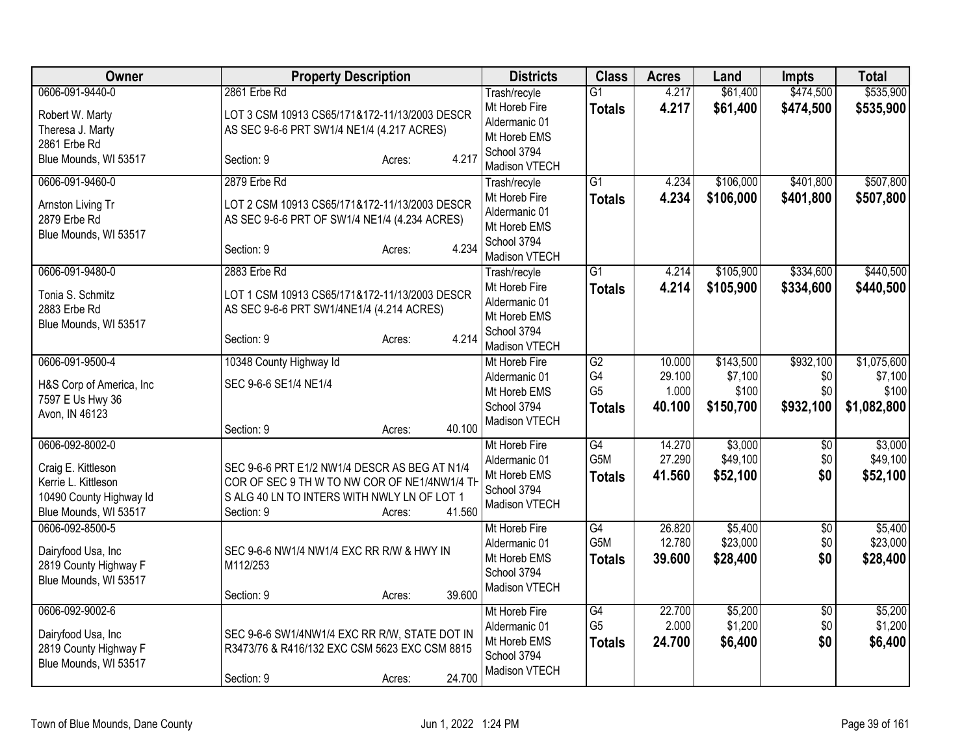| <b>Owner</b>                                                                                  | <b>Property Description</b>                                                                                                                                                    | <b>Districts</b>                                                               | <b>Class</b>                                       | <b>Acres</b>               | Land                            | Impts                   | <b>Total</b>                    |
|-----------------------------------------------------------------------------------------------|--------------------------------------------------------------------------------------------------------------------------------------------------------------------------------|--------------------------------------------------------------------------------|----------------------------------------------------|----------------------------|---------------------------------|-------------------------|---------------------------------|
| 0606-091-9440-0                                                                               | 2861 Erbe Rd                                                                                                                                                                   | Trash/recyle                                                                   | $\overline{G1}$                                    | 4.217                      | \$61,400                        | \$474,500               | \$535,900                       |
| Robert W. Marty<br>Theresa J. Marty<br>2861 Erbe Rd                                           | LOT 3 CSM 10913 CS65/171&172-11/13/2003 DESCR<br>AS SEC 9-6-6 PRT SW1/4 NE1/4 (4.217 ACRES)                                                                                    | Mt Horeb Fire<br>Aldermanic 01<br>Mt Horeb EMS                                 | <b>Totals</b>                                      | 4.217                      | \$61,400                        | \$474,500               | \$535,900                       |
| Blue Mounds, WI 53517                                                                         | 4.217<br>Section: 9<br>Acres:                                                                                                                                                  | School 3794<br>Madison VTECH                                                   |                                                    |                            |                                 |                         |                                 |
| 0606-091-9460-0                                                                               | 2879 Erbe Rd                                                                                                                                                                   | Trash/recyle                                                                   | $\overline{G1}$                                    | 4.234                      | \$106,000                       | \$401,800               | \$507,800                       |
| Arnston Living Tr<br>2879 Erbe Rd<br>Blue Mounds, WI 53517                                    | LOT 2 CSM 10913 CS65/171&172-11/13/2003 DESCR<br>AS SEC 9-6-6 PRT OF SW1/4 NE1/4 (4.234 ACRES)<br>4.234<br>Section: 9<br>Acres:                                                | Mt Horeb Fire<br>Aldermanic 01<br>Mt Horeb EMS<br>School 3794                  | <b>Totals</b>                                      | 4.234                      | \$106,000                       | \$401,800               | \$507,800                       |
|                                                                                               |                                                                                                                                                                                | Madison VTECH                                                                  |                                                    |                            |                                 |                         |                                 |
| 0606-091-9480-0<br>Tonia S. Schmitz<br>2883 Erbe Rd<br>Blue Mounds, WI 53517                  | 2883 Erbe Rd<br>LOT 1 CSM 10913 CS65/171&172-11/13/2003 DESCR<br>AS SEC 9-6-6 PRT SW1/4NE1/4 (4.214 ACRES)<br>4.214<br>Section: 9<br>Acres:                                    | Trash/recyle<br>Mt Horeb Fire<br>Aldermanic 01<br>Mt Horeb EMS<br>School 3794  | $\overline{G1}$<br><b>Totals</b>                   | 4.214<br>4.214             | \$105,900<br>\$105,900          | \$334,600<br>\$334,600  | \$440,500<br>\$440,500          |
| 0606-091-9500-4                                                                               |                                                                                                                                                                                | Madison VTECH                                                                  | $\overline{G2}$                                    | 10.000                     | \$143,500                       | \$932,100               | \$1,075,600                     |
| H&S Corp of America, Inc<br>7597 E Us Hwy 36<br>Avon, IN 46123                                | 10348 County Highway Id<br>SEC 9-6-6 SE1/4 NE1/4<br>40.100<br>Section: 9<br>Acres:                                                                                             | Mt Horeb Fire<br>Aldermanic 01<br>Mt Horeb EMS<br>School 3794<br>Madison VTECH | G4<br>G <sub>5</sub><br><b>Totals</b>              | 29.100<br>1.000<br>40.100  | \$7,100<br>\$100<br>\$150,700   | \$0<br>\$0<br>\$932,100 | \$7,100<br>\$100<br>\$1,082,800 |
| 0606-092-8002-0                                                                               |                                                                                                                                                                                | Mt Horeb Fire                                                                  | G4                                                 | 14.270                     | \$3,000                         | \$0                     | \$3,000                         |
| Craig E. Kittleson<br>Kerrie L. Kittleson<br>10490 County Highway Id<br>Blue Mounds, WI 53517 | SEC 9-6-6 PRT E1/2 NW1/4 DESCR AS BEG AT N1/4<br>COR OF SEC 9 TH W TO NW COR OF NE1/4NW1/4 TH<br>S ALG 40 LN TO INTERS WITH NWLY LN OF LOT 1<br>41.560<br>Section: 9<br>Acres: | Aldermanic 01<br>Mt Horeb EMS<br>School 3794<br>Madison VTECH                  | G5M<br><b>Totals</b>                               | 27.290<br>41.560           | \$49,100<br>\$52,100            | \$0<br>\$0              | \$49,100<br>\$52,100            |
| 0606-092-8500-5<br>Dairyfood Usa, Inc<br>2819 County Highway F<br>Blue Mounds, WI 53517       | SEC 9-6-6 NW1/4 NW1/4 EXC RR R/W & HWY IN<br>M112/253<br>39.600<br>Section: 9<br>Acres:                                                                                        | Mt Horeb Fire<br>Aldermanic 01<br>Mt Horeb EMS<br>School 3794<br>Madison VTECH | $\overline{G4}$<br>G5M<br><b>Totals</b>            | 26.820<br>12.780<br>39.600 | \$5,400<br>\$23,000<br>\$28,400 | \$0<br>\$0<br>\$0       | \$5,400<br>\$23,000<br>\$28,400 |
| 0606-092-9002-6<br>Dairyfood Usa, Inc<br>2819 County Highway F<br>Blue Mounds, WI 53517       | SEC 9-6-6 SW1/4NW1/4 EXC RR R/W, STATE DOT IN<br>R3473/76 & R416/132 EXC CSM 5623 EXC CSM 8815<br>24.700<br>Section: 9<br>Acres:                                               | Mt Horeb Fire<br>Aldermanic 01<br>Mt Horeb EMS<br>School 3794<br>Madison VTECH | $\overline{G4}$<br>G <sub>5</sub><br><b>Totals</b> | 22.700<br>2.000<br>24.700  | \$5,200<br>\$1,200<br>\$6,400   | \$0<br>\$0<br>\$0       | \$5,200<br>\$1,200<br>\$6,400   |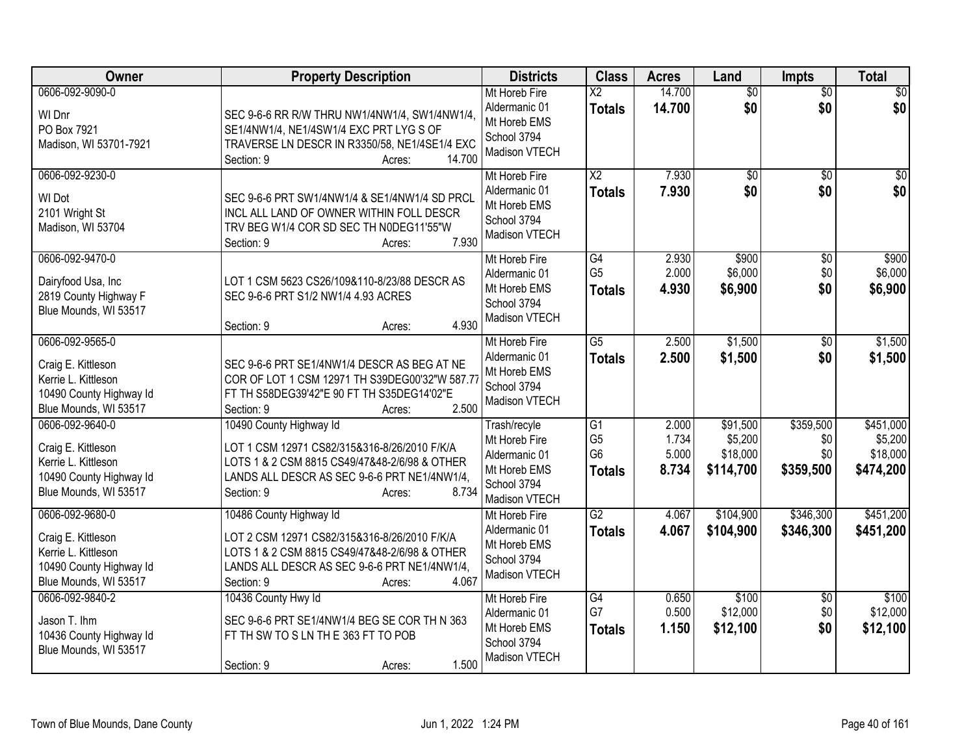| Owner                                                                                                            | <b>Property Description</b>                                                                                                                                                                               | <b>Districts</b>                                                                               | <b>Class</b>                                            | <b>Acres</b>                     | Land                                         | <b>Impts</b>                         | <b>Total</b>                                  |
|------------------------------------------------------------------------------------------------------------------|-----------------------------------------------------------------------------------------------------------------------------------------------------------------------------------------------------------|------------------------------------------------------------------------------------------------|---------------------------------------------------------|----------------------------------|----------------------------------------------|--------------------------------------|-----------------------------------------------|
| 0606-092-9090-0<br>WI Dnr<br>PO Box 7921<br>Madison, WI 53701-7921                                               | SEC 9-6-6 RR R/W THRU NW1/4NW1/4, SW1/4NW1/4,<br>SE1/4NW1/4, NE1/4SW1/4 EXC PRT LYG S OF<br>TRAVERSE LN DESCR IN R3350/58, NE1/4SE1/4 EXC<br>14.700<br>Section: 9<br>Acres:                               | Mt Horeb Fire<br>Aldermanic 01<br>Mt Horeb EMS<br>School 3794<br>Madison VTECH                 | $\overline{X2}$<br><b>Totals</b>                        | 14.700<br>14.700                 | $\overline{50}$<br>\$0                       | $\overline{50}$<br>\$0               | \$0<br>\$0                                    |
| 0606-092-9230-0<br>WI Dot<br>2101 Wright St<br>Madison, WI 53704                                                 | SEC 9-6-6 PRT SW1/4NW1/4 & SE1/4NW1/4 SD PRCL<br>INCL ALL LAND OF OWNER WITHIN FOLL DESCR<br>TRV BEG W1/4 COR SD SEC TH N0DEG11'55"W<br>7.930<br>Section: 9<br>Acres:                                     | Mt Horeb Fire<br>Aldermanic 01<br>Mt Horeb EMS<br>School 3794<br>Madison VTECH                 | $\overline{\text{X2}}$<br><b>Totals</b>                 | 7.930<br>7.930                   | $\overline{50}$<br>\$0                       | $\overline{50}$<br>\$0               | \$0<br>\$0                                    |
| 0606-092-9470-0<br>Dairyfood Usa, Inc<br>2819 County Highway F<br>Blue Mounds, WI 53517                          | LOT 1 CSM 5623 CS26/109&110-8/23/88 DESCR AS<br>SEC 9-6-6 PRT S1/2 NW1/4 4.93 ACRES<br>4.930<br>Section: 9<br>Acres:                                                                                      | Mt Horeb Fire<br>Aldermanic 01<br>Mt Horeb EMS<br>School 3794<br>Madison VTECH                 | G4<br>G <sub>5</sub><br><b>Totals</b>                   | 2.930<br>2.000<br>4.930          | \$900<br>\$6,000<br>\$6,900                  | $\sqrt[6]{}$<br>\$0<br>\$0           | \$900<br>\$6,000<br>\$6,900                   |
| 0606-092-9565-0<br>Craig E. Kittleson<br>Kerrie L. Kittleson<br>10490 County Highway Id<br>Blue Mounds, WI 53517 | SEC 9-6-6 PRT SE1/4NW1/4 DESCR AS BEG AT NE<br>COR OF LOT 1 CSM 12971 TH S39DEG00'32"W 587.77<br>FT TH S58DEG39'42"E 90 FT TH S35DEG14'02"E<br>2.500<br>Section: 9<br>Acres:                              | Mt Horeb Fire<br>Aldermanic 01<br>Mt Horeb EMS<br>School 3794<br>Madison VTECH                 | $\overline{G5}$<br><b>Totals</b>                        | 2.500<br>2.500                   | \$1,500<br>\$1,500                           | $\sqrt[6]{3}$<br>\$0                 | \$1,500<br>\$1,500                            |
| 0606-092-9640-0<br>Craig E. Kittleson<br>Kerrie L. Kittleson<br>10490 County Highway Id<br>Blue Mounds, WI 53517 | 10490 County Highway Id<br>LOT 1 CSM 12971 CS82/315&316-8/26/2010 F/K/A<br>LOTS 1 & 2 CSM 8815 CS49/47&48-2/6/98 & OTHER<br>LANDS ALL DESCR AS SEC 9-6-6 PRT NE1/4NW1/4,<br>8.734<br>Section: 9<br>Acres: | Trash/recyle<br>Mt Horeb Fire<br>Aldermanic 01<br>Mt Horeb EMS<br>School 3794<br>Madison VTECH | G1<br>G <sub>5</sub><br>G <sub>6</sub><br><b>Totals</b> | 2.000<br>1.734<br>5.000<br>8.734 | \$91,500<br>\$5,200<br>\$18,000<br>\$114,700 | \$359,500<br>\$0<br>\$0<br>\$359,500 | \$451,000<br>\$5,200<br>\$18,000<br>\$474,200 |
| 0606-092-9680-0<br>Craig E. Kittleson<br>Kerrie L. Kittleson<br>10490 County Highway Id<br>Blue Mounds, WI 53517 | 10486 County Highway Id<br>LOT 2 CSM 12971 CS82/315&316-8/26/2010 F/K/A<br>LOTS 1 & 2 CSM 8815 CS49/47&48-2/6/98 & OTHER<br>LANDS ALL DESCR AS SEC 9-6-6 PRT NE1/4NW1/4,<br>4.067<br>Section: 9<br>Acres: | Mt Horeb Fire<br>Aldermanic 01<br>Mt Horeb EMS<br>School 3794<br>Madison VTECH                 | $\overline{G2}$<br><b>Totals</b>                        | 4.067<br>4.067                   | \$104,900<br>\$104,900                       | \$346,300<br>\$346,300               | \$451,200<br>\$451,200                        |
| 0606-092-9840-2<br>Jason T. Ihm<br>10436 County Highway Id<br>Blue Mounds, WI 53517                              | 10436 County Hwy Id<br>SEC 9-6-6 PRT SE1/4NW1/4 BEG SE COR TH N 363<br>FT TH SW TO S LN THE 363 FT TO POB<br>1.500<br>Section: 9<br>Acres:                                                                | Mt Horeb Fire<br>Aldermanic 01<br>Mt Horeb EMS<br>School 3794<br>Madison VTECH                 | G4<br>G7<br><b>Totals</b>                               | 0.650<br>0.500<br>1.150          | \$100<br>\$12,000<br>\$12,100                | \$0<br>\$0<br>\$0                    | \$100<br>\$12,000<br>\$12,100                 |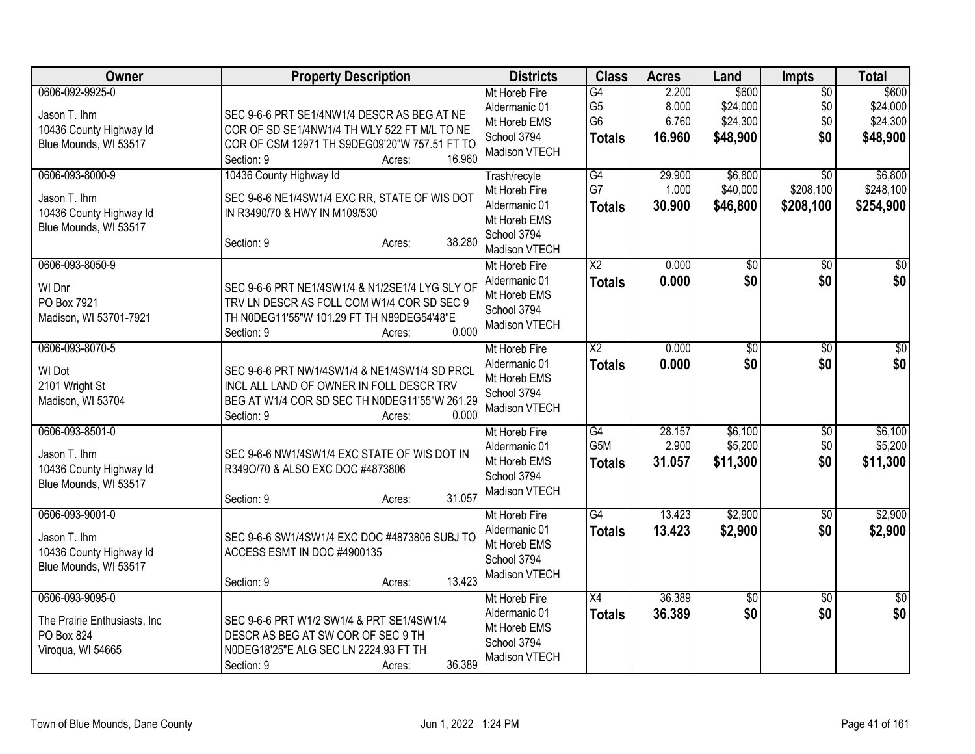| Owner                                                                               | <b>Property Description</b>                                                                                                                                                    | <b>Districts</b>                                                                               | <b>Class</b>                                            | <b>Acres</b>                      | Land                                      | <b>Impts</b>                              | <b>Total</b>                              |
|-------------------------------------------------------------------------------------|--------------------------------------------------------------------------------------------------------------------------------------------------------------------------------|------------------------------------------------------------------------------------------------|---------------------------------------------------------|-----------------------------------|-------------------------------------------|-------------------------------------------|-------------------------------------------|
| 0606-092-9925-0<br>Jason T. Ihm<br>10436 County Highway Id<br>Blue Mounds, WI 53517 | SEC 9-6-6 PRT SE1/4NW1/4 DESCR AS BEG AT NE<br>COR OF SD SE1/4NW1/4 TH WLY 522 FT M/L TO NE<br>COR OF CSM 12971 TH S9DEG09'20"W 757.51 FT TO<br>16.960<br>Section: 9<br>Acres: | Mt Horeb Fire<br>Aldermanic 01<br>Mt Horeb EMS<br>School 3794<br>Madison VTECH                 | G4<br>G <sub>5</sub><br>G <sub>6</sub><br><b>Totals</b> | 2.200<br>8.000<br>6.760<br>16.960 | \$600<br>\$24,000<br>\$24,300<br>\$48,900 | $\overline{50}$<br>\$0<br>\$0<br>\$0      | \$600<br>\$24,000<br>\$24,300<br>\$48,900 |
| 0606-093-8000-9<br>Jason T. Ihm<br>10436 County Highway Id<br>Blue Mounds, WI 53517 | 10436 County Highway Id<br>SEC 9-6-6 NE1/4SW1/4 EXC RR, STATE OF WIS DOT<br>IN R3490/70 & HWY IN M109/530<br>38.280<br>Section: 9<br>Acres:                                    | Trash/recyle<br>Mt Horeb Fire<br>Aldermanic 01<br>Mt Horeb EMS<br>School 3794<br>Madison VTECH | G4<br>G7<br><b>Totals</b>                               | 29.900<br>1.000<br>30.900         | \$6,800<br>\$40,000<br>\$46,800           | $\overline{30}$<br>\$208,100<br>\$208,100 | \$6,800<br>\$248,100<br>\$254,900         |
| 0606-093-8050-9<br>WI Dnr<br>PO Box 7921<br>Madison, WI 53701-7921                  | SEC 9-6-6 PRT NE1/4SW1/4 & N1/2SE1/4 LYG SLY OF<br>TRV LN DESCR AS FOLL COM W1/4 COR SD SEC 9<br>TH N0DEG11'55"W 101.29 FT TH N89DEG54'48"E<br>0.000<br>Section: 9<br>Acres:   | Mt Horeb Fire<br>Aldermanic 01<br>Mt Horeb EMS<br>School 3794<br>Madison VTECH                 | $\overline{\text{X2}}$<br>Totals                        | 0.000<br>0.000                    | $\overline{60}$<br>\$0                    | $\overline{50}$<br>\$0                    | \$0<br>\$0                                |
| 0606-093-8070-5<br>WI Dot<br>2101 Wright St<br>Madison, WI 53704                    | SEC 9-6-6 PRT NW1/4SW1/4 & NE1/4SW1/4 SD PRCL<br>INCL ALL LAND OF OWNER IN FOLL DESCR TRV<br>BEG AT W1/4 COR SD SEC TH N0DEG11'55"W 261.29<br>0.000<br>Section: 9<br>Acres:    | Mt Horeb Fire<br>Aldermanic 01<br>Mt Horeb EMS<br>School 3794<br>Madison VTECH                 | $\overline{\mathsf{X2}}$<br><b>Totals</b>               | 0.000<br>0.000                    | $\overline{60}$<br>\$0                    | $\overline{50}$<br>\$0                    | \$0<br>\$0                                |
| 0606-093-8501-0<br>Jason T. Ihm<br>10436 County Highway Id<br>Blue Mounds, WI 53517 | SEC 9-6-6 NW1/4SW1/4 EXC STATE OF WIS DOT IN<br>R349O/70 & ALSO EXC DOC #4873806<br>31.057<br>Section: 9<br>Acres:                                                             | Mt Horeb Fire<br>Aldermanic 01<br>Mt Horeb EMS<br>School 3794<br>Madison VTECH                 | G4<br>G5M<br><b>Totals</b>                              | 28.157<br>2.900<br>31.057         | \$6,100<br>\$5,200<br>\$11,300            | $\overline{50}$<br>\$0<br>\$0             | \$6,100<br>\$5,200<br>\$11,300            |
| 0606-093-9001-0<br>Jason T. Ihm<br>10436 County Highway Id<br>Blue Mounds, WI 53517 | SEC 9-6-6 SW1/4SW1/4 EXC DOC #4873806 SUBJ TO<br>ACCESS ESMT IN DOC #4900135<br>13.423<br>Section: 9<br>Acres:                                                                 | Mt Horeb Fire<br>Aldermanic 01<br>Mt Horeb EMS<br>School 3794<br>Madison VTECH                 | $\overline{G4}$<br><b>Totals</b>                        | 13.423<br>13.423                  | \$2,900<br>\$2,900                        | \$0<br>\$0                                | \$2,900<br>\$2,900                        |
| 0606-093-9095-0<br>The Prairie Enthusiasts, Inc.<br>PO Box 824<br>Viroqua, WI 54665 | SEC 9-6-6 PRT W1/2 SW1/4 & PRT SE1/4SW1/4<br>DESCR AS BEG AT SW COR OF SEC 9 TH<br>N0DEG18'25"E ALG SEC LN 2224.93 FT TH<br>36.389<br>Section: 9<br>Acres:                     | Mt Horeb Fire<br>Aldermanic 01<br>Mt Horeb EMS<br>School 3794<br>Madison VTECH                 | X4<br><b>Totals</b>                                     | 36.389<br>36.389                  | \$0<br>\$0                                | $\overline{50}$<br>\$0                    | $\overline{50}$<br>\$0                    |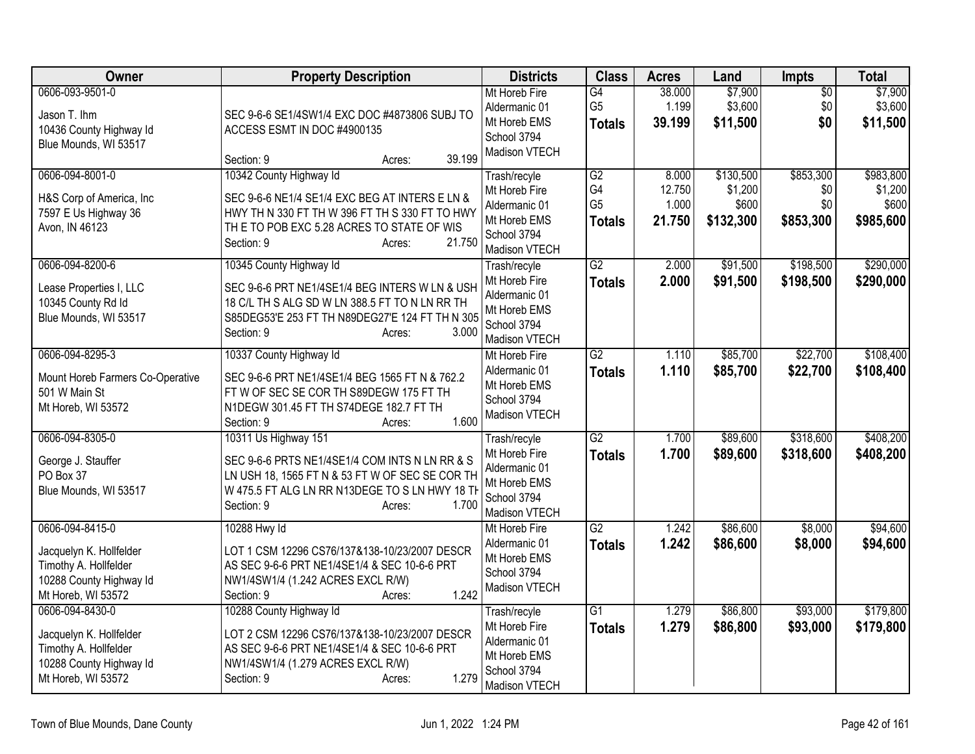| <b>Owner</b>                                                                                                         | <b>Property Description</b>                                                                                                                                                                                     | <b>Districts</b>                                                                               | <b>Class</b>                                | <b>Acres</b>                       | Land                                       | <b>Impts</b>                         | <b>Total</b>                               |
|----------------------------------------------------------------------------------------------------------------------|-----------------------------------------------------------------------------------------------------------------------------------------------------------------------------------------------------------------|------------------------------------------------------------------------------------------------|---------------------------------------------|------------------------------------|--------------------------------------------|--------------------------------------|--------------------------------------------|
| 0606-093-9501-0<br>Jason T. Ihm<br>10436 County Highway Id<br>Blue Mounds, WI 53517                                  | SEC 9-6-6 SE1/4SW1/4 EXC DOC #4873806 SUBJ TO<br>ACCESS ESMT IN DOC #4900135<br>39.199<br>Section: 9<br>Acres:                                                                                                  | Mt Horeb Fire<br>Aldermanic 01<br>Mt Horeb EMS<br>School 3794<br>Madison VTECH                 | G4<br>G <sub>5</sub><br><b>Totals</b>       | 38.000<br>1.199<br>39.199          | \$7,900<br>\$3,600<br>\$11,500             | \$0<br>\$0<br>\$0                    | \$7,900<br>\$3,600<br>\$11,500             |
| 0606-094-8001-0<br>H&S Corp of America, Inc.<br>7597 E Us Highway 36<br>Avon, IN 46123                               | 10342 County Highway Id<br>SEC 9-6-6 NE1/4 SE1/4 EXC BEG AT INTERS E LN &<br>HWY TH N 330 FT TH W 396 FT TH S 330 FT TO HWY<br>TH E TO POB EXC 5.28 ACRES TO STATE OF WIS<br>21.750<br>Section: 9<br>Acres:     | Trash/recyle<br>Mt Horeb Fire<br>Aldermanic 01<br>Mt Horeb EMS<br>School 3794<br>Madison VTECH | G2<br>G4<br>G <sub>5</sub><br><b>Totals</b> | 8.000<br>12.750<br>1.000<br>21.750 | \$130,500<br>\$1,200<br>\$600<br>\$132,300 | \$853,300<br>\$0<br>\$0<br>\$853,300 | \$983,800<br>\$1,200<br>\$600<br>\$985,600 |
| 0606-094-8200-6<br>Lease Properties I, LLC<br>10345 County Rd Id<br>Blue Mounds, WI 53517                            | 10345 County Highway Id<br>SEC 9-6-6 PRT NE1/4SE1/4 BEG INTERS W LN & USH<br>18 C/L TH S ALG SD W LN 388.5 FT TO N LN RR TH<br>S85DEG53'E 253 FT TH N89DEG27'E 124 FT TH N 305<br>3.000<br>Section: 9<br>Acres: | Trash/recyle<br>Mt Horeb Fire<br>Aldermanic 01<br>Mt Horeb EMS<br>School 3794<br>Madison VTECH | $\overline{G2}$<br><b>Totals</b>            | 2.000<br>2.000                     | \$91,500<br>\$91,500                       | \$198,500<br>\$198,500               | \$290,000<br>\$290,000                     |
| 0606-094-8295-3<br>Mount Horeb Farmers Co-Operative<br>501 W Main St<br>Mt Horeb, WI 53572                           | 10337 County Highway Id<br>SEC 9-6-6 PRT NE1/4SE1/4 BEG 1565 FT N & 762.2<br>FTW OF SEC SE COR TH S89DEGW 175 FT TH<br>N1DEGW 301.45 FT TH S74DEGE 182.7 FT TH<br>1.600<br>Section: 9<br>Acres:                 | Mt Horeb Fire<br>Aldermanic 01<br>Mt Horeb EMS<br>School 3794<br>Madison VTECH                 | $\overline{G2}$<br><b>Totals</b>            | 1.110<br>1.110                     | \$85,700<br>\$85,700                       | \$22,700<br>\$22,700                 | \$108,400<br>\$108,400                     |
| 0606-094-8305-0<br>George J. Stauffer<br>PO Box 37<br>Blue Mounds, WI 53517                                          | 10311 Us Highway 151<br>SEC 9-6-6 PRTS NE1/4SE1/4 COM INTS N LN RR & S<br>LN USH 18, 1565 FT N & 53 FT W OF SEC SE COR TH<br>W 475.5 FT ALG LN RR N13DEGE TO S LN HWY 18 TH<br>1.700<br>Section: 9<br>Acres:    | Trash/recyle<br>Mt Horeb Fire<br>Aldermanic 01<br>Mt Horeb EMS<br>School 3794<br>Madison VTECH | $\overline{G2}$<br><b>Totals</b>            | 1.700<br>1.700                     | \$89,600<br>\$89,600                       | \$318,600<br>\$318,600               | \$408,200<br>\$408,200                     |
| 0606-094-8415-0<br>Jacquelyn K. Hollfelder<br>Timothy A. Hollfelder<br>10288 County Highway Id<br>Mt Horeb, WI 53572 | 10288 Hwy Id<br>LOT 1 CSM 12296 CS76/137&138-10/23/2007 DESCR<br>AS SEC 9-6-6 PRT NE1/4SE1/4 & SEC 10-6-6 PRT<br>NW1/4SW1/4 (1.242 ACRES EXCL R/W)<br>1.242<br>Section: 9<br>Acres:                             | Mt Horeb Fire<br>Aldermanic 01<br>Mt Horeb EMS<br>School 3794<br>Madison VTECH                 | G2<br><b>Totals</b>                         | 1.242<br>1.242                     | \$86,600<br>\$86,600                       | \$8,000<br>\$8,000                   | \$94,600<br>\$94,600                       |
| 0606-094-8430-0<br>Jacquelyn K. Hollfelder<br>Timothy A. Hollfelder<br>10288 County Highway Id<br>Mt Horeb, WI 53572 | 10288 County Highway Id<br>LOT 2 CSM 12296 CS76/137&138-10/23/2007 DESCR<br>AS SEC 9-6-6 PRT NE1/4SE1/4 & SEC 10-6-6 PRT<br>NW1/4SW1/4 (1.279 ACRES EXCL R/W)<br>1.279<br>Section: 9<br>Acres:                  | Trash/recyle<br>Mt Horeb Fire<br>Aldermanic 01<br>Mt Horeb EMS<br>School 3794<br>Madison VTECH | $\overline{G1}$<br><b>Totals</b>            | 1.279<br>1.279                     | \$86,800<br>\$86,800                       | \$93,000<br>\$93,000                 | \$179,800<br>\$179,800                     |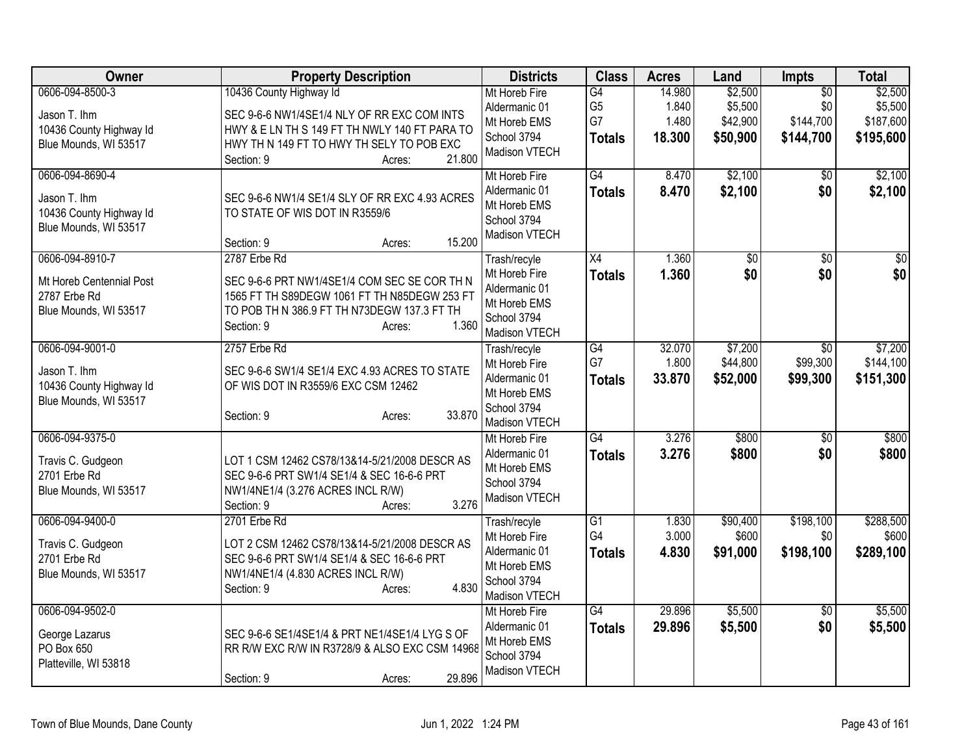| Owner                                                                                | <b>Property Description</b>                                                                                                                                                                            | <b>Districts</b>                                                                               | <b>Class</b>                                | <b>Acres</b>                       | Land                                       | <b>Impts</b>                                     | <b>Total</b>                                 |
|--------------------------------------------------------------------------------------|--------------------------------------------------------------------------------------------------------------------------------------------------------------------------------------------------------|------------------------------------------------------------------------------------------------|---------------------------------------------|------------------------------------|--------------------------------------------|--------------------------------------------------|----------------------------------------------|
| 0606-094-8500-3<br>Jason T. Ihm<br>10436 County Highway Id<br>Blue Mounds, WI 53517  | 10436 County Highway Id<br>SEC 9-6-6 NW1/4SE1/4 NLY OF RR EXC COM INTS<br>HWY & E LN TH S 149 FT TH NWLY 140 FT PARA TO<br>HWY TH N 149 FT TO HWY TH SELY TO POB EXC<br>21.800<br>Section: 9<br>Acres: | Mt Horeb Fire<br>Aldermanic 01<br>Mt Horeb EMS<br>School 3794<br>Madison VTECH                 | G4<br>G <sub>5</sub><br>G7<br><b>Totals</b> | 14.980<br>1.840<br>1.480<br>18.300 | \$2,500<br>\$5,500<br>\$42,900<br>\$50,900 | $\overline{50}$<br>\$0<br>\$144,700<br>\$144,700 | \$2,500<br>\$5,500<br>\$187,600<br>\$195,600 |
| 0606-094-8690-4<br>Jason T. Ihm<br>10436 County Highway Id<br>Blue Mounds, WI 53517  | SEC 9-6-6 NW1/4 SE1/4 SLY OF RR EXC 4.93 ACRES<br>TO STATE OF WIS DOT IN R3559/6<br>15.200<br>Section: 9<br>Acres:                                                                                     | Mt Horeb Fire<br>Aldermanic 01<br>Mt Horeb EMS<br>School 3794<br>Madison VTECH                 | G4<br><b>Totals</b>                         | 8.470<br>8.470                     | \$2,100<br>\$2,100                         | $\sqrt{6}$<br>\$0                                | \$2,100<br>\$2,100                           |
| 0606-094-8910-7<br>Mt Horeb Centennial Post<br>2787 Erbe Rd<br>Blue Mounds, WI 53517 | 2787 Erbe Rd<br>SEC 9-6-6 PRT NW1/4SE1/4 COM SEC SE COR TH N<br>1565 FT TH S89DEGW 1061 FT TH N85DEGW 253 FT<br>TO POB TH N 386.9 FT TH N73DEGW 137.3 FT TH<br>1.360<br>Section: 9<br>Acres:           | Trash/recyle<br>Mt Horeb Fire<br>Aldermanic 01<br>Mt Horeb EMS<br>School 3794<br>Madison VTECH | $\overline{X4}$<br><b>Totals</b>            | 1.360<br>1.360                     | $\overline{50}$<br>\$0                     | \$0<br>\$0                                       | $\sqrt{50}$<br>\$0                           |
| 0606-094-9001-0<br>Jason T. Ihm<br>10436 County Highway Id<br>Blue Mounds, WI 53517  | 2757 Erbe Rd<br>SEC 9-6-6 SW1/4 SE1/4 EXC 4.93 ACRES TO STATE<br>OF WIS DOT IN R3559/6 EXC CSM 12462<br>33.870<br>Section: 9<br>Acres:                                                                 | Trash/recyle<br>Mt Horeb Fire<br>Aldermanic 01<br>Mt Horeb EMS<br>School 3794<br>Madison VTECH | G4<br>G7<br><b>Totals</b>                   | 32.070<br>1.800<br>33.870          | \$7,200<br>\$44,800<br>\$52,000            | $\overline{50}$<br>\$99,300<br>\$99,300          | \$7,200<br>\$144,100<br>\$151,300            |
| 0606-094-9375-0<br>Travis C. Gudgeon<br>2701 Erbe Rd<br>Blue Mounds, WI 53517        | LOT 1 CSM 12462 CS78/13&14-5/21/2008 DESCR AS<br>SEC 9-6-6 PRT SW1/4 SE1/4 & SEC 16-6-6 PRT<br>NW1/4NE1/4 (3.276 ACRES INCL R/W)<br>3.276<br>Section: 9<br>Acres:                                      | Mt Horeb Fire<br>Aldermanic 01<br>Mt Horeb EMS<br>School 3794<br>Madison VTECH                 | $\overline{G4}$<br><b>Totals</b>            | 3.276<br>3.276                     | \$800<br>\$800                             | $\overline{30}$<br>\$0                           | \$800<br>\$800                               |
| 0606-094-9400-0<br>Travis C. Gudgeon<br>2701 Erbe Rd<br>Blue Mounds, WI 53517        | 2701 Erbe Rd<br>LOT 2 CSM 12462 CS78/13&14-5/21/2008 DESCR AS<br>SEC 9-6-6 PRT SW1/4 SE1/4 & SEC 16-6-6 PRT<br>NW1/4NE1/4 (4.830 ACRES INCL R/W)<br>4.830<br>Section: 9<br>Acres:                      | Trash/recyle<br>Mt Horeb Fire<br>Aldermanic 01<br>Mt Horeb EMS<br>School 3794<br>Madison VTECH | $\overline{G1}$<br>G4<br><b>Totals</b>      | 1.830<br>3.000<br>4.830            | \$90,400<br>\$600<br>\$91,000              | \$198,100<br>\$0<br>\$198,100                    | \$288,500<br>\$600<br>\$289,100              |
| 0606-094-9502-0<br>George Lazarus<br>PO Box 650<br>Platteville, WI 53818             | SEC 9-6-6 SE1/4SE1/4 & PRT NE1/4SE1/4 LYG S OF<br>RR R/W EXC R/W IN R3728/9 & ALSO EXC CSM 14968<br>29.896<br>Section: 9<br>Acres:                                                                     | Mt Horeb Fire<br>Aldermanic 01<br>Mt Horeb EMS<br>School 3794<br>Madison VTECH                 | $\overline{G4}$<br><b>Totals</b>            | 29.896<br>29.896                   | \$5,500<br>\$5,500                         | \$0<br>\$0                                       | \$5,500<br>\$5,500                           |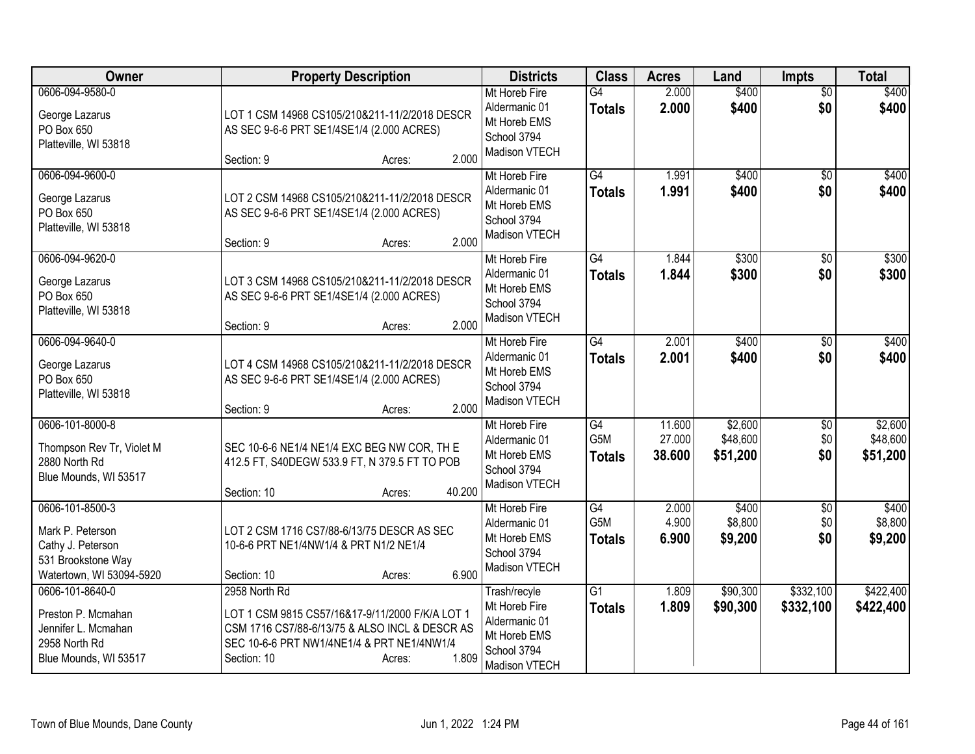| Owner                                                                                                      | <b>Property Description</b>                                                                                                                                                                        | <b>Districts</b>                                                                               | <b>Class</b>                     | <b>Acres</b>               | Land                            | <b>Impts</b>                  | <b>Total</b>                    |
|------------------------------------------------------------------------------------------------------------|----------------------------------------------------------------------------------------------------------------------------------------------------------------------------------------------------|------------------------------------------------------------------------------------------------|----------------------------------|----------------------------|---------------------------------|-------------------------------|---------------------------------|
| 0606-094-9580-0<br>George Lazarus<br>PO Box 650<br>Platteville, WI 53818                                   | LOT 1 CSM 14968 CS105/210&211-11/2/2018 DESCR<br>AS SEC 9-6-6 PRT SE1/4SE1/4 (2.000 ACRES)<br>2.000<br>Section: 9<br>Acres:                                                                        | Mt Horeb Fire<br>Aldermanic 01<br>Mt Horeb EMS<br>School 3794<br>Madison VTECH                 | $\overline{G4}$<br><b>Totals</b> | 2.000<br>2.000             | \$400<br>\$400                  | $\overline{50}$<br>\$0        | \$400<br>\$400                  |
| 0606-094-9600-0<br>George Lazarus<br>PO Box 650<br>Platteville, WI 53818                                   | LOT 2 CSM 14968 CS105/210&211-11/2/2018 DESCR<br>AS SEC 9-6-6 PRT SE1/4SE1/4 (2.000 ACRES)<br>2.000<br>Section: 9<br>Acres:                                                                        | Mt Horeb Fire<br>Aldermanic 01<br>Mt Horeb EMS<br>School 3794<br>Madison VTECH                 | $\overline{G4}$<br><b>Totals</b> | 1.991<br>1.991             | \$400<br>\$400                  | $\overline{50}$<br>\$0        | \$400<br>\$400                  |
| 0606-094-9620-0<br>George Lazarus<br>PO Box 650<br>Platteville, WI 53818                                   | LOT 3 CSM 14968 CS105/210&211-11/2/2018 DESCR<br>AS SEC 9-6-6 PRT SE1/4SE1/4 (2.000 ACRES)<br>2.000<br>Section: 9<br>Acres:                                                                        | Mt Horeb Fire<br>Aldermanic 01<br>Mt Horeb EMS<br>School 3794<br>Madison VTECH                 | G4<br><b>Totals</b>              | 1.844<br>1.844             | \$300<br>\$300                  | \$0<br>\$0                    | \$300<br>\$300                  |
| 0606-094-9640-0<br>George Lazarus<br>PO Box 650<br>Platteville, WI 53818                                   | LOT 4 CSM 14968 CS105/210&211-11/2/2018 DESCR<br>AS SEC 9-6-6 PRT SE1/4SE1/4 (2.000 ACRES)<br>2.000<br>Section: 9<br>Acres:                                                                        | Mt Horeb Fire<br>Aldermanic 01<br>Mt Horeb EMS<br>School 3794<br>Madison VTECH                 | G4<br><b>Totals</b>              | 2.001<br>2.001             | \$400<br>\$400                  | \$0<br>\$0                    | \$400<br>\$400                  |
| 0606-101-8000-8<br>Thompson Rev Tr, Violet M<br>2880 North Rd<br>Blue Mounds, WI 53517                     | SEC 10-6-6 NE1/4 NE1/4 EXC BEG NW COR, TH E<br>412.5 FT, S40DEGW 533.9 FT, N 379.5 FT TO POB<br>40.200<br>Section: 10<br>Acres:                                                                    | Mt Horeb Fire<br>Aldermanic 01<br>Mt Horeb EMS<br>School 3794<br>Madison VTECH                 | G4<br>G5M<br><b>Totals</b>       | 11.600<br>27.000<br>38.600 | \$2,600<br>\$48,600<br>\$51,200 | \$0<br>\$0<br>\$0             | \$2,600<br>\$48,600<br>\$51,200 |
| 0606-101-8500-3<br>Mark P. Peterson<br>Cathy J. Peterson<br>531 Brookstone Way<br>Watertown, WI 53094-5920 | LOT 2 CSM 1716 CS7/88-6/13/75 DESCR AS SEC<br>10-6-6 PRT NE1/4NW1/4 & PRT N1/2 NE1/4<br>6.900<br>Section: 10<br>Acres:                                                                             | Mt Horeb Fire<br>Aldermanic 01<br>Mt Horeb EMS<br>School 3794<br>Madison VTECH                 | G4<br>G5M<br><b>Totals</b>       | 2.000<br>4.900<br>6.900    | \$400<br>\$8,800<br>\$9,200     | $\overline{50}$<br>\$0<br>\$0 | \$400<br>\$8,800<br>\$9,200     |
| 0606-101-8640-0<br>Preston P. Mcmahan<br>Jennifer L. Mcmahan<br>2958 North Rd<br>Blue Mounds, WI 53517     | 2958 North Rd<br>LOT 1 CSM 9815 CS57/16&17-9/11/2000 F/K/A LOT 1<br>CSM 1716 CS7/88-6/13/75 & ALSO INCL & DESCR AS<br>SEC 10-6-6 PRT NW1/4NE1/4 & PRT NE1/4NW1/4<br>1.809<br>Section: 10<br>Acres: | Trash/recyle<br>Mt Horeb Fire<br>Aldermanic 01<br>Mt Horeb EMS<br>School 3794<br>Madison VTECH | $\overline{G1}$<br>Totals        | 1.809<br>1.809             | \$90,300<br>\$90,300            | \$332,100<br>\$332,100        | \$422,400<br>\$422,400          |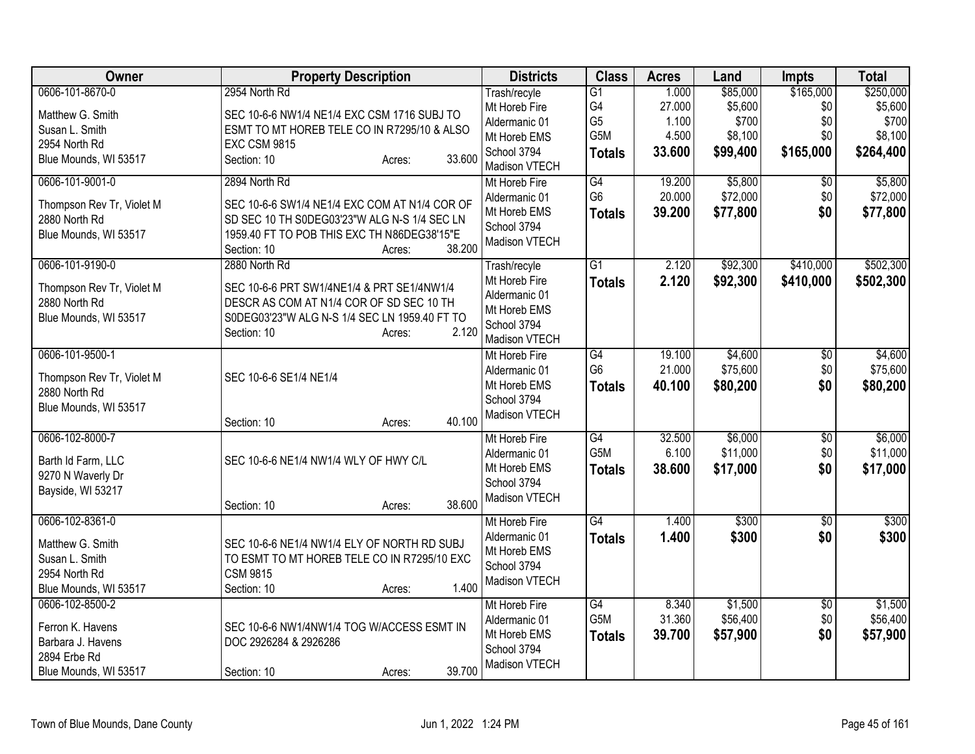| Owner                                      | <b>Property Description</b>                                          | <b>Districts</b>              | <b>Class</b>    | <b>Acres</b> | Land     | <b>Impts</b>    | <b>Total</b> |
|--------------------------------------------|----------------------------------------------------------------------|-------------------------------|-----------------|--------------|----------|-----------------|--------------|
| 0606-101-8670-0                            | 2954 North Rd                                                        | Trash/recyle                  | $\overline{G1}$ | 1.000        | \$85,000 | \$165,000       | \$250,000    |
| Matthew G. Smith                           | SEC 10-6-6 NW1/4 NE1/4 EXC CSM 1716 SUBJ TO                          | Mt Horeb Fire                 | G4              | 27.000       | \$5,600  | \$0             | \$5,600      |
| Susan L. Smith                             | ESMT TO MT HOREB TELE CO IN R7295/10 & ALSO                          | Aldermanic 01                 | G <sub>5</sub>  | 1.100        | \$700    | \$0             | \$700        |
| 2954 North Rd                              | <b>EXC CSM 9815</b>                                                  | Mt Horeb EMS                  | G5M             | 4.500        | \$8,100  | \$0             | \$8,100      |
| Blue Mounds, WI 53517                      | 33.600<br>Section: 10<br>Acres:                                      | School 3794<br>Madison VTECH  | <b>Totals</b>   | 33.600       | \$99,400 | \$165,000       | \$264,400    |
| 0606-101-9001-0                            | 2894 North Rd                                                        | Mt Horeb Fire                 | G4              | 19.200       | \$5,800  | \$0             | \$5,800      |
|                                            |                                                                      | Aldermanic 01                 | G <sub>6</sub>  | 20.000       | \$72,000 | \$0             | \$72,000     |
| Thompson Rev Tr, Violet M                  | SEC 10-6-6 SW1/4 NE1/4 EXC COM AT N1/4 COR OF                        | Mt Horeb EMS                  | <b>Totals</b>   | 39.200       | \$77,800 | \$0             | \$77,800     |
| 2880 North Rd                              | SD SEC 10 TH S0DEG03'23"W ALG N-S 1/4 SEC LN                         | School 3794                   |                 |              |          |                 |              |
| Blue Mounds, WI 53517                      | 1959.40 FT TO POB THIS EXC TH N86DEG38'15"E<br>38.200<br>Section: 10 | Madison VTECH                 |                 |              |          |                 |              |
| 0606-101-9190-0                            | Acres:<br>2880 North Rd                                              | Trash/recyle                  | $\overline{G1}$ | 2.120        | \$92,300 | \$410,000       | \$502,300    |
|                                            |                                                                      | Mt Horeb Fire                 | <b>Totals</b>   | 2.120        | \$92,300 | \$410,000       |              |
| Thompson Rev Tr, Violet M                  | SEC 10-6-6 PRT SW1/4NE1/4 & PRT SE1/4NW1/4                           | Aldermanic 01                 |                 |              |          |                 | \$502,300    |
| 2880 North Rd                              | DESCR AS COM AT N1/4 COR OF SD SEC 10 TH                             | Mt Horeb EMS                  |                 |              |          |                 |              |
| Blue Mounds, WI 53517                      | S0DEG03'23"W ALG N-S 1/4 SEC LN 1959.40 FT TO                        | School 3794                   |                 |              |          |                 |              |
|                                            | 2.120<br>Section: 10<br>Acres:                                       | Madison VTECH                 |                 |              |          |                 |              |
| 0606-101-9500-1                            |                                                                      | Mt Horeb Fire                 | G4              | 19.100       | \$4,600  | $\overline{60}$ | \$4,600      |
|                                            |                                                                      | Aldermanic 01                 | G <sub>6</sub>  | 21.000       | \$75,600 | \$0             | \$75,600     |
| Thompson Rev Tr, Violet M<br>2880 North Rd | SEC 10-6-6 SE1/4 NE1/4                                               | Mt Horeb EMS                  | <b>Totals</b>   | 40.100       | \$80,200 | \$0             | \$80,200     |
| Blue Mounds, WI 53517                      |                                                                      | School 3794                   |                 |              |          |                 |              |
|                                            | 40.100<br>Section: 10<br>Acres:                                      | Madison VTECH                 |                 |              |          |                 |              |
| 0606-102-8000-7                            |                                                                      | Mt Horeb Fire                 | G4              | 32.500       | \$6,000  | $\sqrt{6}$      | \$6,000      |
|                                            |                                                                      | Aldermanic 01                 | G5M             | 6.100        | \$11,000 | \$0             | \$11,000     |
| Barth Id Farm, LLC                         | SEC 10-6-6 NE1/4 NW1/4 WLY OF HWY C/L                                | Mt Horeb EMS                  | <b>Totals</b>   | 38.600       | \$17,000 | \$0             | \$17,000     |
| 9270 N Waverly Dr                          |                                                                      | School 3794                   |                 |              |          |                 |              |
| Bayside, WI 53217                          |                                                                      | Madison VTECH                 |                 |              |          |                 |              |
|                                            | 38.600<br>Section: 10<br>Acres:                                      |                               |                 |              |          |                 |              |
| 0606-102-8361-0                            |                                                                      | Mt Horeb Fire                 | $\overline{G4}$ | 1.400        | \$300    | \$0             | \$300        |
| Matthew G. Smith                           | SEC 10-6-6 NE1/4 NW1/4 ELY OF NORTH RD SUBJ                          | Aldermanic 01<br>Mt Horeb EMS | <b>Totals</b>   | 1.400        | \$300    | \$0             | \$300        |
| Susan L. Smith                             | TO ESMT TO MT HOREB TELE CO IN R7295/10 EXC                          | School 3794                   |                 |              |          |                 |              |
| 2954 North Rd                              | <b>CSM 9815</b>                                                      | Madison VTECH                 |                 |              |          |                 |              |
| Blue Mounds, WI 53517                      | 1.400<br>Section: 10<br>Acres:                                       |                               |                 |              |          |                 |              |
| 0606-102-8500-2                            |                                                                      | Mt Horeb Fire                 | G4              | 8.340        | \$1,500  | $\overline{30}$ | \$1,500      |
| Ferron K. Havens                           | SEC 10-6-6 NW1/4NW1/4 TOG W/ACCESS ESMT IN                           | Aldermanic 01                 | G5M             | 31.360       | \$56,400 | \$0             | \$56,400     |
| Barbara J. Havens                          | DOC 2926284 & 2926286                                                | Mt Horeb EMS                  | <b>Totals</b>   | 39.700       | \$57,900 | \$0             | \$57,900     |
| 2894 Erbe Rd                               |                                                                      | School 3794                   |                 |              |          |                 |              |
| Blue Mounds, WI 53517                      | 39.700<br>Section: 10<br>Acres:                                      | Madison VTECH                 |                 |              |          |                 |              |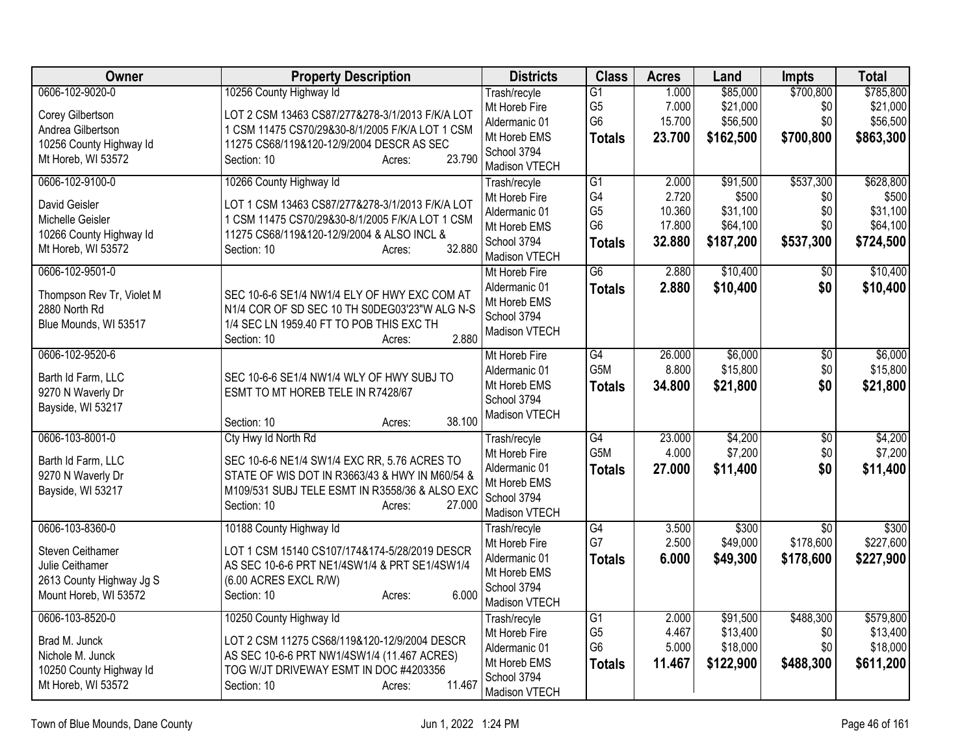| Owner                                   | <b>Property Description</b>                                                                      | <b>Districts</b>              | <b>Class</b>          | <b>Acres</b> | Land      | <b>Impts</b>    | <b>Total</b> |
|-----------------------------------------|--------------------------------------------------------------------------------------------------|-------------------------------|-----------------------|--------------|-----------|-----------------|--------------|
| 0606-102-9020-0                         | 10256 County Highway Id                                                                          | Trash/recyle                  | $\overline{G1}$       | 1.000        | \$85,000  | \$700,800       | \$785,800    |
| Corey Gilbertson                        | LOT 2 CSM 13463 CS87/277&278-3/1/2013 F/K/A LOT                                                  | Mt Horeb Fire                 | G <sub>5</sub>        | 7.000        | \$21,000  | \$0             | \$21,000     |
| Andrea Gilbertson                       | 1 CSM 11475 CS70/29&30-8/1/2005 F/K/A LOT 1 CSM                                                  | Aldermanic 01                 | G <sub>6</sub>        | 15.700       | \$56,500  | \$0             | \$56,500     |
| 10256 County Highway Id                 | 11275 CS68/119&120-12/9/2004 DESCR AS SEC                                                        | Mt Horeb EMS                  | <b>Totals</b>         | 23.700       | \$162,500 | \$700,800       | \$863,300    |
| Mt Horeb, WI 53572                      | 23.790<br>Section: 10<br>Acres:                                                                  | School 3794                   |                       |              |           |                 |              |
| 0606-102-9100-0                         |                                                                                                  | Madison VTECH                 |                       | 2.000        | \$91,500  | \$537,300       | \$628,800    |
|                                         | 10266 County Highway Id                                                                          | Trash/recyle<br>Mt Horeb Fire | $\overline{G1}$<br>G4 | 2.720        | \$500     | \$0             | \$500        |
| David Geisler                           | LOT 1 CSM 13463 CS87/277&278-3/1/2013 F/K/A LOT                                                  | Aldermanic 01                 | G <sub>5</sub>        | 10.360       | \$31,100  | \$0             | \$31,100     |
| Michelle Geisler                        | 1 CSM 11475 CS70/29&30-8/1/2005 F/K/A LOT 1 CSM                                                  | Mt Horeb EMS                  | G <sub>6</sub>        | 17.800       | \$64,100  | \$0             | \$64,100     |
| 10266 County Highway Id                 | 11275 CS68/119&120-12/9/2004 & ALSO INCL &                                                       | School 3794                   | <b>Totals</b>         | 32.880       | \$187,200 | \$537,300       | \$724,500    |
| Mt Horeb, WI 53572                      | 32.880<br>Section: 10<br>Acres:                                                                  | Madison VTECH                 |                       |              |           |                 |              |
| 0606-102-9501-0                         |                                                                                                  | Mt Horeb Fire                 | $\overline{G6}$       | 2.880        | \$10,400  | \$0             | \$10,400     |
| Thompson Rev Tr, Violet M               | SEC 10-6-6 SE1/4 NW1/4 ELY OF HWY EXC COM AT                                                     | Aldermanic 01                 | <b>Totals</b>         | 2.880        | \$10,400  | \$0             | \$10,400     |
| 2880 North Rd                           | N1/4 COR OF SD SEC 10 TH S0DEG03'23"W ALG N-S                                                    | Mt Horeb EMS                  |                       |              |           |                 |              |
| Blue Mounds, WI 53517                   | 1/4 SEC LN 1959.40 FT TO POB THIS EXC TH                                                         | School 3794                   |                       |              |           |                 |              |
|                                         | 2.880<br>Section: 10<br>Acres:                                                                   | Madison VTECH                 |                       |              |           |                 |              |
| 0606-102-9520-6                         |                                                                                                  | Mt Horeb Fire                 | $\overline{G4}$       | 26.000       | \$6,000   | $\overline{30}$ | \$6,000      |
|                                         |                                                                                                  | Aldermanic 01                 | G <sub>5</sub> M      | 8.800        | \$15,800  | \$0             | \$15,800     |
| Barth Id Farm, LLC<br>9270 N Waverly Dr | SEC 10-6-6 SE1/4 NW1/4 WLY OF HWY SUBJ TO<br>ESMT TO MT HOREB TELE IN R7428/67                   | Mt Horeb EMS                  | <b>Totals</b>         | 34.800       | \$21,800  | \$0             | \$21,800     |
| Bayside, WI 53217                       |                                                                                                  | School 3794                   |                       |              |           |                 |              |
|                                         | 38.100<br>Section: 10<br>Acres:                                                                  | Madison VTECH                 |                       |              |           |                 |              |
| 0606-103-8001-0                         | Cty Hwy Id North Rd                                                                              | Trash/recyle                  | G4                    | 23.000       | \$4,200   | $\overline{30}$ | \$4,200      |
|                                         |                                                                                                  | Mt Horeb Fire                 | G5M                   | 4.000        | \$7,200   | \$0             | \$7,200      |
| Barth Id Farm, LLC                      | SEC 10-6-6 NE1/4 SW1/4 EXC RR, 5.76 ACRES TO                                                     | Aldermanic 01                 | <b>Totals</b>         | 27,000       | \$11,400  | \$0             | \$11,400     |
| 9270 N Waverly Dr<br>Bayside, WI 53217  | STATE OF WIS DOT IN R3663/43 & HWY IN M60/54 &<br>M109/531 SUBJ TELE ESMT IN R3558/36 & ALSO EXC | Mt Horeb EMS                  |                       |              |           |                 |              |
|                                         | 27.000<br>Section: 10<br>Acres:                                                                  | School 3794                   |                       |              |           |                 |              |
|                                         |                                                                                                  | Madison VTECH                 |                       |              |           |                 |              |
| 0606-103-8360-0                         | 10188 County Highway Id                                                                          | Trash/recyle                  | G4                    | 3.500        | \$300     | \$0             | \$300        |
| Steven Ceithamer                        | LOT 1 CSM 15140 CS107/174&174-5/28/2019 DESCR                                                    | Mt Horeb Fire                 | G7                    | 2.500        | \$49,000  | \$178,600       | \$227,600    |
| Julie Ceithamer                         | AS SEC 10-6-6 PRT NE1/4SW1/4 & PRT SE1/4SW1/4                                                    | Aldermanic 01                 | <b>Totals</b>         | 6.000        | \$49,300  | \$178,600       | \$227,900    |
| 2613 County Highway Jg S                | (6.00 ACRES EXCL R/W)                                                                            | Mt Horeb EMS<br>School 3794   |                       |              |           |                 |              |
| Mount Horeb, WI 53572                   | 6.000<br>Section: 10<br>Acres:                                                                   | Madison VTECH                 |                       |              |           |                 |              |
| 0606-103-8520-0                         | 10250 County Highway Id                                                                          | Trash/recyle                  | G1                    | 2.000        | \$91,500  | \$488,300       | \$579,800    |
|                                         |                                                                                                  | Mt Horeb Fire                 | G <sub>5</sub>        | 4.467        | \$13,400  | \$0             | \$13,400     |
| Brad M. Junck<br>Nichole M. Junck       | LOT 2 CSM 11275 CS68/119&120-12/9/2004 DESCR<br>AS SEC 10-6-6 PRT NW1/4SW1/4 (11.467 ACRES)      | Aldermanic 01                 | G <sub>6</sub>        | 5.000        | \$18,000  | \$0             | \$18,000     |
| 10250 County Highway Id                 | TOG W/JT DRIVEWAY ESMT IN DOC #4203356                                                           | Mt Horeb EMS                  | <b>Totals</b>         | 11.467       | \$122,900 | \$488,300       | \$611,200    |
| Mt Horeb, WI 53572                      | 11.467<br>Section: 10<br>Acres:                                                                  | School 3794                   |                       |              |           |                 |              |
|                                         |                                                                                                  | Madison VTECH                 |                       |              |           |                 |              |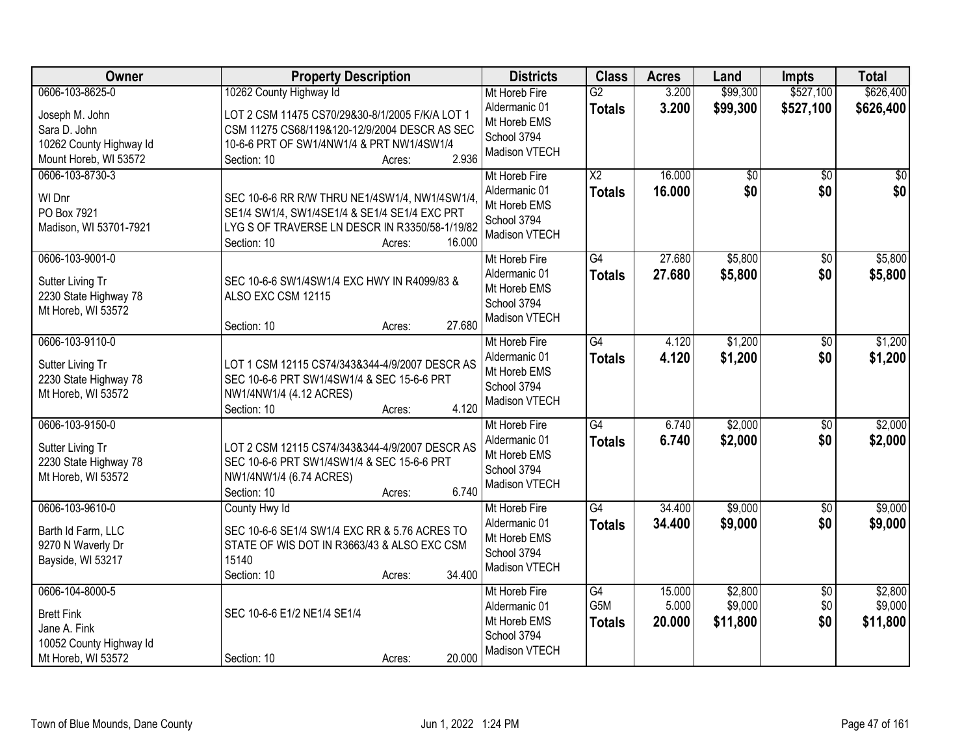| Owner                                                                                                 | <b>Property Description</b>                                                                                                                                                                                | <b>Districts</b>                                                                      | <b>Class</b>                            | <b>Acres</b>              | Land                           | <b>Impts</b>                  | <b>Total</b>                   |
|-------------------------------------------------------------------------------------------------------|------------------------------------------------------------------------------------------------------------------------------------------------------------------------------------------------------------|---------------------------------------------------------------------------------------|-----------------------------------------|---------------------------|--------------------------------|-------------------------------|--------------------------------|
| 0606-103-8625-0<br>Joseph M. John<br>Sara D. John<br>10262 County Highway Id<br>Mount Horeb, WI 53572 | 10262 County Highway Id<br>LOT 2 CSM 11475 CS70/29&30-8/1/2005 F/K/A LOT 1<br>CSM 11275 CS68/119&120-12/9/2004 DESCR AS SEC<br>10-6-6 PRT OF SW1/4NW1/4 & PRT NW1/4SW1/4<br>2.936<br>Section: 10<br>Acres: | Mt Horeb Fire<br>Aldermanic 01<br>Mt Horeb EMS<br>School 3794<br>Madison VTECH        | $\overline{G2}$<br><b>Totals</b>        | 3.200<br>3.200            | \$99,300<br>\$99,300           | \$527,100<br>\$527,100        | \$626,400<br>\$626,400         |
| 0606-103-8730-3<br>WI Dnr<br>PO Box 7921<br>Madison, WI 53701-7921                                    | SEC 10-6-6 RR R/W THRU NE1/4SW1/4, NW1/4SW1/4,<br>SE1/4 SW1/4, SW1/4SE1/4 & SE1/4 SE1/4 EXC PRT<br>LYG S OF TRAVERSE LN DESCR IN R3350/58-1/19/82<br>16.000<br>Section: 10<br>Acres:                       | Mt Horeb Fire<br>Aldermanic 01<br>Mt Horeb EMS<br>School 3794<br>Madison VTECH        | $\overline{\text{X2}}$<br><b>Totals</b> | 16.000<br>16.000          | \$0<br>\$0                     | $\overline{50}$<br>\$0        | $\overline{50}$<br>\$0         |
| 0606-103-9001-0<br>Sutter Living Tr<br>2230 State Highway 78<br>Mt Horeb, WI 53572                    | SEC 10-6-6 SW1/4SW1/4 EXC HWY IN R4099/83 &<br>ALSO EXC CSM 12115<br>27.680<br>Section: 10<br>Acres:                                                                                                       | Mt Horeb Fire<br>Aldermanic 01<br>Mt Horeb EMS<br>School 3794<br>Madison VTECH        | G4<br><b>Totals</b>                     | 27.680<br>27.680          | \$5,800<br>\$5,800             | $\overline{50}$<br>\$0        | \$5,800<br>\$5,800             |
| 0606-103-9110-0<br>Sutter Living Tr<br>2230 State Highway 78<br>Mt Horeb, WI 53572                    | LOT 1 CSM 12115 CS74/343&344-4/9/2007 DESCR AS<br>SEC 10-6-6 PRT SW1/4SW1/4 & SEC 15-6-6 PRT<br>NW1/4NW1/4 (4.12 ACRES)<br>4.120<br>Section: 10<br>Acres:                                                  | Mt Horeb Fire<br>Aldermanic 01<br>Mt Horeb EMS<br>School 3794<br><b>Madison VTECH</b> | $\overline{G4}$<br><b>Totals</b>        | 4.120<br>4.120            | \$1,200<br>\$1,200             | \$0<br>\$0                    | \$1,200<br>\$1,200             |
| 0606-103-9150-0<br>Sutter Living Tr<br>2230 State Highway 78<br>Mt Horeb, WI 53572                    | LOT 2 CSM 12115 CS74/343&344-4/9/2007 DESCR AS<br>SEC 10-6-6 PRT SW1/4SW1/4 & SEC 15-6-6 PRT<br>NW1/4NW1/4 (6.74 ACRES)<br>6.740<br>Section: 10<br>Acres:                                                  | Mt Horeb Fire<br>Aldermanic 01<br>Mt Horeb EMS<br>School 3794<br>Madison VTECH        | $\overline{G4}$<br><b>Totals</b>        | 6.740<br>6.740            | \$2,000<br>\$2,000             | \$0<br>\$0                    | \$2,000<br>\$2,000             |
| 0606-103-9610-0<br>Barth Id Farm, LLC<br>9270 N Waverly Dr<br>Bayside, WI 53217                       | County Hwy Id<br>SEC 10-6-6 SE1/4 SW1/4 EXC RR & 5.76 ACRES TO<br>STATE OF WIS DOT IN R3663/43 & ALSO EXC CSM<br>15140<br>34.400<br>Section: 10<br>Acres:                                                  | Mt Horeb Fire<br>Aldermanic 01<br>Mt Horeb EMS<br>School 3794<br>Madison VTECH        | G4<br><b>Totals</b>                     | 34.400<br>34.400          | \$9,000<br>\$9,000             | $\overline{50}$<br>\$0        | \$9,000<br>\$9,000             |
| 0606-104-8000-5<br><b>Brett Fink</b><br>Jane A. Fink<br>10052 County Highway Id<br>Mt Horeb, WI 53572 | SEC 10-6-6 E1/2 NE1/4 SE1/4<br>20.000<br>Section: 10<br>Acres:                                                                                                                                             | Mt Horeb Fire<br>Aldermanic 01<br>Mt Horeb EMS<br>School 3794<br>Madison VTECH        | $\overline{G4}$<br>G5M<br><b>Totals</b> | 15.000<br>5.000<br>20.000 | \$2,800<br>\$9,000<br>\$11,800 | $\overline{50}$<br>\$0<br>\$0 | \$2,800<br>\$9,000<br>\$11,800 |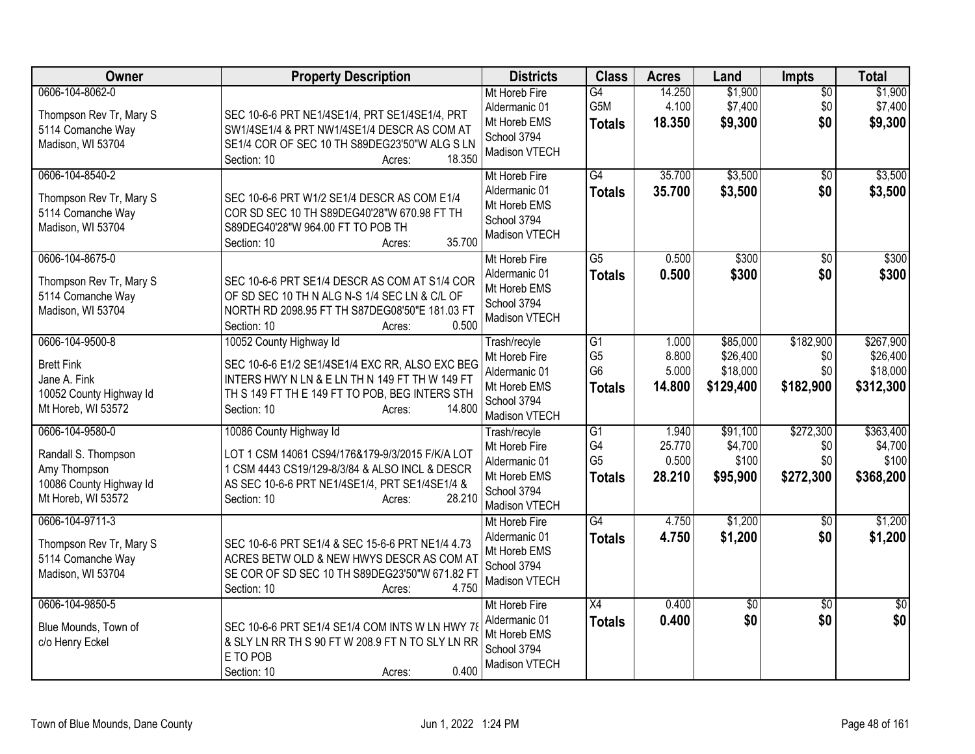| Owner                                                                                                   | <b>Property Description</b>                                                                                                                                                                                       | <b>Districts</b>                                                                               | <b>Class</b>                                                        | <b>Acres</b>                       | Land                                          | Impts                                | <b>Total</b>                                   |
|---------------------------------------------------------------------------------------------------------|-------------------------------------------------------------------------------------------------------------------------------------------------------------------------------------------------------------------|------------------------------------------------------------------------------------------------|---------------------------------------------------------------------|------------------------------------|-----------------------------------------------|--------------------------------------|------------------------------------------------|
| 0606-104-8062-0<br>Thompson Rev Tr, Mary S<br>5114 Comanche Way<br>Madison, WI 53704                    | SEC 10-6-6 PRT NE1/4SE1/4, PRT SE1/4SE1/4, PRT<br>SW1/4SE1/4 & PRT NW1/4SE1/4 DESCR AS COM AT<br>SE1/4 COR OF SEC 10 TH S89DEG23'50"W ALG S LN<br>18.350<br>Section: 10<br>Acres:                                 | Mt Horeb Fire<br>Aldermanic 01<br>Mt Horeb EMS<br>School 3794<br>Madison VTECH                 | G4<br>G5M<br><b>Totals</b>                                          | 14.250<br>4.100<br>18.350          | \$1,900<br>\$7,400<br>\$9,300                 | $\overline{50}$<br>\$0<br>\$0        | \$1,900<br>\$7,400<br>\$9,300                  |
| 0606-104-8540-2<br>Thompson Rev Tr, Mary S<br>5114 Comanche Way<br>Madison, WI 53704                    | SEC 10-6-6 PRT W1/2 SE1/4 DESCR AS COM E1/4<br>COR SD SEC 10 TH S89DEG40'28"W 670.98 FT TH<br>S89DEG40'28"W 964.00 FT TO POB TH<br>35.700<br>Section: 10<br>Acres:                                                | Mt Horeb Fire<br>Aldermanic 01<br>Mt Horeb EMS<br>School 3794<br>Madison VTECH                 | G4<br><b>Totals</b>                                                 | 35.700<br>35.700                   | \$3,500<br>\$3,500                            | \$0<br>\$0                           | \$3,500<br>\$3,500                             |
| 0606-104-8675-0<br>Thompson Rev Tr, Mary S<br>5114 Comanche Way<br>Madison, WI 53704                    | SEC 10-6-6 PRT SE1/4 DESCR AS COM AT S1/4 COR<br>OF SD SEC 10 TH N ALG N-S 1/4 SEC LN & C/L OF<br>NORTH RD 2098.95 FT TH S87DEG08'50"E 181.03 FT<br>0.500<br>Section: 10<br>Acres:                                | Mt Horeb Fire<br>Aldermanic 01<br>Mt Horeb EMS<br>School 3794<br>Madison VTECH                 | G5<br><b>Totals</b>                                                 | 0.500<br>0.500                     | \$300<br>\$300                                | \$0<br>\$0                           | \$300<br>\$300                                 |
| 0606-104-9500-8<br><b>Brett Fink</b><br>Jane A. Fink<br>10052 County Highway Id<br>Mt Horeb, WI 53572   | 10052 County Highway Id<br>SEC 10-6-6 E1/2 SE1/4SE1/4 EXC RR, ALSO EXC BEG<br>INTERS HWY N LN & E LN TH N 149 FT TH W 149 FT<br>TH S 149 FT TH E 149 FT TO POB, BEG INTERS STH<br>14.800<br>Section: 10<br>Acres: | Trash/recyle<br>Mt Horeb Fire<br>Aldermanic 01<br>Mt Horeb EMS<br>School 3794<br>Madison VTECH | G <sub>1</sub><br>G <sub>5</sub><br>G <sub>6</sub><br><b>Totals</b> | 1.000<br>8.800<br>5.000<br>14.800  | \$85,000<br>\$26,400<br>\$18,000<br>\$129,400 | \$182,900<br>\$0<br>\$0<br>\$182,900 | \$267,900<br>\$26,400<br>\$18,000<br>\$312,300 |
| 0606-104-9580-0<br>Randall S. Thompson<br>Amy Thompson<br>10086 County Highway Id<br>Mt Horeb, WI 53572 | 10086 County Highway Id<br>LOT 1 CSM 14061 CS94/176&179-9/3/2015 F/K/A LOT<br>1 CSM 4443 CS19/129-8/3/84 & ALSO INCL & DESCR<br>AS SEC 10-6-6 PRT NE1/4SE1/4, PRT SE1/4SE1/4 &<br>28.210<br>Section: 10<br>Acres: | Trash/recyle<br>Mt Horeb Fire<br>Aldermanic 01<br>Mt Horeb EMS<br>School 3794<br>Madison VTECH | $\overline{G1}$<br>G4<br>G <sub>5</sub><br><b>Totals</b>            | 1.940<br>25.770<br>0.500<br>28.210 | \$91,100<br>\$4,700<br>\$100<br>\$95,900      | \$272,300<br>\$0<br>\$0<br>\$272,300 | \$363,400<br>\$4,700<br>\$100<br>\$368,200     |
| 0606-104-9711-3<br>Thompson Rev Tr, Mary S<br>5114 Comanche Way<br>Madison, WI 53704                    | SEC 10-6-6 PRT SE1/4 & SEC 15-6-6 PRT NE1/4 4.73<br>ACRES BETW OLD & NEW HWYS DESCR AS COM AT<br>SE COR OF SD SEC 10 TH S89DEG23'50"W 671.82 FT<br>4.750<br>Section: 10<br>Acres:                                 | Mt Horeb Fire<br>Aldermanic 01<br>Mt Horeb EMS<br>School 3794<br>Madison VTECH                 | G4<br><b>Totals</b>                                                 | 4.750<br>4.750                     | \$1,200<br>\$1,200                            | $\overline{50}$<br>\$0               | \$1,200<br>\$1,200                             |
| 0606-104-9850-5<br>Blue Mounds, Town of<br>c/o Henry Eckel                                              | SEC 10-6-6 PRT SE1/4 SE1/4 COM INTS W LN HWY 78<br>& SLY LN RR TH S 90 FT W 208.9 FT N TO SLY LN RR<br>E TO POB<br>0.400<br>Section: 10<br>Acres:                                                                 | Mt Horeb Fire<br>Aldermanic 01<br>Mt Horeb EMS<br>School 3794<br>Madison VTECH                 | $\overline{X4}$<br><b>Totals</b>                                    | 0.400<br>0.400                     | $\sqrt{$0}$<br>\$0                            | $\overline{50}$<br>\$0               | $\overline{50}$<br>\$0                         |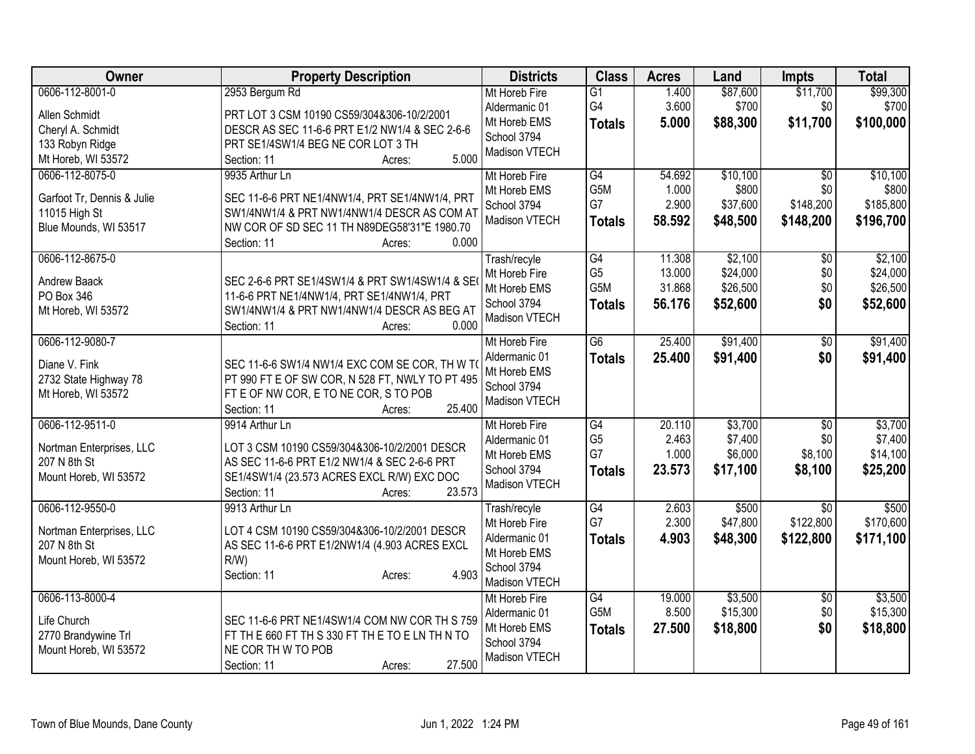| Owner                                  | <b>Property Description</b>                                                                   | <b>Districts</b> | <b>Class</b>    | <b>Acres</b> | Land     | <b>Impts</b>    | <b>Total</b> |
|----------------------------------------|-----------------------------------------------------------------------------------------------|------------------|-----------------|--------------|----------|-----------------|--------------|
| 0606-112-8001-0                        | 2953 Bergum Rd                                                                                | Mt Horeb Fire    | $\overline{G1}$ | 1.400        | \$87,600 | \$11,700        | \$99,300     |
| Allen Schmidt                          | PRT LOT 3 CSM 10190 CS59/304&306-10/2/2001                                                    | Aldermanic 01    | G4              | 3.600        | \$700    | \$0             | \$700        |
| Cheryl A. Schmidt                      | DESCR AS SEC 11-6-6 PRT E1/2 NW1/4 & SEC 2-6-6                                                | Mt Horeb EMS     | <b>Totals</b>   | 5.000        | \$88,300 | \$11,700        | \$100,000    |
| 133 Robyn Ridge                        | PRT SE1/4SW1/4 BEG NE COR LOT 3 TH                                                            | School 3794      |                 |              |          |                 |              |
| Mt Horeb, WI 53572                     | 5.000<br>Section: 11<br>Acres:                                                                | Madison VTECH    |                 |              |          |                 |              |
| 0606-112-8075-0                        | 9935 Arthur Ln                                                                                | Mt Horeb Fire    | G4              | 54.692       | \$10,100 | \$0             | \$10,100     |
|                                        |                                                                                               | Mt Horeb EMS     | G5M             | 1.000        | \$800    | \$0             | \$800        |
| Garfoot Tr, Dennis & Julie             | SEC 11-6-6 PRT NE1/4NW1/4, PRT SE1/4NW1/4, PRT<br>SW1/4NW1/4 & PRT NW1/4NW1/4 DESCR AS COM AT | School 3794      | G7              | 2.900        | \$37,600 | \$148,200       | \$185,800    |
| 11015 High St<br>Blue Mounds, WI 53517 | NW COR OF SD SEC 11 TH N89DEG58'31"E 1980.70                                                  | Madison VTECH    | <b>Totals</b>   | 58.592       | \$48,500 | \$148,200       | \$196,700    |
|                                        | 0.000<br>Section: 11<br>Acres:                                                                |                  |                 |              |          |                 |              |
| 0606-112-8675-0                        |                                                                                               | Trash/recyle     | G4              | 11.308       | \$2,100  | \$0             | \$2,100      |
|                                        |                                                                                               | Mt Horeb Fire    | G <sub>5</sub>  | 13.000       | \$24,000 | \$0             | \$24,000     |
| Andrew Baack                           | SEC 2-6-6 PRT SE1/4SW1/4 & PRT SW1/4SW1/4 & SE                                                | Mt Horeb EMS     | G5M             | 31.868       | \$26,500 | \$0             | \$26,500     |
| PO Box 346                             | 11-6-6 PRT NE1/4NW1/4, PRT SE1/4NW1/4, PRT                                                    | School 3794      | <b>Totals</b>   | 56.176       | \$52,600 | \$0             | \$52,600     |
| Mt Horeb, WI 53572                     | SW1/4NW1/4 & PRT NW1/4NW1/4 DESCR AS BEG AT                                                   | Madison VTECH    |                 |              |          |                 |              |
|                                        | 0.000<br>Section: 11<br>Acres:                                                                |                  |                 |              |          |                 |              |
| 0606-112-9080-7                        |                                                                                               | Mt Horeb Fire    | $\overline{G6}$ | 25.400       | \$91,400 | \$0             | \$91,400     |
| Diane V. Fink                          | SEC 11-6-6 SW1/4 NW1/4 EXC COM SE COR, TH W TO                                                | Aldermanic 01    | <b>Totals</b>   | 25.400       | \$91,400 | \$0             | \$91,400     |
| 2732 State Highway 78                  | PT 990 FT E OF SW COR, N 528 FT, NWLY TO PT 495                                               | Mt Horeb EMS     |                 |              |          |                 |              |
| Mt Horeb, WI 53572                     | FT E OF NW COR, E TO NE COR, S TO POB                                                         | School 3794      |                 |              |          |                 |              |
|                                        | 25.400<br>Section: 11<br>Acres:                                                               | Madison VTECH    |                 |              |          |                 |              |
| 0606-112-9511-0                        | 9914 Arthur Ln                                                                                | Mt Horeb Fire    | G4              | 20.110       | \$3,700  | $\overline{50}$ | \$3,700      |
| Nortman Enterprises, LLC               | LOT 3 CSM 10190 CS59/304&306-10/2/2001 DESCR                                                  | Aldermanic 01    | G <sub>5</sub>  | 2.463        | \$7,400  | \$0             | \$7,400      |
| 207 N 8th St                           | AS SEC 11-6-6 PRT E1/2 NW1/4 & SEC 2-6-6 PRT                                                  | Mt Horeb EMS     | G7              | 1.000        | \$6,000  | \$8,100         | \$14,100     |
| Mount Horeb, WI 53572                  | SE1/4SW1/4 (23.573 ACRES EXCL R/W) EXC DOC                                                    | School 3794      | <b>Totals</b>   | 23.573       | \$17,100 | \$8,100         | \$25,200     |
|                                        | 23.573<br>Section: 11<br>Acres:                                                               | Madison VTECH    |                 |              |          |                 |              |
| 0606-112-9550-0                        | 9913 Arthur Ln                                                                                | Trash/recyle     | G4              | 2.603        | \$500    | $\overline{30}$ | \$500        |
|                                        |                                                                                               | Mt Horeb Fire    | G7              | 2.300        | \$47,800 | \$122,800       | \$170,600    |
| Nortman Enterprises, LLC               | LOT 4 CSM 10190 CS59/304&306-10/2/2001 DESCR                                                  | Aldermanic 01    | <b>Totals</b>   | 4.903        | \$48,300 | \$122,800       | \$171,100    |
| 207 N 8th St                           | AS SEC 11-6-6 PRT E1/2NW1/4 (4.903 ACRES EXCL                                                 | Mt Horeb EMS     |                 |              |          |                 |              |
| Mount Horeb, WI 53572                  | $R/W$ )                                                                                       | School 3794      |                 |              |          |                 |              |
|                                        | 4.903<br>Section: 11<br>Acres:                                                                | Madison VTECH    |                 |              |          |                 |              |
| 0606-113-8000-4                        |                                                                                               | Mt Horeb Fire    | G4              | 19.000       | \$3,500  | \$0             | \$3,500      |
|                                        |                                                                                               | Aldermanic 01    | G5M             | 8.500        | \$15,300 | \$0             | \$15,300     |
| Life Church                            | SEC 11-6-6 PRT NE1/4SW1/4 COM NW COR TH S 759                                                 | Mt Horeb EMS     | <b>Totals</b>   | 27.500       | \$18,800 | \$0             | \$18,800     |
| 2770 Brandywine Trl                    | FT TH E 660 FT TH S 330 FT TH E TO E LN TH N TO                                               | School 3794      |                 |              |          |                 |              |
| Mount Horeb, WI 53572                  | NE COR TH W TO POB<br>27.500                                                                  | Madison VTECH    |                 |              |          |                 |              |
|                                        | Section: 11<br>Acres:                                                                         |                  |                 |              |          |                 |              |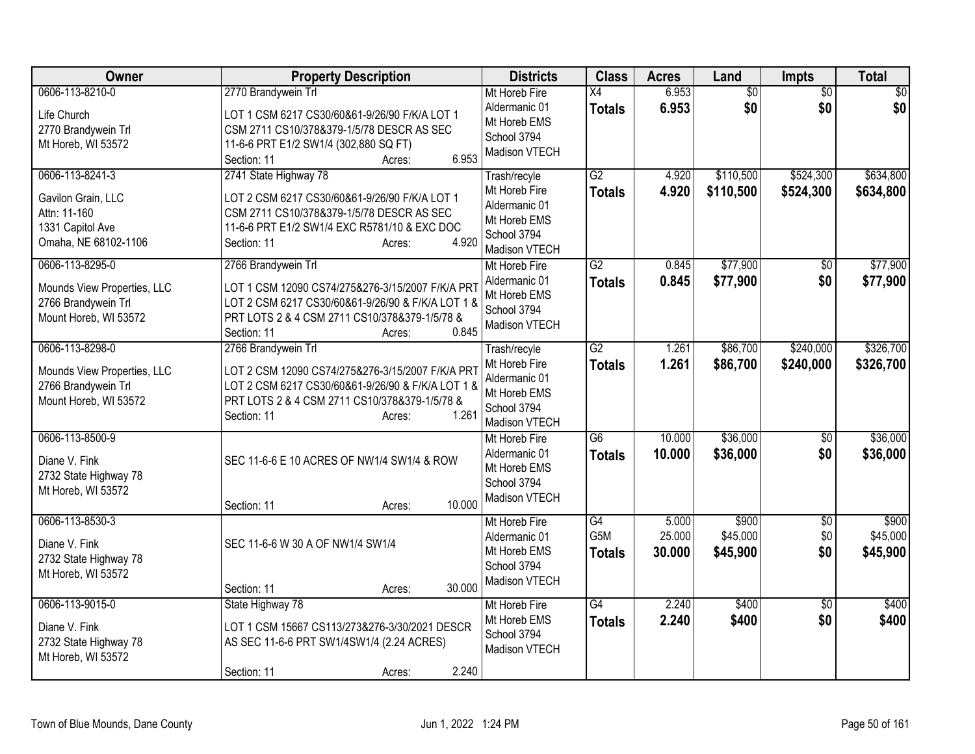| Owner                                                                                             | <b>Property Description</b>                                                                                                                                                                                     | <b>Districts</b>                                                                               | <b>Class</b>                     | <b>Acres</b>              | Land                          | <b>Impts</b>             | Total                         |
|---------------------------------------------------------------------------------------------------|-----------------------------------------------------------------------------------------------------------------------------------------------------------------------------------------------------------------|------------------------------------------------------------------------------------------------|----------------------------------|---------------------------|-------------------------------|--------------------------|-------------------------------|
| 0606-113-8210-0<br>Life Church<br>2770 Brandywein Trl<br>Mt Horeb, WI 53572                       | 2770 Brandywein Trl<br>LOT 1 CSM 6217 CS30/60&61-9/26/90 F/K/A LOT 1<br>CSM 2711 CS10/378&379-1/5/78 DESCR AS SEC<br>11-6-6 PRT E1/2 SW1/4 (302,880 SQ FT)<br>6.953<br>Section: 11<br>Acres:                    | Mt Horeb Fire<br>Aldermanic 01<br>Mt Horeb EMS<br>School 3794<br>Madison VTECH                 | $\overline{X4}$<br><b>Totals</b> | 6.953<br>6.953            | $\overline{50}$<br>\$0        | $\overline{50}$<br>\$0   | $\overline{50}$<br>\$0        |
| 0606-113-8241-3<br>Gavilon Grain, LLC<br>Attn: 11-160<br>1331 Capitol Ave<br>Omaha, NE 68102-1106 | 2741 State Highway 78<br>LOT 2 CSM 6217 CS30/60&61-9/26/90 F/K/A LOT 1<br>CSM 2711 CS10/378&379-1/5/78 DESCR AS SEC<br>11-6-6 PRT E1/2 SW1/4 EXC R5781/10 & EXC DOC<br>4.920<br>Section: 11<br>Acres:           | Trash/recyle<br>Mt Horeb Fire<br>Aldermanic 01<br>Mt Horeb EMS<br>School 3794<br>Madison VTECH | $\overline{G2}$<br><b>Totals</b> | 4.920<br>4.920            | \$110,500<br>\$110,500        | \$524,300<br>\$524,300   | \$634,800<br>\$634,800        |
| 0606-113-8295-0<br>Mounds View Properties, LLC<br>2766 Brandywein Trl<br>Mount Horeb, WI 53572    | 2766 Brandywein Trl<br>LOT 1 CSM 12090 CS74/275&276-3/15/2007 F/K/A PR1<br>LOT 2 CSM 6217 CS30/60&61-9/26/90 & F/K/A LOT 1 &<br>PRT LOTS 2 & 4 CSM 2711 CS10/378&379-1/5/78 &<br>0.845<br>Section: 11<br>Acres: | Mt Horeb Fire<br>Aldermanic 01<br>Mt Horeb EMS<br>School 3794<br>Madison VTECH                 | $\overline{G2}$<br><b>Totals</b> | 0.845<br>0.845            | \$77,900<br>\$77,900          | $\overline{30}$<br>\$0   | \$77,900<br>\$77,900          |
| 0606-113-8298-0<br>Mounds View Properties, LLC<br>2766 Brandywein Trl<br>Mount Horeb, WI 53572    | 2766 Brandywein Trl<br>LOT 2 CSM 12090 CS74/275&276-3/15/2007 F/K/A PR1<br>LOT 2 CSM 6217 CS30/60&61-9/26/90 & F/K/A LOT 1 &<br>PRT LOTS 2 & 4 CSM 2711 CS10/378&379-1/5/78 &<br>1.261<br>Section: 11<br>Acres: | Trash/recyle<br>Mt Horeb Fire<br>Aldermanic 01<br>Mt Horeb EMS<br>School 3794<br>Madison VTECH | G2<br><b>Totals</b>              | 1.261<br>1.261            | \$86,700<br>\$86,700          | \$240,000<br>\$240,000   | \$326,700<br>\$326,700        |
| 0606-113-8500-9<br>Diane V. Fink<br>2732 State Highway 78<br>Mt Horeb, WI 53572                   | SEC 11-6-6 E 10 ACRES OF NW1/4 SW1/4 & ROW<br>10.000<br>Section: 11<br>Acres:                                                                                                                                   | Mt Horeb Fire<br>Aldermanic 01<br>Mt Horeb EMS<br>School 3794<br>Madison VTECH                 | $\overline{G6}$<br><b>Totals</b> | 10.000<br>10.000          | \$36,000<br>\$36,000          | \$0<br>\$0               | \$36,000<br>\$36,000          |
| 0606-113-8530-3<br>Diane V. Fink<br>2732 State Highway 78<br>Mt Horeb, WI 53572                   | SEC 11-6-6 W 30 A OF NW1/4 SW1/4<br>30.000<br>Section: 11<br>Acres:                                                                                                                                             | Mt Horeb Fire<br>Aldermanic 01<br>Mt Horeb EMS<br>School 3794<br>Madison VTECH                 | G4<br>G5M<br><b>Totals</b>       | 5.000<br>25.000<br>30.000 | \$900<br>\$45,000<br>\$45,900 | $\sqrt{6}$<br>\$0<br>\$0 | \$900<br>\$45,000<br>\$45,900 |
| 0606-113-9015-0<br>Diane V. Fink<br>2732 State Highway 78<br>Mt Horeb, WI 53572                   | State Highway 78<br>LOT 1 CSM 15667 CS113/273&276-3/30/2021 DESCR<br>AS SEC 11-6-6 PRT SW1/4SW1/4 (2.24 ACRES)<br>2.240<br>Section: 11<br>Acres:                                                                | Mt Horeb Fire<br>Mt Horeb EMS<br>School 3794<br>Madison VTECH                                  | $\overline{G4}$<br><b>Totals</b> | 2.240<br>2.240            | \$400<br>\$400                | $\overline{50}$<br>\$0   | \$400<br>\$400                |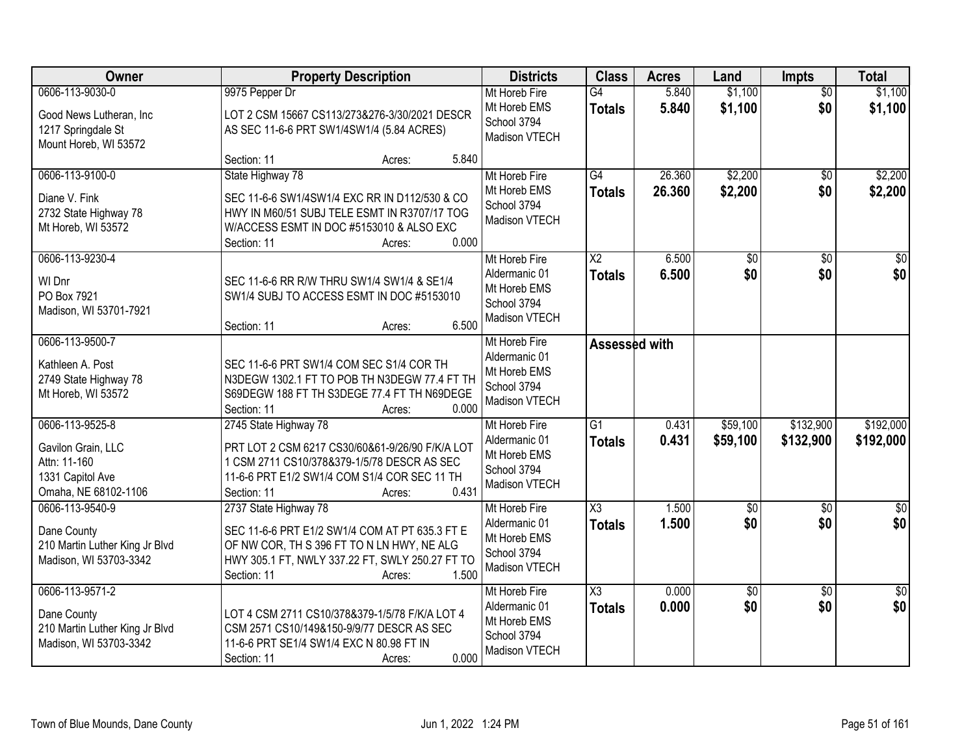| Owner                                                                                             | <b>Property Description</b>                                                                                                                                                                                | <b>Districts</b>                                                               | <b>Class</b>                            | <b>Acres</b>     | Land                   | <b>Impts</b>           | <b>Total</b>            |
|---------------------------------------------------------------------------------------------------|------------------------------------------------------------------------------------------------------------------------------------------------------------------------------------------------------------|--------------------------------------------------------------------------------|-----------------------------------------|------------------|------------------------|------------------------|-------------------------|
| 0606-113-9030-0<br>Good News Lutheran, Inc<br>1217 Springdale St<br>Mount Horeb, WI 53572         | 9975 Pepper Dr<br>LOT 2 CSM 15667 CS113/273&276-3/30/2021 DESCR<br>AS SEC 11-6-6 PRT SW1/4SW1/4 (5.84 ACRES)                                                                                               | Mt Horeb Fire<br>Mt Horeb EMS<br>School 3794<br>Madison VTECH                  | $\overline{G4}$<br><b>Totals</b>        | 5.840<br>5.840   | \$1,100<br>\$1,100     | $\overline{50}$<br>\$0 | \$1,100<br>\$1,100      |
|                                                                                                   | 5.840<br>Section: 11<br>Acres:                                                                                                                                                                             |                                                                                |                                         |                  |                        |                        |                         |
| 0606-113-9100-0<br>Diane V. Fink<br>2732 State Highway 78<br>Mt Horeb, WI 53572                   | State Highway 78<br>SEC 11-6-6 SW1/4SW1/4 EXC RR IN D112/530 & CO<br>HWY IN M60/51 SUBJ TELE ESMT IN R3707/17 TOG<br>W/ACCESS ESMT IN DOC #5153010 & ALSO EXC<br>0.000<br>Section: 11<br>Acres:            | Mt Horeb Fire<br>Mt Horeb EMS<br>School 3794<br>Madison VTECH                  | G4<br>Totals                            | 26.360<br>26.360 | \$2,200<br>\$2,200     | $\overline{50}$<br>\$0 | \$2,200<br>\$2,200      |
| 0606-113-9230-4<br>WI Dnr<br>PO Box 7921<br>Madison, WI 53701-7921                                | SEC 11-6-6 RR R/W THRU SW1/4 SW1/4 & SE1/4<br>SW1/4 SUBJ TO ACCESS ESMT IN DOC #5153010<br>6.500<br>Section: 11<br>Acres:                                                                                  | Mt Horeb Fire<br>Aldermanic 01<br>Mt Horeb EMS<br>School 3794<br>Madison VTECH | $\overline{\text{X2}}$<br><b>Totals</b> | 6.500<br>6.500   | $\overline{50}$<br>\$0 | $\overline{50}$<br>\$0 | $\overline{30}$<br>\$0  |
| 0606-113-9500-7<br>Kathleen A. Post<br>2749 State Highway 78<br>Mt Horeb, WI 53572                | SEC 11-6-6 PRT SW1/4 COM SEC S1/4 COR TH<br>N3DEGW 1302.1 FT TO POB TH N3DEGW 77.4 FT TH<br>S69DEGW 188 FT TH S3DEGE 77.4 FT TH N69DEGE<br>Section: 11<br>0.000<br>Acres:                                  | Mt Horeb Fire<br>Aldermanic 01<br>Mt Horeb EMS<br>School 3794<br>Madison VTECH | <b>Assessed with</b>                    |                  |                        |                        |                         |
| 0606-113-9525-8<br>Gavilon Grain, LLC<br>Attn: 11-160<br>1331 Capitol Ave<br>Omaha, NE 68102-1106 | 2745 State Highway 78<br>PRT LOT 2 CSM 6217 CS30/60&61-9/26/90 F/K/A LOT<br>1 CSM 2711 CS10/378&379-1/5/78 DESCR AS SEC<br>11-6-6 PRT E1/2 SW1/4 COM S1/4 COR SEC 11 TH<br>0.431<br>Section: 11<br>Acres:  | Mt Horeb Fire<br>Aldermanic 01<br>Mt Horeb EMS<br>School 3794<br>Madison VTECH | $\overline{G1}$<br>Totals               | 0.431<br>0.431   | \$59,100<br>\$59,100   | \$132,900<br>\$132,900 | \$192,000<br>\$192,000  |
| 0606-113-9540-9<br>Dane County<br>210 Martin Luther King Jr Blvd<br>Madison, WI 53703-3342        | 2737 State Highway 78<br>SEC 11-6-6 PRT E1/2 SW1/4 COM AT PT 635.3 FT E<br>OF NW COR, TH S 396 FT TO N LN HWY, NE ALG<br>HWY 305.1 FT, NWLY 337.22 FT, SWLY 250.27 FT TO<br>1.500<br>Section: 11<br>Acres: | Mt Horeb Fire<br>Aldermanic 01<br>Mt Horeb EMS<br>School 3794<br>Madison VTECH | $\overline{\text{X3}}$<br><b>Totals</b> | 1.500<br>1.500   | $\overline{60}$<br>\$0 | $\overline{50}$<br>\$0 | $\overline{\$0}$<br>\$0 |
| 0606-113-9571-2<br>Dane County<br>210 Martin Luther King Jr Blvd<br>Madison, WI 53703-3342        | LOT 4 CSM 2711 CS10/378&379-1/5/78 F/K/A LOT 4<br>CSM 2571 CS10/149&150-9/9/77 DESCR AS SEC<br>11-6-6 PRT SE1/4 SW1/4 EXC N 80.98 FT IN<br>0.000<br>Section: 11<br>Acres:                                  | Mt Horeb Fire<br>Aldermanic 01<br>Mt Horeb EMS<br>School 3794<br>Madison VTECH | X3<br><b>Totals</b>                     | 0.000<br>0.000   | $\overline{50}$<br>\$0 | $\overline{30}$<br>\$0 | $\overline{50}$<br>\$0  |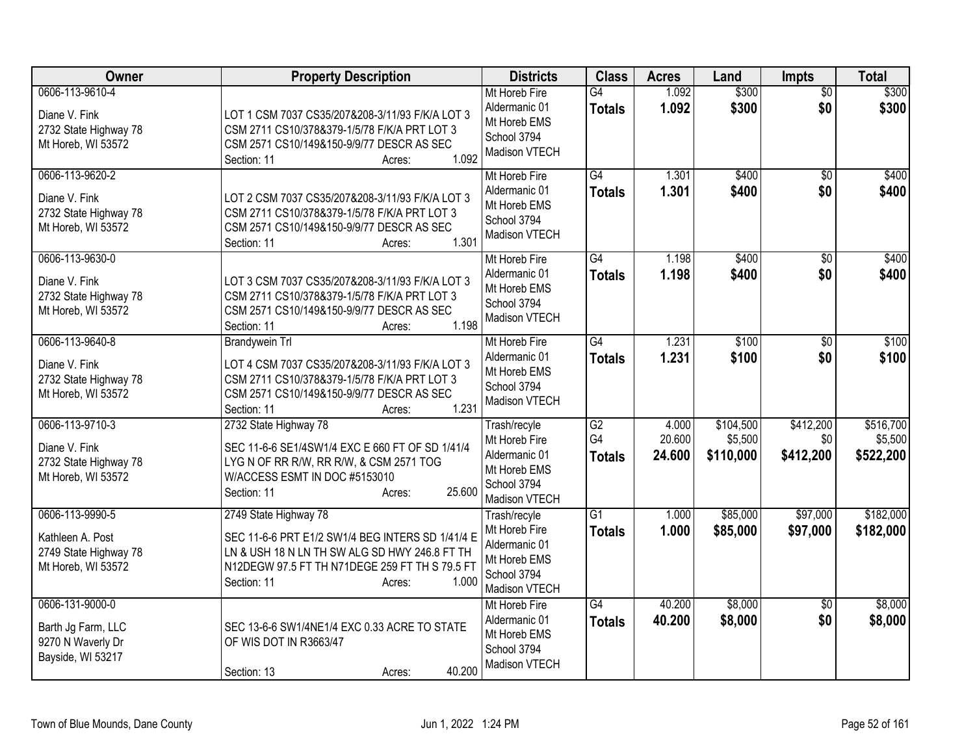| Owner                                                                              | <b>Property Description</b>                                                                                                                                                                                    | <b>Districts</b>                                                                               | <b>Class</b>                           | <b>Acres</b>              | Land                              | <b>Impts</b>                  | <b>Total</b>                      |
|------------------------------------------------------------------------------------|----------------------------------------------------------------------------------------------------------------------------------------------------------------------------------------------------------------|------------------------------------------------------------------------------------------------|----------------------------------------|---------------------------|-----------------------------------|-------------------------------|-----------------------------------|
| 0606-113-9610-4<br>Diane V. Fink<br>2732 State Highway 78<br>Mt Horeb, WI 53572    | LOT 1 CSM 7037 CS35/207&208-3/11/93 F/K/A LOT 3<br>CSM 2711 CS10/378&379-1/5/78 F/K/A PRT LOT 3<br>CSM 2571 CS10/149&150-9/9/77 DESCR AS SEC<br>1.092<br>Section: 11<br>Acres:                                 | Mt Horeb Fire<br>Aldermanic 01<br>Mt Horeb EMS<br>School 3794<br>Madison VTECH                 | $\overline{G4}$<br><b>Totals</b>       | 1.092<br>1.092            | \$300<br>\$300                    | $\overline{50}$<br>\$0        | \$300<br>\$300                    |
| 0606-113-9620-2<br>Diane V. Fink<br>2732 State Highway 78<br>Mt Horeb, WI 53572    | LOT 2 CSM 7037 CS35/207&208-3/11/93 F/K/A LOT 3<br>CSM 2711 CS10/378&379-1/5/78 F/K/A PRT LOT 3<br>CSM 2571 CS10/149&150-9/9/77 DESCR AS SEC<br>1.301<br>Section: 11<br>Acres:                                 | Mt Horeb Fire<br>Aldermanic 01<br>Mt Horeb EMS<br>School 3794<br>Madison VTECH                 | G4<br><b>Totals</b>                    | 1.301<br>1.301            | \$400<br>\$400                    | $\overline{50}$<br>\$0        | \$400<br>\$400                    |
| 0606-113-9630-0<br>Diane V. Fink<br>2732 State Highway 78<br>Mt Horeb, WI 53572    | LOT 3 CSM 7037 CS35/207&208-3/11/93 F/K/A LOT 3<br>CSM 2711 CS10/378&379-1/5/78 F/K/A PRT LOT 3<br>CSM 2571 CS10/149&150-9/9/77 DESCR AS SEC<br>1.198<br>Section: 11<br>Acres:                                 | Mt Horeb Fire<br>Aldermanic 01<br>Mt Horeb EMS<br>School 3794<br>Madison VTECH                 | $\overline{G4}$<br><b>Totals</b>       | 1.198<br>1.198            | \$400<br>\$400                    | \$0<br>\$0                    | \$400<br>\$400                    |
| 0606-113-9640-8<br>Diane V. Fink<br>2732 State Highway 78<br>Mt Horeb, WI 53572    | <b>Brandywein Trl</b><br>LOT 4 CSM 7037 CS35/207&208-3/11/93 F/K/A LOT 3<br>CSM 2711 CS10/378&379-1/5/78 F/K/A PRT LOT 3<br>CSM 2571 CS10/149&150-9/9/77 DESCR AS SEC<br>1.231<br>Section: 11<br>Acres:        | Mt Horeb Fire<br>Aldermanic 01<br>Mt Horeb EMS<br>School 3794<br>Madison VTECH                 | G4<br><b>Totals</b>                    | 1.231<br>1.231            | \$100<br>\$100                    | $\overline{30}$<br>\$0        | \$100<br>\$100                    |
| 0606-113-9710-3<br>Diane V. Fink<br>2732 State Highway 78<br>Mt Horeb, WI 53572    | 2732 State Highway 78<br>SEC 11-6-6 SE1/4SW1/4 EXC E 660 FT OF SD 1/41/4<br>LYG N OF RR R/W, RR R/W, & CSM 2571 TOG<br>W/ACCESS ESMT IN DOC #5153010<br>25.600<br>Section: 11<br>Acres:                        | Trash/recyle<br>Mt Horeb Fire<br>Aldermanic 01<br>Mt Horeb EMS<br>School 3794<br>Madison VTECH | $\overline{G2}$<br>G4<br><b>Totals</b> | 4.000<br>20.600<br>24.600 | \$104,500<br>\$5,500<br>\$110,000 | \$412,200<br>\$0<br>\$412,200 | \$516,700<br>\$5,500<br>\$522,200 |
| 0606-113-9990-5<br>Kathleen A. Post<br>2749 State Highway 78<br>Mt Horeb, WI 53572 | 2749 State Highway 78<br>SEC 11-6-6 PRT E1/2 SW1/4 BEG INTERS SD 1/41/4 E<br>LN & USH 18 N LN TH SW ALG SD HWY 246.8 FT TH<br>N12DEGW 97.5 FT TH N71DEGE 259 FT TH S 79.5 FT<br>1.000<br>Section: 11<br>Acres: | Trash/recyle<br>Mt Horeb Fire<br>Aldermanic 01<br>Mt Horeb EMS<br>School 3794<br>Madison VTECH | $\overline{G1}$<br><b>Totals</b>       | 1.000<br>1.000            | \$85,000<br>\$85,000              | \$97,000<br>\$97,000          | \$182,000<br>\$182,000            |
| 0606-131-9000-0<br>Barth Jg Farm, LLC<br>9270 N Waverly Dr<br>Bayside, WI 53217    | SEC 13-6-6 SW1/4NE1/4 EXC 0.33 ACRE TO STATE<br>OF WIS DOT IN R3663/47<br>40.200<br>Section: 13<br>Acres:                                                                                                      | Mt Horeb Fire<br>Aldermanic 01<br>Mt Horeb EMS<br>School 3794<br>Madison VTECH                 | $\overline{G4}$<br><b>Totals</b>       | 40.200<br>40.200          | \$8,000<br>\$8,000                | $\overline{50}$<br>\$0        | \$8,000<br>\$8,000                |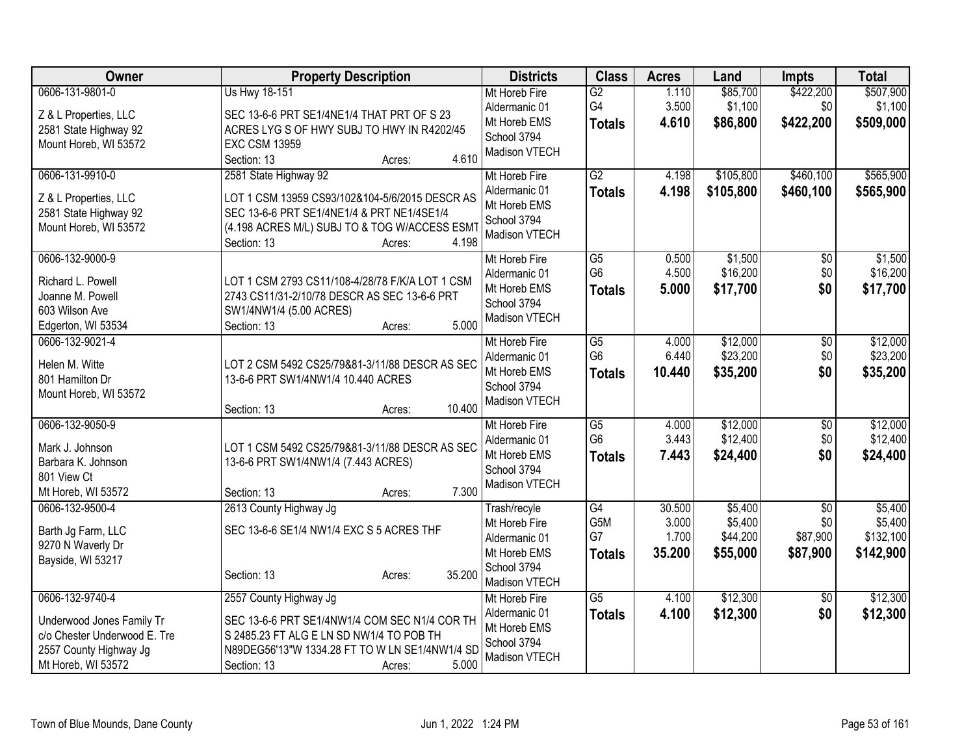| Owner                                    | <b>Property Description</b>                                 | <b>Districts</b>               | <b>Class</b>          | <b>Acres</b>   | Land                | <b>Impts</b>     | <b>Total</b>         |
|------------------------------------------|-------------------------------------------------------------|--------------------------------|-----------------------|----------------|---------------------|------------------|----------------------|
| 0606-131-9801-0<br>Z & L Properties, LLC | Us Hwy 18-151<br>SEC 13-6-6 PRT SE1/4NE1/4 THAT PRT OF S 23 | Mt Horeb Fire<br>Aldermanic 01 | $\overline{G2}$<br>G4 | 1.110<br>3.500 | \$85,700<br>\$1,100 | \$422,200<br>\$0 | \$507,900<br>\$1,100 |
| 2581 State Highway 92                    | ACRES LYG S OF HWY SUBJ TO HWY IN R4202/45                  | Mt Horeb EMS                   | <b>Totals</b>         | 4.610          | \$86,800            | \$422,200        | \$509,000            |
| Mount Horeb, WI 53572                    | <b>EXC CSM 13959</b>                                        | School 3794                    |                       |                |                     |                  |                      |
|                                          | 4.610<br>Section: 13<br>Acres:                              | Madison VTECH                  |                       |                |                     |                  |                      |
| 0606-131-9910-0                          | 2581 State Highway 92                                       | Mt Horeb Fire                  | $\overline{G2}$       | 4.198          | \$105,800           | \$460,100        | \$565,900            |
| Z & L Properties, LLC                    | LOT 1 CSM 13959 CS93/102&104-5/6/2015 DESCR AS              | Aldermanic 01                  | <b>Totals</b>         | 4.198          | \$105,800           | \$460,100        | \$565,900            |
| 2581 State Highway 92                    | SEC 13-6-6 PRT SE1/4NE1/4 & PRT NE1/4SE1/4                  | Mt Horeb EMS                   |                       |                |                     |                  |                      |
| Mount Horeb, WI 53572                    | (4.198 ACRES M/L) SUBJ TO & TOG W/ACCESS ESM1               | School 3794<br>Madison VTECH   |                       |                |                     |                  |                      |
|                                          | 4.198<br>Section: 13<br>Acres:                              |                                |                       |                |                     |                  |                      |
| 0606-132-9000-9                          |                                                             | Mt Horeb Fire                  | $\overline{G5}$       | 0.500          | \$1,500             | \$0              | \$1,500              |
| Richard L. Powell                        | LOT 1 CSM 2793 CS11/108-4/28/78 F/K/A LOT 1 CSM             | Aldermanic 01                  | G <sub>6</sub>        | 4.500          | \$16,200            | \$0              | \$16,200             |
| Joanne M. Powell                         | 2743 CS11/31-2/10/78 DESCR AS SEC 13-6-6 PRT                | Mt Horeb EMS                   | <b>Totals</b>         | 5.000          | \$17,700            | \$0              | \$17,700             |
| 603 Wilson Ave                           | SW1/4NW1/4 (5.00 ACRES)                                     | School 3794<br>Madison VTECH   |                       |                |                     |                  |                      |
| Edgerton, WI 53534                       | 5.000<br>Section: 13<br>Acres:                              |                                |                       |                |                     |                  |                      |
| 0606-132-9021-4                          |                                                             | Mt Horeb Fire                  | G5                    | 4.000          | \$12,000            | \$0              | \$12,000             |
| Helen M. Witte                           | LOT 2 CSM 5492 CS25/79&81-3/11/88 DESCR AS SEC              | Aldermanic 01                  | G <sub>6</sub>        | 6.440          | \$23,200            | \$0              | \$23,200             |
| 801 Hamilton Dr                          | 13-6-6 PRT SW1/4NW1/4 10.440 ACRES                          | Mt Horeb EMS                   | <b>Totals</b>         | 10.440         | \$35,200            | \$0              | \$35,200             |
| Mount Horeb, WI 53572                    |                                                             | School 3794<br>Madison VTECH   |                       |                |                     |                  |                      |
|                                          | 10.400<br>Section: 13<br>Acres:                             |                                |                       |                |                     |                  |                      |
| 0606-132-9050-9                          |                                                             | Mt Horeb Fire                  | $\overline{G5}$       | 4.000          | \$12,000            | \$0              | \$12,000             |
| Mark J. Johnson                          | LOT 1 CSM 5492 CS25/79&81-3/11/88 DESCR AS SEC              | Aldermanic 01                  | G <sub>6</sub>        | 3.443          | \$12,400            | \$0              | \$12,400             |
| Barbara K. Johnson                       | 13-6-6 PRT SW1/4NW1/4 (7.443 ACRES)                         | Mt Horeb EMS                   | <b>Totals</b>         | 7.443          | \$24,400            | \$0              | \$24,400             |
| 801 View Ct                              |                                                             | School 3794<br>Madison VTECH   |                       |                |                     |                  |                      |
| Mt Horeb, WI 53572                       | 7.300<br>Section: 13<br>Acres:                              |                                |                       |                |                     |                  |                      |
| 0606-132-9500-4                          | 2613 County Highway Jg                                      | Trash/recyle                   | G4                    | 30.500         | \$5,400             | $\overline{30}$  | \$5,400              |
| Barth Jg Farm, LLC                       | SEC 13-6-6 SE1/4 NW1/4 EXC S 5 ACRES THF                    | Mt Horeb Fire                  | G5M                   | 3.000          | \$5,400             | \$0              | \$5,400              |
| 9270 N Waverly Dr                        |                                                             | Aldermanic 01                  | G7                    | 1.700          | \$44,200            | \$87,900         | \$132,100            |
| Bayside, WI 53217                        |                                                             | Mt Horeb EMS<br>School 3794    | <b>Totals</b>         | 35.200         | \$55,000            | \$87,900         | \$142,900            |
|                                          | 35.200<br>Section: 13<br>Acres:                             | Madison VTECH                  |                       |                |                     |                  |                      |
| 0606-132-9740-4                          | 2557 County Highway Jg                                      | Mt Horeb Fire                  | $\overline{G5}$       | 4.100          | \$12,300            | \$0              | \$12,300             |
| Underwood Jones Family Tr                | SEC 13-6-6 PRT SE1/4NW1/4 COM SEC N1/4 COR TH               | Aldermanic 01                  | <b>Totals</b>         | 4.100          | \$12,300            | \$0              | \$12,300             |
| c/o Chester Underwood E. Tre             | S 2485.23 FT ALG E LN SD NW1/4 TO POB TH                    | Mt Horeb EMS                   |                       |                |                     |                  |                      |
| 2557 County Highway Jg                   | N89DEG56'13"W 1334.28 FT TO W LN SE1/4NW1/4 SD              | School 3794                    |                       |                |                     |                  |                      |
| Mt Horeb, WI 53572                       | 5.000<br>Section: 13<br>Acres:                              | Madison VTECH                  |                       |                |                     |                  |                      |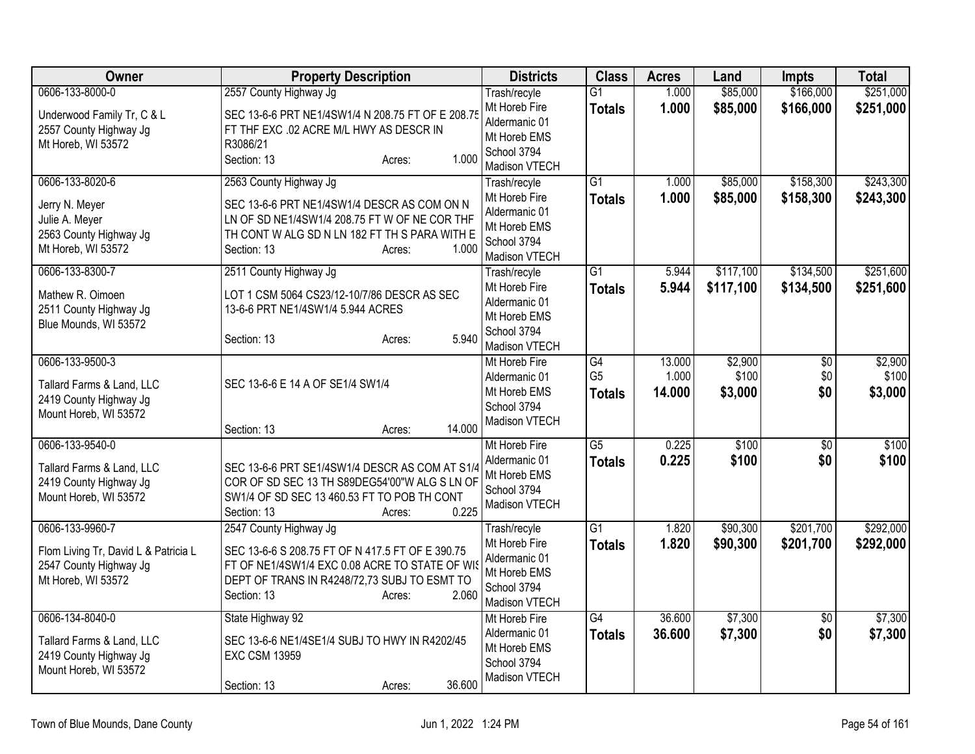| Owner                                                                                                   | <b>Property Description</b>                                                                                                                                                                                    | <b>Districts</b>                                                                               | <b>Class</b>                          | <b>Acres</b>              | Land                        | <b>Impts</b>                  | <b>Total</b>                |
|---------------------------------------------------------------------------------------------------------|----------------------------------------------------------------------------------------------------------------------------------------------------------------------------------------------------------------|------------------------------------------------------------------------------------------------|---------------------------------------|---------------------------|-----------------------------|-------------------------------|-----------------------------|
| 0606-133-8000-0<br>Underwood Family Tr, C & L<br>2557 County Highway Jg<br>Mt Horeb, WI 53572           | 2557 County Highway Jg<br>SEC 13-6-6 PRT NE1/4SW1/4 N 208.75 FT OF E 208.75<br>FT THF EXC .02 ACRE M/L HWY AS DESCR IN<br>R3086/21<br>1.000<br>Section: 13<br>Acres:                                           | Trash/recyle<br>Mt Horeb Fire<br>Aldermanic 01<br>Mt Horeb EMS<br>School 3794<br>Madison VTECH | $\overline{G1}$<br><b>Totals</b>      | 1.000<br>1.000            | \$85,000<br>\$85,000        | \$166,000<br>\$166,000        | \$251,000<br>\$251,000      |
| 0606-133-8020-6<br>Jerry N. Meyer<br>Julie A. Meyer<br>2563 County Highway Jg<br>Mt Horeb, WI 53572     | 2563 County Highway Jg<br>SEC 13-6-6 PRT NE1/4SW1/4 DESCR AS COM ON N<br>LN OF SD NE1/4SW1/4 208.75 FT W OF NE COR THF<br>TH CONT W ALG SD N LN 182 FT TH S PARA WITH E<br>1.000<br>Section: 13<br>Acres:      | Trash/recyle<br>Mt Horeb Fire<br>Aldermanic 01<br>Mt Horeb EMS<br>School 3794<br>Madison VTECH | $\overline{G1}$<br><b>Totals</b>      | 1.000<br>1.000            | \$85,000<br>\$85,000        | \$158,300<br>\$158,300        | \$243,300<br>\$243,300      |
| 0606-133-8300-7<br>Mathew R. Oimoen<br>2511 County Highway Jg<br>Blue Mounds, WI 53572                  | 2511 County Highway Jg<br>LOT 1 CSM 5064 CS23/12-10/7/86 DESCR AS SEC<br>13-6-6 PRT NE1/4SW1/4 5.944 ACRES<br>5.940<br>Section: 13<br>Acres:                                                                   | Trash/recyle<br>Mt Horeb Fire<br>Aldermanic 01<br>Mt Horeb EMS<br>School 3794<br>Madison VTECH | $\overline{G1}$<br><b>Totals</b>      | 5.944<br>5.944            | \$117,100<br>\$117,100      | \$134,500<br>\$134,500        | \$251,600<br>\$251,600      |
| 0606-133-9500-3<br>Tallard Farms & Land, LLC<br>2419 County Highway Jg<br>Mount Horeb, WI 53572         | SEC 13-6-6 E 14 A OF SE1/4 SW1/4<br>14.000<br>Section: 13<br>Acres:                                                                                                                                            | Mt Horeb Fire<br>Aldermanic 01<br>Mt Horeb EMS<br>School 3794<br>Madison VTECH                 | G4<br>G <sub>5</sub><br><b>Totals</b> | 13.000<br>1.000<br>14.000 | \$2,900<br>\$100<br>\$3,000 | $\overline{50}$<br>\$0<br>\$0 | \$2,900<br>\$100<br>\$3,000 |
| 0606-133-9540-0<br>Tallard Farms & Land, LLC<br>2419 County Highway Jg<br>Mount Horeb, WI 53572         | SEC 13-6-6 PRT SE1/4SW1/4 DESCR AS COM AT S1/4<br>COR OF SD SEC 13 TH S89DEG54'00"W ALG S LN OF<br>SW1/4 OF SD SEC 13 460.53 FT TO POB TH CONT<br>0.225<br>Section: 13<br>Acres:                               | Mt Horeb Fire<br>Aldermanic 01<br>Mt Horeb EMS<br>School 3794<br>Madison VTECH                 | $\overline{G5}$<br><b>Totals</b>      | 0.225<br>0.225            | \$100<br>\$100              | $\overline{50}$<br>\$0        | \$100<br>\$100              |
| 0606-133-9960-7<br>Flom Living Tr, David L & Patricia L<br>2547 County Highway Jg<br>Mt Horeb, WI 53572 | 2547 County Highway Jg<br>SEC 13-6-6 S 208.75 FT OF N 417.5 FT OF E 390.75<br>FT OF NE1/4SW1/4 EXC 0.08 ACRE TO STATE OF WIS<br>DEPT OF TRANS IN R4248/72,73 SUBJ TO ESMT TO<br>2.060<br>Section: 13<br>Acres: | Trash/recyle<br>Mt Horeb Fire<br>Aldermanic 01<br>Mt Horeb EMS<br>School 3794<br>Madison VTECH | $\overline{G1}$<br><b>Totals</b>      | 1.820<br>1.820            | \$90,300<br>\$90,300        | \$201,700<br>\$201,700        | \$292,000<br>\$292,000      |
| 0606-134-8040-0<br>Tallard Farms & Land, LLC<br>2419 County Highway Jg<br>Mount Horeb, WI 53572         | State Highway 92<br>SEC 13-6-6 NE1/4SE1/4 SUBJ TO HWY IN R4202/45<br><b>EXC CSM 13959</b><br>36.600<br>Section: 13<br>Acres:                                                                                   | Mt Horeb Fire<br>Aldermanic 01<br>Mt Horeb EMS<br>School 3794<br>Madison VTECH                 | G4<br><b>Totals</b>                   | 36.600<br>36.600          | \$7,300<br>\$7,300          | $\overline{50}$<br>\$0        | \$7,300<br>\$7,300          |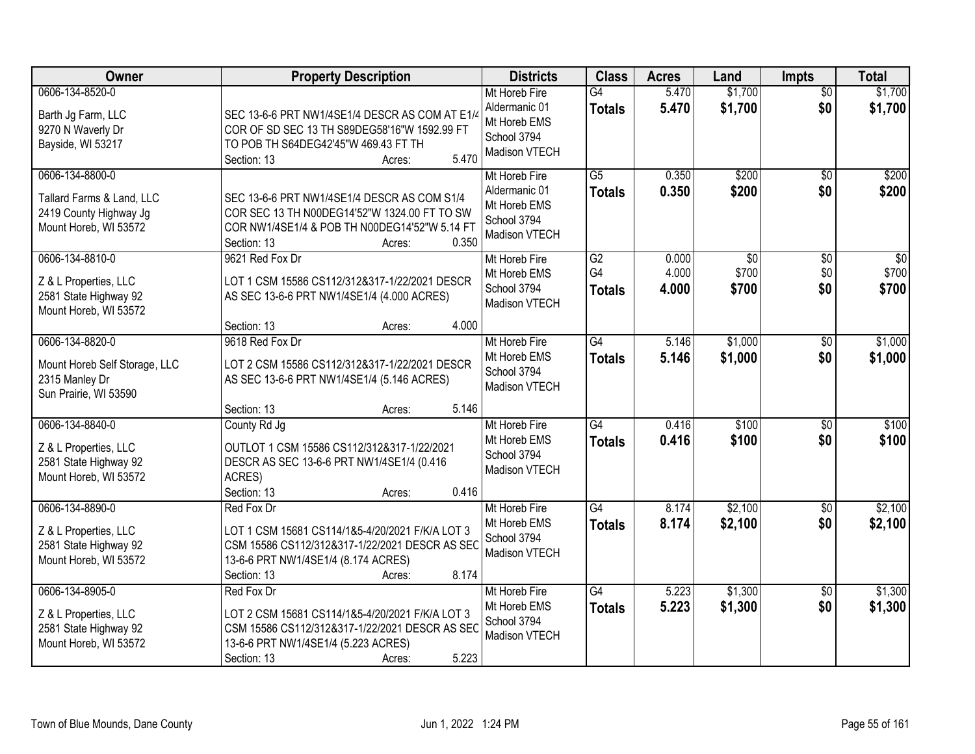| Owner                                                                                           | <b>Property Description</b>                                                                                                                                                              | <b>Districts</b>                                                               | <b>Class</b>                     | <b>Acres</b>            | Land                              | <b>Impts</b>                  | <b>Total</b>                      |
|-------------------------------------------------------------------------------------------------|------------------------------------------------------------------------------------------------------------------------------------------------------------------------------------------|--------------------------------------------------------------------------------|----------------------------------|-------------------------|-----------------------------------|-------------------------------|-----------------------------------|
| 0606-134-8520-0<br>Barth Jg Farm, LLC<br>9270 N Waverly Dr<br>Bayside, WI 53217                 | SEC 13-6-6 PRT NW1/4SE1/4 DESCR AS COM AT E1/4<br>COR OF SD SEC 13 TH S89DEG58'16"W 1592.99 FT<br>TO POB TH S64DEG42'45"W 469.43 FT TH<br>5.470<br>Section: 13<br>Acres:                 | Mt Horeb Fire<br>Aldermanic 01<br>Mt Horeb EMS<br>School 3794<br>Madison VTECH | G4<br><b>Totals</b>              | 5.470<br>5.470          | \$1,700<br>\$1,700                | $\overline{30}$<br>\$0        | \$1,700<br>\$1,700                |
| 0606-134-8800-0<br>Tallard Farms & Land, LLC<br>2419 County Highway Jg<br>Mount Horeb, WI 53572 | SEC 13-6-6 PRT NW1/4SE1/4 DESCR AS COM S1/4<br>COR SEC 13 TH N00DEG14'52"W 1324.00 FT TO SW<br>COR NW1/4SE1/4 & POB TH N00DEG14'52"W 5.14 FT<br>0.350<br>Section: 13<br>Acres:           | Mt Horeb Fire<br>Aldermanic 01<br>Mt Horeb EMS<br>School 3794<br>Madison VTECH | $\overline{G5}$<br><b>Totals</b> | 0.350<br>0.350          | \$200<br>\$200                    | $\overline{50}$<br>\$0        | \$200<br>\$200                    |
| 0606-134-8810-0<br>Z & L Properties, LLC<br>2581 State Highway 92<br>Mount Horeb, WI 53572      | 9621 Red Fox Dr<br>LOT 1 CSM 15586 CS112/312&317-1/22/2021 DESCR<br>AS SEC 13-6-6 PRT NW1/4SE1/4 (4.000 ACRES)<br>4.000<br>Section: 13<br>Acres:                                         | Mt Horeb Fire<br>Mt Horeb EMS<br>School 3794<br>Madison VTECH                  | G2<br>G4<br><b>Totals</b>        | 0.000<br>4.000<br>4.000 | $\overline{50}$<br>\$700<br>\$700 | $\overline{50}$<br>\$0<br>\$0 | $\overline{30}$<br>\$700<br>\$700 |
| 0606-134-8820-0<br>Mount Horeb Self Storage, LLC<br>2315 Manley Dr<br>Sun Prairie, WI 53590     | 9618 Red Fox Dr<br>LOT 2 CSM 15586 CS112/312&317-1/22/2021 DESCR<br>AS SEC 13-6-6 PRT NW1/4SE1/4 (5.146 ACRES)<br>5.146<br>Section: 13<br>Acres:                                         | Mt Horeb Fire<br>Mt Horeb EMS<br>School 3794<br>Madison VTECH                  | $\overline{G4}$<br><b>Totals</b> | 5.146<br>5.146          | \$1,000<br>\$1,000                | $\sqrt[6]{}$<br>\$0           | \$1,000<br>\$1,000                |
| 0606-134-8840-0<br>Z & L Properties, LLC<br>2581 State Highway 92<br>Mount Horeb, WI 53572      | County Rd Jg<br>OUTLOT 1 CSM 15586 CS112/312&317-1/22/2021<br>DESCR AS SEC 13-6-6 PRT NW1/4SE1/4 (0.416<br>ACRES)<br>0.416<br>Section: 13<br>Acres:                                      | Mt Horeb Fire<br>Mt Horeb EMS<br>School 3794<br>Madison VTECH                  | $\overline{G4}$<br><b>Totals</b> | 0.416<br>0.416          | \$100<br>\$100                    | $\overline{50}$<br>\$0        | \$100<br>\$100                    |
| 0606-134-8890-0<br>Z & L Properties, LLC<br>2581 State Highway 92<br>Mount Horeb, WI 53572      | Red Fox Dr<br>LOT 1 CSM 15681 CS114/1&5-4/20/2021 F/K/A LOT 3<br>CSM 15586 CS112/312&317-1/22/2021 DESCR AS SEC<br>13-6-6 PRT NW1/4SE1/4 (8.174 ACRES)<br>8.174<br>Section: 13<br>Acres: | Mt Horeb Fire<br>Mt Horeb EMS<br>School 3794<br>Madison VTECH                  | $\overline{G4}$<br><b>Totals</b> | 8.174<br>8.174          | \$2,100<br>\$2,100                | $\sqrt{$0}$<br>\$0            | \$2,100<br>\$2,100                |
| 0606-134-8905-0<br>Z & L Properties, LLC<br>2581 State Highway 92<br>Mount Horeb, WI 53572      | Red Fox Dr<br>LOT 2 CSM 15681 CS114/1&5-4/20/2021 F/K/A LOT 3<br>CSM 15586 CS112/312&317-1/22/2021 DESCR AS SEC<br>13-6-6 PRT NW1/4SE1/4 (5.223 ACRES)<br>5.223<br>Section: 13<br>Acres: | Mt Horeb Fire<br>Mt Horeb EMS<br>School 3794<br>Madison VTECH                  | $\overline{G4}$<br><b>Totals</b> | 5.223<br>5.223          | \$1,300<br>\$1,300                | $\overline{30}$<br>\$0        | \$1,300<br>\$1,300                |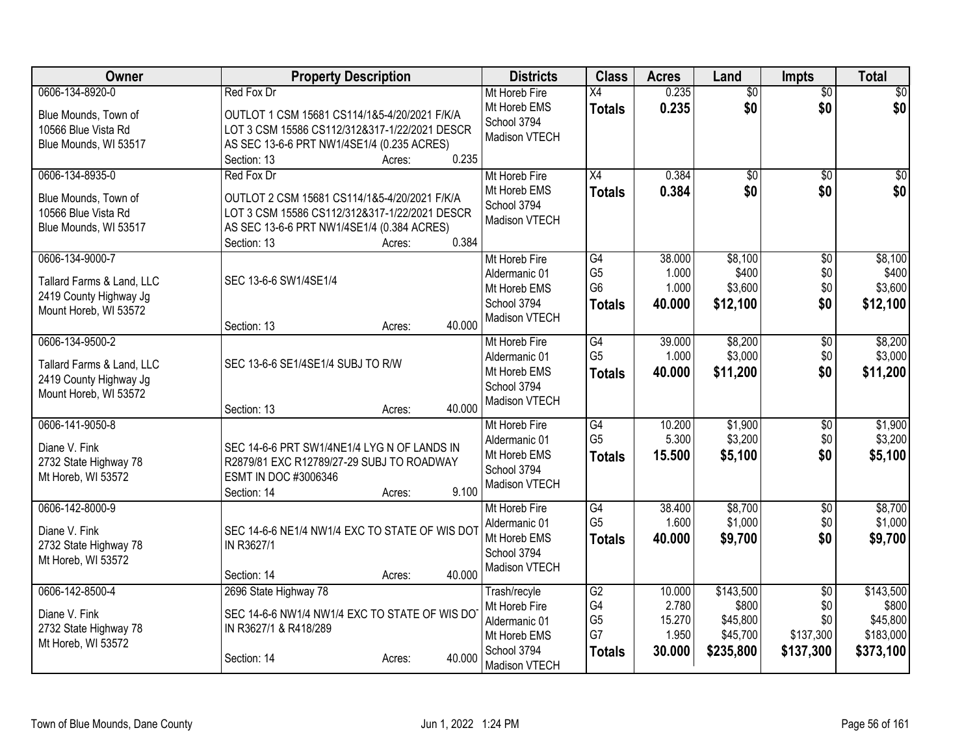| <b>Owner</b>                                                                                    | <b>Property Description</b>                                                                                                                                                                 | <b>Districts</b>                                                                               | <b>Class</b>                                                         | <b>Acres</b>                                 | Land                                                    | <b>Impts</b>                                            | <b>Total</b>                                             |
|-------------------------------------------------------------------------------------------------|---------------------------------------------------------------------------------------------------------------------------------------------------------------------------------------------|------------------------------------------------------------------------------------------------|----------------------------------------------------------------------|----------------------------------------------|---------------------------------------------------------|---------------------------------------------------------|----------------------------------------------------------|
| 0606-134-8920-0<br>Blue Mounds, Town of<br>10566 Blue Vista Rd<br>Blue Mounds, WI 53517         | Red Fox Dr<br>OUTLOT 1 CSM 15681 CS114/1&5-4/20/2021 F/K/A<br>LOT 3 CSM 15586 CS112/312&317-1/22/2021 DESCR<br>AS SEC 13-6-6 PRT NW1/4SE1/4 (0.235 ACRES)<br>0.235<br>Section: 13<br>Acres: | Mt Horeb Fire<br>Mt Horeb EMS<br>School 3794<br>Madison VTECH                                  | $\overline{X4}$<br><b>Totals</b>                                     | 0.235<br>0.235                               | $\overline{50}$<br>\$0                                  | $\overline{50}$<br>\$0                                  | \$0<br>\$0                                               |
| 0606-134-8935-0<br>Blue Mounds, Town of<br>10566 Blue Vista Rd<br>Blue Mounds, WI 53517         | Red Fox Dr<br>OUTLOT 2 CSM 15681 CS114/1&5-4/20/2021 F/K/A<br>LOT 3 CSM 15586 CS112/312&317-1/22/2021 DESCR<br>AS SEC 13-6-6 PRT NW1/4SE1/4 (0.384 ACRES)<br>0.384<br>Section: 13<br>Acres: | Mt Horeb Fire<br>Mt Horeb EMS<br>School 3794<br>Madison VTECH                                  | X4<br><b>Totals</b>                                                  | 0.384<br>0.384                               | $\overline{50}$<br>\$0                                  | $\overline{50}$<br>\$0                                  | \$0<br>\$0                                               |
| 0606-134-9000-7<br>Tallard Farms & Land, LLC<br>2419 County Highway Jg<br>Mount Horeb, WI 53572 | SEC 13-6-6 SW1/4SE1/4<br>40.000<br>Section: 13<br>Acres:                                                                                                                                    | Mt Horeb Fire<br>Aldermanic 01<br>Mt Horeb EMS<br>School 3794<br>Madison VTECH                 | $\overline{G4}$<br>G <sub>5</sub><br>G <sub>6</sub><br><b>Totals</b> | 38.000<br>1.000<br>1.000<br>40.000           | \$8,100<br>\$400<br>\$3,600<br>\$12,100                 | $\overline{50}$<br>\$0<br>\$0<br>\$0                    | \$8,100<br>\$400<br>\$3,600<br>\$12,100                  |
| 0606-134-9500-2<br>Tallard Farms & Land, LLC<br>2419 County Highway Jg<br>Mount Horeb, WI 53572 | SEC 13-6-6 SE1/4SE1/4 SUBJ TO R/W<br>40.000<br>Section: 13<br>Acres:                                                                                                                        | Mt Horeb Fire<br>Aldermanic 01<br>Mt Horeb EMS<br>School 3794<br>Madison VTECH                 | G4<br>G <sub>5</sub><br><b>Totals</b>                                | 39.000<br>1.000<br>40.000                    | \$8,200<br>\$3,000<br>\$11,200                          | $\overline{60}$<br>\$0<br>\$0                           | \$8,200<br>\$3,000<br>\$11,200                           |
| 0606-141-9050-8<br>Diane V. Fink<br>2732 State Highway 78<br>Mt Horeb, WI 53572                 | SEC 14-6-6 PRT SW1/4NE1/4 LYG N OF LANDS IN<br>R2879/81 EXC R12789/27-29 SUBJ TO ROADWAY<br>ESMT IN DOC #3006346<br>9.100<br>Section: 14<br>Acres:                                          | Mt Horeb Fire<br>Aldermanic 01<br>Mt Horeb EMS<br>School 3794<br>Madison VTECH                 | G4<br>G <sub>5</sub><br><b>Totals</b>                                | 10.200<br>5.300<br>15.500                    | \$1,900<br>\$3,200<br>\$5,100                           | \$0<br>\$0<br>\$0                                       | \$1,900<br>\$3,200<br>\$5,100                            |
| 0606-142-8000-9<br>Diane V. Fink<br>2732 State Highway 78<br>Mt Horeb, WI 53572                 | SEC 14-6-6 NE1/4 NW1/4 EXC TO STATE OF WIS DOT<br>IN R3627/1<br>40.000<br>Section: 14<br>Acres:                                                                                             | Mt Horeb Fire<br>Aldermanic 01<br>Mt Horeb EMS<br>School 3794<br>Madison VTECH                 | G4<br>G <sub>5</sub><br><b>Totals</b>                                | 38.400<br>1.600<br>40.000                    | \$8,700<br>\$1,000<br>\$9,700                           | $\overline{50}$<br>\$0<br>\$0                           | \$8,700<br>\$1,000<br>\$9,700                            |
| 0606-142-8500-4<br>Diane V. Fink<br>2732 State Highway 78<br>Mt Horeb, WI 53572                 | 2696 State Highway 78<br>SEC 14-6-6 NW1/4 NW1/4 EXC TO STATE OF WIS DO<br>IN R3627/1 & R418/289<br>40.000<br>Section: 14<br>Acres:                                                          | Trash/recyle<br>Mt Horeb Fire<br>Aldermanic 01<br>Mt Horeb EMS<br>School 3794<br>Madison VTECH | G2<br>G4<br>G <sub>5</sub><br>G7<br><b>Totals</b>                    | 10.000<br>2.780<br>15.270<br>1.950<br>30.000 | \$143,500<br>\$800<br>\$45,800<br>\$45,700<br>\$235,800 | $\overline{50}$<br>\$0<br>\$0<br>\$137,300<br>\$137,300 | \$143,500<br>\$800<br>\$45,800<br>\$183,000<br>\$373,100 |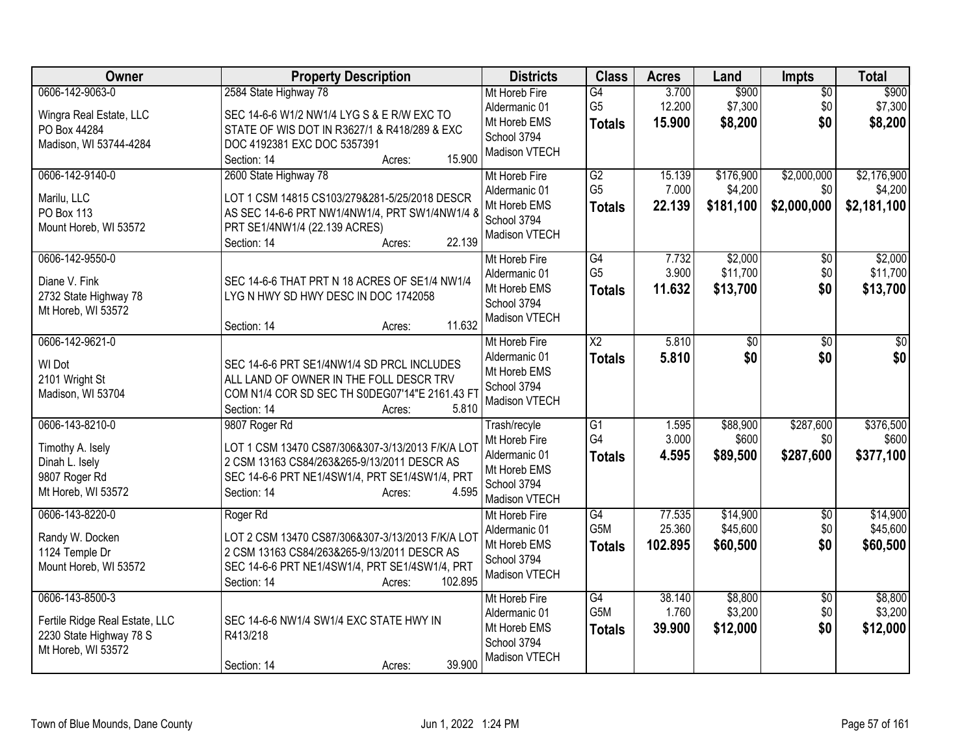| Owner                                                                                              | <b>Property Description</b>                                                                                                                                                                          | <b>Districts</b>                                                                               | <b>Class</b>                            | <b>Acres</b>                | Land                              | Impts                             | <b>Total</b>                          |
|----------------------------------------------------------------------------------------------------|------------------------------------------------------------------------------------------------------------------------------------------------------------------------------------------------------|------------------------------------------------------------------------------------------------|-----------------------------------------|-----------------------------|-----------------------------------|-----------------------------------|---------------------------------------|
| 0606-142-9063-0<br>Wingra Real Estate, LLC<br>PO Box 44284<br>Madison, WI 53744-4284               | 2584 State Highway 78<br>SEC 14-6-6 W1/2 NW1/4 LYG S & E R/W EXC TO<br>STATE OF WIS DOT IN R3627/1 & R418/289 & EXC<br>DOC 4192381 EXC DOC 5357391<br>15.900<br>Section: 14<br>Acres:                | Mt Horeb Fire<br>Aldermanic 01<br>Mt Horeb EMS<br>School 3794<br>Madison VTECH                 | G4<br>G <sub>5</sub><br><b>Totals</b>   | 3.700<br>12.200<br>15.900   | \$900<br>\$7,300<br>\$8,200       | $\overline{50}$<br>\$0<br>\$0     | \$900<br>\$7,300<br>\$8,200           |
| 0606-142-9140-0<br>Marilu, LLC<br>PO Box 113<br>Mount Horeb, WI 53572                              | 2600 State Highway 78<br>LOT 1 CSM 14815 CS103/279&281-5/25/2018 DESCR<br>AS SEC 14-6-6 PRT NW1/4NW1/4, PRT SW1/4NW1/4 8<br>PRT SE1/4NW1/4 (22.139 ACRES)<br>22.139<br>Section: 14<br>Acres:         | Mt Horeb Fire<br>Aldermanic 01<br>Mt Horeb EMS<br>School 3794<br>Madison VTECH                 | G2<br>G <sub>5</sub><br><b>Totals</b>   | 15.139<br>7.000<br>22.139   | \$176,900<br>\$4,200<br>\$181,100 | \$2,000,000<br>\$0<br>\$2,000,000 | \$2,176,900<br>\$4,200<br>\$2,181,100 |
| 0606-142-9550-0<br>Diane V. Fink<br>2732 State Highway 78<br>Mt Horeb, WI 53572                    | SEC 14-6-6 THAT PRT N 18 ACRES OF SE1/4 NW1/4<br>LYG N HWY SD HWY DESC IN DOC 1742058<br>11.632<br>Section: 14<br>Acres:                                                                             | Mt Horeb Fire<br>Aldermanic 01<br>Mt Horeb EMS<br>School 3794<br>Madison VTECH                 | G4<br>G <sub>5</sub><br><b>Totals</b>   | 7.732<br>3.900<br>11.632    | \$2,000<br>\$11,700<br>\$13,700   | \$0<br>\$0<br>\$0                 | \$2,000<br>\$11,700<br>\$13,700       |
| 0606-142-9621-0<br>WI Dot<br>2101 Wright St<br>Madison, WI 53704                                   | SEC 14-6-6 PRT SE1/4NW1/4 SD PRCL INCLUDES<br>ALL LAND OF OWNER IN THE FOLL DESCR TRV<br>COM N1/4 COR SD SEC TH S0DEG07'14"E 2161.43 FT<br>Section: 14<br>5.810<br>Acres:                            | Mt Horeb Fire<br>Aldermanic 01<br>Mt Horeb EMS<br>School 3794<br>Madison VTECH                 | $\overline{\text{X2}}$<br><b>Totals</b> | 5.810<br>5.810              | \$0<br>\$0                        | $\overline{50}$<br>\$0            | $\overline{50}$<br>\$0                |
| 0606-143-8210-0<br>Timothy A. Isely<br>Dinah L. Isely<br>9807 Roger Rd<br>Mt Horeb, WI 53572       | 9807 Roger Rd<br>LOT 1 CSM 13470 CS87/306&307-3/13/2013 F/K/A LOT<br>2 CSM 13163 CS84/263&265-9/13/2011 DESCR AS<br>SEC 14-6-6 PRT NE1/4SW1/4, PRT SE1/4SW1/4, PRT<br>Section: 14<br>4.595<br>Acres: | Trash/recyle<br>Mt Horeb Fire<br>Aldermanic 01<br>Mt Horeb EMS<br>School 3794<br>Madison VTECH | $\overline{G1}$<br>G4<br><b>Totals</b>  | 1.595<br>3.000<br>4.595     | \$88,900<br>\$600<br>\$89,500     | \$287,600<br>\$0<br>\$287,600     | \$376,500<br>\$600<br>\$377,100       |
| 0606-143-8220-0<br>Randy W. Docken<br>1124 Temple Dr<br>Mount Horeb, WI 53572                      | Roger Rd<br>LOT 2 CSM 13470 CS87/306&307-3/13/2013 F/K/A LOT<br>2 CSM 13163 CS84/263&265-9/13/2011 DESCR AS<br>SEC 14-6-6 PRT NE1/4SW1/4, PRT SE1/4SW1/4, PRT<br>102.895<br>Section: 14<br>Acres:    | Mt Horeb Fire<br>Aldermanic 01<br>Mt Horeb EMS<br>School 3794<br>Madison VTECH                 | G4<br>G5M<br><b>Totals</b>              | 77.535<br>25.360<br>102.895 | \$14,900<br>\$45,600<br>\$60,500  | $\sqrt[6]{}$<br>\$0<br>\$0        | \$14,900<br>\$45,600<br>\$60,500      |
| 0606-143-8500-3<br>Fertile Ridge Real Estate, LLC<br>2230 State Highway 78 S<br>Mt Horeb, WI 53572 | SEC 14-6-6 NW1/4 SW1/4 EXC STATE HWY IN<br>R413/218<br>39.900<br>Section: 14<br>Acres:                                                                                                               | Mt Horeb Fire<br>Aldermanic 01<br>Mt Horeb EMS<br>School 3794<br>Madison VTECH                 | G4<br>G <sub>5</sub> M<br><b>Totals</b> | 38.140<br>1.760<br>39.900   | \$8,800<br>\$3,200<br>\$12,000    | \$0<br>\$0<br>\$0                 | \$8,800<br>\$3,200<br>\$12,000        |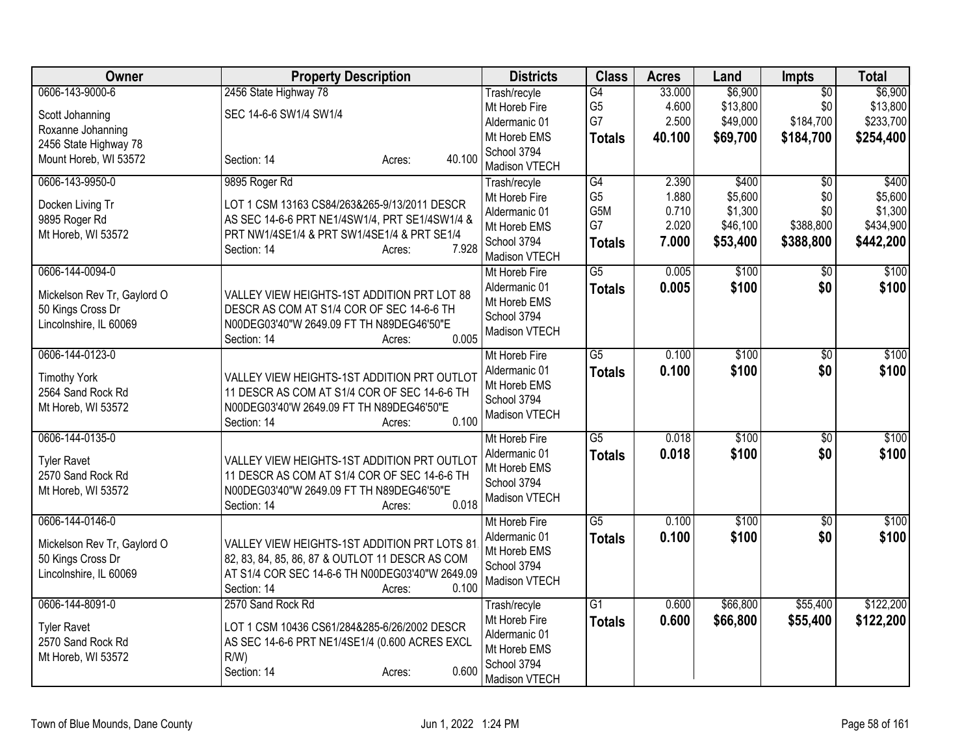| Owner                       | <b>Property Description</b>                                       | <b>Districts</b>              | <b>Class</b>    | <b>Acres</b> | Land     | Impts                  | <b>Total</b>     |
|-----------------------------|-------------------------------------------------------------------|-------------------------------|-----------------|--------------|----------|------------------------|------------------|
| 0606-143-9000-6             | 2456 State Highway 78                                             | Trash/recyle                  | G4              | 33.000       | \$6,900  | $\overline{50}$        | \$6,900          |
| Scott Johanning             | SEC 14-6-6 SW1/4 SW1/4                                            | Mt Horeb Fire                 | G <sub>5</sub>  | 4.600        | \$13,800 | \$0                    | \$13,800         |
| Roxanne Johanning           |                                                                   | Aldermanic 01                 | G7              | 2.500        | \$49,000 | \$184,700              | \$233,700        |
| 2456 State Highway 78       |                                                                   | Mt Horeb EMS                  | <b>Totals</b>   | 40.100       | \$69,700 | \$184,700              | \$254,400        |
| Mount Horeb, WI 53572       | 40.100<br>Section: 14<br>Acres:                                   | School 3794                   |                 |              |          |                        |                  |
| 0606-143-9950-0             |                                                                   | Madison VTECH                 | G4              | 2.390        | \$400    |                        |                  |
|                             | 9895 Roger Rd                                                     | Trash/recyle<br>Mt Horeb Fire | G <sub>5</sub>  | 1.880        | \$5,600  | $\overline{50}$<br>\$0 | \$400<br>\$5,600 |
| Docken Living Tr            | LOT 1 CSM 13163 CS84/263&265-9/13/2011 DESCR                      | Aldermanic 01                 | G5M             | 0.710        | \$1,300  | \$0                    | \$1,300          |
| 9895 Roger Rd               | AS SEC 14-6-6 PRT NE1/4SW1/4, PRT SE1/4SW1/4 &                    | Mt Horeb EMS                  | G7              | 2.020        | \$46,100 | \$388,800              | \$434,900        |
| Mt Horeb, WI 53572          | PRT NW1/4SE1/4 & PRT SW1/4SE1/4 & PRT SE1/4                       | School 3794                   | <b>Totals</b>   | 7.000        | \$53,400 | \$388,800              | \$442,200        |
|                             | Section: 14<br>7.928<br>Acres:                                    | Madison VTECH                 |                 |              |          |                        |                  |
| 0606-144-0094-0             |                                                                   | Mt Horeb Fire                 | $\overline{G5}$ | 0.005        | \$100    | $\overline{50}$        | \$100            |
|                             |                                                                   | Aldermanic 01                 | <b>Totals</b>   | 0.005        | \$100    | \$0                    | \$100            |
| Mickelson Rev Tr, Gaylord O | VALLEY VIEW HEIGHTS-1ST ADDITION PRT LOT 88                       | Mt Horeb EMS                  |                 |              |          |                        |                  |
| 50 Kings Cross Dr           | DESCR AS COM AT S1/4 COR OF SEC 14-6-6 TH                         | School 3794                   |                 |              |          |                        |                  |
| Lincolnshire, IL 60069      | N00DEG03'40"W 2649.09 FT TH N89DEG46'50"E<br>0.005<br>Section: 14 | <b>Madison VTECH</b>          |                 |              |          |                        |                  |
| 0606-144-0123-0             | Acres:                                                            | Mt Horeb Fire                 | $\overline{G5}$ | 0.100        | \$100    | $\overline{50}$        | \$100            |
|                             |                                                                   | Aldermanic 01                 | <b>Totals</b>   | 0.100        | \$100    | \$0                    | \$100            |
| <b>Timothy York</b>         | VALLEY VIEW HEIGHTS-1ST ADDITION PRT OUTLOT                       | Mt Horeb EMS                  |                 |              |          |                        |                  |
| 2564 Sand Rock Rd           | 11 DESCR AS COM AT S1/4 COR OF SEC 14-6-6 TH                      | School 3794                   |                 |              |          |                        |                  |
| Mt Horeb, WI 53572          | N00DEG03'40'W 2649.09 FT TH N89DEG46'50"E                         | Madison VTECH                 |                 |              |          |                        |                  |
|                             | 0.100<br>Section: 14<br>Acres:                                    |                               |                 |              |          |                        |                  |
| 0606-144-0135-0             |                                                                   | Mt Horeb Fire                 | $\overline{G5}$ | 0.018        | \$100    | $\overline{50}$        | \$100            |
| <b>Tyler Ravet</b>          | VALLEY VIEW HEIGHTS-1ST ADDITION PRT OUTLOT                       | Aldermanic 01                 | <b>Totals</b>   | 0.018        | \$100    | \$0                    | \$100            |
| 2570 Sand Rock Rd           | 11 DESCR AS COM AT S1/4 COR OF SEC 14-6-6 TH                      | Mt Horeb EMS                  |                 |              |          |                        |                  |
| Mt Horeb, WI 53572          | N00DEG03'40"W 2649.09 FT TH N89DEG46'50"E                         | School 3794                   |                 |              |          |                        |                  |
|                             | 0.018<br>Section: 14<br>Acres:                                    | Madison VTECH                 |                 |              |          |                        |                  |
| 0606-144-0146-0             |                                                                   | Mt Horeb Fire                 | $\overline{G5}$ | 0.100        | \$100    | $\overline{50}$        | \$100            |
| Mickelson Rev Tr, Gaylord O | VALLEY VIEW HEIGHTS-1ST ADDITION PRT LOTS 81                      | Aldermanic 01                 | <b>Totals</b>   | 0.100        | \$100    | \$0                    | \$100            |
| 50 Kings Cross Dr           | 82, 83, 84, 85, 86, 87 & OUTLOT 11 DESCR AS COM                   | Mt Horeb EMS                  |                 |              |          |                        |                  |
| Lincolnshire, IL 60069      | AT S1/4 COR SEC 14-6-6 TH N00DEG03'40"W 2649.09                   | School 3794                   |                 |              |          |                        |                  |
|                             | 0.100<br>Section: 14<br>Acres:                                    | Madison VTECH                 |                 |              |          |                        |                  |
| 0606-144-8091-0             | 2570 Sand Rock Rd                                                 | Trash/recyle                  | $\overline{G1}$ | 0.600        | \$66,800 | \$55,400               | \$122,200        |
|                             |                                                                   | Mt Horeb Fire                 | <b>Totals</b>   | 0.600        | \$66,800 | \$55,400               | \$122,200        |
| <b>Tyler Ravet</b>          | LOT 1 CSM 10436 CS61/284&285-6/26/2002 DESCR                      | Aldermanic 01                 |                 |              |          |                        |                  |
| 2570 Sand Rock Rd           | AS SEC 14-6-6 PRT NE1/4SE1/4 (0.600 ACRES EXCL                    | Mt Horeb EMS                  |                 |              |          |                        |                  |
| Mt Horeb, WI 53572          | $R/W$ )<br>0.600<br>Section: 14                                   | School 3794                   |                 |              |          |                        |                  |
|                             | Acres:                                                            | Madison VTECH                 |                 |              |          |                        |                  |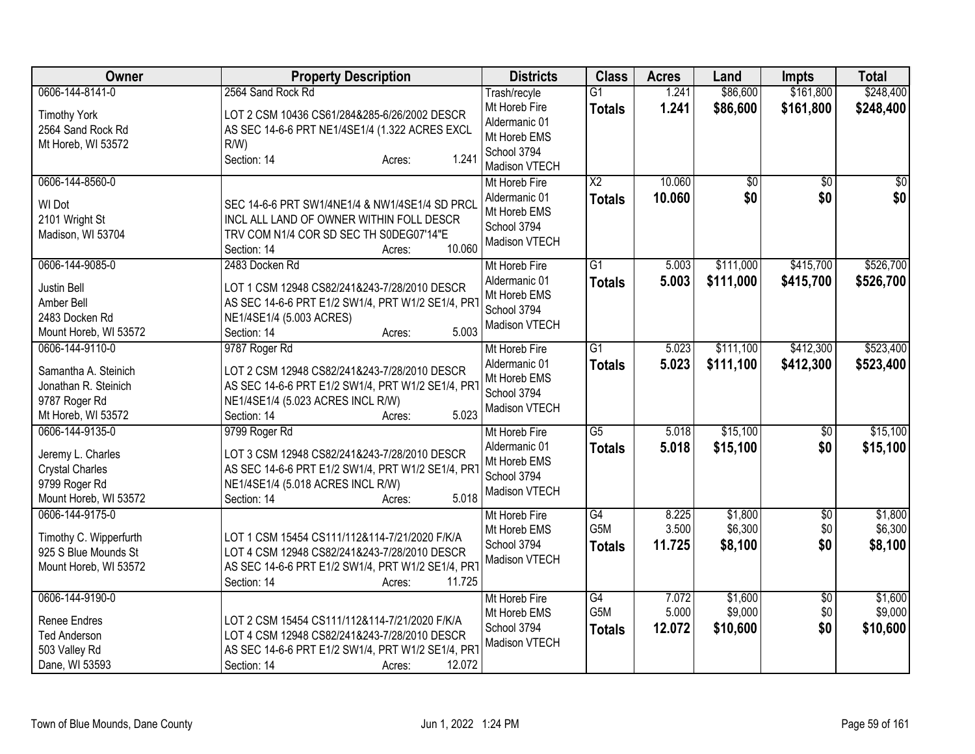| <b>Owner</b>                           | <b>Property Description</b>                                                         | <b>Districts</b>               | <b>Class</b>                        | <b>Acres</b>   | Land                   | <b>Impts</b>           | <b>Total</b>           |
|----------------------------------------|-------------------------------------------------------------------------------------|--------------------------------|-------------------------------------|----------------|------------------------|------------------------|------------------------|
| 0606-144-8141-0<br><b>Timothy York</b> | 2564 Sand Rock Rd<br>LOT 2 CSM 10436 CS61/284&285-6/26/2002 DESCR                   | Trash/recyle<br>Mt Horeb Fire  | $\overline{G1}$<br><b>Totals</b>    | 1.241<br>1.241 | \$86,600<br>\$86,600   | \$161,800<br>\$161,800 | \$248,400<br>\$248,400 |
| 2564 Sand Rock Rd                      | AS SEC 14-6-6 PRT NE1/4SE1/4 (1.322 ACRES EXCL                                      | Aldermanic 01<br>Mt Horeb EMS  |                                     |                |                        |                        |                        |
| Mt Horeb, WI 53572                     | $R/W$ )                                                                             | School 3794                    |                                     |                |                        |                        |                        |
|                                        | 1.241<br>Section: 14<br>Acres:                                                      | Madison VTECH                  |                                     |                |                        |                        |                        |
| 0606-144-8560-0                        |                                                                                     | Mt Horeb Fire                  | $\overline{\text{X2}}$              | 10.060         | $\overline{60}$<br>\$0 | $\overline{50}$        | $\overline{50}$<br>\$0 |
| WI Dot                                 | SEC 14-6-6 PRT SW1/4NE1/4 & NW1/4SE1/4 SD PRCL                                      | Aldermanic 01<br>Mt Horeb EMS  | <b>Totals</b>                       | 10.060         |                        | \$0                    |                        |
| 2101 Wright St                         | INCL ALL LAND OF OWNER WITHIN FOLL DESCR<br>TRV COM N1/4 COR SD SEC TH S0DEG07'14"E | School 3794                    |                                     |                |                        |                        |                        |
| Madison, WI 53704                      | 10.060<br>Section: 14<br>Acres:                                                     | Madison VTECH                  |                                     |                |                        |                        |                        |
| 0606-144-9085-0                        | 2483 Docken Rd                                                                      | Mt Horeb Fire                  | $\overline{G1}$                     | 5.003          | \$111,000              | \$415,700              | \$526,700              |
| Justin Bell                            | LOT 1 CSM 12948 CS82/241&243-7/28/2010 DESCR                                        | Aldermanic 01                  | <b>Totals</b>                       | 5.003          | \$111,000              | \$415,700              | \$526,700              |
| Amber Bell                             | AS SEC 14-6-6 PRT E1/2 SW1/4, PRT W1/2 SE1/4, PRT                                   | Mt Horeb EMS<br>School 3794    |                                     |                |                        |                        |                        |
| 2483 Docken Rd                         | NE1/4SE1/4 (5.003 ACRES)                                                            | Madison VTECH                  |                                     |                |                        |                        |                        |
| Mount Horeb, WI 53572                  | 5.003<br>Section: 14<br>Acres:                                                      |                                |                                     |                |                        |                        |                        |
| 0606-144-9110-0                        | 9787 Roger Rd                                                                       | Mt Horeb Fire                  | $\overline{G1}$                     | 5.023          | \$111,100              | \$412,300              | \$523,400              |
| Samantha A. Steinich                   | LOT 2 CSM 12948 CS82/241&243-7/28/2010 DESCR                                        | Aldermanic 01<br>Mt Horeb EMS  | <b>Totals</b>                       | 5.023          | \$111,100              | \$412,300              | \$523,400              |
| Jonathan R. Steinich                   | AS SEC 14-6-6 PRT E1/2 SW1/4, PRT W1/2 SE1/4, PRT                                   | School 3794                    |                                     |                |                        |                        |                        |
| 9787 Roger Rd                          | NE1/4SE1/4 (5.023 ACRES INCL R/W)                                                   | Madison VTECH                  |                                     |                |                        |                        |                        |
| Mt Horeb, WI 53572                     | 5.023<br>Section: 14<br>Acres:                                                      |                                |                                     |                |                        |                        |                        |
| 0606-144-9135-0                        | 9799 Roger Rd                                                                       | Mt Horeb Fire<br>Aldermanic 01 | $\overline{G5}$                     | 5.018<br>5.018 | \$15,100               | $\overline{50}$<br>\$0 | \$15,100               |
| Jeremy L. Charles                      | LOT 3 CSM 12948 CS82/241&243-7/28/2010 DESCR                                        | Mt Horeb EMS                   | <b>Totals</b>                       |                | \$15,100               |                        | \$15,100               |
| <b>Crystal Charles</b>                 | AS SEC 14-6-6 PRT E1/2 SW1/4, PRT W1/2 SE1/4, PRT                                   | School 3794                    |                                     |                |                        |                        |                        |
| 9799 Roger Rd                          | NE1/4SE1/4 (5.018 ACRES INCL R/W)                                                   | Madison VTECH                  |                                     |                |                        |                        |                        |
| Mount Horeb, WI 53572                  | 5.018<br>Section: 14<br>Acres:                                                      |                                |                                     |                |                        |                        |                        |
| 0606-144-9175-0                        |                                                                                     | Mt Horeb Fire<br>Mt Horeb EMS  | $\overline{G4}$<br>G <sub>5</sub> M | 8.225<br>3.500 | \$1,800<br>\$6,300     | \$0<br>\$0             | \$1,800<br>\$6,300     |
| Timothy C. Wipperfurth                 | LOT 1 CSM 15454 CS111/112&114-7/21/2020 F/K/A                                       | School 3794                    | <b>Totals</b>                       | 11.725         | \$8,100                | \$0                    | \$8,100                |
| 925 S Blue Mounds St                   | LOT 4 CSM 12948 CS82/241&243-7/28/2010 DESCR                                        | Madison VTECH                  |                                     |                |                        |                        |                        |
| Mount Horeb, WI 53572                  | AS SEC 14-6-6 PRT E1/2 SW1/4, PRT W1/2 SE1/4, PRT                                   |                                |                                     |                |                        |                        |                        |
|                                        | Section: 14<br>11.725<br>Acres:                                                     |                                |                                     |                | \$1,600                |                        |                        |
| 0606-144-9190-0                        |                                                                                     | Mt Horeb Fire<br>Mt Horeb EMS  | $\overline{G4}$<br>G5M              | 7.072<br>5.000 | \$9,000                | \$0<br>\$0             | \$1,600<br>\$9,000     |
| <b>Renee Endres</b>                    | LOT 2 CSM 15454 CS111/112&114-7/21/2020 F/K/A                                       | School 3794                    | <b>Totals</b>                       | 12.072         | \$10,600               | \$0                    | \$10,600               |
| <b>Ted Anderson</b>                    | LOT 4 CSM 12948 CS82/241&243-7/28/2010 DESCR                                        | Madison VTECH                  |                                     |                |                        |                        |                        |
| 503 Valley Rd                          | AS SEC 14-6-6 PRT E1/2 SW1/4, PRT W1/2 SE1/4, PRT                                   |                                |                                     |                |                        |                        |                        |
| Dane, WI 53593                         | 12.072<br>Section: 14<br>Acres:                                                     |                                |                                     |                |                        |                        |                        |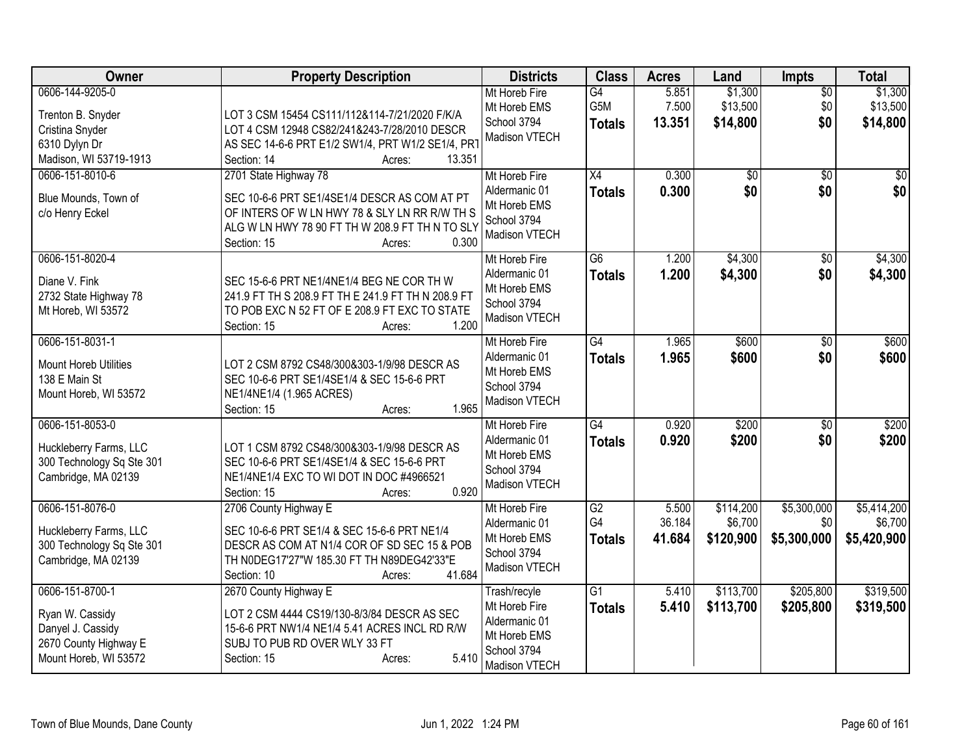| Owner                                                                                                     | <b>Property Description</b>                                                                                                                                                                                 | <b>Districts</b>                                                                               | <b>Class</b>                                       | <b>Acres</b>              | Land                              | Impts                             | <b>Total</b>                          |
|-----------------------------------------------------------------------------------------------------------|-------------------------------------------------------------------------------------------------------------------------------------------------------------------------------------------------------------|------------------------------------------------------------------------------------------------|----------------------------------------------------|---------------------------|-----------------------------------|-----------------------------------|---------------------------------------|
| 0606-144-9205-0<br>Trenton B. Snyder<br>Cristina Snyder<br>6310 Dylyn Dr<br>Madison, WI 53719-1913        | LOT 3 CSM 15454 CS111/112&114-7/21/2020 F/K/A<br>LOT 4 CSM 12948 CS82/241&243-7/28/2010 DESCR<br>AS SEC 14-6-6 PRT E1/2 SW1/4, PRT W1/2 SE1/4, PRT<br>Section: 14<br>13.351<br>Acres:                       | Mt Horeb Fire<br>Mt Horeb EMS<br>School 3794<br>Madison VTECH                                  | G4<br>G5M<br><b>Totals</b>                         | 5.851<br>7.500<br>13.351  | \$1,300<br>\$13,500<br>\$14,800   | $\overline{30}$<br>\$0<br>\$0     | \$1,300<br>\$13,500<br>\$14,800       |
| 0606-151-8010-6<br>Blue Mounds, Town of<br>c/o Henry Eckel                                                | 2701 State Highway 78<br>SEC 10-6-6 PRT SE1/4SE1/4 DESCR AS COM AT PT<br>OF INTERS OF W LN HWY 78 & SLY LN RR R/W TH S<br>ALG W LN HWY 78 90 FT TH W 208.9 FT TH N TO SLY<br>0.300<br>Section: 15<br>Acres: | Mt Horeb Fire<br>Aldermanic 01<br>Mt Horeb EMS<br>School 3794<br>Madison VTECH                 | X4<br><b>Totals</b>                                | 0.300<br>0.300            | $\overline{50}$<br>\$0            | $\overline{30}$<br>\$0            | $\overline{50}$<br>\$0                |
| 0606-151-8020-4<br>Diane V. Fink<br>2732 State Highway 78<br>Mt Horeb, WI 53572                           | SEC 15-6-6 PRT NE1/4NE1/4 BEG NE COR TH W<br>241.9 FT TH S 208.9 FT TH E 241.9 FT TH N 208.9 FT<br>TO POB EXC N 52 FT OF E 208.9 FT EXC TO STATE<br>1.200<br>Section: 15<br>Acres:                          | Mt Horeb Fire<br>Aldermanic 01<br>Mt Horeb EMS<br>School 3794<br>Madison VTECH                 | G6<br><b>Totals</b>                                | 1.200<br>1.200            | \$4,300<br>\$4,300                | $\overline{50}$<br>\$0            | \$4,300<br>\$4,300                    |
| 0606-151-8031-1<br><b>Mount Horeb Utilities</b><br>138 E Main St<br>Mount Horeb, WI 53572                 | LOT 2 CSM 8792 CS48/300&303-1/9/98 DESCR AS<br>SEC 10-6-6 PRT SE1/4SE1/4 & SEC 15-6-6 PRT<br>NE1/4NE1/4 (1.965 ACRES)<br>1.965<br>Section: 15<br>Acres:                                                     | Mt Horeb Fire<br>Aldermanic 01<br>Mt Horeb EMS<br>School 3794<br>Madison VTECH                 | G4<br><b>Totals</b>                                | 1.965<br>1.965            | \$600<br>\$600                    | $\overline{50}$<br>\$0            | \$600<br>\$600                        |
| 0606-151-8053-0<br>Huckleberry Farms, LLC<br>300 Technology Sq Ste 301<br>Cambridge, MA 02139             | LOT 1 CSM 8792 CS48/300&303-1/9/98 DESCR AS<br>SEC 10-6-6 PRT SE1/4SE1/4 & SEC 15-6-6 PRT<br>NE1/4NE1/4 EXC TO WI DOT IN DOC #4966521<br>0.920<br>Section: 15<br>Acres:                                     | Mt Horeb Fire<br>Aldermanic 01<br>Mt Horeb EMS<br>School 3794<br>Madison VTECH                 | $\overline{G4}$<br><b>Totals</b>                   | 0.920<br>0.920            | \$200<br>\$200                    | $\overline{50}$<br>\$0            | \$200<br>\$200                        |
| 0606-151-8076-0<br>Huckleberry Farms, LLC<br>300 Technology Sq Ste 301<br>Cambridge, MA 02139             | 2706 County Highway E<br>SEC 10-6-6 PRT SE1/4 & SEC 15-6-6 PRT NE1/4<br>DESCR AS COM AT N1/4 COR OF SD SEC 15 & POB<br>TH N0DEG17'27"W 185.30 FT TH N89DEG42'33"E<br>41.684<br>Section: 10<br>Acres:        | Mt Horeb Fire<br>Aldermanic 01<br>Mt Horeb EMS<br>School 3794<br>Madison VTECH                 | $\overline{G2}$<br>G <sub>4</sub><br><b>Totals</b> | 5.500<br>36.184<br>41.684 | \$114,200<br>\$6,700<br>\$120,900 | \$5,300,000<br>\$0<br>\$5,300,000 | \$5,414,200<br>\$6,700<br>\$5,420,900 |
| 0606-151-8700-1<br>Ryan W. Cassidy<br>Danyel J. Cassidy<br>2670 County Highway E<br>Mount Horeb, WI 53572 | 2670 County Highway E<br>LOT 2 CSM 4444 CS19/130-8/3/84 DESCR AS SEC<br>15-6-6 PRT NW1/4 NE1/4 5.41 ACRES INCL RD R/W<br>SUBJ TO PUB RD OVER WLY 33 FT<br>5.410<br>Section: 15<br>Acres:                    | Trash/recyle<br>Mt Horeb Fire<br>Aldermanic 01<br>Mt Horeb EMS<br>School 3794<br>Madison VTECH | $\overline{G1}$<br><b>Totals</b>                   | 5.410<br>5.410            | \$113,700<br>\$113,700            | \$205,800<br>\$205,800            | \$319,500<br>\$319,500                |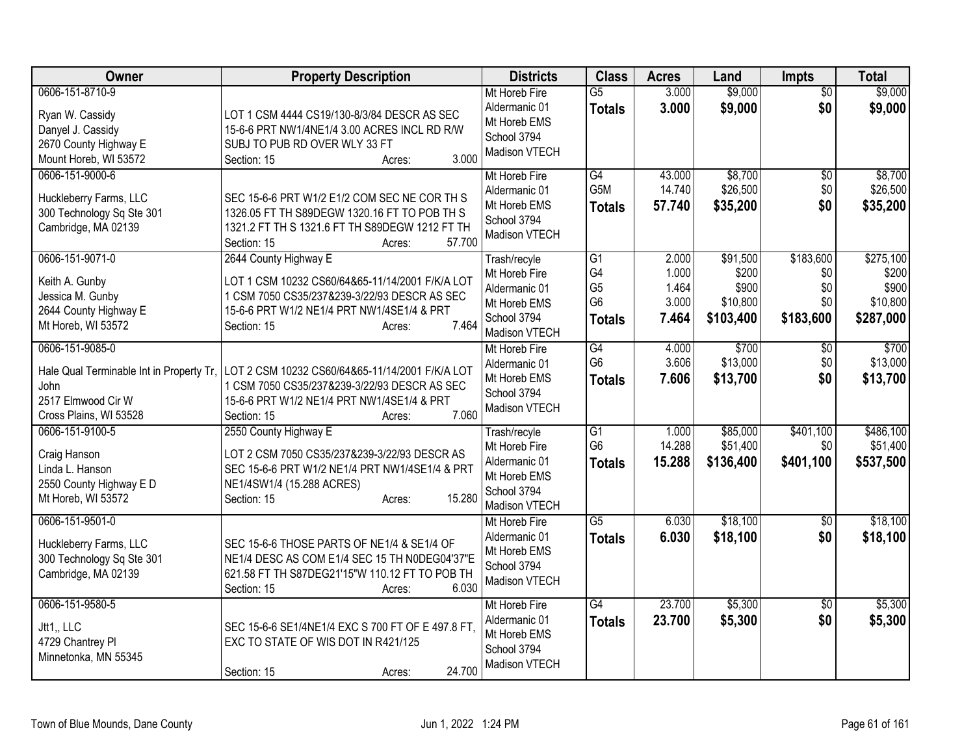| <b>Owner</b>                                                                                                        | <b>Property Description</b>                                                                                                                                                                              | <b>Districts</b>                                                                               | <b>Class</b>                                           | <b>Acres</b>                              | Land                                                | <b>Impts</b>                                | <b>Total</b>                                         |
|---------------------------------------------------------------------------------------------------------------------|----------------------------------------------------------------------------------------------------------------------------------------------------------------------------------------------------------|------------------------------------------------------------------------------------------------|--------------------------------------------------------|-------------------------------------------|-----------------------------------------------------|---------------------------------------------|------------------------------------------------------|
| 0606-151-8710-9<br>Ryan W. Cassidy<br>Danyel J. Cassidy<br>2670 County Highway E<br>Mount Horeb, WI 53572           | LOT 1 CSM 4444 CS19/130-8/3/84 DESCR AS SEC<br>15-6-6 PRT NW1/4NE1/4 3.00 ACRES INCL RD R/W<br>SUBJ TO PUB RD OVER WLY 33 FT<br>3.000<br>Section: 15<br>Acres:                                           | Mt Horeb Fire<br>Aldermanic 01<br>Mt Horeb EMS<br>School 3794<br>Madison VTECH                 | $\overline{G5}$<br><b>Totals</b>                       | 3.000<br>3.000                            | \$9,000<br>\$9,000                                  | $\overline{50}$<br>\$0                      | \$9,000<br>\$9,000                                   |
| 0606-151-9000-6<br>Huckleberry Farms, LLC<br>300 Technology Sq Ste 301<br>Cambridge, MA 02139                       | SEC 15-6-6 PRT W1/2 E1/2 COM SEC NE COR TH S<br>1326.05 FT TH S89DEGW 1320.16 FT TO POB TH S<br>1321.2 FT TH S 1321.6 FT TH S89DEGW 1212 FT TH<br>57.700<br>Section: 15<br>Acres:                        | Mt Horeb Fire<br>Aldermanic 01<br>Mt Horeb EMS<br>School 3794<br>Madison VTECH                 | G4<br>G5M<br><b>Totals</b>                             | 43.000<br>14.740<br>57.740                | \$8,700<br>\$26,500<br>\$35,200                     | $\sqrt{6}$<br>\$0<br>\$0                    | \$8,700<br>\$26,500<br>\$35,200                      |
| 0606-151-9071-0<br>Keith A. Gunby<br>Jessica M. Gunby<br>2644 County Highway E<br>Mt Horeb, WI 53572                | 2644 County Highway E<br>LOT 1 CSM 10232 CS60/64&65-11/14/2001 F/K/A LOT<br>1 CSM 7050 CS35/237&239-3/22/93 DESCR AS SEC<br>15-6-6 PRT W1/2 NE1/4 PRT NW1/4SE1/4 & PRT<br>7.464<br>Section: 15<br>Acres: | Trash/recyle<br>Mt Horeb Fire<br>Aldermanic 01<br>Mt Horeb EMS<br>School 3794<br>Madison VTECH | G1<br>G4<br>G <sub>5</sub><br>G <sub>6</sub><br>Totals | 2.000<br>1.000<br>1.464<br>3.000<br>7.464 | \$91,500<br>\$200<br>\$900<br>\$10,800<br>\$103,400 | \$183,600<br>\$0<br>\$0<br>\$0<br>\$183,600 | \$275,100<br>\$200<br>\$900<br>\$10,800<br>\$287,000 |
| 0606-151-9085-0<br>Hale Qual Terminable Int in Property Tr,<br>John<br>2517 Elmwood Cir W<br>Cross Plains, WI 53528 | LOT 2 CSM 10232 CS60/64&65-11/14/2001 F/K/A LOT<br>1 CSM 7050 CS35/237&239-3/22/93 DESCR AS SEC<br>15-6-6 PRT W1/2 NE1/4 PRT NW1/4SE1/4 & PRT<br>7.060<br>Section: 15<br>Acres:                          | Mt Horeb Fire<br>Aldermanic 01<br>Mt Horeb EMS<br>School 3794<br>Madison VTECH                 | G4<br>G <sub>6</sub><br><b>Totals</b>                  | 4.000<br>3.606<br>7.606                   | \$700<br>\$13,000<br>\$13,700                       | $\overline{60}$<br>\$0<br>\$0               | \$700<br>\$13,000<br>\$13,700                        |
| 0606-151-9100-5<br>Craig Hanson<br>Linda L. Hanson<br>2550 County Highway E D<br>Mt Horeb, WI 53572                 | 2550 County Highway E<br>LOT 2 CSM 7050 CS35/237&239-3/22/93 DESCR AS<br>SEC 15-6-6 PRT W1/2 NE1/4 PRT NW1/4SE1/4 & PRT<br>NE1/4SW1/4 (15.288 ACRES)<br>15.280<br>Section: 15<br>Acres:                  | Trash/recyle<br>Mt Horeb Fire<br>Aldermanic 01<br>Mt Horeb EMS<br>School 3794<br>Madison VTECH | G1<br>G <sub>6</sub><br><b>Totals</b>                  | 1.000<br>14.288<br>15.288                 | \$85,000<br>\$51,400<br>\$136,400                   | \$401,100<br>\$0<br>\$401,100               | \$486,100<br>\$51,400<br>\$537,500                   |
| 0606-151-9501-0<br>Huckleberry Farms, LLC<br>300 Technology Sq Ste 301<br>Cambridge, MA 02139                       | SEC 15-6-6 THOSE PARTS OF NE1/4 & SE1/4 OF<br>NE1/4 DESC AS COM E1/4 SEC 15 TH N0DEG04'37"E<br>621.58 FT TH S87DEG21'15"W 110.12 FT TO POB TH<br>6.030<br>Section: 15<br>Acres:                          | Mt Horeb Fire<br>Aldermanic 01<br>Mt Horeb EMS<br>School 3794<br>Madison VTECH                 | $\overline{G5}$<br><b>Totals</b>                       | 6.030<br>6.030                            | \$18,100<br>\$18,100                                | $\overline{30}$<br>\$0                      | \$18,100<br>\$18,100                                 |
| 0606-151-9580-5<br>Jtt1,, LLC<br>4729 Chantrey Pl<br>Minnetonka, MN 55345                                           | SEC 15-6-6 SE1/4NE1/4 EXC S 700 FT OF E 497.8 FT,<br>EXC TO STATE OF WIS DOT IN R421/125<br>24.700<br>Section: 15<br>Acres:                                                                              | Mt Horeb Fire<br>Aldermanic 01<br>Mt Horeb EMS<br>School 3794<br>Madison VTECH                 | $\overline{G4}$<br><b>Totals</b>                       | 23.700<br>23.700                          | \$5,300<br>\$5,300                                  | $\overline{50}$<br>\$0                      | \$5,300<br>\$5,300                                   |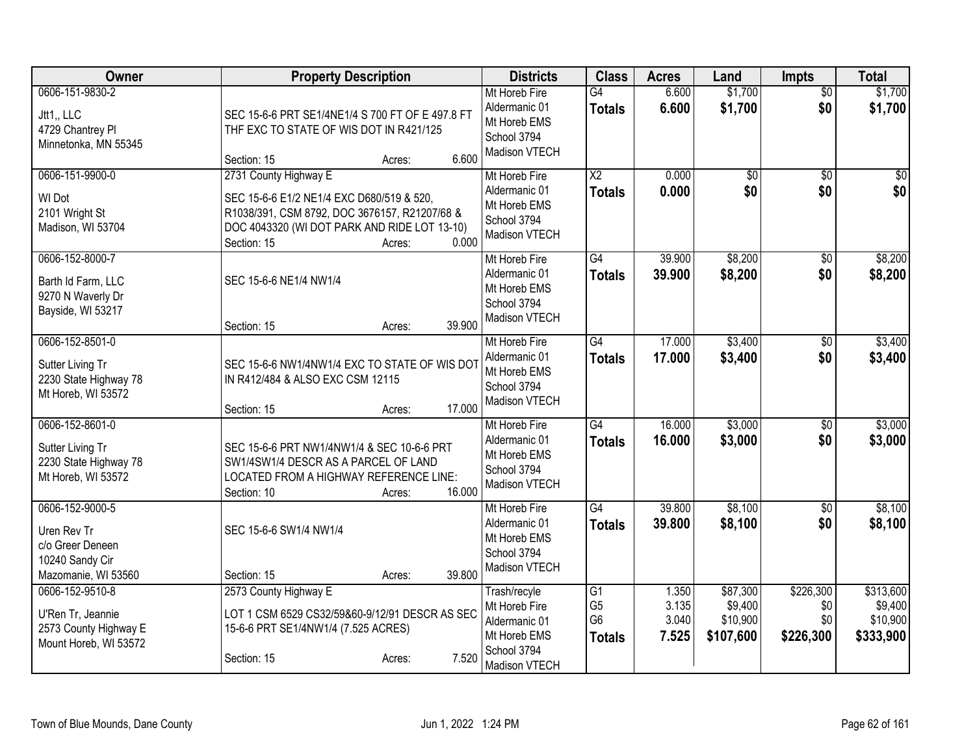| Owner                                                                                        | <b>Property Description</b>                                                                                                                                                                           | <b>Districts</b>                                                                               | <b>Class</b>                                                         | <b>Acres</b>                     | Land                                         | <b>Impts</b>                         | <b>Total</b>                                  |
|----------------------------------------------------------------------------------------------|-------------------------------------------------------------------------------------------------------------------------------------------------------------------------------------------------------|------------------------------------------------------------------------------------------------|----------------------------------------------------------------------|----------------------------------|----------------------------------------------|--------------------------------------|-----------------------------------------------|
| 0606-151-9830-2<br>Jtt1,, LLC<br>4729 Chantrey Pl<br>Minnetonka, MN 55345                    | SEC 15-6-6 PRT SE1/4NE1/4 S 700 FT OF E 497.8 FT<br>THF EXC TO STATE OF WIS DOT IN R421/125<br>6.600<br>Section: 15<br>Acres:                                                                         | Mt Horeb Fire<br>Aldermanic 01<br>Mt Horeb EMS<br>School 3794<br>Madison VTECH                 | G4<br><b>Totals</b>                                                  | 6.600<br>6.600                   | \$1,700<br>\$1,700                           | $\overline{50}$<br>\$0               | \$1,700<br>\$1,700                            |
| 0606-151-9900-0<br>WI Dot<br>2101 Wright St<br>Madison, WI 53704                             | 2731 County Highway E<br>SEC 15-6-6 E1/2 NE1/4 EXC D680/519 & 520,<br>R1038/391, CSM 8792, DOC 3676157, R21207/68 &<br>DOC 4043320 (WI DOT PARK AND RIDE LOT 13-10)<br>0.000<br>Section: 15<br>Acres: | Mt Horeb Fire<br>Aldermanic 01<br>Mt Horeb EMS<br>School 3794<br>Madison VTECH                 | $\overline{\text{X2}}$<br><b>Totals</b>                              | 0.000<br>0.000                   | $\overline{50}$<br>\$0                       | $\overline{50}$<br>\$0               | $\overline{50}$<br>\$0                        |
| 0606-152-8000-7<br>Barth Id Farm, LLC<br>9270 N Waverly Dr<br>Bayside, WI 53217              | SEC 15-6-6 NE1/4 NW1/4<br>39.900<br>Section: 15<br>Acres:                                                                                                                                             | Mt Horeb Fire<br>Aldermanic 01<br>Mt Horeb EMS<br>School 3794<br>Madison VTECH                 | $\overline{G4}$<br><b>Totals</b>                                     | 39.900<br>39.900                 | \$8,200<br>\$8,200                           | \$0<br>\$0                           | \$8,200<br>\$8,200                            |
| 0606-152-8501-0<br>Sutter Living Tr<br>2230 State Highway 78<br>Mt Horeb, WI 53572           | SEC 15-6-6 NW1/4NW1/4 EXC TO STATE OF WIS DO<br>IN R412/484 & ALSO EXC CSM 12115<br>17.000<br>Section: 15<br>Acres:                                                                                   | Mt Horeb Fire<br>Aldermanic 01<br>Mt Horeb EMS<br>School 3794<br>Madison VTECH                 | $\overline{G4}$<br><b>Totals</b>                                     | 17.000<br>17.000                 | \$3,400<br>\$3,400                           | $\overline{50}$<br>\$0               | \$3,400<br>\$3,400                            |
| 0606-152-8601-0<br>Sutter Living Tr<br>2230 State Highway 78<br>Mt Horeb, WI 53572           | SEC 15-6-6 PRT NW1/4NW1/4 & SEC 10-6-6 PRT<br>SW1/4SW1/4 DESCR AS A PARCEL OF LAND<br>LOCATED FROM A HIGHWAY REFERENCE LINE:<br>16.000<br>Section: 10<br>Acres:                                       | Mt Horeb Fire<br>Aldermanic 01<br>Mt Horeb EMS<br>School 3794<br>Madison VTECH                 | G4<br><b>Totals</b>                                                  | 16.000<br>16.000                 | \$3,000<br>\$3,000                           | \$0<br>\$0                           | \$3,000<br>\$3,000                            |
| 0606-152-9000-5<br>Uren Rev Tr<br>c/o Greer Deneen<br>10240 Sandy Cir<br>Mazomanie, WI 53560 | SEC 15-6-6 SW1/4 NW1/4<br>39.800<br>Section: 15<br>Acres:                                                                                                                                             | Mt Horeb Fire<br>Aldermanic 01<br>Mt Horeb EMS<br>School 3794<br>Madison VTECH                 | $\overline{G4}$<br><b>Totals</b>                                     | 39.800<br>39.800                 | \$8,100<br>\$8,100                           | $\overline{50}$<br>\$0               | \$8,100<br>\$8,100                            |
| 0606-152-9510-8<br>U'Ren Tr, Jeannie<br>2573 County Highway E<br>Mount Horeb, WI 53572       | 2573 County Highway E<br>LOT 1 CSM 6529 CS32/59&60-9/12/91 DESCR AS SEC<br>15-6-6 PRT SE1/4NW1/4 (7.525 ACRES)<br>7.520<br>Section: 15<br>Acres:                                                      | Trash/recyle<br>Mt Horeb Fire<br>Aldermanic 01<br>Mt Horeb EMS<br>School 3794<br>Madison VTECH | $\overline{G1}$<br>G <sub>5</sub><br>G <sub>6</sub><br><b>Totals</b> | 1.350<br>3.135<br>3.040<br>7.525 | \$87,300<br>\$9,400<br>\$10,900<br>\$107,600 | \$226,300<br>\$0<br>\$0<br>\$226,300 | \$313,600<br>\$9,400<br>\$10,900<br>\$333,900 |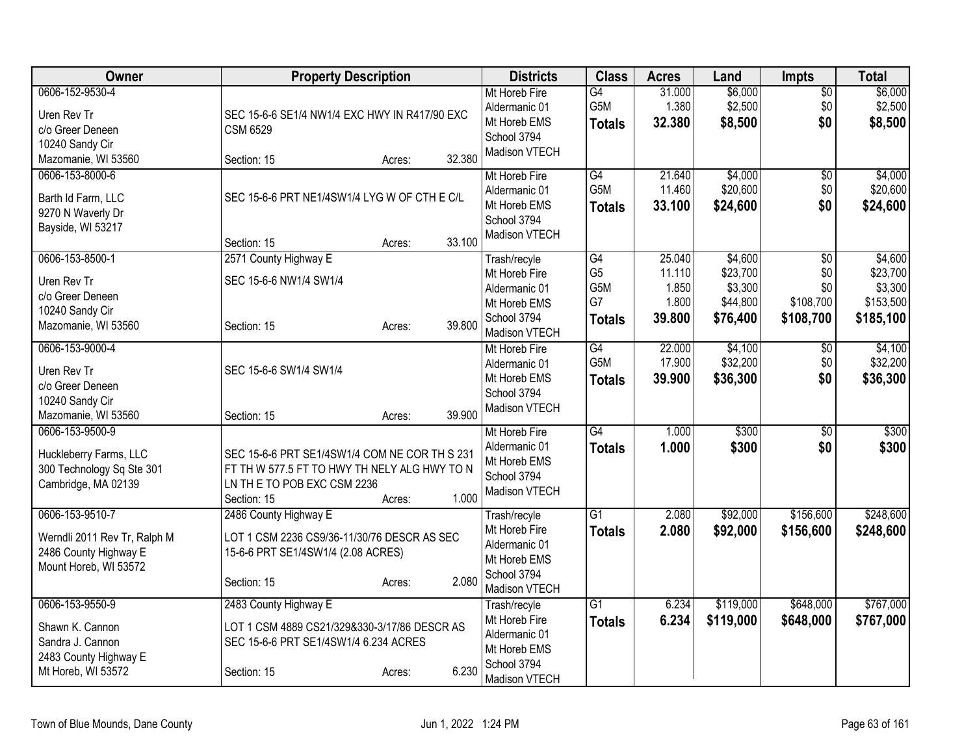| Owner                        | <b>Property Description</b>                   |        |        | <b>Districts</b>              | <b>Class</b>    | <b>Acres</b> | Land      | <b>Impts</b>    | <b>Total</b> |
|------------------------------|-----------------------------------------------|--------|--------|-------------------------------|-----------------|--------------|-----------|-----------------|--------------|
| 0606-152-9530-4              |                                               |        |        | Mt Horeb Fire                 | $\overline{G4}$ | 31.000       | \$6,000   | $\sqrt{$0}$     | \$6,000      |
| Uren Rev Tr                  | SEC 15-6-6 SE1/4 NW1/4 EXC HWY IN R417/90 EXC |        |        | Aldermanic 01                 | G5M             | 1.380        | \$2,500   | \$0             | \$2,500      |
| c/o Greer Deneen             | <b>CSM 6529</b>                               |        |        | Mt Horeb EMS                  | <b>Totals</b>   | 32.380       | \$8,500   | \$0             | \$8,500      |
| 10240 Sandy Cir              |                                               |        |        | School 3794                   |                 |              |           |                 |              |
| Mazomanie, WI 53560          | Section: 15                                   | Acres: | 32.380 | Madison VTECH                 |                 |              |           |                 |              |
| 0606-153-8000-6              |                                               |        |        | Mt Horeb Fire                 | G4              | 21.640       | \$4,000   | \$0             | \$4,000      |
| Barth Id Farm, LLC           | SEC 15-6-6 PRT NE1/4SW1/4 LYG W OF CTH E C/L  |        |        | Aldermanic 01                 | G5M             | 11.460       | \$20,600  | \$0             | \$20,600     |
| 9270 N Waverly Dr            |                                               |        |        | Mt Horeb EMS                  | <b>Totals</b>   | 33.100       | \$24,600  | \$0             | \$24,600     |
| Bayside, WI 53217            |                                               |        |        | School 3794                   |                 |              |           |                 |              |
|                              | Section: 15                                   | Acres: | 33.100 | Madison VTECH                 |                 |              |           |                 |              |
| 0606-153-8500-1              | 2571 County Highway E                         |        |        | Trash/recyle                  | G4              | 25.040       | \$4,600   | \$0             | \$4,600      |
| Uren Rev Tr                  | SEC 15-6-6 NW1/4 SW1/4                        |        |        | Mt Horeb Fire                 | G <sub>5</sub>  | 11.110       | \$23,700  | \$0             | \$23,700     |
| c/o Greer Deneen             |                                               |        |        | Aldermanic 01                 | G5M             | 1.850        | \$3,300   | \$0             | \$3,300      |
| 10240 Sandy Cir              |                                               |        |        | Mt Horeb EMS                  | G7              | 1.800        | \$44,800  | \$108,700       | \$153,500    |
| Mazomanie, WI 53560          | Section: 15                                   | Acres: | 39.800 | School 3794                   | <b>Totals</b>   | 39.800       | \$76,400  | \$108,700       | \$185,100    |
|                              |                                               |        |        | Madison VTECH                 |                 |              |           |                 |              |
| 0606-153-9000-4              |                                               |        |        | Mt Horeb Fire                 | G4              | 22.000       | \$4,100   | $\overline{60}$ | \$4,100      |
| Uren Rev Tr                  | SEC 15-6-6 SW1/4 SW1/4                        |        |        | Aldermanic 01                 | G5M             | 17.900       | \$32,200  | \$0             | \$32,200     |
| c/o Greer Deneen             |                                               |        |        | Mt Horeb EMS                  | <b>Totals</b>   | 39.900       | \$36,300  | \$0             | \$36,300     |
| 10240 Sandy Cir              |                                               |        |        | School 3794<br>Madison VTECH  |                 |              |           |                 |              |
| Mazomanie, WI 53560          | Section: 15                                   | Acres: | 39.900 |                               |                 |              |           |                 |              |
| 0606-153-9500-9              |                                               |        |        | Mt Horeb Fire                 | G4              | 1.000        | \$300     | \$0             | \$300        |
| Huckleberry Farms, LLC       | SEC 15-6-6 PRT SE1/4SW1/4 COM NE COR TH S 231 |        |        | Aldermanic 01                 | <b>Totals</b>   | 1.000        | \$300     | \$0             | \$300        |
| 300 Technology Sq Ste 301    | FT TH W 577.5 FT TO HWY TH NELY ALG HWY TO N  |        |        | Mt Horeb EMS                  |                 |              |           |                 |              |
| Cambridge, MA 02139          | LN TH E TO POB EXC CSM 2236                   |        |        | School 3794                   |                 |              |           |                 |              |
|                              | Section: 15                                   | Acres: | 1.000  | Madison VTECH                 |                 |              |           |                 |              |
| 0606-153-9510-7              | 2486 County Highway E                         |        |        | Trash/recyle                  | $\overline{G1}$ | 2.080        | \$92,000  | \$156,600       | \$248,600    |
| Werndli 2011 Rev Tr, Ralph M | LOT 1 CSM 2236 CS9/36-11/30/76 DESCR AS SEC   |        |        | Mt Horeb Fire                 | <b>Totals</b>   | 2.080        | \$92,000  | \$156,600       | \$248,600    |
| 2486 County Highway E        | 15-6-6 PRT SE1/4SW1/4 (2.08 ACRES)            |        |        | Aldermanic 01                 |                 |              |           |                 |              |
| Mount Horeb, WI 53572        |                                               |        |        | Mt Horeb EMS                  |                 |              |           |                 |              |
|                              | Section: 15                                   | Acres: | 2.080  | School 3794                   |                 |              |           |                 |              |
|                              |                                               |        |        | Madison VTECH                 |                 |              |           |                 |              |
| 0606-153-9550-9              | 2483 County Highway E                         |        |        | Trash/recyle                  | $\overline{G1}$ | 6.234        | \$119,000 | \$648,000       | \$767,000    |
| Shawn K. Cannon              | LOT 1 CSM 4889 CS21/329&330-3/17/86 DESCR AS  |        |        | Mt Horeb Fire                 | <b>Totals</b>   | 6.234        | \$119,000 | \$648,000       | \$767,000    |
| Sandra J. Cannon             | SEC 15-6-6 PRT SE1/4SW1/4 6.234 ACRES         |        |        | Aldermanic 01<br>Mt Horeb EMS |                 |              |           |                 |              |
| 2483 County Highway E        |                                               |        |        | School 3794                   |                 |              |           |                 |              |
| Mt Horeb, WI 53572           | Section: 15                                   | Acres: | 6.230  | Madison VTECH                 |                 |              |           |                 |              |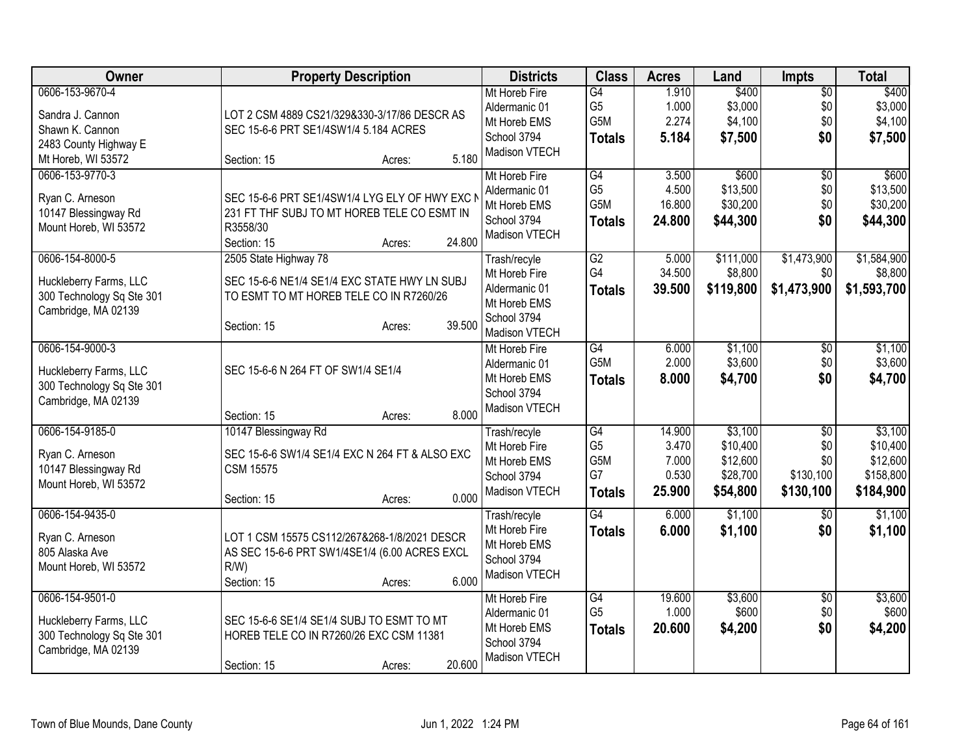| Owner                                                                                                 | <b>Property Description</b>                                                                                                                         | <b>Districts</b>                                                                               | <b>Class</b>                                         | <b>Acres</b>                                | Land                                                    | <b>Impts</b>                                            | <b>Total</b>                                              |
|-------------------------------------------------------------------------------------------------------|-----------------------------------------------------------------------------------------------------------------------------------------------------|------------------------------------------------------------------------------------------------|------------------------------------------------------|---------------------------------------------|---------------------------------------------------------|---------------------------------------------------------|-----------------------------------------------------------|
| 0606-153-9670-4<br>Sandra J. Cannon<br>Shawn K. Cannon<br>2483 County Highway E<br>Mt Horeb, WI 53572 | LOT 2 CSM 4889 CS21/329&330-3/17/86 DESCR AS<br>SEC 15-6-6 PRT SE1/4SW1/4 5.184 ACRES<br>5.180<br>Section: 15<br>Acres:                             | Mt Horeb Fire<br>Aldermanic 01<br>Mt Horeb EMS<br>School 3794<br>Madison VTECH                 | G4<br>G <sub>5</sub><br>G5M<br><b>Totals</b>         | 1.910<br>1.000<br>2.274<br>5.184            | \$400<br>\$3,000<br>\$4,100<br>\$7,500                  | $\overline{50}$<br>\$0<br>\$0<br>\$0                    | \$400<br>\$3,000<br>\$4,100<br>\$7,500                    |
| 0606-153-9770-3<br>Ryan C. Arneson<br>10147 Blessingway Rd<br>Mount Horeb, WI 53572                   | SEC 15-6-6 PRT SE1/4SW1/4 LYG ELY OF HWY EXC I<br>231 FT THF SUBJ TO MT HOREB TELE CO ESMT IN<br>R3558/30<br>24.800<br>Section: 15<br>Acres:        | Mt Horeb Fire<br>Aldermanic 01<br>Mt Horeb EMS<br>School 3794<br>Madison VTECH                 | G4<br>G <sub>5</sub><br>G5M<br><b>Totals</b>         | 3.500<br>4.500<br>16.800<br>24.800          | \$600<br>\$13,500<br>\$30,200<br>\$44,300               | $\overline{50}$<br>\$0<br>\$0<br>\$0                    | \$600<br>\$13,500<br>\$30,200<br>\$44,300                 |
| 0606-154-8000-5<br>Huckleberry Farms, LLC<br>300 Technology Sq Ste 301<br>Cambridge, MA 02139         | 2505 State Highway 78<br>SEC 15-6-6 NE1/4 SE1/4 EXC STATE HWY LN SUBJ<br>TO ESMT TO MT HOREB TELE CO IN R7260/26<br>39.500<br>Section: 15<br>Acres: | Trash/recyle<br>Mt Horeb Fire<br>Aldermanic 01<br>Mt Horeb EMS<br>School 3794<br>Madison VTECH | $\overline{G2}$<br>G4<br><b>Totals</b>               | 5.000<br>34.500<br>39.500                   | \$111,000<br>\$8,800<br>\$119,800                       | \$1,473,900<br>\$0<br>\$1,473,900                       | \$1,584,900<br>\$8,800<br>\$1,593,700                     |
| 0606-154-9000-3<br>Huckleberry Farms, LLC<br>300 Technology Sq Ste 301<br>Cambridge, MA 02139         | SEC 15-6-6 N 264 FT OF SW1/4 SE1/4<br>8.000<br>Section: 15<br>Acres:                                                                                | Mt Horeb Fire<br>Aldermanic 01<br>Mt Horeb EMS<br>School 3794<br>Madison VTECH                 | $\overline{G4}$<br>G <sub>5</sub> M<br><b>Totals</b> | 6.000<br>2.000<br>8.000                     | \$1,100<br>\$3,600<br>\$4,700                           | $\overline{50}$<br>\$0<br>\$0                           | \$1,100<br>\$3,600<br>\$4,700                             |
| 0606-154-9185-0<br>Ryan C. Arneson<br>10147 Blessingway Rd<br>Mount Horeb, WI 53572                   | 10147 Blessingway Rd<br>SEC 15-6-6 SW1/4 SE1/4 EXC N 264 FT & ALSO EXC<br><b>CSM 15575</b><br>0.000<br>Section: 15<br>Acres:                        | Trash/recyle<br>Mt Horeb Fire<br>Mt Horeb EMS<br>School 3794<br>Madison VTECH                  | G4<br>G <sub>5</sub><br>G5M<br>G7<br><b>Totals</b>   | 14.900<br>3.470<br>7.000<br>0.530<br>25.900 | \$3,100<br>\$10,400<br>\$12,600<br>\$28,700<br>\$54,800 | $\overline{50}$<br>\$0<br>\$0<br>\$130,100<br>\$130,100 | \$3,100<br>\$10,400<br>\$12,600<br>\$158,800<br>\$184,900 |
| 0606-154-9435-0<br>Ryan C. Arneson<br>805 Alaska Ave<br>Mount Horeb, WI 53572                         | LOT 1 CSM 15575 CS112/267&268-1/8/2021 DESCR<br>AS SEC 15-6-6 PRT SW1/4SE1/4 (6.00 ACRES EXCL<br>$R/W$ )<br>6.000<br>Section: 15<br>Acres:          | Trash/recyle<br>Mt Horeb Fire<br>Mt Horeb EMS<br>School 3794<br>Madison VTECH                  | G4<br><b>Totals</b>                                  | 6.000<br>6.000                              | \$1,100<br>\$1,100                                      | $\overline{30}$<br>\$0                                  | \$1,100<br>\$1,100                                        |
| 0606-154-9501-0<br>Huckleberry Farms, LLC<br>300 Technology Sq Ste 301<br>Cambridge, MA 02139         | SEC 15-6-6 SE1/4 SE1/4 SUBJ TO ESMT TO MT<br>HOREB TELE CO IN R7260/26 EXC CSM 11381<br>20.600<br>Section: 15<br>Acres:                             | Mt Horeb Fire<br>Aldermanic 01<br>Mt Horeb EMS<br>School 3794<br>Madison VTECH                 | $\overline{G4}$<br>G <sub>5</sub><br><b>Totals</b>   | 19.600<br>1.000<br>20.600                   | \$3,600<br>\$600<br>\$4,200                             | \$0<br>\$0<br>\$0                                       | \$3,600<br>\$600<br>\$4,200                               |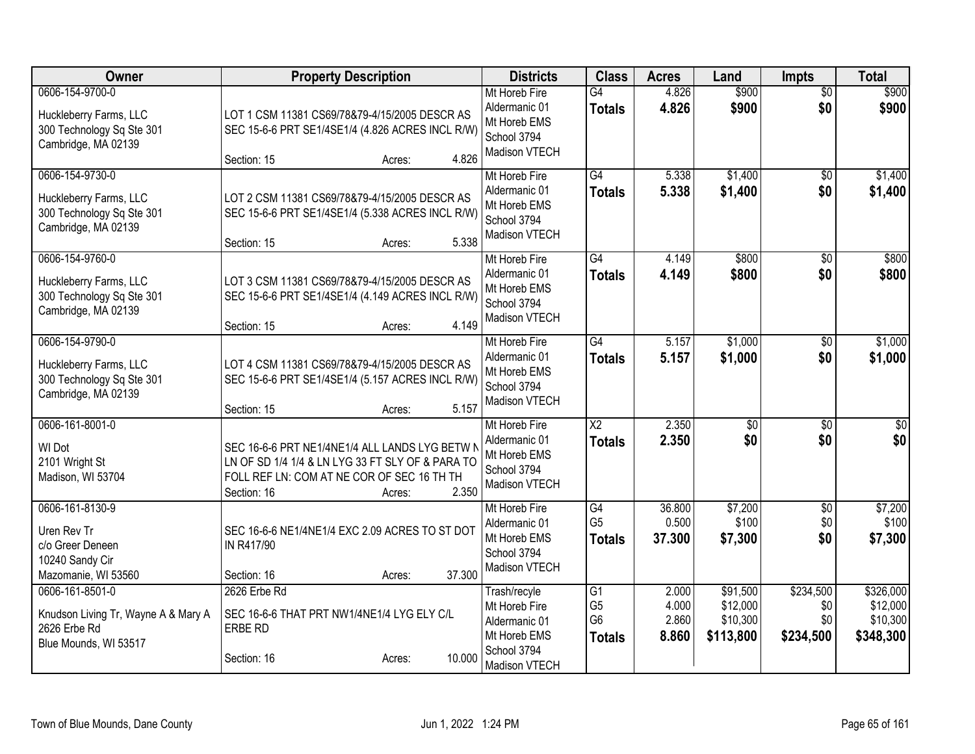| <b>Owner</b>                                                                                    | <b>Property Description</b>                                                                                                                                                        | <b>Districts</b>                                                                               | <b>Class</b>                                                         | <b>Acres</b>                     | Land                                          | <b>Impts</b>                         | <b>Total</b>                                   |
|-------------------------------------------------------------------------------------------------|------------------------------------------------------------------------------------------------------------------------------------------------------------------------------------|------------------------------------------------------------------------------------------------|----------------------------------------------------------------------|----------------------------------|-----------------------------------------------|--------------------------------------|------------------------------------------------|
| 0606-154-9700-0<br>Huckleberry Farms, LLC<br>300 Technology Sq Ste 301<br>Cambridge, MA 02139   | LOT 1 CSM 11381 CS69/78&79-4/15/2005 DESCR AS<br>SEC 15-6-6 PRT SE1/4SE1/4 (4.826 ACRES INCL R/W)<br>4.826<br>Section: 15<br>Acres:                                                | Mt Horeb Fire<br>Aldermanic 01<br>Mt Horeb EMS<br>School 3794<br>Madison VTECH                 | G4<br><b>Totals</b>                                                  | 4.826<br>4.826                   | \$900<br>\$900                                | $\overline{50}$<br>\$0               | \$900<br>\$900                                 |
| 0606-154-9730-0<br>Huckleberry Farms, LLC<br>300 Technology Sq Ste 301<br>Cambridge, MA 02139   | LOT 2 CSM 11381 CS69/78&79-4/15/2005 DESCR AS<br>SEC 15-6-6 PRT SE1/4SE1/4 (5.338 ACRES INCL R/W)<br>5.338<br>Section: 15<br>Acres:                                                | Mt Horeb Fire<br>Aldermanic 01<br>Mt Horeb EMS<br>School 3794<br>Madison VTECH                 | G4<br><b>Totals</b>                                                  | 5.338<br>5.338                   | \$1,400<br>\$1,400                            | \$0<br>\$0                           | \$1,400<br>\$1,400                             |
| 0606-154-9760-0<br>Huckleberry Farms, LLC<br>300 Technology Sq Ste 301<br>Cambridge, MA 02139   | LOT 3 CSM 11381 CS69/78&79-4/15/2005 DESCR AS<br>SEC 15-6-6 PRT SE1/4SE1/4 (4.149 ACRES INCL R/W)<br>4.149<br>Section: 15<br>Acres:                                                | Mt Horeb Fire<br>Aldermanic 01<br>Mt Horeb EMS<br>School 3794<br>Madison VTECH                 | G4<br><b>Totals</b>                                                  | 4.149<br>4.149                   | \$800<br>\$800                                | $\overline{50}$<br>\$0               | \$800<br>\$800                                 |
| 0606-154-9790-0<br>Huckleberry Farms, LLC<br>300 Technology Sq Ste 301<br>Cambridge, MA 02139   | LOT 4 CSM 11381 CS69/78&79-4/15/2005 DESCR AS<br>SEC 15-6-6 PRT SE1/4SE1/4 (5.157 ACRES INCL R/W)<br>5.157<br>Section: 15<br>Acres:                                                | Mt Horeb Fire<br>Aldermanic 01<br>Mt Horeb EMS<br>School 3794<br>Madison VTECH                 | G4<br><b>Totals</b>                                                  | 5.157<br>5.157                   | \$1,000<br>\$1,000                            | $\sqrt[6]{}$<br>\$0                  | \$1,000<br>\$1,000                             |
| 0606-161-8001-0<br>WI Dot<br>2101 Wright St<br>Madison, WI 53704                                | SEC 16-6-6 PRT NE1/4NE1/4 ALL LANDS LYG BETW N<br>LN OF SD 1/4 1/4 & LN LYG 33 FT SLY OF & PARA TO<br>FOLL REF LN: COM AT NE COR OF SEC 16 TH TH<br>2.350<br>Section: 16<br>Acres: | Mt Horeb Fire<br>Aldermanic 01<br>Mt Horeb EMS<br>School 3794<br>Madison VTECH                 | $\overline{\text{X2}}$<br><b>Totals</b>                              | 2.350<br>2.350                   | \$0<br>\$0                                    | \$0<br>\$0                           | $\overline{50}$<br>\$0                         |
| 0606-161-8130-9<br>Uren Rev Tr<br>c/o Greer Deneen<br>10240 Sandy Cir<br>Mazomanie, WI 53560    | SEC 16-6-6 NE1/4NE1/4 EXC 2.09 ACRES TO ST DOT<br>IN R417/90<br>37.300<br>Section: 16<br>Acres:                                                                                    | Mt Horeb Fire<br>Aldermanic 01<br>Mt Horeb EMS<br>School 3794<br>Madison VTECH                 | G4<br>G <sub>5</sub><br><b>Totals</b>                                | 36.800<br>0.500<br>37.300        | \$7,200<br>\$100<br>\$7,300                   | \$0<br>\$0<br>\$0                    | \$7,200<br>\$100<br>\$7,300                    |
| 0606-161-8501-0<br>Knudson Living Tr, Wayne A & Mary A<br>2626 Erbe Rd<br>Blue Mounds, WI 53517 | 2626 Erbe Rd<br>SEC 16-6-6 THAT PRT NW1/4NE1/4 LYG ELY C/L<br><b>ERBE RD</b><br>10.000<br>Section: 16<br>Acres:                                                                    | Trash/recyle<br>Mt Horeb Fire<br>Aldermanic 01<br>Mt Horeb EMS<br>School 3794<br>Madison VTECH | $\overline{G1}$<br>G <sub>5</sub><br>G <sub>6</sub><br><b>Totals</b> | 2.000<br>4.000<br>2.860<br>8.860 | \$91,500<br>\$12,000<br>\$10,300<br>\$113,800 | \$234,500<br>\$0<br>\$0<br>\$234,500 | \$326,000<br>\$12,000<br>\$10,300<br>\$348,300 |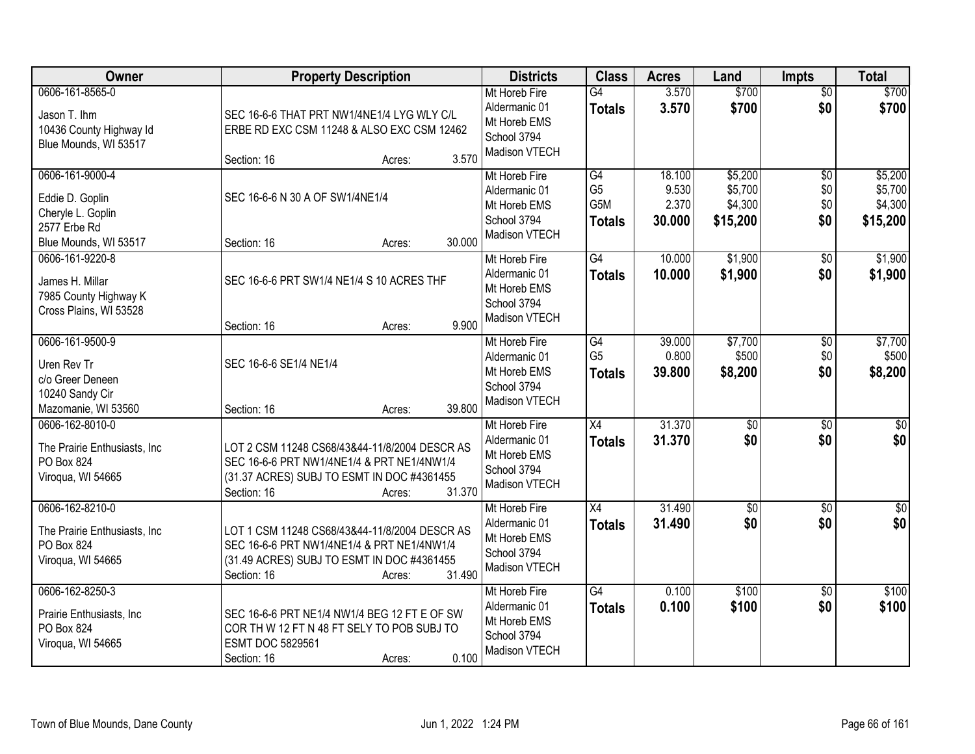| Owner                                                                                            | <b>Property Description</b>                                                                                                                                                  | <b>Districts</b>                                                               | <b>Class</b>                                 | <b>Acres</b>                       | Land                                      | <b>Impts</b>                         | <b>Total</b>                              |
|--------------------------------------------------------------------------------------------------|------------------------------------------------------------------------------------------------------------------------------------------------------------------------------|--------------------------------------------------------------------------------|----------------------------------------------|------------------------------------|-------------------------------------------|--------------------------------------|-------------------------------------------|
| 0606-161-8565-0<br>Jason T. Ihm<br>10436 County Highway Id<br>Blue Mounds, WI 53517              | SEC 16-6-6 THAT PRT NW1/4NE1/4 LYG WLY C/L<br>ERBE RD EXC CSM 11248 & ALSO EXC CSM 12462                                                                                     | Mt Horeb Fire<br>Aldermanic 01<br>Mt Horeb EMS<br>School 3794<br>Madison VTECH | $\overline{G4}$<br><b>Totals</b>             | 3.570<br>3.570                     | \$700<br>\$700                            | $\overline{50}$<br>\$0               | \$700<br>\$700                            |
|                                                                                                  | 3.570<br>Section: 16<br>Acres:                                                                                                                                               |                                                                                |                                              |                                    |                                           |                                      |                                           |
| 0606-161-9000-4<br>Eddie D. Goplin<br>Cheryle L. Goplin<br>2577 Erbe Rd<br>Blue Mounds, WI 53517 | SEC 16-6-6 N 30 A OF SW1/4NE1/4<br>30.000<br>Section: 16<br>Acres:                                                                                                           | Mt Horeb Fire<br>Aldermanic 01<br>Mt Horeb EMS<br>School 3794<br>Madison VTECH | G4<br>G <sub>5</sub><br>G5M<br><b>Totals</b> | 18.100<br>9.530<br>2.370<br>30.000 | \$5,200<br>\$5,700<br>\$4,300<br>\$15,200 | $\overline{50}$<br>\$0<br>\$0<br>\$0 | \$5,200<br>\$5,700<br>\$4,300<br>\$15,200 |
| 0606-161-9220-8<br>James H. Millar<br>7985 County Highway K<br>Cross Plains, WI 53528            | SEC 16-6-6 PRT SW1/4 NE1/4 S 10 ACRES THF<br>9.900<br>Section: 16<br>Acres:                                                                                                  | Mt Horeb Fire<br>Aldermanic 01<br>Mt Horeb EMS<br>School 3794<br>Madison VTECH | G4<br><b>Totals</b>                          | 10.000<br>10.000                   | \$1,900<br>\$1,900                        | \$0<br>\$0                           | \$1,900<br>\$1,900                        |
| 0606-161-9500-9<br>Uren Rev Tr<br>c/o Greer Deneen<br>10240 Sandy Cir<br>Mazomanie, WI 53560     | SEC 16-6-6 SE1/4 NE1/4<br>39.800<br>Section: 16<br>Acres:                                                                                                                    | Mt Horeb Fire<br>Aldermanic 01<br>Mt Horeb EMS<br>School 3794<br>Madison VTECH | G4<br>G <sub>5</sub><br><b>Totals</b>        | 39.000<br>0.800<br>39.800          | \$7,700<br>\$500<br>\$8,200               | \$0<br>\$0<br>\$0                    | \$7,700<br>\$500<br>\$8,200               |
| 0606-162-8010-0<br>The Prairie Enthusiasts, Inc<br>PO Box 824<br>Viroqua, WI 54665               | LOT 2 CSM 11248 CS68/43&44-11/8/2004 DESCR AS<br>SEC 16-6-6 PRT NW1/4NE1/4 & PRT NE1/4NW1/4<br>(31.37 ACRES) SUBJ TO ESMT IN DOC #4361455<br>31.370<br>Section: 16<br>Acres: | Mt Horeb Fire<br>Aldermanic 01<br>Mt Horeb EMS<br>School 3794<br>Madison VTECH | $\overline{X4}$<br><b>Totals</b>             | 31.370<br>31.370                   | $\overline{50}$<br>\$0                    | $\overline{50}$<br>\$0               | $\sqrt{50}$<br>\$0                        |
| 0606-162-8210-0<br>The Prairie Enthusiasts, Inc.<br>PO Box 824<br>Viroqua, WI 54665              | LOT 1 CSM 11248 CS68/43&44-11/8/2004 DESCR AS<br>SEC 16-6-6 PRT NW1/4NE1/4 & PRT NE1/4NW1/4<br>(31.49 ACRES) SUBJ TO ESMT IN DOC #4361455<br>31.490<br>Section: 16<br>Acres: | Mt Horeb Fire<br>Aldermanic 01<br>Mt Horeb EMS<br>School 3794<br>Madison VTECH | X4<br><b>Totals</b>                          | 31.490<br>31.490                   | $\sqrt{6}$<br>\$0                         | $\overline{50}$<br>\$0               | \$0<br>\$0                                |
| 0606-162-8250-3<br>Prairie Enthusiasts, Inc<br>PO Box 824<br>Viroqua, WI 54665                   | SEC 16-6-6 PRT NE1/4 NW1/4 BEG 12 FT E OF SW<br>COR TH W 12 FT N 48 FT SELY TO POB SUBJ TO<br><b>ESMT DOC 5829561</b><br>0.100<br>Section: 16<br>Acres:                      | Mt Horeb Fire<br>Aldermanic 01<br>Mt Horeb EMS<br>School 3794<br>Madison VTECH | G4<br><b>Totals</b>                          | 0.100<br>0.100                     | \$100<br>\$100                            | $\overline{30}$<br>\$0               | \$100<br>\$100                            |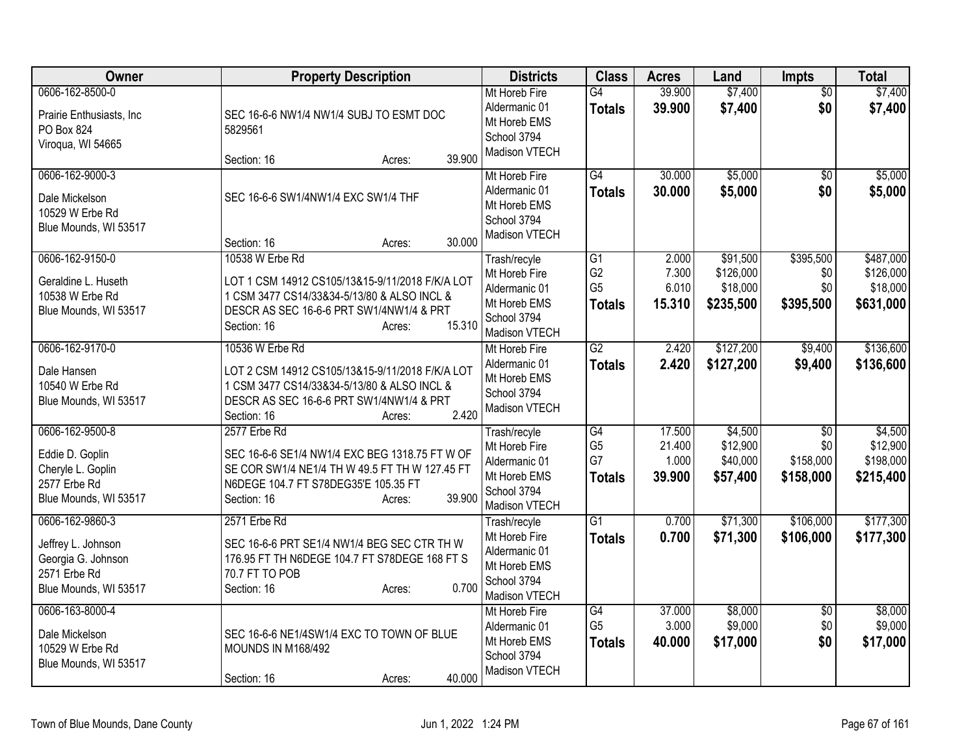| Owner                                                                                                | <b>Property Description</b>                                                                                                                                                                      | <b>Districts</b>                                                                               | <b>Class</b>                                            | <b>Acres</b>                        | Land                                           | Impts                                            | <b>Total</b>                                    |
|------------------------------------------------------------------------------------------------------|--------------------------------------------------------------------------------------------------------------------------------------------------------------------------------------------------|------------------------------------------------------------------------------------------------|---------------------------------------------------------|-------------------------------------|------------------------------------------------|--------------------------------------------------|-------------------------------------------------|
| 0606-162-8500-0<br>Prairie Enthusiasts, Inc<br>PO Box 824<br>Viroqua, WI 54665                       | SEC 16-6-6 NW1/4 NW1/4 SUBJ TO ESMT DOC<br>5829561<br>39.900<br>Section: 16<br>Acres:                                                                                                            | Mt Horeb Fire<br>Aldermanic 01<br>Mt Horeb EMS<br>School 3794<br>Madison VTECH                 | G4<br><b>Totals</b>                                     | 39.900<br>39.900                    | \$7,400<br>\$7,400                             | \$0<br>\$0                                       | \$7,400<br>\$7,400                              |
| 0606-162-9000-3<br>Dale Mickelson<br>10529 W Erbe Rd<br>Blue Mounds, WI 53517                        | SEC 16-6-6 SW1/4NW1/4 EXC SW1/4 THF<br>30.000<br>Section: 16<br>Acres:                                                                                                                           | Mt Horeb Fire<br>Aldermanic 01<br>Mt Horeb EMS<br>School 3794<br>Madison VTECH                 | G4<br><b>Totals</b>                                     | 30.000<br>30.000                    | \$5,000<br>\$5,000                             | \$0<br>\$0                                       | \$5,000<br>\$5,000                              |
| 0606-162-9150-0<br>Geraldine L. Huseth<br>10538 W Erbe Rd<br>Blue Mounds, WI 53517                   | 10538 W Erbe Rd<br>LOT 1 CSM 14912 CS105/13&15-9/11/2018 F/K/A LOT<br>1 CSM 3477 CS14/33&34-5/13/80 & ALSO INCL &<br>DESCR AS SEC 16-6-6 PRT SW1/4NW1/4 & PRT<br>15.310<br>Section: 16<br>Acres: | Trash/recyle<br>Mt Horeb Fire<br>Aldermanic 01<br>Mt Horeb EMS<br>School 3794<br>Madison VTECH | G1<br>G <sub>2</sub><br>G <sub>5</sub><br><b>Totals</b> | 2.000<br>7.300<br>6.010<br>15.310   | \$91,500<br>\$126,000<br>\$18,000<br>\$235,500 | \$395,500<br>\$0<br>\$0<br>\$395,500             | \$487,000<br>\$126,000<br>\$18,000<br>\$631,000 |
| 0606-162-9170-0<br>Dale Hansen<br>10540 W Erbe Rd<br>Blue Mounds, WI 53517                           | 10536 W Erbe Rd<br>LOT 2 CSM 14912 CS105/13&15-9/11/2018 F/K/A LOT<br>1 CSM 3477 CS14/33&34-5/13/80 & ALSO INCL &<br>DESCR AS SEC 16-6-6 PRT SW1/4NW1/4 & PRT<br>2.420<br>Section: 16<br>Acres:  | Mt Horeb Fire<br>Aldermanic 01<br>Mt Horeb EMS<br>School 3794<br>Madison VTECH                 | G2<br><b>Totals</b>                                     | 2.420<br>2.420                      | \$127,200<br>\$127,200                         | \$9,400<br>\$9,400                               | \$136,600<br>\$136,600                          |
| 0606-162-9500-8<br>Eddie D. Goplin<br>Cheryle L. Goplin<br>2577 Erbe Rd<br>Blue Mounds, WI 53517     | 2577 Erbe Rd<br>SEC 16-6-6 SE1/4 NW1/4 EXC BEG 1318.75 FT W OF<br>SE COR SW1/4 NE1/4 TH W 49.5 FT TH W 127.45 FT<br>N6DEGE 104.7 FT S78DEG35'E 105.35 FT<br>39.900<br>Section: 16<br>Acres:      | Trash/recyle<br>Mt Horeb Fire<br>Aldermanic 01<br>Mt Horeb EMS<br>School 3794<br>Madison VTECH | G4<br>G <sub>5</sub><br>G7<br><b>Totals</b>             | 17.500<br>21.400<br>1.000<br>39.900 | \$4,500<br>\$12,900<br>\$40,000<br>\$57,400    | $\overline{50}$<br>\$0<br>\$158,000<br>\$158,000 | \$4,500<br>\$12,900<br>\$198,000<br>\$215,400   |
| 0606-162-9860-3<br>Jeffrey L. Johnson<br>Georgia G. Johnson<br>2571 Erbe Rd<br>Blue Mounds, WI 53517 | 2571 Erbe Rd<br>SEC 16-6-6 PRT SE1/4 NW1/4 BEG SEC CTR TH W<br>176.95 FT TH N6DEGE 104.7 FT S78DEGE 168 FT S<br>70.7 FT TO POB<br>0.700<br>Section: 16<br>Acres:                                 | Trash/recyle<br>Mt Horeb Fire<br>Aldermanic 01<br>Mt Horeb EMS<br>School 3794<br>Madison VTECH | $\overline{G1}$<br><b>Totals</b>                        | 0.700<br>0.700                      | \$71,300<br>\$71,300                           | \$106,000<br>\$106,000                           | \$177,300<br>\$177,300                          |
| 0606-163-8000-4<br>Dale Mickelson<br>10529 W Erbe Rd<br>Blue Mounds, WI 53517                        | SEC 16-6-6 NE1/4SW1/4 EXC TO TOWN OF BLUE<br><b>MOUNDS IN M168/492</b><br>40.000<br>Section: 16<br>Acres:                                                                                        | Mt Horeb Fire<br>Aldermanic 01<br>Mt Horeb EMS<br>School 3794<br>Madison VTECH                 | G4<br>G <sub>5</sub><br><b>Totals</b>                   | 37.000<br>3.000<br>40.000           | \$8,000<br>\$9,000<br>\$17,000                 | \$0<br>\$0<br>\$0                                | \$8,000<br>\$9,000<br>\$17,000                  |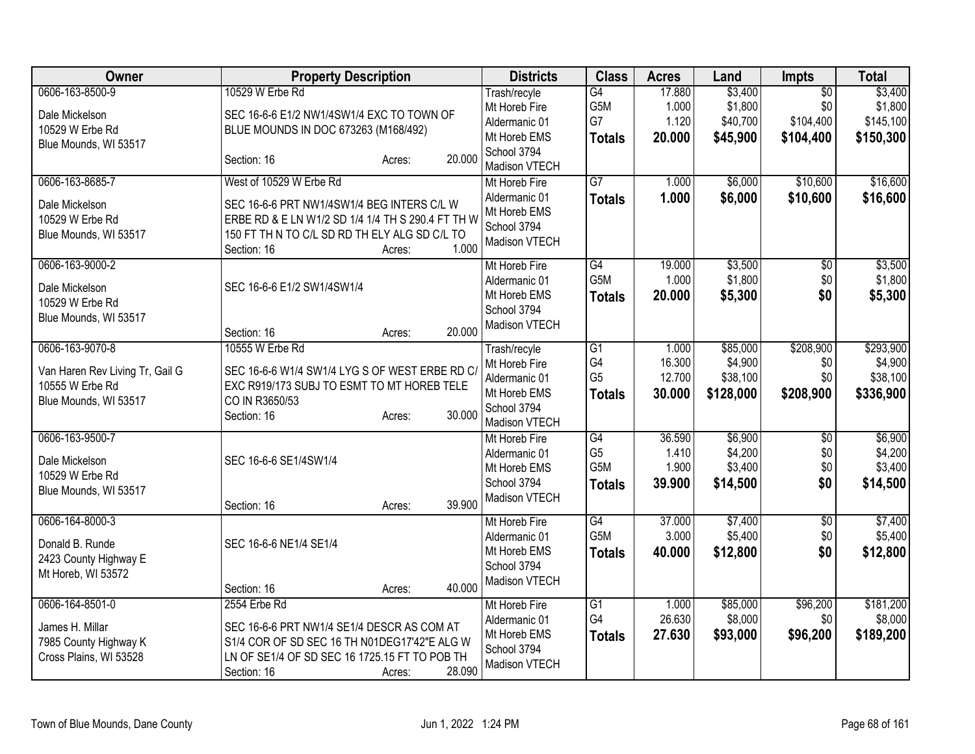| Owner                                                                                          | <b>Property Description</b>                                                                                                                                                                                   | <b>Districts</b>                                                                               | <b>Class</b>                                 | <b>Acres</b>                        | Land                                         | <b>Impts</b>                                     | <b>Total</b>                                  |
|------------------------------------------------------------------------------------------------|---------------------------------------------------------------------------------------------------------------------------------------------------------------------------------------------------------------|------------------------------------------------------------------------------------------------|----------------------------------------------|-------------------------------------|----------------------------------------------|--------------------------------------------------|-----------------------------------------------|
| 0606-163-8500-9<br>Dale Mickelson<br>10529 W Erbe Rd<br>Blue Mounds, WI 53517                  | 10529 W Erbe Rd<br>SEC 16-6-6 E1/2 NW1/4SW1/4 EXC TO TOWN OF<br>BLUE MOUNDS IN DOC 673263 (M168/492)<br>20.000<br>Section: 16<br>Acres:                                                                       | Trash/recyle<br>Mt Horeb Fire<br>Aldermanic 01<br>Mt Horeb EMS<br>School 3794<br>Madison VTECH | G4<br>G5M<br>G7<br><b>Totals</b>             | 17.880<br>1.000<br>1.120<br>20.000  | \$3,400<br>\$1,800<br>\$40,700<br>\$45,900   | $\overline{50}$<br>\$0<br>\$104,400<br>\$104,400 | \$3,400<br>\$1,800<br>\$145,100<br>\$150,300  |
| 0606-163-8685-7<br>Dale Mickelson<br>10529 W Erbe Rd<br>Blue Mounds, WI 53517                  | West of 10529 W Erbe Rd<br>SEC 16-6-6 PRT NW1/4SW1/4 BEG INTERS C/L W<br>ERBE RD & E LN W1/2 SD 1/4 1/4 TH S 290.4 FT TH W<br>150 FT TH N TO C/L SD RD TH ELY ALG SD C/L TO<br>1.000<br>Section: 16<br>Acres: | Mt Horeb Fire<br>Aldermanic 01<br>Mt Horeb EMS<br>School 3794<br>Madison VTECH                 | $\overline{G7}$<br><b>Totals</b>             | 1.000<br>1.000                      | \$6,000<br>\$6,000                           | \$10,600<br>\$10,600                             | \$16,600<br>\$16,600                          |
| 0606-163-9000-2<br>Dale Mickelson<br>10529 W Erbe Rd<br>Blue Mounds, WI 53517                  | SEC 16-6-6 E1/2 SW1/4SW1/4<br>20.000<br>Section: 16<br>Acres:                                                                                                                                                 | Mt Horeb Fire<br>Aldermanic 01<br>Mt Horeb EMS<br>School 3794<br>Madison VTECH                 | G4<br>G5M<br><b>Totals</b>                   | 19.000<br>1.000<br>20.000           | \$3,500<br>\$1,800<br>\$5,300                | $\overline{50}$<br>\$0<br>\$0                    | \$3,500<br>\$1,800<br>\$5,300                 |
| 0606-163-9070-8<br>Van Haren Rev Living Tr, Gail G<br>10555 W Erbe Rd<br>Blue Mounds, WI 53517 | 10555 W Erbe Rd<br>SEC 16-6-6 W1/4 SW1/4 LYG S OF WEST ERBE RD C<br>EXC R919/173 SUBJ TO ESMT TO MT HOREB TELE<br>CO IN R3650/53<br>30.000<br>Section: 16<br>Acres:                                           | Trash/recyle<br>Mt Horeb Fire<br>Aldermanic 01<br>Mt Horeb EMS<br>School 3794<br>Madison VTECH | G1<br>G4<br>G <sub>5</sub><br><b>Totals</b>  | 1.000<br>16.300<br>12.700<br>30.000 | \$85,000<br>\$4,900<br>\$38,100<br>\$128,000 | \$208,900<br>\$0<br>\$0<br>\$208,900             | \$293,900<br>\$4,900<br>\$38,100<br>\$336,900 |
| 0606-163-9500-7<br>Dale Mickelson<br>10529 W Erbe Rd<br>Blue Mounds, WI 53517                  | SEC 16-6-6 SE1/4SW1/4<br>39.900<br>Section: 16<br>Acres:                                                                                                                                                      | Mt Horeb Fire<br>Aldermanic 01<br>Mt Horeb EMS<br>School 3794<br>Madison VTECH                 | G4<br>G <sub>5</sub><br>G5M<br><b>Totals</b> | 36.590<br>1.410<br>1.900<br>39.900  | \$6,900<br>\$4,200<br>\$3,400<br>\$14,500    | $\overline{50}$<br>\$0<br>\$0<br>\$0             | \$6,900<br>\$4,200<br>\$3,400<br>\$14,500     |
| 0606-164-8000-3<br>Donald B. Runde<br>2423 County Highway E<br>Mt Horeb, WI 53572              | SEC 16-6-6 NE1/4 SE1/4<br>40.000<br>Section: 16<br>Acres:                                                                                                                                                     | Mt Horeb Fire<br>Aldermanic 01<br>Mt Horeb EMS<br>School 3794<br>Madison VTECH                 | G4<br>G5M<br><b>Totals</b>                   | 37.000<br>3.000<br>40.000           | \$7,400<br>\$5,400<br>\$12,800               | $\overline{50}$<br>\$0<br>\$0                    | \$7,400<br>\$5,400<br>\$12,800                |
| 0606-164-8501-0<br>James H. Millar<br>7985 County Highway K<br>Cross Plains, WI 53528          | 2554 Erbe Rd<br>SEC 16-6-6 PRT NW1/4 SE1/4 DESCR AS COM AT<br>S1/4 COR OF SD SEC 16 TH N01DEG17'42"E ALG W<br>LN OF SE1/4 OF SD SEC 16 1725.15 FT TO POB TH<br>28.090<br>Section: 16<br>Acres:                | Mt Horeb Fire<br>Aldermanic 01<br>Mt Horeb EMS<br>School 3794<br>Madison VTECH                 | G1<br>G4<br><b>Totals</b>                    | 1.000<br>26.630<br>27.630           | \$85,000<br>\$8,000<br>\$93,000              | \$96,200<br>\$0<br>\$96,200                      | \$181,200<br>\$8,000<br>\$189,200             |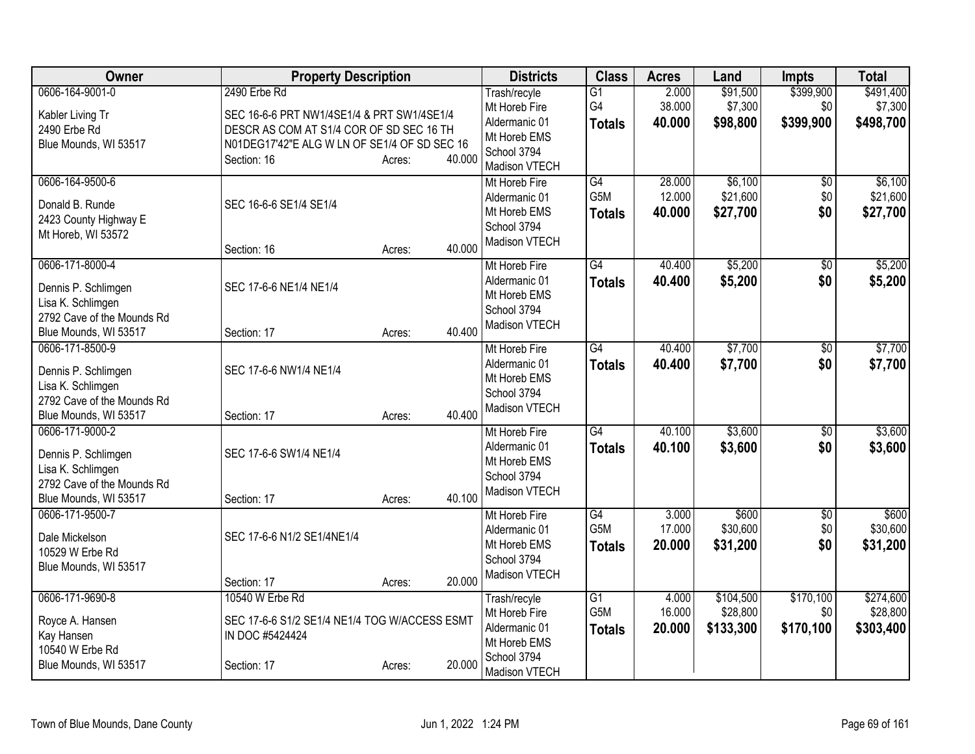| Owner                                                                                                              | <b>Property Description</b>                                                                                                                                                               | <b>Districts</b>                                                                               | <b>Class</b>                                         | <b>Acres</b>               | Land                               | <b>Impts</b>                  | <b>Total</b>                       |
|--------------------------------------------------------------------------------------------------------------------|-------------------------------------------------------------------------------------------------------------------------------------------------------------------------------------------|------------------------------------------------------------------------------------------------|------------------------------------------------------|----------------------------|------------------------------------|-------------------------------|------------------------------------|
| 0606-164-9001-0<br>Kabler Living Tr<br>2490 Erbe Rd<br>Blue Mounds, WI 53517                                       | 2490 Erbe Rd<br>SEC 16-6-6 PRT NW1/4SE1/4 & PRT SW1/4SE1/4<br>DESCR AS COM AT S1/4 COR OF SD SEC 16 TH<br>N01DEG17'42"E ALG W LN OF SE1/4 OF SD SEC 16<br>40.000<br>Section: 16<br>Acres: | Trash/recyle<br>Mt Horeb Fire<br>Aldermanic 01<br>Mt Horeb EMS<br>School 3794<br>Madison VTECH | $\overline{G1}$<br>G4<br><b>Totals</b>               | 2.000<br>38.000<br>40.000  | \$91,500<br>\$7,300<br>\$98,800    | \$399,900<br>\$0<br>\$399,900 | \$491,400<br>\$7,300<br>\$498,700  |
| 0606-164-9500-6<br>Donald B. Runde<br>2423 County Highway E<br>Mt Horeb, WI 53572                                  | SEC 16-6-6 SE1/4 SE1/4<br>40.000<br>Section: 16<br>Acres:                                                                                                                                 | Mt Horeb Fire<br>Aldermanic 01<br>Mt Horeb EMS<br>School 3794<br>Madison VTECH                 | G4<br>G5M<br><b>Totals</b>                           | 28.000<br>12.000<br>40.000 | \$6,100<br>\$21,600<br>\$27,700    | $\overline{50}$<br>\$0<br>\$0 | \$6,100<br>\$21,600<br>\$27,700    |
| 0606-171-8000-4<br>Dennis P. Schlimgen<br>Lisa K. Schlimgen<br>2792 Cave of the Mounds Rd<br>Blue Mounds, WI 53517 | SEC 17-6-6 NE1/4 NE1/4<br>40.400<br>Section: 17<br>Acres:                                                                                                                                 | Mt Horeb Fire<br>Aldermanic 01<br>Mt Horeb EMS<br>School 3794<br>Madison VTECH                 | $\overline{G4}$<br><b>Totals</b>                     | 40.400<br>40.400           | \$5,200<br>\$5,200                 | $\overline{50}$<br>\$0        | \$5,200<br>\$5,200                 |
| 0606-171-8500-9<br>Dennis P. Schlimgen<br>Lisa K. Schlimgen<br>2792 Cave of the Mounds Rd<br>Blue Mounds, WI 53517 | SEC 17-6-6 NW1/4 NE1/4<br>40.400<br>Section: 17<br>Acres:                                                                                                                                 | Mt Horeb Fire<br>Aldermanic 01<br>Mt Horeb EMS<br>School 3794<br>Madison VTECH                 | G4<br><b>Totals</b>                                  | 40.400<br>40.400           | \$7,700<br>\$7,700                 | $\overline{50}$<br>\$0        | \$7,700<br>\$7,700                 |
| 0606-171-9000-2<br>Dennis P. Schlimgen<br>Lisa K. Schlimgen<br>2792 Cave of the Mounds Rd<br>Blue Mounds, WI 53517 | SEC 17-6-6 SW1/4 NE1/4<br>40.100<br>Section: 17<br>Acres:                                                                                                                                 | Mt Horeb Fire<br>Aldermanic 01<br>Mt Horeb EMS<br>School 3794<br>Madison VTECH                 | $\overline{G4}$<br><b>Totals</b>                     | 40.100<br>40.100           | \$3,600<br>\$3,600                 | $\overline{30}$<br>\$0        | \$3,600<br>\$3,600                 |
| 0606-171-9500-7<br>Dale Mickelson<br>10529 W Erbe Rd<br>Blue Mounds, WI 53517                                      | SEC 17-6-6 N1/2 SE1/4NE1/4<br>20.000<br>Section: 17<br>Acres:                                                                                                                             | Mt Horeb Fire<br>Aldermanic 01<br>Mt Horeb EMS<br>School 3794<br>Madison VTECH                 | G4<br>G <sub>5</sub> M<br><b>Totals</b>              | 3.000<br>17.000<br>20.000  | \$600<br>\$30,600<br>\$31,200      | $\overline{50}$<br>\$0<br>\$0 | \$600<br>\$30,600<br>\$31,200      |
| 0606-171-9690-8<br>Royce A. Hansen<br>Kay Hansen<br>10540 W Erbe Rd<br>Blue Mounds, WI 53517                       | 10540 W Erbe Rd<br>SEC 17-6-6 S1/2 SE1/4 NE1/4 TOG W/ACCESS ESMT<br>IN DOC #5424424<br>20.000<br>Section: 17<br>Acres:                                                                    | Trash/recyle<br>Mt Horeb Fire<br>Aldermanic 01<br>Mt Horeb EMS<br>School 3794<br>Madison VTECH | $\overline{G1}$<br>G <sub>5</sub> M<br><b>Totals</b> | 4.000<br>16.000<br>20.000  | \$104,500<br>\$28,800<br>\$133,300 | \$170,100<br>\$0<br>\$170,100 | \$274,600<br>\$28,800<br>\$303,400 |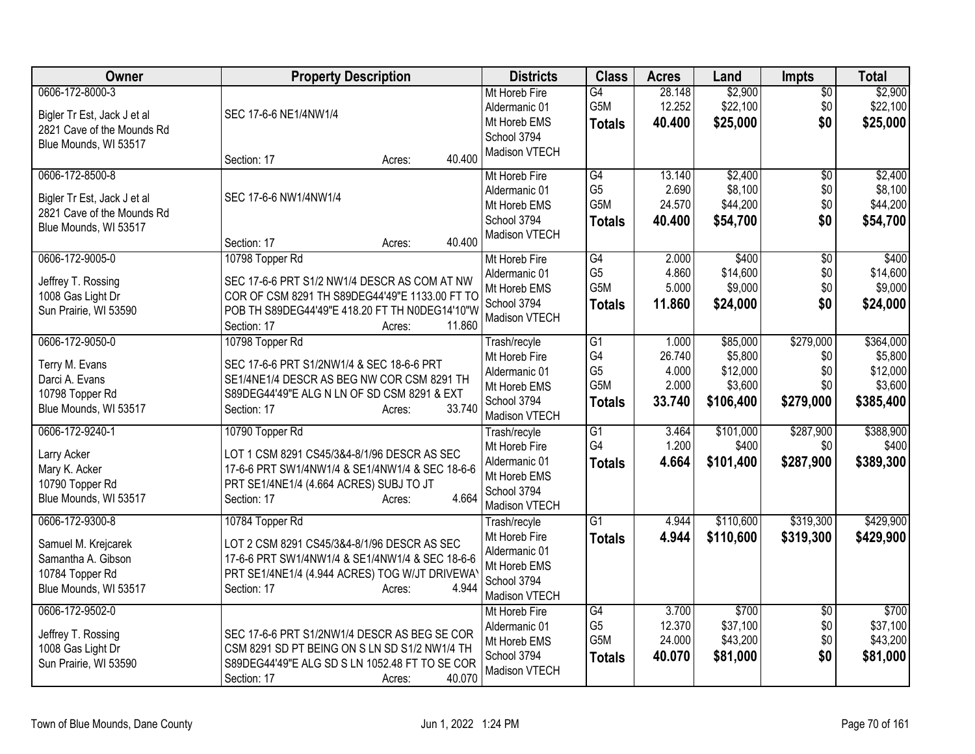| Owner                                                                                                    | <b>Property Description</b>                                                                                                                                                                            | <b>Districts</b>                                                                               | <b>Class</b>                                       | <b>Acres</b>                                | Land                                                    | <b>Impts</b>                                | <b>Total</b>                                             |
|----------------------------------------------------------------------------------------------------------|--------------------------------------------------------------------------------------------------------------------------------------------------------------------------------------------------------|------------------------------------------------------------------------------------------------|----------------------------------------------------|---------------------------------------------|---------------------------------------------------------|---------------------------------------------|----------------------------------------------------------|
| 0606-172-8000-3<br>Bigler Tr Est, Jack J et al<br>2821 Cave of the Mounds Rd<br>Blue Mounds, WI 53517    | SEC 17-6-6 NE1/4NW1/4                                                                                                                                                                                  | Mt Horeb Fire<br>Aldermanic 01<br>Mt Horeb EMS<br>School 3794<br>Madison VTECH                 | G4<br>G5M<br><b>Totals</b>                         | 28.148<br>12.252<br>40.400                  | \$2,900<br>\$22,100<br>\$25,000                         | $\overline{50}$<br>\$0<br>\$0               | \$2,900<br>\$22,100<br>\$25,000                          |
| 0606-172-8500-8<br>Bigler Tr Est, Jack J et al<br>2821 Cave of the Mounds Rd<br>Blue Mounds, WI 53517    | 40.400<br>Section: 17<br>Acres:<br>SEC 17-6-6 NW1/4NW1/4<br>40.400<br>Section: 17<br>Acres:                                                                                                            | Mt Horeb Fire<br>Aldermanic 01<br>Mt Horeb EMS<br>School 3794<br>Madison VTECH                 | G4<br>G <sub>5</sub><br>G5M<br><b>Totals</b>       | 13.140<br>2.690<br>24.570<br>40.400         | \$2,400<br>\$8,100<br>\$44,200<br>\$54,700              | \$0<br>\$0<br>\$0<br>\$0                    | \$2,400<br>\$8,100<br>\$44,200<br>\$54,700               |
| 0606-172-9005-0<br>Jeffrey T. Rossing<br>1008 Gas Light Dr<br>Sun Prairie, WI 53590                      | 10798 Topper Rd<br>SEC 17-6-6 PRT S1/2 NW1/4 DESCR AS COM AT NW<br>COR OF CSM 8291 TH S89DEG44'49"E 1133.00 FT TO<br>POB TH S89DEG44'49"E 418.20 FT TH N0DEG14'10"W<br>11.860<br>Section: 17<br>Acres: | Mt Horeb Fire<br>Aldermanic 01<br>Mt Horeb EMS<br>School 3794<br>Madison VTECH                 | G4<br>G <sub>5</sub><br>G5M<br><b>Totals</b>       | 2.000<br>4.860<br>5.000<br>11.860           | \$400<br>\$14,600<br>\$9,000<br>\$24,000                | \$0<br>\$0<br>\$0<br>\$0                    | \$400<br>\$14,600<br>\$9,000<br>\$24,000                 |
| 0606-172-9050-0<br>Terry M. Evans<br>Darci A. Evans<br>10798 Topper Rd<br>Blue Mounds, WI 53517          | 10798 Topper Rd<br>SEC 17-6-6 PRT S1/2NW1/4 & SEC 18-6-6 PRT<br>SE1/4NE1/4 DESCR AS BEG NW COR CSM 8291 TH<br>S89DEG44'49"E ALG N LN OF SD CSM 8291 & EXT<br>33.740<br>Section: 17<br>Acres:           | Trash/recyle<br>Mt Horeb Fire<br>Aldermanic 01<br>Mt Horeb EMS<br>School 3794<br>Madison VTECH | G1<br>G4<br>G <sub>5</sub><br>G5M<br><b>Totals</b> | 1.000<br>26.740<br>4.000<br>2.000<br>33.740 | \$85,000<br>\$5,800<br>\$12,000<br>\$3,600<br>\$106,400 | \$279,000<br>\$0<br>\$0<br>\$0<br>\$279,000 | \$364,000<br>\$5,800<br>\$12,000<br>\$3,600<br>\$385,400 |
| 0606-172-9240-1<br>Larry Acker<br>Mary K. Acker<br>10790 Topper Rd<br>Blue Mounds, WI 53517              | 10790 Topper Rd<br>LOT 1 CSM 8291 CS45/3&4-8/1/96 DESCR AS SEC<br>17-6-6 PRT SW1/4NW1/4 & SE1/4NW1/4 & SEC 18-6-6<br>PRT SE1/4NE1/4 (4.664 ACRES) SUBJ TO JT<br>4.664<br>Section: 17<br>Acres:         | Trash/recyle<br>Mt Horeb Fire<br>Aldermanic 01<br>Mt Horeb EMS<br>School 3794<br>Madison VTECH | G1<br>G <sub>4</sub><br><b>Totals</b>              | 3.464<br>1.200<br>4.664                     | \$101,000<br>\$400<br>\$101,400                         | \$287,900<br>\$0<br>\$287,900               | \$388,900<br>\$400<br>\$389,300                          |
| 0606-172-9300-8<br>Samuel M. Krejcarek<br>Samantha A. Gibson<br>10784 Topper Rd<br>Blue Mounds, WI 53517 | 10784 Topper Rd<br>LOT 2 CSM 8291 CS45/3&4-8/1/96 DESCR AS SEC<br>17-6-6 PRT SW1/4NW1/4 & SE1/4NW1/4 & SEC 18-6-6<br>PRT SE1/4NE1/4 (4.944 ACRES) TOG W/JT DRIVEWAY<br>4.944<br>Section: 17<br>Acres:  | Trash/recyle<br>Mt Horeb Fire<br>Aldermanic 01<br>Mt Horeb EMS<br>School 3794<br>Madison VTECH | $\overline{G1}$<br><b>Totals</b>                   | 4.944<br>4.944                              | \$110,600<br>\$110,600                                  | \$319,300<br>\$319,300                      | \$429,900<br>\$429,900                                   |
| 0606-172-9502-0<br>Jeffrey T. Rossing<br>1008 Gas Light Dr<br>Sun Prairie, WI 53590                      | SEC 17-6-6 PRT S1/2NW1/4 DESCR AS BEG SE COR<br>CSM 8291 SD PT BEING ON S LN SD S1/2 NW1/4 TH<br>S89DEG44'49"E ALG SD S LN 1052.48 FT TO SE COR<br>40.070<br>Section: 17<br>Acres:                     | Mt Horeb Fire<br>Aldermanic 01<br>Mt Horeb EMS<br>School 3794<br><b>Madison VTECH</b>          | G4<br>G <sub>5</sub><br>G5M<br><b>Totals</b>       | 3.700<br>12.370<br>24.000<br>40.070         | \$700<br>\$37,100<br>\$43,200<br>\$81,000               | \$0<br>\$0<br>\$0<br>\$0                    | \$700<br>\$37,100<br>\$43,200<br>\$81,000                |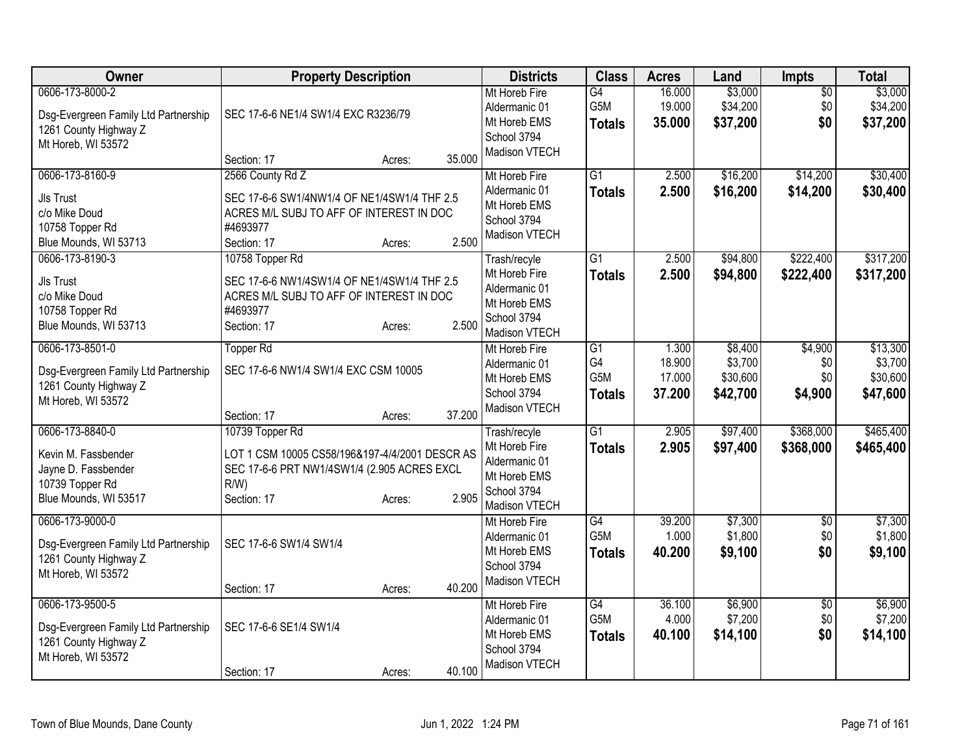| Owner                                                                                                  | <b>Property Description</b>                                                                                                                               | <b>Districts</b>                                                                               | <b>Class</b>                                              | <b>Acres</b>                        | Land                                       | <b>Impts</b>                     | <b>Total</b>                                |
|--------------------------------------------------------------------------------------------------------|-----------------------------------------------------------------------------------------------------------------------------------------------------------|------------------------------------------------------------------------------------------------|-----------------------------------------------------------|-------------------------------------|--------------------------------------------|----------------------------------|---------------------------------------------|
| 0606-173-8000-2<br>Dsg-Evergreen Family Ltd Partnership<br>1261 County Highway Z<br>Mt Horeb, WI 53572 | SEC 17-6-6 NE1/4 SW1/4 EXC R3236/79                                                                                                                       | Mt Horeb Fire<br>Aldermanic 01<br>Mt Horeb EMS<br>School 3794<br>Madison VTECH                 | G4<br>G5M<br><b>Totals</b>                                | 16.000<br>19.000<br>35.000          | \$3,000<br>\$34,200<br>\$37,200            | $\overline{60}$<br>\$0<br>\$0    | \$3,000<br>\$34,200<br>\$37,200             |
|                                                                                                        | 35.000<br>Section: 17<br>Acres:                                                                                                                           |                                                                                                |                                                           |                                     |                                            |                                  |                                             |
| 0606-173-8160-9<br><b>JIs Trust</b><br>c/o Mike Doud<br>10758 Topper Rd<br>Blue Mounds, WI 53713       | 2566 County Rd Z<br>SEC 17-6-6 SW1/4NW1/4 OF NE1/4SW1/4 THF 2.5<br>ACRES M/L SUBJ TO AFF OF INTEREST IN DOC<br>#4693977<br>2.500<br>Section: 17<br>Acres: | Mt Horeb Fire<br>Aldermanic 01<br>Mt Horeb EMS<br>School 3794<br>Madison VTECH                 | $\overline{G1}$<br><b>Totals</b>                          | 2.500<br>2.500                      | \$16,200<br>\$16,200                       | \$14,200<br>\$14,200             | \$30,400<br>\$30,400                        |
| 0606-173-8190-3<br>Jls Trust<br>c/o Mike Doud<br>10758 Topper Rd<br>Blue Mounds, WI 53713              | 10758 Topper Rd<br>SEC 17-6-6 NW1/4SW1/4 OF NE1/4SW1/4 THF 2.5<br>ACRES M/L SUBJ TO AFF OF INTEREST IN DOC<br>#4693977<br>2.500<br>Section: 17<br>Acres:  | Trash/recyle<br>Mt Horeb Fire<br>Aldermanic 01<br>Mt Horeb EMS<br>School 3794<br>Madison VTECH | $\overline{G1}$<br><b>Totals</b>                          | 2.500<br>2.500                      | \$94,800<br>\$94,800                       | \$222,400<br>\$222,400           | \$317,200<br>\$317,200                      |
| 0606-173-8501-0<br>Dsg-Evergreen Family Ltd Partnership<br>1261 County Highway Z<br>Mt Horeb, WI 53572 | <b>Topper Rd</b><br>SEC 17-6-6 NW1/4 SW1/4 EXC CSM 10005<br>37.200<br>Section: 17<br>Acres:                                                               | Mt Horeb Fire<br>Aldermanic 01<br>Mt Horeb EMS<br>School 3794<br>Madison VTECH                 | $\overline{G1}$<br>G <sub>4</sub><br>G5M<br><b>Totals</b> | 1.300<br>18.900<br>17.000<br>37.200 | \$8,400<br>\$3,700<br>\$30,600<br>\$42,700 | \$4,900<br>\$0<br>\$0<br>\$4,900 | \$13,300<br>\$3,700<br>\$30,600<br>\$47,600 |
| 0606-173-8840-0                                                                                        | 10739 Topper Rd                                                                                                                                           | Trash/recyle                                                                                   | $\overline{G1}$                                           | 2.905                               | \$97,400                                   | \$368,000                        | \$465,400                                   |
| Kevin M. Fassbender<br>Jayne D. Fassbender<br>10739 Topper Rd<br>Blue Mounds, WI 53517                 | LOT 1 CSM 10005 CS58/196&197-4/4/2001 DESCR AS<br>SEC 17-6-6 PRT NW1/4SW1/4 (2.905 ACRES EXCL<br>R/W<br>2.905<br>Section: 17<br>Acres:                    | Mt Horeb Fire<br>Aldermanic 01<br>Mt Horeb EMS<br>School 3794<br>Madison VTECH                 | <b>Totals</b>                                             | 2.905                               | \$97,400                                   | \$368,000                        | \$465,400                                   |
| 0606-173-9000-0<br>Dsg-Evergreen Family Ltd Partnership<br>1261 County Highway Z<br>Mt Horeb, WI 53572 | SEC 17-6-6 SW1/4 SW1/4<br>40.200                                                                                                                          | Mt Horeb Fire<br>Aldermanic 01<br>Mt Horeb EMS<br>School 3794<br>Madison VTECH                 | G4<br>G5M<br><b>Totals</b>                                | 39.200<br>1.000<br>40.200           | \$7,300<br>\$1,800<br>\$9,100              | $\overline{50}$<br>\$0<br>\$0    | \$7,300<br>\$1,800<br>\$9,100               |
| 0606-173-9500-5                                                                                        | Section: 17<br>Acres:                                                                                                                                     | Mt Horeb Fire                                                                                  | G4                                                        | 36.100                              | \$6,900                                    | $\overline{30}$                  | \$6,900                                     |
| Dsg-Evergreen Family Ltd Partnership<br>1261 County Highway Z<br>Mt Horeb, WI 53572                    | SEC 17-6-6 SE1/4 SW1/4                                                                                                                                    | Aldermanic 01<br>Mt Horeb EMS<br>School 3794<br>Madison VTECH                                  | G5M<br><b>Totals</b>                                      | 4.000<br>40.100                     | \$7,200<br>\$14,100                        | \$0<br>\$0                       | \$7,200<br>\$14,100                         |
|                                                                                                        | 40.100<br>Section: 17<br>Acres:                                                                                                                           |                                                                                                |                                                           |                                     |                                            |                                  |                                             |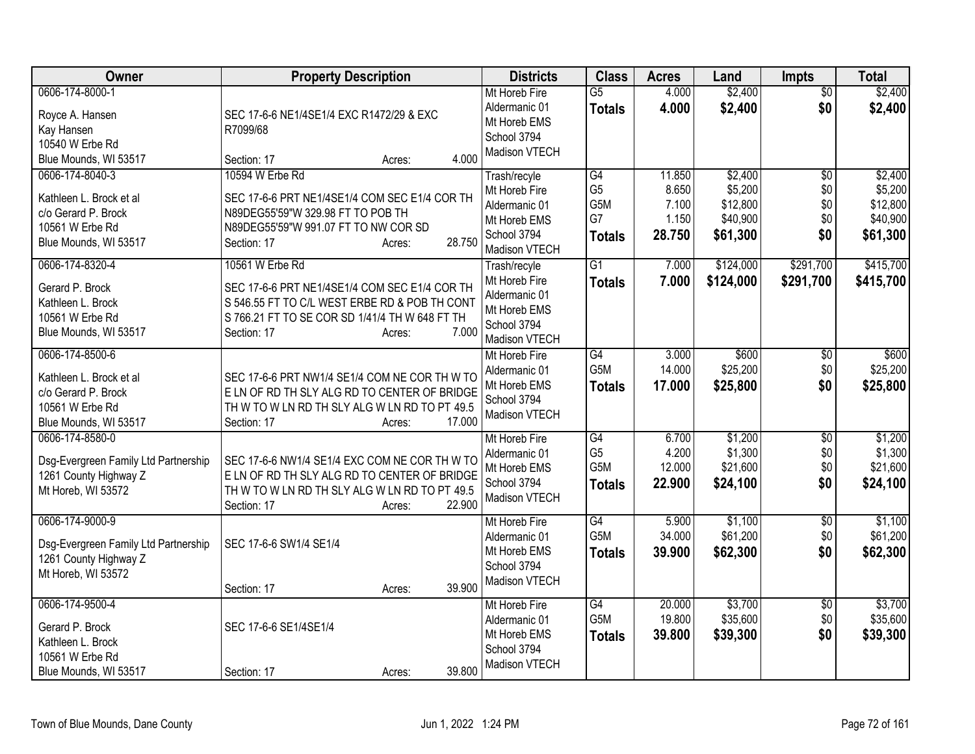| Owner                                                                                                         | <b>Property Description</b>                                                                                                                                                                           | <b>Districts</b>                                                                               | <b>Class</b>                                       | <b>Acres</b>                                | Land                                                   | <b>Impts</b>                                | <b>Total</b>                                           |
|---------------------------------------------------------------------------------------------------------------|-------------------------------------------------------------------------------------------------------------------------------------------------------------------------------------------------------|------------------------------------------------------------------------------------------------|----------------------------------------------------|---------------------------------------------|--------------------------------------------------------|---------------------------------------------|--------------------------------------------------------|
| 0606-174-8000-1<br>Royce A. Hansen<br>Kay Hansen<br>10540 W Erbe Rd<br>Blue Mounds, WI 53517                  | SEC 17-6-6 NE1/4SE1/4 EXC R1472/29 & EXC<br>R7099/68<br>4.000<br>Section: 17<br>Acres:                                                                                                                | Mt Horeb Fire<br>Aldermanic 01<br>Mt Horeb EMS<br>School 3794<br>Madison VTECH                 | $\overline{G5}$<br><b>Totals</b>                   | 4.000<br>4.000                              | \$2,400<br>\$2,400                                     | $\overline{50}$<br>\$0                      | \$2,400<br>\$2,400                                     |
| 0606-174-8040-3<br>Kathleen L. Brock et al<br>c/o Gerard P. Brock<br>10561 W Erbe Rd<br>Blue Mounds, WI 53517 | 10594 W Erbe Rd<br>SEC 17-6-6 PRT NE1/4SE1/4 COM SEC E1/4 COR TH<br>N89DEG55'59"W 329.98 FT TO POB TH<br>N89DEG55'59"W 991.07 FT TO NW COR SD<br>28.750<br>Section: 17<br>Acres:                      | Trash/recyle<br>Mt Horeb Fire<br>Aldermanic 01<br>Mt Horeb EMS<br>School 3794<br>Madison VTECH | G4<br>G <sub>5</sub><br>G5M<br>G7<br><b>Totals</b> | 11.850<br>8.650<br>7.100<br>1.150<br>28.750 | \$2,400<br>\$5,200<br>\$12,800<br>\$40,900<br>\$61,300 | $\overline{50}$<br>\$0<br>\$0<br>\$0<br>\$0 | \$2,400<br>\$5,200<br>\$12,800<br>\$40,900<br>\$61,300 |
| 0606-174-8320-4<br>Gerard P. Brock<br>Kathleen L. Brock<br>10561 W Erbe Rd<br>Blue Mounds, WI 53517           | 10561 W Erbe Rd<br>SEC 17-6-6 PRT NE1/4SE1/4 COM SEC E1/4 COR TH<br>S 546.55 FT TO C/L WEST ERBE RD & POB TH CONT<br>S 766.21 FT TO SE COR SD 1/41/4 TH W 648 FT TH<br>7.000<br>Section: 17<br>Acres: | Trash/recyle<br>Mt Horeb Fire<br>Aldermanic 01<br>Mt Horeb EMS<br>School 3794<br>Madison VTECH | $\overline{G1}$<br><b>Totals</b>                   | 7.000<br>7.000                              | \$124,000<br>\$124,000                                 | \$291,700<br>\$291,700                      | \$415,700<br>\$415,700                                 |
| 0606-174-8500-6<br>Kathleen L. Brock et al<br>c/o Gerard P. Brock<br>10561 W Erbe Rd<br>Blue Mounds, WI 53517 | SEC 17-6-6 PRT NW1/4 SE1/4 COM NE COR TH W TO<br>E LN OF RD TH SLY ALG RD TO CENTER OF BRIDGE<br>TH W TO W LN RD TH SLY ALG W LN RD TO PT 49.5<br>17.000<br>Section: 17<br>Acres:                     | Mt Horeb Fire<br>Aldermanic 01<br>Mt Horeb EMS<br>School 3794<br>Madison VTECH                 | G4<br>G5M<br><b>Totals</b>                         | 3.000<br>14.000<br>17.000                   | \$600<br>\$25,200<br>\$25,800                          | $\overline{50}$<br>\$0<br>\$0               | \$600<br>\$25,200<br>\$25,800                          |
| 0606-174-8580-0<br>Dsg-Evergreen Family Ltd Partnership<br>1261 County Highway Z<br>Mt Horeb, WI 53572        | SEC 17-6-6 NW1/4 SE1/4 EXC COM NE COR TH W TO<br>E LN OF RD TH SLY ALG RD TO CENTER OF BRIDGE<br>TH W TO W LN RD TH SLY ALG W LN RD TO PT 49.5<br>22.900<br>Section: 17<br>Acres:                     | Mt Horeb Fire<br>Aldermanic 01<br>Mt Horeb EMS<br>School 3794<br>Madison VTECH                 | G4<br>G <sub>5</sub><br>G5M<br><b>Totals</b>       | 6.700<br>4.200<br>12.000<br>22,900          | \$1,200<br>\$1,300<br>\$21,600<br>\$24,100             | $\overline{50}$<br>\$0<br>\$0<br>\$0        | \$1,200<br>\$1,300<br>\$21,600<br>\$24,100             |
| 0606-174-9000-9<br>Dsg-Evergreen Family Ltd Partnership<br>1261 County Highway Z<br>Mt Horeb, WI 53572        | SEC 17-6-6 SW1/4 SE1/4<br>39.900<br>Section: 17<br>Acres:                                                                                                                                             | Mt Horeb Fire<br>Aldermanic 01<br>Mt Horeb EMS<br>School 3794<br>Madison VTECH                 | G4<br>G5M<br><b>Totals</b>                         | 5.900<br>34.000<br>39.900                   | \$1,100<br>\$61,200<br>\$62,300                        | $\sqrt{6}$<br>\$0<br>\$0                    | \$1,100<br>\$61,200<br>\$62,300                        |
| 0606-174-9500-4<br>Gerard P. Brock<br>Kathleen L. Brock<br>10561 W Erbe Rd<br>Blue Mounds, WI 53517           | SEC 17-6-6 SE1/4SE1/4<br>39.800<br>Section: 17<br>Acres:                                                                                                                                              | Mt Horeb Fire<br>Aldermanic 01<br>Mt Horeb EMS<br>School 3794<br>Madison VTECH                 | G4<br>G5M<br><b>Totals</b>                         | 20.000<br>19.800<br>39.800                  | \$3,700<br>\$35,600<br>\$39,300                        | $\overline{30}$<br>\$0<br>\$0               | \$3,700<br>\$35,600<br>\$39,300                        |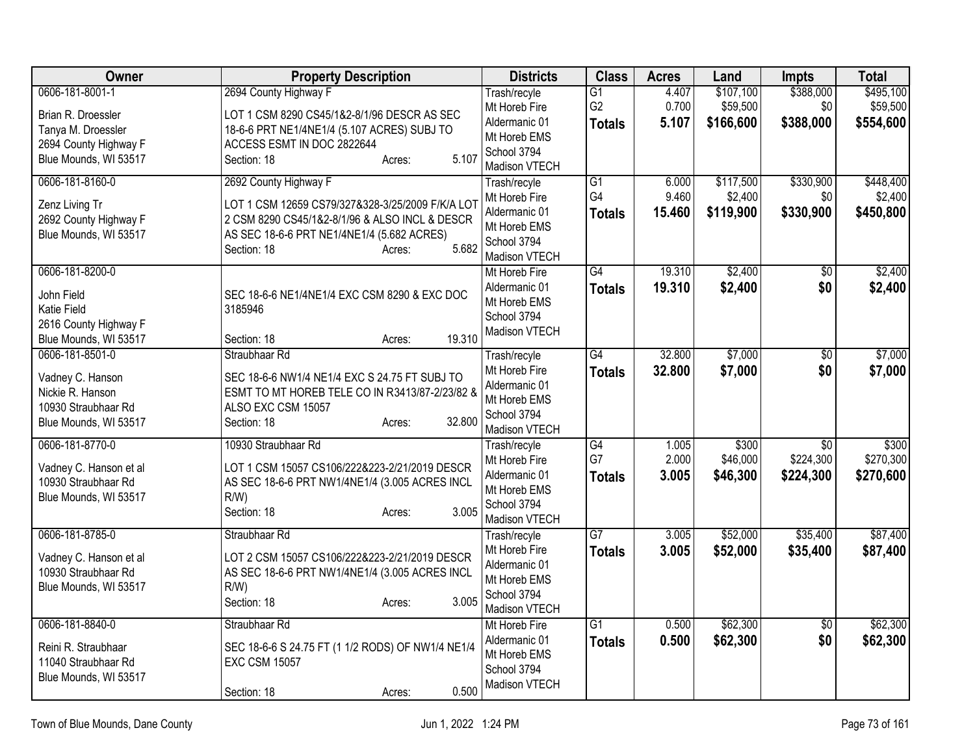| 0606-181-8001-1<br>2694 County Highway F<br>$\overline{G1}$<br>4.407<br>\$107,100<br>Trash/recyle<br>G <sub>2</sub><br>0.700<br>\$59,500<br>\$59,500<br>Mt Horeb Fire<br>\$0<br>Brian R. Droessler<br>LOT 1 CSM 8290 CS45/1&2-8/1/96 DESCR AS SEC<br>5.107<br>\$166,600<br>\$388,000<br>Aldermanic 01<br><b>Totals</b><br>Tanya M. Droessler<br>18-6-6 PRT NE1/4NE1/4 (5.107 ACRES) SUBJ TO<br>Mt Horeb EMS<br>2694 County Highway F<br>ACCESS ESMT IN DOC 2822644<br>School 3794<br>5.107<br>Blue Mounds, WI 53517<br>Section: 18<br>Acres:<br>Madison VTECH<br>\$330,900<br>0606-181-8160-0<br>2692 County Highway F<br>$\overline{G1}$<br>\$117,500<br>6.000<br>Trash/recyle<br>G4<br>9.460<br>\$2,400<br>\$0<br>Mt Horeb Fire<br>LOT 1 CSM 12659 CS79/327&328-3/25/2009 F/K/A LOT<br>Zenz Living Tr<br>\$330,900<br>Aldermanic 01<br>15.460<br>\$119,900<br><b>Totals</b><br>2692 County Highway F<br>2 CSM 8290 CS45/1&2-8/1/96 & ALSO INCL & DESCR<br>Mt Horeb EMS<br>Blue Mounds, WI 53517<br>AS SEC 18-6-6 PRT NE1/4NE1/4 (5.682 ACRES)<br>School 3794<br>5.682<br>Section: 18<br>Acres:<br>Madison VTECH<br>\$2,400<br>19.310<br>0606-181-8200-0<br>G4<br>Mt Horeb Fire<br>\$0<br>19.310<br>\$2,400<br>\$0<br>Aldermanic 01<br><b>Totals</b><br>John Field<br>SEC 18-6-6 NE1/4NE1/4 EXC CSM 8290 & EXC DOC<br>Mt Horeb EMS<br>Katie Field<br>3185946<br>School 3794<br>2616 County Highway F<br>Madison VTECH<br>19.310<br>Blue Mounds, WI 53517<br>Section: 18<br>Acres:<br>$\overline{G4}$<br>32.800<br>\$7,000<br>0606-181-8501-0<br>Straubhaar Rd<br>\$0<br>Trash/recyle<br>32.800<br>\$7,000<br>\$0<br>Mt Horeb Fire<br><b>Totals</b><br>SEC 18-6-6 NW1/4 NE1/4 EXC S 24.75 FT SUBJ TO<br>Vadney C. Hanson<br>Aldermanic 01<br>Nickie R. Hanson<br>ESMT TO MT HOREB TELE CO IN R3413/87-2/23/82 &<br>Mt Horeb EMS<br>10930 Straubhaar Rd<br>ALSO EXC CSM 15057<br>School 3794<br>32.800<br>Section: 18<br>Blue Mounds, WI 53517<br>Acres:<br>Madison VTECH<br>0606-181-8770-0<br>\$300<br>10930 Straubhaar Rd<br>$\overline{G4}$<br>1.005<br>$\overline{30}$<br>\$300<br>Trash/recyle<br>G7<br>2.000<br>\$46,000<br>\$224,300<br>Mt Horeb Fire<br>LOT 1 CSM 15057 CS106/222&223-2/21/2019 DESCR<br>Vadney C. Hanson et al<br>Aldermanic 01<br>3.005<br>\$46,300<br>\$224,300<br><b>Totals</b><br>10930 Straubhaar Rd<br>AS SEC 18-6-6 PRT NW1/4NE1/4 (3.005 ACRES INCL<br>Mt Horeb EMS<br>$R/W$ )<br>Blue Mounds, WI 53517<br>School 3794<br>3.005<br>Section: 18<br>Acres:<br>Madison VTECH<br>$\overline{G7}$<br>\$52,000<br>\$35,400<br>0606-181-8785-0<br>3.005<br>Straubhaar Rd<br>Trash/recyle<br>3.005<br>\$52,000<br>Mt Horeb Fire<br>\$35,400<br><b>Totals</b><br>Vadney C. Hanson et al<br>LOT 2 CSM 15057 CS106/222&223-2/21/2019 DESCR<br>Aldermanic 01<br>10930 Straubhaar Rd<br>AS SEC 18-6-6 PRT NW1/4NE1/4 (3.005 ACRES INCL<br>Mt Horeb EMS<br>Blue Mounds, WI 53517<br>$R/W$ )<br>School 3794<br>3.005<br>Section: 18<br>Acres:<br>Madison VTECH<br>\$62,300<br>0606-181-8840-0<br>Straubhaar Rd<br>$\overline{G1}$<br>0.500<br>$\overline{50}$<br>Mt Horeb Fire<br>Aldermanic 01<br>0.500<br>\$62,300<br>\$0<br><b>Totals</b><br>Reini R. Straubhaar<br>SEC 18-6-6 S 24.75 FT (1 1/2 RODS) OF NW1/4 NE1/4<br>Mt Horeb EMS<br>11040 Straubhaar Rd<br><b>EXC CSM 15057</b><br>School 3794<br>Blue Mounds, WI 53517<br>Madison VTECH<br>0.500<br>Section: 18<br>Acres: | Owner | <b>Property Description</b> | <b>Districts</b> | <b>Class</b> | <b>Acres</b> | Land | <b>Impts</b> | <b>Total</b> |
|------------------------------------------------------------------------------------------------------------------------------------------------------------------------------------------------------------------------------------------------------------------------------------------------------------------------------------------------------------------------------------------------------------------------------------------------------------------------------------------------------------------------------------------------------------------------------------------------------------------------------------------------------------------------------------------------------------------------------------------------------------------------------------------------------------------------------------------------------------------------------------------------------------------------------------------------------------------------------------------------------------------------------------------------------------------------------------------------------------------------------------------------------------------------------------------------------------------------------------------------------------------------------------------------------------------------------------------------------------------------------------------------------------------------------------------------------------------------------------------------------------------------------------------------------------------------------------------------------------------------------------------------------------------------------------------------------------------------------------------------------------------------------------------------------------------------------------------------------------------------------------------------------------------------------------------------------------------------------------------------------------------------------------------------------------------------------------------------------------------------------------------------------------------------------------------------------------------------------------------------------------------------------------------------------------------------------------------------------------------------------------------------------------------------------------------------------------------------------------------------------------------------------------------------------------------------------------------------------------------------------------------------------------------------------------------------------------------------------------------------------------------------------------------------------------------------------------------------------------------------------------------------------------------------------------------------------------------------------------------------------------------------------------------------------------------------------------------------------------------------------------------------------------------------------------------------------------------------------------------------------------------------------------------------------------------------------------------------------------------------------------------------------|-------|-----------------------------|------------------|--------------|--------------|------|--------------|--------------|
| \$554,600                                                                                                                                                                                                                                                                                                                                                                                                                                                                                                                                                                                                                                                                                                                                                                                                                                                                                                                                                                                                                                                                                                                                                                                                                                                                                                                                                                                                                                                                                                                                                                                                                                                                                                                                                                                                                                                                                                                                                                                                                                                                                                                                                                                                                                                                                                                                                                                                                                                                                                                                                                                                                                                                                                                                                                                                                                                                                                                                                                                                                                                                                                                                                                                                                                                                                                                                                                                            |       |                             |                  |              |              |      | \$388,000    | \$495,100    |
|                                                                                                                                                                                                                                                                                                                                                                                                                                                                                                                                                                                                                                                                                                                                                                                                                                                                                                                                                                                                                                                                                                                                                                                                                                                                                                                                                                                                                                                                                                                                                                                                                                                                                                                                                                                                                                                                                                                                                                                                                                                                                                                                                                                                                                                                                                                                                                                                                                                                                                                                                                                                                                                                                                                                                                                                                                                                                                                                                                                                                                                                                                                                                                                                                                                                                                                                                                                                      |       |                             |                  |              |              |      |              |              |
| \$448,400<br>\$450,800<br>\$270,300<br>\$270,600<br>\$62,300<br>\$62,300                                                                                                                                                                                                                                                                                                                                                                                                                                                                                                                                                                                                                                                                                                                                                                                                                                                                                                                                                                                                                                                                                                                                                                                                                                                                                                                                                                                                                                                                                                                                                                                                                                                                                                                                                                                                                                                                                                                                                                                                                                                                                                                                                                                                                                                                                                                                                                                                                                                                                                                                                                                                                                                                                                                                                                                                                                                                                                                                                                                                                                                                                                                                                                                                                                                                                                                             |       |                             |                  |              |              |      |              |              |
|                                                                                                                                                                                                                                                                                                                                                                                                                                                                                                                                                                                                                                                                                                                                                                                                                                                                                                                                                                                                                                                                                                                                                                                                                                                                                                                                                                                                                                                                                                                                                                                                                                                                                                                                                                                                                                                                                                                                                                                                                                                                                                                                                                                                                                                                                                                                                                                                                                                                                                                                                                                                                                                                                                                                                                                                                                                                                                                                                                                                                                                                                                                                                                                                                                                                                                                                                                                                      |       |                             |                  |              |              |      |              |              |
|                                                                                                                                                                                                                                                                                                                                                                                                                                                                                                                                                                                                                                                                                                                                                                                                                                                                                                                                                                                                                                                                                                                                                                                                                                                                                                                                                                                                                                                                                                                                                                                                                                                                                                                                                                                                                                                                                                                                                                                                                                                                                                                                                                                                                                                                                                                                                                                                                                                                                                                                                                                                                                                                                                                                                                                                                                                                                                                                                                                                                                                                                                                                                                                                                                                                                                                                                                                                      |       |                             |                  |              |              |      |              |              |
| \$2,400<br>\$2,400<br>\$2,400<br>\$7,000<br>\$7,000<br>\$87,400<br>\$87,400                                                                                                                                                                                                                                                                                                                                                                                                                                                                                                                                                                                                                                                                                                                                                                                                                                                                                                                                                                                                                                                                                                                                                                                                                                                                                                                                                                                                                                                                                                                                                                                                                                                                                                                                                                                                                                                                                                                                                                                                                                                                                                                                                                                                                                                                                                                                                                                                                                                                                                                                                                                                                                                                                                                                                                                                                                                                                                                                                                                                                                                                                                                                                                                                                                                                                                                          |       |                             |                  |              |              |      |              |              |
|                                                                                                                                                                                                                                                                                                                                                                                                                                                                                                                                                                                                                                                                                                                                                                                                                                                                                                                                                                                                                                                                                                                                                                                                                                                                                                                                                                                                                                                                                                                                                                                                                                                                                                                                                                                                                                                                                                                                                                                                                                                                                                                                                                                                                                                                                                                                                                                                                                                                                                                                                                                                                                                                                                                                                                                                                                                                                                                                                                                                                                                                                                                                                                                                                                                                                                                                                                                                      |       |                             |                  |              |              |      |              |              |
|                                                                                                                                                                                                                                                                                                                                                                                                                                                                                                                                                                                                                                                                                                                                                                                                                                                                                                                                                                                                                                                                                                                                                                                                                                                                                                                                                                                                                                                                                                                                                                                                                                                                                                                                                                                                                                                                                                                                                                                                                                                                                                                                                                                                                                                                                                                                                                                                                                                                                                                                                                                                                                                                                                                                                                                                                                                                                                                                                                                                                                                                                                                                                                                                                                                                                                                                                                                                      |       |                             |                  |              |              |      |              |              |
|                                                                                                                                                                                                                                                                                                                                                                                                                                                                                                                                                                                                                                                                                                                                                                                                                                                                                                                                                                                                                                                                                                                                                                                                                                                                                                                                                                                                                                                                                                                                                                                                                                                                                                                                                                                                                                                                                                                                                                                                                                                                                                                                                                                                                                                                                                                                                                                                                                                                                                                                                                                                                                                                                                                                                                                                                                                                                                                                                                                                                                                                                                                                                                                                                                                                                                                                                                                                      |       |                             |                  |              |              |      |              |              |
|                                                                                                                                                                                                                                                                                                                                                                                                                                                                                                                                                                                                                                                                                                                                                                                                                                                                                                                                                                                                                                                                                                                                                                                                                                                                                                                                                                                                                                                                                                                                                                                                                                                                                                                                                                                                                                                                                                                                                                                                                                                                                                                                                                                                                                                                                                                                                                                                                                                                                                                                                                                                                                                                                                                                                                                                                                                                                                                                                                                                                                                                                                                                                                                                                                                                                                                                                                                                      |       |                             |                  |              |              |      |              |              |
|                                                                                                                                                                                                                                                                                                                                                                                                                                                                                                                                                                                                                                                                                                                                                                                                                                                                                                                                                                                                                                                                                                                                                                                                                                                                                                                                                                                                                                                                                                                                                                                                                                                                                                                                                                                                                                                                                                                                                                                                                                                                                                                                                                                                                                                                                                                                                                                                                                                                                                                                                                                                                                                                                                                                                                                                                                                                                                                                                                                                                                                                                                                                                                                                                                                                                                                                                                                                      |       |                             |                  |              |              |      |              |              |
|                                                                                                                                                                                                                                                                                                                                                                                                                                                                                                                                                                                                                                                                                                                                                                                                                                                                                                                                                                                                                                                                                                                                                                                                                                                                                                                                                                                                                                                                                                                                                                                                                                                                                                                                                                                                                                                                                                                                                                                                                                                                                                                                                                                                                                                                                                                                                                                                                                                                                                                                                                                                                                                                                                                                                                                                                                                                                                                                                                                                                                                                                                                                                                                                                                                                                                                                                                                                      |       |                             |                  |              |              |      |              |              |
|                                                                                                                                                                                                                                                                                                                                                                                                                                                                                                                                                                                                                                                                                                                                                                                                                                                                                                                                                                                                                                                                                                                                                                                                                                                                                                                                                                                                                                                                                                                                                                                                                                                                                                                                                                                                                                                                                                                                                                                                                                                                                                                                                                                                                                                                                                                                                                                                                                                                                                                                                                                                                                                                                                                                                                                                                                                                                                                                                                                                                                                                                                                                                                                                                                                                                                                                                                                                      |       |                             |                  |              |              |      |              |              |
|                                                                                                                                                                                                                                                                                                                                                                                                                                                                                                                                                                                                                                                                                                                                                                                                                                                                                                                                                                                                                                                                                                                                                                                                                                                                                                                                                                                                                                                                                                                                                                                                                                                                                                                                                                                                                                                                                                                                                                                                                                                                                                                                                                                                                                                                                                                                                                                                                                                                                                                                                                                                                                                                                                                                                                                                                                                                                                                                                                                                                                                                                                                                                                                                                                                                                                                                                                                                      |       |                             |                  |              |              |      |              |              |
|                                                                                                                                                                                                                                                                                                                                                                                                                                                                                                                                                                                                                                                                                                                                                                                                                                                                                                                                                                                                                                                                                                                                                                                                                                                                                                                                                                                                                                                                                                                                                                                                                                                                                                                                                                                                                                                                                                                                                                                                                                                                                                                                                                                                                                                                                                                                                                                                                                                                                                                                                                                                                                                                                                                                                                                                                                                                                                                                                                                                                                                                                                                                                                                                                                                                                                                                                                                                      |       |                             |                  |              |              |      |              |              |
|                                                                                                                                                                                                                                                                                                                                                                                                                                                                                                                                                                                                                                                                                                                                                                                                                                                                                                                                                                                                                                                                                                                                                                                                                                                                                                                                                                                                                                                                                                                                                                                                                                                                                                                                                                                                                                                                                                                                                                                                                                                                                                                                                                                                                                                                                                                                                                                                                                                                                                                                                                                                                                                                                                                                                                                                                                                                                                                                                                                                                                                                                                                                                                                                                                                                                                                                                                                                      |       |                             |                  |              |              |      |              |              |
|                                                                                                                                                                                                                                                                                                                                                                                                                                                                                                                                                                                                                                                                                                                                                                                                                                                                                                                                                                                                                                                                                                                                                                                                                                                                                                                                                                                                                                                                                                                                                                                                                                                                                                                                                                                                                                                                                                                                                                                                                                                                                                                                                                                                                                                                                                                                                                                                                                                                                                                                                                                                                                                                                                                                                                                                                                                                                                                                                                                                                                                                                                                                                                                                                                                                                                                                                                                                      |       |                             |                  |              |              |      |              |              |
|                                                                                                                                                                                                                                                                                                                                                                                                                                                                                                                                                                                                                                                                                                                                                                                                                                                                                                                                                                                                                                                                                                                                                                                                                                                                                                                                                                                                                                                                                                                                                                                                                                                                                                                                                                                                                                                                                                                                                                                                                                                                                                                                                                                                                                                                                                                                                                                                                                                                                                                                                                                                                                                                                                                                                                                                                                                                                                                                                                                                                                                                                                                                                                                                                                                                                                                                                                                                      |       |                             |                  |              |              |      |              |              |
|                                                                                                                                                                                                                                                                                                                                                                                                                                                                                                                                                                                                                                                                                                                                                                                                                                                                                                                                                                                                                                                                                                                                                                                                                                                                                                                                                                                                                                                                                                                                                                                                                                                                                                                                                                                                                                                                                                                                                                                                                                                                                                                                                                                                                                                                                                                                                                                                                                                                                                                                                                                                                                                                                                                                                                                                                                                                                                                                                                                                                                                                                                                                                                                                                                                                                                                                                                                                      |       |                             |                  |              |              |      |              |              |
|                                                                                                                                                                                                                                                                                                                                                                                                                                                                                                                                                                                                                                                                                                                                                                                                                                                                                                                                                                                                                                                                                                                                                                                                                                                                                                                                                                                                                                                                                                                                                                                                                                                                                                                                                                                                                                                                                                                                                                                                                                                                                                                                                                                                                                                                                                                                                                                                                                                                                                                                                                                                                                                                                                                                                                                                                                                                                                                                                                                                                                                                                                                                                                                                                                                                                                                                                                                                      |       |                             |                  |              |              |      |              |              |
|                                                                                                                                                                                                                                                                                                                                                                                                                                                                                                                                                                                                                                                                                                                                                                                                                                                                                                                                                                                                                                                                                                                                                                                                                                                                                                                                                                                                                                                                                                                                                                                                                                                                                                                                                                                                                                                                                                                                                                                                                                                                                                                                                                                                                                                                                                                                                                                                                                                                                                                                                                                                                                                                                                                                                                                                                                                                                                                                                                                                                                                                                                                                                                                                                                                                                                                                                                                                      |       |                             |                  |              |              |      |              |              |
|                                                                                                                                                                                                                                                                                                                                                                                                                                                                                                                                                                                                                                                                                                                                                                                                                                                                                                                                                                                                                                                                                                                                                                                                                                                                                                                                                                                                                                                                                                                                                                                                                                                                                                                                                                                                                                                                                                                                                                                                                                                                                                                                                                                                                                                                                                                                                                                                                                                                                                                                                                                                                                                                                                                                                                                                                                                                                                                                                                                                                                                                                                                                                                                                                                                                                                                                                                                                      |       |                             |                  |              |              |      |              |              |
|                                                                                                                                                                                                                                                                                                                                                                                                                                                                                                                                                                                                                                                                                                                                                                                                                                                                                                                                                                                                                                                                                                                                                                                                                                                                                                                                                                                                                                                                                                                                                                                                                                                                                                                                                                                                                                                                                                                                                                                                                                                                                                                                                                                                                                                                                                                                                                                                                                                                                                                                                                                                                                                                                                                                                                                                                                                                                                                                                                                                                                                                                                                                                                                                                                                                                                                                                                                                      |       |                             |                  |              |              |      |              |              |
|                                                                                                                                                                                                                                                                                                                                                                                                                                                                                                                                                                                                                                                                                                                                                                                                                                                                                                                                                                                                                                                                                                                                                                                                                                                                                                                                                                                                                                                                                                                                                                                                                                                                                                                                                                                                                                                                                                                                                                                                                                                                                                                                                                                                                                                                                                                                                                                                                                                                                                                                                                                                                                                                                                                                                                                                                                                                                                                                                                                                                                                                                                                                                                                                                                                                                                                                                                                                      |       |                             |                  |              |              |      |              |              |
|                                                                                                                                                                                                                                                                                                                                                                                                                                                                                                                                                                                                                                                                                                                                                                                                                                                                                                                                                                                                                                                                                                                                                                                                                                                                                                                                                                                                                                                                                                                                                                                                                                                                                                                                                                                                                                                                                                                                                                                                                                                                                                                                                                                                                                                                                                                                                                                                                                                                                                                                                                                                                                                                                                                                                                                                                                                                                                                                                                                                                                                                                                                                                                                                                                                                                                                                                                                                      |       |                             |                  |              |              |      |              |              |
|                                                                                                                                                                                                                                                                                                                                                                                                                                                                                                                                                                                                                                                                                                                                                                                                                                                                                                                                                                                                                                                                                                                                                                                                                                                                                                                                                                                                                                                                                                                                                                                                                                                                                                                                                                                                                                                                                                                                                                                                                                                                                                                                                                                                                                                                                                                                                                                                                                                                                                                                                                                                                                                                                                                                                                                                                                                                                                                                                                                                                                                                                                                                                                                                                                                                                                                                                                                                      |       |                             |                  |              |              |      |              |              |
|                                                                                                                                                                                                                                                                                                                                                                                                                                                                                                                                                                                                                                                                                                                                                                                                                                                                                                                                                                                                                                                                                                                                                                                                                                                                                                                                                                                                                                                                                                                                                                                                                                                                                                                                                                                                                                                                                                                                                                                                                                                                                                                                                                                                                                                                                                                                                                                                                                                                                                                                                                                                                                                                                                                                                                                                                                                                                                                                                                                                                                                                                                                                                                                                                                                                                                                                                                                                      |       |                             |                  |              |              |      |              |              |
|                                                                                                                                                                                                                                                                                                                                                                                                                                                                                                                                                                                                                                                                                                                                                                                                                                                                                                                                                                                                                                                                                                                                                                                                                                                                                                                                                                                                                                                                                                                                                                                                                                                                                                                                                                                                                                                                                                                                                                                                                                                                                                                                                                                                                                                                                                                                                                                                                                                                                                                                                                                                                                                                                                                                                                                                                                                                                                                                                                                                                                                                                                                                                                                                                                                                                                                                                                                                      |       |                             |                  |              |              |      |              |              |
|                                                                                                                                                                                                                                                                                                                                                                                                                                                                                                                                                                                                                                                                                                                                                                                                                                                                                                                                                                                                                                                                                                                                                                                                                                                                                                                                                                                                                                                                                                                                                                                                                                                                                                                                                                                                                                                                                                                                                                                                                                                                                                                                                                                                                                                                                                                                                                                                                                                                                                                                                                                                                                                                                                                                                                                                                                                                                                                                                                                                                                                                                                                                                                                                                                                                                                                                                                                                      |       |                             |                  |              |              |      |              |              |
|                                                                                                                                                                                                                                                                                                                                                                                                                                                                                                                                                                                                                                                                                                                                                                                                                                                                                                                                                                                                                                                                                                                                                                                                                                                                                                                                                                                                                                                                                                                                                                                                                                                                                                                                                                                                                                                                                                                                                                                                                                                                                                                                                                                                                                                                                                                                                                                                                                                                                                                                                                                                                                                                                                                                                                                                                                                                                                                                                                                                                                                                                                                                                                                                                                                                                                                                                                                                      |       |                             |                  |              |              |      |              |              |
|                                                                                                                                                                                                                                                                                                                                                                                                                                                                                                                                                                                                                                                                                                                                                                                                                                                                                                                                                                                                                                                                                                                                                                                                                                                                                                                                                                                                                                                                                                                                                                                                                                                                                                                                                                                                                                                                                                                                                                                                                                                                                                                                                                                                                                                                                                                                                                                                                                                                                                                                                                                                                                                                                                                                                                                                                                                                                                                                                                                                                                                                                                                                                                                                                                                                                                                                                                                                      |       |                             |                  |              |              |      |              |              |
|                                                                                                                                                                                                                                                                                                                                                                                                                                                                                                                                                                                                                                                                                                                                                                                                                                                                                                                                                                                                                                                                                                                                                                                                                                                                                                                                                                                                                                                                                                                                                                                                                                                                                                                                                                                                                                                                                                                                                                                                                                                                                                                                                                                                                                                                                                                                                                                                                                                                                                                                                                                                                                                                                                                                                                                                                                                                                                                                                                                                                                                                                                                                                                                                                                                                                                                                                                                                      |       |                             |                  |              |              |      |              |              |
|                                                                                                                                                                                                                                                                                                                                                                                                                                                                                                                                                                                                                                                                                                                                                                                                                                                                                                                                                                                                                                                                                                                                                                                                                                                                                                                                                                                                                                                                                                                                                                                                                                                                                                                                                                                                                                                                                                                                                                                                                                                                                                                                                                                                                                                                                                                                                                                                                                                                                                                                                                                                                                                                                                                                                                                                                                                                                                                                                                                                                                                                                                                                                                                                                                                                                                                                                                                                      |       |                             |                  |              |              |      |              |              |
|                                                                                                                                                                                                                                                                                                                                                                                                                                                                                                                                                                                                                                                                                                                                                                                                                                                                                                                                                                                                                                                                                                                                                                                                                                                                                                                                                                                                                                                                                                                                                                                                                                                                                                                                                                                                                                                                                                                                                                                                                                                                                                                                                                                                                                                                                                                                                                                                                                                                                                                                                                                                                                                                                                                                                                                                                                                                                                                                                                                                                                                                                                                                                                                                                                                                                                                                                                                                      |       |                             |                  |              |              |      |              |              |
|                                                                                                                                                                                                                                                                                                                                                                                                                                                                                                                                                                                                                                                                                                                                                                                                                                                                                                                                                                                                                                                                                                                                                                                                                                                                                                                                                                                                                                                                                                                                                                                                                                                                                                                                                                                                                                                                                                                                                                                                                                                                                                                                                                                                                                                                                                                                                                                                                                                                                                                                                                                                                                                                                                                                                                                                                                                                                                                                                                                                                                                                                                                                                                                                                                                                                                                                                                                                      |       |                             |                  |              |              |      |              |              |
|                                                                                                                                                                                                                                                                                                                                                                                                                                                                                                                                                                                                                                                                                                                                                                                                                                                                                                                                                                                                                                                                                                                                                                                                                                                                                                                                                                                                                                                                                                                                                                                                                                                                                                                                                                                                                                                                                                                                                                                                                                                                                                                                                                                                                                                                                                                                                                                                                                                                                                                                                                                                                                                                                                                                                                                                                                                                                                                                                                                                                                                                                                                                                                                                                                                                                                                                                                                                      |       |                             |                  |              |              |      |              |              |
|                                                                                                                                                                                                                                                                                                                                                                                                                                                                                                                                                                                                                                                                                                                                                                                                                                                                                                                                                                                                                                                                                                                                                                                                                                                                                                                                                                                                                                                                                                                                                                                                                                                                                                                                                                                                                                                                                                                                                                                                                                                                                                                                                                                                                                                                                                                                                                                                                                                                                                                                                                                                                                                                                                                                                                                                                                                                                                                                                                                                                                                                                                                                                                                                                                                                                                                                                                                                      |       |                             |                  |              |              |      |              |              |
|                                                                                                                                                                                                                                                                                                                                                                                                                                                                                                                                                                                                                                                                                                                                                                                                                                                                                                                                                                                                                                                                                                                                                                                                                                                                                                                                                                                                                                                                                                                                                                                                                                                                                                                                                                                                                                                                                                                                                                                                                                                                                                                                                                                                                                                                                                                                                                                                                                                                                                                                                                                                                                                                                                                                                                                                                                                                                                                                                                                                                                                                                                                                                                                                                                                                                                                                                                                                      |       |                             |                  |              |              |      |              |              |
|                                                                                                                                                                                                                                                                                                                                                                                                                                                                                                                                                                                                                                                                                                                                                                                                                                                                                                                                                                                                                                                                                                                                                                                                                                                                                                                                                                                                                                                                                                                                                                                                                                                                                                                                                                                                                                                                                                                                                                                                                                                                                                                                                                                                                                                                                                                                                                                                                                                                                                                                                                                                                                                                                                                                                                                                                                                                                                                                                                                                                                                                                                                                                                                                                                                                                                                                                                                                      |       |                             |                  |              |              |      |              |              |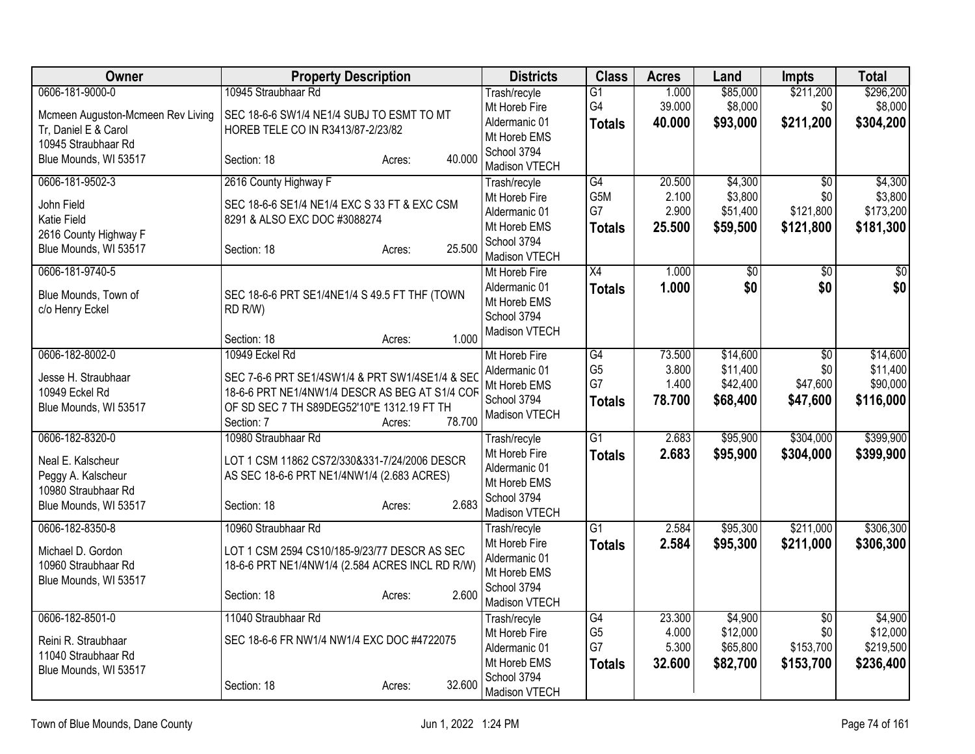| 1.000<br>Trash/recyle<br>$\overline{G1}$<br>G4<br>39.000<br>\$8,000<br>\$0<br>\$8,000<br>Mt Horeb Fire<br>SEC 18-6-6 SW1/4 NE1/4 SUBJ TO ESMT TO MT<br>Mcmeen Auguston-Mcmeen Rev Living<br>Aldermanic 01<br>40.000<br>\$93,000<br>\$211,200<br>\$304,200<br><b>Totals</b><br>Tr, Daniel E & Carol<br>HOREB TELE CO IN R3413/87-2/23/82<br>Mt Horeb EMS<br>10945 Straubhaar Rd<br>School 3794<br>40.000<br>Blue Mounds, WI 53517<br>Section: 18<br>Acres:<br>Madison VTECH<br>0606-181-9502-3<br>2616 County Highway F<br>$\overline{G4}$<br>20.500<br>\$4,300<br>\$4,300<br>$\overline{50}$<br>Trash/recyle<br>G5M<br>2.100<br>\$3,800<br>\$0<br>Mt Horeb Fire<br>John Field<br>SEC 18-6-6 SE1/4 NE1/4 EXC S 33 FT & EXC CSM<br>2.900<br>\$121,800<br>G7<br>\$51,400<br>Aldermanic 01<br><b>Katie Field</b><br>8291 & ALSO EXC DOC #3088274<br>25.500<br>\$59,500<br>\$121,800<br>Mt Horeb EMS<br><b>Totals</b><br>2616 County Highway F<br>School 3794<br>25.500<br>Blue Mounds, WI 53517<br>Section: 18<br>Acres:<br>Madison VTECH<br>0606-181-9740-5<br>X4<br>1.000<br>\$0<br>\$0<br>Mt Horeb Fire<br>\$0<br>\$0<br>1.000<br>\$0<br>\$0<br>Aldermanic 01<br><b>Totals</b><br>Blue Mounds, Town of<br>SEC 18-6-6 PRT SE1/4NE1/4 S 49.5 FT THF (TOWN<br>Mt Horeb EMS<br>c/o Henry Eckel<br>RD R/W)<br>School 3794<br>Madison VTECH<br>1.000<br>Section: 18<br>Acres:<br>10949 Eckel Rd<br>\$14,600<br>0606-182-8002-0<br>Mt Horeb Fire<br>G4<br>73.500<br>\$0<br>\$11,400<br>G <sub>5</sub><br>3.800<br>\$0<br>Aldermanic 01<br>SEC 7-6-6 PRT SE1/4SW1/4 & PRT SW1/4SE1/4 & SEC<br>Jesse H. Straubhaar<br>G7<br>\$42,400<br>\$47,600<br>1.400<br>Mt Horeb EMS<br>18-6-6 PRT NE1/4NW1/4 DESCR AS BEG AT S1/4 COF<br>10949 Eckel Rd<br>School 3794<br>78.700<br>\$68,400<br>\$47,600<br>\$116,000<br><b>Totals</b><br>Blue Mounds, WI 53517<br>OF SD SEC 7 TH S89DEG52'10"E 1312.19 FT TH<br>Madison VTECH<br>78.700<br>Section: 7<br>Acres:<br>0606-182-8320-0<br>10980 Straubhaar Rd<br>G1<br>\$95,900<br>\$304,000<br>\$399,900<br>Trash/recyle<br>2.683<br>Mt Horeb Fire<br>2.683<br>\$95,900<br>\$304,000<br><b>Totals</b><br>Neal E. Kalscheur<br>LOT 1 CSM 11862 CS72/330&331-7/24/2006 DESCR<br>Aldermanic 01<br>Peggy A. Kalscheur<br>AS SEC 18-6-6 PRT NE1/4NW1/4 (2.683 ACRES)<br>Mt Horeb EMS<br>10980 Straubhaar Rd<br>School 3794<br>2.683<br>Blue Mounds, WI 53517<br>Section: 18<br>Acres:<br>Madison VTECH<br>0606-182-8350-8<br>$\overline{G1}$<br>2.584<br>\$95,300<br>\$211,000<br>\$306,300<br>10960 Straubhaar Rd<br>Trash/recyle<br>Mt Horeb Fire<br>2.584<br><b>Totals</b><br>\$95,300<br>\$211,000<br>LOT 1 CSM 2594 CS10/185-9/23/77 DESCR AS SEC<br>Michael D. Gordon<br>Aldermanic 01<br>10960 Straubhaar Rd<br>18-6-6 PRT NE1/4NW1/4 (2.584 ACRES INCL RD R/W)<br>Mt Horeb EMS<br>Blue Mounds, WI 53517<br>School 3794<br>Section: 18<br>2.600<br>Acres:<br>Madison VTECH<br>0606-182-8501-0<br>11040 Straubhaar Rd<br>23.300<br>\$4,900<br>G4<br>$\overline{50}$<br>Trash/recyle | Owner           | <b>Property Description</b> | <b>Districts</b> | <b>Class</b>   | <b>Acres</b> | Land     | <b>Impts</b> | <b>Total</b> |
|----------------------------------------------------------------------------------------------------------------------------------------------------------------------------------------------------------------------------------------------------------------------------------------------------------------------------------------------------------------------------------------------------------------------------------------------------------------------------------------------------------------------------------------------------------------------------------------------------------------------------------------------------------------------------------------------------------------------------------------------------------------------------------------------------------------------------------------------------------------------------------------------------------------------------------------------------------------------------------------------------------------------------------------------------------------------------------------------------------------------------------------------------------------------------------------------------------------------------------------------------------------------------------------------------------------------------------------------------------------------------------------------------------------------------------------------------------------------------------------------------------------------------------------------------------------------------------------------------------------------------------------------------------------------------------------------------------------------------------------------------------------------------------------------------------------------------------------------------------------------------------------------------------------------------------------------------------------------------------------------------------------------------------------------------------------------------------------------------------------------------------------------------------------------------------------------------------------------------------------------------------------------------------------------------------------------------------------------------------------------------------------------------------------------------------------------------------------------------------------------------------------------------------------------------------------------------------------------------------------------------------------------------------------------------------------------------------------------------------------------------------------------------------------------------------------------------------------------------------------------------------------------------------------------------------------------------------------------------------------------------------------|-----------------|-----------------------------|------------------|----------------|--------------|----------|--------------|--------------|
|                                                                                                                                                                                                                                                                                                                                                                                                                                                                                                                                                                                                                                                                                                                                                                                                                                                                                                                                                                                                                                                                                                                                                                                                                                                                                                                                                                                                                                                                                                                                                                                                                                                                                                                                                                                                                                                                                                                                                                                                                                                                                                                                                                                                                                                                                                                                                                                                                                                                                                                                                                                                                                                                                                                                                                                                                                                                                                                                                                                                                | 0606-181-9000-0 | 10945 Straubhaar Rd         |                  |                |              | \$85,000 | \$211,200    | \$296,200    |
|                                                                                                                                                                                                                                                                                                                                                                                                                                                                                                                                                                                                                                                                                                                                                                                                                                                                                                                                                                                                                                                                                                                                                                                                                                                                                                                                                                                                                                                                                                                                                                                                                                                                                                                                                                                                                                                                                                                                                                                                                                                                                                                                                                                                                                                                                                                                                                                                                                                                                                                                                                                                                                                                                                                                                                                                                                                                                                                                                                                                                |                 |                             |                  |                |              |          |              |              |
|                                                                                                                                                                                                                                                                                                                                                                                                                                                                                                                                                                                                                                                                                                                                                                                                                                                                                                                                                                                                                                                                                                                                                                                                                                                                                                                                                                                                                                                                                                                                                                                                                                                                                                                                                                                                                                                                                                                                                                                                                                                                                                                                                                                                                                                                                                                                                                                                                                                                                                                                                                                                                                                                                                                                                                                                                                                                                                                                                                                                                |                 |                             |                  |                |              |          |              |              |
|                                                                                                                                                                                                                                                                                                                                                                                                                                                                                                                                                                                                                                                                                                                                                                                                                                                                                                                                                                                                                                                                                                                                                                                                                                                                                                                                                                                                                                                                                                                                                                                                                                                                                                                                                                                                                                                                                                                                                                                                                                                                                                                                                                                                                                                                                                                                                                                                                                                                                                                                                                                                                                                                                                                                                                                                                                                                                                                                                                                                                |                 |                             |                  |                |              |          |              |              |
|                                                                                                                                                                                                                                                                                                                                                                                                                                                                                                                                                                                                                                                                                                                                                                                                                                                                                                                                                                                                                                                                                                                                                                                                                                                                                                                                                                                                                                                                                                                                                                                                                                                                                                                                                                                                                                                                                                                                                                                                                                                                                                                                                                                                                                                                                                                                                                                                                                                                                                                                                                                                                                                                                                                                                                                                                                                                                                                                                                                                                |                 |                             |                  |                |              |          |              |              |
| \$3,800<br>\$173,200<br>\$181,300<br>\$14,600<br>\$90,000<br>\$399,900<br>\$306,300<br>\$4,900                                                                                                                                                                                                                                                                                                                                                                                                                                                                                                                                                                                                                                                                                                                                                                                                                                                                                                                                                                                                                                                                                                                                                                                                                                                                                                                                                                                                                                                                                                                                                                                                                                                                                                                                                                                                                                                                                                                                                                                                                                                                                                                                                                                                                                                                                                                                                                                                                                                                                                                                                                                                                                                                                                                                                                                                                                                                                                                 |                 |                             |                  |                |              |          |              |              |
|                                                                                                                                                                                                                                                                                                                                                                                                                                                                                                                                                                                                                                                                                                                                                                                                                                                                                                                                                                                                                                                                                                                                                                                                                                                                                                                                                                                                                                                                                                                                                                                                                                                                                                                                                                                                                                                                                                                                                                                                                                                                                                                                                                                                                                                                                                                                                                                                                                                                                                                                                                                                                                                                                                                                                                                                                                                                                                                                                                                                                |                 |                             |                  |                |              |          |              |              |
|                                                                                                                                                                                                                                                                                                                                                                                                                                                                                                                                                                                                                                                                                                                                                                                                                                                                                                                                                                                                                                                                                                                                                                                                                                                                                                                                                                                                                                                                                                                                                                                                                                                                                                                                                                                                                                                                                                                                                                                                                                                                                                                                                                                                                                                                                                                                                                                                                                                                                                                                                                                                                                                                                                                                                                                                                                                                                                                                                                                                                |                 |                             |                  |                |              |          |              |              |
|                                                                                                                                                                                                                                                                                                                                                                                                                                                                                                                                                                                                                                                                                                                                                                                                                                                                                                                                                                                                                                                                                                                                                                                                                                                                                                                                                                                                                                                                                                                                                                                                                                                                                                                                                                                                                                                                                                                                                                                                                                                                                                                                                                                                                                                                                                                                                                                                                                                                                                                                                                                                                                                                                                                                                                                                                                                                                                                                                                                                                |                 |                             |                  |                |              |          |              |              |
|                                                                                                                                                                                                                                                                                                                                                                                                                                                                                                                                                                                                                                                                                                                                                                                                                                                                                                                                                                                                                                                                                                                                                                                                                                                                                                                                                                                                                                                                                                                                                                                                                                                                                                                                                                                                                                                                                                                                                                                                                                                                                                                                                                                                                                                                                                                                                                                                                                                                                                                                                                                                                                                                                                                                                                                                                                                                                                                                                                                                                |                 |                             |                  |                |              |          |              |              |
|                                                                                                                                                                                                                                                                                                                                                                                                                                                                                                                                                                                                                                                                                                                                                                                                                                                                                                                                                                                                                                                                                                                                                                                                                                                                                                                                                                                                                                                                                                                                                                                                                                                                                                                                                                                                                                                                                                                                                                                                                                                                                                                                                                                                                                                                                                                                                                                                                                                                                                                                                                                                                                                                                                                                                                                                                                                                                                                                                                                                                |                 |                             |                  |                |              |          |              |              |
|                                                                                                                                                                                                                                                                                                                                                                                                                                                                                                                                                                                                                                                                                                                                                                                                                                                                                                                                                                                                                                                                                                                                                                                                                                                                                                                                                                                                                                                                                                                                                                                                                                                                                                                                                                                                                                                                                                                                                                                                                                                                                                                                                                                                                                                                                                                                                                                                                                                                                                                                                                                                                                                                                                                                                                                                                                                                                                                                                                                                                |                 |                             |                  |                |              |          |              |              |
|                                                                                                                                                                                                                                                                                                                                                                                                                                                                                                                                                                                                                                                                                                                                                                                                                                                                                                                                                                                                                                                                                                                                                                                                                                                                                                                                                                                                                                                                                                                                                                                                                                                                                                                                                                                                                                                                                                                                                                                                                                                                                                                                                                                                                                                                                                                                                                                                                                                                                                                                                                                                                                                                                                                                                                                                                                                                                                                                                                                                                |                 |                             |                  |                |              |          |              |              |
|                                                                                                                                                                                                                                                                                                                                                                                                                                                                                                                                                                                                                                                                                                                                                                                                                                                                                                                                                                                                                                                                                                                                                                                                                                                                                                                                                                                                                                                                                                                                                                                                                                                                                                                                                                                                                                                                                                                                                                                                                                                                                                                                                                                                                                                                                                                                                                                                                                                                                                                                                                                                                                                                                                                                                                                                                                                                                                                                                                                                                |                 |                             |                  |                |              |          |              |              |
| \$11,400                                                                                                                                                                                                                                                                                                                                                                                                                                                                                                                                                                                                                                                                                                                                                                                                                                                                                                                                                                                                                                                                                                                                                                                                                                                                                                                                                                                                                                                                                                                                                                                                                                                                                                                                                                                                                                                                                                                                                                                                                                                                                                                                                                                                                                                                                                                                                                                                                                                                                                                                                                                                                                                                                                                                                                                                                                                                                                                                                                                                       |                 |                             |                  |                |              |          |              |              |
|                                                                                                                                                                                                                                                                                                                                                                                                                                                                                                                                                                                                                                                                                                                                                                                                                                                                                                                                                                                                                                                                                                                                                                                                                                                                                                                                                                                                                                                                                                                                                                                                                                                                                                                                                                                                                                                                                                                                                                                                                                                                                                                                                                                                                                                                                                                                                                                                                                                                                                                                                                                                                                                                                                                                                                                                                                                                                                                                                                                                                |                 |                             |                  |                |              |          |              |              |
|                                                                                                                                                                                                                                                                                                                                                                                                                                                                                                                                                                                                                                                                                                                                                                                                                                                                                                                                                                                                                                                                                                                                                                                                                                                                                                                                                                                                                                                                                                                                                                                                                                                                                                                                                                                                                                                                                                                                                                                                                                                                                                                                                                                                                                                                                                                                                                                                                                                                                                                                                                                                                                                                                                                                                                                                                                                                                                                                                                                                                |                 |                             |                  |                |              |          |              |              |
|                                                                                                                                                                                                                                                                                                                                                                                                                                                                                                                                                                                                                                                                                                                                                                                                                                                                                                                                                                                                                                                                                                                                                                                                                                                                                                                                                                                                                                                                                                                                                                                                                                                                                                                                                                                                                                                                                                                                                                                                                                                                                                                                                                                                                                                                                                                                                                                                                                                                                                                                                                                                                                                                                                                                                                                                                                                                                                                                                                                                                |                 |                             |                  |                |              |          |              |              |
|                                                                                                                                                                                                                                                                                                                                                                                                                                                                                                                                                                                                                                                                                                                                                                                                                                                                                                                                                                                                                                                                                                                                                                                                                                                                                                                                                                                                                                                                                                                                                                                                                                                                                                                                                                                                                                                                                                                                                                                                                                                                                                                                                                                                                                                                                                                                                                                                                                                                                                                                                                                                                                                                                                                                                                                                                                                                                                                                                                                                                |                 |                             |                  |                |              |          |              |              |
|                                                                                                                                                                                                                                                                                                                                                                                                                                                                                                                                                                                                                                                                                                                                                                                                                                                                                                                                                                                                                                                                                                                                                                                                                                                                                                                                                                                                                                                                                                                                                                                                                                                                                                                                                                                                                                                                                                                                                                                                                                                                                                                                                                                                                                                                                                                                                                                                                                                                                                                                                                                                                                                                                                                                                                                                                                                                                                                                                                                                                |                 |                             |                  |                |              |          |              |              |
|                                                                                                                                                                                                                                                                                                                                                                                                                                                                                                                                                                                                                                                                                                                                                                                                                                                                                                                                                                                                                                                                                                                                                                                                                                                                                                                                                                                                                                                                                                                                                                                                                                                                                                                                                                                                                                                                                                                                                                                                                                                                                                                                                                                                                                                                                                                                                                                                                                                                                                                                                                                                                                                                                                                                                                                                                                                                                                                                                                                                                |                 |                             |                  |                |              |          |              |              |
|                                                                                                                                                                                                                                                                                                                                                                                                                                                                                                                                                                                                                                                                                                                                                                                                                                                                                                                                                                                                                                                                                                                                                                                                                                                                                                                                                                                                                                                                                                                                                                                                                                                                                                                                                                                                                                                                                                                                                                                                                                                                                                                                                                                                                                                                                                                                                                                                                                                                                                                                                                                                                                                                                                                                                                                                                                                                                                                                                                                                                |                 |                             |                  |                |              |          |              |              |
|                                                                                                                                                                                                                                                                                                                                                                                                                                                                                                                                                                                                                                                                                                                                                                                                                                                                                                                                                                                                                                                                                                                                                                                                                                                                                                                                                                                                                                                                                                                                                                                                                                                                                                                                                                                                                                                                                                                                                                                                                                                                                                                                                                                                                                                                                                                                                                                                                                                                                                                                                                                                                                                                                                                                                                                                                                                                                                                                                                                                                |                 |                             |                  |                |              |          |              |              |
|                                                                                                                                                                                                                                                                                                                                                                                                                                                                                                                                                                                                                                                                                                                                                                                                                                                                                                                                                                                                                                                                                                                                                                                                                                                                                                                                                                                                                                                                                                                                                                                                                                                                                                                                                                                                                                                                                                                                                                                                                                                                                                                                                                                                                                                                                                                                                                                                                                                                                                                                                                                                                                                                                                                                                                                                                                                                                                                                                                                                                |                 |                             |                  |                |              |          |              |              |
|                                                                                                                                                                                                                                                                                                                                                                                                                                                                                                                                                                                                                                                                                                                                                                                                                                                                                                                                                                                                                                                                                                                                                                                                                                                                                                                                                                                                                                                                                                                                                                                                                                                                                                                                                                                                                                                                                                                                                                                                                                                                                                                                                                                                                                                                                                                                                                                                                                                                                                                                                                                                                                                                                                                                                                                                                                                                                                                                                                                                                |                 |                             |                  |                |              |          |              |              |
|                                                                                                                                                                                                                                                                                                                                                                                                                                                                                                                                                                                                                                                                                                                                                                                                                                                                                                                                                                                                                                                                                                                                                                                                                                                                                                                                                                                                                                                                                                                                                                                                                                                                                                                                                                                                                                                                                                                                                                                                                                                                                                                                                                                                                                                                                                                                                                                                                                                                                                                                                                                                                                                                                                                                                                                                                                                                                                                                                                                                                |                 |                             |                  |                |              |          |              |              |
|                                                                                                                                                                                                                                                                                                                                                                                                                                                                                                                                                                                                                                                                                                                                                                                                                                                                                                                                                                                                                                                                                                                                                                                                                                                                                                                                                                                                                                                                                                                                                                                                                                                                                                                                                                                                                                                                                                                                                                                                                                                                                                                                                                                                                                                                                                                                                                                                                                                                                                                                                                                                                                                                                                                                                                                                                                                                                                                                                                                                                |                 |                             |                  |                |              |          |              |              |
|                                                                                                                                                                                                                                                                                                                                                                                                                                                                                                                                                                                                                                                                                                                                                                                                                                                                                                                                                                                                                                                                                                                                                                                                                                                                                                                                                                                                                                                                                                                                                                                                                                                                                                                                                                                                                                                                                                                                                                                                                                                                                                                                                                                                                                                                                                                                                                                                                                                                                                                                                                                                                                                                                                                                                                                                                                                                                                                                                                                                                |                 |                             |                  |                |              |          |              |              |
|                                                                                                                                                                                                                                                                                                                                                                                                                                                                                                                                                                                                                                                                                                                                                                                                                                                                                                                                                                                                                                                                                                                                                                                                                                                                                                                                                                                                                                                                                                                                                                                                                                                                                                                                                                                                                                                                                                                                                                                                                                                                                                                                                                                                                                                                                                                                                                                                                                                                                                                                                                                                                                                                                                                                                                                                                                                                                                                                                                                                                |                 |                             |                  |                |              |          |              |              |
|                                                                                                                                                                                                                                                                                                                                                                                                                                                                                                                                                                                                                                                                                                                                                                                                                                                                                                                                                                                                                                                                                                                                                                                                                                                                                                                                                                                                                                                                                                                                                                                                                                                                                                                                                                                                                                                                                                                                                                                                                                                                                                                                                                                                                                                                                                                                                                                                                                                                                                                                                                                                                                                                                                                                                                                                                                                                                                                                                                                                                |                 |                             |                  |                |              |          |              |              |
|                                                                                                                                                                                                                                                                                                                                                                                                                                                                                                                                                                                                                                                                                                                                                                                                                                                                                                                                                                                                                                                                                                                                                                                                                                                                                                                                                                                                                                                                                                                                                                                                                                                                                                                                                                                                                                                                                                                                                                                                                                                                                                                                                                                                                                                                                                                                                                                                                                                                                                                                                                                                                                                                                                                                                                                                                                                                                                                                                                                                                |                 |                             |                  |                |              |          |              |              |
|                                                                                                                                                                                                                                                                                                                                                                                                                                                                                                                                                                                                                                                                                                                                                                                                                                                                                                                                                                                                                                                                                                                                                                                                                                                                                                                                                                                                                                                                                                                                                                                                                                                                                                                                                                                                                                                                                                                                                                                                                                                                                                                                                                                                                                                                                                                                                                                                                                                                                                                                                                                                                                                                                                                                                                                                                                                                                                                                                                                                                |                 |                             |                  |                |              |          |              |              |
|                                                                                                                                                                                                                                                                                                                                                                                                                                                                                                                                                                                                                                                                                                                                                                                                                                                                                                                                                                                                                                                                                                                                                                                                                                                                                                                                                                                                                                                                                                                                                                                                                                                                                                                                                                                                                                                                                                                                                                                                                                                                                                                                                                                                                                                                                                                                                                                                                                                                                                                                                                                                                                                                                                                                                                                                                                                                                                                                                                                                                |                 |                             |                  |                |              |          |              |              |
|                                                                                                                                                                                                                                                                                                                                                                                                                                                                                                                                                                                                                                                                                                                                                                                                                                                                                                                                                                                                                                                                                                                                                                                                                                                                                                                                                                                                                                                                                                                                                                                                                                                                                                                                                                                                                                                                                                                                                                                                                                                                                                                                                                                                                                                                                                                                                                                                                                                                                                                                                                                                                                                                                                                                                                                                                                                                                                                                                                                                                |                 |                             |                  |                |              |          |              |              |
|                                                                                                                                                                                                                                                                                                                                                                                                                                                                                                                                                                                                                                                                                                                                                                                                                                                                                                                                                                                                                                                                                                                                                                                                                                                                                                                                                                                                                                                                                                                                                                                                                                                                                                                                                                                                                                                                                                                                                                                                                                                                                                                                                                                                                                                                                                                                                                                                                                                                                                                                                                                                                                                                                                                                                                                                                                                                                                                                                                                                                |                 |                             | Mt Horeb Fire    | G <sub>5</sub> | 4.000        | \$12,000 | \$0          | \$12,000     |
| SEC 18-6-6 FR NW1/4 NW1/4 EXC DOC #4722075<br>Reini R. Straubhaar<br>G7<br>5.300<br>\$65,800<br>\$153,700<br>\$219,500<br>Aldermanic 01                                                                                                                                                                                                                                                                                                                                                                                                                                                                                                                                                                                                                                                                                                                                                                                                                                                                                                                                                                                                                                                                                                                                                                                                                                                                                                                                                                                                                                                                                                                                                                                                                                                                                                                                                                                                                                                                                                                                                                                                                                                                                                                                                                                                                                                                                                                                                                                                                                                                                                                                                                                                                                                                                                                                                                                                                                                                        |                 |                             |                  |                |              |          |              |              |
| 11040 Straubhaar Rd<br>32.600<br>\$82,700<br>\$153,700<br>\$236,400<br>Mt Horeb EMS                                                                                                                                                                                                                                                                                                                                                                                                                                                                                                                                                                                                                                                                                                                                                                                                                                                                                                                                                                                                                                                                                                                                                                                                                                                                                                                                                                                                                                                                                                                                                                                                                                                                                                                                                                                                                                                                                                                                                                                                                                                                                                                                                                                                                                                                                                                                                                                                                                                                                                                                                                                                                                                                                                                                                                                                                                                                                                                            |                 |                             |                  |                |              |          |              |              |
| <b>Totals</b><br>Blue Mounds, WI 53517<br>School 3794                                                                                                                                                                                                                                                                                                                                                                                                                                                                                                                                                                                                                                                                                                                                                                                                                                                                                                                                                                                                                                                                                                                                                                                                                                                                                                                                                                                                                                                                                                                                                                                                                                                                                                                                                                                                                                                                                                                                                                                                                                                                                                                                                                                                                                                                                                                                                                                                                                                                                                                                                                                                                                                                                                                                                                                                                                                                                                                                                          |                 |                             |                  |                |              |          |              |              |
| 32.600<br>Section: 18<br>Acres:<br>Madison VTECH                                                                                                                                                                                                                                                                                                                                                                                                                                                                                                                                                                                                                                                                                                                                                                                                                                                                                                                                                                                                                                                                                                                                                                                                                                                                                                                                                                                                                                                                                                                                                                                                                                                                                                                                                                                                                                                                                                                                                                                                                                                                                                                                                                                                                                                                                                                                                                                                                                                                                                                                                                                                                                                                                                                                                                                                                                                                                                                                                               |                 |                             |                  |                |              |          |              |              |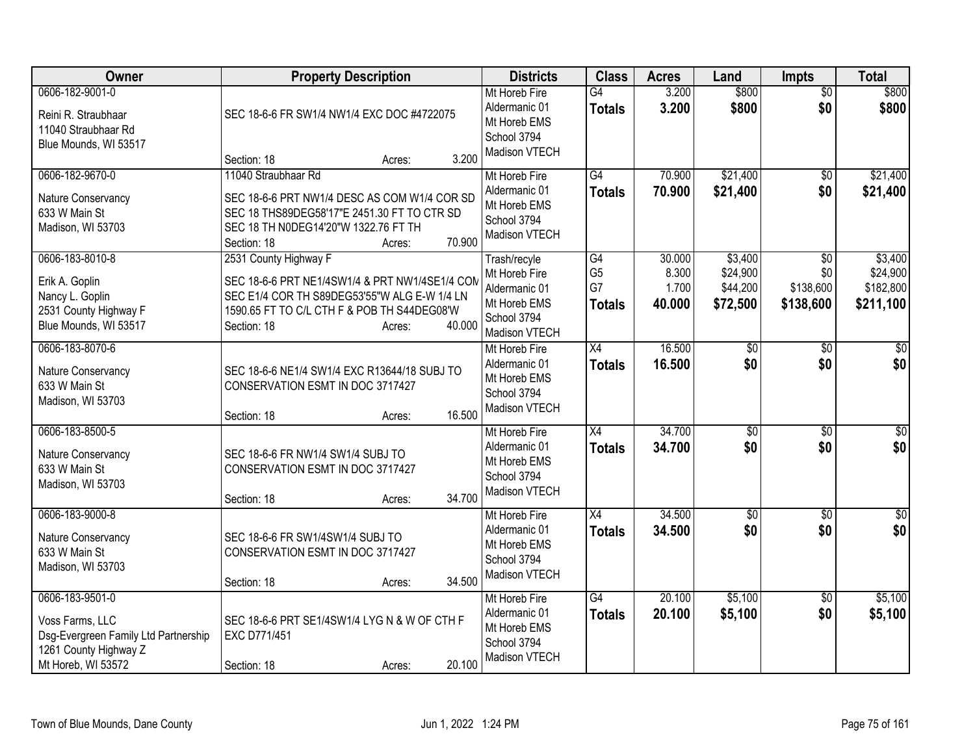| Owner                                                                                                  | <b>Property Description</b>                                                                                                                        |        |        | <b>Districts</b>                                                               | <b>Class</b>                     | <b>Acres</b>     | Land                 | Impts                  | <b>Total</b>          |
|--------------------------------------------------------------------------------------------------------|----------------------------------------------------------------------------------------------------------------------------------------------------|--------|--------|--------------------------------------------------------------------------------|----------------------------------|------------------|----------------------|------------------------|-----------------------|
| 0606-182-9001-0<br>Reini R. Straubhaar<br>11040 Straubhaar Rd<br>Blue Mounds, WI 53517                 | SEC 18-6-6 FR SW1/4 NW1/4 EXC DOC #4722075                                                                                                         |        |        | Mt Horeb Fire<br>Aldermanic 01<br>Mt Horeb EMS<br>School 3794<br>Madison VTECH | $\overline{G4}$<br><b>Totals</b> | 3.200<br>3.200   | \$800<br>\$800       | $\overline{50}$<br>\$0 | \$800<br>\$800        |
| 0606-182-9670-0                                                                                        | Section: 18<br>11040 Straubhaar Rd                                                                                                                 | Acres: | 3.200  | Mt Horeb Fire                                                                  | G4                               | 70.900           | \$21,400             | $\sqrt{50}$            | \$21,400              |
| Nature Conservancy<br>633 W Main St<br>Madison, WI 53703                                               | SEC 18-6-6 PRT NW1/4 DESC AS COM W1/4 COR SD<br>SEC 18 THS89DEG58'17"E 2451.30 FT TO CTR SD<br>SEC 18 TH N0DEG14'20"W 1322.76 FT TH<br>Section: 18 | Acres: | 70.900 | Aldermanic 01<br>Mt Horeb EMS<br>School 3794<br>Madison VTECH                  | <b>Totals</b>                    | 70.900           | \$21,400             | \$0                    | \$21,400              |
| 0606-183-8010-8                                                                                        | 2531 County Highway F                                                                                                                              |        |        | Trash/recyle                                                                   | G4                               | 30.000           | \$3,400              | \$0                    | \$3,400               |
| Erik A. Goplin                                                                                         | SEC 18-6-6 PRT NE1/4SW1/4 & PRT NW1/4SE1/4 COM                                                                                                     |        |        | Mt Horeb Fire<br>Aldermanic 01                                                 | G <sub>5</sub><br>G7             | 8.300<br>1.700   | \$24,900<br>\$44,200 | \$0<br>\$138,600       | \$24,900<br>\$182,800 |
| Nancy L. Goplin<br>2531 County Highway F<br>Blue Mounds, WI 53517                                      | SEC E1/4 COR TH S89DEG53'55"W ALG E-W 1/4 LN<br>1590.65 FT TO C/L CTH F & POB TH S44DEG08'W<br>Section: 18                                         | Acres: | 40.000 | Mt Horeb EMS<br>School 3794<br>Madison VTECH                                   | <b>Totals</b>                    | 40.000           | \$72,500             | \$138,600              | \$211,100             |
| 0606-183-8070-6                                                                                        |                                                                                                                                                    |        |        | Mt Horeb Fire                                                                  | X4                               | 16.500           | $\overline{50}$      | $\overline{50}$        | \$0                   |
| Nature Conservancy<br>633 W Main St<br>Madison, WI 53703                                               | SEC 18-6-6 NE1/4 SW1/4 EXC R13644/18 SUBJ TO<br>CONSERVATION ESMT IN DOC 3717427                                                                   |        |        | Aldermanic 01<br>Mt Horeb EMS<br>School 3794<br>Madison VTECH                  | <b>Totals</b>                    | 16.500           | \$0                  | \$0                    | \$0                   |
| 0606-183-8500-5                                                                                        | Section: 18                                                                                                                                        | Acres: | 16.500 | Mt Horeb Fire                                                                  | X4                               | 34.700           | $\overline{50}$      | \$0                    | $\overline{50}$       |
| Nature Conservancy<br>633 W Main St<br>Madison, WI 53703                                               | SEC 18-6-6 FR NW1/4 SW1/4 SUBJ TO<br>CONSERVATION ESMT IN DOC 3717427<br>Section: 18                                                               | Acres: | 34.700 | Aldermanic 01<br>Mt Horeb EMS<br>School 3794<br>Madison VTECH                  | <b>Totals</b>                    | 34.700           | \$0                  | \$0                    | \$0                   |
| 0606-183-9000-8                                                                                        |                                                                                                                                                    |        |        | Mt Horeb Fire                                                                  | X4                               | 34.500           | $\overline{50}$      | \$0                    | \$0                   |
| Nature Conservancy<br>633 W Main St<br>Madison, WI 53703                                               | SEC 18-6-6 FR SW1/4SW1/4 SUBJ TO<br>CONSERVATION ESMT IN DOC 3717427                                                                               |        |        | Aldermanic 01<br>Mt Horeb EMS<br>School 3794<br>Madison VTECH                  | <b>Totals</b>                    | 34.500           | \$0                  | \$0                    | \$0                   |
| 0606-183-9501-0                                                                                        | Section: 18                                                                                                                                        | Acres: | 34.500 |                                                                                |                                  |                  |                      |                        |                       |
| Voss Farms, LLC<br>Dsg-Evergreen Family Ltd Partnership<br>1261 County Highway Z<br>Mt Horeb, WI 53572 | SEC 18-6-6 PRT SE1/4SW1/4 LYG N & W OF CTH F<br>EXC D771/451<br>Section: 18                                                                        | Acres: | 20.100 | Mt Horeb Fire<br>Aldermanic 01<br>Mt Horeb EMS<br>School 3794<br>Madison VTECH | $\overline{G4}$<br><b>Totals</b> | 20.100<br>20.100 | \$5,100<br>\$5,100   | \$0<br>\$0             | \$5,100<br>\$5,100    |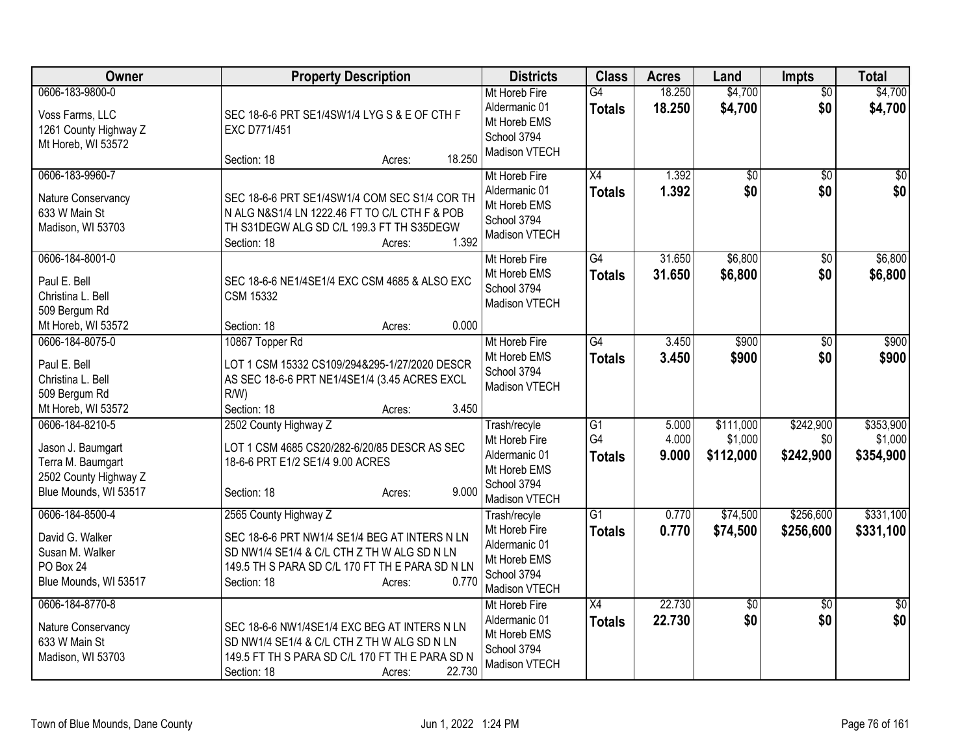| Owner                                                                                                       | <b>Property Description</b>                                                                                                                                                                                | <b>Districts</b>                                                                               | <b>Class</b>                     | <b>Acres</b>            | Land                              | <b>Impts</b>                  | <b>Total</b>                      |
|-------------------------------------------------------------------------------------------------------------|------------------------------------------------------------------------------------------------------------------------------------------------------------------------------------------------------------|------------------------------------------------------------------------------------------------|----------------------------------|-------------------------|-----------------------------------|-------------------------------|-----------------------------------|
| 0606-183-9800-0<br>Voss Farms, LLC<br>1261 County Highway Z<br>Mt Horeb, WI 53572                           | SEC 18-6-6 PRT SE1/4SW1/4 LYG S & E OF CTH F<br>EXC D771/451<br>18.250<br>Section: 18<br>Acres:                                                                                                            | Mt Horeb Fire<br>Aldermanic 01<br>Mt Horeb EMS<br>School 3794<br>Madison VTECH                 | G4<br><b>Totals</b>              | 18.250<br>18.250        | \$4,700<br>\$4,700                | \$0<br>\$0                    | \$4,700<br>\$4,700                |
| 0606-183-9960-7<br>Nature Conservancy<br>633 W Main St<br>Madison, WI 53703                                 | SEC 18-6-6 PRT SE1/4SW1/4 COM SEC S1/4 COR TH<br>N ALG N&S1/4 LN 1222.46 FT TO C/L CTH F & POB<br>TH S31DEGW ALG SD C/L 199.3 FT TH S35DEGW<br>1.392<br>Section: 18<br>Acres:                              | Mt Horeb Fire<br>Aldermanic 01<br>Mt Horeb EMS<br>School 3794<br>Madison VTECH                 | $\overline{X4}$<br><b>Totals</b> | 1.392<br>1.392          | \$0<br>\$0                        | \$0<br>\$0                    | \$0<br>\$0                        |
| 0606-184-8001-0<br>Paul E. Bell<br>Christina L. Bell<br>509 Bergum Rd<br>Mt Horeb, WI 53572                 | SEC 18-6-6 NE1/4SE1/4 EXC CSM 4685 & ALSO EXC<br><b>CSM 15332</b><br>0.000<br>Section: 18<br>Acres:                                                                                                        | Mt Horeb Fire<br>Mt Horeb EMS<br>School 3794<br>Madison VTECH                                  | $\overline{G4}$<br><b>Totals</b> | 31.650<br>31.650        | \$6,800<br>\$6,800                | \$0<br>\$0                    | \$6,800<br>\$6,800                |
| 0606-184-8075-0<br>Paul E. Bell<br>Christina L. Bell<br>509 Bergum Rd<br>Mt Horeb, WI 53572                 | 10867 Topper Rd<br>LOT 1 CSM 15332 CS109/294&295-1/27/2020 DESCR<br>AS SEC 18-6-6 PRT NE1/4SE1/4 (3.45 ACRES EXCL<br>$R/W$ )<br>3.450<br>Section: 18<br>Acres:                                             | Mt Horeb Fire<br>Mt Horeb EMS<br>School 3794<br>Madison VTECH                                  | $\overline{G4}$<br><b>Totals</b> | 3.450<br>3.450          | \$900<br>\$900                    | $\overline{50}$<br>\$0        | \$900<br>\$900                    |
| 0606-184-8210-5<br>Jason J. Baumgart<br>Terra M. Baumgart<br>2502 County Highway Z<br>Blue Mounds, WI 53517 | 2502 County Highway Z<br>LOT 1 CSM 4685 CS20/282-6/20/85 DESCR AS SEC<br>18-6-6 PRT E1/2 SE1/4 9.00 ACRES<br>9.000<br>Section: 18<br>Acres:                                                                | Trash/recyle<br>Mt Horeb Fire<br>Aldermanic 01<br>Mt Horeb EMS<br>School 3794<br>Madison VTECH | G1<br>G4<br><b>Totals</b>        | 5.000<br>4.000<br>9.000 | \$111,000<br>\$1,000<br>\$112,000 | \$242,900<br>\$0<br>\$242,900 | \$353,900<br>\$1,000<br>\$354,900 |
| 0606-184-8500-4<br>David G. Walker<br>Susan M. Walker<br>PO Box 24<br>Blue Mounds, WI 53517                 | 2565 County Highway Z<br>SEC 18-6-6 PRT NW1/4 SE1/4 BEG AT INTERS N LN<br>SD NW1/4 SE1/4 & C/L CTH Z TH W ALG SD N LN<br>149.5 TH S PARA SD C/L 170 FT TH E PARA SD N LN<br>0.770<br>Section: 18<br>Acres: | Trash/recyle<br>Mt Horeb Fire<br>Aldermanic 01<br>Mt Horeb EMS<br>School 3794<br>Madison VTECH | $\overline{G1}$<br><b>Totals</b> | 0.770<br>0.770          | \$74,500<br>\$74,500              | \$256,600<br>\$256,600        | \$331,100<br>\$331,100            |
| 0606-184-8770-8<br>Nature Conservancy<br>633 W Main St<br>Madison, WI 53703                                 | SEC 18-6-6 NW1/4SE1/4 EXC BEG AT INTERS N LN<br>SD NW1/4 SE1/4 & C/L CTH Z TH W ALG SD N LN<br>149.5 FT TH S PARA SD C/L 170 FT TH E PARA SD N<br>22.730<br>Section: 18<br>Acres:                          | Mt Horeb Fire<br>Aldermanic 01<br>Mt Horeb EMS<br>School 3794<br>Madison VTECH                 | X4<br><b>Totals</b>              | 22.730<br>22.730        | \$0<br>\$0                        | $\overline{30}$<br>\$0        | $\overline{50}$<br>\$0            |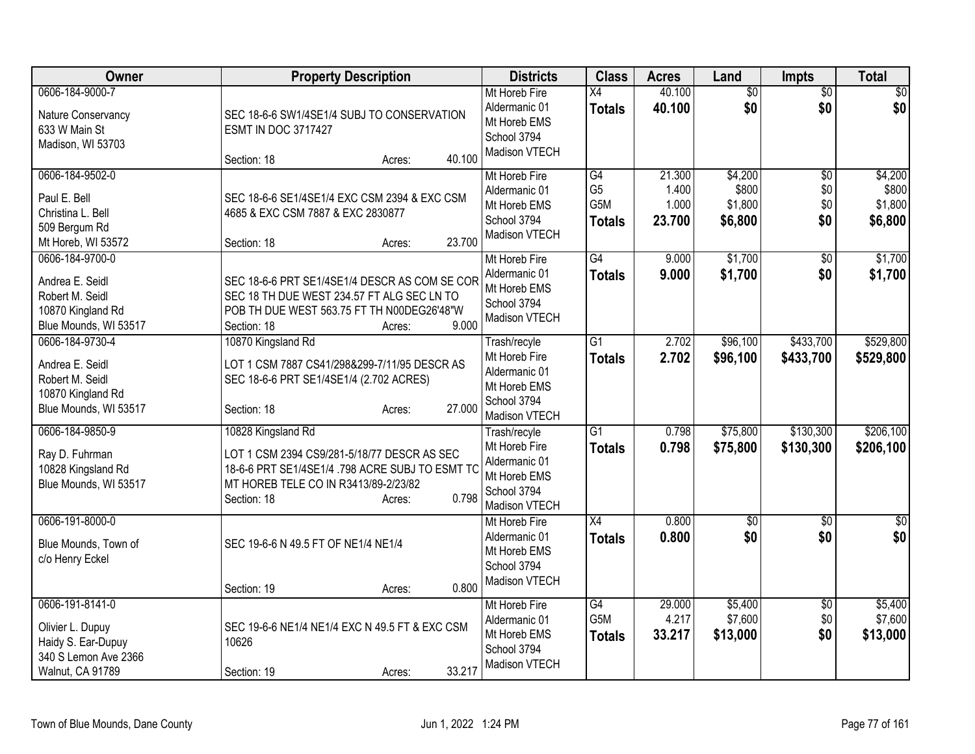| Owner                                                                                                 | <b>Property Description</b>                                                                                                                                                                    | <b>Districts</b>                                                                               | <b>Class</b>                                 | <b>Acres</b>                       | Land                                   | <b>Impts</b>                         | <b>Total</b>                           |
|-------------------------------------------------------------------------------------------------------|------------------------------------------------------------------------------------------------------------------------------------------------------------------------------------------------|------------------------------------------------------------------------------------------------|----------------------------------------------|------------------------------------|----------------------------------------|--------------------------------------|----------------------------------------|
| 0606-184-9000-7<br>Nature Conservancy<br>633 W Main St<br>Madison, WI 53703                           | SEC 18-6-6 SW1/4SE1/4 SUBJ TO CONSERVATION<br><b>ESMT IN DOC 3717427</b><br>40.100<br>Section: 18<br>Acres:                                                                                    | Mt Horeb Fire<br>Aldermanic 01<br>Mt Horeb EMS<br>School 3794<br>Madison VTECH                 | $\overline{X4}$<br><b>Totals</b>             | 40.100<br>40.100                   | $\overline{50}$<br>\$0                 | $\overline{50}$<br>\$0               | $\overline{50}$<br>\$0                 |
| 0606-184-9502-0<br>Paul E. Bell<br>Christina L. Bell<br>509 Bergum Rd<br>Mt Horeb, WI 53572           | SEC 18-6-6 SE1/4SE1/4 EXC CSM 2394 & EXC CSM<br>4685 & EXC CSM 7887 & EXC 2830877<br>23.700<br>Section: 18<br>Acres:                                                                           | Mt Horeb Fire<br>Aldermanic 01<br>Mt Horeb EMS<br>School 3794<br>Madison VTECH                 | G4<br>G <sub>5</sub><br>G5M<br><b>Totals</b> | 21.300<br>1.400<br>1.000<br>23.700 | \$4,200<br>\$800<br>\$1,800<br>\$6,800 | $\overline{50}$<br>\$0<br>\$0<br>\$0 | \$4,200<br>\$800<br>\$1,800<br>\$6,800 |
| 0606-184-9700-0<br>Andrea E. Seidl<br>Robert M. Seidl<br>10870 Kingland Rd<br>Blue Mounds, WI 53517   | SEC 18-6-6 PRT SE1/4SE1/4 DESCR AS COM SE COR<br>SEC 18 TH DUE WEST 234.57 FT ALG SEC LN TO<br>POB TH DUE WEST 563.75 FT TH N00DEG26'48"W<br>9.000<br>Section: 18<br>Acres:                    | Mt Horeb Fire<br>Aldermanic 01<br>Mt Horeb EMS<br>School 3794<br>Madison VTECH                 | $\overline{G4}$<br><b>Totals</b>             | 9.000<br>9.000                     | \$1,700<br>\$1,700                     | \$0<br>\$0                           | \$1,700<br>\$1,700                     |
| 0606-184-9730-4<br>Andrea E. Seidl<br>Robert M. Seidl<br>10870 Kingland Rd<br>Blue Mounds, WI 53517   | 10870 Kingsland Rd<br>LOT 1 CSM 7887 CS41/298&299-7/11/95 DESCR AS<br>SEC 18-6-6 PRT SE1/4SE1/4 (2.702 ACRES)<br>27.000<br>Section: 18<br>Acres:                                               | Trash/recyle<br>Mt Horeb Fire<br>Aldermanic 01<br>Mt Horeb EMS<br>School 3794<br>Madison VTECH | $\overline{G1}$<br><b>Totals</b>             | 2.702<br>2.702                     | \$96,100<br>\$96,100                   | \$433,700<br>\$433,700               | \$529,800<br>\$529,800                 |
| 0606-184-9850-9<br>Ray D. Fuhrman<br>10828 Kingsland Rd<br>Blue Mounds, WI 53517                      | 10828 Kingsland Rd<br>LOT 1 CSM 2394 CS9/281-5/18/77 DESCR AS SEC<br>18-6-6 PRT SE1/4SE1/4 .798 ACRE SUBJ TO ESMT TC<br>MT HOREB TELE CO IN R3413/89-2/23/82<br>0.798<br>Section: 18<br>Acres: | Trash/recyle<br>Mt Horeb Fire<br>Aldermanic 01<br>Mt Horeb EMS<br>School 3794<br>Madison VTECH | $\overline{G1}$<br><b>Totals</b>             | 0.798<br>0.798                     | \$75,800<br>\$75,800                   | \$130,300<br>\$130,300               | \$206,100<br>\$206,100                 |
| 0606-191-8000-0<br>Blue Mounds, Town of<br>c/o Henry Eckel                                            | SEC 19-6-6 N 49.5 FT OF NE1/4 NE1/4<br>0.800<br>Section: 19<br>Acres:                                                                                                                          | Mt Horeb Fire<br>Aldermanic 01<br>Mt Horeb EMS<br>School 3794<br>Madison VTECH                 | X4<br><b>Totals</b>                          | 0.800<br>0.800                     | $\overline{50}$<br>\$0                 | \$0<br>\$0                           | $\frac{1}{2}$<br>\$0                   |
| 0606-191-8141-0<br>Olivier L. Dupuy<br>Haidy S. Ear-Dupuy<br>340 S Lemon Ave 2366<br>Walnut, CA 91789 | SEC 19-6-6 NE1/4 NE1/4 EXC N 49.5 FT & EXC CSM<br>10626<br>33.217<br>Section: 19<br>Acres:                                                                                                     | Mt Horeb Fire<br>Aldermanic 01<br>Mt Horeb EMS<br>School 3794<br>Madison VTECH                 | G4<br>G <sub>5</sub> M<br><b>Totals</b>      | 29.000<br>4.217<br>33.217          | \$5,400<br>\$7,600<br>\$13,000         | $\overline{30}$<br>\$0<br>\$0        | \$5,400<br>\$7,600<br>\$13,000         |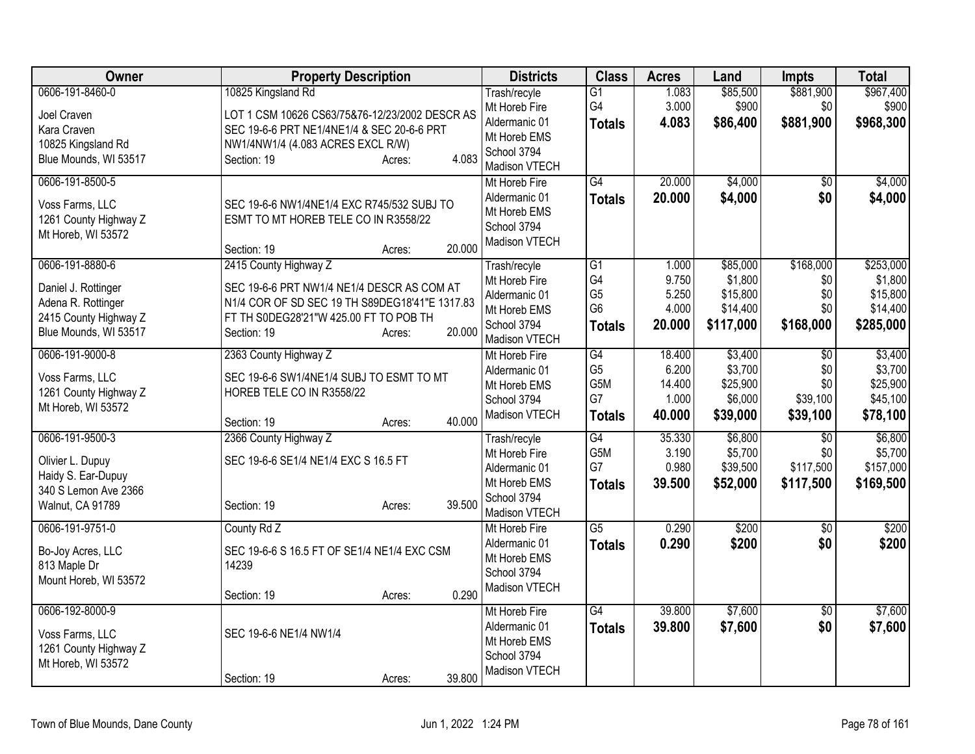| Owner                             | <b>Property Description</b>                                                     | <b>Districts</b>              | <b>Class</b>          | <b>Acres</b>   | Land                | <b>Impts</b>     | <b>Total</b>         |
|-----------------------------------|---------------------------------------------------------------------------------|-------------------------------|-----------------------|----------------|---------------------|------------------|----------------------|
| 0606-191-8460-0                   | 10825 Kingsland Rd                                                              | Trash/recyle<br>Mt Horeb Fire | $\overline{G1}$<br>G4 | 1.083<br>3.000 | \$85,500<br>\$900   | \$881,900<br>\$0 | \$967,400<br>\$900   |
| Joel Craven                       | LOT 1 CSM 10626 CS63/75&76-12/23/2002 DESCR AS                                  | Aldermanic 01                 | <b>Totals</b>         | 4.083          | \$86,400            | \$881,900        | \$968,300            |
| Kara Craven<br>10825 Kingsland Rd | SEC 19-6-6 PRT NE1/4NE1/4 & SEC 20-6-6 PRT<br>NW1/4NW1/4 (4.083 ACRES EXCL R/W) | Mt Horeb EMS                  |                       |                |                     |                  |                      |
| Blue Mounds, WI 53517             | 4.083<br>Section: 19<br>Acres:                                                  | School 3794                   |                       |                |                     |                  |                      |
|                                   |                                                                                 | Madison VTECH                 |                       |                |                     |                  |                      |
| 0606-191-8500-5                   |                                                                                 | Mt Horeb Fire                 | $\overline{G4}$       | 20.000         | \$4,000             | $\overline{50}$  | \$4,000              |
| Voss Farms, LLC                   | SEC 19-6-6 NW1/4NE1/4 EXC R745/532 SUBJ TO                                      | Aldermanic 01<br>Mt Horeb EMS | <b>Totals</b>         | 20.000         | \$4,000             | \$0              | \$4,000              |
| 1261 County Highway Z             | ESMT TO MT HOREB TELE CO IN R3558/22                                            | School 3794                   |                       |                |                     |                  |                      |
| Mt Horeb, WI 53572                |                                                                                 | Madison VTECH                 |                       |                |                     |                  |                      |
|                                   | 20.000<br>Section: 19<br>Acres:                                                 |                               |                       |                |                     |                  |                      |
| 0606-191-8880-6                   | 2415 County Highway Z                                                           | Trash/recyle<br>Mt Horeb Fire | $\overline{G1}$<br>G4 | 1.000<br>9.750 | \$85,000<br>\$1,800 | \$168,000<br>\$0 | \$253,000<br>\$1,800 |
| Daniel J. Rottinger               | SEC 19-6-6 PRT NW1/4 NE1/4 DESCR AS COM AT                                      | Aldermanic 01                 | G <sub>5</sub>        | 5.250          | \$15,800            | \$0              | \$15,800             |
| Adena R. Rottinger                | N1/4 COR OF SD SEC 19 TH S89DEG18'41"E 1317.83                                  | Mt Horeb EMS                  | G <sub>6</sub>        | 4.000          | \$14,400            | \$0              | \$14,400             |
| 2415 County Highway Z             | FT TH S0DEG28'21"W 425.00 FT TO POB TH                                          | School 3794                   | <b>Totals</b>         | 20.000         | \$117,000           | \$168,000        | \$285,000            |
| Blue Mounds, WI 53517             | 20.000<br>Section: 19<br>Acres:                                                 | Madison VTECH                 |                       |                |                     |                  |                      |
| 0606-191-9000-8                   | 2363 County Highway Z                                                           | Mt Horeb Fire                 | $\overline{G4}$       | 18.400         | \$3,400             | $\overline{30}$  | \$3,400              |
| Voss Farms, LLC                   | SEC 19-6-6 SW1/4NE1/4 SUBJ TO ESMT TO MT                                        | Aldermanic 01                 | G <sub>5</sub>        | 6.200          | \$3,700             | \$0              | \$3,700              |
| 1261 County Highway Z             | HOREB TELE CO IN R3558/22                                                       | Mt Horeb EMS                  | G <sub>5</sub> M      | 14.400         | \$25,900            | \$0              | \$25,900             |
| Mt Horeb, WI 53572                |                                                                                 | School 3794                   | G7                    | 1.000          | \$6,000             | \$39,100         | \$45,100             |
|                                   | 40.000<br>Section: 19<br>Acres:                                                 | Madison VTECH                 | <b>Totals</b>         | 40.000         | \$39,000            | \$39,100         | \$78,100             |
| 0606-191-9500-3                   | 2366 County Highway Z                                                           | Trash/recyle                  | G4                    | 35.330         | \$6,800             | $\overline{50}$  | \$6,800              |
| Olivier L. Dupuy                  | SEC 19-6-6 SE1/4 NE1/4 EXC S 16.5 FT                                            | Mt Horeb Fire                 | G <sub>5</sub> M      | 3.190          | \$5,700             | \$0              | \$5,700              |
| Haidy S. Ear-Dupuy                |                                                                                 | Aldermanic 01                 | G7                    | 0.980          | \$39,500            | \$117,500        | \$157,000            |
| 340 S Lemon Ave 2366              |                                                                                 | Mt Horeb EMS<br>School 3794   | <b>Totals</b>         | 39.500         | \$52,000            | \$117,500        | \$169,500            |
| Walnut, CA 91789                  | 39.500<br>Section: 19<br>Acres:                                                 | Madison VTECH                 |                       |                |                     |                  |                      |
| 0606-191-9751-0                   | County Rd Z                                                                     | Mt Horeb Fire                 | $\overline{G5}$       | 0.290          | \$200               | $\overline{50}$  | \$200                |
| Bo-Joy Acres, LLC                 | SEC 19-6-6 S 16.5 FT OF SE1/4 NE1/4 EXC CSM                                     | Aldermanic 01                 | <b>Totals</b>         | 0.290          | \$200               | \$0              | \$200                |
| 813 Maple Dr                      | 14239                                                                           | Mt Horeb EMS                  |                       |                |                     |                  |                      |
| Mount Horeb, WI 53572             |                                                                                 | School 3794                   |                       |                |                     |                  |                      |
|                                   | 0.290<br>Section: 19<br>Acres:                                                  | Madison VTECH                 |                       |                |                     |                  |                      |
| 0606-192-8000-9                   |                                                                                 | Mt Horeb Fire                 | G4                    | 39.800         | \$7,600             | $\overline{50}$  | \$7,600              |
| Voss Farms, LLC                   | SEC 19-6-6 NE1/4 NW1/4                                                          | Aldermanic 01                 | <b>Totals</b>         | 39.800         | \$7,600             | \$0              | \$7,600              |
| 1261 County Highway Z             |                                                                                 | Mt Horeb EMS                  |                       |                |                     |                  |                      |
| Mt Horeb, WI 53572                |                                                                                 | School 3794<br>Madison VTECH  |                       |                |                     |                  |                      |
|                                   | 39.800<br>Section: 19<br>Acres:                                                 |                               |                       |                |                     |                  |                      |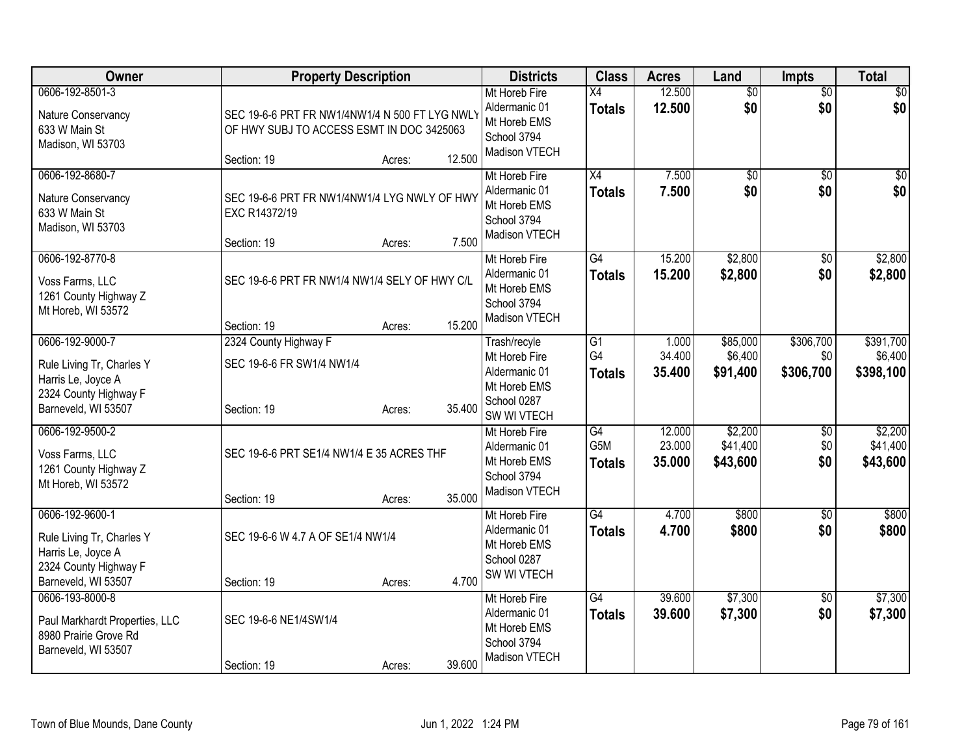| Owner                                                                                                              | <b>Property Description</b>                                                                                          | <b>Districts</b>                                                                                       | <b>Class</b>                           | <b>Acres</b>               | Land                            | <b>Impts</b>                  | <b>Total</b>                      |
|--------------------------------------------------------------------------------------------------------------------|----------------------------------------------------------------------------------------------------------------------|--------------------------------------------------------------------------------------------------------|----------------------------------------|----------------------------|---------------------------------|-------------------------------|-----------------------------------|
| 0606-192-8501-3<br>Nature Conservancy<br>633 W Main St<br>Madison, WI 53703                                        | SEC 19-6-6 PRT FR NW1/4NW1/4 N 500 FT LYG NWLY<br>OF HWY SUBJ TO ACCESS ESMT IN DOC 3425063<br>Section: 19<br>Acres: | Mt Horeb Fire<br>Aldermanic 01<br>Mt Horeb EMS<br>School 3794<br>Madison VTECH<br>12.500               | $\overline{X4}$<br><b>Totals</b>       | 12.500<br>12.500           | $\overline{50}$<br>\$0          | $\overline{50}$<br>\$0        | \$0<br>\$0                        |
| 0606-192-8680-7<br>Nature Conservancy<br>633 W Main St<br>Madison, WI 53703                                        | SEC 19-6-6 PRT FR NW1/4NW1/4 LYG NWLY OF HWY<br>EXC R14372/19<br>Section: 19<br>Acres:                               | Mt Horeb Fire<br>Aldermanic 01<br>Mt Horeb EMS<br>School 3794<br>Madison VTECH<br>7.500                | X4<br><b>Totals</b>                    | 7.500<br>7.500             | $\overline{50}$<br>\$0          | $\overline{50}$<br>\$0        | \$0<br>\$0                        |
| 0606-192-8770-8<br>Voss Farms, LLC<br>1261 County Highway Z<br>Mt Horeb, WI 53572                                  | SEC 19-6-6 PRT FR NW1/4 NW1/4 SELY OF HWY C/L<br>Section: 19<br>Acres:                                               | Mt Horeb Fire<br>Aldermanic 01<br>Mt Horeb EMS<br>School 3794<br>Madison VTECH<br>15.200               | $\overline{G4}$<br><b>Totals</b>       | 15.200<br>15.200           | \$2,800<br>\$2,800              | \$0<br>\$0                    | \$2,800<br>\$2,800                |
| 0606-192-9000-7<br>Rule Living Tr, Charles Y<br>Harris Le, Joyce A<br>2324 County Highway F<br>Barneveld, WI 53507 | 2324 County Highway F<br>SEC 19-6-6 FR SW1/4 NW1/4<br>Section: 19<br>Acres:                                          | Trash/recyle<br>Mt Horeb Fire<br>Aldermanic 01<br>Mt Horeb EMS<br>School 0287<br>35.400<br>SW WI VTECH | $\overline{G1}$<br>G4<br><b>Totals</b> | 1.000<br>34.400<br>35,400  | \$85,000<br>\$6,400<br>\$91,400 | \$306,700<br>\$0<br>\$306,700 | \$391,700<br>\$6,400<br>\$398,100 |
| 0606-192-9500-2<br>Voss Farms, LLC<br>1261 County Highway Z<br>Mt Horeb, WI 53572                                  | SEC 19-6-6 PRT SE1/4 NW1/4 E 35 ACRES THF<br>Section: 19<br>Acres:                                                   | Mt Horeb Fire<br>Aldermanic 01<br>Mt Horeb EMS<br>School 3794<br>Madison VTECH<br>35.000               | G4<br>G5M<br><b>Totals</b>             | 12.000<br>23.000<br>35.000 | \$2,200<br>\$41,400<br>\$43,600 | \$0<br>\$0<br>\$0             | \$2,200<br>\$41,400<br>\$43,600   |
| 0606-192-9600-1<br>Rule Living Tr, Charles Y<br>Harris Le, Joyce A<br>2324 County Highway F<br>Barneveld, WI 53507 | SEC 19-6-6 W 4.7 A OF SE1/4 NW1/4<br>Section: 19<br>Acres:                                                           | Mt Horeb Fire<br>Aldermanic 01<br>Mt Horeb EMS<br>School 0287<br>SW WI VTECH<br>4.700                  | $\overline{G4}$<br><b>Totals</b>       | 4.700<br>4.700             | \$800<br>\$800                  | $\sqrt{6}$<br>\$0             | \$800<br>\$800                    |
| 0606-193-8000-8<br>Paul Markhardt Properties, LLC<br>8980 Prairie Grove Rd<br>Barneveld, WI 53507                  | SEC 19-6-6 NE1/4SW1/4<br>Section: 19<br>Acres:                                                                       | Mt Horeb Fire<br>Aldermanic 01<br>Mt Horeb EMS<br>School 3794<br>Madison VTECH<br>39.600               | G4<br><b>Totals</b>                    | 39.600<br>39.600           | \$7,300<br>\$7,300              | \$0<br>\$0                    | \$7,300<br>\$7,300                |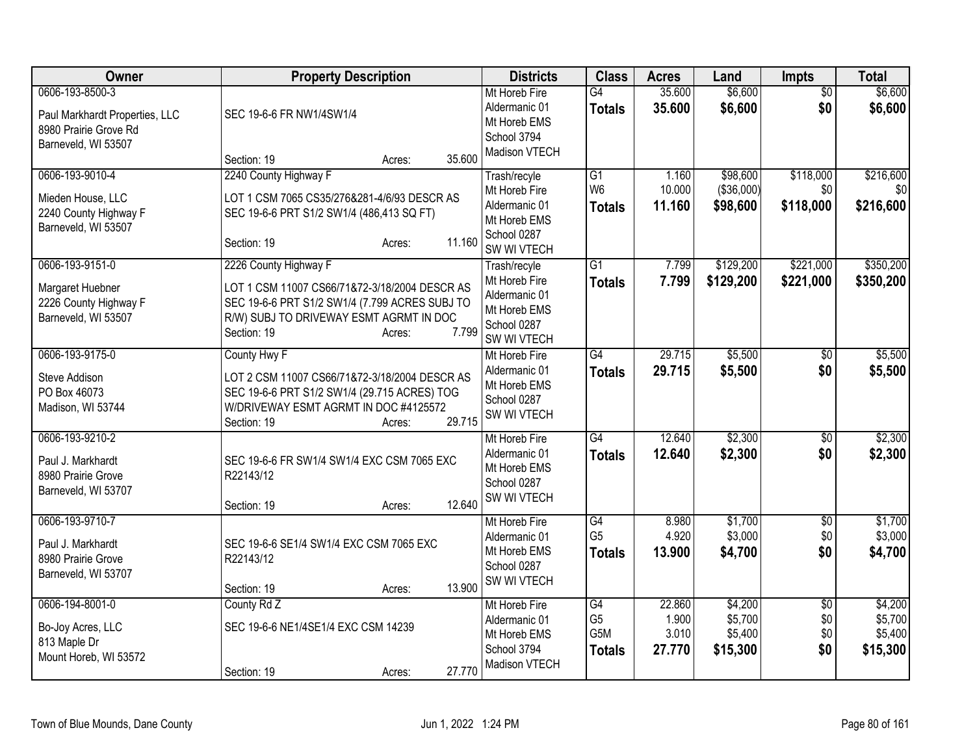| Owner                                                                                             | <b>Property Description</b>                                                                                                                                                  | <b>Districts</b>                                                               | <b>Class</b>                           | <b>Acres</b>             | Land                           | <b>Impts</b>           | <b>Total</b>                   |
|---------------------------------------------------------------------------------------------------|------------------------------------------------------------------------------------------------------------------------------------------------------------------------------|--------------------------------------------------------------------------------|----------------------------------------|--------------------------|--------------------------------|------------------------|--------------------------------|
| 0606-193-8500-3<br>Paul Markhardt Properties, LLC<br>8980 Prairie Grove Rd<br>Barneveld, WI 53507 | SEC 19-6-6 FR NW1/4SW1/4                                                                                                                                                     | Mt Horeb Fire<br>Aldermanic 01<br>Mt Horeb EMS<br>School 3794<br>Madison VTECH | $\overline{G4}$<br><b>Totals</b>       | 35.600<br>35.600         | \$6,600<br>\$6,600             | $\overline{50}$<br>\$0 | \$6,600<br>\$6,600             |
| 0606-193-9010-4                                                                                   | 35.600<br>Section: 19<br>Acres:<br>2240 County Highway F                                                                                                                     | Trash/recyle                                                                   | G1                                     | 1.160                    | \$98,600                       | \$118,000              | \$216,600                      |
| Mieden House, LLC<br>2240 County Highway F<br>Barneveld, WI 53507                                 | LOT 1 CSM 7065 CS35/276&281-4/6/93 DESCR AS<br>SEC 19-6-6 PRT S1/2 SW1/4 (486,413 SQ FT)<br>11.160<br>Section: 19<br>Acres:                                                  | Mt Horeb Fire<br>Aldermanic 01<br>Mt Horeb EMS<br>School 0287<br>SW WI VTECH   | W <sub>6</sub><br><b>Totals</b>        | 10.000<br>11.160         | ( \$36,000)<br>\$98,600        | \$0<br>\$118,000       | \$0 <sub>1</sub><br>\$216,600  |
| 0606-193-9151-0                                                                                   | 2226 County Highway F                                                                                                                                                        | Trash/recyle                                                                   | G1                                     | 7.799                    | \$129,200                      | \$221,000              | \$350,200                      |
| Margaret Huebner<br>2226 County Highway F<br>Barneveld, WI 53507                                  | LOT 1 CSM 11007 CS66/71&72-3/18/2004 DESCR AS<br>SEC 19-6-6 PRT S1/2 SW1/4 (7.799 ACRES SUBJ TO<br>R/W) SUBJ TO DRIVEWAY ESMT AGRMT IN DOC<br>7.799<br>Section: 19<br>Acres: | Mt Horeb Fire<br>Aldermanic 01<br>Mt Horeb EMS<br>School 0287<br>SW WI VTECH   | <b>Totals</b>                          | 7.799                    | \$129,200                      | \$221,000              | \$350,200                      |
| 0606-193-9175-0                                                                                   | County Hwy F                                                                                                                                                                 | Mt Horeb Fire                                                                  | G4                                     | 29.715                   | \$5,500                        | $\sqrt[6]{30}$         | \$5,500                        |
| Steve Addison<br>PO Box 46073<br>Madison, WI 53744                                                | LOT 2 CSM 11007 CS66/71&72-3/18/2004 DESCR AS<br>SEC 19-6-6 PRT S1/2 SW1/4 (29.715 ACRES) TOG<br>W/DRIVEWAY ESMT AGRMT IN DOC #4125572<br>29.715<br>Section: 19<br>Acres:    | Aldermanic 01<br>Mt Horeb EMS<br>School 0287<br>SW WI VTECH                    | <b>Totals</b>                          | 29.715                   | \$5,500                        | \$0                    | \$5,500                        |
| 0606-193-9210-2<br>Paul J. Markhardt<br>8980 Prairie Grove<br>Barneveld, WI 53707                 | SEC 19-6-6 FR SW1/4 SW1/4 EXC CSM 7065 EXC<br>R22143/12<br>12.640<br>Section: 19<br>Acres:                                                                                   | Mt Horeb Fire<br>Aldermanic 01<br>Mt Horeb EMS<br>School 0287<br>SW WI VTECH   | G4<br><b>Totals</b>                    | 12.640<br>12.640         | \$2,300<br>\$2,300             | $\overline{50}$<br>\$0 | \$2,300<br>\$2,300             |
| 0606-193-9710-7<br>Paul J. Markhardt<br>8980 Prairie Grove<br>Barneveld, WI 53707                 | SEC 19-6-6 SE1/4 SW1/4 EXC CSM 7065 EXC<br>R22143/12<br>13.900<br>Section: 19<br>Acres:                                                                                      | Mt Horeb Fire<br>Aldermanic 01<br>Mt Horeb EMS<br>School 0287<br>SW WI VTECH   | G4<br>G <sub>5</sub><br><b>Totals</b>  | 8.980<br>4.920<br>13.900 | \$1,700<br>\$3,000<br>\$4,700  | \$0<br>\$0<br>\$0      | \$1,700<br>\$3,000<br>\$4,700  |
| 0606-194-8001-0                                                                                   | County Rd Z                                                                                                                                                                  | Mt Horeb Fire                                                                  | G4                                     | 22.860                   | \$4,200                        | $\overline{50}$        | \$4,200                        |
| Bo-Joy Acres, LLC<br>813 Maple Dr<br>Mount Horeb, WI 53572                                        | SEC 19-6-6 NE1/4SE1/4 EXC CSM 14239<br>27.770<br>Section: 19<br>Acres:                                                                                                       | Aldermanic 01<br>Mt Horeb EMS<br>School 3794<br>Madison VTECH                  | G <sub>5</sub><br>G5M<br><b>Totals</b> | 1.900<br>3.010<br>27.770 | \$5,700<br>\$5,400<br>\$15,300 | \$0<br>\$0<br>\$0      | \$5,700<br>\$5,400<br>\$15,300 |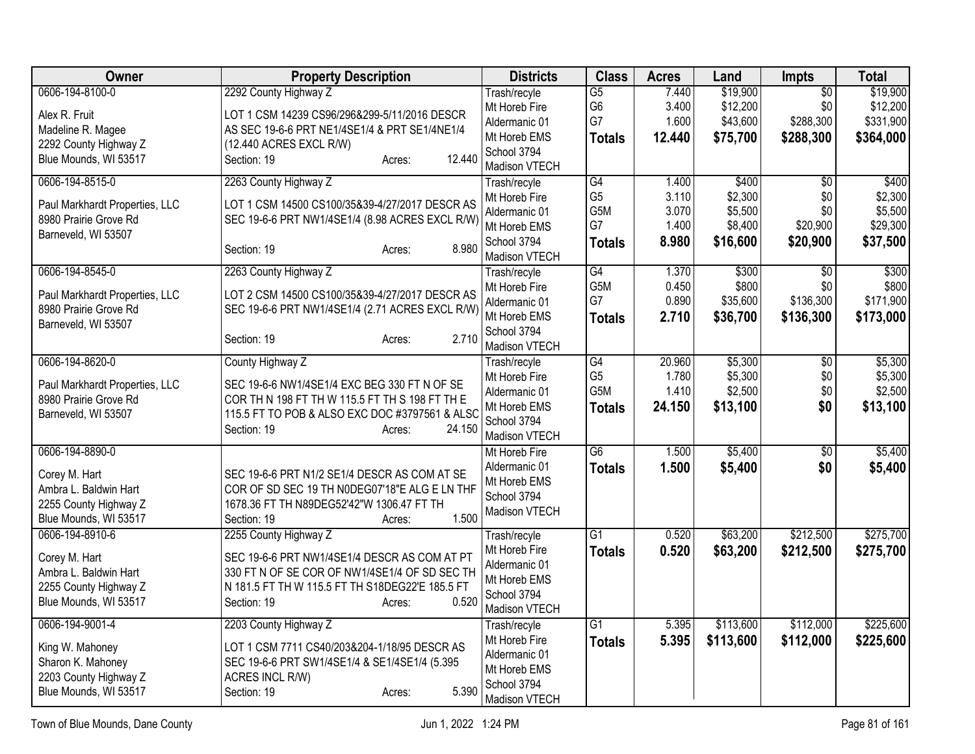| Owner                          | <b>Property Description</b>                     | <b>Districts</b>             | <b>Class</b>    | <b>Acres</b> | Land      | Impts           | <b>Total</b> |
|--------------------------------|-------------------------------------------------|------------------------------|-----------------|--------------|-----------|-----------------|--------------|
| 0606-194-8100-0                | 2292 County Highway Z                           | Trash/recyle                 | $\overline{G5}$ | 7.440        | \$19,900  | $\overline{50}$ | \$19,900     |
| Alex R. Fruit                  | LOT 1 CSM 14239 CS96/296&299-5/11/2016 DESCR    | Mt Horeb Fire                | G <sub>6</sub>  | 3.400        | \$12,200  | \$0             | \$12,200     |
| Madeline R. Magee              | AS SEC 19-6-6 PRT NE1/4SE1/4 & PRT SE1/4NE1/4   | Aldermanic 01                | G7              | 1.600        | \$43,600  | \$288,300       | \$331,900    |
| 2292 County Highway Z          | (12.440 ACRES EXCL R/W)                         | Mt Horeb EMS                 | <b>Totals</b>   | 12.440       | \$75,700  | \$288,300       | \$364,000    |
| Blue Mounds, WI 53517          | 12.440<br>Section: 19                           | School 3794                  |                 |              |           |                 |              |
|                                | Acres:                                          | Madison VTECH                |                 |              |           |                 |              |
| 0606-194-8515-0                | 2263 County Highway Z                           | Trash/recyle                 | $\overline{G4}$ | 1.400        | \$400     | $\overline{30}$ | \$400        |
| Paul Markhardt Properties, LLC | LOT 1 CSM 14500 CS100/35&39-4/27/2017 DESCR AS  | Mt Horeb Fire                | G <sub>5</sub>  | 3.110        | \$2,300   | \$0             | \$2,300      |
| 8980 Prairie Grove Rd          | SEC 19-6-6 PRT NW1/4SE1/4 (8.98 ACRES EXCL R/W) | Aldermanic 01                | G5M             | 3.070        | \$5,500   | \$0             | \$5,500      |
| Barneveld, WI 53507            |                                                 | Mt Horeb EMS                 | G7              | 1.400        | \$8,400   | \$20,900        | \$29,300     |
|                                | 8.980<br>Section: 19<br>Acres:                  | School 3794                  | <b>Totals</b>   | 8.980        | \$16,600  | \$20,900        | \$37,500     |
|                                |                                                 | Madison VTECH                |                 |              |           |                 |              |
| 0606-194-8545-0                | 2263 County Highway Z                           | Trash/recyle                 | $\overline{G4}$ | 1.370        | \$300     | \$0             | \$300        |
| Paul Markhardt Properties, LLC | LOT 2 CSM 14500 CS100/35&39-4/27/2017 DESCR AS  | Mt Horeb Fire                | G5M             | 0.450        | \$800     | \$0             | \$800        |
| 8980 Prairie Grove Rd          | SEC 19-6-6 PRT NW1/4SE1/4 (2.71 ACRES EXCL R/W) | Aldermanic 01                | G7              | 0.890        | \$35,600  | \$136,300       | \$171,900    |
| Barneveld, WI 53507            |                                                 | Mt Horeb EMS                 | <b>Totals</b>   | 2.710        | \$36,700  | \$136,300       | \$173,000    |
|                                | 2.710<br>Section: 19<br>Acres:                  | School 3794<br>Madison VTECH |                 |              |           |                 |              |
| 0606-194-8620-0                | County Highway Z                                | Trash/recyle                 | $\overline{G4}$ | 20.960       | \$5,300   | $\overline{50}$ | \$5,300      |
| Paul Markhardt Properties, LLC | SEC 19-6-6 NW1/4SE1/4 EXC BEG 330 FT N OF SE    | Mt Horeb Fire                | G <sub>5</sub>  | 1.780        | \$5,300   | \$0             | \$5,300      |
| 8980 Prairie Grove Rd          | COR TH N 198 FT TH W 115.5 FT TH S 198 FT TH E  | Aldermanic 01                | G5M             | 1.410        | \$2,500   | \$0             | \$2,500      |
| Barneveld, WI 53507            | 115.5 FT TO POB & ALSO EXC DOC #3797561 & ALSC  | Mt Horeb EMS                 | <b>Totals</b>   | 24.150       | \$13,100  | \$0             | \$13,100     |
|                                | Section: 19<br>24.150                           | School 3794                  |                 |              |           |                 |              |
|                                | Acres:                                          | Madison VTECH                |                 |              |           |                 |              |
| 0606-194-8890-0                |                                                 | Mt Horeb Fire                | G6              | 1.500        | \$5,400   | $\overline{50}$ | \$5,400      |
| Corey M. Hart                  | SEC 19-6-6 PRT N1/2 SE1/4 DESCR AS COM AT SE    | Aldermanic 01                | <b>Totals</b>   | 1.500        | \$5,400   | \$0             | \$5,400      |
| Ambra L. Baldwin Hart          | COR OF SD SEC 19 TH N0DEG07'18"E ALG E LN THF   | Mt Horeb EMS                 |                 |              |           |                 |              |
| 2255 County Highway Z          | 1678.36 FT TH N89DEG52'42"W 1306.47 FT TH       | School 3794                  |                 |              |           |                 |              |
| Blue Mounds, WI 53517          | 1.500<br>Section: 19<br>Acres:                  | Madison VTECH                |                 |              |           |                 |              |
| 0606-194-8910-6                | 2255 County Highway Z                           | Trash/recyle                 | $\overline{G1}$ | 0.520        | \$63,200  | \$212,500       | \$275,700    |
|                                |                                                 | Mt Horeb Fire                | <b>Totals</b>   | 0.520        | \$63,200  | \$212,500       | \$275,700    |
| Corey M. Hart                  | SEC 19-6-6 PRT NW1/4SE1/4 DESCR AS COM AT PT    | Aldermanic 01                |                 |              |           |                 |              |
| Ambra L. Baldwin Hart          | 330 FT N OF SE COR OF NW1/4SE1/4 OF SD SEC TH   | Mt Horeb EMS                 |                 |              |           |                 |              |
| 2255 County Highway Z          | N 181.5 FT TH W 115.5 FT TH S18DEG22'E 185.5 FT | School 3794                  |                 |              |           |                 |              |
| Blue Mounds, WI 53517          | Section: 19<br>0.520<br>Acres:                  | Madison VTECH                |                 |              |           |                 |              |
| 0606-194-9001-4                | 2203 County Highway Z                           | Trash/recyle                 | $\overline{G1}$ | 5.395        | \$113,600 | \$112,000       | \$225,600    |
|                                |                                                 | Mt Horeb Fire                | <b>Totals</b>   | 5.395        | \$113,600 | \$112,000       | \$225,600    |
| King W. Mahoney                | LOT 1 CSM 7711 CS40/203&204-1/18/95 DESCR AS    | Aldermanic 01                |                 |              |           |                 |              |
| Sharon K. Mahoney              | SEC 19-6-6 PRT SW1/4SE1/4 & SE1/4SE1/4 (5.395   | Mt Horeb EMS                 |                 |              |           |                 |              |
| 2203 County Highway Z          | ACRES INCL R/W)                                 | School 3794                  |                 |              |           |                 |              |
| Blue Mounds, WI 53517          | Section: 19<br>5.390<br>Acres:                  | Madison VTECH                |                 |              |           |                 |              |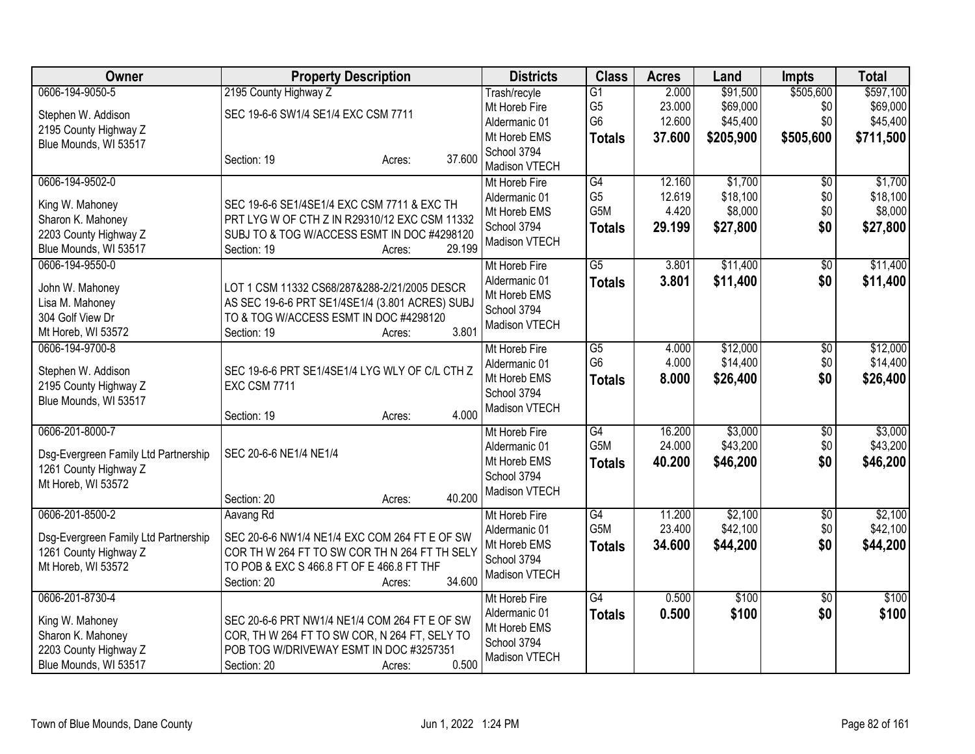| <b>Owner</b>                         | <b>Property Description</b>                     |        | <b>Districts</b>              | <b>Class</b>                     | <b>Acres</b>     | Land      | Impts           | <b>Total</b>         |
|--------------------------------------|-------------------------------------------------|--------|-------------------------------|----------------------------------|------------------|-----------|-----------------|----------------------|
| 0606-194-9050-5                      | 2195 County Highway Z                           |        | Trash/recyle                  | $\overline{G1}$                  | 2.000            | \$91,500  | \$505,600       | \$597,100            |
| Stephen W. Addison                   | SEC 19-6-6 SW1/4 SE1/4 EXC CSM 7711             |        | Mt Horeb Fire                 | G <sub>5</sub><br>G <sub>6</sub> | 23.000<br>12.600 | \$69,000  | \$0<br>\$0      | \$69,000<br>\$45,400 |
| 2195 County Highway Z                |                                                 |        | Aldermanic 01<br>Mt Horeb EMS |                                  | 37.600           | \$45,400  |                 |                      |
| Blue Mounds, WI 53517                |                                                 |        | School 3794                   | <b>Totals</b>                    |                  | \$205,900 | \$505,600       | \$711,500            |
|                                      | Section: 19<br>Acres:                           | 37.600 | Madison VTECH                 |                                  |                  |           |                 |                      |
| 0606-194-9502-0                      |                                                 |        | Mt Horeb Fire                 | G4                               | 12.160           | \$1,700   | $\overline{50}$ | \$1,700              |
| King W. Mahoney                      | SEC 19-6-6 SE1/4SE1/4 EXC CSM 7711 & EXC TH     |        | Aldermanic 01                 | G <sub>5</sub>                   | 12.619           | \$18,100  | \$0             | \$18,100             |
| Sharon K. Mahoney                    | PRT LYG W OF CTH Z IN R29310/12 EXC CSM 11332   |        | Mt Horeb EMS                  | G5M                              | 4.420            | \$8,000   | \$0             | \$8,000              |
| 2203 County Highway Z                | SUBJ TO & TOG W/ACCESS ESMT IN DOC #4298120     |        | School 3794<br>Madison VTECH  | <b>Totals</b>                    | 29.199           | \$27,800  | \$0             | \$27,800             |
| Blue Mounds, WI 53517                | Section: 19<br>Acres:                           | 29.199 |                               |                                  |                  |           |                 |                      |
| 0606-194-9550-0                      |                                                 |        | Mt Horeb Fire                 | $\overline{G5}$                  | 3.801            | \$11,400  | $\overline{50}$ | \$11,400             |
| John W. Mahoney                      | LOT 1 CSM 11332 CS68/287&288-2/21/2005 DESCR    |        | Aldermanic 01                 | <b>Totals</b>                    | 3.801            | \$11,400  | \$0             | \$11,400             |
| Lisa M. Mahoney                      | AS SEC 19-6-6 PRT SE1/4SE1/4 (3.801 ACRES) SUBJ |        | Mt Horeb EMS                  |                                  |                  |           |                 |                      |
| 304 Golf View Dr                     | TO & TOG W/ACCESS ESMT IN DOC #4298120          |        | School 3794<br>Madison VTECH  |                                  |                  |           |                 |                      |
| Mt Horeb, WI 53572                   | Section: 19<br>Acres:                           | 3.801  |                               |                                  |                  |           |                 |                      |
| 0606-194-9700-8                      |                                                 |        | Mt Horeb Fire                 | $\overline{G5}$                  | 4.000            | \$12,000  | $\overline{50}$ | \$12,000             |
| Stephen W. Addison                   | SEC 19-6-6 PRT SE1/4SE1/4 LYG WLY OF C/L CTH Z  |        | Aldermanic 01                 | G <sub>6</sub>                   | 4.000            | \$14,400  | \$0             | \$14,400             |
| 2195 County Highway Z                | <b>EXC CSM 7711</b>                             |        | Mt Horeb EMS                  | <b>Totals</b>                    | 8.000            | \$26,400  | \$0             | \$26,400             |
| Blue Mounds, WI 53517                |                                                 |        | School 3794<br>Madison VTECH  |                                  |                  |           |                 |                      |
|                                      | Section: 19<br>Acres:                           | 4.000  |                               |                                  |                  |           |                 |                      |
| 0606-201-8000-7                      |                                                 |        | Mt Horeb Fire                 | G4                               | 16.200           | \$3,000   | $\overline{50}$ | \$3,000              |
| Dsg-Evergreen Family Ltd Partnership | SEC 20-6-6 NE1/4 NE1/4                          |        | Aldermanic 01                 | G5M                              | 24.000           | \$43,200  | \$0             | \$43,200             |
| 1261 County Highway Z                |                                                 |        | Mt Horeb EMS                  | <b>Totals</b>                    | 40.200           | \$46,200  | \$0             | \$46,200             |
| Mt Horeb, WI 53572                   |                                                 |        | School 3794<br>Madison VTECH  |                                  |                  |           |                 |                      |
|                                      | Section: 20<br>Acres:                           | 40.200 |                               |                                  |                  |           |                 |                      |
| 0606-201-8500-2                      | Aavang Rd                                       |        | Mt Horeb Fire                 | G4                               | 11.200           | \$2,100   | \$0             | \$2,100              |
| Dsg-Evergreen Family Ltd Partnership | SEC 20-6-6 NW1/4 NE1/4 EXC COM 264 FT E OF SW   |        | Aldermanic 01                 | G <sub>5</sub> M                 | 23.400           | \$42,100  | \$0             | \$42,100             |
| 1261 County Highway Z                | COR TH W 264 FT TO SW COR TH N 264 FT TH SELY   |        | Mt Horeb EMS                  | <b>Totals</b>                    | 34.600           | \$44,200  | \$0             | \$44,200             |
| Mt Horeb, WI 53572                   | TO POB & EXC S 466.8 FT OF E 466.8 FT THF       |        | School 3794<br>Madison VTECH  |                                  |                  |           |                 |                      |
|                                      | Section: 20<br>Acres:                           | 34.600 |                               |                                  |                  |           |                 |                      |
| 0606-201-8730-4                      |                                                 |        | Mt Horeb Fire                 | G4                               | 0.500            | \$100     | $\overline{50}$ | \$100                |
| King W. Mahoney                      | SEC 20-6-6 PRT NW1/4 NE1/4 COM 264 FT E OF SW   |        | Aldermanic 01                 | <b>Totals</b>                    | 0.500            | \$100     | \$0             | \$100                |
| Sharon K. Mahoney                    | COR, TH W 264 FT TO SW COR, N 264 FT, SELY TO   |        | Mt Horeb EMS<br>School 3794   |                                  |                  |           |                 |                      |
| 2203 County Highway Z                | POB TOG W/DRIVEWAY ESMT IN DOC #3257351         |        | Madison VTECH                 |                                  |                  |           |                 |                      |
| Blue Mounds, WI 53517                | Section: 20<br>Acres:                           | 0.500  |                               |                                  |                  |           |                 |                      |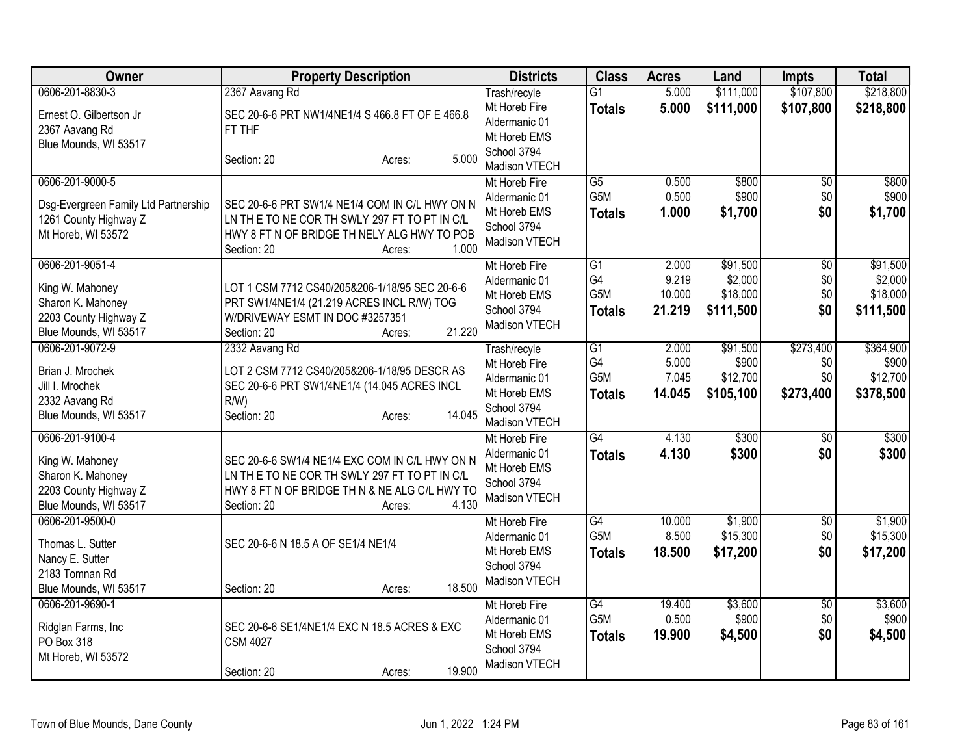| Owner                                                                                  | <b>Property Description</b>                                                                                                                                                       | <b>Districts</b>                                              | <b>Class</b>         | <b>Acres</b>    | Land                  | <b>Impts</b>     | <b>Total</b>          |
|----------------------------------------------------------------------------------------|-----------------------------------------------------------------------------------------------------------------------------------------------------------------------------------|---------------------------------------------------------------|----------------------|-----------------|-----------------------|------------------|-----------------------|
| 0606-201-8830-3                                                                        | 2367 Aavang Rd                                                                                                                                                                    | Trash/recyle                                                  | $\overline{G1}$      | 5.000           | \$111,000             | \$107,800        | \$218,800             |
| Ernest O. Gilbertson Jr<br>2367 Aavang Rd<br>Blue Mounds, WI 53517                     | SEC 20-6-6 PRT NW1/4NE1/4 S 466.8 FT OF E 466.8<br>FT THF<br>5.000<br>Section: 20<br>Acres:                                                                                       | Mt Horeb Fire<br>Aldermanic 01<br>Mt Horeb EMS<br>School 3794 | <b>Totals</b>        | 5.000           | \$111,000             | \$107,800        | \$218,800             |
| 0606-201-9000-5                                                                        |                                                                                                                                                                                   | Madison VTECH<br>Mt Horeb Fire                                | $\overline{G5}$      | 0.500           | \$800                 | $\overline{50}$  | \$800                 |
| Dsg-Evergreen Family Ltd Partnership<br>1261 County Highway Z<br>Mt Horeb, WI 53572    | SEC 20-6-6 PRT SW1/4 NE1/4 COM IN C/L HWY ON N<br>LN THE TO NE COR TH SWLY 297 FT TO PT IN C/L<br>HWY 8 FT N OF BRIDGE TH NELY ALG HWY TO POB<br>1.000<br>Section: 20<br>Acres:   | Aldermanic 01<br>Mt Horeb EMS<br>School 3794<br>Madison VTECH | G5M<br><b>Totals</b> | 0.500<br>1.000  | \$900<br>\$1,700      | \$0<br>\$0       | \$900<br>\$1,700      |
| 0606-201-9051-4                                                                        |                                                                                                                                                                                   | Mt Horeb Fire                                                 | $\overline{G1}$      | 2.000           | \$91,500              | $\overline{50}$  | \$91,500              |
| King W. Mahoney                                                                        | LOT 1 CSM 7712 CS40/205&206-1/18/95 SEC 20-6-6                                                                                                                                    | Aldermanic 01                                                 | G4<br>G5M            | 9.219<br>10.000 | \$2,000<br>\$18,000   | \$0<br>\$0       | \$2,000               |
| Sharon K. Mahoney                                                                      | PRT SW1/4NE1/4 (21.219 ACRES INCL R/W) TOG                                                                                                                                        | Mt Horeb EMS<br>School 3794                                   |                      | 21.219          | \$111,500             | \$0              | \$18,000<br>\$111,500 |
| 2203 County Highway Z                                                                  | W/DRIVEWAY ESMT IN DOC #3257351                                                                                                                                                   | Madison VTECH                                                 | Totals               |                 |                       |                  |                       |
| Blue Mounds, WI 53517                                                                  | 21.220<br>Section: 20<br>Acres:                                                                                                                                                   |                                                               |                      |                 |                       |                  |                       |
| 0606-201-9072-9                                                                        | 2332 Aavang Rd                                                                                                                                                                    | Trash/recyle                                                  | $\overline{G1}$      | 2.000           | \$91,500              | \$273,400        | \$364,900             |
| Brian J. Mrochek                                                                       | LOT 2 CSM 7712 CS40/205&206-1/18/95 DESCR AS                                                                                                                                      | Mt Horeb Fire                                                 | G4<br>G5M            | 5.000<br>7.045  | \$900                 | \$0              | \$900                 |
| Jill I. Mrochek                                                                        | SEC 20-6-6 PRT SW1/4NE1/4 (14.045 ACRES INCL                                                                                                                                      | Aldermanic 01<br>Mt Horeb EMS                                 |                      | 14.045          | \$12,700<br>\$105,100 | \$0<br>\$273,400 | \$12,700<br>\$378,500 |
| 2332 Aavang Rd                                                                         | $R/W$ )                                                                                                                                                                           | School 3794                                                   | Totals               |                 |                       |                  |                       |
| Blue Mounds, WI 53517                                                                  | 14.045<br>Section: 20<br>Acres:                                                                                                                                                   | Madison VTECH                                                 |                      |                 |                       |                  |                       |
| 0606-201-9100-4                                                                        |                                                                                                                                                                                   | Mt Horeb Fire                                                 | $\overline{G4}$      | 4.130           | \$300                 | \$0              | \$300                 |
| King W. Mahoney<br>Sharon K. Mahoney<br>2203 County Highway Z<br>Blue Mounds, WI 53517 | SEC 20-6-6 SW1/4 NE1/4 EXC COM IN C/L HWY ON N<br>LN THE TO NE COR TH SWLY 297 FT TO PT IN C/L<br>HWY 8 FT N OF BRIDGE TH N & NE ALG C/L HWY TO<br>4.130<br>Section: 20<br>Acres: | Aldermanic 01<br>Mt Horeb EMS<br>School 3794<br>Madison VTECH | <b>Totals</b>        | 4.130           | \$300                 | \$0              | \$300                 |
| 0606-201-9500-0                                                                        |                                                                                                                                                                                   | Mt Horeb Fire                                                 | G4                   | 10.000          | \$1,900               | \$0              | \$1,900               |
| Thomas L. Sutter                                                                       | SEC 20-6-6 N 18.5 A OF SE1/4 NE1/4                                                                                                                                                | Aldermanic 01                                                 | G5M                  | 8.500           | \$15,300              | \$0              | \$15,300              |
| Nancy E. Sutter                                                                        |                                                                                                                                                                                   | Mt Horeb EMS                                                  | <b>Totals</b>        | 18.500          | \$17,200              | \$0              | \$17,200              |
| 2183 Tomnan Rd                                                                         |                                                                                                                                                                                   | School 3794<br>Madison VTECH                                  |                      |                 |                       |                  |                       |
| Blue Mounds, WI 53517                                                                  | 18.500<br>Section: 20<br>Acres:                                                                                                                                                   |                                                               |                      |                 |                       |                  |                       |
| 0606-201-9690-1                                                                        |                                                                                                                                                                                   | Mt Horeb Fire                                                 | G4                   | 19.400          | \$3,600               | $\overline{60}$  | \$3,600               |
| Ridglan Farms, Inc                                                                     | SEC 20-6-6 SE1/4NE1/4 EXC N 18.5 ACRES & EXC                                                                                                                                      | Aldermanic 01                                                 | G5M                  | 0.500           | \$900                 | \$0              | \$900                 |
| PO Box 318                                                                             | <b>CSM 4027</b>                                                                                                                                                                   | Mt Horeb EMS                                                  | <b>Totals</b>        | 19.900          | \$4,500               | \$0              | \$4,500               |
| Mt Horeb, WI 53572                                                                     |                                                                                                                                                                                   | School 3794<br>Madison VTECH                                  |                      |                 |                       |                  |                       |
|                                                                                        | 19.900<br>Section: 20<br>Acres:                                                                                                                                                   |                                                               |                      |                 |                       |                  |                       |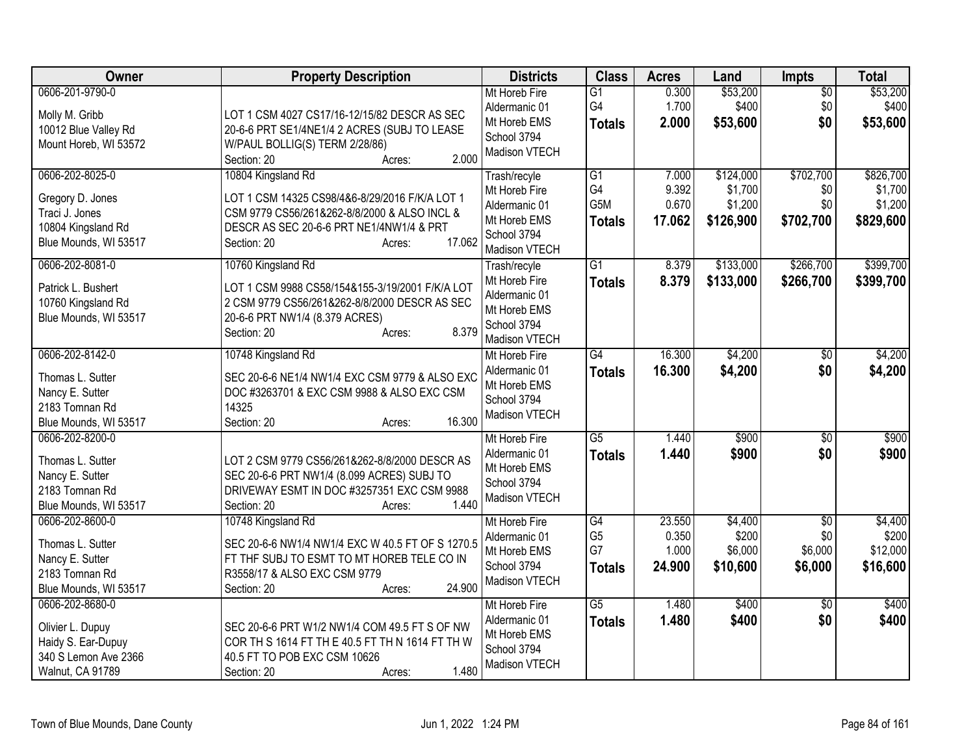| Owner                                                                                                 | <b>Property Description</b>                                                                                                                                                                         | <b>Districts</b>                                                                               | <b>Class</b>                                | <b>Acres</b>                       | Land                                         | <b>Impts</b>                                 | <b>Total</b>                                 |
|-------------------------------------------------------------------------------------------------------|-----------------------------------------------------------------------------------------------------------------------------------------------------------------------------------------------------|------------------------------------------------------------------------------------------------|---------------------------------------------|------------------------------------|----------------------------------------------|----------------------------------------------|----------------------------------------------|
| 0606-201-9790-0<br>Molly M. Gribb<br>10012 Blue Valley Rd                                             | LOT 1 CSM 4027 CS17/16-12/15/82 DESCR AS SEC<br>20-6-6 PRT SE1/4NE1/4 2 ACRES (SUBJ TO LEASE                                                                                                        | Mt Horeb Fire<br>Aldermanic 01<br>Mt Horeb EMS<br>School 3794                                  | G1<br>G4<br><b>Totals</b>                   | 0.300<br>1.700<br>2.000            | \$53,200<br>\$400<br>\$53,600                | $\overline{50}$<br>\$0<br>\$0                | \$53,200<br>\$400<br>\$53,600                |
| Mount Horeb, WI 53572                                                                                 | W/PAUL BOLLIG(S) TERM 2/28/86)<br>2.000<br>Section: 20<br>Acres:                                                                                                                                    | Madison VTECH                                                                                  |                                             |                                    |                                              |                                              |                                              |
| 0606-202-8025-0<br>Gregory D. Jones<br>Traci J. Jones<br>10804 Kingsland Rd<br>Blue Mounds, WI 53517  | 10804 Kingsland Rd<br>LOT 1 CSM 14325 CS98/4&6-8/29/2016 F/K/A LOT 1<br>CSM 9779 CS56/261&262-8/8/2000 & ALSO INCL &<br>DESCR AS SEC 20-6-6 PRT NE1/4NW1/4 & PRT<br>17.062<br>Section: 20<br>Acres: | Trash/recyle<br>Mt Horeb Fire<br>Aldermanic 01<br>Mt Horeb EMS<br>School 3794<br>Madison VTECH | G1<br>G4<br>G5M<br><b>Totals</b>            | 7.000<br>9.392<br>0.670<br>17.062  | \$124,000<br>\$1,700<br>\$1,200<br>\$126,900 | \$702,700<br>\$0<br>\$0<br>\$702,700         | \$826,700<br>\$1,700<br>\$1,200<br>\$829,600 |
| 0606-202-8081-0<br>Patrick L. Bushert<br>10760 Kingsland Rd<br>Blue Mounds, WI 53517                  | 10760 Kingsland Rd<br>LOT 1 CSM 9988 CS58/154&155-3/19/2001 F/K/A LOT<br>2 CSM 9779 CS56/261&262-8/8/2000 DESCR AS SEC<br>20-6-6 PRT NW1/4 (8.379 ACRES)<br>8.379<br>Section: 20<br>Acres:          | Trash/recyle<br>Mt Horeb Fire<br>Aldermanic 01<br>Mt Horeb EMS<br>School 3794<br>Madison VTECH | $\overline{G1}$<br><b>Totals</b>            | 8.379<br>8.379                     | \$133,000<br>\$133,000                       | \$266,700<br>\$266,700                       | \$399,700<br>\$399,700                       |
| 0606-202-8142-0<br>Thomas L. Sutter<br>Nancy E. Sutter<br>2183 Tomnan Rd<br>Blue Mounds, WI 53517     | 10748 Kingsland Rd<br>SEC 20-6-6 NE1/4 NW1/4 EXC CSM 9779 & ALSO EXC<br>DOC #3263701 & EXC CSM 9988 & ALSO EXC CSM<br>14325<br>16.300<br>Section: 20<br>Acres:                                      | Mt Horeb Fire<br>Aldermanic 01<br>Mt Horeb EMS<br>School 3794<br>Madison VTECH                 | $\overline{G4}$<br><b>Totals</b>            | 16.300<br>16.300                   | \$4,200<br>\$4,200                           | \$0<br>\$0                                   | \$4,200<br>\$4,200                           |
| 0606-202-8200-0<br>Thomas L. Sutter<br>Nancy E. Sutter<br>2183 Tomnan Rd<br>Blue Mounds, WI 53517     | LOT 2 CSM 9779 CS56/261&262-8/8/2000 DESCR AS<br>SEC 20-6-6 PRT NW1/4 (8.099 ACRES) SUBJ TO<br>DRIVEWAY ESMT IN DOC #3257351 EXC CSM 9988<br>1.440<br>Section: 20<br>Acres:                         | Mt Horeb Fire<br>Aldermanic 01<br>Mt Horeb EMS<br>School 3794<br>Madison VTECH                 | $\overline{G5}$<br><b>Totals</b>            | 1.440<br>1.440                     | \$900<br>\$900                               | $\overline{50}$<br>\$0                       | \$900<br>\$900                               |
| 0606-202-8600-0<br>Thomas L. Sutter<br>Nancy E. Sutter<br>2183 Tomnan Rd<br>Blue Mounds, WI 53517     | 10748 Kingsland Rd<br>SEC 20-6-6 NW1/4 NW1/4 EXC W 40.5 FT OF S 1270.5<br>FT THE SUBJ TO ESMT TO MT HOREB TELE CO IN<br>R3558/17 & ALSO EXC CSM 9779<br>24.900<br>Section: 20<br>Acres:             | Mt Horeb Fire<br>Aldermanic 01<br>Mt Horeb EMS<br>School 3794<br>Madison VTECH                 | G4<br>G <sub>5</sub><br>G7<br><b>Totals</b> | 23.550<br>0.350<br>1.000<br>24.900 | \$4,400<br>\$200<br>\$6,000<br>\$10,600      | $\overline{50}$<br>\$0<br>\$6,000<br>\$6,000 | \$4,400<br>\$200<br>\$12,000<br>\$16,600     |
| 0606-202-8680-0<br>Olivier L. Dupuy<br>Haidy S. Ear-Dupuy<br>340 S Lemon Ave 2366<br>Walnut, CA 91789 | SEC 20-6-6 PRT W1/2 NW1/4 COM 49.5 FT S OF NW<br>COR TH S 1614 FT TH E 40.5 FT TH N 1614 FT TH W<br>40.5 FT TO POB EXC CSM 10626<br>1.480<br>Section: 20<br>Acres:                                  | Mt Horeb Fire<br>Aldermanic 01<br>Mt Horeb EMS<br>School 3794<br>Madison VTECH                 | $\overline{G5}$<br><b>Totals</b>            | 1.480<br>1.480                     | \$400<br>\$400                               | $\overline{30}$<br>\$0                       | \$400<br>\$400                               |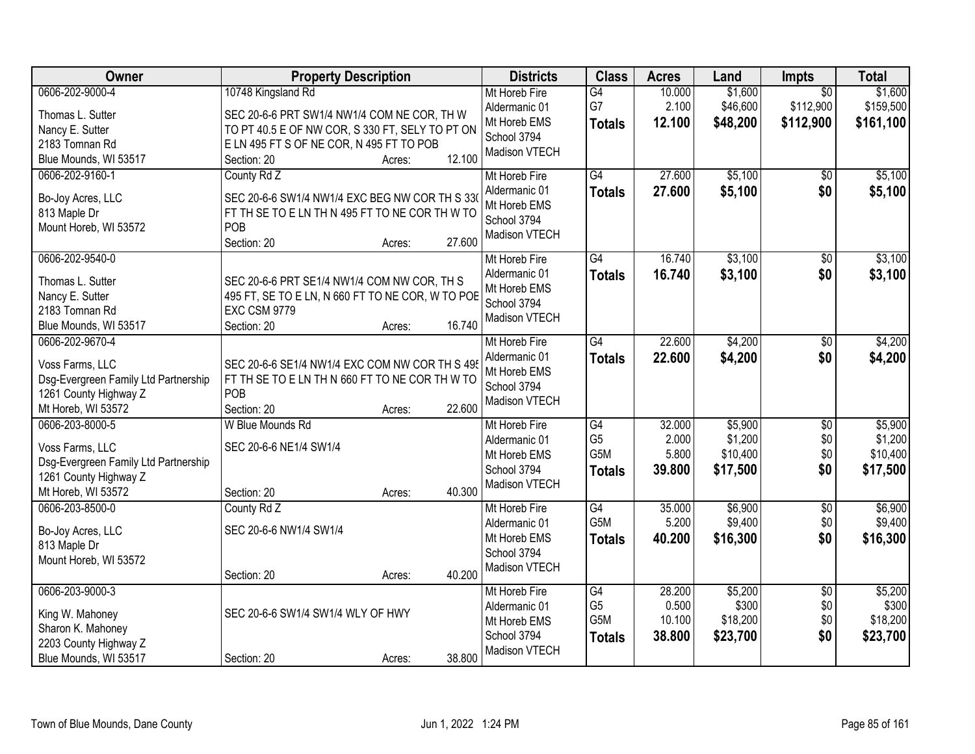| <b>Owner</b>                                                                                                              | <b>Property Description</b>                                                                                                                                                                         | <b>Districts</b>                                                               | <b>Class</b>                                              | <b>Acres</b>                        | Land                                       | Impts                                     | <b>Total</b>                               |
|---------------------------------------------------------------------------------------------------------------------------|-----------------------------------------------------------------------------------------------------------------------------------------------------------------------------------------------------|--------------------------------------------------------------------------------|-----------------------------------------------------------|-------------------------------------|--------------------------------------------|-------------------------------------------|--------------------------------------------|
| 0606-202-9000-4<br>Thomas L. Sutter<br>Nancy E. Sutter<br>2183 Tomnan Rd<br>Blue Mounds, WI 53517                         | 10748 Kingsland Rd<br>SEC 20-6-6 PRT SW1/4 NW1/4 COM NE COR, TH W<br>TO PT 40.5 E OF NW COR, S 330 FT, SELY TO PT ON<br>E LN 495 FT S OF NE COR, N 495 FT TO POB<br>12.100<br>Section: 20<br>Acres: | Mt Horeb Fire<br>Aldermanic 01<br>Mt Horeb EMS<br>School 3794<br>Madison VTECH | G4<br>G7<br><b>Totals</b>                                 | 10.000<br>2.100<br>12.100           | \$1,600<br>\$46,600<br>\$48,200            | $\overline{50}$<br>\$112,900<br>\$112,900 | \$1,600<br>\$159,500<br>\$161,100          |
| 0606-202-9160-1<br>Bo-Joy Acres, LLC<br>813 Maple Dr<br>Mount Horeb, WI 53572                                             | County Rd Z<br>SEC 20-6-6 SW1/4 NW1/4 EXC BEG NW COR TH S 330<br>FT TH SE TO E LN TH N 495 FT TO NE COR TH W TO<br>POB<br>27.600<br>Section: 20<br>Acres:                                           | Mt Horeb Fire<br>Aldermanic 01<br>Mt Horeb EMS<br>School 3794<br>Madison VTECH | G4<br><b>Totals</b>                                       | 27.600<br>27.600                    | \$5,100<br>\$5,100                         | \$0<br>\$0                                | \$5,100<br>\$5,100                         |
| 0606-202-9540-0<br>Thomas L. Sutter<br>Nancy E. Sutter<br>2183 Tomnan Rd<br>Blue Mounds, WI 53517                         | SEC 20-6-6 PRT SE1/4 NW1/4 COM NW COR, TH S<br>495 FT, SE TO E LN, N 660 FT TO NE COR, W TO POB<br><b>EXC CSM 9779</b><br>16.740<br>Section: 20<br>Acres:                                           | Mt Horeb Fire<br>Aldermanic 01<br>Mt Horeb EMS<br>School 3794<br>Madison VTECH | $\overline{G4}$<br><b>Totals</b>                          | 16.740<br>16.740                    | \$3,100<br>\$3,100                         | $\overline{50}$<br>\$0                    | \$3,100<br>\$3,100                         |
| 0606-202-9670-4<br>Voss Farms, LLC<br>Dsg-Evergreen Family Ltd Partnership<br>1261 County Highway Z<br>Mt Horeb, WI 53572 | SEC 20-6-6 SE1/4 NW1/4 EXC COM NW COR TH S 495<br>FT TH SE TO E LN TH N 660 FT TO NE COR TH W TO<br>POB<br>Section: 20<br>22.600<br>Acres:                                                          | Mt Horeb Fire<br>Aldermanic 01<br>Mt Horeb EMS<br>School 3794<br>Madison VTECH | $\overline{G4}$<br><b>Totals</b>                          | 22.600<br>22.600                    | \$4,200<br>\$4,200                         | \$0<br>\$0                                | \$4,200<br>\$4,200                         |
| 0606-203-8000-5<br>Voss Farms, LLC<br>Dsg-Evergreen Family Ltd Partnership<br>1261 County Highway Z<br>Mt Horeb, WI 53572 | W Blue Mounds Rd<br>SEC 20-6-6 NE1/4 SW1/4<br>40.300<br>Section: 20<br>Acres:                                                                                                                       | Mt Horeb Fire<br>Aldermanic 01<br>Mt Horeb EMS<br>School 3794<br>Madison VTECH | $\overline{G4}$<br>G <sub>5</sub><br>G5M<br><b>Totals</b> | 32.000<br>2.000<br>5.800<br>39.800  | \$5,900<br>\$1,200<br>\$10,400<br>\$17,500 | $\overline{50}$<br>\$0<br>\$0<br>\$0      | \$5,900<br>\$1,200<br>\$10,400<br>\$17,500 |
| 0606-203-8500-0<br>Bo-Joy Acres, LLC<br>813 Maple Dr<br>Mount Horeb, WI 53572                                             | County Rd Z<br>SEC 20-6-6 NW1/4 SW1/4<br>40.200<br>Section: 20<br>Acres:                                                                                                                            | Mt Horeb Fire<br>Aldermanic 01<br>Mt Horeb EMS<br>School 3794<br>Madison VTECH | G4<br>G5M<br><b>Totals</b>                                | 35.000<br>5.200<br>40.200           | \$6,900<br>\$9,400<br>\$16,300             | $\overline{50}$<br>\$0<br>\$0             | \$6,900<br>\$9,400<br>\$16,300             |
| 0606-203-9000-3<br>King W. Mahoney<br>Sharon K. Mahoney<br>2203 County Highway Z<br>Blue Mounds, WI 53517                 | SEC 20-6-6 SW1/4 SW1/4 WLY OF HWY<br>38.800<br>Section: 20<br>Acres:                                                                                                                                | Mt Horeb Fire<br>Aldermanic 01<br>Mt Horeb EMS<br>School 3794<br>Madison VTECH | G4<br>G <sub>5</sub><br>G5M<br><b>Totals</b>              | 28.200<br>0.500<br>10.100<br>38.800 | \$5,200<br>\$300<br>\$18,200<br>\$23,700   | $\overline{30}$<br>\$0<br>\$0<br>\$0      | \$5,200<br>\$300<br>\$18,200<br>\$23,700   |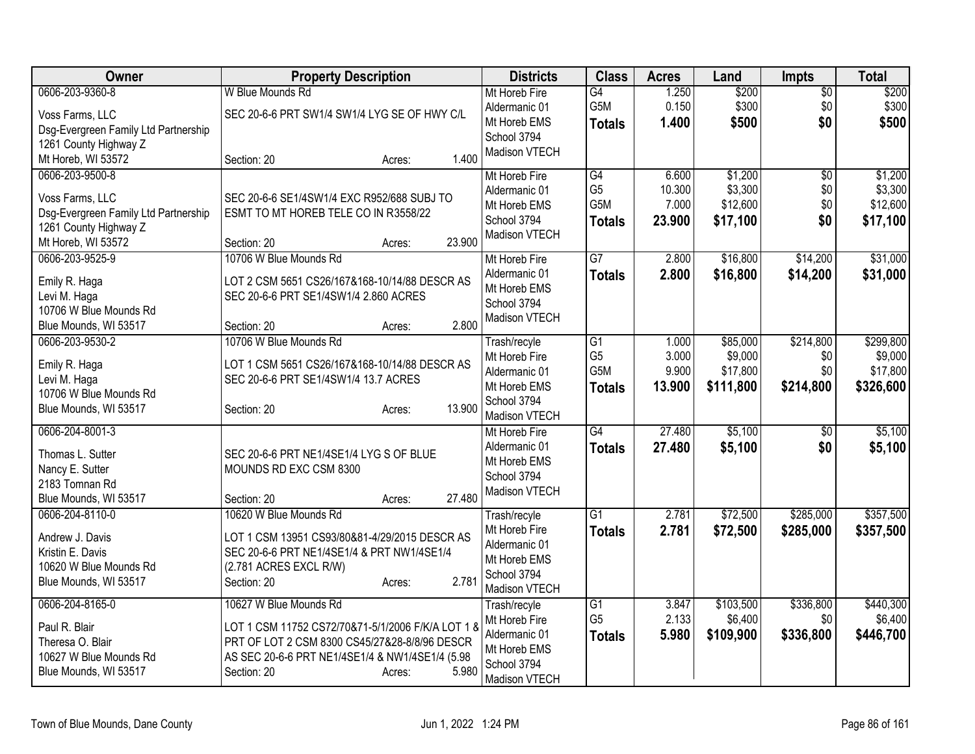| Owner                                | <b>Property Description</b>                       | <b>Districts</b>               | <b>Class</b>                      | <b>Acres</b>   | Land                 | <b>Impts</b>     | <b>Total</b>         |
|--------------------------------------|---------------------------------------------------|--------------------------------|-----------------------------------|----------------|----------------------|------------------|----------------------|
| 0606-203-9360-8                      | W Blue Mounds Rd                                  | Mt Horeb Fire                  | $\overline{G4}$                   | 1.250          | \$200                | $\overline{50}$  | \$200                |
| Voss Farms, LLC                      | SEC 20-6-6 PRT SW1/4 SW1/4 LYG SE OF HWY C/L      | Aldermanic 01                  | G5M                               | 0.150          | \$300                | \$0              | \$300                |
| Dsg-Evergreen Family Ltd Partnership |                                                   | Mt Horeb EMS                   | <b>Totals</b>                     | 1.400          | \$500                | \$0              | \$500                |
| 1261 County Highway Z                |                                                   | School 3794                    |                                   |                |                      |                  |                      |
| Mt Horeb, WI 53572                   | 1.400<br>Section: 20<br>Acres:                    | Madison VTECH                  |                                   |                |                      |                  |                      |
| 0606-203-9500-8                      |                                                   | Mt Horeb Fire                  | G4                                | 6.600          | \$1,200              | $\overline{50}$  | \$1,200              |
| Voss Farms, LLC                      | SEC 20-6-6 SE1/4SW1/4 EXC R952/688 SUBJ TO        | Aldermanic 01                  | G <sub>5</sub>                    | 10.300         | \$3,300              | \$0              | \$3,300              |
| Dsg-Evergreen Family Ltd Partnership | ESMT TO MT HOREB TELE CO IN R3558/22              | Mt Horeb EMS                   | G5M                               | 7.000          | \$12,600             | \$0              | \$12,600             |
| 1261 County Highway Z                |                                                   | School 3794                    | Totals                            | 23.900         | \$17,100             | \$0              | \$17,100             |
| Mt Horeb, WI 53572                   | 23.900<br>Section: 20<br>Acres:                   | Madison VTECH                  |                                   |                |                      |                  |                      |
| 0606-203-9525-9                      | 10706 W Blue Mounds Rd                            | Mt Horeb Fire                  | $\overline{G}$                    | 2.800          | \$16,800             | \$14,200         | \$31,000             |
|                                      | LOT 2 CSM 5651 CS26/167&168-10/14/88 DESCR AS     | Aldermanic 01                  | <b>Totals</b>                     | 2.800          | \$16,800             | \$14,200         | \$31,000             |
| Emily R. Haga<br>Levi M. Haga        | SEC 20-6-6 PRT SE1/4SW1/4 2.860 ACRES             | Mt Horeb EMS                   |                                   |                |                      |                  |                      |
| 10706 W Blue Mounds Rd               |                                                   | School 3794                    |                                   |                |                      |                  |                      |
| Blue Mounds, WI 53517                | 2.800<br>Section: 20<br>Acres:                    | Madison VTECH                  |                                   |                |                      |                  |                      |
| 0606-203-9530-2                      | 10706 W Blue Mounds Rd                            | Trash/recyle                   | G1                                | 1.000          | \$85,000             | \$214,800        | \$299,800            |
|                                      |                                                   | Mt Horeb Fire                  | G <sub>5</sub>                    | 3.000          | \$9,000              | \$0              | \$9,000              |
| Emily R. Haga                        | LOT 1 CSM 5651 CS26/167&168-10/14/88 DESCR AS     | Aldermanic 01                  | G5M                               | 9.900          | \$17,800             | \$0              | \$17,800             |
| Levi M. Haga                         | SEC 20-6-6 PRT SE1/4SW1/4 13.7 ACRES              | Mt Horeb EMS                   | <b>Totals</b>                     | 13.900         | \$111,800            | \$214,800        | \$326,600            |
| 10706 W Blue Mounds Rd               | 13.900                                            | School 3794                    |                                   |                |                      |                  |                      |
| Blue Mounds, WI 53517                | Section: 20<br>Acres:                             | Madison VTECH                  |                                   |                |                      |                  |                      |
| 0606-204-8001-3                      |                                                   | Mt Horeb Fire                  | G4                                | 27.480         | \$5,100              | \$0              | \$5,100              |
| Thomas L. Sutter                     | SEC 20-6-6 PRT NE1/4SE1/4 LYG S OF BLUE           | Aldermanic 01                  | <b>Totals</b>                     | 27.480         | \$5,100              | \$0              | \$5,100              |
| Nancy E. Sutter                      | MOUNDS RD EXC CSM 8300                            | Mt Horeb EMS                   |                                   |                |                      |                  |                      |
| 2183 Tomnan Rd                       |                                                   | School 3794                    |                                   |                |                      |                  |                      |
| Blue Mounds, WI 53517                | 27.480<br>Section: 20<br>Acres:                   | Madison VTECH                  |                                   |                |                      |                  |                      |
| 0606-204-8110-0                      | 10620 W Blue Mounds Rd                            | Trash/recyle                   | $\overline{G1}$                   | 2.781          | \$72,500             | \$285,000        | \$357,500            |
| Andrew J. Davis                      | LOT 1 CSM 13951 CS93/80&81-4/29/2015 DESCR AS     | Mt Horeb Fire                  | <b>Totals</b>                     | 2.781          | \$72,500             | \$285,000        | \$357,500            |
| Kristin E. Davis                     | SEC 20-6-6 PRT NE1/4SE1/4 & PRT NW1/4SE1/4        | Aldermanic 01                  |                                   |                |                      |                  |                      |
| 10620 W Blue Mounds Rd               | (2.781 ACRES EXCL R/W)                            | Mt Horeb EMS                   |                                   |                |                      |                  |                      |
| Blue Mounds, WI 53517                | 2.781<br>Section: 20<br>Acres:                    | School 3794                    |                                   |                |                      |                  |                      |
|                                      |                                                   | Madison VTECH                  |                                   |                |                      |                  |                      |
| 0606-204-8165-0                      | 10627 W Blue Mounds Rd                            | Trash/recyle                   | $\overline{G1}$<br>G <sub>5</sub> | 3.847<br>2.133 | \$103,500<br>\$6,400 | \$336,800<br>\$0 | \$440,300<br>\$6,400 |
| Paul R. Blair                        | LOT 1 CSM 11752 CS72/70&71-5/1/2006 F/K/A LOT 1 8 | Mt Horeb Fire<br>Aldermanic 01 |                                   | 5.980          |                      |                  |                      |
| Theresa O. Blair                     | PRT OF LOT 2 CSM 8300 CS45/27&28-8/8/96 DESCR     | Mt Horeb EMS                   | <b>Totals</b>                     |                | \$109,900            | \$336,800        | \$446,700            |
| 10627 W Blue Mounds Rd               | AS SEC 20-6-6 PRT NE1/4SE1/4 & NW1/4SE1/4 (5.98   | School 3794                    |                                   |                |                      |                  |                      |
| Blue Mounds, WI 53517                | 5.980<br>Section: 20<br>Acres:                    | Madison VTECH                  |                                   |                |                      |                  |                      |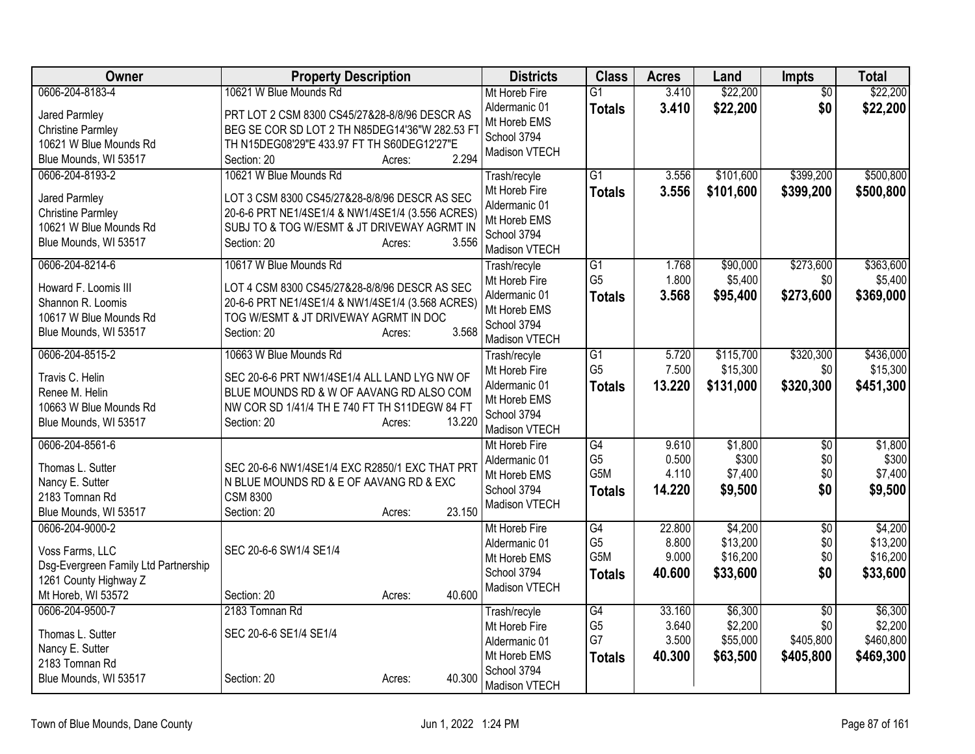| Owner                                                         | <b>Property Description</b>                             | <b>Districts</b>               | <b>Class</b>                      | <b>Acres</b>   | Land      | <b>Impts</b>    | <b>Total</b> |
|---------------------------------------------------------------|---------------------------------------------------------|--------------------------------|-----------------------------------|----------------|-----------|-----------------|--------------|
| 0606-204-8183-4                                               | 10621 W Blue Mounds Rd                                  | Mt Horeb Fire                  | $\overline{G1}$                   | 3.410          | \$22,200  | $\overline{50}$ | \$22,200     |
| Jared Parmley                                                 | PRT LOT 2 CSM 8300 CS45/27&28-8/8/96 DESCR AS           | Aldermanic 01                  | <b>Totals</b>                     | 3.410          | \$22,200  | \$0             | \$22,200     |
| <b>Christine Parmley</b>                                      | BEG SE COR SD LOT 2 TH N85DEG14'36"W 282.53 FT          | Mt Horeb EMS                   |                                   |                |           |                 |              |
| 10621 W Blue Mounds Rd                                        | TH N15DEG08'29"E 433.97 FT TH S60DEG12'27"E             | School 3794                    |                                   |                |           |                 |              |
| Blue Mounds, WI 53517                                         | 2.294<br>Section: 20<br>Acres:                          | Madison VTECH                  |                                   |                |           |                 |              |
| 0606-204-8193-2                                               | 10621 W Blue Mounds Rd                                  | Trash/recyle                   | $\overline{G1}$                   | 3.556          | \$101,600 | \$399,200       | \$500,800    |
| Jared Parmley                                                 | LOT 3 CSM 8300 CS45/27&28-8/8/96 DESCR AS SEC           | Mt Horeb Fire                  | <b>Totals</b>                     | 3.556          | \$101,600 | \$399,200       | \$500,800    |
| <b>Christine Parmley</b>                                      | 20-6-6 PRT NE1/4SE1/4 & NW1/4SE1/4 (3.556 ACRES)        | Aldermanic 01                  |                                   |                |           |                 |              |
| 10621 W Blue Mounds Rd                                        | SUBJ TO & TOG W/ESMT & JT DRIVEWAY AGRMT IN             | Mt Horeb EMS                   |                                   |                |           |                 |              |
| Blue Mounds, WI 53517                                         | 3.556<br>Section: 20<br>Acres:                          | School 3794                    |                                   |                |           |                 |              |
|                                                               |                                                         | Madison VTECH                  |                                   |                |           |                 |              |
| 0606-204-8214-6                                               | 10617 W Blue Mounds Rd                                  | Trash/recyle                   | $\overline{G1}$<br>G <sub>5</sub> | 1.768<br>1.800 | \$90,000  | \$273,600       | \$363,600    |
| Howard F. Loomis III                                          | LOT 4 CSM 8300 CS45/27&28-8/8/96 DESCR AS SEC           | Mt Horeb Fire<br>Aldermanic 01 |                                   |                | \$5,400   | \$0             | \$5,400      |
| Shannon R. Loomis                                             | 20-6-6 PRT NE1/4SE1/4 & NW1/4SE1/4 (3.568 ACRES)        | Mt Horeb EMS                   | <b>Totals</b>                     | 3.568          | \$95,400  | \$273,600       | \$369,000    |
| 10617 W Blue Mounds Rd                                        | TOG W/ESMT & JT DRIVEWAY AGRMT IN DOC                   | School 3794                    |                                   |                |           |                 |              |
| Blue Mounds, WI 53517                                         | 3.568<br>Section: 20<br>Acres:                          | Madison VTECH                  |                                   |                |           |                 |              |
| 0606-204-8515-2                                               | 10663 W Blue Mounds Rd                                  | Trash/recyle                   | $\overline{G1}$                   | 5.720          | \$115,700 | \$320,300       | \$436,000    |
|                                                               |                                                         | Mt Horeb Fire                  | G <sub>5</sub>                    | 7.500          | \$15,300  | \$0             | \$15,300     |
| Travis C. Helin                                               | SEC 20-6-6 PRT NW1/4SE1/4 ALL LAND LYG NW OF            | Aldermanic 01                  | <b>Totals</b>                     | 13.220         | \$131,000 | \$320,300       | \$451,300    |
| Renee M. Helin                                                | BLUE MOUNDS RD & W OF AAVANG RD ALSO COM                | Mt Horeb EMS                   |                                   |                |           |                 |              |
| 10663 W Blue Mounds Rd                                        | NW COR SD 1/41/4 TH E 740 FT TH S11DEGW 84 FT<br>13.220 | School 3794                    |                                   |                |           |                 |              |
| Blue Mounds, WI 53517                                         | Section: 20<br>Acres:                                   | Madison VTECH                  |                                   |                |           |                 |              |
| 0606-204-8561-6                                               |                                                         | Mt Horeb Fire                  | G4                                | 9.610          | \$1,800   | \$0             | \$1,800      |
| Thomas L. Sutter                                              | SEC 20-6-6 NW1/4SE1/4 EXC R2850/1 EXC THAT PRT          | Aldermanic 01                  | G <sub>5</sub>                    | 0.500          | \$300     | \$0             | \$300        |
| Nancy E. Sutter                                               | N BLUE MOUNDS RD & E OF AAVANG RD & EXC                 | Mt Horeb EMS                   | G <sub>5</sub> M                  | 4.110          | \$7,400   | \$0             | \$7,400      |
| 2183 Tomnan Rd                                                | <b>CSM 8300</b>                                         | School 3794                    | <b>Totals</b>                     | 14.220         | \$9,500   | \$0             | \$9,500      |
| Blue Mounds, WI 53517                                         | 23.150<br>Section: 20<br>Acres:                         | Madison VTECH                  |                                   |                |           |                 |              |
| 0606-204-9000-2                                               |                                                         | Mt Horeb Fire                  | G4                                | 22.800         | \$4,200   | $\overline{50}$ | \$4,200      |
|                                                               | SEC 20-6-6 SW1/4 SE1/4                                  | Aldermanic 01                  | G <sub>5</sub>                    | 8.800          | \$13,200  | \$0             | \$13,200     |
| Voss Farms, LLC                                               |                                                         | Mt Horeb EMS                   | G5M                               | 9.000          | \$16,200  | \$0             | \$16,200     |
| Dsg-Evergreen Family Ltd Partnership<br>1261 County Highway Z |                                                         | School 3794                    | <b>Totals</b>                     | 40.600         | \$33,600  | \$0             | \$33,600     |
| Mt Horeb, WI 53572                                            | 40.600<br>Section: 20<br>Acres:                         | Madison VTECH                  |                                   |                |           |                 |              |
| 0606-204-9500-7                                               | 2183 Tomnan Rd                                          | Trash/recyle                   | $\overline{G4}$                   | 33.160         | \$6,300   | $\overline{50}$ | \$6,300      |
|                                                               |                                                         | Mt Horeb Fire                  | G <sub>5</sub>                    | 3.640          | \$2,200   | \$0             | \$2,200      |
| Thomas L. Sutter                                              | SEC 20-6-6 SE1/4 SE1/4                                  | Aldermanic 01                  | G7                                | 3.500          | \$55,000  | \$405,800       | \$460,800    |
| Nancy E. Sutter                                               |                                                         | Mt Horeb EMS                   | <b>Totals</b>                     | 40.300         | \$63,500  | \$405,800       | \$469,300    |
| 2183 Tomnan Rd                                                |                                                         | School 3794                    |                                   |                |           |                 |              |
| Blue Mounds, WI 53517                                         | 40.300<br>Section: 20<br>Acres:                         | Madison VTECH                  |                                   |                |           |                 |              |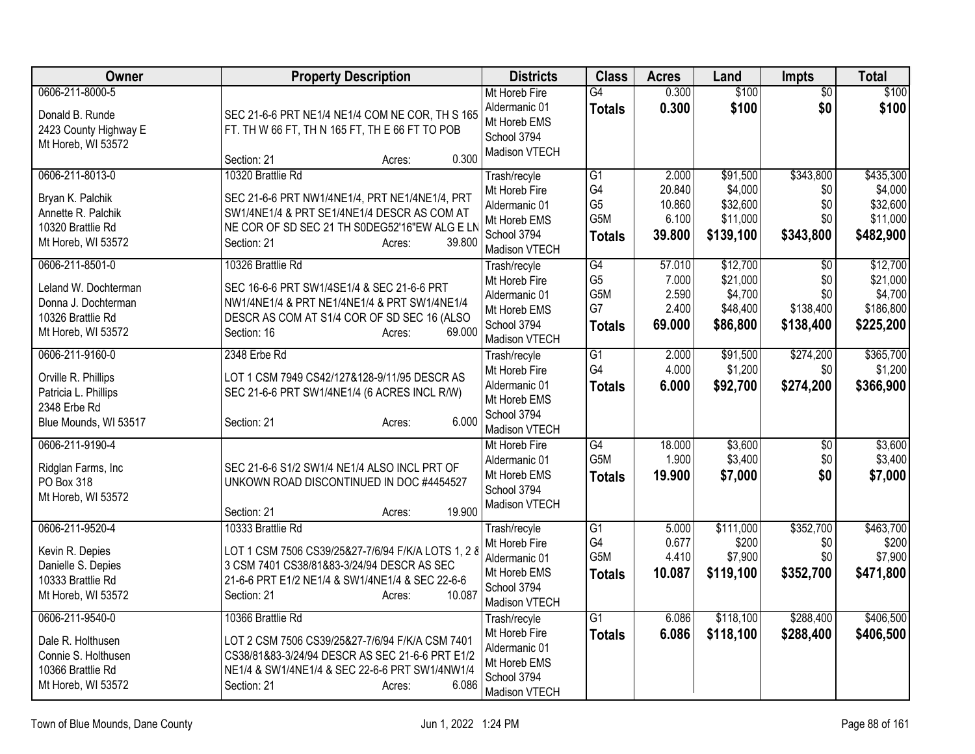| Owner                                    | <b>Property Description</b>                                                                        | <b>Districts</b>              | <b>Class</b>     | <b>Acres</b> | Land      | Impts           | Total     |
|------------------------------------------|----------------------------------------------------------------------------------------------------|-------------------------------|------------------|--------------|-----------|-----------------|-----------|
| 0606-211-8000-5                          |                                                                                                    | Mt Horeb Fire                 | G4               | 0.300        | \$100     | $\sqrt{6}$      | \$100     |
| Donald B. Runde                          | SEC 21-6-6 PRT NE1/4 NE1/4 COM NE COR, TH S 165                                                    | Aldermanic 01                 | <b>Totals</b>    | 0.300        | \$100     | \$0             | \$100     |
| 2423 County Highway E                    | FT. TH W 66 FT, TH N 165 FT, TH E 66 FT TO POB                                                     | Mt Horeb EMS                  |                  |              |           |                 |           |
| Mt Horeb, WI 53572                       |                                                                                                    | School 3794<br>Madison VTECH  |                  |              |           |                 |           |
|                                          | 0.300<br>Section: 21<br>Acres:                                                                     |                               |                  |              |           |                 |           |
| 0606-211-8013-0                          | 10320 Brattlie Rd                                                                                  | Trash/recyle                  | G <sub>1</sub>   | 2.000        | \$91,500  | \$343,800       | \$435,300 |
| Bryan K. Palchik                         | SEC 21-6-6 PRT NW1/4NE1/4, PRT NE1/4NE1/4, PRT                                                     | Mt Horeb Fire                 | G4               | 20.840       | \$4,000   | \$0             | \$4,000   |
| Annette R. Palchik                       | SW1/4NE1/4 & PRT SE1/4NE1/4 DESCR AS COM AT                                                        | Aldermanic 01                 | G <sub>5</sub>   | 10.860       | \$32,600  | \$0<br>\$0      | \$32,600  |
| 10320 Brattlie Rd                        | NE COR OF SD SEC 21 TH S0DEG52'16"EW ALG E LN                                                      | Mt Horeb EMS                  | G5M              | 6.100        | \$11,000  |                 | \$11,000  |
| Mt Horeb, WI 53572                       | Section: 21<br>39.800<br>Acres:                                                                    | School 3794<br>Madison VTECH  | <b>Totals</b>    | 39.800       | \$139,100 | \$343,800       | \$482,900 |
| 0606-211-8501-0                          | 10326 Brattlie Rd                                                                                  | Trash/recyle                  | G4               | 57.010       | \$12,700  | $\overline{30}$ | \$12,700  |
| Leland W. Dochterman                     | SEC 16-6-6 PRT SW1/4SE1/4 & SEC 21-6-6 PRT                                                         | Mt Horeb Fire                 | G <sub>5</sub>   | 7.000        | \$21,000  | \$0             | \$21,000  |
| Donna J. Dochterman                      | NW1/4NE1/4 & PRT NE1/4NE1/4 & PRT SW1/4NE1/4                                                       | Aldermanic 01                 | G5M              | 2.590        | \$4,700   | \$0             | \$4,700   |
| 10326 Brattlie Rd                        | DESCR AS COM AT S1/4 COR OF SD SEC 16 (ALSO                                                        | Mt Horeb EMS                  | G7               | 2.400        | \$48,400  | \$138,400       | \$186,800 |
| Mt Horeb, WI 53572                       | 69.000<br>Section: 16<br>Acres:                                                                    | School 3794                   | <b>Totals</b>    | 69.000       | \$86,800  | \$138,400       | \$225,200 |
| 0606-211-9160-0                          | 2348 Erbe Rd                                                                                       | Madison VTECH<br>Trash/recyle | $\overline{G1}$  | 2.000        | \$91,500  | \$274,200       | \$365,700 |
|                                          |                                                                                                    | Mt Horeb Fire                 | G4               | 4.000        | \$1,200   | \$0             | \$1,200   |
| Orville R. Phillips                      | LOT 1 CSM 7949 CS42/127&128-9/11/95 DESCR AS                                                       | Aldermanic 01                 | <b>Totals</b>    | 6.000        | \$92,700  | \$274,200       | \$366,900 |
| Patricia L. Phillips                     | SEC 21-6-6 PRT SW1/4NE1/4 (6 ACRES INCL R/W)                                                       | Mt Horeb EMS                  |                  |              |           |                 |           |
| 2348 Erbe Rd                             | 6.000                                                                                              | School 3794                   |                  |              |           |                 |           |
| Blue Mounds, WI 53517                    | Section: 21<br>Acres:                                                                              | Madison VTECH                 |                  |              |           |                 |           |
| 0606-211-9190-4                          |                                                                                                    | Mt Horeb Fire                 | G4               | 18.000       | \$3,600   | \$0             | \$3,600   |
| Ridglan Farms, Inc                       | SEC 21-6-6 S1/2 SW1/4 NE1/4 ALSO INCL PRT OF                                                       | Aldermanic 01                 | G <sub>5</sub> M | 1.900        | \$3,400   | \$0             | \$3,400   |
| PO Box 318                               | UNKOWN ROAD DISCONTINUED IN DOC #4454527                                                           | Mt Horeb EMS                  | <b>Totals</b>    | 19.900       | \$7,000   | \$0             | \$7,000   |
| Mt Horeb, WI 53572                       |                                                                                                    | School 3794<br>Madison VTECH  |                  |              |           |                 |           |
|                                          | 19.900<br>Section: 21<br>Acres:                                                                    |                               |                  |              |           |                 |           |
| 0606-211-9520-4                          | 10333 Brattlie Rd                                                                                  | Trash/recyle                  | $\overline{G1}$  | 5.000        | \$111,000 | \$352,700       | \$463,700 |
| Kevin R. Depies                          | LOT 1 CSM 7506 CS39/25&27-7/6/94 F/K/A LOTS 1, 2 8                                                 | Mt Horeb Fire                 | G4               | 0.677        | \$200     | \$0             | \$200     |
| Danielle S. Depies                       | 3 CSM 7401 CS38/81&83-3/24/94 DESCR AS SEC                                                         | Aldermanic 01                 | G5M              | 4.410        | \$7,900   | \$0             | \$7,900   |
| 10333 Brattlie Rd                        | 21-6-6 PRT E1/2 NE1/4 & SW1/4NE1/4 & SEC 22-6-6                                                    | Mt Horeb EMS<br>School 3794   | <b>Totals</b>    | 10.087       | \$119,100 | \$352,700       | \$471,800 |
| Mt Horeb, WI 53572                       | 10.087<br>Section: 21<br>Acres:                                                                    | Madison VTECH                 |                  |              |           |                 |           |
| 0606-211-9540-0                          | 10366 Brattlie Rd                                                                                  | Trash/recyle                  | $\overline{G1}$  | 6.086        | \$118,100 | \$288,400       | \$406,500 |
|                                          |                                                                                                    | Mt Horeb Fire                 | <b>Totals</b>    | 6.086        | \$118,100 | \$288,400       | \$406,500 |
| Dale R. Holthusen<br>Connie S. Holthusen | LOT 2 CSM 7506 CS39/25&27-7/6/94 F/K/A CSM 7401<br>CS38/81&83-3/24/94 DESCR AS SEC 21-6-6 PRT E1/2 | Aldermanic 01                 |                  |              |           |                 |           |
| 10366 Brattlie Rd                        | NE1/4 & SW1/4NE1/4 & SEC 22-6-6 PRT SW1/4NW1/4                                                     | Mt Horeb EMS                  |                  |              |           |                 |           |
| Mt Horeb, WI 53572                       | 6.086<br>Section: 21<br>Acres:                                                                     | School 3794                   |                  |              |           |                 |           |
|                                          |                                                                                                    | Madison VTECH                 |                  |              |           |                 |           |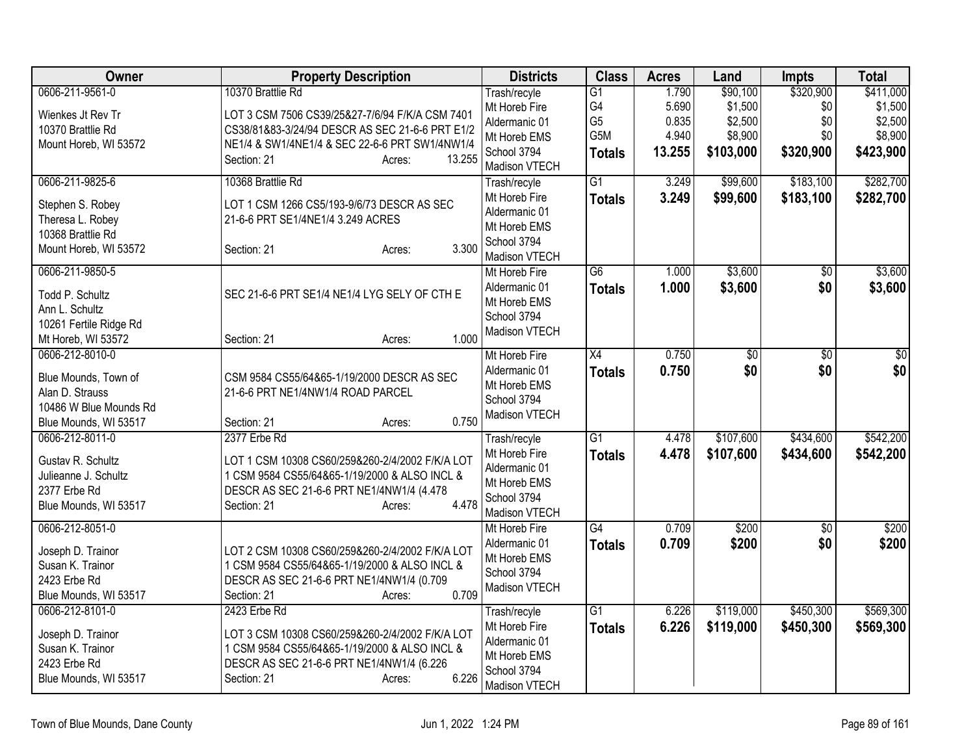| Owner                  | <b>Property Description</b>                     | <b>Districts</b>              | <b>Class</b>    | <b>Acres</b> | Land            | Impts           | <b>Total</b>    |
|------------------------|-------------------------------------------------|-------------------------------|-----------------|--------------|-----------------|-----------------|-----------------|
| 0606-211-9561-0        | 10370 Brattlie Rd                               | Trash/recyle                  | $\overline{G1}$ | 1.790        | \$90,100        | \$320,900       | \$411,000       |
| Wienkes Jt Rev Tr      | LOT 3 CSM 7506 CS39/25&27-7/6/94 F/K/A CSM 7401 | Mt Horeb Fire                 | G4              | 5.690        | \$1,500         | \$0             | \$1,500         |
| 10370 Brattlie Rd      | CS38/81&83-3/24/94 DESCR AS SEC 21-6-6 PRT E1/2 | Aldermanic 01                 | G <sub>5</sub>  | 0.835        | \$2,500         | \$0             | \$2,500         |
| Mount Horeb, WI 53572  | NE1/4 & SW1/4NE1/4 & SEC 22-6-6 PRT SW1/4NW1/4  | Mt Horeb EMS                  | G5M             | 4.940        | \$8,900         | \$0             | \$8,900         |
|                        | 13.255<br>Section: 21<br>Acres:                 | School 3794                   | <b>Totals</b>   | 13.255       | \$103,000       | \$320,900       | \$423,900       |
| 0606-211-9825-6        | 10368 Brattlie Rd                               | Madison VTECH                 | $\overline{G1}$ | 3.249        |                 | \$183,100       | \$282,700       |
|                        |                                                 | Trash/recyle<br>Mt Horeb Fire |                 |              | \$99,600        |                 |                 |
| Stephen S. Robey       | LOT 1 CSM 1266 CS5/193-9/6/73 DESCR AS SEC      | Aldermanic 01                 | <b>Totals</b>   | 3.249        | \$99,600        | \$183,100       | \$282,700       |
| Theresa L. Robey       | 21-6-6 PRT SE1/4NE1/4 3.249 ACRES               | Mt Horeb EMS                  |                 |              |                 |                 |                 |
| 10368 Brattlie Rd      |                                                 | School 3794                   |                 |              |                 |                 |                 |
| Mount Horeb, WI 53572  | 3.300<br>Section: 21<br>Acres:                  | Madison VTECH                 |                 |              |                 |                 |                 |
| 0606-211-9850-5        |                                                 | Mt Horeb Fire                 | $\overline{G6}$ | 1.000        | \$3,600         | $\overline{50}$ | \$3,600         |
|                        |                                                 | Aldermanic 01                 | <b>Totals</b>   | 1.000        | \$3,600         | \$0             | \$3,600         |
| Todd P. Schultz        | SEC 21-6-6 PRT SE1/4 NE1/4 LYG SELY OF CTH E    | Mt Horeb EMS                  |                 |              |                 |                 |                 |
| Ann L. Schultz         |                                                 | School 3794                   |                 |              |                 |                 |                 |
| 10261 Fertile Ridge Rd |                                                 | Madison VTECH                 |                 |              |                 |                 |                 |
| Mt Horeb, WI 53572     | 1.000<br>Section: 21<br>Acres:                  |                               |                 |              |                 |                 |                 |
| 0606-212-8010-0        |                                                 | Mt Horeb Fire                 | $\overline{X4}$ | 0.750        | $\overline{50}$ | $\overline{50}$ | $\overline{50}$ |
| Blue Mounds, Town of   | CSM 9584 CS55/64&65-1/19/2000 DESCR AS SEC      | Aldermanic 01                 | <b>Totals</b>   | 0.750        | \$0             | \$0             | \$0             |
| Alan D. Strauss        | 21-6-6 PRT NE1/4NW1/4 ROAD PARCEL               | Mt Horeb EMS                  |                 |              |                 |                 |                 |
| 10486 W Blue Mounds Rd |                                                 | School 3794<br>Madison VTECH  |                 |              |                 |                 |                 |
| Blue Mounds, WI 53517  | 0.750<br>Section: 21<br>Acres:                  |                               |                 |              |                 |                 |                 |
| 0606-212-8011-0        | 2377 Erbe Rd                                    | Trash/recyle                  | $\overline{G1}$ | 4.478        | \$107,600       | \$434,600       | \$542,200       |
| Gustav R. Schultz      | LOT 1 CSM 10308 CS60/259&260-2/4/2002 F/K/A LOT | Mt Horeb Fire                 | <b>Totals</b>   | 4.478        | \$107,600       | \$434,600       | \$542,200       |
| Julieanne J. Schultz   | 1 CSM 9584 CS55/64&65-1/19/2000 & ALSO INCL &   | Aldermanic 01                 |                 |              |                 |                 |                 |
| 2377 Erbe Rd           | DESCR AS SEC 21-6-6 PRT NE1/4NW1/4 (4.478       | Mt Horeb EMS                  |                 |              |                 |                 |                 |
| Blue Mounds, WI 53517  | 4.478<br>Section: 21<br>Acres:                  | School 3794                   |                 |              |                 |                 |                 |
|                        |                                                 | Madison VTECH                 |                 |              |                 |                 |                 |
| 0606-212-8051-0        |                                                 | Mt Horeb Fire                 | G4              | 0.709        | \$200           | \$0             | \$200           |
| Joseph D. Trainor      | LOT 2 CSM 10308 CS60/259&260-2/4/2002 F/K/A LOT | Aldermanic 01                 | <b>Totals</b>   | 0.709        | \$200           | \$0             | \$200           |
| Susan K. Trainor       | 1 CSM 9584 CS55/64&65-1/19/2000 & ALSO INCL &   | Mt Horeb EMS                  |                 |              |                 |                 |                 |
| 2423 Erbe Rd           | DESCR AS SEC 21-6-6 PRT NE1/4NW1/4 (0.709       | School 3794<br>Madison VTECH  |                 |              |                 |                 |                 |
| Blue Mounds, WI 53517  | 0.709<br>Section: 21<br>Acres:                  |                               |                 |              |                 |                 |                 |
| 0606-212-8101-0        | 2423 Erbe Rd                                    | Trash/recyle                  | G1              | 6.226        | \$119,000       | \$450,300       | \$569,300       |
| Joseph D. Trainor      | LOT 3 CSM 10308 CS60/259&260-2/4/2002 F/K/A LOT | Mt Horeb Fire                 | <b>Totals</b>   | 6.226        | \$119,000       | \$450,300       | \$569,300       |
| Susan K. Trainor       | 1 CSM 9584 CS55/64&65-1/19/2000 & ALSO INCL &   | Aldermanic 01                 |                 |              |                 |                 |                 |
| 2423 Erbe Rd           | DESCR AS SEC 21-6-6 PRT NE1/4NW1/4 (6.226       | Mt Horeb EMS                  |                 |              |                 |                 |                 |
| Blue Mounds, WI 53517  | 6.226<br>Section: 21<br>Acres:                  | School 3794                   |                 |              |                 |                 |                 |
|                        |                                                 | Madison VTECH                 |                 |              |                 |                 |                 |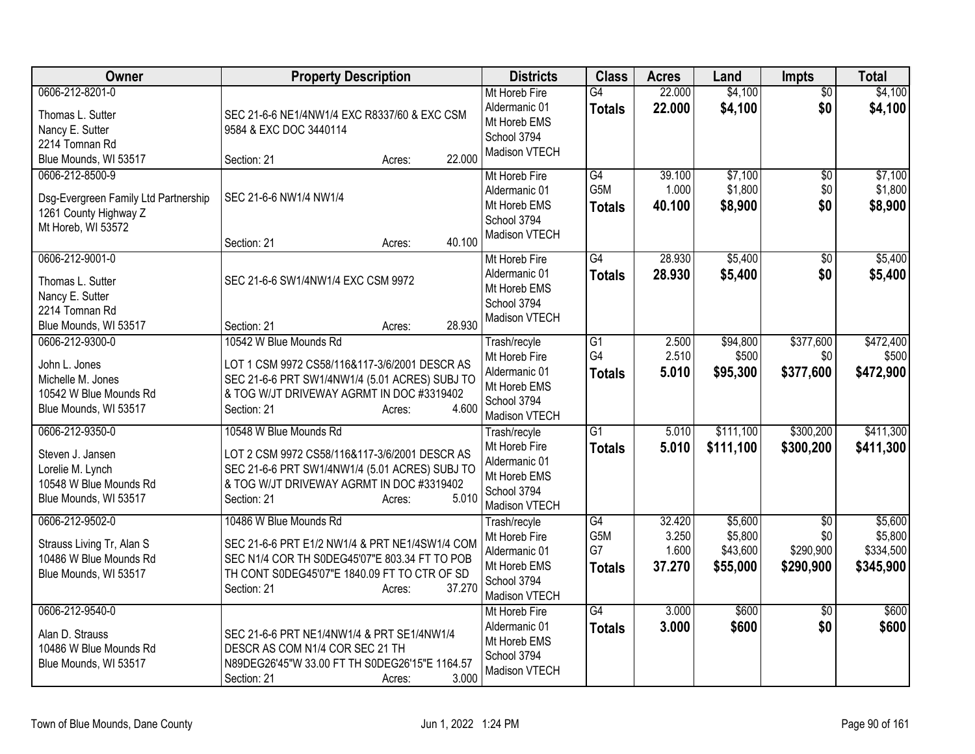| Owner                                                                                                      | <b>Property Description</b>                                                                                                                                                                                  | <b>Districts</b>                                                                               | <b>Class</b>                     | <b>Acres</b>                       | Land                                       | <b>Impts</b>                                     | <b>Total</b>                                 |
|------------------------------------------------------------------------------------------------------------|--------------------------------------------------------------------------------------------------------------------------------------------------------------------------------------------------------------|------------------------------------------------------------------------------------------------|----------------------------------|------------------------------------|--------------------------------------------|--------------------------------------------------|----------------------------------------------|
| 0606-212-8201-0<br>Thomas L. Sutter<br>Nancy E. Sutter<br>2214 Tomnan Rd<br>Blue Mounds, WI 53517          | SEC 21-6-6 NE1/4NW1/4 EXC R8337/60 & EXC CSM<br>9584 & EXC DOC 3440114<br>22.000<br>Section: 21<br>Acres:                                                                                                    | Mt Horeb Fire<br>Aldermanic 01<br>Mt Horeb EMS<br>School 3794<br>Madison VTECH                 | $\overline{G4}$<br><b>Totals</b> | 22.000<br>22.000                   | \$4,100<br>\$4,100                         | $\overline{50}$<br>\$0                           | \$4,100<br>\$4,100                           |
| 0606-212-8500-9<br>Dsg-Evergreen Family Ltd Partnership<br>1261 County Highway Z<br>Mt Horeb, WI 53572     | SEC 21-6-6 NW1/4 NW1/4<br>40.100<br>Section: 21<br>Acres:                                                                                                                                                    | Mt Horeb Fire<br>Aldermanic 01<br>Mt Horeb EMS<br>School 3794<br>Madison VTECH                 | G4<br>G5M<br><b>Totals</b>       | 39.100<br>1.000<br>40.100          | \$7,100<br>\$1,800<br>\$8,900              | $\overline{50}$<br>\$0<br>\$0                    | \$7,100<br>\$1,800<br>\$8,900                |
| 0606-212-9001-0<br>Thomas L. Sutter<br>Nancy E. Sutter<br>2214 Tomnan Rd<br>Blue Mounds, WI 53517          | SEC 21-6-6 SW1/4NW1/4 EXC CSM 9972<br>28.930<br>Section: 21<br>Acres:                                                                                                                                        | Mt Horeb Fire<br>Aldermanic 01<br>Mt Horeb EMS<br>School 3794<br>Madison VTECH                 | G4<br><b>Totals</b>              | 28.930<br>28.930                   | \$5,400<br>\$5,400                         | \$0<br>\$0                                       | \$5,400<br>\$5,400                           |
| 0606-212-9300-0<br>John L. Jones<br>Michelle M. Jones<br>10542 W Blue Mounds Rd<br>Blue Mounds, WI 53517   | 10542 W Blue Mounds Rd<br>LOT 1 CSM 9972 CS58/116&117-3/6/2001 DESCR AS<br>SEC 21-6-6 PRT SW1/4NW1/4 (5.01 ACRES) SUBJ TO<br>& TOG W/JT DRIVEWAY AGRMT IN DOC #3319402<br>4.600<br>Section: 21<br>Acres:     | Trash/recyle<br>Mt Horeb Fire<br>Aldermanic 01<br>Mt Horeb EMS<br>School 3794<br>Madison VTECH | G1<br>G4<br><b>Totals</b>        | 2.500<br>2.510<br>5.010            | \$94,800<br>\$500<br>\$95,300              | \$377,600<br>\$0<br>\$377,600                    | \$472,400<br>\$500<br>\$472,900              |
| 0606-212-9350-0<br>Steven J. Jansen<br>Lorelie M. Lynch<br>10548 W Blue Mounds Rd<br>Blue Mounds, WI 53517 | 10548 W Blue Mounds Rd<br>LOT 2 CSM 9972 CS58/116&117-3/6/2001 DESCR AS<br>SEC 21-6-6 PRT SW1/4NW1/4 (5.01 ACRES) SUBJ TO<br>& TOG W/JT DRIVEWAY AGRMT IN DOC #3319402<br>Section: 21<br>5.010<br>Acres:     | Trash/recyle<br>Mt Horeb Fire<br>Aldermanic 01<br>Mt Horeb EMS<br>School 3794<br>Madison VTECH | $\overline{G1}$<br><b>Totals</b> | 5.010<br>5.010                     | \$111,100<br>\$111,100                     | \$300,200<br>\$300,200                           | \$411,300<br>\$411,300                       |
| 0606-212-9502-0<br>Strauss Living Tr, Alan S<br>10486 W Blue Mounds Rd<br>Blue Mounds, WI 53517            | 10486 W Blue Mounds Rd<br>SEC 21-6-6 PRT E1/2 NW1/4 & PRT NE1/4SW1/4 COM<br>SEC N1/4 COR TH S0DEG45'07"E 803.34 FT TO POB<br>TH CONT S0DEG45'07"E 1840.09 FT TO CTR OF SD<br>37.270<br>Section: 21<br>Acres: | Trash/recyle<br>Mt Horeb Fire<br>Aldermanic 01<br>Mt Horeb EMS<br>School 3794<br>Madison VTECH | G4<br>G5M<br>G7<br><b>Totals</b> | 32.420<br>3.250<br>1.600<br>37.270 | \$5,600<br>\$5,800<br>\$43,600<br>\$55,000 | $\overline{50}$<br>\$0<br>\$290,900<br>\$290,900 | \$5,600<br>\$5,800<br>\$334,500<br>\$345,900 |
| 0606-212-9540-0<br>Alan D. Strauss<br>10486 W Blue Mounds Rd<br>Blue Mounds, WI 53517                      | SEC 21-6-6 PRT NE1/4NW1/4 & PRT SE1/4NW1/4<br>DESCR AS COM N1/4 COR SEC 21 TH<br>N89DEG26'45"W 33.00 FT TH S0DEG26'15"E 1164.57<br>3.000<br>Section: 21<br>Acres:                                            | Mt Horeb Fire<br>Aldermanic 01<br>Mt Horeb EMS<br>School 3794<br>Madison VTECH                 | $\overline{G4}$<br><b>Totals</b> | 3.000<br>3.000                     | \$600<br>\$600                             | \$0<br>\$0                                       | \$600<br>\$600                               |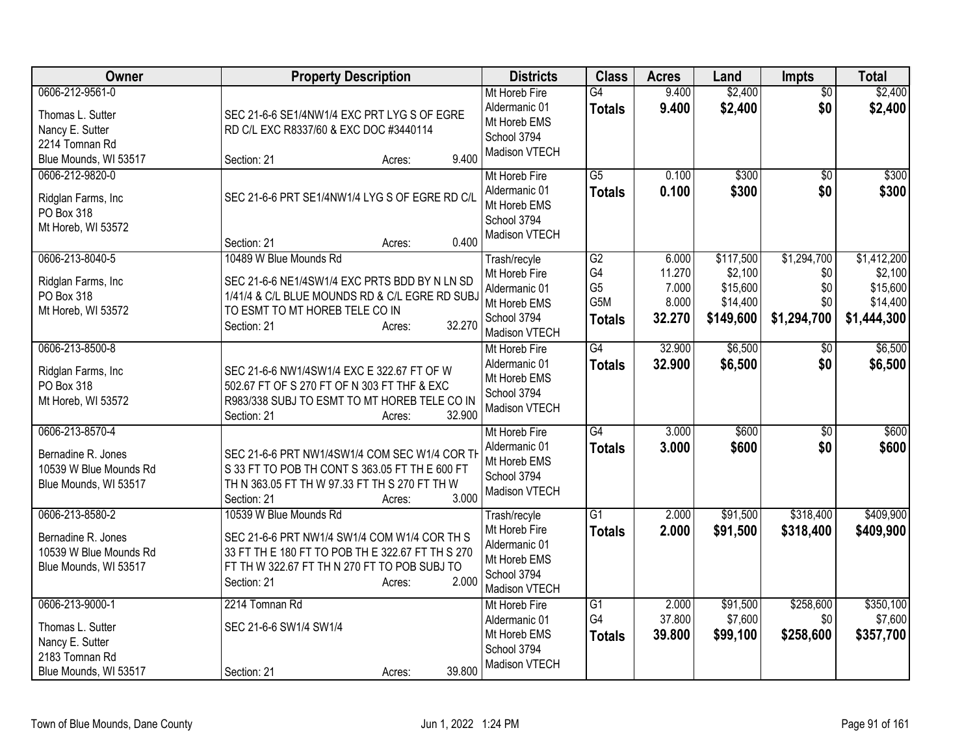| <b>Owner</b>                                                                                      | <b>Property Description</b>                                                                                                                                                                                  | <b>Districts</b>                                                                               | <b>Class</b>                                       | <b>Acres</b>                                | Land                                                      | Impts                                           | <b>Total</b>                                                  |
|---------------------------------------------------------------------------------------------------|--------------------------------------------------------------------------------------------------------------------------------------------------------------------------------------------------------------|------------------------------------------------------------------------------------------------|----------------------------------------------------|---------------------------------------------|-----------------------------------------------------------|-------------------------------------------------|---------------------------------------------------------------|
| 0606-212-9561-0<br>Thomas L. Sutter<br>Nancy E. Sutter<br>2214 Tomnan Rd<br>Blue Mounds, WI 53517 | SEC 21-6-6 SE1/4NW1/4 EXC PRT LYG S OF EGRE<br>RD C/L EXC R8337/60 & EXC DOC #3440114<br>9.400<br>Section: 21<br>Acres:                                                                                      | Mt Horeb Fire<br>Aldermanic 01<br>Mt Horeb EMS<br>School 3794<br>Madison VTECH                 | $\overline{G4}$<br><b>Totals</b>                   | 9.400<br>9.400                              | \$2,400<br>\$2,400                                        | $\overline{50}$<br>\$0                          | \$2,400<br>\$2,400                                            |
| 0606-212-9820-0<br>Ridglan Farms, Inc<br>PO Box 318<br>Mt Horeb, WI 53572                         | SEC 21-6-6 PRT SE1/4NW1/4 LYG S OF EGRE RD C/L<br>0.400<br>Section: 21<br>Acres:                                                                                                                             | Mt Horeb Fire<br>Aldermanic 01<br>Mt Horeb EMS<br>School 3794<br>Madison VTECH                 | $\overline{G5}$<br><b>Totals</b>                   | 0.100<br>0.100                              | \$300<br>\$300                                            | $\overline{50}$<br>\$0                          | \$300<br>\$300                                                |
| 0606-213-8040-5<br>Ridglan Farms, Inc<br>PO Box 318<br>Mt Horeb, WI 53572                         | 10489 W Blue Mounds Rd<br>SEC 21-6-6 NE1/4SW1/4 EXC PRTS BDD BY N LN SD<br>1/41/4 & C/L BLUE MOUNDS RD & C/L EGRE RD SUB.<br>TO ESMT TO MT HOREB TELE CO IN<br>32.270<br>Section: 21<br>Acres:               | Trash/recyle<br>Mt Horeb Fire<br>Aldermanic 01<br>Mt Horeb EMS<br>School 3794<br>Madison VTECH | G2<br>G4<br>G <sub>5</sub><br>G5M<br><b>Totals</b> | 6.000<br>11.270<br>7.000<br>8.000<br>32.270 | \$117,500<br>\$2,100<br>\$15,600<br>\$14,400<br>\$149,600 | \$1,294,700<br>\$0<br>\$0<br>\$0<br>\$1,294,700 | \$1,412,200<br>\$2,100<br>\$15,600<br>\$14,400<br>\$1,444,300 |
| 0606-213-8500-8<br>Ridglan Farms, Inc<br>PO Box 318<br>Mt Horeb, WI 53572                         | SEC 21-6-6 NW1/4SW1/4 EXC E 322.67 FT OF W<br>502.67 FT OF S 270 FT OF N 303 FT THF & EXC<br>R983/338 SUBJ TO ESMT TO MT HOREB TELE CO IN<br>32,900<br>Section: 21<br>Acres:                                 | Mt Horeb Fire<br>Aldermanic 01<br>Mt Horeb EMS<br>School 3794<br>Madison VTECH                 | G4<br><b>Totals</b>                                | 32.900<br>32.900                            | \$6,500<br>\$6,500                                        | $\overline{50}$<br>\$0                          | \$6,500<br>\$6,500                                            |
| 0606-213-8570-4<br>Bernadine R. Jones<br>10539 W Blue Mounds Rd<br>Blue Mounds, WI 53517          | SEC 21-6-6 PRT NW1/4SW1/4 COM SEC W1/4 COR TH<br>S 33 FT TO POB TH CONT S 363.05 FT TH E 600 FT<br>TH N 363.05 FT TH W 97.33 FT TH S 270 FT TH W<br>Section: 21<br>3.000<br>Acres:                           | Mt Horeb Fire<br>Aldermanic 01<br>Mt Horeb EMS<br>School 3794<br>Madison VTECH                 | G4<br><b>Totals</b>                                | 3.000<br>3.000                              | \$600<br>\$600                                            | $\overline{30}$<br>\$0                          | \$600<br>\$600                                                |
| 0606-213-8580-2<br>Bernadine R. Jones<br>10539 W Blue Mounds Rd<br>Blue Mounds, WI 53517          | 10539 W Blue Mounds Rd<br>SEC 21-6-6 PRT NW1/4 SW1/4 COM W1/4 COR TH S<br>33 FT TH E 180 FT TO POB TH E 322.67 FT TH S 270<br>FT TH W 322.67 FT TH N 270 FT TO POB SUBJ TO<br>2.000<br>Section: 21<br>Acres: | Trash/recyle<br>Mt Horeb Fire<br>Aldermanic 01<br>Mt Horeb EMS<br>School 3794<br>Madison VTECH | $\overline{G1}$<br><b>Totals</b>                   | 2.000<br>2.000                              | \$91,500<br>\$91,500                                      | \$318,400<br>\$318,400                          | \$409,900<br>\$409,900                                        |
| 0606-213-9000-1<br>Thomas L. Sutter<br>Nancy E. Sutter<br>2183 Tomnan Rd<br>Blue Mounds, WI 53517 | 2214 Tomnan Rd<br>SEC 21-6-6 SW1/4 SW1/4<br>39.800<br>Section: 21<br>Acres:                                                                                                                                  | Mt Horeb Fire<br>Aldermanic 01<br>Mt Horeb EMS<br>School 3794<br>Madison VTECH                 | $\overline{G1}$<br>G4<br><b>Totals</b>             | 2.000<br>37.800<br>39.800                   | \$91,500<br>\$7,600<br>\$99,100                           | \$258,600<br>\$0<br>\$258,600                   | \$350,100<br>\$7,600<br>\$357,700                             |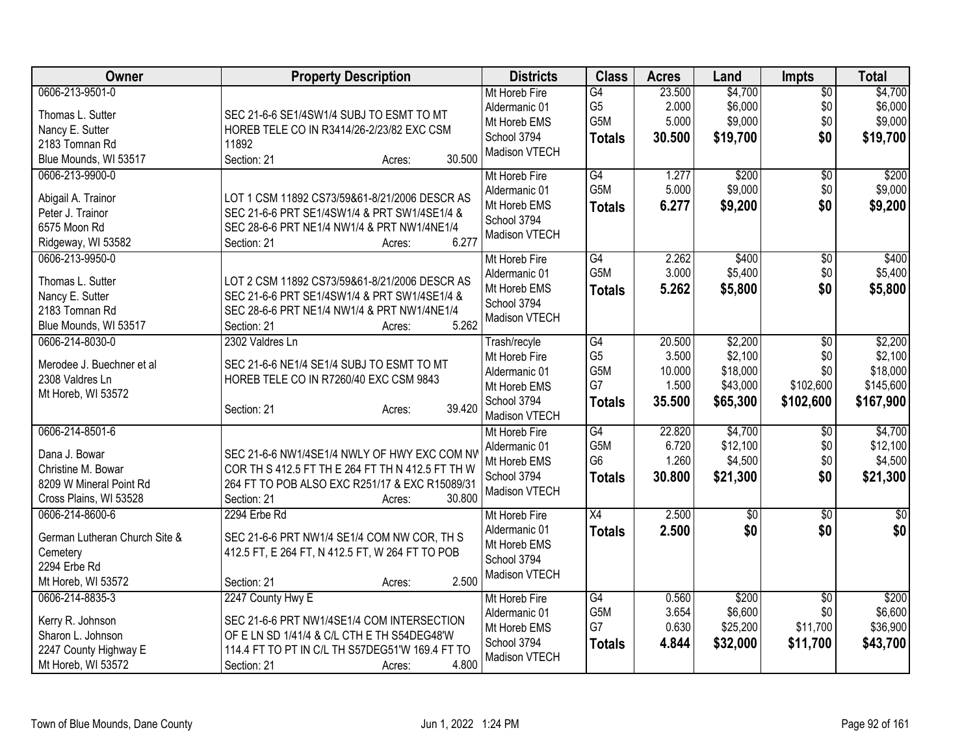| <b>Owner</b>                  | <b>Property Description</b>                      | <b>Districts</b> | <b>Class</b>     | <b>Acres</b> | Land     | <b>Impts</b>    | <b>Total</b> |
|-------------------------------|--------------------------------------------------|------------------|------------------|--------------|----------|-----------------|--------------|
| 0606-213-9501-0               |                                                  | Mt Horeb Fire    | G4               | 23.500       | \$4,700  | $\overline{50}$ | \$4,700      |
| Thomas L. Sutter              | SEC 21-6-6 SE1/4SW1/4 SUBJ TO ESMT TO MT         | Aldermanic 01    | G <sub>5</sub>   | 2.000        | \$6,000  | \$0             | \$6,000      |
| Nancy E. Sutter               | HOREB TELE CO IN R3414/26-2/23/82 EXC CSM        | Mt Horeb EMS     | G5M              | 5.000        | \$9,000  | \$0             | \$9,000      |
| 2183 Tomnan Rd                | 11892                                            | School 3794      | <b>Totals</b>    | 30.500       | \$19,700 | \$0             | \$19,700     |
| Blue Mounds, WI 53517         | 30.500<br>Section: 21<br>Acres:                  | Madison VTECH    |                  |              |          |                 |              |
| 0606-213-9900-0               |                                                  | Mt Horeb Fire    | G4               | 1.277        | \$200    | $\overline{50}$ | \$200        |
|                               |                                                  | Aldermanic 01    | G <sub>5</sub> M | 5.000        | \$9,000  | \$0             | \$9,000      |
| Abigail A. Trainor            | LOT 1 CSM 11892 CS73/59&61-8/21/2006 DESCR AS    | Mt Horeb EMS     | <b>Totals</b>    | 6.277        | \$9,200  | \$0             | \$9,200      |
| Peter J. Trainor              | SEC 21-6-6 PRT SE1/4SW1/4 & PRT SW1/4SE1/4 &     | School 3794      |                  |              |          |                 |              |
| 6575 Moon Rd                  | SEC 28-6-6 PRT NE1/4 NW1/4 & PRT NW1/4NE1/4      | Madison VTECH    |                  |              |          |                 |              |
| Ridgeway, WI 53582            | 6.277<br>Section: 21<br>Acres:                   |                  |                  |              |          |                 |              |
| 0606-213-9950-0               |                                                  | Mt Horeb Fire    | G4               | 2.262        | \$400    | \$0             | \$400        |
| Thomas L. Sutter              | LOT 2 CSM 11892 CS73/59&61-8/21/2006 DESCR AS    | Aldermanic 01    | G <sub>5</sub> M | 3.000        | \$5,400  | \$0             | \$5,400      |
| Nancy E. Sutter               | SEC 21-6-6 PRT SE1/4SW1/4 & PRT SW1/4SE1/4 &     | Mt Horeb EMS     | <b>Totals</b>    | 5.262        | \$5,800  | \$0             | \$5,800      |
| 2183 Tomnan Rd                | SEC 28-6-6 PRT NE1/4 NW1/4 & PRT NW1/4NE1/4      | School 3794      |                  |              |          |                 |              |
| Blue Mounds, WI 53517         | 5.262<br>Section: 21<br>Acres:                   | Madison VTECH    |                  |              |          |                 |              |
| 0606-214-8030-0               | 2302 Valdres Ln                                  | Trash/recyle     | G4               | 20.500       | \$2,200  | \$0             | \$2,200      |
|                               |                                                  | Mt Horeb Fire    | G <sub>5</sub>   | 3.500        | \$2,100  | \$0             | \$2,100      |
| Merodee J. Buechner et al     | SEC 21-6-6 NE1/4 SE1/4 SUBJ TO ESMT TO MT        | Aldermanic 01    | G5M              | 10.000       | \$18,000 | \$0             | \$18,000     |
| 2308 Valdres Ln               | HOREB TELE CO IN R7260/40 EXC CSM 9843           | Mt Horeb EMS     | G7               | 1.500        | \$43,000 | \$102,600       | \$145,600    |
| Mt Horeb, WI 53572            | 39.420                                           | School 3794      | <b>Totals</b>    | 35.500       | \$65,300 | \$102,600       | \$167,900    |
|                               | Section: 21<br>Acres:                            | Madison VTECH    |                  |              |          |                 |              |
| 0606-214-8501-6               |                                                  | Mt Horeb Fire    | G4               | 22.820       | \$4,700  | \$0             | \$4,700      |
| Dana J. Bowar                 | SEC 21-6-6 NW1/4SE1/4 NWLY OF HWY EXC COM NV     | Aldermanic 01    | G5M              | 6.720        | \$12,100 | \$0             | \$12,100     |
| Christine M. Bowar            | COR TH S 412.5 FT TH E 264 FT TH N 412.5 FT TH W | Mt Horeb EMS     | G <sub>6</sub>   | 1.260        | \$4,500  | \$0             | \$4,500      |
| 8209 W Mineral Point Rd       | 264 FT TO POB ALSO EXC R251/17 & EXC R15089/31   | School 3794      | <b>Totals</b>    | 30.800       | \$21,300 | \$0             | \$21,300     |
| Cross Plains, WI 53528        | 30.800<br>Section: 21<br>Acres:                  | Madison VTECH    |                  |              |          |                 |              |
| 0606-214-8600-6               | 2294 Erbe Rd                                     | Mt Horeb Fire    | X4               | 2.500        | \$0      | \$0             | \$0          |
|                               |                                                  | Aldermanic 01    | <b>Totals</b>    | 2.500        | \$0      | \$0             | \$0          |
| German Lutheran Church Site & | SEC 21-6-6 PRT NW1/4 SE1/4 COM NW COR, TH S      | Mt Horeb EMS     |                  |              |          |                 |              |
| Cemetery                      | 412.5 FT, E 264 FT, N 412.5 FT, W 264 FT TO POB  | School 3794      |                  |              |          |                 |              |
| 2294 Erbe Rd                  |                                                  | Madison VTECH    |                  |              |          |                 |              |
| Mt Horeb, WI 53572            | 2.500<br>Section: 21<br>Acres:                   |                  |                  |              |          |                 |              |
| 0606-214-8835-3               | 2247 County Hwy E                                | Mt Horeb Fire    | $\overline{G4}$  | 0.560        | \$200    | \$0             | \$200        |
| Kerry R. Johnson              | SEC 21-6-6 PRT NW1/4SE1/4 COM INTERSECTION       | Aldermanic 01    | G5M              | 3.654        | \$6,600  | \$0             | \$6,600      |
| Sharon L. Johnson             | OF E LN SD 1/41/4 & C/L CTH E TH S54DEG48'W      | Mt Horeb EMS     | G7               | 0.630        | \$25,200 | \$11,700        | \$36,900     |
| 2247 County Highway E         | 114.4 FT TO PT IN C/L TH S57DEG51'W 169.4 FT TO  | School 3794      | <b>Totals</b>    | 4.844        | \$32,000 | \$11,700        | \$43,700     |
| Mt Horeb, WI 53572            | 4.800<br>Section: 21<br>Acres:                   | Madison VTECH    |                  |              |          |                 |              |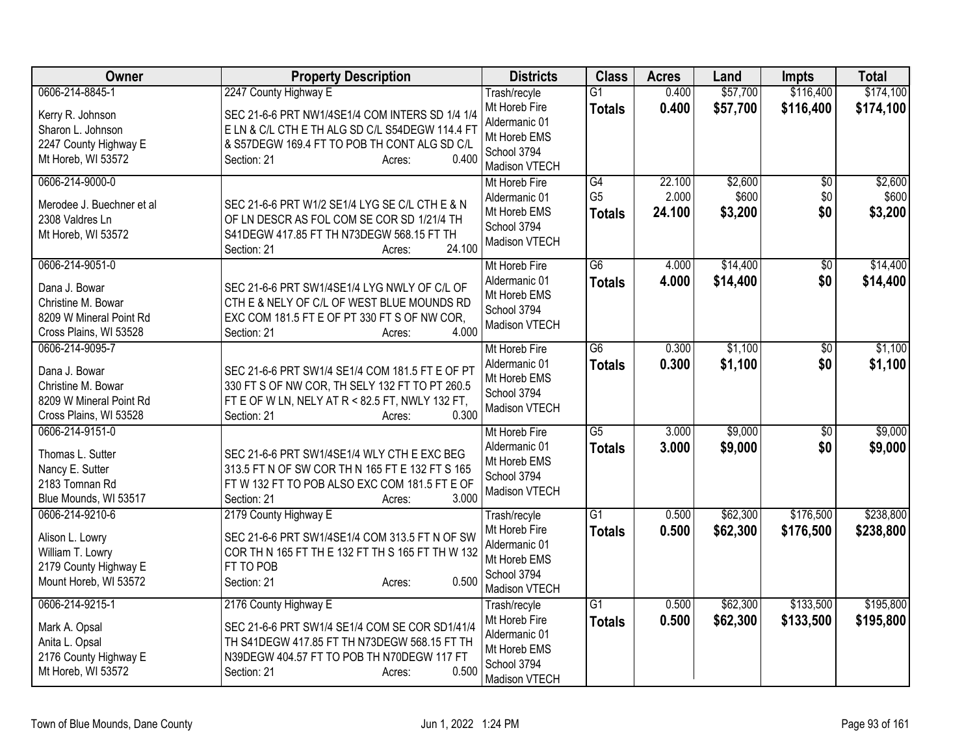| <b>Owner</b>                                                                                                | <b>Property Description</b>                                                                                                                                                                             | <b>Districts</b>                                                                               | <b>Class</b>                          | <b>Acres</b>              | Land                        | <b>Impts</b>             | <b>Total</b>                |
|-------------------------------------------------------------------------------------------------------------|---------------------------------------------------------------------------------------------------------------------------------------------------------------------------------------------------------|------------------------------------------------------------------------------------------------|---------------------------------------|---------------------------|-----------------------------|--------------------------|-----------------------------|
| 0606-214-8845-1                                                                                             | 2247 County Highway E                                                                                                                                                                                   | Trash/recyle                                                                                   | $\overline{G1}$                       | 0.400                     | \$57,700                    | \$116,400                | \$174,100                   |
| Kerry R. Johnson<br>Sharon L. Johnson<br>2247 County Highway E<br>Mt Horeb, WI 53572                        | SEC 21-6-6 PRT NW1/4SE1/4 COM INTERS SD 1/4 1/4<br>E LN & C/L CTH E TH ALG SD C/L S54DEGW 114.4 FT<br>& S57DEGW 169.4 FT TO POB TH CONT ALG SD C/L<br>0.400<br>Section: 21<br>Acres:                    | Mt Horeb Fire<br>Aldermanic 01<br>Mt Horeb EMS<br>School 3794<br>Madison VTECH                 | <b>Totals</b>                         | 0.400                     | \$57,700                    | \$116,400                | \$174,100                   |
| 0606-214-9000-0<br>Merodee J. Buechner et al<br>2308 Valdres Ln<br>Mt Horeb, WI 53572                       | SEC 21-6-6 PRT W1/2 SE1/4 LYG SE C/L CTH E & N<br>OF LN DESCR AS FOL COM SE COR SD 1/21/4 TH<br>S41DEGW 417.85 FT TH N73DEGW 568.15 FT TH<br>24.100<br>Section: 21<br>Acres:                            | Mt Horeb Fire<br>Aldermanic 01<br>Mt Horeb EMS<br>School 3794<br>Madison VTECH                 | G4<br>G <sub>5</sub><br><b>Totals</b> | 22.100<br>2.000<br>24.100 | \$2,600<br>\$600<br>\$3,200 | $\sqrt{6}$<br>\$0<br>\$0 | \$2,600<br>\$600<br>\$3,200 |
| 0606-214-9051-0<br>Dana J. Bowar<br>Christine M. Bowar<br>8209 W Mineral Point Rd<br>Cross Plains, WI 53528 | SEC 21-6-6 PRT SW1/4SE1/4 LYG NWLY OF C/L OF<br>CTH E & NELY OF C/L OF WEST BLUE MOUNDS RD<br>EXC COM 181.5 FT E OF PT 330 FT S OF NW COR,<br>4.000<br>Section: 21<br>Acres:                            | Mt Horeb Fire<br>Aldermanic 01<br>Mt Horeb EMS<br>School 3794<br>Madison VTECH                 | G6<br><b>Totals</b>                   | 4.000<br>4.000            | \$14,400<br>\$14,400        | $\overline{50}$<br>\$0   | \$14,400<br>\$14,400        |
| 0606-214-9095-7<br>Dana J. Bowar<br>Christine M. Bowar<br>8209 W Mineral Point Rd<br>Cross Plains, WI 53528 | SEC 21-6-6 PRT SW1/4 SE1/4 COM 181.5 FT E OF PT<br>330 FT S OF NW COR, TH SELY 132 FT TO PT 260.5<br>FT E OF W LN, NELY AT R < 82.5 FT, NWLY 132 FT,<br>0.300<br>Section: 21<br>Acres:                  | Mt Horeb Fire<br>Aldermanic 01<br>Mt Horeb EMS<br>School 3794<br>Madison VTECH                 | G6<br><b>Totals</b>                   | 0.300<br>0.300            | \$1,100<br>\$1,100          | $\overline{50}$<br>\$0   | \$1,100<br>\$1,100          |
| 0606-214-9151-0<br>Thomas L. Sutter<br>Nancy E. Sutter<br>2183 Tomnan Rd<br>Blue Mounds, WI 53517           | SEC 21-6-6 PRT SW1/4SE1/4 WLY CTH E EXC BEG<br>313.5 FT N OF SW COR TH N 165 FT E 132 FT S 165<br>FT W 132 FT TO POB ALSO EXC COM 181.5 FT E OF<br>3.000<br>Section: 21<br>Acres:                       | Mt Horeb Fire<br>Aldermanic 01<br>Mt Horeb EMS<br>School 3794<br>Madison VTECH                 | $\overline{G5}$<br><b>Totals</b>      | 3.000<br>3.000            | \$9,000<br>\$9,000          | $\overline{50}$<br>\$0   | \$9,000<br>\$9,000          |
| 0606-214-9210-6<br>Alison L. Lowry<br>William T. Lowry<br>2179 County Highway E<br>Mount Horeb, WI 53572    | 2179 County Highway E<br>SEC 21-6-6 PRT SW1/4SE1/4 COM 313.5 FT N OF SW<br>COR TH N 165 FT TH E 132 FT TH S 165 FT TH W 132<br>FT TO POB<br>0.500<br>Section: 21<br>Acres:                              | Trash/recyle<br>Mt Horeb Fire<br>Aldermanic 01<br>Mt Horeb EMS<br>School 3794<br>Madison VTECH | $\overline{G1}$<br><b>Totals</b>      | 0.500<br>0.500            | \$62,300<br>\$62,300        | \$176,500<br>\$176,500   | \$238,800<br>\$238,800      |
| 0606-214-9215-1<br>Mark A. Opsal<br>Anita L. Opsal<br>2176 County Highway E<br>Mt Horeb, WI 53572           | 2176 County Highway E<br>SEC 21-6-6 PRT SW1/4 SE1/4 COM SE COR SD1/41/4<br>TH S41DEGW 417.85 FT TH N73DEGW 568.15 FT TH<br>N39DEGW 404.57 FT TO POB TH N70DEGW 117 FT<br>0.500<br>Section: 21<br>Acres: | Trash/recyle<br>Mt Horeb Fire<br>Aldermanic 01<br>Mt Horeb EMS<br>School 3794<br>Madison VTECH | $\overline{G1}$<br><b>Totals</b>      | 0.500<br>0.500            | \$62,300<br>\$62,300        | \$133,500<br>\$133,500   | \$195,800<br>\$195,800      |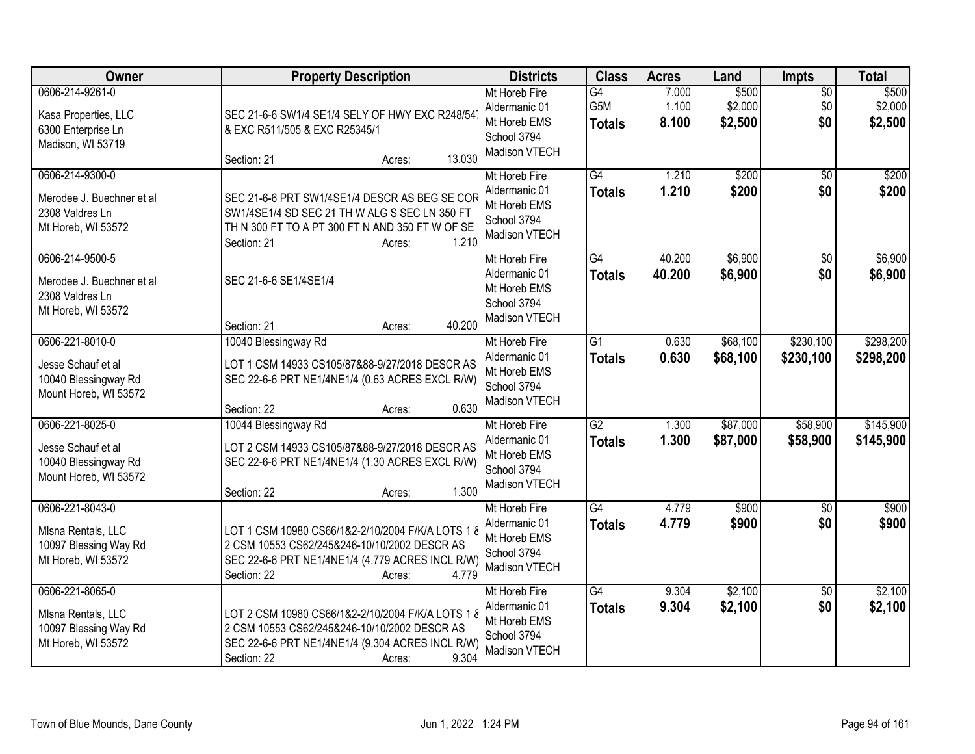| <b>Owner</b>                                                                           | <b>Property Description</b>                                                                                                                                                             | <b>Districts</b>                                                               | <b>Class</b>                     | <b>Acres</b>            | Land                        | Impts                         | <b>Total</b>                |
|----------------------------------------------------------------------------------------|-----------------------------------------------------------------------------------------------------------------------------------------------------------------------------------------|--------------------------------------------------------------------------------|----------------------------------|-------------------------|-----------------------------|-------------------------------|-----------------------------|
| 0606-214-9261-0<br>Kasa Properties, LLC<br>6300 Enterprise Ln<br>Madison, WI 53719     | SEC 21-6-6 SW1/4 SE1/4 SELY OF HWY EXC R248/54<br>& EXC R511/505 & EXC R25345/1<br>13.030<br>Section: 21<br>Acres:                                                                      | Mt Horeb Fire<br>Aldermanic 01<br>Mt Horeb EMS<br>School 3794<br>Madison VTECH | G4<br>G5M<br><b>Totals</b>       | 7.000<br>1.100<br>8.100 | \$500<br>\$2,000<br>\$2,500 | $\overline{50}$<br>\$0<br>\$0 | \$500<br>\$2,000<br>\$2,500 |
| 0606-214-9300-0<br>Merodee J. Buechner et al<br>2308 Valdres Ln<br>Mt Horeb, WI 53572  | SEC 21-6-6 PRT SW1/4SE1/4 DESCR AS BEG SE COR<br>SW1/4SE1/4 SD SEC 21 TH W ALG S SEC LN 350 FT<br>TH N 300 FT TO A PT 300 FT N AND 350 FT W OF SE<br>1.210<br>Section: 21<br>Acres:     | Mt Horeb Fire<br>Aldermanic 01<br>Mt Horeb EMS<br>School 3794<br>Madison VTECH | G4<br><b>Totals</b>              | 1.210<br>1.210          | \$200<br>\$200              | $\overline{50}$<br>\$0        | \$200<br>\$200              |
| 0606-214-9500-5<br>Merodee J. Buechner et al<br>2308 Valdres Ln<br>Mt Horeb, WI 53572  | SEC 21-6-6 SE1/4SE1/4<br>40.200<br>Section: 21<br>Acres:                                                                                                                                | Mt Horeb Fire<br>Aldermanic 01<br>Mt Horeb EMS<br>School 3794<br>Madison VTECH | $\overline{G4}$<br><b>Totals</b> | 40.200<br>40.200        | \$6,900<br>\$6,900          | $\overline{50}$<br>\$0        | \$6,900<br>\$6,900          |
| 0606-221-8010-0<br>Jesse Schauf et al<br>10040 Blessingway Rd<br>Mount Horeb, WI 53572 | 10040 Blessingway Rd<br>LOT 1 CSM 14933 CS105/87&88-9/27/2018 DESCR AS<br>SEC 22-6-6 PRT NE1/4NE1/4 (0.63 ACRES EXCL R/W)<br>0.630<br>Section: 22<br>Acres:                             | Mt Horeb Fire<br>Aldermanic 01<br>Mt Horeb EMS<br>School 3794<br>Madison VTECH | $\overline{G1}$<br><b>Totals</b> | 0.630<br>0.630          | \$68,100<br>\$68,100        | \$230,100<br>\$230,100        | \$298,200<br>\$298,200      |
| 0606-221-8025-0<br>Jesse Schauf et al<br>10040 Blessingway Rd<br>Mount Horeb, WI 53572 | 10044 Blessingway Rd<br>LOT 2 CSM 14933 CS105/87&88-9/27/2018 DESCR AS<br>SEC 22-6-6 PRT NE1/4NE1/4 (1.30 ACRES EXCL R/W)<br>1.300<br>Section: 22<br>Acres:                             | Mt Horeb Fire<br>Aldermanic 01<br>Mt Horeb EMS<br>School 3794<br>Madison VTECH | $\overline{G2}$<br><b>Totals</b> | 1.300<br>1.300          | \$87,000<br>\$87,000        | \$58,900<br>\$58,900          | \$145,900<br>\$145,900      |
| 0606-221-8043-0<br>MIsna Rentals, LLC<br>10097 Blessing Way Rd<br>Mt Horeb, WI 53572   | LOT 1 CSM 10980 CS66/1&2-2/10/2004 F/K/A LOTS 1 8<br>2 CSM 10553 CS62/245&246-10/10/2002 DESCR AS<br>SEC 22-6-6 PRT NE1/4NE1/4 (4.779 ACRES INCL R/W)<br>4.779<br>Section: 22<br>Acres: | Mt Horeb Fire<br>Aldermanic 01<br>Mt Horeb EMS<br>School 3794<br>Madison VTECH | $\overline{G4}$<br><b>Totals</b> | 4.779<br>4.779          | \$900<br>\$900              | $\overline{50}$<br>\$0        | \$900<br>\$900              |
| 0606-221-8065-0<br>MIsna Rentals, LLC<br>10097 Blessing Way Rd<br>Mt Horeb, WI 53572   | LOT 2 CSM 10980 CS66/1&2-2/10/2004 F/K/A LOTS 1 8<br>2 CSM 10553 CS62/245&246-10/10/2002 DESCR AS<br>SEC 22-6-6 PRT NE1/4NE1/4 (9.304 ACRES INCL R/W)<br>9.304<br>Section: 22<br>Acres: | Mt Horeb Fire<br>Aldermanic 01<br>Mt Horeb EMS<br>School 3794<br>Madison VTECH | $\overline{G4}$<br><b>Totals</b> | 9.304<br>9.304          | \$2,100<br>\$2,100          | $\overline{50}$<br>\$0        | \$2,100<br>\$2,100          |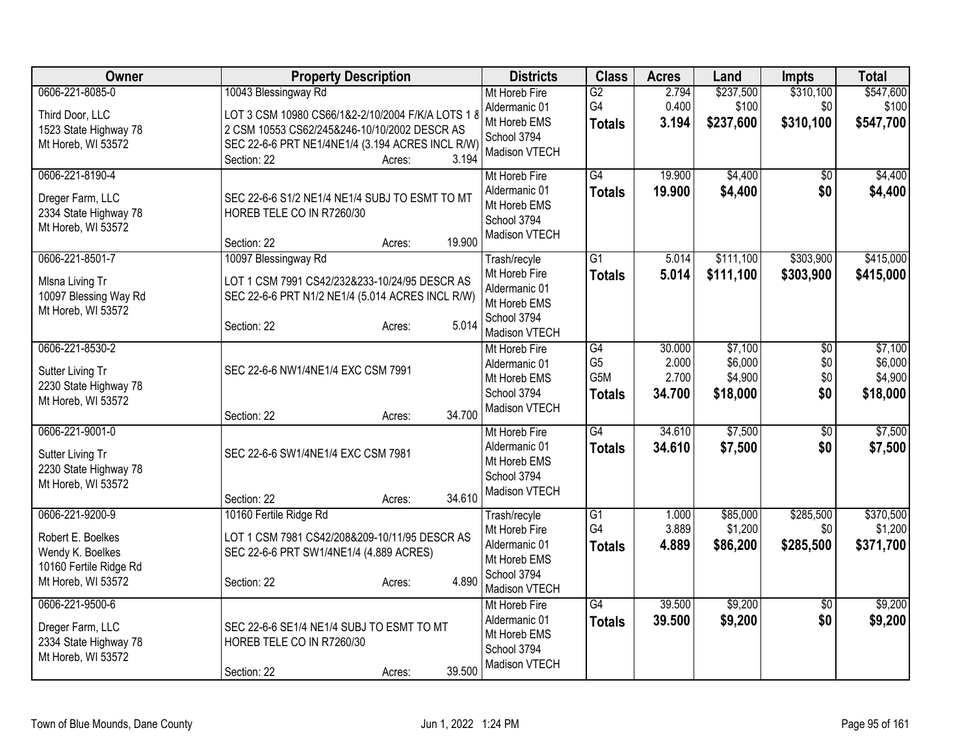| <b>Owner</b>                                                                                             | <b>Property Description</b>                                                                                                                                                                                     | <b>Districts</b>                                                                               | <b>Class</b>                                 | <b>Acres</b>                       | Land                                      | <b>Impts</b>                         | <b>Total</b>                              |
|----------------------------------------------------------------------------------------------------------|-----------------------------------------------------------------------------------------------------------------------------------------------------------------------------------------------------------------|------------------------------------------------------------------------------------------------|----------------------------------------------|------------------------------------|-------------------------------------------|--------------------------------------|-------------------------------------------|
| 0606-221-8085-0<br>Third Door, LLC<br>1523 State Highway 78<br>Mt Horeb, WI 53572                        | 10043 Blessingway Rd<br>LOT 3 CSM 10980 CS66/1&2-2/10/2004 F/K/A LOTS 1 8<br>2 CSM 10553 CS62/245&246-10/10/2002 DESCR AS<br>SEC 22-6-6 PRT NE1/4NE1/4 (3.194 ACRES INCL R/W)<br>3.194<br>Section: 22<br>Acres: | Mt Horeb Fire<br>Aldermanic 01<br>Mt Horeb EMS<br>School 3794<br>Madison VTECH                 | G2<br>G4<br><b>Totals</b>                    | 2.794<br>0.400<br>3.194            | \$237,500<br>\$100<br>\$237,600           | \$310,100<br>\$0<br>\$310,100        | \$547,600<br>\$100<br>\$547,700           |
| 0606-221-8190-4<br>Dreger Farm, LLC<br>2334 State Highway 78<br>Mt Horeb, WI 53572                       | SEC 22-6-6 S1/2 NE1/4 NE1/4 SUBJ TO ESMT TO MT<br>HOREB TELE CO IN R7260/30<br>19.900<br>Section: 22<br>Acres:                                                                                                  | Mt Horeb Fire<br>Aldermanic 01<br>Mt Horeb EMS<br>School 3794<br>Madison VTECH                 | G4<br><b>Totals</b>                          | 19.900<br>19.900                   | \$4,400<br>\$4,400                        | $\sqrt{6}$<br>\$0                    | \$4,400<br>\$4,400                        |
| 0606-221-8501-7<br>MIsna Living Tr<br>10097 Blessing Way Rd<br>Mt Horeb, WI 53572                        | 10097 Blessingway Rd<br>LOT 1 CSM 7991 CS42/232&233-10/24/95 DESCR AS<br>SEC 22-6-6 PRT N1/2 NE1/4 (5.014 ACRES INCL R/W)<br>5.014<br>Section: 22<br>Acres:                                                     | Trash/recyle<br>Mt Horeb Fire<br>Aldermanic 01<br>Mt Horeb EMS<br>School 3794<br>Madison VTECH | G1<br><b>Totals</b>                          | 5.014<br>5.014                     | \$111,100<br>\$111,100                    | \$303,900<br>\$303,900               | \$415,000<br>\$415,000                    |
| 0606-221-8530-2<br>Sutter Living Tr<br>2230 State Highway 78<br>Mt Horeb, WI 53572                       | SEC 22-6-6 NW1/4NE1/4 EXC CSM 7991<br>34.700<br>Section: 22<br>Acres:                                                                                                                                           | Mt Horeb Fire<br>Aldermanic 01<br>Mt Horeb EMS<br>School 3794<br>Madison VTECH                 | G4<br>G <sub>5</sub><br>G5M<br><b>Totals</b> | 30.000<br>2.000<br>2.700<br>34.700 | \$7,100<br>\$6,000<br>\$4,900<br>\$18,000 | $\overline{50}$<br>\$0<br>\$0<br>\$0 | \$7,100<br>\$6,000<br>\$4,900<br>\$18,000 |
| 0606-221-9001-0<br>Sutter Living Tr<br>2230 State Highway 78<br>Mt Horeb, WI 53572                       | SEC 22-6-6 SW1/4NE1/4 EXC CSM 7981<br>34.610<br>Section: 22<br>Acres:                                                                                                                                           | Mt Horeb Fire<br>Aldermanic 01<br>Mt Horeb EMS<br>School 3794<br>Madison VTECH                 | $\overline{G4}$<br><b>Totals</b>             | 34.610<br>34.610                   | \$7,500<br>\$7,500                        | $\overline{30}$<br>\$0               | \$7,500<br>\$7,500                        |
| 0606-221-9200-9<br>Robert E. Boelkes<br>Wendy K. Boelkes<br>10160 Fertile Ridge Rd<br>Mt Horeb, WI 53572 | 10160 Fertile Ridge Rd<br>LOT 1 CSM 7981 CS42/208&209-10/11/95 DESCR AS<br>SEC 22-6-6 PRT SW1/4NE1/4 (4.889 ACRES)<br>4.890<br>Section: 22<br>Acres:                                                            | Trash/recyle<br>Mt Horeb Fire<br>Aldermanic 01<br>Mt Horeb EMS<br>School 3794<br>Madison VTECH | $\overline{G1}$<br>G4<br><b>Totals</b>       | 1.000<br>3.889<br>4.889            | \$85,000<br>\$1,200<br>\$86,200           | \$285,500<br>\$0<br>\$285,500        | \$370,500<br>\$1,200<br>\$371,700         |
| 0606-221-9500-6<br>Dreger Farm, LLC<br>2334 State Highway 78<br>Mt Horeb, WI 53572                       | SEC 22-6-6 SE1/4 NE1/4 SUBJ TO ESMT TO MT<br>HOREB TELE CO IN R7260/30<br>39.500<br>Section: 22<br>Acres:                                                                                                       | Mt Horeb Fire<br>Aldermanic 01<br>Mt Horeb EMS<br>School 3794<br>Madison VTECH                 | $\overline{G4}$<br><b>Totals</b>             | 39.500<br>39.500                   | \$9,200<br>\$9,200                        | $\overline{50}$<br>\$0               | \$9,200<br>\$9,200                        |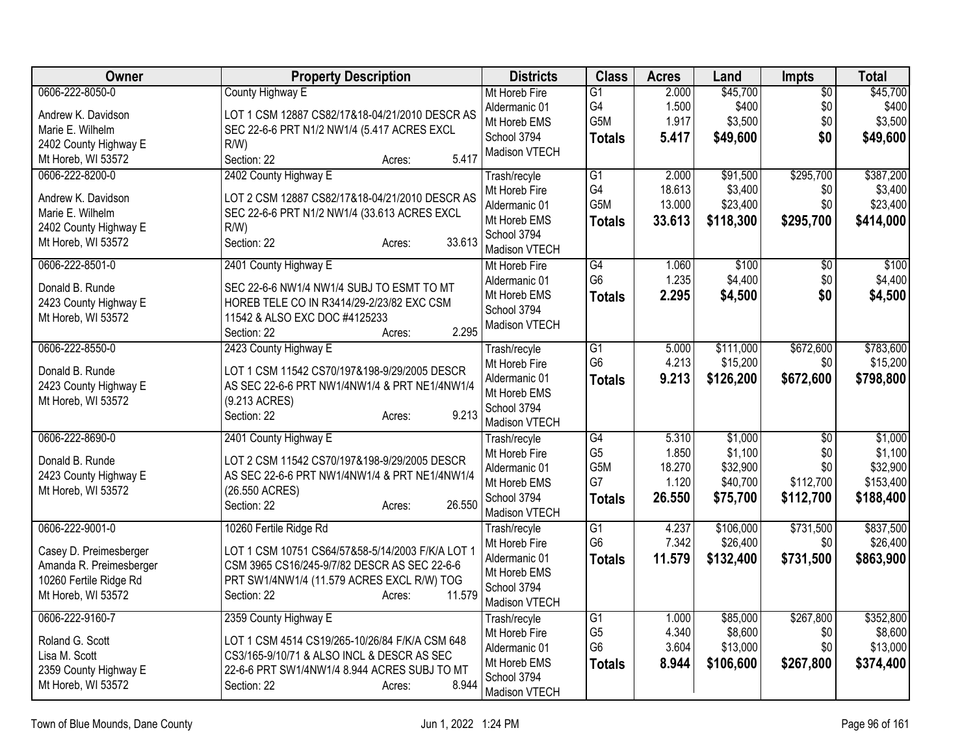| Owner                   | <b>Property Description</b>                      | <b>Districts</b>             | <b>Class</b>          | <b>Acres</b>    | Land                 | Impts           | <b>Total</b>          |
|-------------------------|--------------------------------------------------|------------------------------|-----------------------|-----------------|----------------------|-----------------|-----------------------|
| 0606-222-8050-0         | County Highway E                                 | Mt Horeb Fire                | $\overline{G1}$       | 2.000           | \$45,700             | $\overline{50}$ | \$45,700              |
| Andrew K. Davidson      | LOT 1 CSM 12887 CS82/17&18-04/21/2010 DESCR AS   | Aldermanic 01                | G4                    | 1.500           | \$400                | \$0             | \$400                 |
| Marie E. Wilhelm        | SEC 22-6-6 PRT N1/2 NW1/4 (5.417 ACRES EXCL      | Mt Horeb EMS                 | G5M                   | 1.917           | \$3,500              | \$0             | \$3,500               |
| 2402 County Highway E   | R/W                                              | School 3794                  | <b>Totals</b>         | 5.417           | \$49,600             | \$0             | \$49,600              |
| Mt Horeb, WI 53572      | 5.417<br>Section: 22<br>Acres:                   | Madison VTECH                |                       |                 |                      |                 |                       |
| 0606-222-8200-0         | 2402 County Highway E                            | Trash/recyle                 | G1                    | 2.000           | \$91,500             | \$295,700       | \$387,200             |
| Andrew K. Davidson      | LOT 2 CSM 12887 CS82/17&18-04/21/2010 DESCR AS   | Mt Horeb Fire                | G4                    | 18.613          | \$3,400              | \$0             | \$3,400               |
| Marie E. Wilhelm        | SEC 22-6-6 PRT N1/2 NW1/4 (33.613 ACRES EXCL     | Aldermanic 01                | G5M                   | 13.000          | \$23,400             | \$0             | \$23,400              |
| 2402 County Highway E   | R/W                                              | Mt Horeb EMS                 | <b>Totals</b>         | 33.613          | \$118,300            | \$295,700       | \$414,000             |
| Mt Horeb, WI 53572      | Section: 22<br>33.613<br>Acres:                  | School 3794                  |                       |                 |                      |                 |                       |
|                         |                                                  | Madison VTECH                |                       |                 |                      |                 |                       |
| 0606-222-8501-0         | 2401 County Highway E                            | Mt Horeb Fire                | $\overline{G4}$       | 1.060           | \$100                | $\overline{50}$ | \$100                 |
| Donald B. Runde         | SEC 22-6-6 NW1/4 NW1/4 SUBJ TO ESMT TO MT        | Aldermanic 01                | G <sub>6</sub>        | 1.235           | \$4,400              | \$0             | \$4,400               |
| 2423 County Highway E   | HOREB TELE CO IN R3414/29-2/23/82 EXC CSM        | Mt Horeb EMS                 | <b>Totals</b>         | 2.295           | \$4,500              | \$0             | \$4,500               |
| Mt Horeb, WI 53572      | 11542 & ALSO EXC DOC #4125233                    | School 3794<br>Madison VTECH |                       |                 |                      |                 |                       |
|                         | 2.295<br>Section: 22<br>Acres:                   |                              |                       |                 |                      |                 |                       |
| 0606-222-8550-0         | 2423 County Highway E                            | Trash/recyle                 | $\overline{G1}$       | 5.000           | \$111,000            | \$672,600       | \$783,600             |
| Donald B. Runde         | LOT 1 CSM 11542 CS70/197&198-9/29/2005 DESCR     | Mt Horeb Fire                | G <sub>6</sub>        | 4.213           | \$15,200             | \$0             | \$15,200              |
| 2423 County Highway E   | AS SEC 22-6-6 PRT NW1/4NW1/4 & PRT NE1/4NW1/4    | Aldermanic 01                | <b>Totals</b>         | 9.213           | \$126,200            | \$672,600       | \$798,800             |
| Mt Horeb, WI 53572      | (9.213 ACRES)                                    | Mt Horeb EMS                 |                       |                 |                      |                 |                       |
|                         | 9.213<br>Section: 22<br>Acres:                   | School 3794                  |                       |                 |                      |                 |                       |
|                         |                                                  | Madison VTECH                |                       |                 |                      |                 |                       |
| 0606-222-8690-0         | 2401 County Highway E                            | Trash/recyle                 | G4                    | 5.310           | \$1,000              | $\overline{50}$ | \$1,000               |
| Donald B. Runde         | LOT 2 CSM 11542 CS70/197&198-9/29/2005 DESCR     | Mt Horeb Fire                | G <sub>5</sub><br>G5M | 1.850<br>18.270 | \$1,100              | \$0<br>\$0      | \$1,100               |
| 2423 County Highway E   | AS SEC 22-6-6 PRT NW1/4NW1/4 & PRT NE1/4NW1/4    | Aldermanic 01                | G7                    | 1.120           | \$32,900<br>\$40,700 | \$112,700       | \$32,900<br>\$153,400 |
| Mt Horeb, WI 53572      | (26.550 ACRES)                                   | Mt Horeb EMS<br>School 3794  | <b>Totals</b>         | 26.550          | \$75,700             | \$112,700       | \$188,400             |
|                         | 26.550<br>Section: 22<br>Acres:                  | Madison VTECH                |                       |                 |                      |                 |                       |
| 0606-222-9001-0         | 10260 Fertile Ridge Rd                           | Trash/recyle                 | $\overline{G1}$       | 4.237           | \$106,000            | \$731,500       | \$837,500             |
|                         |                                                  | Mt Horeb Fire                | G <sub>6</sub>        | 7.342           | \$26,400             | \$0             | \$26,400              |
| Casey D. Preimesberger  | LOT 1 CSM 10751 CS64/57&58-5/14/2003 F/K/A LOT 1 | Aldermanic 01                | <b>Totals</b>         | 11.579          | \$132,400            | \$731,500       | \$863,900             |
| Amanda R. Preimesberger | CSM 3965 CS16/245-9/7/82 DESCR AS SEC 22-6-6     | Mt Horeb EMS                 |                       |                 |                      |                 |                       |
| 10260 Fertile Ridge Rd  | PRT SW1/4NW1/4 (11.579 ACRES EXCL R/W) TOG       | School 3794                  |                       |                 |                      |                 |                       |
| Mt Horeb, WI 53572      | 11.579<br>Section: 22<br>Acres:                  | Madison VTECH                |                       |                 |                      |                 |                       |
| 0606-222-9160-7         | 2359 County Highway E                            | Trash/recyle                 | G1                    | 1.000           | \$85,000             | \$267,800       | \$352,800             |
| Roland G. Scott         | LOT 1 CSM 4514 CS19/265-10/26/84 F/K/A CSM 648   | Mt Horeb Fire                | G <sub>5</sub>        | 4.340           | \$8,600              | \$0             | \$8,600               |
| Lisa M. Scott           | CS3/165-9/10/71 & ALSO INCL & DESCR AS SEC       | Aldermanic 01                | G <sub>6</sub>        | 3.604           | \$13,000             | \$0             | \$13,000              |
| 2359 County Highway E   | 22-6-6 PRT SW1/4NW1/4 8.944 ACRES SUBJ TO MT     | Mt Horeb EMS                 | <b>Totals</b>         | 8.944           | \$106,600            | \$267,800       | \$374,400             |
| Mt Horeb, WI 53572      | 8.944<br>Section: 22<br>Acres:                   | School 3794                  |                       |                 |                      |                 |                       |
|                         |                                                  | Madison VTECH                |                       |                 |                      |                 |                       |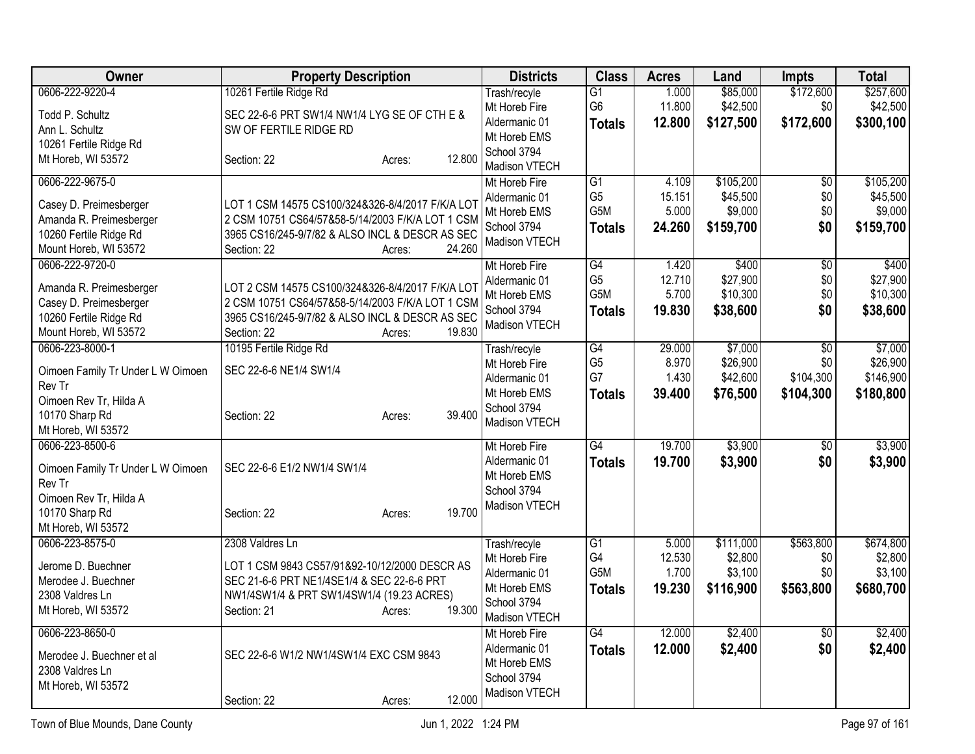| Owner                             | <b>Property Description</b>                      | <b>Districts</b>              | <b>Class</b>    | <b>Acres</b>    | Land                 | <b>Impts</b>    | <b>Total</b>         |
|-----------------------------------|--------------------------------------------------|-------------------------------|-----------------|-----------------|----------------------|-----------------|----------------------|
| 0606-222-9220-4                   | 10261 Fertile Ridge Rd                           | Trash/recyle                  | $\overline{G1}$ | 1.000           | \$85,000             | \$172,600       | \$257,600            |
| Todd P. Schultz                   | SEC 22-6-6 PRT SW1/4 NW1/4 LYG SE OF CTH E &     | Mt Horeb Fire                 | G <sub>6</sub>  | 11.800          | \$42,500             | \$0             | \$42,500             |
| Ann L. Schultz                    | SW OF FERTILE RIDGE RD                           | Aldermanic 01                 | <b>Totals</b>   | 12.800          | \$127,500            | \$172,600       | \$300,100            |
| 10261 Fertile Ridge Rd            |                                                  | Mt Horeb EMS                  |                 |                 |                      |                 |                      |
| Mt Horeb, WI 53572                | 12.800<br>Section: 22<br>Acres:                  | School 3794                   |                 |                 |                      |                 |                      |
|                                   |                                                  | Madison VTECH                 |                 |                 |                      |                 |                      |
| 0606-222-9675-0                   |                                                  | Mt Horeb Fire                 | $\overline{G1}$ | 4.109           | \$105,200            | $\overline{50}$ | \$105,200            |
| Casey D. Preimesberger            | LOT 1 CSM 14575 CS100/324&326-8/4/2017 F/K/A LOT | Aldermanic 01                 | G <sub>5</sub>  | 15.151          | \$45,500             | \$0             | \$45,500             |
| Amanda R. Preimesberger           | 2 CSM 10751 CS64/57&58-5/14/2003 F/K/A LOT 1 CSM | Mt Horeb EMS                  | G5M             | 5.000           | \$9,000              | \$0             | \$9,000              |
| 10260 Fertile Ridge Rd            | 3965 CS16/245-9/7/82 & ALSO INCL & DESCR AS SEC  | School 3794                   | <b>Totals</b>   | 24.260          | \$159,700            | \$0             | \$159,700            |
| Mount Horeb, WI 53572             | 24.260<br>Section: 22<br>Acres:                  | Madison VTECH                 |                 |                 |                      |                 |                      |
| 0606-222-9720-0                   |                                                  | Mt Horeb Fire                 | G4              | 1.420           | \$400                | $\overline{50}$ | \$400                |
|                                   |                                                  | Aldermanic 01                 | G <sub>5</sub>  | 12.710          | \$27,900             | \$0             | \$27,900             |
| Amanda R. Preimesberger           | LOT 2 CSM 14575 CS100/324&326-8/4/2017 F/K/A LOT | Mt Horeb EMS                  | G5M             | 5.700           | \$10,300             | \$0             | \$10,300             |
| Casey D. Preimesberger            | 2 CSM 10751 CS64/57&58-5/14/2003 F/K/A LOT 1 CSM | School 3794                   | <b>Totals</b>   | 19.830          | \$38,600             | \$0             | \$38,600             |
| 10260 Fertile Ridge Rd            | 3965 CS16/245-9/7/82 & ALSO INCL & DESCR AS SEC  | Madison VTECH                 |                 |                 |                      |                 |                      |
| Mount Horeb, WI 53572             | 19.830<br>Section: 22<br>Acres:                  |                               |                 |                 |                      |                 |                      |
| 0606-223-8000-1                   | 10195 Fertile Ridge Rd                           | Trash/recyle                  | $\overline{G4}$ | 29.000          | \$7,000              | $\overline{50}$ | \$7,000              |
| Oimoen Family Tr Under L W Oimoen | SEC 22-6-6 NE1/4 SW1/4                           | Mt Horeb Fire                 | G <sub>5</sub>  | 8.970           | \$26,900             | \$0             | \$26,900             |
| Rev Tr                            |                                                  | Aldermanic 01                 | G7              | 1.430           | \$42,600             | \$104,300       | \$146,900            |
| Oimoen Rev Tr, Hilda A            |                                                  | Mt Horeb EMS                  | <b>Totals</b>   | 39.400          | \$76,500             | \$104,300       | \$180,800            |
| 10170 Sharp Rd                    | 39.400<br>Section: 22<br>Acres:                  | School 3794                   |                 |                 |                      |                 |                      |
| Mt Horeb, WI 53572                |                                                  | Madison VTECH                 |                 |                 |                      |                 |                      |
| 0606-223-8500-6                   |                                                  | Mt Horeb Fire                 | G4              | 19.700          | \$3,900              | $\overline{30}$ | \$3,900              |
|                                   |                                                  | Aldermanic 01                 | <b>Totals</b>   | 19.700          | \$3,900              | \$0             | \$3,900              |
| Oimoen Family Tr Under L W Oimoen | SEC 22-6-6 E1/2 NW1/4 SW1/4                      | Mt Horeb EMS                  |                 |                 |                      |                 |                      |
| Rev Tr                            |                                                  | School 3794                   |                 |                 |                      |                 |                      |
| Oimoen Rev Tr, Hilda A            |                                                  | Madison VTECH                 |                 |                 |                      |                 |                      |
| 10170 Sharp Rd                    | 19.700<br>Section: 22<br>Acres:                  |                               |                 |                 |                      |                 |                      |
| Mt Horeb, WI 53572                | 2308 Valdres Ln                                  |                               | $\overline{G1}$ |                 |                      |                 |                      |
| 0606-223-8575-0                   |                                                  | Trash/recyle<br>Mt Horeb Fire | G4              | 5.000<br>12.530 | \$111,000<br>\$2,800 | \$563,800       | \$674,800<br>\$2,800 |
| Jerome D. Buechner                | LOT 1 CSM 9843 CS57/91&92-10/12/2000 DESCR AS    | Aldermanic 01                 | G5M             | 1.700           | \$3,100              | \$0<br>\$0      | \$3,100              |
| Merodee J. Buechner               | SEC 21-6-6 PRT NE1/4SE1/4 & SEC 22-6-6 PRT       | Mt Horeb EMS                  |                 | 19.230          |                      |                 |                      |
| 2308 Valdres Ln                   | NW1/4SW1/4 & PRT SW1/4SW1/4 (19.23 ACRES)        | School 3794                   | <b>Totals</b>   |                 | \$116,900            | \$563,800       | \$680,700            |
| Mt Horeb, WI 53572                | 19.300<br>Section: 21<br>Acres:                  | Madison VTECH                 |                 |                 |                      |                 |                      |
| 0606-223-8650-0                   |                                                  | Mt Horeb Fire                 | $\overline{G4}$ | 12.000          | \$2,400              | $\overline{50}$ | \$2,400              |
|                                   |                                                  | Aldermanic 01                 | <b>Totals</b>   | 12.000          | \$2,400              | \$0             | \$2,400              |
| Merodee J. Buechner et al         | SEC 22-6-6 W1/2 NW1/4SW1/4 EXC CSM 9843          | Mt Horeb EMS                  |                 |                 |                      |                 |                      |
| 2308 Valdres Ln                   |                                                  | School 3794                   |                 |                 |                      |                 |                      |
| Mt Horeb, WI 53572                |                                                  | Madison VTECH                 |                 |                 |                      |                 |                      |
|                                   | 12.000<br>Section: 22<br>Acres:                  |                               |                 |                 |                      |                 |                      |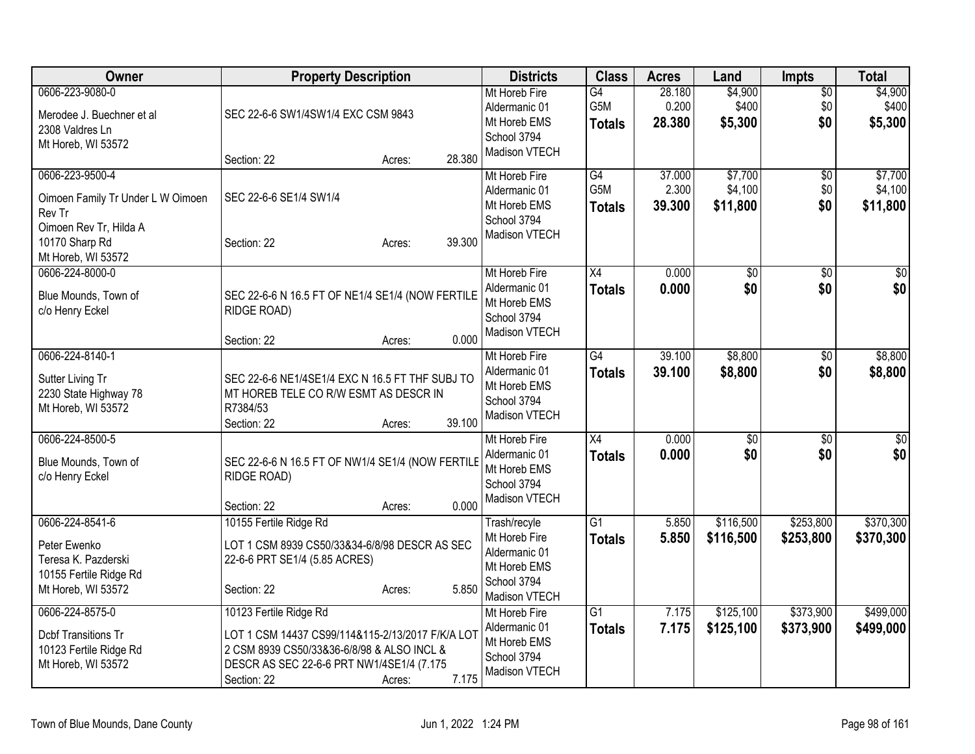| Owner                                                                                                                            | <b>Property Description</b>                                                                                                                                                                             | <b>Districts</b>                                                                               | <b>Class</b>                            | <b>Acres</b>              | Land                           | Impts                     | <b>Total</b>                   |
|----------------------------------------------------------------------------------------------------------------------------------|---------------------------------------------------------------------------------------------------------------------------------------------------------------------------------------------------------|------------------------------------------------------------------------------------------------|-----------------------------------------|---------------------------|--------------------------------|---------------------------|--------------------------------|
| 0606-223-9080-0<br>Merodee J. Buechner et al<br>2308 Valdres Ln<br>Mt Horeb, WI 53572                                            | SEC 22-6-6 SW1/4SW1/4 EXC CSM 9843                                                                                                                                                                      | Mt Horeb Fire<br>Aldermanic 01<br>Mt Horeb EMS<br>School 3794<br>Madison VTECH                 | $\overline{G4}$<br>G5M<br><b>Totals</b> | 28.180<br>0.200<br>28.380 | \$4,900<br>\$400<br>\$5,300    | $\sqrt{$0}$<br>\$0<br>\$0 | \$4,900<br>\$400<br>\$5,300    |
|                                                                                                                                  | 28.380<br>Section: 22<br>Acres:                                                                                                                                                                         |                                                                                                |                                         |                           |                                |                           |                                |
| 0606-223-9500-4<br>Oimoen Family Tr Under L W Oimoen<br>Rev Tr<br>Oimoen Rev Tr, Hilda A<br>10170 Sharp Rd<br>Mt Horeb, WI 53572 | SEC 22-6-6 SE1/4 SW1/4<br>39.300<br>Section: 22<br>Acres:                                                                                                                                               | Mt Horeb Fire<br>Aldermanic 01<br>Mt Horeb EMS<br>School 3794<br>Madison VTECH                 | G4<br>G5M<br><b>Totals</b>              | 37.000<br>2.300<br>39.300 | \$7,700<br>\$4,100<br>\$11,800 | \$0<br>\$0<br>\$0         | \$7,700<br>\$4,100<br>\$11,800 |
| 0606-224-8000-0<br>Blue Mounds, Town of<br>c/o Henry Eckel                                                                       | SEC 22-6-6 N 16.5 FT OF NE1/4 SE1/4 (NOW FERTILE<br>RIDGE ROAD)<br>0.000<br>Section: 22<br>Acres:                                                                                                       | Mt Horeb Fire<br>Aldermanic 01<br>Mt Horeb EMS<br>School 3794<br>Madison VTECH                 | X4<br><b>Totals</b>                     | 0.000<br>0.000            | \$0<br>\$0                     | \$0<br>\$0                | \$0<br>\$0                     |
| 0606-224-8140-1<br>Sutter Living Tr<br>2230 State Highway 78<br>Mt Horeb, WI 53572                                               | SEC 22-6-6 NE1/4SE1/4 EXC N 16.5 FT THF SUBJ TO<br>MT HOREB TELE CO R/W ESMT AS DESCR IN<br>R7384/53<br>39.100<br>Section: 22<br>Acres:                                                                 | Mt Horeb Fire<br>Aldermanic 01<br>Mt Horeb EMS<br>School 3794<br>Madison VTECH                 | G4<br><b>Totals</b>                     | 39.100<br>39.100          | \$8,800<br>\$8,800             | \$0<br>\$0                | \$8,800<br>\$8,800             |
| 0606-224-8500-5<br>Blue Mounds, Town of<br>c/o Henry Eckel                                                                       | SEC 22-6-6 N 16.5 FT OF NW1/4 SE1/4 (NOW FERTILE<br>RIDGE ROAD)<br>0.000<br>Section: 22<br>Acres:                                                                                                       | Mt Horeb Fire<br>Aldermanic 01<br>Mt Horeb EMS<br>School 3794<br>Madison VTECH                 | $\overline{X4}$<br><b>Totals</b>        | 0.000<br>0.000            | $\overline{50}$<br>\$0         | \$0<br>\$0                | $\sqrt{50}$<br>\$0             |
| 0606-224-8541-6<br>Peter Ewenko<br>Teresa K. Pazderski<br>10155 Fertile Ridge Rd<br>Mt Horeb, WI 53572                           | 10155 Fertile Ridge Rd<br>LOT 1 CSM 8939 CS50/33&34-6/8/98 DESCR AS SEC<br>22-6-6 PRT SE1/4 (5.85 ACRES)<br>5.850<br>Section: 22<br>Acres:                                                              | Trash/recyle<br>Mt Horeb Fire<br>Aldermanic 01<br>Mt Horeb EMS<br>School 3794<br>Madison VTECH | $\overline{G1}$<br><b>Totals</b>        | 5.850<br>5.850            | \$116,500<br>\$116,500         | \$253,800<br>\$253,800    | \$370,300<br>\$370,300         |
| 0606-224-8575-0<br><b>Dcbf Transitions Tr</b><br>10123 Fertile Ridge Rd<br>Mt Horeb, WI 53572                                    | 10123 Fertile Ridge Rd<br>LOT 1 CSM 14437 CS99/114&115-2/13/2017 F/K/A LOT<br>2 CSM 8939 CS50/33&36-6/8/98 & ALSO INCL &<br>DESCR AS SEC 22-6-6 PRT NW1/4SE1/4 (7.175<br>7.175<br>Section: 22<br>Acres: | Mt Horeb Fire<br>Aldermanic 01<br>Mt Horeb EMS<br>School 3794<br>Madison VTECH                 | $\overline{G1}$<br><b>Totals</b>        | 7.175<br>7.175            | \$125,100<br>\$125,100         | \$373,900<br>\$373,900    | \$499,000<br>\$499,000         |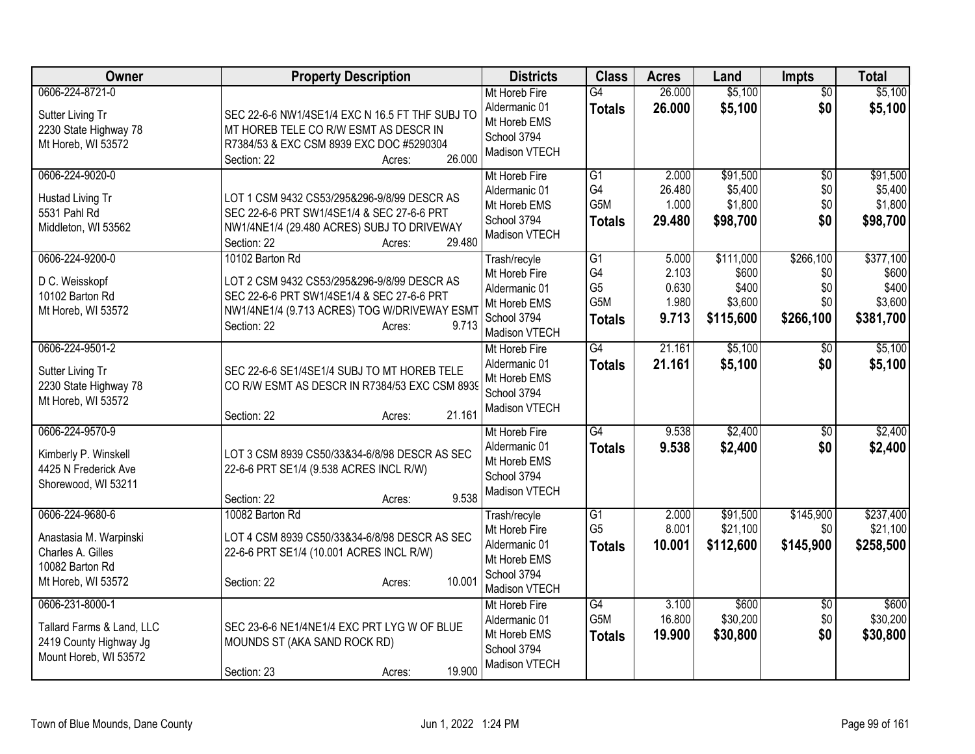| Owner                                                                                                   | <b>Property Description</b>                                                                                                                                                                    | <b>Districts</b>                                                                               | <b>Class</b>                                | <b>Acres</b>                              | Land                                                | <b>Impts</b>                                | <b>Total</b>                                        |
|---------------------------------------------------------------------------------------------------------|------------------------------------------------------------------------------------------------------------------------------------------------------------------------------------------------|------------------------------------------------------------------------------------------------|---------------------------------------------|-------------------------------------------|-----------------------------------------------------|---------------------------------------------|-----------------------------------------------------|
| 0606-224-8721-0<br>Sutter Living Tr<br>2230 State Highway 78<br>Mt Horeb, WI 53572                      | SEC 22-6-6 NW1/4SE1/4 EXC N 16.5 FT THF SUBJ TO<br>MT HOREB TELE CO R/W ESMT AS DESCR IN<br>R7384/53 & EXC CSM 8939 EXC DOC #5290304<br>26.000<br>Section: 22<br>Acres:                        | Mt Horeb Fire<br>Aldermanic 01<br>Mt Horeb EMS<br>School 3794<br>Madison VTECH                 | G4<br><b>Totals</b>                         | 26.000<br>26.000                          | \$5,100<br>\$5,100                                  | $\overline{50}$<br>\$0                      | \$5,100<br>\$5,100                                  |
| 0606-224-9020-0<br>Hustad Living Tr<br>5531 Pahl Rd<br>Middleton, WI 53562                              | LOT 1 CSM 9432 CS53/295&296-9/8/99 DESCR AS<br>SEC 22-6-6 PRT SW1/4SE1/4 & SEC 27-6-6 PRT<br>NW1/4NE1/4 (29.480 ACRES) SUBJ TO DRIVEWAY<br>29.480<br>Section: 22<br>Acres:                     | Mt Horeb Fire<br>Aldermanic 01<br>Mt Horeb EMS<br>School 3794<br>Madison VTECH                 | G1<br>G4<br>G5M<br><b>Totals</b>            | 2.000<br>26.480<br>1.000<br>29.480        | \$91,500<br>\$5,400<br>\$1,800<br>\$98,700          | \$0<br>\$0<br>\$0<br>\$0                    | \$91,500<br>\$5,400<br>\$1,800<br>\$98,700          |
| 0606-224-9200-0<br>D C. Weisskopf<br>10102 Barton Rd<br>Mt Horeb, WI 53572                              | 10102 Barton Rd<br>LOT 2 CSM 9432 CS53/295&296-9/8/99 DESCR AS<br>SEC 22-6-6 PRT SW1/4SE1/4 & SEC 27-6-6 PRT<br>NW1/4NE1/4 (9.713 ACRES) TOG W/DRIVEWAY ESM1<br>9.713<br>Section: 22<br>Acres: | Trash/recyle<br>Mt Horeb Fire<br>Aldermanic 01<br>Mt Horeb EMS<br>School 3794<br>Madison VTECH | G1<br>G4<br>G <sub>5</sub><br>G5M<br>Totals | 5.000<br>2.103<br>0.630<br>1.980<br>9.713 | \$111,000<br>\$600<br>\$400<br>\$3,600<br>\$115,600 | \$266,100<br>\$0<br>\$0<br>\$0<br>\$266,100 | \$377,100<br>\$600<br>\$400<br>\$3,600<br>\$381,700 |
| 0606-224-9501-2<br>Sutter Living Tr<br>2230 State Highway 78<br>Mt Horeb, WI 53572                      | SEC 22-6-6 SE1/4SE1/4 SUBJ TO MT HOREB TELE<br>CO R/W ESMT AS DESCR IN R7384/53 EXC CSM 8939<br>21.161<br>Section: 22<br>Acres:                                                                | Mt Horeb Fire<br>Aldermanic 01<br>Mt Horeb EMS<br>School 3794<br>Madison VTECH                 | G4<br><b>Totals</b>                         | 21.161<br>21.161                          | \$5,100<br>\$5,100                                  | \$0<br>\$0                                  | \$5,100<br>\$5,100                                  |
| 0606-224-9570-9<br>Kimberly P. Winskell<br>4425 N Frederick Ave<br>Shorewood, WI 53211                  | LOT 3 CSM 8939 CS50/33&34-6/8/98 DESCR AS SEC<br>22-6-6 PRT SE1/4 (9.538 ACRES INCL R/W)<br>9.538<br>Section: 22<br>Acres:                                                                     | Mt Horeb Fire<br>Aldermanic 01<br>Mt Horeb EMS<br>School 3794<br>Madison VTECH                 | G4<br><b>Totals</b>                         | 9.538<br>9.538                            | \$2,400<br>\$2,400                                  | \$0<br>\$0                                  | \$2,400<br>\$2,400                                  |
| 0606-224-9680-6<br>Anastasia M. Warpinski<br>Charles A. Gilles<br>10082 Barton Rd<br>Mt Horeb, WI 53572 | 10082 Barton Rd<br>LOT 4 CSM 8939 CS50/33&34-6/8/98 DESCR AS SEC<br>22-6-6 PRT SE1/4 (10.001 ACRES INCL R/W)<br>10.001<br>Section: 22<br>Acres:                                                | Trash/recyle<br>Mt Horeb Fire<br>Aldermanic 01<br>Mt Horeb EMS<br>School 3794<br>Madison VTECH | G1<br>G <sub>5</sub><br><b>Totals</b>       | 2.000<br>8.001<br>10.001                  | \$91,500<br>\$21,100<br>\$112,600                   | \$145,900<br>\$0<br>\$145,900               | \$237,400<br>\$21,100<br>\$258,500                  |
| 0606-231-8000-1<br>Tallard Farms & Land, LLC<br>2419 County Highway Jg<br>Mount Horeb, WI 53572         | SEC 23-6-6 NE1/4NE1/4 EXC PRT LYG W OF BLUE<br>MOUNDS ST (AKA SAND ROCK RD)<br>19.900<br>Section: 23<br>Acres:                                                                                 | Mt Horeb Fire<br>Aldermanic 01<br>Mt Horeb EMS<br>School 3794<br>Madison VTECH                 | G4<br>G5M<br><b>Totals</b>                  | 3.100<br>16.800<br>19.900                 | \$600<br>\$30,200<br>\$30,800                       | $\overline{60}$<br>\$0<br>\$0               | \$600<br>\$30,200<br>\$30,800                       |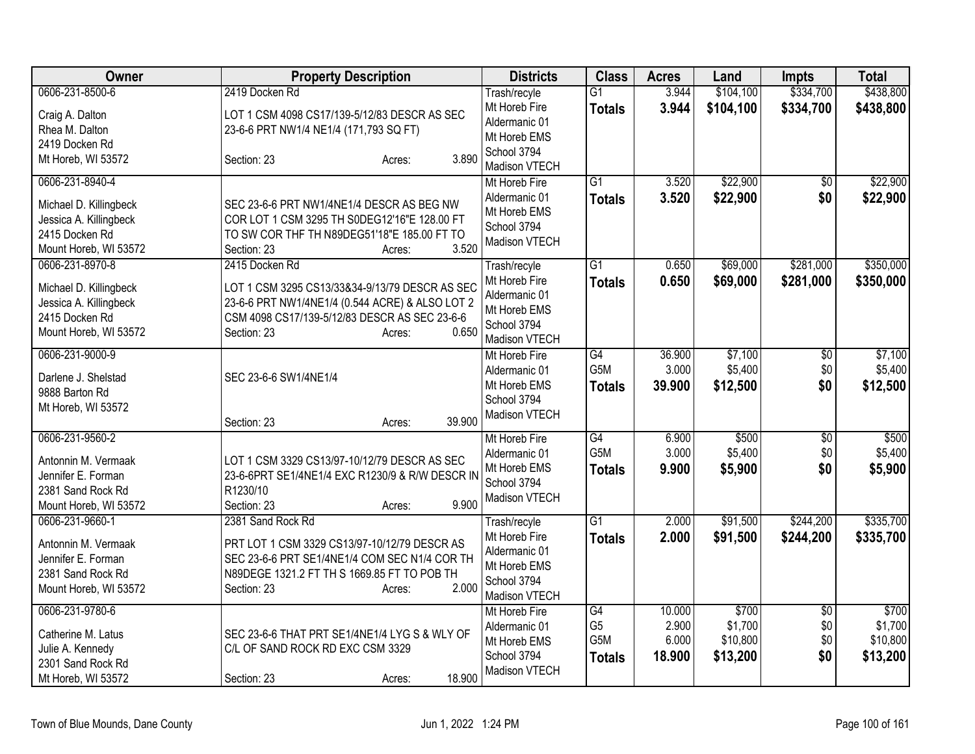| Owner                                                                                       | <b>Property Description</b>                                                                                                                                                          | <b>Districts</b>                                                               | <b>Class</b>                      | <b>Acres</b>    | Land                | <b>Impts</b>    | <b>Total</b>        |
|---------------------------------------------------------------------------------------------|--------------------------------------------------------------------------------------------------------------------------------------------------------------------------------------|--------------------------------------------------------------------------------|-----------------------------------|-----------------|---------------------|-----------------|---------------------|
| 0606-231-8500-6                                                                             | 2419 Docken Rd                                                                                                                                                                       | Trash/recyle                                                                   | $\overline{G1}$                   | 3.944           | \$104,100           | \$334,700       | \$438,800           |
| Craig A. Dalton<br>Rhea M. Dalton                                                           | LOT 1 CSM 4098 CS17/139-5/12/83 DESCR AS SEC<br>23-6-6 PRT NW1/4 NE1/4 (171,793 SQ FT)                                                                                               | Mt Horeb Fire<br>Aldermanic 01<br>Mt Horeb EMS                                 | <b>Totals</b>                     | 3.944           | \$104,100           | \$334,700       | \$438,800           |
| 2419 Docken Rd<br>Mt Horeb, WI 53572                                                        | 3.890<br>Section: 23<br>Acres:                                                                                                                                                       | School 3794<br>Madison VTECH                                                   |                                   |                 |                     |                 |                     |
| 0606-231-8940-4                                                                             |                                                                                                                                                                                      | Mt Horeb Fire                                                                  | $\overline{G1}$                   | 3.520           | \$22,900            | $\sqrt{6}$      | \$22,900            |
| Michael D. Killingbeck<br>Jessica A. Killingbeck<br>2415 Docken Rd<br>Mount Horeb, WI 53572 | SEC 23-6-6 PRT NW1/4NE1/4 DESCR AS BEG NW<br>COR LOT 1 CSM 3295 TH S0DEG12'16"E 128.00 FT<br>TO SW COR THF TH N89DEG51'18"E 185.00 FT TO<br>3.520<br>Section: 23<br>Acres:           | Aldermanic 01<br>Mt Horeb EMS<br>School 3794<br>Madison VTECH                  | <b>Totals</b>                     | 3.520           | \$22,900            | \$0             | \$22,900            |
| 0606-231-8970-8                                                                             | 2415 Docken Rd                                                                                                                                                                       | Trash/recyle                                                                   | $\overline{G1}$                   | 0.650           | \$69,000            | \$281,000       | \$350,000           |
| Michael D. Killingbeck<br>Jessica A. Killingbeck<br>2415 Docken Rd<br>Mount Horeb, WI 53572 | LOT 1 CSM 3295 CS13/33&34-9/13/79 DESCR AS SEC<br>23-6-6 PRT NW1/4NE1/4 (0.544 ACRE) & ALSO LOT 2<br>CSM 4098 CS17/139-5/12/83 DESCR AS SEC 23-6-6<br>0.650<br>Section: 23<br>Acres: | Mt Horeb Fire<br>Aldermanic 01<br>Mt Horeb EMS<br>School 3794<br>Madison VTECH | <b>Totals</b>                     | 0.650           | \$69,000            | \$281,000       | \$350,000           |
| 0606-231-9000-9                                                                             |                                                                                                                                                                                      | Mt Horeb Fire                                                                  | $\overline{G4}$                   | 36.900          | \$7,100             | \$0             | \$7,100             |
| Darlene J. Shelstad                                                                         | SEC 23-6-6 SW1/4NE1/4                                                                                                                                                                | Aldermanic 01<br>Mt Horeb EMS                                                  | G <sub>5</sub> M<br><b>Totals</b> | 3.000<br>39.900 | \$5,400<br>\$12,500 | \$0<br>\$0      | \$5,400<br>\$12,500 |
| 9888 Barton Rd                                                                              |                                                                                                                                                                                      | School 3794                                                                    |                                   |                 |                     |                 |                     |
| Mt Horeb, WI 53572                                                                          | 39.900<br>Section: 23<br>Acres:                                                                                                                                                      | Madison VTECH                                                                  |                                   |                 |                     |                 |                     |
| 0606-231-9560-2                                                                             |                                                                                                                                                                                      | Mt Horeb Fire                                                                  | G4<br>G5M                         | 6.900<br>3.000  | \$500               | $\overline{50}$ | \$500               |
| Antonnin M. Vermaak                                                                         | LOT 1 CSM 3329 CS13/97-10/12/79 DESCR AS SEC                                                                                                                                         | Aldermanic 01<br>Mt Horeb EMS                                                  | <b>Totals</b>                     | 9.900           | \$5,400<br>\$5,900  | \$0<br>\$0      | \$5,400<br>\$5,900  |
| Jennifer E. Forman                                                                          | 23-6-6PRT SE1/4NE1/4 EXC R1230/9 & R/W DESCR IN                                                                                                                                      | School 3794                                                                    |                                   |                 |                     |                 |                     |
| 2381 Sand Rock Rd<br>Mount Horeb, WI 53572                                                  | R1230/10<br>9.900<br>Section: 23                                                                                                                                                     | Madison VTECH                                                                  |                                   |                 |                     |                 |                     |
| 0606-231-9660-1                                                                             | Acres:<br>2381 Sand Rock Rd                                                                                                                                                          | Trash/recyle                                                                   | $\overline{G1}$                   | 2.000           | \$91,500            | \$244,200       | \$335,700           |
| Antonnin M. Vermaak<br>Jennifer E. Forman<br>2381 Sand Rock Rd<br>Mount Horeb, WI 53572     | PRT LOT 1 CSM 3329 CS13/97-10/12/79 DESCR AS<br>SEC 23-6-6 PRT SE1/4NE1/4 COM SEC N1/4 COR TH<br>N89DEGE 1321.2 FT TH S 1669.85 FT TO POB TH<br>2.000<br>Section: 23<br>Acres:       | Mt Horeb Fire<br>Aldermanic 01<br>Mt Horeb EMS<br>School 3794<br>Madison VTECH | <b>Totals</b>                     | 2.000           | \$91,500            | \$244,200       | \$335,700           |
| 0606-231-9780-6                                                                             |                                                                                                                                                                                      | Mt Horeb Fire<br>Aldermanic 01                                                 | $\overline{G4}$<br>G <sub>5</sub> | 10.000<br>2.900 | \$700<br>\$1,700    | \$0<br>\$0      | \$700<br>\$1,700    |
| Catherine M. Latus                                                                          | SEC 23-6-6 THAT PRT SE1/4NE1/4 LYG S & WLY OF                                                                                                                                        | Mt Horeb EMS                                                                   | G5M                               | 6.000           | \$10,800            | \$0             | \$10,800            |
| Julie A. Kennedy                                                                            | C/L OF SAND ROCK RD EXC CSM 3329                                                                                                                                                     | School 3794                                                                    | <b>Totals</b>                     | 18.900          | \$13,200            | \$0             | \$13,200            |
| 2301 Sand Rock Rd<br>Mt Horeb, WI 53572                                                     | 18.900<br>Section: 23<br>Acres:                                                                                                                                                      | Madison VTECH                                                                  |                                   |                 |                     |                 |                     |
|                                                                                             |                                                                                                                                                                                      |                                                                                |                                   |                 |                     |                 |                     |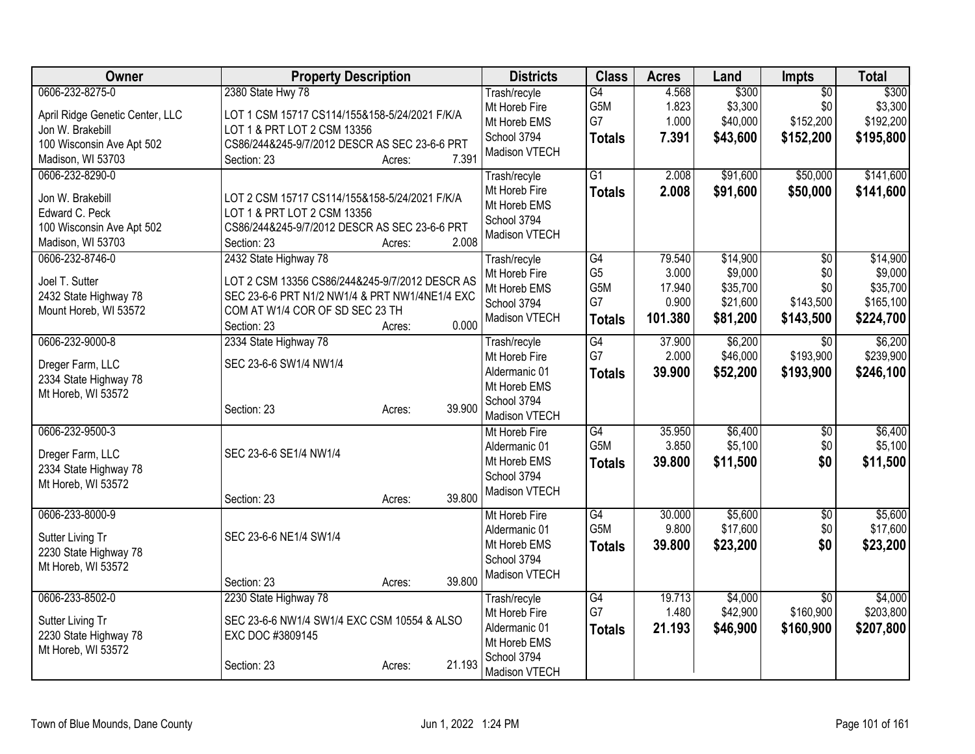| Owner                                                                                                                    | <b>Property Description</b>                                                                                                                                                                    | <b>Districts</b>                                                                               | <b>Class</b>                                         | <b>Acres</b>                                  | Land                                                    | <b>Impts</b>                                     | <b>Total</b>                                              |
|--------------------------------------------------------------------------------------------------------------------------|------------------------------------------------------------------------------------------------------------------------------------------------------------------------------------------------|------------------------------------------------------------------------------------------------|------------------------------------------------------|-----------------------------------------------|---------------------------------------------------------|--------------------------------------------------|-----------------------------------------------------------|
| 0606-232-8275-0<br>April Ridge Genetic Center, LLC<br>Jon W. Brakebill<br>100 Wisconsin Ave Apt 502<br>Madison, WI 53703 | 2380 State Hwy 78<br>LOT 1 CSM 15717 CS114/155&158-5/24/2021 F/K/A<br>LOT 1 & PRT LOT 2 CSM 13356<br>CS86/244&245-9/7/2012 DESCR AS SEC 23-6-6 PRT<br>7.391<br>Section: 23<br>Acres:           | Trash/recyle<br>Mt Horeb Fire<br>Mt Horeb EMS<br>School 3794<br>Madison VTECH                  | G4<br>G5M<br>G7<br><b>Totals</b>                     | 4.568<br>1.823<br>1.000<br>7.391              | \$300<br>\$3,300<br>\$40,000<br>\$43,600                | $\overline{50}$<br>\$0<br>\$152,200<br>\$152,200 | \$300<br>\$3,300<br>\$192,200<br>\$195,800                |
| 0606-232-8290-0<br>Jon W. Brakebill<br>Edward C. Peck<br>100 Wisconsin Ave Apt 502<br>Madison, WI 53703                  | LOT 2 CSM 15717 CS114/155&158-5/24/2021 F/K/A<br>LOT 1 & PRT LOT 2 CSM 13356<br>CS86/244&245-9/7/2012 DESCR AS SEC 23-6-6 PRT<br>2.008<br>Section: 23<br>Acres:                                | Trash/recyle<br>Mt Horeb Fire<br>Mt Horeb EMS<br>School 3794<br>Madison VTECH                  | $\overline{G1}$<br><b>Totals</b>                     | 2.008<br>2.008                                | \$91,600<br>\$91,600                                    | \$50,000<br>\$50,000                             | \$141,600<br>\$141,600                                    |
| 0606-232-8746-0<br>Joel T. Sutter<br>2432 State Highway 78<br>Mount Horeb, WI 53572                                      | 2432 State Highway 78<br>LOT 2 CSM 13356 CS86/244&245-9/7/2012 DESCR AS<br>SEC 23-6-6 PRT N1/2 NW1/4 & PRT NW1/4NE1/4 EXC<br>COM AT W1/4 COR OF SD SEC 23 TH<br>0.000<br>Section: 23<br>Acres: | Trash/recyle<br>Mt Horeb Fire<br>Mt Horeb EMS<br>School 3794<br>Madison VTECH                  | G4<br>G <sub>5</sub><br>G5M<br>G7<br><b>Totals</b>   | 79.540<br>3.000<br>17.940<br>0.900<br>101.380 | \$14,900<br>\$9,000<br>\$35,700<br>\$21,600<br>\$81,200 | \$0<br>\$0<br>\$0<br>\$143,500<br>\$143,500      | \$14,900<br>\$9,000<br>\$35,700<br>\$165,100<br>\$224,700 |
| 0606-232-9000-8<br>Dreger Farm, LLC<br>2334 State Highway 78<br>Mt Horeb, WI 53572                                       | 2334 State Highway 78<br>SEC 23-6-6 SW1/4 NW1/4<br>39.900<br>Section: 23<br>Acres:                                                                                                             | Trash/recyle<br>Mt Horeb Fire<br>Aldermanic 01<br>Mt Horeb EMS<br>School 3794<br>Madison VTECH | $\overline{G4}$<br>G7<br><b>Totals</b>               | 37.900<br>2.000<br>39.900                     | \$6,200<br>\$46,000<br>\$52,200                         | $\overline{30}$<br>\$193,900<br>\$193,900        | \$6,200<br>\$239,900<br>\$246,100                         |
| 0606-232-9500-3<br>Dreger Farm, LLC<br>2334 State Highway 78<br>Mt Horeb, WI 53572                                       | SEC 23-6-6 SE1/4 NW1/4<br>39.800<br>Section: 23<br>Acres:                                                                                                                                      | Mt Horeb Fire<br>Aldermanic 01<br>Mt Horeb EMS<br>School 3794<br>Madison VTECH                 | G4<br>G5M<br><b>Totals</b>                           | 35.950<br>3.850<br>39.800                     | \$6,400<br>\$5,100<br>\$11,500                          | \$0<br>\$0<br>\$0                                | \$6,400<br>\$5,100<br>\$11,500                            |
| 0606-233-8000-9<br>Sutter Living Tr<br>2230 State Highway 78<br>Mt Horeb, WI 53572                                       | SEC 23-6-6 NE1/4 SW1/4<br>Section: 23<br>39.800<br>Acres:                                                                                                                                      | Mt Horeb Fire<br>Aldermanic 01<br>Mt Horeb EMS<br>School 3794<br>Madison VTECH                 | $\overline{G4}$<br>G <sub>5</sub> M<br><b>Totals</b> | 30.000<br>9.800<br>39.800                     | \$5,600<br>\$17,600<br>\$23,200                         | $\overline{50}$<br>\$0<br>\$0                    | \$5,600<br>\$17,600<br>\$23,200                           |
| 0606-233-8502-0<br>Sutter Living Tr<br>2230 State Highway 78<br>Mt Horeb, WI 53572                                       | 2230 State Highway 78<br>SEC 23-6-6 NW1/4 SW1/4 EXC CSM 10554 & ALSO<br>EXC DOC #3809145<br>21.193<br>Section: 23<br>Acres:                                                                    | Trash/recyle<br>Mt Horeb Fire<br>Aldermanic 01<br>Mt Horeb EMS<br>School 3794<br>Madison VTECH | G4<br>G7<br><b>Totals</b>                            | 19.713<br>1.480<br>21.193                     | \$4,000<br>\$42,900<br>\$46,900                         | $\overline{50}$<br>\$160,900<br>\$160,900        | \$4,000<br>\$203,800<br>\$207,800                         |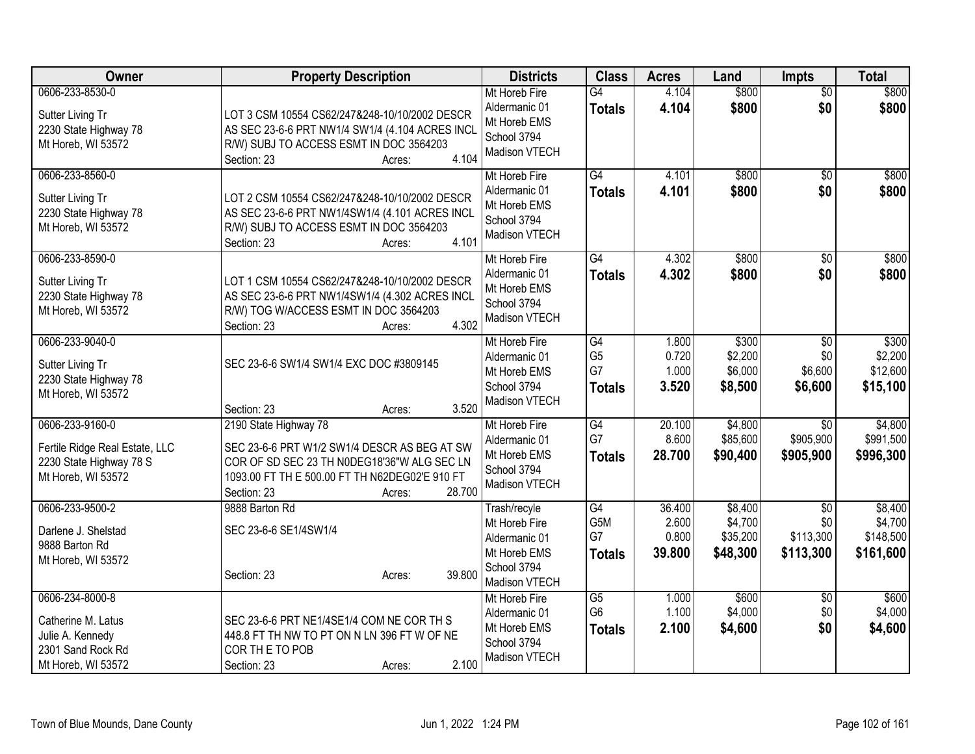| <b>Owner</b>                                                                                         | <b>Property Description</b>                                                                                                                                                                               | <b>Districts</b>                                                                               | <b>Class</b>                                | <b>Acres</b>                       | Land                                       | <b>Impts</b>                               | <b>Total</b>                                 |
|------------------------------------------------------------------------------------------------------|-----------------------------------------------------------------------------------------------------------------------------------------------------------------------------------------------------------|------------------------------------------------------------------------------------------------|---------------------------------------------|------------------------------------|--------------------------------------------|--------------------------------------------|----------------------------------------------|
| 0606-233-8530-0<br>Sutter Living Tr<br>2230 State Highway 78<br>Mt Horeb, WI 53572                   | LOT 3 CSM 10554 CS62/247&248-10/10/2002 DESCR<br>AS SEC 23-6-6 PRT NW1/4 SW1/4 (4.104 ACRES INCL<br>R/W) SUBJ TO ACCESS ESMT IN DOC 3564203<br>4.104<br>Section: 23<br>Acres:                             | Mt Horeb Fire<br>Aldermanic 01<br>Mt Horeb EMS<br>School 3794<br>Madison VTECH                 | $\overline{G4}$<br><b>Totals</b>            | 4.104<br>4.104                     | \$800<br>\$800                             | $\overline{50}$<br>\$0                     | \$800<br>\$800                               |
| 0606-233-8560-0<br>Sutter Living Tr<br>2230 State Highway 78<br>Mt Horeb, WI 53572                   | LOT 2 CSM 10554 CS62/247&248-10/10/2002 DESCR<br>AS SEC 23-6-6 PRT NW1/4SW1/4 (4.101 ACRES INCL<br>R/W) SUBJ TO ACCESS ESMT IN DOC 3564203<br>4.101<br>Section: 23<br>Acres:                              | Mt Horeb Fire<br>Aldermanic 01<br>Mt Horeb EMS<br>School 3794<br>Madison VTECH                 | $\overline{G4}$<br><b>Totals</b>            | 4.101<br>4.101                     | \$800<br>\$800                             | \$0<br>\$0                                 | \$800<br>\$800                               |
| 0606-233-8590-0<br>Sutter Living Tr<br>2230 State Highway 78<br>Mt Horeb, WI 53572                   | LOT 1 CSM 10554 CS62/247&248-10/10/2002 DESCR<br>AS SEC 23-6-6 PRT NW1/4SW1/4 (4.302 ACRES INCL<br>R/W) TOG W/ACCESS ESMT IN DOC 3564203<br>4.302<br>Section: 23<br>Acres:                                | Mt Horeb Fire<br>Aldermanic 01<br>Mt Horeb EMS<br>School 3794<br>Madison VTECH                 | $\overline{G4}$<br><b>Totals</b>            | 4.302<br>4.302                     | \$800<br>\$800                             | \$0<br>\$0                                 | \$800<br>\$800                               |
| 0606-233-9040-0<br>Sutter Living Tr<br>2230 State Highway 78<br>Mt Horeb, WI 53572                   | SEC 23-6-6 SW1/4 SW1/4 EXC DOC #3809145<br>3.520<br>Section: 23<br>Acres:                                                                                                                                 | Mt Horeb Fire<br>Aldermanic 01<br>Mt Horeb EMS<br>School 3794<br>Madison VTECH                 | G4<br>G <sub>5</sub><br>G7<br><b>Totals</b> | 1.800<br>0.720<br>1.000<br>3.520   | \$300<br>\$2,200<br>\$6,000<br>\$8,500     | $\sqrt[6]{3}$<br>\$0<br>\$6,600<br>\$6,600 | \$300<br>\$2,200<br>\$12,600<br>\$15,100     |
| 0606-233-9160-0<br>Fertile Ridge Real Estate, LLC<br>2230 State Highway 78 S<br>Mt Horeb, WI 53572   | 2190 State Highway 78<br>SEC 23-6-6 PRT W1/2 SW1/4 DESCR AS BEG AT SW<br>COR OF SD SEC 23 TH N0DEG18'36"W ALG SEC LN<br>1093.00 FT TH E 500.00 FT TH N62DEG02'E 910 FT<br>28.700<br>Section: 23<br>Acres: | Mt Horeb Fire<br>Aldermanic 01<br>Mt Horeb EMS<br>School 3794<br>Madison VTECH                 | G4<br>G7<br><b>Totals</b>                   | 20.100<br>8.600<br>28.700          | \$4,800<br>\$85,600<br>\$90,400            | $\overline{30}$<br>\$905,900<br>\$905,900  | \$4,800<br>\$991,500<br>\$996,300            |
| 0606-233-9500-2<br>Darlene J. Shelstad<br>9888 Barton Rd<br>Mt Horeb, WI 53572                       | 9888 Barton Rd<br>SEC 23-6-6 SE1/4SW1/4<br>39,800<br>Section: 23<br>Acres:                                                                                                                                | Trash/recyle<br>Mt Horeb Fire<br>Aldermanic 01<br>Mt Horeb EMS<br>School 3794<br>Madison VTECH | G4<br>G5M<br>G7<br><b>Totals</b>            | 36.400<br>2.600<br>0.800<br>39.800 | \$8,400<br>\$4,700<br>\$35,200<br>\$48,300 | \$0<br>\$0<br>\$113,300<br>\$113,300       | \$8,400<br>\$4,700<br>\$148,500<br>\$161,600 |
| 0606-234-8000-8<br>Catherine M. Latus<br>Julie A. Kennedy<br>2301 Sand Rock Rd<br>Mt Horeb, WI 53572 | SEC 23-6-6 PRT NE1/4SE1/4 COM NE COR TH S<br>448.8 FT TH NW TO PT ON N LN 396 FT W OF NE<br>COR THE TO POB<br>2.100<br>Section: 23<br>Acres:                                                              | Mt Horeb Fire<br>Aldermanic 01<br>Mt Horeb EMS<br>School 3794<br>Madison VTECH                 | G5<br>G <sub>6</sub><br><b>Totals</b>       | 1.000<br>1.100<br>2.100            | \$600<br>\$4,000<br>\$4,600                | \$0<br>\$0<br>\$0                          | \$600<br>\$4,000<br>\$4,600                  |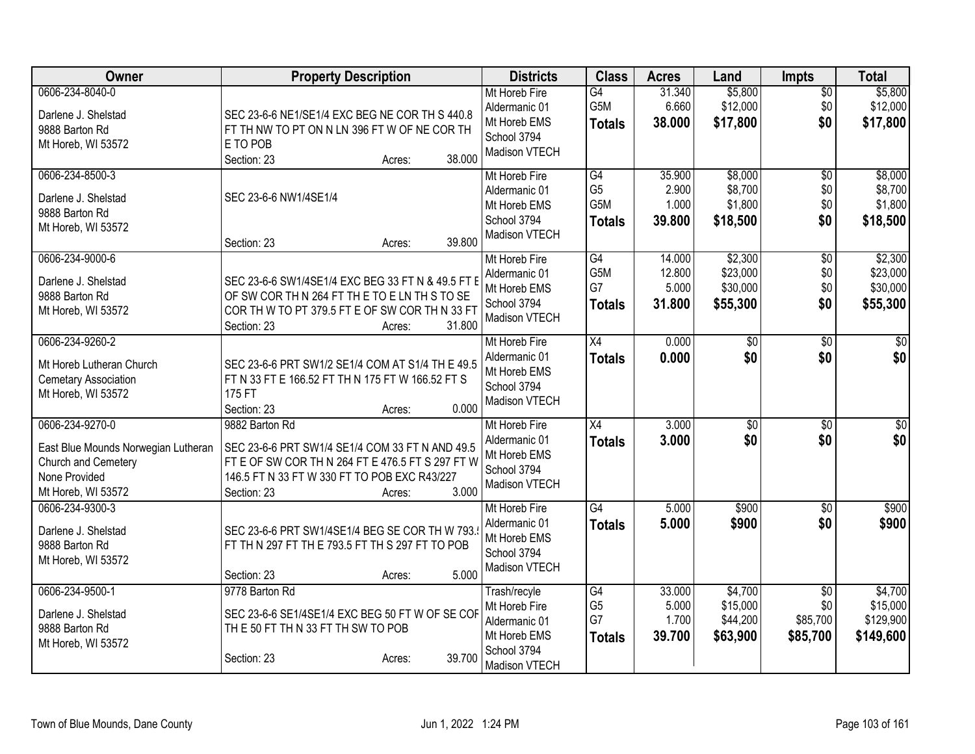| Owner                                                                                                                | <b>Property Description</b>                                                                                                                                                                             | <b>Districts</b>                                                                               | <b>Class</b>                                  | <b>Acres</b>                        | Land                                        | <b>Impts</b>                                   | <b>Total</b>                                  |
|----------------------------------------------------------------------------------------------------------------------|---------------------------------------------------------------------------------------------------------------------------------------------------------------------------------------------------------|------------------------------------------------------------------------------------------------|-----------------------------------------------|-------------------------------------|---------------------------------------------|------------------------------------------------|-----------------------------------------------|
| 0606-234-8040-0<br>Darlene J. Shelstad<br>9888 Barton Rd<br>Mt Horeb, WI 53572                                       | SEC 23-6-6 NE1/SE1/4 EXC BEG NE COR TH S 440.8<br>FT TH NW TO PT ON N LN 396 FT W OF NE COR TH<br>E TO POB<br>38.000<br>Section: 23<br>Acres:                                                           | Mt Horeb Fire<br>Aldermanic 01<br>Mt Horeb EMS<br>School 3794<br>Madison VTECH                 | $\overline{G4}$<br>G5M<br><b>Totals</b>       | 31.340<br>6.660<br>38.000           | \$5,800<br>\$12,000<br>\$17,800             | $\overline{50}$<br>\$0<br>\$0                  | \$5,800<br>\$12,000<br>\$17,800               |
| 0606-234-8500-3<br>Darlene J. Shelstad<br>9888 Barton Rd<br>Mt Horeb, WI 53572                                       | SEC 23-6-6 NW1/4SE1/4<br>39.800<br>Section: 23<br>Acres:                                                                                                                                                | Mt Horeb Fire<br>Aldermanic 01<br>Mt Horeb EMS<br>School 3794<br>Madison VTECH                 | G4<br>G <sub>5</sub><br>G5M<br><b>Totals</b>  | 35.900<br>2.900<br>1.000<br>39.800  | \$8,000<br>\$8,700<br>\$1,800<br>\$18,500   | $\overline{50}$<br>\$0<br>\$0<br>\$0           | \$8,000<br>\$8,700<br>\$1,800<br>\$18,500     |
| 0606-234-9000-6<br>Darlene J. Shelstad<br>9888 Barton Rd<br>Mt Horeb, WI 53572                                       | SEC 23-6-6 SW1/4SE1/4 EXC BEG 33 FT N & 49.5 FT E<br>OF SW COR TH N 264 FT THE TO ELN TH S TO SE<br>COR TH W TO PT 379.5 FT E OF SW COR TH N 33 FT<br>31.800<br>Section: 23<br>Acres:                   | Mt Horeb Fire<br>Aldermanic 01<br>Mt Horeb EMS<br>School 3794<br>Madison VTECH                 | G4<br>G <sub>5</sub> M<br>G7<br><b>Totals</b> | 14.000<br>12.800<br>5.000<br>31.800 | \$2,300<br>\$23,000<br>\$30,000<br>\$55,300 | $\overline{50}$<br>\$0<br>\$0<br>\$0           | \$2,300<br>\$23,000<br>\$30,000<br>\$55,300   |
| 0606-234-9260-2<br>Mt Horeb Lutheran Church<br><b>Cemetary Association</b><br>Mt Horeb, WI 53572                     | SEC 23-6-6 PRT SW1/2 SE1/4 COM AT S1/4 TH E 49.5<br>FT N 33 FT E 166.52 FT TH N 175 FT W 166.52 FT S<br>175 FT<br>0.000<br>Section: 23<br>Acres:                                                        | Mt Horeb Fire<br>Aldermanic 01<br>Mt Horeb EMS<br>School 3794<br>Madison VTECH                 | $\overline{X4}$<br><b>Totals</b>              | 0.000<br>0.000                      | $\overline{50}$<br>\$0                      | $\overline{50}$<br>\$0                         | $\overline{30}$<br>\$0                        |
| 0606-234-9270-0<br>East Blue Mounds Norwegian Lutheran<br>Church and Cemetery<br>None Provided<br>Mt Horeb, WI 53572 | 9882 Barton Rd<br>SEC 23-6-6 PRT SW1/4 SE1/4 COM 33 FT N AND 49.5<br>FT E OF SW COR TH N 264 FT E 476.5 FT S 297 FT W<br>146.5 FT N 33 FT W 330 FT TO POB EXC R43/227<br>3.000<br>Section: 23<br>Acres: | Mt Horeb Fire<br>Aldermanic 01<br>Mt Horeb EMS<br>School 3794<br>Madison VTECH                 | X4<br><b>Totals</b>                           | 3.000<br>3.000                      | \$0<br>\$0                                  | \$0<br>\$0                                     | $\overline{\$0}$<br>\$0                       |
| 0606-234-9300-3<br>Darlene J. Shelstad<br>9888 Barton Rd<br>Mt Horeb, WI 53572                                       | SEC 23-6-6 PRT SW1/4SE1/4 BEG SE COR TH W 793.<br>FT TH N 297 FT TH E 793.5 FT TH S 297 FT TO POB<br>5.000<br>Section: 23<br>Acres:                                                                     | Mt Horeb Fire<br>Aldermanic 01<br>Mt Horeb EMS<br>School 3794<br>Madison VTECH                 | G4<br><b>Totals</b>                           | 5.000<br>5.000                      | \$900<br>\$900                              | $\overline{50}$<br>\$0                         | \$900<br>\$900                                |
| 0606-234-9500-1<br>Darlene J. Shelstad<br>9888 Barton Rd<br>Mt Horeb, WI 53572                                       | 9778 Barton Rd<br>SEC 23-6-6 SE1/4SE1/4 EXC BEG 50 FT W OF SE COF<br>THE 50 FT THN 33 FT TH SW TO POB<br>39.700<br>Section: 23<br>Acres:                                                                | Trash/recyle<br>Mt Horeb Fire<br>Aldermanic 01<br>Mt Horeb EMS<br>School 3794<br>Madison VTECH | G4<br>G <sub>5</sub><br>G7<br><b>Totals</b>   | 33.000<br>5.000<br>1.700<br>39.700  | \$4,700<br>\$15,000<br>\$44,200<br>\$63,900 | $\overline{30}$<br>\$0<br>\$85,700<br>\$85,700 | \$4,700<br>\$15,000<br>\$129,900<br>\$149,600 |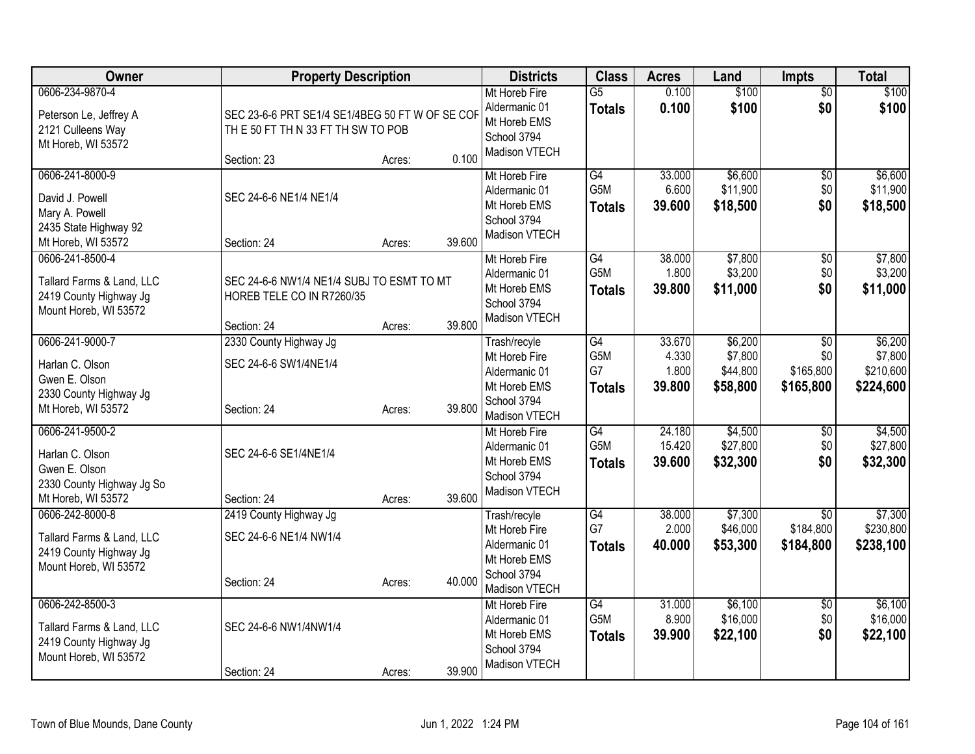| Owner                                                                                                  | <b>Property Description</b>                                                                                  |        | <b>Districts</b>                                                                               | <b>Class</b>                                  | <b>Acres</b>                       | Land                                       | Impts                                            | <b>Total</b>                                 |
|--------------------------------------------------------------------------------------------------------|--------------------------------------------------------------------------------------------------------------|--------|------------------------------------------------------------------------------------------------|-----------------------------------------------|------------------------------------|--------------------------------------------|--------------------------------------------------|----------------------------------------------|
| 0606-234-9870-4<br>Peterson Le, Jeffrey A<br>2121 Culleens Way<br>Mt Horeb, WI 53572                   | SEC 23-6-6 PRT SE1/4 SE1/4BEG 50 FT W OF SE COF<br>THE 50 FT THN 33 FT TH SW TO POB<br>Section: 23<br>Acres: | 0.100  | Mt Horeb Fire<br>Aldermanic 01<br>Mt Horeb EMS<br>School 3794<br>Madison VTECH                 | $\overline{G5}$<br><b>Totals</b>              | 0.100<br>0.100                     | \$100<br>\$100                             | $\overline{50}$<br>\$0                           | \$100<br>\$100                               |
| 0606-241-8000-9<br>David J. Powell<br>Mary A. Powell<br>2435 State Highway 92<br>Mt Horeb, WI 53572    | SEC 24-6-6 NE1/4 NE1/4<br>Section: 24<br>Acres:                                                              | 39.600 | Mt Horeb Fire<br>Aldermanic 01<br>Mt Horeb EMS<br>School 3794<br>Madison VTECH                 | G4<br>G5M<br><b>Totals</b>                    | 33.000<br>6.600<br>39.600          | \$6,600<br>\$11,900<br>\$18,500            | \$0<br>\$0<br>\$0                                | \$6,600<br>\$11,900<br>\$18,500              |
| 0606-241-8500-4<br>Tallard Farms & Land, LLC<br>2419 County Highway Jg<br>Mount Horeb, WI 53572        | SEC 24-6-6 NW1/4 NE1/4 SUBJ TO ESMT TO MT<br>HOREB TELE CO IN R7260/35<br>Section: 24<br>Acres:              | 39.800 | Mt Horeb Fire<br>Aldermanic 01<br>Mt Horeb EMS<br>School 3794<br>Madison VTECH                 | G4<br>G5M<br><b>Totals</b>                    | 38.000<br>1.800<br>39.800          | \$7,800<br>\$3,200<br>\$11,000             | \$0<br>\$0<br>\$0                                | \$7,800<br>\$3,200<br>\$11,000               |
| 0606-241-9000-7<br>Harlan C. Olson<br>Gwen E. Olson<br>2330 County Highway Jg<br>Mt Horeb, WI 53572    | 2330 County Highway Jg<br>SEC 24-6-6 SW1/4NE1/4<br>Section: 24<br>Acres:                                     | 39,800 | Trash/recyle<br>Mt Horeb Fire<br>Aldermanic 01<br>Mt Horeb EMS<br>School 3794<br>Madison VTECH | $\overline{G4}$<br>G5M<br>G7<br><b>Totals</b> | 33.670<br>4.330<br>1.800<br>39.800 | \$6,200<br>\$7,800<br>\$44,800<br>\$58,800 | $\overline{50}$<br>\$0<br>\$165,800<br>\$165,800 | \$6,200<br>\$7,800<br>\$210,600<br>\$224,600 |
| 0606-241-9500-2<br>Harlan C. Olson<br>Gwen E. Olson<br>2330 County Highway Jg So<br>Mt Horeb, WI 53572 | SEC 24-6-6 SE1/4NE1/4<br>Section: 24<br>Acres:                                                               | 39.600 | Mt Horeb Fire<br>Aldermanic 01<br>Mt Horeb EMS<br>School 3794<br>Madison VTECH                 | G4<br>G5M<br><b>Totals</b>                    | 24.180<br>15.420<br>39.600         | \$4,500<br>\$27,800<br>\$32,300            | $\overline{60}$<br>\$0<br>\$0                    | \$4,500<br>\$27,800<br>\$32,300              |
| 0606-242-8000-8<br>Tallard Farms & Land, LLC<br>2419 County Highway Jg<br>Mount Horeb, WI 53572        | 2419 County Highway Jg<br>SEC 24-6-6 NE1/4 NW1/4<br>Section: 24<br>Acres:                                    | 40.000 | Trash/recyle<br>Mt Horeb Fire<br>Aldermanic 01<br>Mt Horeb EMS<br>School 3794<br>Madison VTECH | G4<br>G7<br><b>Totals</b>                     | 38.000<br>2.000<br>40.000          | \$7,300<br>\$46,000<br>\$53,300            | $\overline{30}$<br>\$184,800<br>\$184,800        | \$7,300<br>\$230,800<br>\$238,100            |
| 0606-242-8500-3<br>Tallard Farms & Land, LLC<br>2419 County Highway Jg<br>Mount Horeb, WI 53572        | SEC 24-6-6 NW1/4NW1/4<br>Section: 24<br>Acres:                                                               | 39.900 | Mt Horeb Fire<br>Aldermanic 01<br>Mt Horeb EMS<br>School 3794<br>Madison VTECH                 | G4<br>G5M<br><b>Totals</b>                    | 31.000<br>8.900<br>39.900          | \$6,100<br>\$16,000<br>\$22,100            | $\overline{50}$<br>\$0<br>\$0                    | \$6,100<br>\$16,000<br>\$22,100              |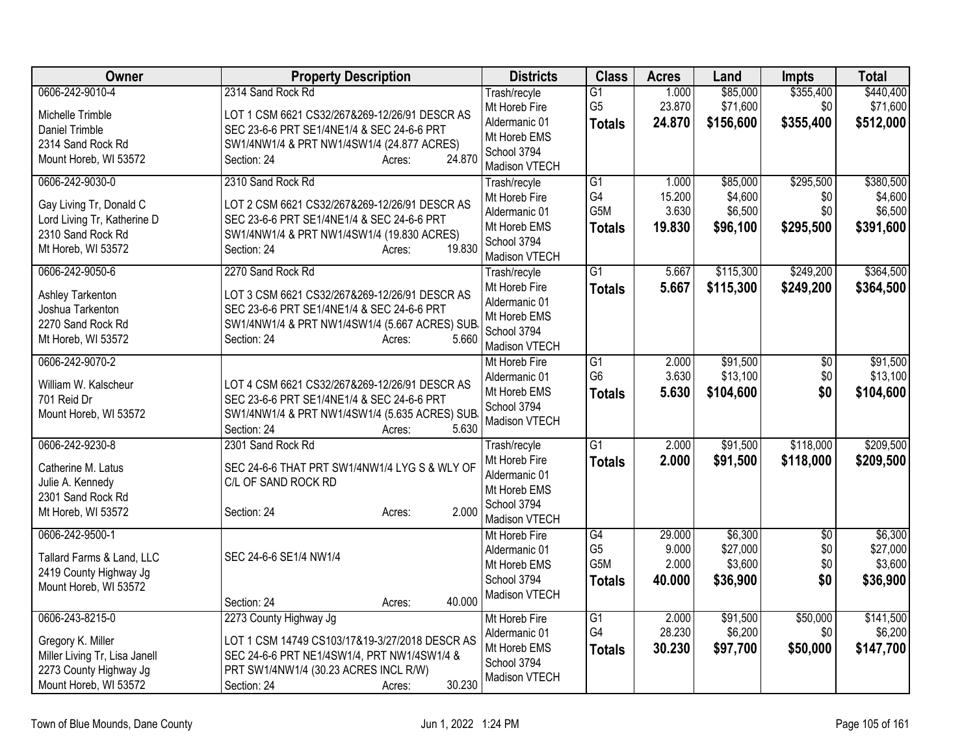| $\overline{G1}$<br>Trash/recyle<br>G <sub>5</sub><br>23.870<br>\$71,600<br>\$0<br>\$71,600<br>Mt Horeb Fire<br>Michelle Trimble<br>LOT 1 CSM 6621 CS32/267&269-12/26/91 DESCR AS<br>Aldermanic 01<br>24.870<br>\$156,600<br>\$355,400<br><b>Totals</b><br>SEC 23-6-6 PRT SE1/4NE1/4 & SEC 24-6-6 PRT<br>Daniel Trimble<br>Mt Horeb EMS<br>2314 Sand Rock Rd<br>SW1/4NW1/4 & PRT NW1/4SW1/4 (24.877 ACRES)<br>School 3794<br>24.870<br>Mount Horeb, WI 53572<br>Section: 24<br>Acres:<br>Madison VTECH<br>\$295,500<br>0606-242-9030-0<br>2310 Sand Rock Rd<br>$\overline{G1}$<br>\$85,000<br>1.000<br>Trash/recyle<br>G4<br>15.200<br>\$4,600<br>\$0<br>Mt Horeb Fire<br>LOT 2 CSM 6621 CS32/267&269-12/26/91 DESCR AS<br>Gay Living Tr, Donald C<br>G <sub>5</sub> M<br>3.630<br>\$6,500<br>\$0<br>Aldermanic 01<br>SEC 23-6-6 PRT SE1/4NE1/4 & SEC 24-6-6 PRT<br>Lord Living Tr, Katherine D<br>19.830<br>\$295,500<br>\$96,100<br>Mt Horeb EMS<br><b>Totals</b><br>2310 Sand Rock Rd<br>SW1/4NW1/4 & PRT NW1/4SW1/4 (19.830 ACRES)<br>School 3794<br>19.830<br>Mt Horeb, WI 53572<br>Section: 24<br>Acres:<br>Madison VTECH<br>0606-242-9050-6<br>2270 Sand Rock Rd<br>\$115,300<br>\$249,200<br>\$364,500<br>G1<br>5.667<br>Trash/recyle<br>5.667<br>Mt Horeb Fire<br>\$115,300<br>\$249,200<br><b>Totals</b><br>LOT 3 CSM 6621 CS32/267&269-12/26/91 DESCR AS<br>Ashley Tarkenton<br>Aldermanic 01<br>SEC 23-6-6 PRT SE1/4NE1/4 & SEC 24-6-6 PRT<br>Joshua Tarkenton<br>Mt Horeb EMS<br>2270 Sand Rock Rd<br>SW1/4NW1/4 & PRT NW1/4SW1/4 (5.667 ACRES) SUB<br>School 3794<br>5.660<br>Mt Horeb, WI 53572<br>Section: 24<br>Acres:<br>Madison VTECH<br>\$91,500<br>0606-242-9070-2<br>$\overline{G1}$<br>2.000<br>$\overline{50}$<br>Mt Horeb Fire<br>G <sub>6</sub><br>3.630<br>\$13,100<br>\$0<br>Aldermanic 01<br>William W. Kalscheur<br>LOT 4 CSM 6621 CS32/267&269-12/26/91 DESCR AS<br>5.630<br>\$0<br>Mt Horeb EMS<br>\$104,600<br><b>Totals</b><br>701 Reid Dr<br>SEC 23-6-6 PRT SE1/4NE1/4 & SEC 24-6-6 PRT<br>School 3794<br>Mount Horeb, WI 53572<br>SW1/4NW1/4 & PRT NW1/4SW1/4 (5.635 ACRES) SUB<br>Madison VTECH<br>5.630<br>Section: 24<br>Acres:<br>\$118,000<br>0606-242-9230-8<br>2301 Sand Rock Rd<br>$\overline{G1}$<br>2.000<br>\$91,500<br>Trash/recyle<br>\$118,000<br>Mt Horeb Fire<br>2.000<br>\$91,500<br><b>Totals</b><br>Catherine M. Latus<br>SEC 24-6-6 THAT PRT SW1/4NW1/4 LYG S & WLY OF<br>Aldermanic 01<br>Julie A. Kennedy<br>C/L OF SAND ROCK RD<br>Mt Horeb EMS<br>2301 Sand Rock Rd<br>School 3794<br>2.000<br>Mt Horeb, WI 53572<br>Section: 24<br>Acres:<br>Madison VTECH<br>0606-242-9500-1<br>\$6,300<br>\$6,300<br>$\overline{G4}$<br>29.000<br>$\overline{50}$<br>Mt Horeb Fire<br>G <sub>5</sub><br>9.000<br>\$27,000<br>\$0<br>\$27,000<br>Aldermanic 01<br>SEC 24-6-6 SE1/4 NW1/4<br>Tallard Farms & Land, LLC<br>G5M<br>2.000<br>\$3,600<br>\$0<br>Mt Horeb EMS<br>2419 County Highway Jg<br>\$36,900<br>\$0<br>School 3794<br>40.000<br><b>Totals</b><br>Mount Horeb, WI 53572<br>Madison VTECH<br>40.000<br>Section: 24<br>Acres:<br>0606-243-8215-0<br>\$91,500<br>\$50,000<br>2273 County Highway Jg<br>$\overline{G1}$<br>2.000<br>Mt Horeb Fire<br>G4<br>28.230<br>\$6,200<br>\$0<br>Aldermanic 01<br>LOT 1 CSM 14749 CS103/17&19-3/27/2018 DESCR AS<br>Gregory K. Miller<br>\$97,700<br>\$50,000<br>Mt Horeb EMS<br>30.230<br>\$147,700<br><b>Totals</b><br>Miller Living Tr, Lisa Janell<br>SEC 24-6-6 PRT NE1/4SW1/4, PRT NW1/4SW1/4 &<br>School 3794<br>2273 County Highway Jg<br>PRT SW1/4NW1/4 (30.23 ACRES INCL R/W) | Owner           | <b>Property Description</b> | <b>Districts</b> | <b>Class</b> | <b>Acres</b> | Land     | <b>Impts</b> | <b>Total</b> |
|----------------------------------------------------------------------------------------------------------------------------------------------------------------------------------------------------------------------------------------------------------------------------------------------------------------------------------------------------------------------------------------------------------------------------------------------------------------------------------------------------------------------------------------------------------------------------------------------------------------------------------------------------------------------------------------------------------------------------------------------------------------------------------------------------------------------------------------------------------------------------------------------------------------------------------------------------------------------------------------------------------------------------------------------------------------------------------------------------------------------------------------------------------------------------------------------------------------------------------------------------------------------------------------------------------------------------------------------------------------------------------------------------------------------------------------------------------------------------------------------------------------------------------------------------------------------------------------------------------------------------------------------------------------------------------------------------------------------------------------------------------------------------------------------------------------------------------------------------------------------------------------------------------------------------------------------------------------------------------------------------------------------------------------------------------------------------------------------------------------------------------------------------------------------------------------------------------------------------------------------------------------------------------------------------------------------------------------------------------------------------------------------------------------------------------------------------------------------------------------------------------------------------------------------------------------------------------------------------------------------------------------------------------------------------------------------------------------------------------------------------------------------------------------------------------------------------------------------------------------------------------------------------------------------------------------------------------------------------------------------------------------------------------------------------------------------------------------------------------------------------------------------------------------------------------------------------------------------------------------------------------------------------------------------------------------------------------------------------------------------------------------------------------------------------------------------------------------------------------------------------------------------------------------------------------------------------------------|-----------------|-----------------------------|------------------|--------------|--------------|----------|--------------|--------------|
| \$512,000                                                                                                                                                                                                                                                                                                                                                                                                                                                                                                                                                                                                                                                                                                                                                                                                                                                                                                                                                                                                                                                                                                                                                                                                                                                                                                                                                                                                                                                                                                                                                                                                                                                                                                                                                                                                                                                                                                                                                                                                                                                                                                                                                                                                                                                                                                                                                                                                                                                                                                                                                                                                                                                                                                                                                                                                                                                                                                                                                                                                                                                                                                                                                                                                                                                                                                                                                                                                                                                                                                                                                                              | 0606-242-9010-4 | 2314 Sand Rock Rd           |                  |              | 1.000        | \$85,000 | \$355,400    | \$440,400    |
| \$380,500<br>\$4,600<br>\$6,500<br>\$391,600<br>\$364,500<br>\$104,600<br>\$3,600<br>\$36,900<br>\$141,500<br>\$6,200                                                                                                                                                                                                                                                                                                                                                                                                                                                                                                                                                                                                                                                                                                                                                                                                                                                                                                                                                                                                                                                                                                                                                                                                                                                                                                                                                                                                                                                                                                                                                                                                                                                                                                                                                                                                                                                                                                                                                                                                                                                                                                                                                                                                                                                                                                                                                                                                                                                                                                                                                                                                                                                                                                                                                                                                                                                                                                                                                                                                                                                                                                                                                                                                                                                                                                                                                                                                                                                                  |                 |                             |                  |              |              |          |              |              |
|                                                                                                                                                                                                                                                                                                                                                                                                                                                                                                                                                                                                                                                                                                                                                                                                                                                                                                                                                                                                                                                                                                                                                                                                                                                                                                                                                                                                                                                                                                                                                                                                                                                                                                                                                                                                                                                                                                                                                                                                                                                                                                                                                                                                                                                                                                                                                                                                                                                                                                                                                                                                                                                                                                                                                                                                                                                                                                                                                                                                                                                                                                                                                                                                                                                                                                                                                                                                                                                                                                                                                                                        |                 |                             |                  |              |              |          |              |              |
|                                                                                                                                                                                                                                                                                                                                                                                                                                                                                                                                                                                                                                                                                                                                                                                                                                                                                                                                                                                                                                                                                                                                                                                                                                                                                                                                                                                                                                                                                                                                                                                                                                                                                                                                                                                                                                                                                                                                                                                                                                                                                                                                                                                                                                                                                                                                                                                                                                                                                                                                                                                                                                                                                                                                                                                                                                                                                                                                                                                                                                                                                                                                                                                                                                                                                                                                                                                                                                                                                                                                                                                        |                 |                             |                  |              |              |          |              |              |
|                                                                                                                                                                                                                                                                                                                                                                                                                                                                                                                                                                                                                                                                                                                                                                                                                                                                                                                                                                                                                                                                                                                                                                                                                                                                                                                                                                                                                                                                                                                                                                                                                                                                                                                                                                                                                                                                                                                                                                                                                                                                                                                                                                                                                                                                                                                                                                                                                                                                                                                                                                                                                                                                                                                                                                                                                                                                                                                                                                                                                                                                                                                                                                                                                                                                                                                                                                                                                                                                                                                                                                                        |                 |                             |                  |              |              |          |              |              |
|                                                                                                                                                                                                                                                                                                                                                                                                                                                                                                                                                                                                                                                                                                                                                                                                                                                                                                                                                                                                                                                                                                                                                                                                                                                                                                                                                                                                                                                                                                                                                                                                                                                                                                                                                                                                                                                                                                                                                                                                                                                                                                                                                                                                                                                                                                                                                                                                                                                                                                                                                                                                                                                                                                                                                                                                                                                                                                                                                                                                                                                                                                                                                                                                                                                                                                                                                                                                                                                                                                                                                                                        |                 |                             |                  |              |              |          |              |              |
|                                                                                                                                                                                                                                                                                                                                                                                                                                                                                                                                                                                                                                                                                                                                                                                                                                                                                                                                                                                                                                                                                                                                                                                                                                                                                                                                                                                                                                                                                                                                                                                                                                                                                                                                                                                                                                                                                                                                                                                                                                                                                                                                                                                                                                                                                                                                                                                                                                                                                                                                                                                                                                                                                                                                                                                                                                                                                                                                                                                                                                                                                                                                                                                                                                                                                                                                                                                                                                                                                                                                                                                        |                 |                             |                  |              |              |          |              |              |
|                                                                                                                                                                                                                                                                                                                                                                                                                                                                                                                                                                                                                                                                                                                                                                                                                                                                                                                                                                                                                                                                                                                                                                                                                                                                                                                                                                                                                                                                                                                                                                                                                                                                                                                                                                                                                                                                                                                                                                                                                                                                                                                                                                                                                                                                                                                                                                                                                                                                                                                                                                                                                                                                                                                                                                                                                                                                                                                                                                                                                                                                                                                                                                                                                                                                                                                                                                                                                                                                                                                                                                                        |                 |                             |                  |              |              |          |              |              |
|                                                                                                                                                                                                                                                                                                                                                                                                                                                                                                                                                                                                                                                                                                                                                                                                                                                                                                                                                                                                                                                                                                                                                                                                                                                                                                                                                                                                                                                                                                                                                                                                                                                                                                                                                                                                                                                                                                                                                                                                                                                                                                                                                                                                                                                                                                                                                                                                                                                                                                                                                                                                                                                                                                                                                                                                                                                                                                                                                                                                                                                                                                                                                                                                                                                                                                                                                                                                                                                                                                                                                                                        |                 |                             |                  |              |              |          |              |              |
|                                                                                                                                                                                                                                                                                                                                                                                                                                                                                                                                                                                                                                                                                                                                                                                                                                                                                                                                                                                                                                                                                                                                                                                                                                                                                                                                                                                                                                                                                                                                                                                                                                                                                                                                                                                                                                                                                                                                                                                                                                                                                                                                                                                                                                                                                                                                                                                                                                                                                                                                                                                                                                                                                                                                                                                                                                                                                                                                                                                                                                                                                                                                                                                                                                                                                                                                                                                                                                                                                                                                                                                        |                 |                             |                  |              |              |          |              |              |
|                                                                                                                                                                                                                                                                                                                                                                                                                                                                                                                                                                                                                                                                                                                                                                                                                                                                                                                                                                                                                                                                                                                                                                                                                                                                                                                                                                                                                                                                                                                                                                                                                                                                                                                                                                                                                                                                                                                                                                                                                                                                                                                                                                                                                                                                                                                                                                                                                                                                                                                                                                                                                                                                                                                                                                                                                                                                                                                                                                                                                                                                                                                                                                                                                                                                                                                                                                                                                                                                                                                                                                                        |                 |                             |                  |              |              |          |              |              |
|                                                                                                                                                                                                                                                                                                                                                                                                                                                                                                                                                                                                                                                                                                                                                                                                                                                                                                                                                                                                                                                                                                                                                                                                                                                                                                                                                                                                                                                                                                                                                                                                                                                                                                                                                                                                                                                                                                                                                                                                                                                                                                                                                                                                                                                                                                                                                                                                                                                                                                                                                                                                                                                                                                                                                                                                                                                                                                                                                                                                                                                                                                                                                                                                                                                                                                                                                                                                                                                                                                                                                                                        |                 |                             |                  |              |              |          |              |              |
|                                                                                                                                                                                                                                                                                                                                                                                                                                                                                                                                                                                                                                                                                                                                                                                                                                                                                                                                                                                                                                                                                                                                                                                                                                                                                                                                                                                                                                                                                                                                                                                                                                                                                                                                                                                                                                                                                                                                                                                                                                                                                                                                                                                                                                                                                                                                                                                                                                                                                                                                                                                                                                                                                                                                                                                                                                                                                                                                                                                                                                                                                                                                                                                                                                                                                                                                                                                                                                                                                                                                                                                        |                 |                             |                  |              |              |          |              |              |
| \$91,500<br>\$13,100<br>\$209,500<br>\$209,500                                                                                                                                                                                                                                                                                                                                                                                                                                                                                                                                                                                                                                                                                                                                                                                                                                                                                                                                                                                                                                                                                                                                                                                                                                                                                                                                                                                                                                                                                                                                                                                                                                                                                                                                                                                                                                                                                                                                                                                                                                                                                                                                                                                                                                                                                                                                                                                                                                                                                                                                                                                                                                                                                                                                                                                                                                                                                                                                                                                                                                                                                                                                                                                                                                                                                                                                                                                                                                                                                                                                         |                 |                             |                  |              |              |          |              |              |
|                                                                                                                                                                                                                                                                                                                                                                                                                                                                                                                                                                                                                                                                                                                                                                                                                                                                                                                                                                                                                                                                                                                                                                                                                                                                                                                                                                                                                                                                                                                                                                                                                                                                                                                                                                                                                                                                                                                                                                                                                                                                                                                                                                                                                                                                                                                                                                                                                                                                                                                                                                                                                                                                                                                                                                                                                                                                                                                                                                                                                                                                                                                                                                                                                                                                                                                                                                                                                                                                                                                                                                                        |                 |                             |                  |              |              |          |              |              |
|                                                                                                                                                                                                                                                                                                                                                                                                                                                                                                                                                                                                                                                                                                                                                                                                                                                                                                                                                                                                                                                                                                                                                                                                                                                                                                                                                                                                                                                                                                                                                                                                                                                                                                                                                                                                                                                                                                                                                                                                                                                                                                                                                                                                                                                                                                                                                                                                                                                                                                                                                                                                                                                                                                                                                                                                                                                                                                                                                                                                                                                                                                                                                                                                                                                                                                                                                                                                                                                                                                                                                                                        |                 |                             |                  |              |              |          |              |              |
|                                                                                                                                                                                                                                                                                                                                                                                                                                                                                                                                                                                                                                                                                                                                                                                                                                                                                                                                                                                                                                                                                                                                                                                                                                                                                                                                                                                                                                                                                                                                                                                                                                                                                                                                                                                                                                                                                                                                                                                                                                                                                                                                                                                                                                                                                                                                                                                                                                                                                                                                                                                                                                                                                                                                                                                                                                                                                                                                                                                                                                                                                                                                                                                                                                                                                                                                                                                                                                                                                                                                                                                        |                 |                             |                  |              |              |          |              |              |
|                                                                                                                                                                                                                                                                                                                                                                                                                                                                                                                                                                                                                                                                                                                                                                                                                                                                                                                                                                                                                                                                                                                                                                                                                                                                                                                                                                                                                                                                                                                                                                                                                                                                                                                                                                                                                                                                                                                                                                                                                                                                                                                                                                                                                                                                                                                                                                                                                                                                                                                                                                                                                                                                                                                                                                                                                                                                                                                                                                                                                                                                                                                                                                                                                                                                                                                                                                                                                                                                                                                                                                                        |                 |                             |                  |              |              |          |              |              |
|                                                                                                                                                                                                                                                                                                                                                                                                                                                                                                                                                                                                                                                                                                                                                                                                                                                                                                                                                                                                                                                                                                                                                                                                                                                                                                                                                                                                                                                                                                                                                                                                                                                                                                                                                                                                                                                                                                                                                                                                                                                                                                                                                                                                                                                                                                                                                                                                                                                                                                                                                                                                                                                                                                                                                                                                                                                                                                                                                                                                                                                                                                                                                                                                                                                                                                                                                                                                                                                                                                                                                                                        |                 |                             |                  |              |              |          |              |              |
|                                                                                                                                                                                                                                                                                                                                                                                                                                                                                                                                                                                                                                                                                                                                                                                                                                                                                                                                                                                                                                                                                                                                                                                                                                                                                                                                                                                                                                                                                                                                                                                                                                                                                                                                                                                                                                                                                                                                                                                                                                                                                                                                                                                                                                                                                                                                                                                                                                                                                                                                                                                                                                                                                                                                                                                                                                                                                                                                                                                                                                                                                                                                                                                                                                                                                                                                                                                                                                                                                                                                                                                        |                 |                             |                  |              |              |          |              |              |
|                                                                                                                                                                                                                                                                                                                                                                                                                                                                                                                                                                                                                                                                                                                                                                                                                                                                                                                                                                                                                                                                                                                                                                                                                                                                                                                                                                                                                                                                                                                                                                                                                                                                                                                                                                                                                                                                                                                                                                                                                                                                                                                                                                                                                                                                                                                                                                                                                                                                                                                                                                                                                                                                                                                                                                                                                                                                                                                                                                                                                                                                                                                                                                                                                                                                                                                                                                                                                                                                                                                                                                                        |                 |                             |                  |              |              |          |              |              |
|                                                                                                                                                                                                                                                                                                                                                                                                                                                                                                                                                                                                                                                                                                                                                                                                                                                                                                                                                                                                                                                                                                                                                                                                                                                                                                                                                                                                                                                                                                                                                                                                                                                                                                                                                                                                                                                                                                                                                                                                                                                                                                                                                                                                                                                                                                                                                                                                                                                                                                                                                                                                                                                                                                                                                                                                                                                                                                                                                                                                                                                                                                                                                                                                                                                                                                                                                                                                                                                                                                                                                                                        |                 |                             |                  |              |              |          |              |              |
|                                                                                                                                                                                                                                                                                                                                                                                                                                                                                                                                                                                                                                                                                                                                                                                                                                                                                                                                                                                                                                                                                                                                                                                                                                                                                                                                                                                                                                                                                                                                                                                                                                                                                                                                                                                                                                                                                                                                                                                                                                                                                                                                                                                                                                                                                                                                                                                                                                                                                                                                                                                                                                                                                                                                                                                                                                                                                                                                                                                                                                                                                                                                                                                                                                                                                                                                                                                                                                                                                                                                                                                        |                 |                             |                  |              |              |          |              |              |
|                                                                                                                                                                                                                                                                                                                                                                                                                                                                                                                                                                                                                                                                                                                                                                                                                                                                                                                                                                                                                                                                                                                                                                                                                                                                                                                                                                                                                                                                                                                                                                                                                                                                                                                                                                                                                                                                                                                                                                                                                                                                                                                                                                                                                                                                                                                                                                                                                                                                                                                                                                                                                                                                                                                                                                                                                                                                                                                                                                                                                                                                                                                                                                                                                                                                                                                                                                                                                                                                                                                                                                                        |                 |                             |                  |              |              |          |              |              |
|                                                                                                                                                                                                                                                                                                                                                                                                                                                                                                                                                                                                                                                                                                                                                                                                                                                                                                                                                                                                                                                                                                                                                                                                                                                                                                                                                                                                                                                                                                                                                                                                                                                                                                                                                                                                                                                                                                                                                                                                                                                                                                                                                                                                                                                                                                                                                                                                                                                                                                                                                                                                                                                                                                                                                                                                                                                                                                                                                                                                                                                                                                                                                                                                                                                                                                                                                                                                                                                                                                                                                                                        |                 |                             |                  |              |              |          |              |              |
|                                                                                                                                                                                                                                                                                                                                                                                                                                                                                                                                                                                                                                                                                                                                                                                                                                                                                                                                                                                                                                                                                                                                                                                                                                                                                                                                                                                                                                                                                                                                                                                                                                                                                                                                                                                                                                                                                                                                                                                                                                                                                                                                                                                                                                                                                                                                                                                                                                                                                                                                                                                                                                                                                                                                                                                                                                                                                                                                                                                                                                                                                                                                                                                                                                                                                                                                                                                                                                                                                                                                                                                        |                 |                             |                  |              |              |          |              |              |
|                                                                                                                                                                                                                                                                                                                                                                                                                                                                                                                                                                                                                                                                                                                                                                                                                                                                                                                                                                                                                                                                                                                                                                                                                                                                                                                                                                                                                                                                                                                                                                                                                                                                                                                                                                                                                                                                                                                                                                                                                                                                                                                                                                                                                                                                                                                                                                                                                                                                                                                                                                                                                                                                                                                                                                                                                                                                                                                                                                                                                                                                                                                                                                                                                                                                                                                                                                                                                                                                                                                                                                                        |                 |                             |                  |              |              |          |              |              |
|                                                                                                                                                                                                                                                                                                                                                                                                                                                                                                                                                                                                                                                                                                                                                                                                                                                                                                                                                                                                                                                                                                                                                                                                                                                                                                                                                                                                                                                                                                                                                                                                                                                                                                                                                                                                                                                                                                                                                                                                                                                                                                                                                                                                                                                                                                                                                                                                                                                                                                                                                                                                                                                                                                                                                                                                                                                                                                                                                                                                                                                                                                                                                                                                                                                                                                                                                                                                                                                                                                                                                                                        |                 |                             |                  |              |              |          |              |              |
|                                                                                                                                                                                                                                                                                                                                                                                                                                                                                                                                                                                                                                                                                                                                                                                                                                                                                                                                                                                                                                                                                                                                                                                                                                                                                                                                                                                                                                                                                                                                                                                                                                                                                                                                                                                                                                                                                                                                                                                                                                                                                                                                                                                                                                                                                                                                                                                                                                                                                                                                                                                                                                                                                                                                                                                                                                                                                                                                                                                                                                                                                                                                                                                                                                                                                                                                                                                                                                                                                                                                                                                        |                 |                             |                  |              |              |          |              |              |
|                                                                                                                                                                                                                                                                                                                                                                                                                                                                                                                                                                                                                                                                                                                                                                                                                                                                                                                                                                                                                                                                                                                                                                                                                                                                                                                                                                                                                                                                                                                                                                                                                                                                                                                                                                                                                                                                                                                                                                                                                                                                                                                                                                                                                                                                                                                                                                                                                                                                                                                                                                                                                                                                                                                                                                                                                                                                                                                                                                                                                                                                                                                                                                                                                                                                                                                                                                                                                                                                                                                                                                                        |                 |                             |                  |              |              |          |              |              |
|                                                                                                                                                                                                                                                                                                                                                                                                                                                                                                                                                                                                                                                                                                                                                                                                                                                                                                                                                                                                                                                                                                                                                                                                                                                                                                                                                                                                                                                                                                                                                                                                                                                                                                                                                                                                                                                                                                                                                                                                                                                                                                                                                                                                                                                                                                                                                                                                                                                                                                                                                                                                                                                                                                                                                                                                                                                                                                                                                                                                                                                                                                                                                                                                                                                                                                                                                                                                                                                                                                                                                                                        |                 |                             |                  |              |              |          |              |              |
|                                                                                                                                                                                                                                                                                                                                                                                                                                                                                                                                                                                                                                                                                                                                                                                                                                                                                                                                                                                                                                                                                                                                                                                                                                                                                                                                                                                                                                                                                                                                                                                                                                                                                                                                                                                                                                                                                                                                                                                                                                                                                                                                                                                                                                                                                                                                                                                                                                                                                                                                                                                                                                                                                                                                                                                                                                                                                                                                                                                                                                                                                                                                                                                                                                                                                                                                                                                                                                                                                                                                                                                        |                 |                             |                  |              |              |          |              |              |
|                                                                                                                                                                                                                                                                                                                                                                                                                                                                                                                                                                                                                                                                                                                                                                                                                                                                                                                                                                                                                                                                                                                                                                                                                                                                                                                                                                                                                                                                                                                                                                                                                                                                                                                                                                                                                                                                                                                                                                                                                                                                                                                                                                                                                                                                                                                                                                                                                                                                                                                                                                                                                                                                                                                                                                                                                                                                                                                                                                                                                                                                                                                                                                                                                                                                                                                                                                                                                                                                                                                                                                                        |                 |                             |                  |              |              |          |              |              |
|                                                                                                                                                                                                                                                                                                                                                                                                                                                                                                                                                                                                                                                                                                                                                                                                                                                                                                                                                                                                                                                                                                                                                                                                                                                                                                                                                                                                                                                                                                                                                                                                                                                                                                                                                                                                                                                                                                                                                                                                                                                                                                                                                                                                                                                                                                                                                                                                                                                                                                                                                                                                                                                                                                                                                                                                                                                                                                                                                                                                                                                                                                                                                                                                                                                                                                                                                                                                                                                                                                                                                                                        |                 |                             |                  |              |              |          |              |              |
|                                                                                                                                                                                                                                                                                                                                                                                                                                                                                                                                                                                                                                                                                                                                                                                                                                                                                                                                                                                                                                                                                                                                                                                                                                                                                                                                                                                                                                                                                                                                                                                                                                                                                                                                                                                                                                                                                                                                                                                                                                                                                                                                                                                                                                                                                                                                                                                                                                                                                                                                                                                                                                                                                                                                                                                                                                                                                                                                                                                                                                                                                                                                                                                                                                                                                                                                                                                                                                                                                                                                                                                        |                 |                             |                  |              |              |          |              |              |
|                                                                                                                                                                                                                                                                                                                                                                                                                                                                                                                                                                                                                                                                                                                                                                                                                                                                                                                                                                                                                                                                                                                                                                                                                                                                                                                                                                                                                                                                                                                                                                                                                                                                                                                                                                                                                                                                                                                                                                                                                                                                                                                                                                                                                                                                                                                                                                                                                                                                                                                                                                                                                                                                                                                                                                                                                                                                                                                                                                                                                                                                                                                                                                                                                                                                                                                                                                                                                                                                                                                                                                                        |                 |                             |                  |              |              |          |              |              |
|                                                                                                                                                                                                                                                                                                                                                                                                                                                                                                                                                                                                                                                                                                                                                                                                                                                                                                                                                                                                                                                                                                                                                                                                                                                                                                                                                                                                                                                                                                                                                                                                                                                                                                                                                                                                                                                                                                                                                                                                                                                                                                                                                                                                                                                                                                                                                                                                                                                                                                                                                                                                                                                                                                                                                                                                                                                                                                                                                                                                                                                                                                                                                                                                                                                                                                                                                                                                                                                                                                                                                                                        |                 |                             |                  |              |              |          |              |              |
| 30.230<br>Mount Horeb, WI 53572<br>Section: 24<br>Acres:                                                                                                                                                                                                                                                                                                                                                                                                                                                                                                                                                                                                                                                                                                                                                                                                                                                                                                                                                                                                                                                                                                                                                                                                                                                                                                                                                                                                                                                                                                                                                                                                                                                                                                                                                                                                                                                                                                                                                                                                                                                                                                                                                                                                                                                                                                                                                                                                                                                                                                                                                                                                                                                                                                                                                                                                                                                                                                                                                                                                                                                                                                                                                                                                                                                                                                                                                                                                                                                                                                                               |                 |                             | Madison VTECH    |              |              |          |              |              |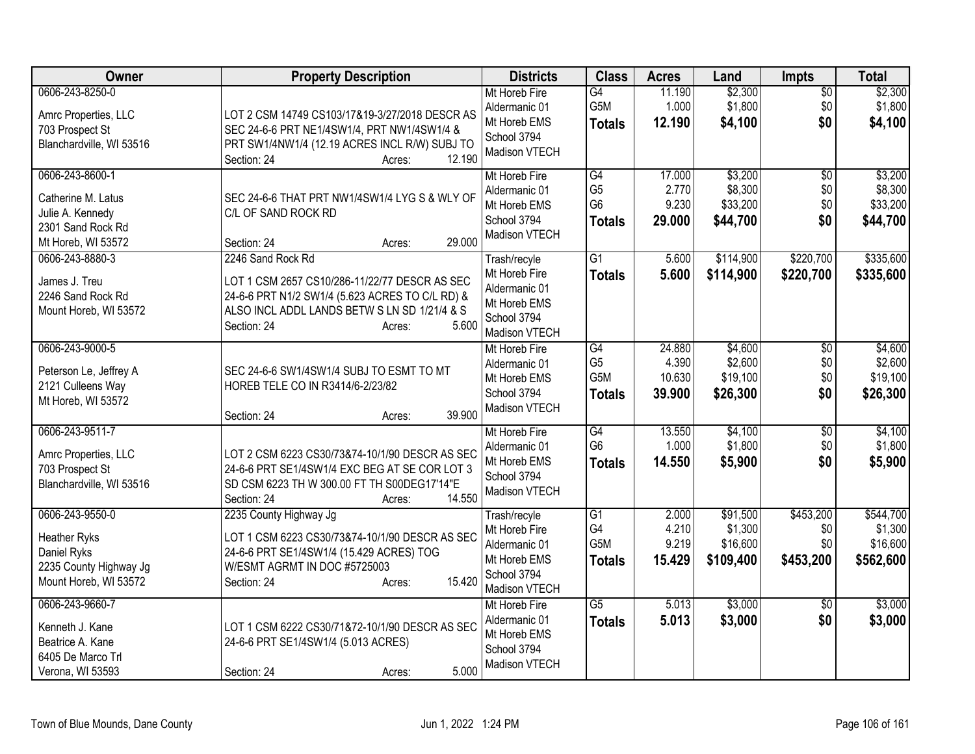| Owner                                                                                                    | <b>Property Description</b>                                                                                                                                                                             | <b>Districts</b>                                                                               | <b>Class</b>                                                           | <b>Acres</b>                        | Land                                         | <b>Impts</b>                         | <b>Total</b>                                  |
|----------------------------------------------------------------------------------------------------------|---------------------------------------------------------------------------------------------------------------------------------------------------------------------------------------------------------|------------------------------------------------------------------------------------------------|------------------------------------------------------------------------|-------------------------------------|----------------------------------------------|--------------------------------------|-----------------------------------------------|
| 0606-243-8250-0<br>Amrc Properties, LLC<br>703 Prospect St<br>Blanchardville, WI 53516                   | LOT 2 CSM 14749 CS103/17&19-3/27/2018 DESCR AS<br>SEC 24-6-6 PRT NE1/4SW1/4, PRT NW1/4SW1/4 &<br>PRT SW1/4NW1/4 (12.19 ACRES INCL R/W) SUBJ TO<br>12.190<br>Section: 24<br>Acres:                       | Mt Horeb Fire<br>Aldermanic 01<br>Mt Horeb EMS<br>School 3794<br>Madison VTECH                 | $\overline{G4}$<br>G5M<br><b>Totals</b>                                | 11.190<br>1.000<br>12.190           | \$2,300<br>\$1,800<br>\$4,100                | $\overline{50}$<br>\$0<br>\$0        | \$2,300<br>\$1,800<br>\$4,100                 |
| 0606-243-8600-1<br>Catherine M. Latus<br>Julie A. Kennedy<br>2301 Sand Rock Rd<br>Mt Horeb, WI 53572     | SEC 24-6-6 THAT PRT NW1/4SW1/4 LYG S & WLY OF<br>C/L OF SAND ROCK RD<br>29.000<br>Section: 24<br>Acres:                                                                                                 | Mt Horeb Fire<br>Aldermanic 01<br>Mt Horeb EMS<br>School 3794<br>Madison VTECH                 | G4<br>G <sub>5</sub><br>G <sub>6</sub><br><b>Totals</b>                | 17.000<br>2.770<br>9.230<br>29.000  | \$3,200<br>\$8,300<br>\$33,200<br>\$44,700   | $\overline{50}$<br>\$0<br>\$0<br>\$0 | \$3,200<br>\$8,300<br>\$33,200<br>\$44,700    |
| 0606-243-8880-3<br>James J. Treu<br>2246 Sand Rock Rd<br>Mount Horeb, WI 53572                           | 2246 Sand Rock Rd<br>LOT 1 CSM 2657 CS10/286-11/22/77 DESCR AS SEC<br>24-6-6 PRT N1/2 SW1/4 (5.623 ACRES TO C/L RD) &<br>ALSO INCL ADDL LANDS BETW S LN SD 1/21/4 & S<br>5.600<br>Section: 24<br>Acres: | Trash/recyle<br>Mt Horeb Fire<br>Aldermanic 01<br>Mt Horeb EMS<br>School 3794<br>Madison VTECH | $\overline{G1}$<br><b>Totals</b>                                       | 5.600<br>5.600                      | \$114,900<br>\$114,900                       | \$220,700<br>\$220,700               | \$335,600<br>\$335,600                        |
| 0606-243-9000-5<br>Peterson Le, Jeffrey A<br>2121 Culleens Way<br>Mt Horeb, WI 53572                     | SEC 24-6-6 SW1/4SW1/4 SUBJ TO ESMT TO MT<br>HOREB TELE CO IN R3414/6-2/23/82<br>39.900<br>Section: 24<br>Acres:                                                                                         | Mt Horeb Fire<br>Aldermanic 01<br>Mt Horeb EMS<br>School 3794<br>Madison VTECH                 | $\overline{G4}$<br>G <sub>5</sub><br>G <sub>5</sub> M<br><b>Totals</b> | 24.880<br>4.390<br>10.630<br>39.900 | \$4,600<br>\$2,600<br>\$19,100<br>\$26,300   | $\overline{50}$<br>\$0<br>\$0<br>\$0 | \$4,600<br>\$2,600<br>\$19,100<br>\$26,300    |
| 0606-243-9511-7<br>Amrc Properties, LLC<br>703 Prospect St<br>Blanchardville, WI 53516                   | LOT 2 CSM 6223 CS30/73&74-10/1/90 DESCR AS SEC<br>24-6-6 PRT SE1/4SW1/4 EXC BEG AT SE COR LOT 3<br>SD CSM 6223 TH W 300.00 FT TH S00DEG17'14"E<br>Section: 24<br>14.550<br>Acres:                       | Mt Horeb Fire<br>Aldermanic 01<br>Mt Horeb EMS<br>School 3794<br>Madison VTECH                 | $\overline{G4}$<br>G <sub>6</sub><br><b>Totals</b>                     | 13.550<br>1.000<br>14.550           | \$4,100<br>\$1,800<br>\$5,900                | \$0<br>\$0<br>\$0                    | \$4,100<br>\$1,800<br>\$5,900                 |
| 0606-243-9550-0<br><b>Heather Ryks</b><br>Daniel Ryks<br>2235 County Highway Jg<br>Mount Horeb, WI 53572 | 2235 County Highway Jg<br>LOT 1 CSM 6223 CS30/73&74-10/1/90 DESCR AS SEC<br>24-6-6 PRT SE1/4SW1/4 (15.429 ACRES) TOG<br>W/ESMT AGRMT IN DOC #5725003<br>15.420<br>Section: 24<br>Acres:                 | Trash/recyle<br>Mt Horeb Fire<br>Aldermanic 01<br>Mt Horeb EMS<br>School 3794<br>Madison VTECH | G1<br>G4<br>G <sub>5</sub> M<br><b>Totals</b>                          | 2.000<br>4.210<br>9.219<br>15.429   | \$91,500<br>\$1,300<br>\$16,600<br>\$109,400 | \$453,200<br>\$0<br>\$0<br>\$453,200 | \$544,700<br>\$1,300<br>\$16,600<br>\$562,600 |
| 0606-243-9660-7<br>Kenneth J. Kane<br>Beatrice A. Kane<br>6405 De Marco Trl<br>Verona, WI 53593          | LOT 1 CSM 6222 CS30/71&72-10/1/90 DESCR AS SEC<br>24-6-6 PRT SE1/4SW1/4 (5.013 ACRES)<br>5.000<br>Section: 24<br>Acres:                                                                                 | Mt Horeb Fire<br>Aldermanic 01<br>Mt Horeb EMS<br>School 3794<br>Madison VTECH                 | $\overline{G5}$<br><b>Totals</b>                                       | 5.013<br>5.013                      | \$3,000<br>\$3,000                           | $\overline{30}$<br>\$0               | \$3,000<br>\$3,000                            |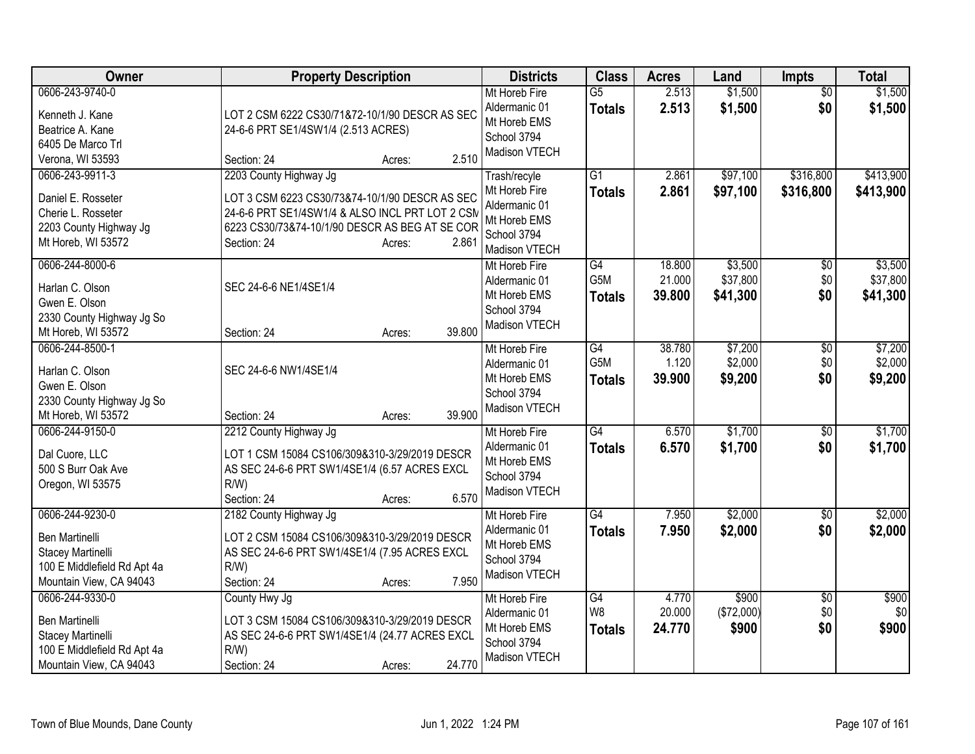| Owner                                                                                                                   | <b>Property Description</b>                                                                                                                                                                                     | <b>Districts</b>                                                                               | <b>Class</b>                            | <b>Acres</b>               | Land                            | <b>Impts</b>                  | <b>Total</b>                    |
|-------------------------------------------------------------------------------------------------------------------------|-----------------------------------------------------------------------------------------------------------------------------------------------------------------------------------------------------------------|------------------------------------------------------------------------------------------------|-----------------------------------------|----------------------------|---------------------------------|-------------------------------|---------------------------------|
| 0606-243-9740-0<br>Kenneth J. Kane<br>Beatrice A. Kane<br>6405 De Marco Trl<br>Verona, WI 53593                         | LOT 2 CSM 6222 CS30/71&72-10/1/90 DESCR AS SEC<br>24-6-6 PRT SE1/4SW1/4 (2.513 ACRES)<br>2.510<br>Section: 24<br>Acres:                                                                                         | Mt Horeb Fire<br>Aldermanic 01<br>Mt Horeb EMS<br>School 3794<br>Madison VTECH                 | $\overline{G5}$<br><b>Totals</b>        | 2.513<br>2.513             | \$1,500<br>\$1,500              | $\overline{50}$<br>\$0        | \$1,500<br>\$1,500              |
| 0606-243-9911-3<br>Daniel E. Rosseter<br>Cherie L. Rosseter<br>2203 County Highway Jg<br>Mt Horeb, WI 53572             | 2203 County Highway Jg<br>LOT 3 CSM 6223 CS30/73&74-10/1/90 DESCR AS SEC<br>24-6-6 PRT SE1/4SW1/4 & ALSO INCL PRT LOT 2 CSM<br>6223 CS30/73&74-10/1/90 DESCR AS BEG AT SE COR<br>2.861<br>Section: 24<br>Acres: | Trash/recyle<br>Mt Horeb Fire<br>Aldermanic 01<br>Mt Horeb EMS<br>School 3794<br>Madison VTECH | $\overline{G1}$<br><b>Totals</b>        | 2.861<br>2.861             | \$97,100<br>\$97,100            | \$316,800<br>\$316,800        | \$413,900<br>\$413,900          |
| 0606-244-8000-6<br>Harlan C. Olson<br>Gwen E. Olson<br>2330 County Highway Jg So<br>Mt Horeb, WI 53572                  | SEC 24-6-6 NE1/4SE1/4<br>39.800<br>Section: 24<br>Acres:                                                                                                                                                        | Mt Horeb Fire<br>Aldermanic 01<br>Mt Horeb EMS<br>School 3794<br>Madison VTECH                 | G4<br>G5M<br><b>Totals</b>              | 18.800<br>21.000<br>39.800 | \$3,500<br>\$37,800<br>\$41,300 | $\overline{50}$<br>\$0<br>\$0 | \$3,500<br>\$37,800<br>\$41,300 |
| 0606-244-8500-1<br>Harlan C. Olson<br>Gwen E. Olson<br>2330 County Highway Jg So<br>Mt Horeb, WI 53572                  | SEC 24-6-6 NW1/4SE1/4<br>39.900<br>Section: 24<br>Acres:                                                                                                                                                        | Mt Horeb Fire<br>Aldermanic 01<br>Mt Horeb EMS<br>School 3794<br>Madison VTECH                 | G4<br>G <sub>5</sub> M<br><b>Totals</b> | 38.780<br>1.120<br>39.900  | \$7,200<br>\$2,000<br>\$9,200   | $\overline{50}$<br>\$0<br>\$0 | \$7,200<br>\$2,000<br>\$9,200   |
| 0606-244-9150-0<br>Dal Cuore, LLC<br>500 S Burr Oak Ave<br>Oregon, WI 53575                                             | 2212 County Highway Jg<br>LOT 1 CSM 15084 CS106/309&310-3/29/2019 DESCR<br>AS SEC 24-6-6 PRT SW1/4SE1/4 (6.57 ACRES EXCL<br>$R/W$ )<br>6.570<br>Section: 24<br>Acres:                                           | Mt Horeb Fire<br>Aldermanic 01<br>Mt Horeb EMS<br>School 3794<br>Madison VTECH                 | G4<br><b>Totals</b>                     | 6.570<br>6.570             | \$1,700<br>\$1,700              | \$0<br>\$0                    | \$1,700<br>\$1,700              |
| 0606-244-9230-0<br>Ben Martinelli<br>Stacey Martinelli<br>100 E Middlefield Rd Apt 4a<br>Mountain View, CA 94043        | 2182 County Highway Jg<br>LOT 2 CSM 15084 CS106/309&310-3/29/2019 DESCR<br>AS SEC 24-6-6 PRT SW1/4SE1/4 (7.95 ACRES EXCL<br>$R/W$ )<br>7.950<br>Section: 24<br>Acres:                                           | Mt Horeb Fire<br>Aldermanic 01<br>Mt Horeb EMS<br>School 3794<br>Madison VTECH                 | $\overline{G4}$<br><b>Totals</b>        | 7.950<br>7.950             | \$2,000<br>\$2,000              | \$0<br>\$0                    | \$2,000<br>\$2,000              |
| 0606-244-9330-0<br><b>Ben Martinelli</b><br>Stacey Martinelli<br>100 E Middlefield Rd Apt 4a<br>Mountain View, CA 94043 | County Hwy Jg<br>LOT 3 CSM 15084 CS106/309&310-3/29/2019 DESCR<br>AS SEC 24-6-6 PRT SW1/4SE1/4 (24.77 ACRES EXCL<br>$R/W$ )<br>24.770<br>Section: 24<br>Acres:                                                  | Mt Horeb Fire<br>Aldermanic 01<br>Mt Horeb EMS<br>School 3794<br>Madison VTECH                 | G4<br>W <sub>8</sub><br><b>Totals</b>   | 4.770<br>20.000<br>24.770  | \$900<br>(\$72,000)<br>\$900    | \$0<br>\$0<br>\$0             | \$900<br>\$0<br>\$900           |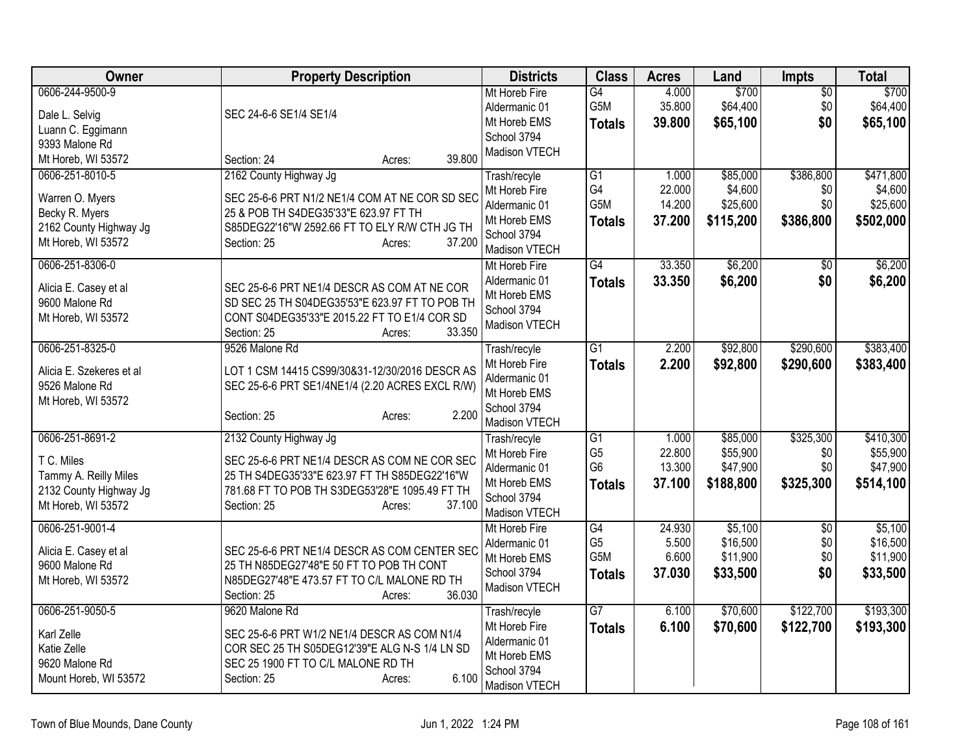| <b>Owner</b>                                                                                                               | <b>Property Description</b>                                                                                                                                                                                                              | <b>Districts</b>                                                                               | <b>Class</b>                                                         | <b>Acres</b>                        | Land                                          | Impts                                | <b>Total</b>                                   |
|----------------------------------------------------------------------------------------------------------------------------|------------------------------------------------------------------------------------------------------------------------------------------------------------------------------------------------------------------------------------------|------------------------------------------------------------------------------------------------|----------------------------------------------------------------------|-------------------------------------|-----------------------------------------------|--------------------------------------|------------------------------------------------|
| 0606-244-9500-9<br>Dale L. Selvig<br>Luann C. Eggimann<br>9393 Malone Rd                                                   | SEC 24-6-6 SE1/4 SE1/4                                                                                                                                                                                                                   | Mt Horeb Fire<br>Aldermanic 01<br>Mt Horeb EMS<br>School 3794<br>Madison VTECH                 | G4<br>G5M<br><b>Totals</b>                                           | 4.000<br>35.800<br>39,800           | \$700<br>\$64,400<br>\$65,100                 | $\overline{50}$<br>\$0<br>\$0        | \$700<br>\$64,400<br>\$65,100                  |
| Mt Horeb, WI 53572<br>0606-251-8010-5<br>Warren O. Myers<br>Becky R. Myers<br>2162 County Highway Jg<br>Mt Horeb, WI 53572 | 39.800<br>Section: 24<br>Acres:<br>2162 County Highway Jg<br>SEC 25-6-6 PRT N1/2 NE1/4 COM AT NE COR SD SEC<br>25 & POB TH S4DEG35'33"E 623.97 FT TH<br>S85DEG22'16"W 2592.66 FT TO ELY R/W CTH JG TH<br>37.200<br>Section: 25<br>Acres: | Trash/recyle<br>Mt Horeb Fire<br>Aldermanic 01<br>Mt Horeb EMS<br>School 3794<br>Madison VTECH | G1<br>G4<br>G5M<br><b>Totals</b>                                     | 1.000<br>22.000<br>14.200<br>37.200 | \$85,000<br>\$4,600<br>\$25,600<br>\$115,200  | \$386,800<br>\$0<br>\$0<br>\$386,800 | \$471,800<br>\$4,600<br>\$25,600<br>\$502,000  |
| 0606-251-8306-0<br>Alicia E. Casey et al<br>9600 Malone Rd<br>Mt Horeb, WI 53572                                           | SEC 25-6-6 PRT NE1/4 DESCR AS COM AT NE COR<br>SD SEC 25 TH S04DEG35'53"E 623.97 FT TO POB TH<br>CONT S04DEG35'33"E 2015.22 FT TO E1/4 COR SD<br>33.350<br>Section: 25<br>Acres:                                                         | Mt Horeb Fire<br>Aldermanic 01<br>Mt Horeb EMS<br>School 3794<br>Madison VTECH                 | $\overline{G4}$<br><b>Totals</b>                                     | 33.350<br>33.350                    | \$6,200<br>\$6,200                            | $\overline{50}$<br>\$0               | \$6,200<br>\$6,200                             |
| 0606-251-8325-0<br>Alicia E. Szekeres et al<br>9526 Malone Rd<br>Mt Horeb, WI 53572                                        | 9526 Malone Rd<br>LOT 1 CSM 14415 CS99/30&31-12/30/2016 DESCR AS<br>SEC 25-6-6 PRT SE1/4NE1/4 (2.20 ACRES EXCL R/W)<br>2.200<br>Section: 25<br>Acres:                                                                                    | Trash/recyle<br>Mt Horeb Fire<br>Aldermanic 01<br>Mt Horeb EMS<br>School 3794<br>Madison VTECH | $\overline{G1}$<br><b>Totals</b>                                     | 2.200<br>2.200                      | \$92,800<br>\$92,800                          | \$290,600<br>\$290,600               | \$383,400<br>\$383,400                         |
| 0606-251-8691-2<br>T C. Miles<br>Tammy A. Reilly Miles<br>2132 County Highway Jg<br>Mt Horeb, WI 53572                     | 2132 County Highway Jg<br>SEC 25-6-6 PRT NE1/4 DESCR AS COM NE COR SEC<br>25 TH S4DEG35'33"E 623.97 FT TH S85DEG22'16"W<br>781.68 FT TO POB TH S3DEG53'28"E 1095.49 FT TH<br>37.100<br>Section: 25<br>Acres:                             | Trash/recyle<br>Mt Horeb Fire<br>Aldermanic 01<br>Mt Horeb EMS<br>School 3794<br>Madison VTECH | $\overline{G1}$<br>G <sub>5</sub><br>G <sub>6</sub><br><b>Totals</b> | 1.000<br>22.800<br>13.300<br>37.100 | \$85,000<br>\$55,900<br>\$47,900<br>\$188,800 | \$325,300<br>\$0<br>\$0<br>\$325,300 | \$410,300<br>\$55,900<br>\$47,900<br>\$514,100 |
| 0606-251-9001-4<br>Alicia E. Casey et al<br>9600 Malone Rd<br>Mt Horeb, WI 53572                                           | SEC 25-6-6 PRT NE1/4 DESCR AS COM CENTER SEC<br>25 TH N85DEG27'48"E 50 FT TO POB TH CONT<br>N85DEG27'48"E 473.57 FT TO C/L MALONE RD TH<br>36.030<br>Section: 25<br>Acres:                                                               | Mt Horeb Fire<br>Aldermanic 01<br>Mt Horeb EMS<br>School 3794<br>Madison VTECH                 | G4<br>G <sub>5</sub><br>G5M<br><b>Totals</b>                         | 24.930<br>5.500<br>6.600<br>37.030  | \$5,100<br>\$16,500<br>\$11,900<br>\$33,500   | $\overline{50}$<br>\$0<br>\$0<br>\$0 | \$5,100<br>\$16,500<br>\$11,900<br>\$33,500    |
| 0606-251-9050-5<br>Karl Zelle<br>Katie Zelle<br>9620 Malone Rd<br>Mount Horeb, WI 53572                                    | 9620 Malone Rd<br>SEC 25-6-6 PRT W1/2 NE1/4 DESCR AS COM N1/4<br>COR SEC 25 TH S05DEG12'39"E ALG N-S 1/4 LN SD<br>SEC 25 1900 FT TO C/L MALONE RD TH<br>6.100<br>Section: 25<br>Acres:                                                   | Trash/recyle<br>Mt Horeb Fire<br>Aldermanic 01<br>Mt Horeb EMS<br>School 3794<br>Madison VTECH | G7<br><b>Totals</b>                                                  | 6.100<br>6.100                      | \$70,600<br>\$70,600                          | \$122,700<br>\$122,700               | \$193,300<br>\$193,300                         |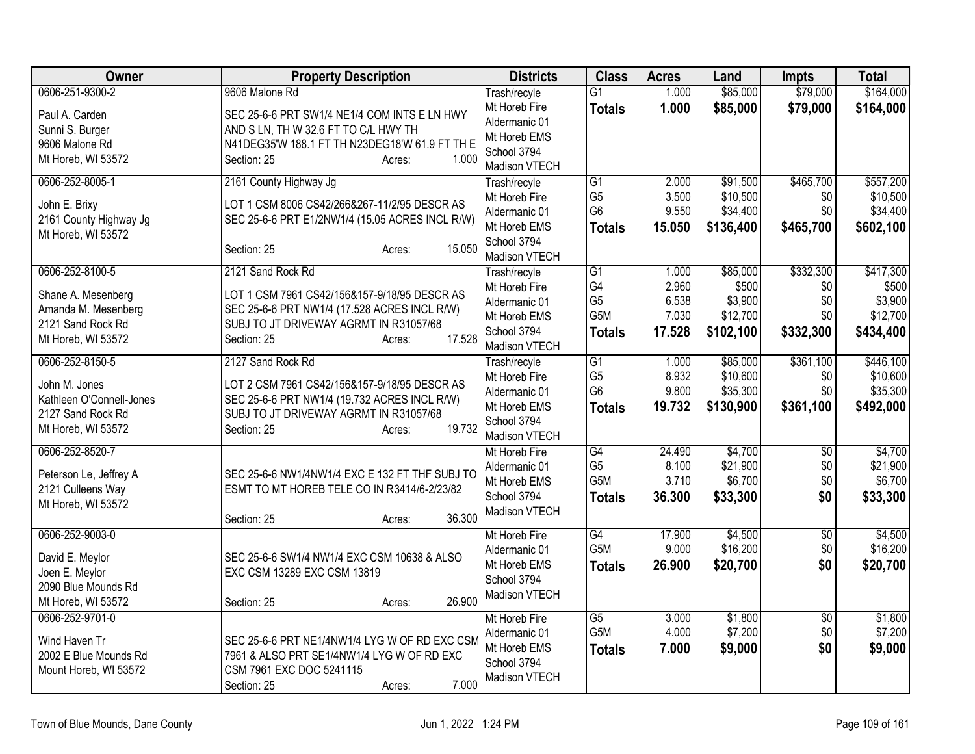| Owner                                 | <b>Property Description</b>                      | <b>Districts</b>               | <b>Class</b>    | <b>Acres</b> | Land      | <b>Impts</b>           | <b>Total</b> |
|---------------------------------------|--------------------------------------------------|--------------------------------|-----------------|--------------|-----------|------------------------|--------------|
| 0606-251-9300-2                       | 9606 Malone Rd                                   | Trash/recyle                   | $\overline{G1}$ | 1.000        | \$85,000  | \$79,000               | \$164,000    |
| Paul A. Carden                        | SEC 25-6-6 PRT SW1/4 NE1/4 COM INTS E LN HWY     | Mt Horeb Fire                  | <b>Totals</b>   | 1.000        | \$85,000  | \$79,000               | \$164,000    |
| Sunni S. Burger                       | AND S LN, TH W 32.6 FT TO C/L HWY TH             | Aldermanic 01                  |                 |              |           |                        |              |
| 9606 Malone Rd                        | N41DEG35'W 188.1 FT TH N23DEG18'W 61.9 FT TH E   | Mt Horeb EMS                   |                 |              |           |                        |              |
| Mt Horeb, WI 53572                    | 1.000<br>Section: 25<br>Acres:                   | School 3794                    |                 |              |           |                        |              |
|                                       |                                                  | Madison VTECH                  |                 |              |           |                        |              |
| 0606-252-8005-1                       | 2161 County Highway Jg                           | Trash/recyle                   | $\overline{G1}$ | 2.000        | \$91,500  | \$465,700              | \$557,200    |
| John E. Brixy                         | LOT 1 CSM 8006 CS42/266&267-11/2/95 DESCR AS     | Mt Horeb Fire                  | G <sub>5</sub>  | 3.500        | \$10,500  | \$0                    | \$10,500     |
| 2161 County Highway Jg                | SEC 25-6-6 PRT E1/2NW1/4 (15.05 ACRES INCL R/W)  | Aldermanic 01                  | G <sub>6</sub>  | 9.550        | \$34,400  | \$0                    | \$34,400     |
| Mt Horeb, WI 53572                    |                                                  | Mt Horeb EMS                   | <b>Totals</b>   | 15.050       | \$136,400 | \$465,700              | \$602,100    |
|                                       | 15.050<br>Section: 25<br>Acres:                  | School 3794<br>Madison VTECH   |                 |              |           |                        |              |
| 0606-252-8100-5                       | 2121 Sand Rock Rd                                | Trash/recyle                   | G <sub>1</sub>  | 1.000        | \$85,000  | \$332,300              | \$417,300    |
|                                       |                                                  | Mt Horeb Fire                  | G4              | 2.960        | \$500     | \$0                    | \$500        |
| Shane A. Mesenberg                    | LOT 1 CSM 7961 CS42/156&157-9/18/95 DESCR AS     | Aldermanic 01                  | G <sub>5</sub>  | 6.538        | \$3,900   | \$0                    | \$3,900      |
| Amanda M. Mesenberg                   | SEC 25-6-6 PRT NW1/4 (17.528 ACRES INCL R/W)     | Mt Horeb EMS                   | G5M             | 7.030        | \$12,700  | \$0                    | \$12,700     |
| 2121 Sand Rock Rd                     | SUBJ TO JT DRIVEWAY AGRMT IN R31057/68           | School 3794                    | <b>Totals</b>   | 17.528       | \$102,100 | \$332,300              | \$434,400    |
| Mt Horeb, WI 53572                    | 17.528<br>Section: 25<br>Acres:                  | Madison VTECH                  |                 |              |           |                        |              |
| 0606-252-8150-5                       | 2127 Sand Rock Rd                                | Trash/recyle                   | G1              | 1.000        | \$85,000  | \$361,100              | \$446,100    |
|                                       |                                                  | Mt Horeb Fire                  | G <sub>5</sub>  | 8.932        | \$10,600  | \$0                    | \$10,600     |
| John M. Jones                         | LOT 2 CSM 7961 CS42/156&157-9/18/95 DESCR AS     | Aldermanic 01                  | G <sub>6</sub>  | 9.800        | \$35,300  | \$0                    | \$35,300     |
| Kathleen O'Connell-Jones              | SEC 25-6-6 PRT NW1/4 (19.732 ACRES INCL R/W)     | Mt Horeb EMS                   | <b>Totals</b>   | 19.732       | \$130,900 | \$361,100              | \$492,000    |
| 2127 Sand Rock Rd                     | SUBJ TO JT DRIVEWAY AGRMT IN R31057/68<br>19.732 | School 3794                    |                 |              |           |                        |              |
| Mt Horeb, WI 53572                    | Section: 25<br>Acres:                            | Madison VTECH                  |                 |              |           |                        |              |
| 0606-252-8520-7                       |                                                  | Mt Horeb Fire                  | G4              | 24.490       | \$4,700   | $\overline{50}$        | \$4,700      |
| Peterson Le, Jeffrey A                | SEC 25-6-6 NW1/4NW1/4 EXC E 132 FT THF SUBJ TO   | Aldermanic 01                  | G <sub>5</sub>  | 8.100        | \$21,900  | \$0                    | \$21,900     |
| 2121 Culleens Way                     | ESMT TO MT HOREB TELE CO IN R3414/6-2/23/82      | Mt Horeb EMS                   | G5M             | 3.710        | \$6,700   | \$0                    | \$6,700      |
| Mt Horeb, WI 53572                    |                                                  | School 3794                    | <b>Totals</b>   | 36.300       | \$33,300  | \$0                    | \$33,300     |
|                                       | 36.300<br>Section: 25<br>Acres:                  | Madison VTECH                  |                 |              |           |                        |              |
| 0606-252-9003-0                       |                                                  | Mt Horeb Fire                  | $\overline{G4}$ | 17.900       | \$4,500   | $\overline{50}$        | \$4,500      |
|                                       |                                                  | Aldermanic 01                  | G5M             | 9.000        | \$16,200  | \$0                    | \$16,200     |
| David E. Meylor                       | SEC 25-6-6 SW1/4 NW1/4 EXC CSM 10638 & ALSO      | Mt Horeb EMS                   | <b>Totals</b>   | 26.900       | \$20,700  | \$0                    | \$20,700     |
| Joen E. Meylor                        | EXC CSM 13289 EXC CSM 13819                      | School 3794                    |                 |              |           |                        |              |
| 2090 Blue Mounds Rd                   | 26.900                                           | Madison VTECH                  |                 |              |           |                        |              |
| Mt Horeb, WI 53572<br>0606-252-9701-0 | Section: 25<br>Acres:                            |                                | $\overline{G5}$ | 3.000        | \$1,800   |                        | \$1,800      |
|                                       |                                                  | Mt Horeb Fire<br>Aldermanic 01 | G5M             | 4.000        | \$7,200   | $\overline{50}$<br>\$0 | \$7,200      |
| Wind Haven Tr                         | SEC 25-6-6 PRT NE1/4NW1/4 LYG W OF RD EXC CSM    | Mt Horeb EMS                   |                 | 7.000        |           | \$0                    |              |
| 2002 E Blue Mounds Rd                 | 7961 & ALSO PRT SE1/4NW1/4 LYG W OF RD EXC       | School 3794                    | <b>Totals</b>   |              | \$9,000   |                        | \$9,000      |
| Mount Horeb, WI 53572                 | CSM 7961 EXC DOC 5241115                         | Madison VTECH                  |                 |              |           |                        |              |
|                                       | 7.000<br>Section: 25<br>Acres:                   |                                |                 |              |           |                        |              |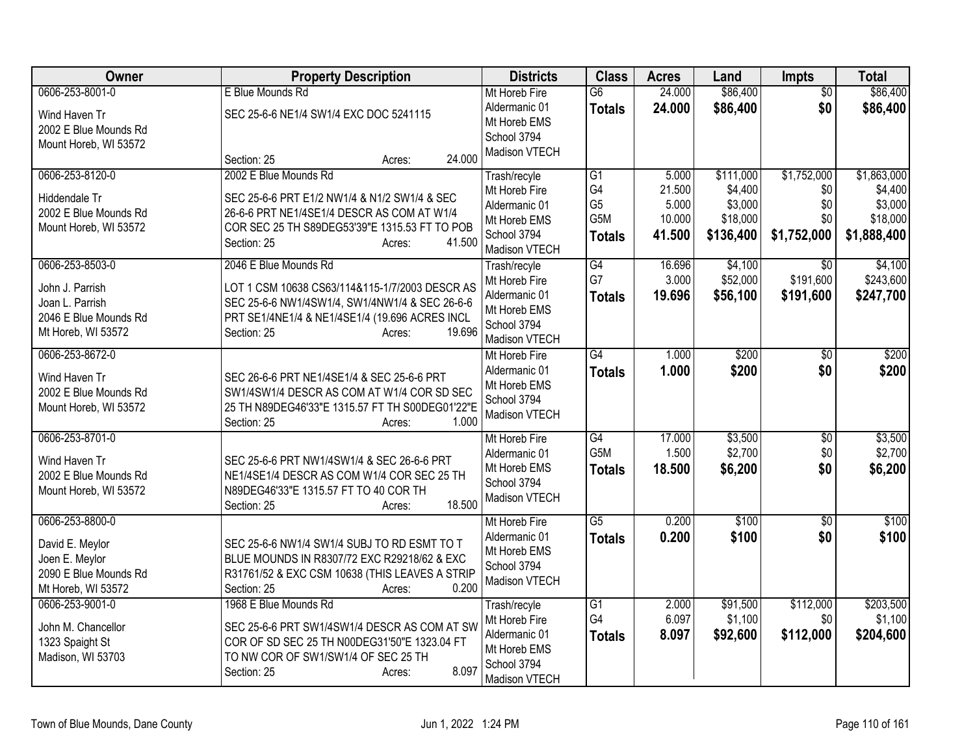| Owner                                                                                                | <b>Property Description</b>                                                                                                                                                                                    | <b>Districts</b>                                                                               | <b>Class</b>                                         | <b>Acres</b>                                 | Land                                                     | <b>Impts</b>                                    | <b>Total</b>                                                 |
|------------------------------------------------------------------------------------------------------|----------------------------------------------------------------------------------------------------------------------------------------------------------------------------------------------------------------|------------------------------------------------------------------------------------------------|------------------------------------------------------|----------------------------------------------|----------------------------------------------------------|-------------------------------------------------|--------------------------------------------------------------|
| 0606-253-8001-0<br>Wind Haven Tr<br>2002 E Blue Mounds Rd                                            | E Blue Mounds Rd<br>SEC 25-6-6 NE1/4 SW1/4 EXC DOC 5241115                                                                                                                                                     | Mt Horeb Fire<br>Aldermanic 01<br>Mt Horeb EMS                                                 | $\overline{G6}$<br><b>Totals</b>                     | 24.000<br>24.000                             | \$86,400<br>\$86,400                                     | $\overline{50}$<br>\$0                          | \$86,400<br>\$86,400                                         |
| Mount Horeb, WI 53572                                                                                | 24.000<br>Section: 25<br>Acres:                                                                                                                                                                                | School 3794<br>Madison VTECH                                                                   |                                                      |                                              |                                                          |                                                 |                                                              |
| 0606-253-8120-0<br>Hiddendale Tr<br>2002 E Blue Mounds Rd<br>Mount Horeb, WI 53572                   | 2002 E Blue Mounds Rd<br>SEC 25-6-6 PRT E1/2 NW1/4 & N1/2 SW1/4 & SEC<br>26-6-6 PRT NE1/4SE1/4 DESCR AS COM AT W1/4<br>COR SEC 25 TH S89DEG53'39"E 1315.53 FT TO POB<br>41.500<br>Section: 25<br>Acres:        | Trash/recyle<br>Mt Horeb Fire<br>Aldermanic 01<br>Mt Horeb EMS<br>School 3794<br>Madison VTECH | G1<br>G4<br>G <sub>5</sub><br>G5M<br><b>Totals</b>   | 5.000<br>21.500<br>5.000<br>10.000<br>41.500 | \$111,000<br>\$4,400<br>\$3,000<br>\$18,000<br>\$136,400 | \$1,752,000<br>\$0<br>\$0<br>\$0<br>\$1,752,000 | \$1,863,000<br>\$4,400<br>\$3,000<br>\$18,000<br>\$1,888,400 |
| 0606-253-8503-0<br>John J. Parrish<br>Joan L. Parrish<br>2046 E Blue Mounds Rd<br>Mt Horeb, WI 53572 | 2046 E Blue Mounds Rd<br>LOT 1 CSM 10638 CS63/114&115-1/7/2003 DESCR AS<br>SEC 25-6-6 NW1/4SW1/4, SW1/4NW1/4 & SEC 26-6-6<br>PRT SE1/4NE1/4 & NE1/4SE1/4 (19.696 ACRES INCL<br>19.696<br>Section: 25<br>Acres: | Trash/recyle<br>Mt Horeb Fire<br>Aldermanic 01<br>Mt Horeb EMS<br>School 3794<br>Madison VTECH | G4<br>G7<br><b>Totals</b>                            | 16.696<br>3.000<br>19.696                    | \$4,100<br>\$52,000<br>\$56,100                          | $\overline{30}$<br>\$191,600<br>\$191,600       | \$4,100<br>\$243,600<br>\$247,700                            |
| 0606-253-8672-0<br>Wind Haven Tr<br>2002 E Blue Mounds Rd<br>Mount Horeb, WI 53572                   | SEC 26-6-6 PRT NE1/4SE1/4 & SEC 25-6-6 PRT<br>SW1/4SW1/4 DESCR AS COM AT W1/4 COR SD SEC<br>25 TH N89DEG46'33"E 1315.57 FT TH S00DEG01'22"E<br>1.000<br>Section: 25<br>Acres:                                  | Mt Horeb Fire<br>Aldermanic 01<br>Mt Horeb EMS<br>School 3794<br>Madison VTECH                 | $\overline{G4}$<br><b>Totals</b>                     | 1.000<br>1.000                               | \$200<br>\$200                                           | \$0<br>\$0                                      | \$200<br>\$200                                               |
| 0606-253-8701-0<br>Wind Haven Tr<br>2002 E Blue Mounds Rd<br>Mount Horeb, WI 53572                   | SEC 25-6-6 PRT NW1/4SW1/4 & SEC 26-6-6 PRT<br>NE1/4SE1/4 DESCR AS COM W1/4 COR SEC 25 TH<br>N89DEG46'33"E 1315.57 FT TO 40 COR TH<br>18.500<br>Section: 25<br>Acres:                                           | Mt Horeb Fire<br>Aldermanic 01<br>Mt Horeb EMS<br>School 3794<br>Madison VTECH                 | $\overline{G4}$<br>G <sub>5</sub> M<br><b>Totals</b> | 17.000<br>1.500<br>18.500                    | \$3,500<br>\$2,700<br>\$6,200                            | $\overline{50}$<br>\$0<br>\$0                   | \$3,500<br>\$2,700<br>\$6,200                                |
| 0606-253-8800-0<br>David E. Meylor<br>Joen E. Meylor<br>2090 E Blue Mounds Rd<br>Mt Horeb, WI 53572  | SEC 25-6-6 NW1/4 SW1/4 SUBJ TO RD ESMT TO T<br>BLUE MOUNDS IN R8307/72 EXC R29218/62 & EXC<br>R31761/52 & EXC CSM 10638 (THIS LEAVES A STRIP<br>0.200<br>Section: 25<br>Acres:                                 | Mt Horeb Fire<br>Aldermanic 01<br>Mt Horeb EMS<br>School 3794<br>Madison VTECH                 | $\overline{G5}$<br><b>Totals</b>                     | 0.200<br>0.200                               | \$100<br>\$100                                           | $\overline{50}$<br>\$0                          | \$100<br>\$100                                               |
| 0606-253-9001-0<br>John M. Chancellor<br>1323 Spaight St<br>Madison, WI 53703                        | 1968 E Blue Mounds Rd<br>SEC 25-6-6 PRT SW1/4SW1/4 DESCR AS COM AT SW<br>COR OF SD SEC 25 TH N00DEG31'50"E 1323.04 FT<br>TO NW COR OF SW1/SW1/4 OF SEC 25 TH<br>8.097<br>Section: 25<br>Acres:                 | Trash/recyle<br>Mt Horeb Fire<br>Aldermanic 01<br>Mt Horeb EMS<br>School 3794<br>Madison VTECH | G1<br>G4<br><b>Totals</b>                            | 2.000<br>6.097<br>8.097                      | \$91,500<br>\$1,100<br>\$92,600                          | \$112,000<br>\$0<br>\$112,000                   | \$203,500<br>\$1,100<br>\$204,600                            |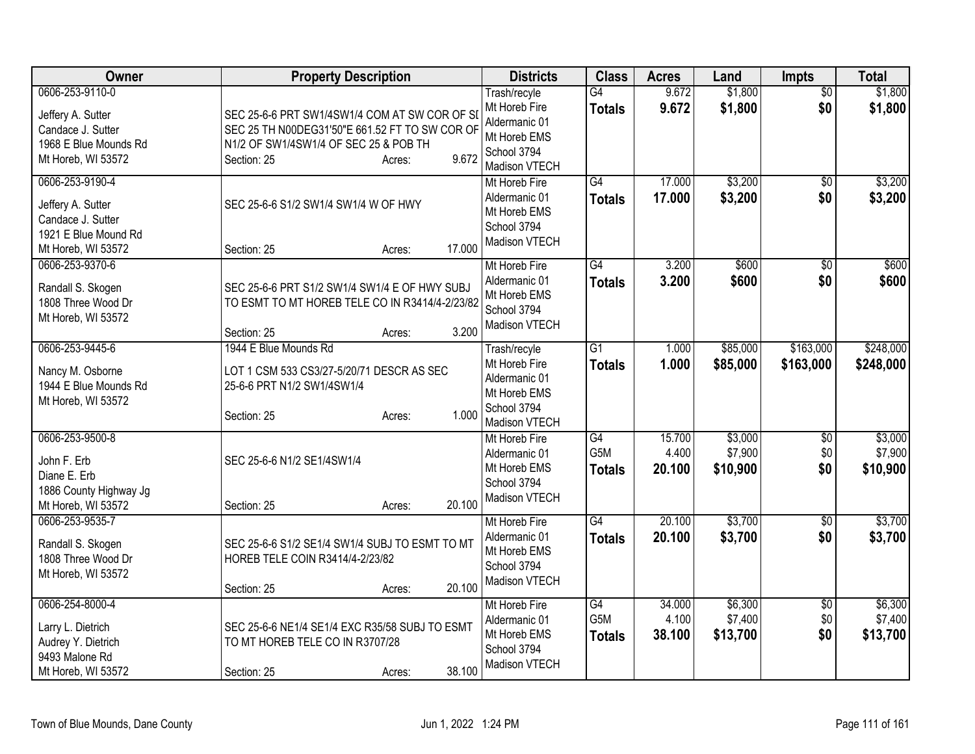| Owner                                                                                                    | <b>Property Description</b>                                                                                                                                                | <b>Districts</b>                                                                               | <b>Class</b>                     | <b>Acres</b>              | Land                           | <b>Impts</b>                  | <b>Total</b>                   |
|----------------------------------------------------------------------------------------------------------|----------------------------------------------------------------------------------------------------------------------------------------------------------------------------|------------------------------------------------------------------------------------------------|----------------------------------|---------------------------|--------------------------------|-------------------------------|--------------------------------|
| 0606-253-9110-0<br>Jeffery A. Sutter<br>Candace J. Sutter<br>1968 E Blue Mounds Rd<br>Mt Horeb, WI 53572 | SEC 25-6-6 PRT SW1/4SW1/4 COM AT SW COR OF SI<br>SEC 25 TH N00DEG31'50"E 661.52 FT TO SW COR OF<br>N1/2 OF SW1/4SW1/4 OF SEC 25 & POB TH<br>9.672<br>Section: 25<br>Acres: | Trash/recyle<br>Mt Horeb Fire<br>Aldermanic 01<br>Mt Horeb EMS<br>School 3794<br>Madison VTECH | $\overline{G4}$<br><b>Totals</b> | 9.672<br>9.672            | \$1,800<br>\$1,800             | $\overline{50}$<br>\$0        | \$1,800<br>\$1,800             |
| 0606-253-9190-4<br>Jeffery A. Sutter<br>Candace J. Sutter<br>1921 E Blue Mound Rd<br>Mt Horeb, WI 53572  | SEC 25-6-6 S1/2 SW1/4 SW1/4 W OF HWY<br>17.000<br>Section: 25<br>Acres:                                                                                                    | Mt Horeb Fire<br>Aldermanic 01<br>Mt Horeb EMS<br>School 3794<br>Madison VTECH                 | $\overline{G4}$<br><b>Totals</b> | 17.000<br>17.000          | \$3,200<br>\$3,200             | $\overline{30}$<br>\$0        | \$3,200<br>\$3,200             |
| 0606-253-9370-6<br>Randall S. Skogen<br>1808 Three Wood Dr<br>Mt Horeb, WI 53572                         | SEC 25-6-6 PRT S1/2 SW1/4 SW1/4 E OF HWY SUBJ<br>TO ESMT TO MT HOREB TELE CO IN R3414/4-2/23/82<br>3.200<br>Section: 25<br>Acres:                                          | Mt Horeb Fire<br>Aldermanic 01<br>Mt Horeb EMS<br>School 3794<br>Madison VTECH                 | G4<br><b>Totals</b>              | 3.200<br>3.200            | \$600<br>\$600                 | $\overline{50}$<br>\$0        | \$600<br>\$600                 |
| 0606-253-9445-6<br>Nancy M. Osborne<br>1944 E Blue Mounds Rd<br>Mt Horeb, WI 53572                       | 1944 E Blue Mounds Rd<br>LOT 1 CSM 533 CS3/27-5/20/71 DESCR AS SEC<br>25-6-6 PRT N1/2 SW1/4SW1/4<br>1.000<br>Section: 25<br>Acres:                                         | Trash/recyle<br>Mt Horeb Fire<br>Aldermanic 01<br>Mt Horeb EMS<br>School 3794<br>Madison VTECH | $\overline{G1}$<br><b>Totals</b> | 1.000<br>1.000            | \$85,000<br>\$85,000           | \$163,000<br>\$163,000        | \$248,000<br>\$248,000         |
| 0606-253-9500-8<br>John F. Erb<br>Diane E. Erb<br>1886 County Highway Jg<br>Mt Horeb, WI 53572           | SEC 25-6-6 N1/2 SE1/4SW1/4<br>20.100<br>Section: 25<br>Acres:                                                                                                              | Mt Horeb Fire<br>Aldermanic 01<br>Mt Horeb EMS<br>School 3794<br>Madison VTECH                 | G4<br>G5M<br><b>Totals</b>       | 15.700<br>4.400<br>20.100 | \$3,000<br>\$7,900<br>\$10,900 | $\sqrt{6}$<br>\$0<br>\$0      | \$3,000<br>\$7,900<br>\$10,900 |
| 0606-253-9535-7<br>Randall S. Skogen<br>1808 Three Wood Dr<br>Mt Horeb, WI 53572                         | SEC 25-6-6 S1/2 SE1/4 SW1/4 SUBJ TO ESMT TO MT<br>HOREB TELE COIN R3414/4-2/23/82<br>20.100<br>Section: 25<br>Acres:                                                       | Mt Horeb Fire<br>Aldermanic 01<br>Mt Horeb EMS<br>School 3794<br>Madison VTECH                 | $\overline{G4}$<br><b>Totals</b> | 20.100<br>20.100          | \$3,700<br>\$3,700             | \$0<br>\$0                    | \$3,700<br>\$3,700             |
| 0606-254-8000-4<br>Larry L. Dietrich<br>Audrey Y. Dietrich<br>9493 Malone Rd<br>Mt Horeb, WI 53572       | SEC 25-6-6 NE1/4 SE1/4 EXC R35/58 SUBJ TO ESMT<br>TO MT HOREB TELE CO IN R3707/28<br>38.100<br>Section: 25<br>Acres:                                                       | Mt Horeb Fire<br>Aldermanic 01<br>Mt Horeb EMS<br>School 3794<br>Madison VTECH                 | G4<br>G5M<br><b>Totals</b>       | 34.000<br>4.100<br>38.100 | \$6,300<br>\$7,400<br>\$13,700 | $\overline{60}$<br>\$0<br>\$0 | \$6,300<br>\$7,400<br>\$13,700 |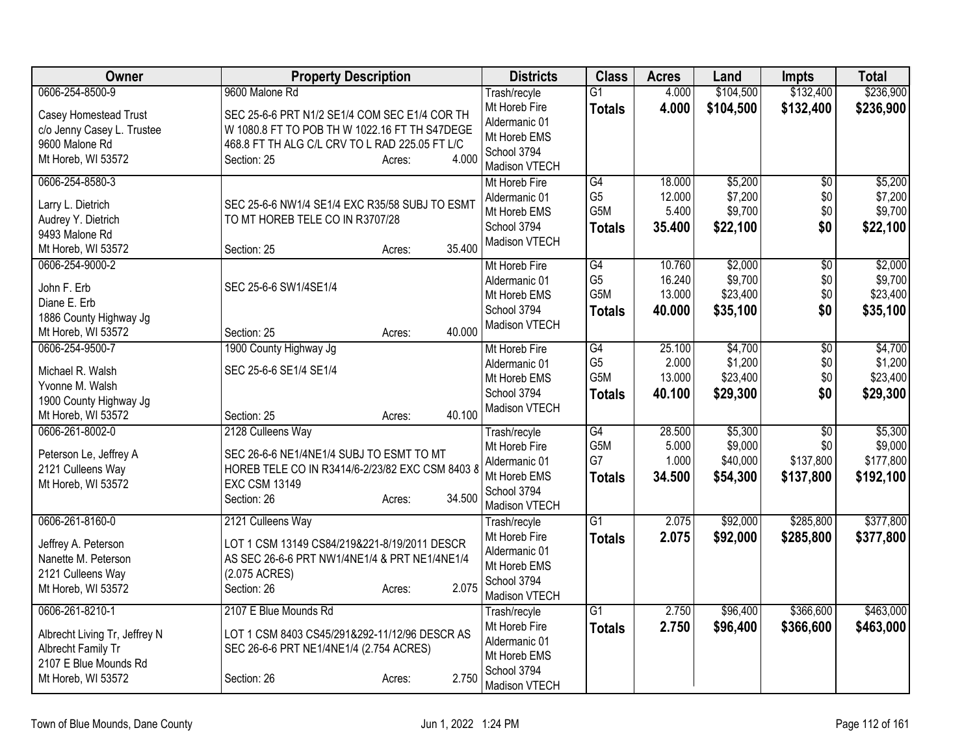| Owner                         | <b>Property Description</b>                     | <b>Districts</b>              | <b>Class</b>           | <b>Acres</b>   | Land                | <b>Impts</b>     | <b>Total</b>         |
|-------------------------------|-------------------------------------------------|-------------------------------|------------------------|----------------|---------------------|------------------|----------------------|
| 0606-254-8500-9               | 9600 Malone Rd                                  | Trash/recyle                  | $\overline{G1}$        | 4.000          | \$104,500           | \$132,400        | \$236,900            |
| Casey Homestead Trust         | SEC 25-6-6 PRT N1/2 SE1/4 COM SEC E1/4 COR TH   | Mt Horeb Fire                 | <b>Totals</b>          | 4.000          | \$104,500           | \$132,400        | \$236,900            |
| c/o Jenny Casey L. Trustee    | W 1080.8 FT TO POB TH W 1022.16 FT TH S47DEGE   | Aldermanic 01                 |                        |                |                     |                  |                      |
| 9600 Malone Rd                | 468.8 FT TH ALG C/L CRV TO L RAD 225.05 FT L/C  | Mt Horeb EMS                  |                        |                |                     |                  |                      |
| Mt Horeb, WI 53572            | 4.000<br>Section: 25<br>Acres:                  | School 3794                   |                        |                |                     |                  |                      |
|                               |                                                 | Madison VTECH                 |                        |                |                     |                  |                      |
| 0606-254-8580-3               |                                                 | Mt Horeb Fire                 | G4                     | 18.000         | \$5,200             | $\overline{50}$  | \$5,200              |
| Larry L. Dietrich             | SEC 25-6-6 NW1/4 SE1/4 EXC R35/58 SUBJ TO ESMT  | Aldermanic 01                 | G <sub>5</sub><br>G5M  | 12.000         | \$7,200             | \$0              | \$7,200              |
| Audrey Y. Dietrich            | TO MT HOREB TELE CO IN R3707/28                 | Mt Horeb EMS                  |                        | 5.400          | \$9,700             | \$0              | \$9,700              |
| 9493 Malone Rd                |                                                 | School 3794                   | <b>Totals</b>          | 35.400         | \$22,100            | \$0              | \$22,100             |
| Mt Horeb, WI 53572            | 35.400<br>Section: 25<br>Acres:                 | Madison VTECH                 |                        |                |                     |                  |                      |
| 0606-254-9000-2               |                                                 | Mt Horeb Fire                 | G4                     | 10.760         | \$2,000             | $\overline{50}$  | \$2,000              |
| John F. Erb                   | SEC 25-6-6 SW1/4SE1/4                           | Aldermanic 01                 | G <sub>5</sub>         | 16.240         | \$9,700             | \$0              | \$9,700              |
| Diane E. Erb                  |                                                 | Mt Horeb EMS                  | G <sub>5</sub> M       | 13.000         | \$23,400            | \$0              | \$23,400             |
| 1886 County Highway Jg        |                                                 | School 3794                   | <b>Totals</b>          | 40.000         | \$35,100            | \$0              | \$35,100             |
| Mt Horeb, WI 53572            | 40.000<br>Section: 25<br>Acres:                 | Madison VTECH                 |                        |                |                     |                  |                      |
| 0606-254-9500-7               | 1900 County Highway Jg                          | Mt Horeb Fire                 | $\overline{G4}$        | 25.100         | \$4,700             | $\overline{50}$  | \$4,700              |
|                               |                                                 | Aldermanic 01                 | G <sub>5</sub>         | 2.000          | \$1,200             | \$0              | \$1,200              |
| Michael R. Walsh              | SEC 25-6-6 SE1/4 SE1/4                          | Mt Horeb EMS                  | G5M                    | 13.000         | \$23,400            | \$0              | \$23,400             |
| Yvonne M. Walsh               |                                                 | School 3794                   | <b>Totals</b>          | 40.100         | \$29,300            | \$0              | \$29,300             |
| 1900 County Highway Jg        |                                                 | Madison VTECH                 |                        |                |                     |                  |                      |
| Mt Horeb, WI 53572            | 40.100<br>Section: 25<br>Acres:                 |                               |                        |                |                     |                  |                      |
| 0606-261-8002-0               | 2128 Culleens Way                               | Trash/recyle                  | G4                     | 28.500         | \$5,300             | $\overline{50}$  | \$5,300              |
| Peterson Le, Jeffrey A        | SEC 26-6-6 NE1/4NE1/4 SUBJ TO ESMT TO MT        | Mt Horeb Fire                 | G <sub>5</sub> M<br>G7 | 5.000<br>1.000 | \$9,000<br>\$40,000 | \$0<br>\$137,800 | \$9,000<br>\$177,800 |
| 2121 Culleens Way             | HOREB TELE CO IN R3414/6-2/23/82 EXC CSM 8403 8 | Aldermanic 01<br>Mt Horeb EMS |                        |                |                     |                  |                      |
| Mt Horeb, WI 53572            | <b>EXC CSM 13149</b>                            | School 3794                   | <b>Totals</b>          | 34.500         | \$54,300            | \$137,800        | \$192,100            |
|                               | 34.500<br>Section: 26<br>Acres:                 | Madison VTECH                 |                        |                |                     |                  |                      |
| 0606-261-8160-0               | 2121 Culleens Way                               | Trash/recyle                  | G1                     | 2.075          | \$92,000            | \$285,800        | \$377,800            |
|                               |                                                 | Mt Horeb Fire                 | <b>Totals</b>          | 2.075          | \$92,000            | \$285,800        | \$377,800            |
| Jeffrey A. Peterson           | LOT 1 CSM 13149 CS84/219&221-8/19/2011 DESCR    | Aldermanic 01                 |                        |                |                     |                  |                      |
| Nanette M. Peterson           | AS SEC 26-6-6 PRT NW1/4NE1/4 & PRT NE1/4NE1/4   | Mt Horeb EMS                  |                        |                |                     |                  |                      |
| 2121 Culleens Way             | (2.075 ACRES)                                   | School 3794                   |                        |                |                     |                  |                      |
| Mt Horeb, WI 53572            | 2.075<br>Section: 26<br>Acres:                  | Madison VTECH                 |                        |                |                     |                  |                      |
| 0606-261-8210-1               | 2107 E Blue Mounds Rd                           | Trash/recyle                  | $\overline{G1}$        | 2.750          | \$96,400            | \$366,600        | \$463,000            |
|                               |                                                 | Mt Horeb Fire                 | <b>Totals</b>          | 2.750          | \$96,400            | \$366,600        | \$463,000            |
| Albrecht Living Tr, Jeffrey N | LOT 1 CSM 8403 CS45/291&292-11/12/96 DESCR AS   | Aldermanic 01                 |                        |                |                     |                  |                      |
| Albrecht Family Tr            | SEC 26-6-6 PRT NE1/4NE1/4 (2.754 ACRES)         | Mt Horeb EMS                  |                        |                |                     |                  |                      |
| 2107 E Blue Mounds Rd         |                                                 | School 3794                   |                        |                |                     |                  |                      |
| Mt Horeb, WI 53572            | 2.750<br>Section: 26<br>Acres:                  | Madison VTECH                 |                        |                |                     |                  |                      |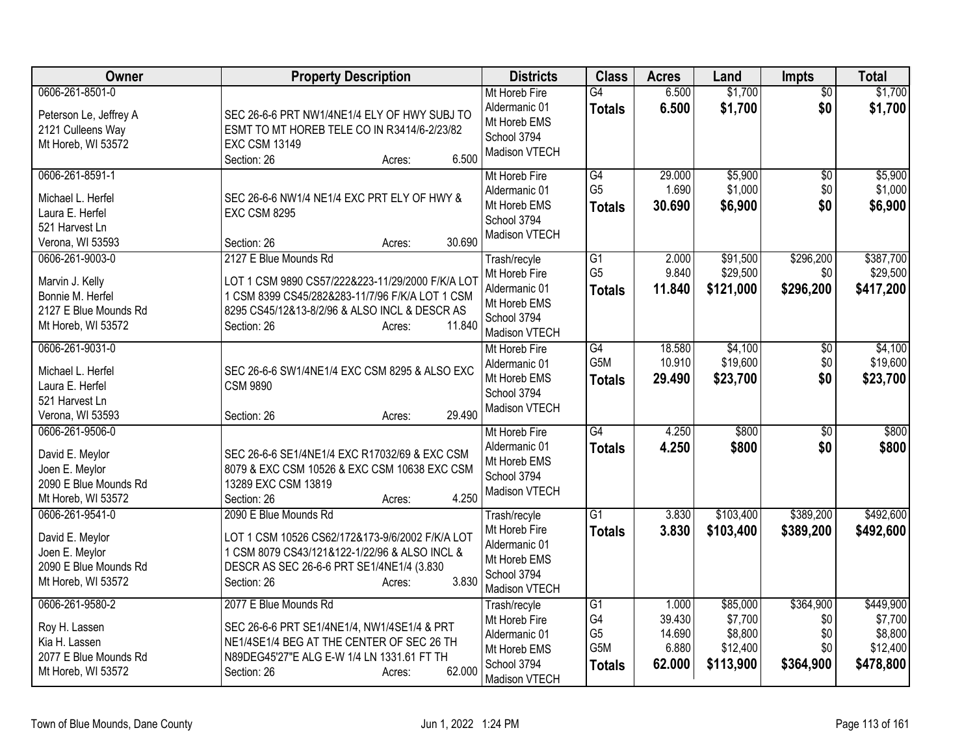| Owner                                                                                                 | <b>Property Description</b>                                                                                                                                                                                      | <b>Districts</b>                                                                               | <b>Class</b>                                                    | <b>Acres</b>                                 | Land                                                    | Impts                                       | <b>Total</b>                                             |
|-------------------------------------------------------------------------------------------------------|------------------------------------------------------------------------------------------------------------------------------------------------------------------------------------------------------------------|------------------------------------------------------------------------------------------------|-----------------------------------------------------------------|----------------------------------------------|---------------------------------------------------------|---------------------------------------------|----------------------------------------------------------|
| 0606-261-8501-0<br>Peterson Le, Jeffrey A<br>2121 Culleens Way<br>Mt Horeb, WI 53572                  | SEC 26-6-6 PRT NW1/4NE1/4 ELY OF HWY SUBJ TO<br>ESMT TO MT HOREB TELE CO IN R3414/6-2/23/82<br><b>EXC CSM 13149</b><br>6.500<br>Section: 26<br>Acres:                                                            | Mt Horeb Fire<br>Aldermanic 01<br>Mt Horeb EMS<br>School 3794<br>Madison VTECH                 | G4<br><b>Totals</b>                                             | 6.500<br>6.500                               | \$1,700<br>\$1,700                                      | $\overline{50}$<br>\$0                      | \$1,700<br>\$1,700                                       |
| 0606-261-8591-1<br>Michael L. Herfel<br>Laura E. Herfel<br>521 Harvest Ln<br>Verona, WI 53593         | SEC 26-6-6 NW1/4 NE1/4 EXC PRT ELY OF HWY &<br><b>EXC CSM 8295</b><br>30.690<br>Section: 26<br>Acres:                                                                                                            | Mt Horeb Fire<br>Aldermanic 01<br>Mt Horeb EMS<br>School 3794<br>Madison VTECH                 | G4<br>G <sub>5</sub><br><b>Totals</b>                           | 29.000<br>1.690<br>30.690                    | \$5,900<br>\$1,000<br>\$6,900                           | $\overline{50}$<br>\$0<br>\$0               | \$5,900<br>\$1,000<br>\$6,900                            |
| 0606-261-9003-0<br>Marvin J. Kelly<br>Bonnie M. Herfel<br>2127 E Blue Mounds Rd<br>Mt Horeb, WI 53572 | 2127 E Blue Mounds Rd<br>LOT 1 CSM 9890 CS57/222&223-11/29/2000 F/K/A LOT<br>1 CSM 8399 CS45/282&283-11/7/96 F/K/A LOT 1 CSM<br>8295 CS45/12&13-8/2/96 & ALSO INCL & DESCR AS<br>11.840<br>Section: 26<br>Acres: | Trash/recyle<br>Mt Horeb Fire<br>Aldermanic 01<br>Mt Horeb EMS<br>School 3794<br>Madison VTECH | $\overline{G1}$<br>G <sub>5</sub><br><b>Totals</b>              | 2.000<br>9.840<br>11.840                     | \$91,500<br>\$29,500<br>\$121,000                       | \$296,200<br>\$0<br>\$296,200               | \$387,700<br>\$29,500<br>\$417,200                       |
| 0606-261-9031-0<br>Michael L. Herfel<br>Laura E. Herfel<br>521 Harvest Ln<br>Verona, WI 53593         | SEC 26-6-6 SW1/4NE1/4 EXC CSM 8295 & ALSO EXC<br><b>CSM 9890</b><br>29.490<br>Section: 26<br>Acres:                                                                                                              | Mt Horeb Fire<br>Aldermanic 01<br>Mt Horeb EMS<br>School 3794<br>Madison VTECH                 | G4<br>G5M<br><b>Totals</b>                                      | 18.580<br>10.910<br>29.490                   | \$4,100<br>\$19,600<br>\$23,700                         | $\overline{50}$<br>\$0<br>\$0               | \$4,100<br>\$19,600<br>\$23,700                          |
| 0606-261-9506-0<br>David E. Meylor<br>Joen E. Meylor<br>2090 E Blue Mounds Rd<br>Mt Horeb, WI 53572   | SEC 26-6-6 SE1/4NE1/4 EXC R17032/69 & EXC CSM<br>8079 & EXC CSM 10526 & EXC CSM 10638 EXC CSM<br>13289 EXC CSM 13819<br>4.250<br>Section: 26<br>Acres:                                                           | Mt Horeb Fire<br>Aldermanic 01<br>Mt Horeb EMS<br>School 3794<br>Madison VTECH                 | G4<br><b>Totals</b>                                             | 4.250<br>4.250                               | \$800<br>\$800                                          | \$0<br>\$0                                  | \$800<br>\$800                                           |
| 0606-261-9541-0<br>David E. Meylor<br>Joen E. Meylor<br>2090 E Blue Mounds Rd<br>Mt Horeb, WI 53572   | 2090 E Blue Mounds Rd<br>LOT 1 CSM 10526 CS62/172&173-9/6/2002 F/K/A LOT<br>1 CSM 8079 CS43/121&122-1/22/96 & ALSO INCL &<br>DESCR AS SEC 26-6-6 PRT SE1/4NE1/4 (3.830<br>3.830<br>Section: 26<br>Acres:         | Trash/recyle<br>Mt Horeb Fire<br>Aldermanic 01<br>Mt Horeb EMS<br>School 3794<br>Madison VTECH | G1<br><b>Totals</b>                                             | 3.830<br>3.830                               | \$103,400<br>\$103,400                                  | \$389,200<br>\$389,200                      | \$492,600<br>\$492,600                                   |
| 0606-261-9580-2<br>Roy H. Lassen<br>Kia H. Lassen<br>2077 E Blue Mounds Rd<br>Mt Horeb, WI 53572      | 2077 E Blue Mounds Rd<br>SEC 26-6-6 PRT SE1/4NE1/4, NW1/4SE1/4 & PRT<br>NE1/4SE1/4 BEG AT THE CENTER OF SEC 26 TH<br>N89DEG45'27"E ALG E-W 1/4 LN 1331.61 FT TH<br>62.000<br>Section: 26<br>Acres:               | Trash/recyle<br>Mt Horeb Fire<br>Aldermanic 01<br>Mt Horeb EMS<br>School 3794<br>Madison VTECH | $\overline{G1}$<br>G4<br>G <sub>5</sub><br>G5M<br><b>Totals</b> | 1.000<br>39.430<br>14.690<br>6.880<br>62.000 | \$85,000<br>\$7,700<br>\$8,800<br>\$12,400<br>\$113,900 | \$364,900<br>\$0<br>\$0<br>\$0<br>\$364,900 | \$449,900<br>\$7,700<br>\$8,800<br>\$12,400<br>\$478,800 |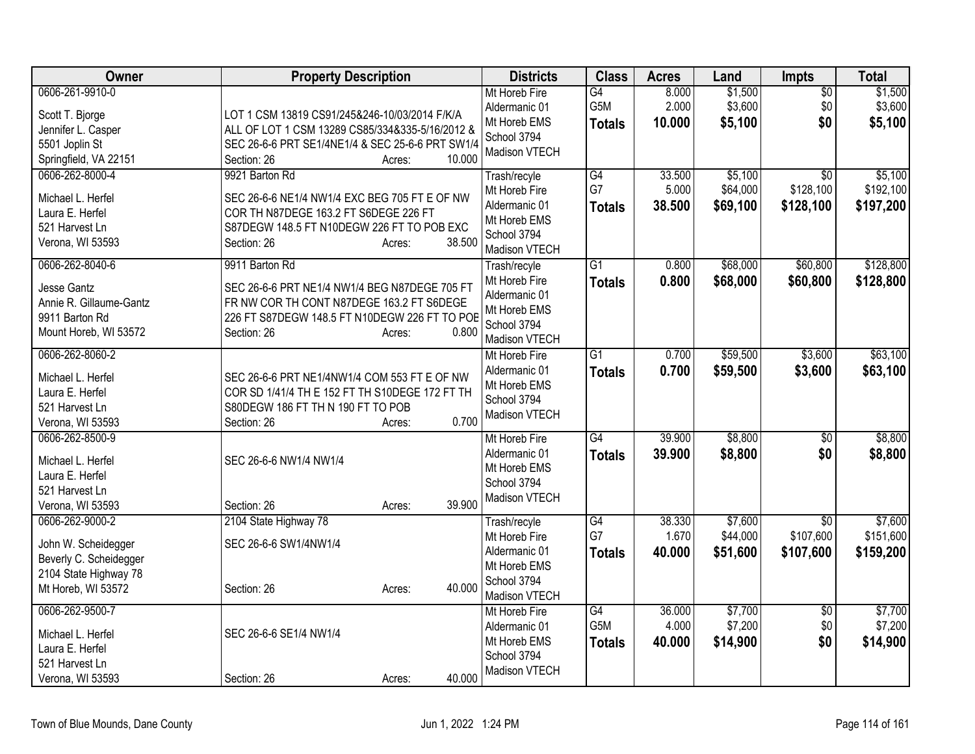| Owner                   | <b>Property Description</b>                      | <b>Districts</b>     | <b>Class</b>    | <b>Acres</b> | Land     | <b>Impts</b>    | <b>Total</b> |
|-------------------------|--------------------------------------------------|----------------------|-----------------|--------------|----------|-----------------|--------------|
| 0606-261-9910-0         |                                                  | Mt Horeb Fire        | G4              | 8.000        | \$1,500  | $\overline{50}$ | \$1,500      |
| Scott T. Bjorge         | LOT 1 CSM 13819 CS91/245&246-10/03/2014 F/K/A    | Aldermanic 01        | G5M             | 2.000        | \$3,600  | \$0             | \$3,600      |
| Jennifer L. Casper      | ALL OF LOT 1 CSM 13289 CS85/334&335-5/16/2012 &  | Mt Horeb EMS         | <b>Totals</b>   | 10.000       | \$5,100  | \$0             | \$5,100      |
| 5501 Joplin St          | SEC 26-6-6 PRT SE1/4NE1/4 & SEC 25-6-6 PRT SW1/4 | School 3794          |                 |              |          |                 |              |
| Springfield, VA 22151   | Section: 26<br>10.000<br>Acres:                  | <b>Madison VTECH</b> |                 |              |          |                 |              |
| 0606-262-8000-4         | 9921 Barton Rd                                   | Trash/recyle         | G4              | 33.500       | \$5,100  | \$0             | \$5,100      |
| Michael L. Herfel       | SEC 26-6-6 NE1/4 NW1/4 EXC BEG 705 FT E OF NW    | Mt Horeb Fire        | G7              | 5.000        | \$64,000 | \$128,100       | \$192,100    |
| Laura E. Herfel         | COR TH N87DEGE 163.2 FT S6DEGE 226 FT            | Aldermanic 01        | <b>Totals</b>   | 38.500       | \$69,100 | \$128,100       | \$197,200    |
| 521 Harvest Ln          | S87DEGW 148.5 FT N10DEGW 226 FT TO POB EXC       | Mt Horeb EMS         |                 |              |          |                 |              |
| Verona, WI 53593        | 38.500<br>Section: 26<br>Acres:                  | School 3794          |                 |              |          |                 |              |
|                         |                                                  | Madison VTECH        |                 |              |          |                 |              |
| 0606-262-8040-6         | 9911 Barton Rd                                   | Trash/recyle         | $\overline{G1}$ | 0.800        | \$68,000 | \$60,800        | \$128,800    |
| Jesse Gantz             | SEC 26-6-6 PRT NE1/4 NW1/4 BEG N87DEGE 705 FT    | Mt Horeb Fire        | <b>Totals</b>   | 0.800        | \$68,000 | \$60,800        | \$128,800    |
| Annie R. Gillaume-Gantz | FR NW COR TH CONT N87DEGE 163.2 FT S6DEGE        | Aldermanic 01        |                 |              |          |                 |              |
| 9911 Barton Rd          | 226 FT S87DEGW 148.5 FT N10DEGW 226 FT TO POE    | Mt Horeb EMS         |                 |              |          |                 |              |
| Mount Horeb, WI 53572   | 0.800<br>Section: 26<br>Acres:                   | School 3794          |                 |              |          |                 |              |
|                         |                                                  | Madison VTECH        |                 |              |          |                 |              |
| 0606-262-8060-2         |                                                  | Mt Horeb Fire        | $\overline{G1}$ | 0.700        | \$59,500 | \$3,600         | \$63,100     |
| Michael L. Herfel       | SEC 26-6-6 PRT NE1/4NW1/4 COM 553 FT E OF NW     | Aldermanic 01        | <b>Totals</b>   | 0.700        | \$59,500 | \$3,600         | \$63,100     |
| Laura E. Herfel         | COR SD 1/41/4 TH E 152 FT TH S10DEGE 172 FT TH   | Mt Horeb EMS         |                 |              |          |                 |              |
| 521 Harvest Ln          | S80DEGW 186 FT TH N 190 FT TO POB                | School 3794          |                 |              |          |                 |              |
| Verona, WI 53593        | 0.700<br>Section: 26<br>Acres:                   | Madison VTECH        |                 |              |          |                 |              |
| 0606-262-8500-9         |                                                  | Mt Horeb Fire        | $\overline{G4}$ | 39.900       | \$8,800  | $\overline{30}$ | \$8,800      |
| Michael L. Herfel       | SEC 26-6-6 NW1/4 NW1/4                           | Aldermanic 01        | <b>Totals</b>   | 39.900       | \$8,800  | \$0             | \$8,800      |
| Laura E. Herfel         |                                                  | Mt Horeb EMS         |                 |              |          |                 |              |
| 521 Harvest Ln          |                                                  | School 3794          |                 |              |          |                 |              |
| Verona, WI 53593        | 39.900<br>Section: 26<br>Acres:                  | Madison VTECH        |                 |              |          |                 |              |
| 0606-262-9000-2         | 2104 State Highway 78                            | Trash/recyle         | $\overline{G4}$ | 38.330       | \$7,600  | $\overline{30}$ | \$7,600      |
|                         |                                                  | Mt Horeb Fire        | G7              | 1.670        | \$44,000 | \$107,600       | \$151,600    |
| John W. Scheidegger     | SEC 26-6-6 SW1/4NW1/4                            | Aldermanic 01        | <b>Totals</b>   | 40.000       | \$51,600 | \$107,600       | \$159,200    |
| Beverly C. Scheidegger  |                                                  | Mt Horeb EMS         |                 |              |          |                 |              |
| 2104 State Highway 78   |                                                  | School 3794          |                 |              |          |                 |              |
| Mt Horeb, WI 53572      | 40.000<br>Section: 26<br>Acres:                  | Madison VTECH        |                 |              |          |                 |              |
| 0606-262-9500-7         |                                                  | Mt Horeb Fire        | $\overline{G4}$ | 36.000       | \$7,700  | \$0             | \$7,700      |
|                         |                                                  | Aldermanic 01        | G5M             | 4.000        | \$7,200  | \$0             | \$7,200      |
| Michael L. Herfel       | SEC 26-6-6 SE1/4 NW1/4                           | Mt Horeb EMS         | <b>Totals</b>   | 40.000       | \$14,900 | \$0             | \$14,900     |
| Laura E. Herfel         |                                                  | School 3794          |                 |              |          |                 |              |
| 521 Harvest Ln          |                                                  | Madison VTECH        |                 |              |          |                 |              |
| Verona, WI 53593        | 40.000<br>Section: 26<br>Acres:                  |                      |                 |              |          |                 |              |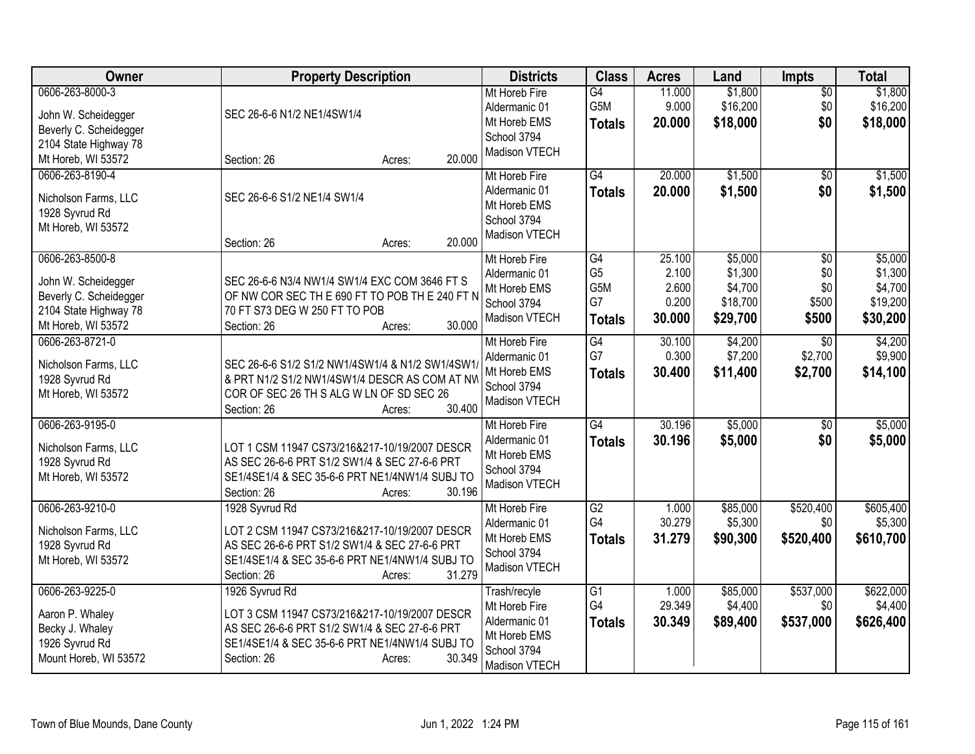| Owner                                                                                                           | <b>Property Description</b>                                                                                                                                                                           | <b>Districts</b>                                                                               | <b>Class</b>                                       | <b>Acres</b>                                | Land                                                  | <b>Impts</b>                        | <b>Total</b>                                          |
|-----------------------------------------------------------------------------------------------------------------|-------------------------------------------------------------------------------------------------------------------------------------------------------------------------------------------------------|------------------------------------------------------------------------------------------------|----------------------------------------------------|---------------------------------------------|-------------------------------------------------------|-------------------------------------|-------------------------------------------------------|
| 0606-263-8000-3<br>John W. Scheidegger<br>Beverly C. Scheidegger<br>2104 State Highway 78                       | SEC 26-6-6 N1/2 NE1/4SW1/4                                                                                                                                                                            | Mt Horeb Fire<br>Aldermanic 01<br>Mt Horeb EMS<br>School 3794<br>Madison VTECH                 | G4<br>G5M<br><b>Totals</b>                         | 11.000<br>9.000<br>20.000                   | \$1,800<br>\$16,200<br>\$18,000                       | $\overline{50}$<br>\$0<br>\$0       | \$1,800<br>\$16,200<br>\$18,000                       |
| Mt Horeb, WI 53572                                                                                              | 20.000<br>Section: 26<br>Acres:                                                                                                                                                                       |                                                                                                |                                                    |                                             |                                                       |                                     |                                                       |
| 0606-263-8190-4<br>Nicholson Farms, LLC<br>1928 Syvrud Rd<br>Mt Horeb, WI 53572                                 | SEC 26-6-6 S1/2 NE1/4 SW1/4<br>20,000<br>Section: 26<br>Acres:                                                                                                                                        | Mt Horeb Fire<br>Aldermanic 01<br>Mt Horeb EMS<br>School 3794<br>Madison VTECH                 | G4<br><b>Totals</b>                                | 20.000<br>20.000                            | \$1,500<br>\$1,500                                    | \$0<br>\$0                          | \$1,500<br>\$1,500                                    |
| 0606-263-8500-8<br>John W. Scheidegger<br>Beverly C. Scheidegger<br>2104 State Highway 78<br>Mt Horeb, WI 53572 | SEC 26-6-6 N3/4 NW1/4 SW1/4 EXC COM 3646 FT S<br>OF NW COR SEC THE 690 FT TO POB THE 240 FT N<br>70 FT S73 DEG W 250 FT TO POB<br>30.000<br>Section: 26<br>Acres:                                     | Mt Horeb Fire<br>Aldermanic 01<br>Mt Horeb EMS<br>School 3794<br>Madison VTECH                 | G4<br>G <sub>5</sub><br>G5M<br>G7<br><b>Totals</b> | 25.100<br>2.100<br>2.600<br>0.200<br>30.000 | \$5,000<br>\$1,300<br>\$4,700<br>\$18,700<br>\$29,700 | \$0<br>\$0<br>\$0<br>\$500<br>\$500 | \$5,000<br>\$1,300<br>\$4,700<br>\$19,200<br>\$30,200 |
| 0606-263-8721-0<br>Nicholson Farms, LLC<br>1928 Syvrud Rd<br>Mt Horeb, WI 53572                                 | SEC 26-6-6 S1/2 S1/2 NW1/4SW1/4 & N1/2 SW1/4SW1<br>& PRT N1/2 S1/2 NW1/4SW1/4 DESCR AS COM AT NW<br>COR OF SEC 26 TH S ALG W LN OF SD SEC 26<br>30.400<br>Section: 26<br>Acres:                       | Mt Horeb Fire<br>Aldermanic 01<br>Mt Horeb EMS<br>School 3794<br>Madison VTECH                 | G4<br>G7<br><b>Totals</b>                          | 30.100<br>0.300<br>30.400                   | \$4,200<br>\$7,200<br>\$11,400                        | \$0<br>\$2,700<br>\$2,700           | \$4,200<br>\$9,900<br>\$14,100                        |
| 0606-263-9195-0<br>Nicholson Farms, LLC<br>1928 Syvrud Rd<br>Mt Horeb, WI 53572                                 | LOT 1 CSM 11947 CS73/216&217-10/19/2007 DESCR<br>AS SEC 26-6-6 PRT S1/2 SW1/4 & SEC 27-6-6 PRT<br>SE1/4SE1/4 & SEC 35-6-6 PRT NE1/4NW1/4 SUBJ TO<br>Section: 26<br>30.196<br>Acres:                   | Mt Horeb Fire<br>Aldermanic 01<br>Mt Horeb EMS<br>School 3794<br>Madison VTECH                 | G4<br><b>Totals</b>                                | 30.196<br>30.196                            | \$5,000<br>\$5,000                                    | $\sqrt[6]{}$<br>\$0                 | \$5,000<br>\$5,000                                    |
| 0606-263-9210-0<br>Nicholson Farms, LLC<br>1928 Syvrud Rd<br>Mt Horeb, WI 53572                                 | 1928 Syvrud Rd<br>LOT 2 CSM 11947 CS73/216&217-10/19/2007 DESCR<br>AS SEC 26-6-6 PRT S1/2 SW1/4 & SEC 27-6-6 PRT<br>SE1/4SE1/4 & SEC 35-6-6 PRT NE1/4NW1/4 SUBJ TO<br>31.279<br>Section: 26<br>Acres: | Mt Horeb Fire<br>Aldermanic 01<br>Mt Horeb EMS<br>School 3794<br>Madison VTECH                 | G2<br>G4<br><b>Totals</b>                          | 1.000<br>30.279<br>31.279                   | \$85,000<br>\$5,300<br>\$90,300                       | \$520,400<br>\$0<br>\$520,400       | \$605,400<br>\$5,300<br>\$610,700                     |
| 0606-263-9225-0<br>Aaron P. Whaley<br>Becky J. Whaley<br>1926 Syvrud Rd<br>Mount Horeb, WI 53572                | 1926 Syvrud Rd<br>LOT 3 CSM 11947 CS73/216&217-10/19/2007 DESCR<br>AS SEC 26-6-6 PRT S1/2 SW1/4 & SEC 27-6-6 PRT<br>SE1/4SE1/4 & SEC 35-6-6 PRT NE1/4NW1/4 SUBJ TO<br>30.349<br>Section: 26<br>Acres: | Trash/recyle<br>Mt Horeb Fire<br>Aldermanic 01<br>Mt Horeb EMS<br>School 3794<br>Madison VTECH | $\overline{G1}$<br>G4<br><b>Totals</b>             | 1.000<br>29.349<br>30.349                   | \$85,000<br>\$4,400<br>\$89,400                       | \$537,000<br>\$0<br>\$537,000       | \$622,000<br>\$4,400<br>\$626,400                     |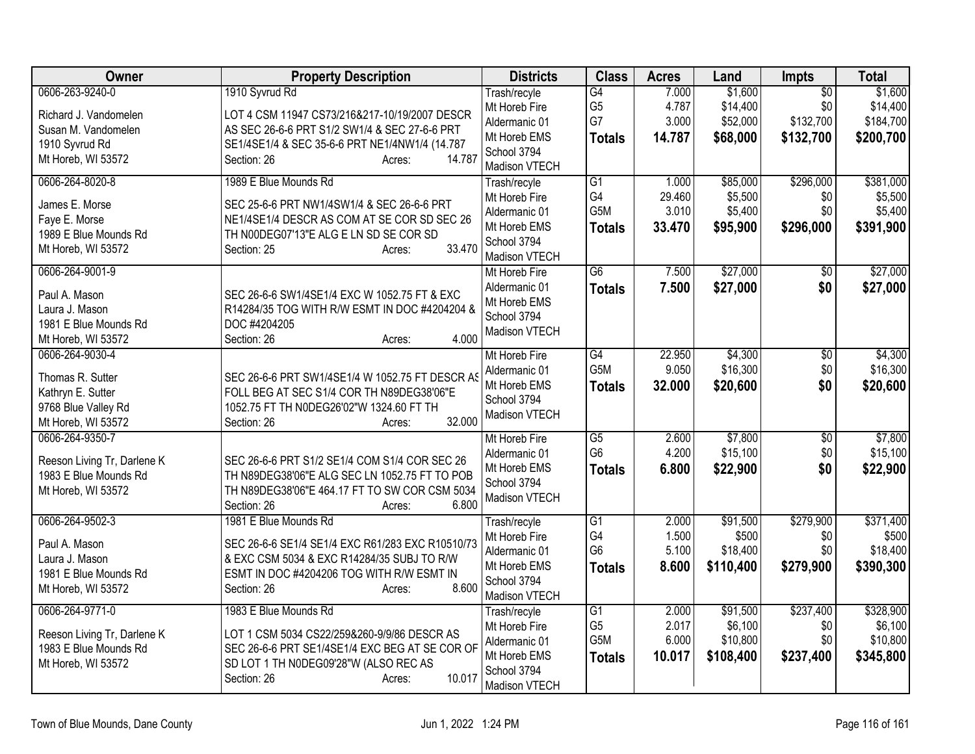| <b>Owner</b>                | <b>Property Description</b>                      | <b>Districts</b>               | <b>Class</b>          | <b>Acres</b>    | Land                | <b>Impts</b>     | <b>Total</b>         |
|-----------------------------|--------------------------------------------------|--------------------------------|-----------------------|-----------------|---------------------|------------------|----------------------|
| 0606-263-9240-0             | 1910 Syvrud Rd                                   | Trash/recyle                   | G4                    | 7.000           | \$1,600             | $\overline{50}$  | \$1,600              |
| Richard J. Vandomelen       | LOT 4 CSM 11947 CS73/216&217-10/19/2007 DESCR    | Mt Horeb Fire                  | G <sub>5</sub>        | 4.787           | \$14,400            | \$0              | \$14,400             |
| Susan M. Vandomelen         | AS SEC 26-6-6 PRT S1/2 SW1/4 & SEC 27-6-6 PRT    | Aldermanic 01                  | G7                    | 3.000           | \$52,000            | \$132,700        | \$184,700            |
| 1910 Syvrud Rd              | SE1/4SE1/4 & SEC 35-6-6 PRT NE1/4NW1/4 (14.787   | Mt Horeb EMS                   | <b>Totals</b>         | 14.787          | \$68,000            | \$132,700        | \$200,700            |
| Mt Horeb, WI 53572          | 14.787<br>Section: 26<br>Acres:                  | School 3794                    |                       |                 |                     |                  |                      |
|                             |                                                  | Madison VTECH                  |                       |                 |                     |                  |                      |
| 0606-264-8020-8             | 1989 E Blue Mounds Rd                            | Trash/recyle                   | $\overline{G1}$<br>G4 | 1.000<br>29.460 | \$85,000<br>\$5,500 | \$296,000<br>\$0 | \$381,000<br>\$5,500 |
| James E. Morse              | SEC 25-6-6 PRT NW1/4SW1/4 & SEC 26-6-6 PRT       | Mt Horeb Fire<br>Aldermanic 01 | G <sub>5</sub> M      | 3.010           | \$5,400             | \$0              | \$5,400              |
| Faye E. Morse               | NE1/4SE1/4 DESCR AS COM AT SE COR SD SEC 26      | Mt Horeb EMS                   | <b>Totals</b>         | 33.470          | \$95,900            | \$296,000        | \$391,900            |
| 1989 E Blue Mounds Rd       | TH N00DEG07'13"E ALG E LN SD SE COR SD           | School 3794                    |                       |                 |                     |                  |                      |
| Mt Horeb, WI 53572          | 33.470<br>Section: 25<br>Acres:                  | Madison VTECH                  |                       |                 |                     |                  |                      |
| 0606-264-9001-9             |                                                  | Mt Horeb Fire                  | $\overline{G6}$       | 7.500           | \$27,000            | \$0              | \$27,000             |
|                             |                                                  | Aldermanic 01                  | <b>Totals</b>         | 7.500           | \$27,000            | \$0              | \$27,000             |
| Paul A. Mason               | SEC 26-6-6 SW1/4SE1/4 EXC W 1052.75 FT & EXC     | Mt Horeb EMS                   |                       |                 |                     |                  |                      |
| Laura J. Mason              | R14284/35 TOG WITH R/W ESMT IN DOC #4204204 &    | School 3794                    |                       |                 |                     |                  |                      |
| 1981 E Blue Mounds Rd       | DOC #4204205<br>4.000                            | Madison VTECH                  |                       |                 |                     |                  |                      |
| Mt Horeb, WI 53572          | Section: 26<br>Acres:                            |                                |                       |                 |                     |                  |                      |
| 0606-264-9030-4             |                                                  | Mt Horeb Fire                  | G4<br>G5M             | 22.950<br>9.050 | \$4,300<br>\$16,300 | \$0<br>\$0       | \$4,300<br>\$16,300  |
| Thomas R. Sutter            | SEC 26-6-6 PRT SW1/4SE1/4 W 1052.75 FT DESCR AS  | Aldermanic 01<br>Mt Horeb EMS  |                       |                 |                     | \$0              |                      |
| Kathryn E. Sutter           | FOLL BEG AT SEC S1/4 COR TH N89DEG38'06"E        | School 3794                    | <b>Totals</b>         | 32.000          | \$20,600            |                  | \$20,600             |
| 9768 Blue Valley Rd         | 1052.75 FT TH N0DEG26'02"W 1324.60 FT TH         | Madison VTECH                  |                       |                 |                     |                  |                      |
| Mt Horeb, WI 53572          | 32.000<br>Section: 26<br>Acres:                  |                                |                       |                 |                     |                  |                      |
| 0606-264-9350-7             |                                                  | Mt Horeb Fire                  | $\overline{G5}$       | 2.600           | \$7,800             | $\overline{30}$  | \$7,800              |
| Reeson Living Tr, Darlene K | SEC 26-6-6 PRT S1/2 SE1/4 COM S1/4 COR SEC 26    | Aldermanic 01                  | G <sub>6</sub>        | 4.200           | \$15,100            | \$0              | \$15,100             |
| 1983 E Blue Mounds Rd       | TH N89DEG38'06"E ALG SEC LN 1052.75 FT TO POB    | Mt Horeb EMS                   | <b>Totals</b>         | 6.800           | \$22,900            | \$0              | \$22,900             |
| Mt Horeb, WI 53572          | TH N89DEG38'06"E 464.17 FT TO SW COR CSM 5034    | School 3794                    |                       |                 |                     |                  |                      |
|                             | Section: 26<br>6.800<br>Acres:                   | Madison VTECH                  |                       |                 |                     |                  |                      |
| 0606-264-9502-3             | 1981 E Blue Mounds Rd                            | Trash/recyle                   | $\overline{G1}$       | 2.000           | \$91,500            | \$279,900        | \$371,400            |
| Paul A. Mason               | SEC 26-6-6 SE1/4 SE1/4 EXC R61/283 EXC R10510/73 | Mt Horeb Fire                  | G4                    | 1.500           | \$500               | \$0              | \$500                |
| Laura J. Mason              | & EXC CSM 5034 & EXC R14284/35 SUBJ TO R/W       | Aldermanic 01                  | G <sub>6</sub>        | 5.100           | \$18,400            | \$0              | \$18,400             |
| 1981 E Blue Mounds Rd       | ESMT IN DOC #4204206 TOG WITH R/W ESMT IN        | Mt Horeb EMS                   | <b>Totals</b>         | 8.600           | \$110,400           | \$279,900        | \$390,300            |
| Mt Horeb, WI 53572          | 8.600<br>Section: 26<br>Acres:                   | School 3794                    |                       |                 |                     |                  |                      |
|                             |                                                  | Madison VTECH                  |                       |                 |                     |                  |                      |
| 0606-264-9771-0             | 1983 E Blue Mounds Rd                            | Trash/recyle                   | G1                    | 2.000           | \$91,500            | \$237,400        | \$328,900            |
| Reeson Living Tr, Darlene K | LOT 1 CSM 5034 CS22/259&260-9/9/86 DESCR AS      | Mt Horeb Fire                  | G <sub>5</sub>        | 2.017           | \$6,100             | \$0              | \$6,100              |
| 1983 E Blue Mounds Rd       | SEC 26-6-6 PRT SE1/4SE1/4 EXC BEG AT SE COR OF   | Aldermanic 01                  | G <sub>5</sub> M      | 6.000           | \$10,800            | \$0              | \$10,800             |
| Mt Horeb, WI 53572          | SD LOT 1 TH N0DEG09'28"W (ALSO REC AS            | Mt Horeb EMS                   | <b>Totals</b>         | 10.017          | \$108,400           | \$237,400        | \$345,800            |
|                             | 10.017<br>Section: 26<br>Acres:                  | School 3794                    |                       |                 |                     |                  |                      |
|                             |                                                  | Madison VTECH                  |                       |                 |                     |                  |                      |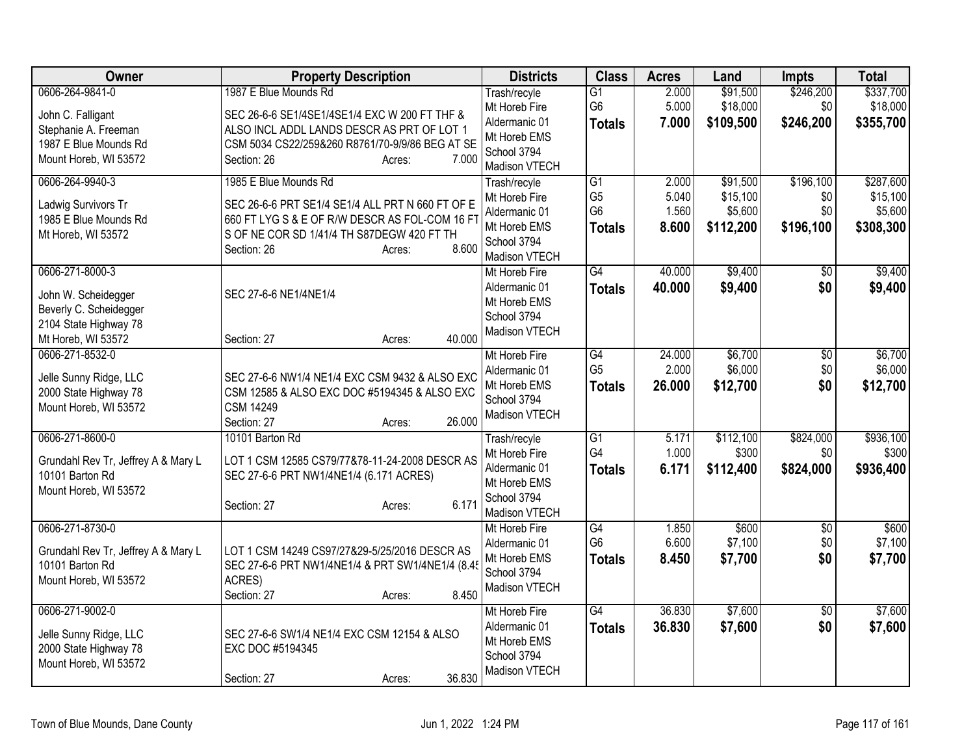| Owner                                                                                                           | <b>Property Description</b>                                                                                                                                                                                 | <b>Districts</b>                                                                               | <b>Class</b>                                                         | <b>Acres</b>                     | Land                                         | <b>Impts</b>                         | <b>Total</b>                                  |
|-----------------------------------------------------------------------------------------------------------------|-------------------------------------------------------------------------------------------------------------------------------------------------------------------------------------------------------------|------------------------------------------------------------------------------------------------|----------------------------------------------------------------------|----------------------------------|----------------------------------------------|--------------------------------------|-----------------------------------------------|
| 0606-264-9841-0<br>John C. Falligant<br>Stephanie A. Freeman<br>1987 E Blue Mounds Rd<br>Mount Horeb, WI 53572  | 1987 E Blue Mounds Rd<br>SEC 26-6-6 SE1/4SE1/4SE1/4 EXC W 200 FT THF &<br>ALSO INCL ADDL LANDS DESCR AS PRT OF LOT 1<br>CSM 5034 CS22/259&260 R8761/70-9/9/86 BEG AT SE<br>Section: 26<br>7.000<br>Acres:   | Trash/recyle<br>Mt Horeb Fire<br>Aldermanic 01<br>Mt Horeb EMS<br>School 3794<br>Madison VTECH | $\overline{G1}$<br>G <sub>6</sub><br><b>Totals</b>                   | 2.000<br>5.000<br>7.000          | \$91,500<br>\$18,000<br>\$109,500            | \$246,200<br>\$0<br>\$246,200        | \$337,700<br>\$18,000<br>\$355,700            |
| 0606-264-9940-3<br>Ladwig Survivors Tr<br>1985 E Blue Mounds Rd<br>Mt Horeb, WI 53572                           | 1985 E Blue Mounds Rd<br>SEC 26-6-6 PRT SE1/4 SE1/4 ALL PRT N 660 FT OF E<br>660 FT LYG S & E OF R/W DESCR AS FOL-COM 16 FT<br>S OF NE COR SD 1/41/4 TH S87DEGW 420 FT TH<br>8.600<br>Section: 26<br>Acres: | Trash/recyle<br>Mt Horeb Fire<br>Aldermanic 01<br>Mt Horeb EMS<br>School 3794<br>Madison VTECH | $\overline{G1}$<br>G <sub>5</sub><br>G <sub>6</sub><br><b>Totals</b> | 2.000<br>5.040<br>1.560<br>8.600 | \$91,500<br>\$15,100<br>\$5,600<br>\$112,200 | \$196,100<br>\$0<br>\$0<br>\$196,100 | \$287,600<br>\$15,100<br>\$5,600<br>\$308,300 |
| 0606-271-8000-3<br>John W. Scheidegger<br>Beverly C. Scheidegger<br>2104 State Highway 78<br>Mt Horeb, WI 53572 | SEC 27-6-6 NE1/4NE1/4<br>40.000<br>Section: 27<br>Acres:                                                                                                                                                    | Mt Horeb Fire<br>Aldermanic 01<br>Mt Horeb EMS<br>School 3794<br>Madison VTECH                 | G4<br><b>Totals</b>                                                  | 40.000<br>40.000                 | \$9,400<br>\$9,400                           | \$0<br>\$0                           | \$9,400<br>\$9,400                            |
| 0606-271-8532-0<br>Jelle Sunny Ridge, LLC<br>2000 State Highway 78<br>Mount Horeb, WI 53572                     | SEC 27-6-6 NW1/4 NE1/4 EXC CSM 9432 & ALSO EXC<br>CSM 12585 & ALSO EXC DOC #5194345 & ALSO EXC<br><b>CSM 14249</b><br>26.000<br>Section: 27<br>Acres:                                                       | Mt Horeb Fire<br>Aldermanic 01<br>Mt Horeb EMS<br>School 3794<br>Madison VTECH                 | $\overline{G4}$<br>G <sub>5</sub><br><b>Totals</b>                   | 24.000<br>2.000<br>26.000        | \$6,700<br>\$6,000<br>\$12,700               | \$0<br>\$0<br>\$0                    | \$6,700<br>\$6,000<br>\$12,700                |
| 0606-271-8600-0<br>Grundahl Rev Tr, Jeffrey A & Mary L<br>10101 Barton Rd<br>Mount Horeb, WI 53572              | 10101 Barton Rd<br>LOT 1 CSM 12585 CS79/77&78-11-24-2008 DESCR AS<br>SEC 27-6-6 PRT NW1/4NE1/4 (6.171 ACRES)<br>6.171<br>Section: 27<br>Acres:                                                              | Trash/recyle<br>Mt Horeb Fire<br>Aldermanic 01<br>Mt Horeb EMS<br>School 3794<br>Madison VTECH | $\overline{G1}$<br>G4<br><b>Totals</b>                               | 5.171<br>1.000<br>6.171          | \$112,100<br>\$300<br>\$112,400              | \$824,000<br>\$0<br>\$824,000        | \$936,100<br>\$300<br>\$936,400               |
| 0606-271-8730-0<br>Grundahl Rev Tr, Jeffrey A & Mary L<br>10101 Barton Rd<br>Mount Horeb, WI 53572              | LOT 1 CSM 14249 CS97/27&29-5/25/2016 DESCR AS<br>SEC 27-6-6 PRT NW1/4NE1/4 & PRT SW1/4NE1/4 (8.4<br>ACRES)<br>8.450<br>Section: 27<br>Acres:                                                                | Mt Horeb Fire<br>Aldermanic 01<br>Mt Horeb EMS<br>School 3794<br>Madison VTECH                 | $\overline{G4}$<br>G <sub>6</sub><br><b>Totals</b>                   | 1.850<br>6.600<br>8.450          | \$600<br>\$7,100<br>\$7,700                  | \$0<br>\$0<br>\$0                    | \$600<br>\$7,100<br>\$7,700                   |
| 0606-271-9002-0<br>Jelle Sunny Ridge, LLC<br>2000 State Highway 78<br>Mount Horeb, WI 53572                     | SEC 27-6-6 SW1/4 NE1/4 EXC CSM 12154 & ALSO<br>EXC DOC #5194345<br>36.830<br>Section: 27<br>Acres:                                                                                                          | Mt Horeb Fire<br>Aldermanic 01<br>Mt Horeb EMS<br>School 3794<br>Madison VTECH                 | G4<br><b>Totals</b>                                                  | 36.830<br>36.830                 | \$7,600<br>\$7,600                           | \$0<br>\$0                           | \$7,600<br>\$7,600                            |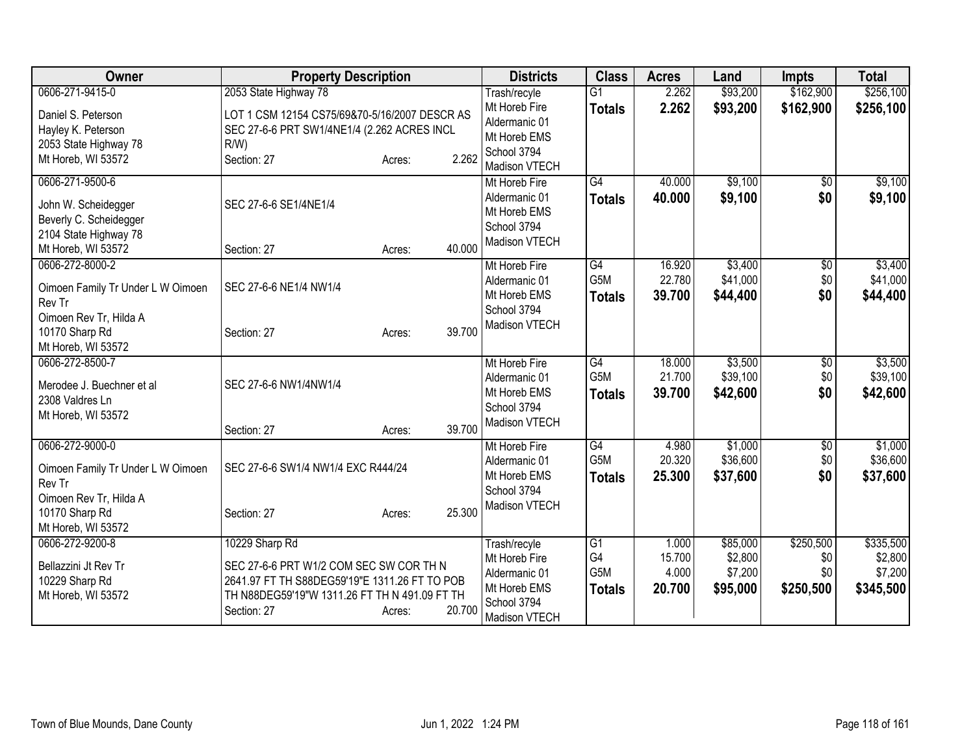| 0606-271-9415-0<br>\$162,900<br>$\overline{G1}$<br>Trash/recyle<br>2.262<br>2.262<br>\$93,200<br>\$162,900<br>Mt Horeb Fire<br>\$256,100<br><b>Totals</b><br>LOT 1 CSM 12154 CS75/69&70-5/16/2007 DESCR AS<br>Daniel S. Peterson<br>Aldermanic 01<br>SEC 27-6-6 PRT SW1/4NE1/4 (2.262 ACRES INCL<br>Hayley K. Peterson<br>Mt Horeb EMS<br>2053 State Highway 78<br>$R/W$ )<br>School 3794<br>2.262<br>Mt Horeb, WI 53572<br>Section: 27<br>Acres:<br>Madison VTECH<br>\$9,100<br>0606-271-9500-6<br>G4<br>40.000<br>Mt Horeb Fire<br>\$0<br>\$9,100<br>\$0<br>40.000<br>Aldermanic 01<br><b>Totals</b><br>SEC 27-6-6 SE1/4NE1/4<br>John W. Scheidegger<br>Mt Horeb EMS<br>Beverly C. Scheidegger<br>School 3794<br>2104 State Highway 78<br>Madison VTECH<br>40.000<br>Mt Horeb, WI 53572<br>Section: 27<br>Acres:<br>0606-272-8000-2<br>G4<br>16.920<br>\$3,400<br>Mt Horeb Fire<br>$\overline{50}$<br>G <sub>5</sub> M<br>22.780<br>\$41,000<br>\$0<br>Aldermanic 01<br>Oimoen Family Tr Under L W Oimoen<br>SEC 27-6-6 NE1/4 NW1/4<br>39.700<br>\$44,400<br>\$0<br>Mt Horeb EMS<br>\$44,400<br><b>Totals</b><br>Rev Tr<br>School 3794<br>Oimoen Rev Tr, Hilda A<br>Madison VTECH<br>39.700<br>10170 Sharp Rd<br>Section: 27<br>Acres:<br>Mt Horeb, WI 53572<br>\$3,500<br>G4<br>0606-272-8500-7<br>Mt Horeb Fire<br>18.000<br>$\overline{50}$<br>G5M<br>\$39,100<br>21.700<br>\$0<br>Aldermanic 01<br>SEC 27-6-6 NW1/4NW1/4<br>Merodee J. Buechner et al<br>39.700<br>\$42,600<br>\$0<br>Mt Horeb EMS<br>\$42,600<br><b>Totals</b><br>2308 Valdres Ln<br>School 3794<br>Mt Horeb, WI 53572<br>Madison VTECH<br>39.700<br>Section: 27<br>Acres:<br>0606-272-9000-0<br>G4<br>\$1,000<br>$\overline{60}$<br>Mt Horeb Fire<br>4.980<br>G5M<br>\$36,600<br>20.320<br>\$0<br>Aldermanic 01<br>SEC 27-6-6 SW1/4 NW1/4 EXC R444/24<br>Oimoen Family Tr Under L W Oimoen<br>\$0<br>25.300<br>\$37,600<br>Mt Horeb EMS<br><b>Totals</b><br>Rev Tr<br>School 3794<br>Oimoen Rev Tr, Hilda A<br>Madison VTECH<br>25.300<br>10170 Sharp Rd<br>Section: 27<br>Acres:<br>Mt Horeb, WI 53572<br>10229 Sharp Rd<br>\$85,000<br>\$250,500<br>0606-272-9200-8<br>Trash/recyle<br>G1<br>1.000<br>G4<br>\$2,800<br>15.700<br>\$0<br>Mt Horeb Fire<br>SEC 27-6-6 PRT W1/2 COM SEC SW COR TH N<br>Bellazzini Jt Rev Tr<br>G5M<br>\$7,200<br>\$0<br>4.000<br>Aldermanic 01<br>2641.97 FT TH S88DEG59'19"E 1311.26 FT TO POB<br>10229 Sharp Rd<br>\$250,500<br>Mt Horeb EMS<br>20.700<br>\$95,000<br>\$345,500<br><b>Totals</b><br>TH N88DEG59'19"W 1311.26 FT TH N 491.09 FT TH<br>Mt Horeb, WI 53572<br>School 3794<br>20.700<br>Section: 27<br>Acres:<br>Madison VTECH | Owner | <b>Property Description</b> | <b>Districts</b> | <b>Class</b> | <b>Acres</b> | Land     | <b>Impts</b> | <b>Total</b> |
|-----------------------------------------------------------------------------------------------------------------------------------------------------------------------------------------------------------------------------------------------------------------------------------------------------------------------------------------------------------------------------------------------------------------------------------------------------------------------------------------------------------------------------------------------------------------------------------------------------------------------------------------------------------------------------------------------------------------------------------------------------------------------------------------------------------------------------------------------------------------------------------------------------------------------------------------------------------------------------------------------------------------------------------------------------------------------------------------------------------------------------------------------------------------------------------------------------------------------------------------------------------------------------------------------------------------------------------------------------------------------------------------------------------------------------------------------------------------------------------------------------------------------------------------------------------------------------------------------------------------------------------------------------------------------------------------------------------------------------------------------------------------------------------------------------------------------------------------------------------------------------------------------------------------------------------------------------------------------------------------------------------------------------------------------------------------------------------------------------------------------------------------------------------------------------------------------------------------------------------------------------------------------------------------------------------------------------------------------------------------------------------------------------------------------------------------------------------------------------------------------------------------------------------------------------------------------------------------------------------------------------------------------------|-------|-----------------------------|------------------|--------------|--------------|----------|--------------|--------------|
|                                                                                                                                                                                                                                                                                                                                                                                                                                                                                                                                                                                                                                                                                                                                                                                                                                                                                                                                                                                                                                                                                                                                                                                                                                                                                                                                                                                                                                                                                                                                                                                                                                                                                                                                                                                                                                                                                                                                                                                                                                                                                                                                                                                                                                                                                                                                                                                                                                                                                                                                                                                                                                                     |       | 2053 State Highway 78       |                  |              |              | \$93,200 |              | \$256,100    |
|                                                                                                                                                                                                                                                                                                                                                                                                                                                                                                                                                                                                                                                                                                                                                                                                                                                                                                                                                                                                                                                                                                                                                                                                                                                                                                                                                                                                                                                                                                                                                                                                                                                                                                                                                                                                                                                                                                                                                                                                                                                                                                                                                                                                                                                                                                                                                                                                                                                                                                                                                                                                                                                     |       |                             |                  |              |              |          |              |              |
| \$9,100<br>\$9,100<br>\$3,400<br>\$3,500<br>\$1,000<br>\$37,600<br>\$335,500<br>\$7,200                                                                                                                                                                                                                                                                                                                                                                                                                                                                                                                                                                                                                                                                                                                                                                                                                                                                                                                                                                                                                                                                                                                                                                                                                                                                                                                                                                                                                                                                                                                                                                                                                                                                                                                                                                                                                                                                                                                                                                                                                                                                                                                                                                                                                                                                                                                                                                                                                                                                                                                                                             |       |                             |                  |              |              |          |              |              |
|                                                                                                                                                                                                                                                                                                                                                                                                                                                                                                                                                                                                                                                                                                                                                                                                                                                                                                                                                                                                                                                                                                                                                                                                                                                                                                                                                                                                                                                                                                                                                                                                                                                                                                                                                                                                                                                                                                                                                                                                                                                                                                                                                                                                                                                                                                                                                                                                                                                                                                                                                                                                                                                     |       |                             |                  |              |              |          |              |              |
|                                                                                                                                                                                                                                                                                                                                                                                                                                                                                                                                                                                                                                                                                                                                                                                                                                                                                                                                                                                                                                                                                                                                                                                                                                                                                                                                                                                                                                                                                                                                                                                                                                                                                                                                                                                                                                                                                                                                                                                                                                                                                                                                                                                                                                                                                                                                                                                                                                                                                                                                                                                                                                                     |       |                             |                  |              |              |          |              |              |
|                                                                                                                                                                                                                                                                                                                                                                                                                                                                                                                                                                                                                                                                                                                                                                                                                                                                                                                                                                                                                                                                                                                                                                                                                                                                                                                                                                                                                                                                                                                                                                                                                                                                                                                                                                                                                                                                                                                                                                                                                                                                                                                                                                                                                                                                                                                                                                                                                                                                                                                                                                                                                                                     |       |                             |                  |              |              |          |              |              |
|                                                                                                                                                                                                                                                                                                                                                                                                                                                                                                                                                                                                                                                                                                                                                                                                                                                                                                                                                                                                                                                                                                                                                                                                                                                                                                                                                                                                                                                                                                                                                                                                                                                                                                                                                                                                                                                                                                                                                                                                                                                                                                                                                                                                                                                                                                                                                                                                                                                                                                                                                                                                                                                     |       |                             |                  |              |              |          |              |              |
|                                                                                                                                                                                                                                                                                                                                                                                                                                                                                                                                                                                                                                                                                                                                                                                                                                                                                                                                                                                                                                                                                                                                                                                                                                                                                                                                                                                                                                                                                                                                                                                                                                                                                                                                                                                                                                                                                                                                                                                                                                                                                                                                                                                                                                                                                                                                                                                                                                                                                                                                                                                                                                                     |       |                             |                  |              |              |          |              |              |
|                                                                                                                                                                                                                                                                                                                                                                                                                                                                                                                                                                                                                                                                                                                                                                                                                                                                                                                                                                                                                                                                                                                                                                                                                                                                                                                                                                                                                                                                                                                                                                                                                                                                                                                                                                                                                                                                                                                                                                                                                                                                                                                                                                                                                                                                                                                                                                                                                                                                                                                                                                                                                                                     |       |                             |                  |              |              |          |              |              |
|                                                                                                                                                                                                                                                                                                                                                                                                                                                                                                                                                                                                                                                                                                                                                                                                                                                                                                                                                                                                                                                                                                                                                                                                                                                                                                                                                                                                                                                                                                                                                                                                                                                                                                                                                                                                                                                                                                                                                                                                                                                                                                                                                                                                                                                                                                                                                                                                                                                                                                                                                                                                                                                     |       |                             |                  |              |              |          |              |              |
|                                                                                                                                                                                                                                                                                                                                                                                                                                                                                                                                                                                                                                                                                                                                                                                                                                                                                                                                                                                                                                                                                                                                                                                                                                                                                                                                                                                                                                                                                                                                                                                                                                                                                                                                                                                                                                                                                                                                                                                                                                                                                                                                                                                                                                                                                                                                                                                                                                                                                                                                                                                                                                                     |       |                             |                  |              |              |          |              |              |
|                                                                                                                                                                                                                                                                                                                                                                                                                                                                                                                                                                                                                                                                                                                                                                                                                                                                                                                                                                                                                                                                                                                                                                                                                                                                                                                                                                                                                                                                                                                                                                                                                                                                                                                                                                                                                                                                                                                                                                                                                                                                                                                                                                                                                                                                                                                                                                                                                                                                                                                                                                                                                                                     |       |                             |                  |              |              |          |              | \$41,000     |
|                                                                                                                                                                                                                                                                                                                                                                                                                                                                                                                                                                                                                                                                                                                                                                                                                                                                                                                                                                                                                                                                                                                                                                                                                                                                                                                                                                                                                                                                                                                                                                                                                                                                                                                                                                                                                                                                                                                                                                                                                                                                                                                                                                                                                                                                                                                                                                                                                                                                                                                                                                                                                                                     |       |                             |                  |              |              |          |              |              |
|                                                                                                                                                                                                                                                                                                                                                                                                                                                                                                                                                                                                                                                                                                                                                                                                                                                                                                                                                                                                                                                                                                                                                                                                                                                                                                                                                                                                                                                                                                                                                                                                                                                                                                                                                                                                                                                                                                                                                                                                                                                                                                                                                                                                                                                                                                                                                                                                                                                                                                                                                                                                                                                     |       |                             |                  |              |              |          |              |              |
|                                                                                                                                                                                                                                                                                                                                                                                                                                                                                                                                                                                                                                                                                                                                                                                                                                                                                                                                                                                                                                                                                                                                                                                                                                                                                                                                                                                                                                                                                                                                                                                                                                                                                                                                                                                                                                                                                                                                                                                                                                                                                                                                                                                                                                                                                                                                                                                                                                                                                                                                                                                                                                                     |       |                             |                  |              |              |          |              |              |
|                                                                                                                                                                                                                                                                                                                                                                                                                                                                                                                                                                                                                                                                                                                                                                                                                                                                                                                                                                                                                                                                                                                                                                                                                                                                                                                                                                                                                                                                                                                                                                                                                                                                                                                                                                                                                                                                                                                                                                                                                                                                                                                                                                                                                                                                                                                                                                                                                                                                                                                                                                                                                                                     |       |                             |                  |              |              |          |              |              |
| \$39,100<br>\$36,600<br>\$2,800                                                                                                                                                                                                                                                                                                                                                                                                                                                                                                                                                                                                                                                                                                                                                                                                                                                                                                                                                                                                                                                                                                                                                                                                                                                                                                                                                                                                                                                                                                                                                                                                                                                                                                                                                                                                                                                                                                                                                                                                                                                                                                                                                                                                                                                                                                                                                                                                                                                                                                                                                                                                                     |       |                             |                  |              |              |          |              |              |
|                                                                                                                                                                                                                                                                                                                                                                                                                                                                                                                                                                                                                                                                                                                                                                                                                                                                                                                                                                                                                                                                                                                                                                                                                                                                                                                                                                                                                                                                                                                                                                                                                                                                                                                                                                                                                                                                                                                                                                                                                                                                                                                                                                                                                                                                                                                                                                                                                                                                                                                                                                                                                                                     |       |                             |                  |              |              |          |              |              |
|                                                                                                                                                                                                                                                                                                                                                                                                                                                                                                                                                                                                                                                                                                                                                                                                                                                                                                                                                                                                                                                                                                                                                                                                                                                                                                                                                                                                                                                                                                                                                                                                                                                                                                                                                                                                                                                                                                                                                                                                                                                                                                                                                                                                                                                                                                                                                                                                                                                                                                                                                                                                                                                     |       |                             |                  |              |              |          |              |              |
|                                                                                                                                                                                                                                                                                                                                                                                                                                                                                                                                                                                                                                                                                                                                                                                                                                                                                                                                                                                                                                                                                                                                                                                                                                                                                                                                                                                                                                                                                                                                                                                                                                                                                                                                                                                                                                                                                                                                                                                                                                                                                                                                                                                                                                                                                                                                                                                                                                                                                                                                                                                                                                                     |       |                             |                  |              |              |          |              |              |
|                                                                                                                                                                                                                                                                                                                                                                                                                                                                                                                                                                                                                                                                                                                                                                                                                                                                                                                                                                                                                                                                                                                                                                                                                                                                                                                                                                                                                                                                                                                                                                                                                                                                                                                                                                                                                                                                                                                                                                                                                                                                                                                                                                                                                                                                                                                                                                                                                                                                                                                                                                                                                                                     |       |                             |                  |              |              |          |              |              |
|                                                                                                                                                                                                                                                                                                                                                                                                                                                                                                                                                                                                                                                                                                                                                                                                                                                                                                                                                                                                                                                                                                                                                                                                                                                                                                                                                                                                                                                                                                                                                                                                                                                                                                                                                                                                                                                                                                                                                                                                                                                                                                                                                                                                                                                                                                                                                                                                                                                                                                                                                                                                                                                     |       |                             |                  |              |              |          |              |              |
|                                                                                                                                                                                                                                                                                                                                                                                                                                                                                                                                                                                                                                                                                                                                                                                                                                                                                                                                                                                                                                                                                                                                                                                                                                                                                                                                                                                                                                                                                                                                                                                                                                                                                                                                                                                                                                                                                                                                                                                                                                                                                                                                                                                                                                                                                                                                                                                                                                                                                                                                                                                                                                                     |       |                             |                  |              |              |          |              |              |
|                                                                                                                                                                                                                                                                                                                                                                                                                                                                                                                                                                                                                                                                                                                                                                                                                                                                                                                                                                                                                                                                                                                                                                                                                                                                                                                                                                                                                                                                                                                                                                                                                                                                                                                                                                                                                                                                                                                                                                                                                                                                                                                                                                                                                                                                                                                                                                                                                                                                                                                                                                                                                                                     |       |                             |                  |              |              |          |              |              |
|                                                                                                                                                                                                                                                                                                                                                                                                                                                                                                                                                                                                                                                                                                                                                                                                                                                                                                                                                                                                                                                                                                                                                                                                                                                                                                                                                                                                                                                                                                                                                                                                                                                                                                                                                                                                                                                                                                                                                                                                                                                                                                                                                                                                                                                                                                                                                                                                                                                                                                                                                                                                                                                     |       |                             |                  |              |              |          |              |              |
|                                                                                                                                                                                                                                                                                                                                                                                                                                                                                                                                                                                                                                                                                                                                                                                                                                                                                                                                                                                                                                                                                                                                                                                                                                                                                                                                                                                                                                                                                                                                                                                                                                                                                                                                                                                                                                                                                                                                                                                                                                                                                                                                                                                                                                                                                                                                                                                                                                                                                                                                                                                                                                                     |       |                             |                  |              |              |          |              |              |
|                                                                                                                                                                                                                                                                                                                                                                                                                                                                                                                                                                                                                                                                                                                                                                                                                                                                                                                                                                                                                                                                                                                                                                                                                                                                                                                                                                                                                                                                                                                                                                                                                                                                                                                                                                                                                                                                                                                                                                                                                                                                                                                                                                                                                                                                                                                                                                                                                                                                                                                                                                                                                                                     |       |                             |                  |              |              |          |              |              |
|                                                                                                                                                                                                                                                                                                                                                                                                                                                                                                                                                                                                                                                                                                                                                                                                                                                                                                                                                                                                                                                                                                                                                                                                                                                                                                                                                                                                                                                                                                                                                                                                                                                                                                                                                                                                                                                                                                                                                                                                                                                                                                                                                                                                                                                                                                                                                                                                                                                                                                                                                                                                                                                     |       |                             |                  |              |              |          |              |              |
|                                                                                                                                                                                                                                                                                                                                                                                                                                                                                                                                                                                                                                                                                                                                                                                                                                                                                                                                                                                                                                                                                                                                                                                                                                                                                                                                                                                                                                                                                                                                                                                                                                                                                                                                                                                                                                                                                                                                                                                                                                                                                                                                                                                                                                                                                                                                                                                                                                                                                                                                                                                                                                                     |       |                             |                  |              |              |          |              |              |
|                                                                                                                                                                                                                                                                                                                                                                                                                                                                                                                                                                                                                                                                                                                                                                                                                                                                                                                                                                                                                                                                                                                                                                                                                                                                                                                                                                                                                                                                                                                                                                                                                                                                                                                                                                                                                                                                                                                                                                                                                                                                                                                                                                                                                                                                                                                                                                                                                                                                                                                                                                                                                                                     |       |                             |                  |              |              |          |              |              |
|                                                                                                                                                                                                                                                                                                                                                                                                                                                                                                                                                                                                                                                                                                                                                                                                                                                                                                                                                                                                                                                                                                                                                                                                                                                                                                                                                                                                                                                                                                                                                                                                                                                                                                                                                                                                                                                                                                                                                                                                                                                                                                                                                                                                                                                                                                                                                                                                                                                                                                                                                                                                                                                     |       |                             |                  |              |              |          |              |              |
|                                                                                                                                                                                                                                                                                                                                                                                                                                                                                                                                                                                                                                                                                                                                                                                                                                                                                                                                                                                                                                                                                                                                                                                                                                                                                                                                                                                                                                                                                                                                                                                                                                                                                                                                                                                                                                                                                                                                                                                                                                                                                                                                                                                                                                                                                                                                                                                                                                                                                                                                                                                                                                                     |       |                             |                  |              |              |          |              |              |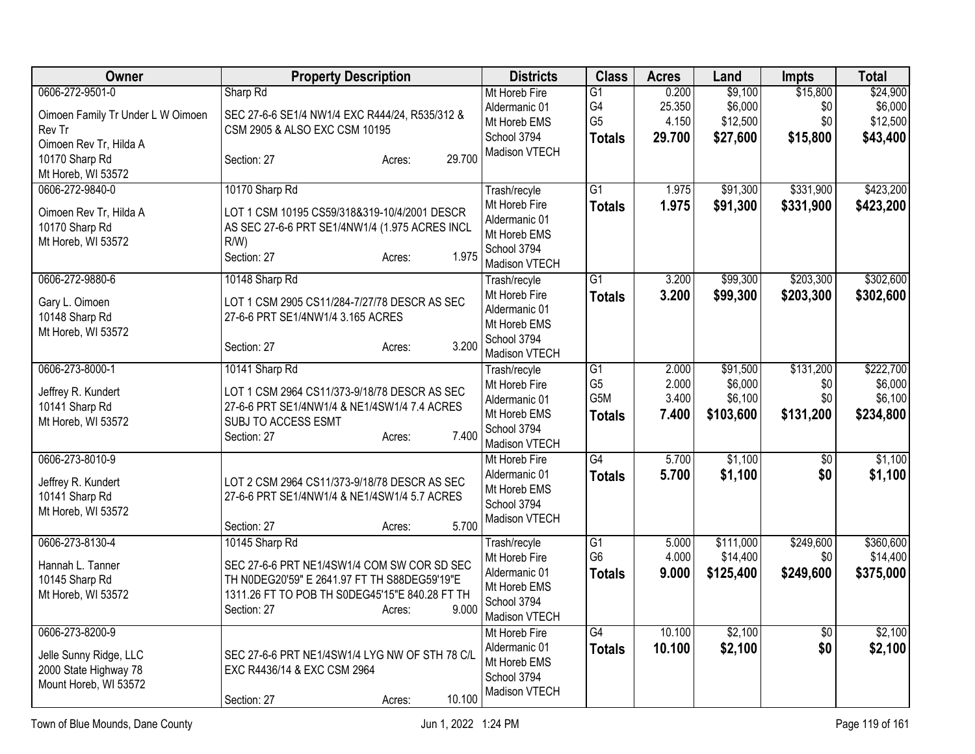| Owner                             | <b>Property Description</b>                                         | <b>Districts</b>               | <b>Class</b>    | <b>Acres</b> | Land      | <b>Impts</b>    | <b>Total</b> |
|-----------------------------------|---------------------------------------------------------------------|--------------------------------|-----------------|--------------|-----------|-----------------|--------------|
| 0606-272-9501-0                   | Sharp Rd                                                            | Mt Horeb Fire                  | G1              | 0.200        | \$9,100   | \$15,800        | \$24,900     |
| Oimoen Family Tr Under L W Oimoen | SEC 27-6-6 SE1/4 NW1/4 EXC R444/24, R535/312 &                      | Aldermanic 01                  | G4              | 25.350       | \$6,000   | \$0             | \$6,000      |
| Rev Tr                            | CSM 2905 & ALSO EXC CSM 10195                                       | Mt Horeb EMS                   | G <sub>5</sub>  | 4.150        | \$12,500  | \$0             | \$12,500     |
| Oimoen Rev Tr, Hilda A            |                                                                     | School 3794                    | <b>Totals</b>   | 29.700       | \$27,600  | \$15,800        | \$43,400     |
| 10170 Sharp Rd                    | 29.700<br>Section: 27<br>Acres:                                     | Madison VTECH                  |                 |              |           |                 |              |
| Mt Horeb, WI 53572                |                                                                     |                                |                 |              |           |                 |              |
| 0606-272-9840-0                   | 10170 Sharp Rd                                                      | Trash/recyle                   | $\overline{G1}$ | 1.975        | \$91,300  | \$331,900       | \$423,200    |
| Oimoen Rev Tr, Hilda A            | LOT 1 CSM 10195 CS59/318&319-10/4/2001 DESCR                        | Mt Horeb Fire                  | <b>Totals</b>   | 1.975        | \$91,300  | \$331,900       | \$423,200    |
| 10170 Sharp Rd                    | AS SEC 27-6-6 PRT SE1/4NW1/4 (1.975 ACRES INCL                      | Aldermanic 01                  |                 |              |           |                 |              |
| Mt Horeb, WI 53572                | $R/W$ )                                                             | Mt Horeb EMS                   |                 |              |           |                 |              |
|                                   | 1.975<br>Section: 27<br>Acres:                                      | School 3794                    |                 |              |           |                 |              |
|                                   |                                                                     | Madison VTECH                  |                 |              |           |                 |              |
| 0606-272-9880-6                   | 10148 Sharp Rd                                                      | Trash/recyle                   | $\overline{G1}$ | 3.200        | \$99,300  | \$203,300       | \$302,600    |
| Gary L. Oimoen                    | LOT 1 CSM 2905 CS11/284-7/27/78 DESCR AS SEC                        | Mt Horeb Fire<br>Aldermanic 01 | <b>Totals</b>   | 3.200        | \$99,300  | \$203,300       | \$302,600    |
| 10148 Sharp Rd                    | 27-6-6 PRT SE1/4NW1/4 3.165 ACRES                                   | Mt Horeb EMS                   |                 |              |           |                 |              |
| Mt Horeb, WI 53572                |                                                                     | School 3794                    |                 |              |           |                 |              |
|                                   | 3.200<br>Section: 27<br>Acres:                                      | Madison VTECH                  |                 |              |           |                 |              |
| 0606-273-8000-1                   | 10141 Sharp Rd                                                      | Trash/recyle                   | $\overline{G1}$ | 2.000        | \$91,500  | \$131,200       | \$222,700    |
|                                   |                                                                     | Mt Horeb Fire                  | G <sub>5</sub>  | 2.000        | \$6,000   | \$0             | \$6,000      |
| Jeffrey R. Kundert                | LOT 1 CSM 2964 CS11/373-9/18/78 DESCR AS SEC                        | Aldermanic 01                  | G5M             | 3.400        | \$6,100   | \$0             | \$6,100      |
| 10141 Sharp Rd                    | 27-6-6 PRT SE1/4NW1/4 & NE1/4SW1/4 7.4 ACRES<br>SUBJ TO ACCESS ESMT | Mt Horeb EMS                   | <b>Totals</b>   | 7.400        | \$103,600 | \$131,200       | \$234,800    |
| Mt Horeb, WI 53572                | 7.400<br>Section: 27<br>Acres:                                      | School 3794                    |                 |              |           |                 |              |
|                                   |                                                                     | Madison VTECH                  |                 |              |           |                 |              |
| 0606-273-8010-9                   |                                                                     | Mt Horeb Fire                  | G4              | 5.700        | \$1,100   | $\overline{50}$ | \$1,100      |
| Jeffrey R. Kundert                | LOT 2 CSM 2964 CS11/373-9/18/78 DESCR AS SEC                        | Aldermanic 01                  | <b>Totals</b>   | 5.700        | \$1,100   | \$0             | \$1,100      |
| 10141 Sharp Rd                    | 27-6-6 PRT SE1/4NW1/4 & NE1/4SW1/4 5.7 ACRES                        | Mt Horeb EMS                   |                 |              |           |                 |              |
| Mt Horeb, WI 53572                |                                                                     | School 3794                    |                 |              |           |                 |              |
|                                   | 5.700<br>Section: 27<br>Acres:                                      | Madison VTECH                  |                 |              |           |                 |              |
| 0606-273-8130-4                   | 10145 Sharp Rd                                                      | Trash/recyle                   | G1              | 5.000        | \$111,000 | \$249,600       | \$360,600    |
| Hannah L. Tanner                  | SEC 27-6-6 PRT NE1/4SW1/4 COM SW COR SD SEC                         | Mt Horeb Fire                  | G <sub>6</sub>  | 4.000        | \$14,400  | \$0             | \$14,400     |
| 10145 Sharp Rd                    | TH N0DEG20'59" E 2641.97 FT TH S88DEG59'19"E                        | Aldermanic 01                  | <b>Totals</b>   | 9.000        | \$125,400 | \$249,600       | \$375,000    |
| Mt Horeb, WI 53572                | 1311.26 FT TO POB TH S0DEG45'15"E 840.28 FT TH                      | Mt Horeb EMS                   |                 |              |           |                 |              |
|                                   | 9.000<br>Section: 27<br>Acres:                                      | School 3794                    |                 |              |           |                 |              |
|                                   |                                                                     | Madison VTECH                  |                 |              |           |                 |              |
| 0606-273-8200-9                   |                                                                     | Mt Horeb Fire                  | $\overline{G4}$ | 10.100       | \$2,100   | $\overline{50}$ | \$2,100      |
| Jelle Sunny Ridge, LLC            | SEC 27-6-6 PRT NE1/4SW1/4 LYG NW OF STH 78 C/L                      | Aldermanic 01<br>Mt Horeb EMS  | <b>Totals</b>   | 10.100       | \$2,100   | \$0             | \$2,100      |
| 2000 State Highway 78             | EXC R4436/14 & EXC CSM 2964                                         | School 3794                    |                 |              |           |                 |              |
| Mount Horeb, WI 53572             |                                                                     | Madison VTECH                  |                 |              |           |                 |              |
|                                   | 10.100<br>Section: 27<br>Acres:                                     |                                |                 |              |           |                 |              |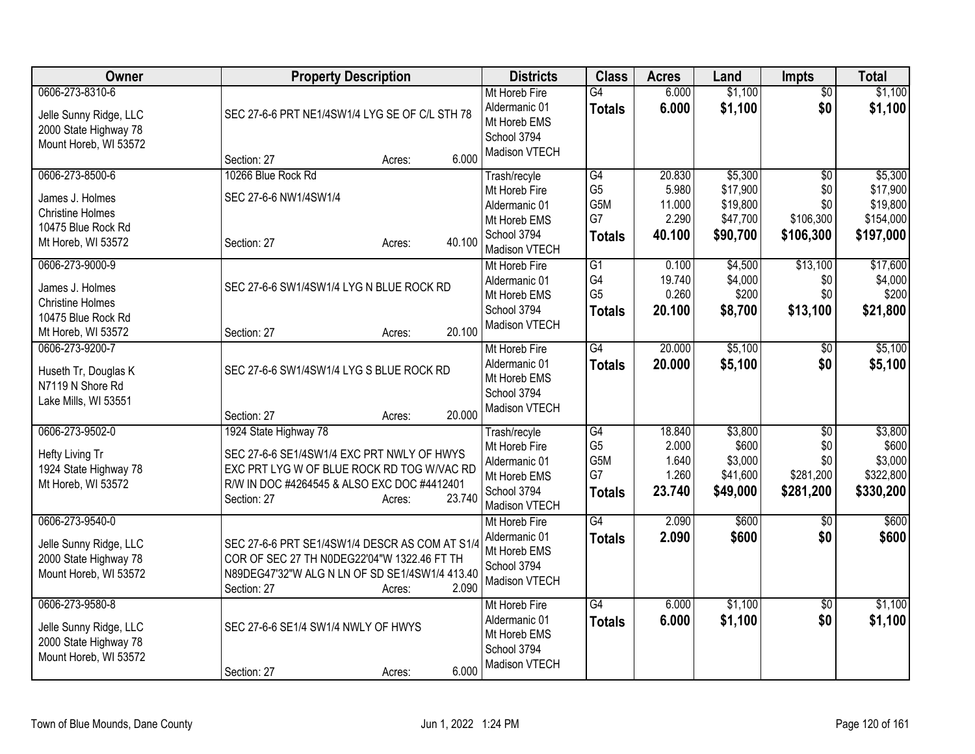| Owner                                                                                                     | <b>Property Description</b>                                                                                                                                                                         | <b>Districts</b>                                                                               | <b>Class</b>                                                    | <b>Acres</b>                                 | Land                                                    | <b>Impts</b>                                            | <b>Total</b>                                              |
|-----------------------------------------------------------------------------------------------------------|-----------------------------------------------------------------------------------------------------------------------------------------------------------------------------------------------------|------------------------------------------------------------------------------------------------|-----------------------------------------------------------------|----------------------------------------------|---------------------------------------------------------|---------------------------------------------------------|-----------------------------------------------------------|
| 0606-273-8310-6<br>Jelle Sunny Ridge, LLC<br>2000 State Highway 78<br>Mount Horeb, WI 53572               | SEC 27-6-6 PRT NE1/4SW1/4 LYG SE OF C/L STH 78<br>6.000<br>Section: 27<br>Acres:                                                                                                                    | Mt Horeb Fire<br>Aldermanic 01<br>Mt Horeb EMS<br>School 3794<br>Madison VTECH                 | $\overline{G4}$<br><b>Totals</b>                                | 6.000<br>6.000                               | \$1,100<br>\$1,100                                      | $\overline{50}$<br>\$0                                  | \$1,100<br>\$1,100                                        |
| 0606-273-8500-6<br>James J. Holmes<br><b>Christine Holmes</b><br>10475 Blue Rock Rd<br>Mt Horeb, WI 53572 | 10266 Blue Rock Rd<br>SEC 27-6-6 NW1/4SW1/4<br>40.100<br>Section: 27<br>Acres:                                                                                                                      | Trash/recyle<br>Mt Horeb Fire<br>Aldermanic 01<br>Mt Horeb EMS<br>School 3794<br>Madison VTECH | $\overline{G4}$<br>G <sub>5</sub><br>G5M<br>G7<br><b>Totals</b> | 20.830<br>5.980<br>11.000<br>2.290<br>40.100 | \$5,300<br>\$17,900<br>\$19,800<br>\$47,700<br>\$90,700 | \$0<br>\$0<br>\$0<br>\$106,300<br>\$106,300             | \$5,300<br>\$17,900<br>\$19,800<br>\$154,000<br>\$197,000 |
| 0606-273-9000-9<br>James J. Holmes<br><b>Christine Holmes</b><br>10475 Blue Rock Rd<br>Mt Horeb, WI 53572 | SEC 27-6-6 SW1/4SW1/4 LYG N BLUE ROCK RD<br>20.100<br>Section: 27<br>Acres:                                                                                                                         | Mt Horeb Fire<br>Aldermanic 01<br>Mt Horeb EMS<br>School 3794<br>Madison VTECH                 | G1<br>G4<br>G <sub>5</sub><br><b>Totals</b>                     | 0.100<br>19.740<br>0.260<br>20.100           | \$4,500<br>\$4,000<br>\$200<br>\$8,700                  | \$13,100<br>\$0<br>\$0<br>\$13,100                      | \$17,600<br>\$4,000<br>\$200<br>\$21,800                  |
| 0606-273-9200-7<br>Huseth Tr, Douglas K<br>N7119 N Shore Rd<br>Lake Mills, WI 53551                       | SEC 27-6-6 SW1/4SW1/4 LYG S BLUE ROCK RD<br>20.000<br>Section: 27<br>Acres:                                                                                                                         | Mt Horeb Fire<br>Aldermanic 01<br>Mt Horeb EMS<br>School 3794<br>Madison VTECH                 | $\overline{G4}$<br><b>Totals</b>                                | 20.000<br>20.000                             | \$5,100<br>\$5,100                                      | $\overline{30}$<br>\$0                                  | \$5,100<br>\$5,100                                        |
| 0606-273-9502-0<br>Hefty Living Tr<br>1924 State Highway 78<br>Mt Horeb, WI 53572                         | 1924 State Highway 78<br>SEC 27-6-6 SE1/4SW1/4 EXC PRT NWLY OF HWYS<br>EXC PRT LYG W OF BLUE ROCK RD TOG W/VAC RD<br>R/W IN DOC #4264545 & ALSO EXC DOC #4412401<br>23.740<br>Section: 27<br>Acres: | Trash/recyle<br>Mt Horeb Fire<br>Aldermanic 01<br>Mt Horeb EMS<br>School 3794<br>Madison VTECH | $\overline{G4}$<br>G <sub>5</sub><br>G5M<br>G7<br><b>Totals</b> | 18.840<br>2.000<br>1.640<br>1.260<br>23.740  | \$3,800<br>\$600<br>\$3,000<br>\$41,600<br>\$49,000     | $\overline{30}$<br>\$0<br>\$0<br>\$281,200<br>\$281,200 | \$3,800<br>\$600<br>\$3,000<br>\$322,800<br>\$330,200     |
| 0606-273-9540-0<br>Jelle Sunny Ridge, LLC<br>2000 State Highway 78<br>Mount Horeb, WI 53572               | SEC 27-6-6 PRT SE1/4SW1/4 DESCR AS COM AT S1/4<br>COR OF SEC 27 TH N0DEG22'04"W 1322.46 FT TH<br>N89DEG47'32"W ALG N LN OF SD SE1/4SW1/4 413.40<br>2.090<br>Section: 27<br>Acres:                   | Mt Horeb Fire<br>Aldermanic 01<br>Mt Horeb EMS<br>School 3794<br>Madison VTECH                 | $\overline{G4}$<br><b>Totals</b>                                | 2.090<br>2.090                               | \$600<br>\$600                                          | $\overline{30}$<br>\$0                                  | \$600<br>\$600                                            |
| 0606-273-9580-8<br>Jelle Sunny Ridge, LLC<br>2000 State Highway 78<br>Mount Horeb, WI 53572               | SEC 27-6-6 SE1/4 SW1/4 NWLY OF HWYS<br>6.000<br>Section: 27<br>Acres:                                                                                                                               | Mt Horeb Fire<br>Aldermanic 01<br>Mt Horeb EMS<br>School 3794<br>Madison VTECH                 | G4<br><b>Totals</b>                                             | 6.000<br>6.000                               | \$1,100<br>\$1,100                                      | $\overline{50}$<br>\$0                                  | \$1,100<br>\$1,100                                        |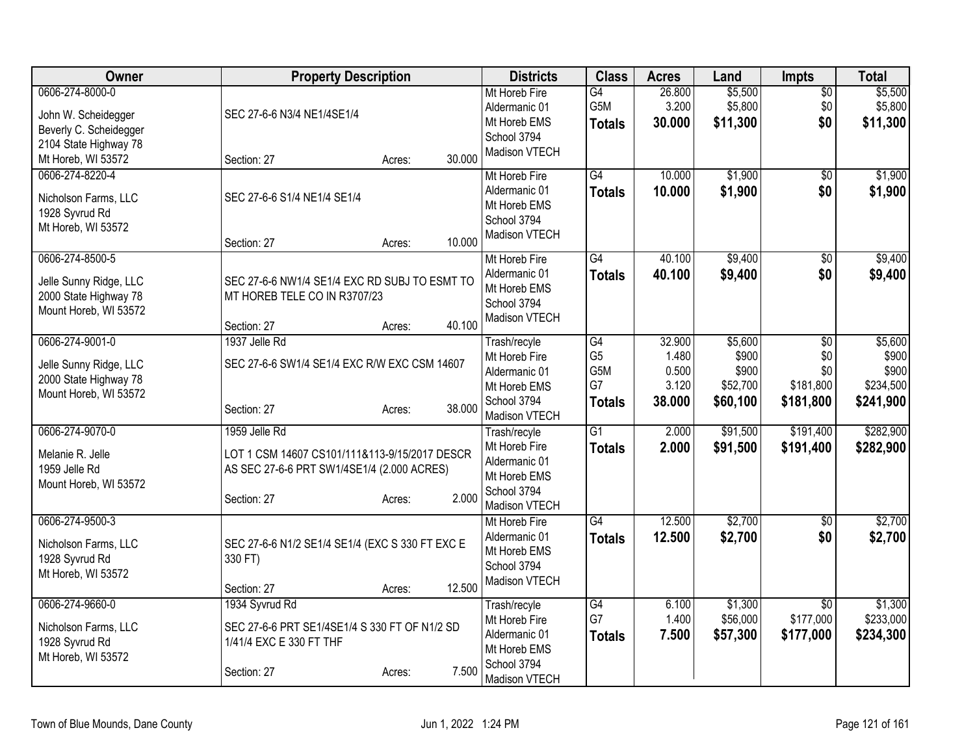| <b>Owner</b>                                                                                | <b>Property Description</b>                                                                                                                    | <b>Districts</b>                                                                               | <b>Class</b>                                                    | <b>Acres</b>                                | Land                                              | Impts                                                   | <b>Total</b>                                        |
|---------------------------------------------------------------------------------------------|------------------------------------------------------------------------------------------------------------------------------------------------|------------------------------------------------------------------------------------------------|-----------------------------------------------------------------|---------------------------------------------|---------------------------------------------------|---------------------------------------------------------|-----------------------------------------------------|
| 0606-274-8000-0<br>John W. Scheidegger<br>Beverly C. Scheidegger<br>2104 State Highway 78   | SEC 27-6-6 N3/4 NE1/4SE1/4                                                                                                                     | Mt Horeb Fire<br>Aldermanic 01<br>Mt Horeb EMS<br>School 3794<br>Madison VTECH                 | G4<br>G5M<br><b>Totals</b>                                      | 26.800<br>3.200<br>30.000                   | \$5,500<br>\$5,800<br>\$11,300                    | $\overline{50}$<br>\$0<br>\$0                           | \$5,500<br>\$5,800<br>\$11,300                      |
| Mt Horeb, WI 53572                                                                          | 30.000<br>Section: 27<br>Acres:                                                                                                                |                                                                                                |                                                                 |                                             |                                                   |                                                         |                                                     |
| 0606-274-8220-4<br>Nicholson Farms, LLC<br>1928 Syvrud Rd<br>Mt Horeb, WI 53572             | SEC 27-6-6 S1/4 NE1/4 SE1/4<br>10.000<br>Section: 27<br>Acres:                                                                                 | Mt Horeb Fire<br>Aldermanic 01<br>Mt Horeb EMS<br>School 3794<br>Madison VTECH                 | G4<br><b>Totals</b>                                             | 10.000<br>10.000                            | \$1,900<br>\$1,900                                | \$0<br>\$0                                              | \$1,900<br>\$1,900                                  |
| 0606-274-8500-5<br>Jelle Sunny Ridge, LLC<br>2000 State Highway 78<br>Mount Horeb, WI 53572 | SEC 27-6-6 NW1/4 SE1/4 EXC RD SUBJ TO ESMT TO<br>MT HOREB TELE CO IN R3707/23<br>40.100<br>Section: 27<br>Acres:                               | Mt Horeb Fire<br>Aldermanic 01<br>Mt Horeb EMS<br>School 3794<br>Madison VTECH                 | G4<br><b>Totals</b>                                             | 40.100<br>40.100                            | \$9,400<br>\$9,400                                | $\overline{50}$<br>\$0                                  | \$9,400<br>\$9,400                                  |
| 0606-274-9001-0<br>Jelle Sunny Ridge, LLC<br>2000 State Highway 78<br>Mount Horeb, WI 53572 | 1937 Jelle Rd<br>SEC 27-6-6 SW1/4 SE1/4 EXC R/W EXC CSM 14607<br>38.000<br>Section: 27<br>Acres:                                               | Trash/recyle<br>Mt Horeb Fire<br>Aldermanic 01<br>Mt Horeb EMS<br>School 3794<br>Madison VTECH | $\overline{G4}$<br>G <sub>5</sub><br>G5M<br>G7<br><b>Totals</b> | 32.900<br>1.480<br>0.500<br>3.120<br>38.000 | \$5,600<br>\$900<br>\$900<br>\$52,700<br>\$60,100 | $\overline{50}$<br>\$0<br>\$0<br>\$181,800<br>\$181,800 | \$5,600<br>\$900<br>\$900<br>\$234,500<br>\$241,900 |
| 0606-274-9070-0<br>Melanie R. Jelle<br>1959 Jelle Rd<br>Mount Horeb, WI 53572               | 1959 Jelle Rd<br>LOT 1 CSM 14607 CS101/111&113-9/15/2017 DESCR<br>AS SEC 27-6-6 PRT SW1/4SE1/4 (2.000 ACRES)<br>2.000<br>Section: 27<br>Acres: | Trash/recyle<br>Mt Horeb Fire<br>Aldermanic 01<br>Mt Horeb EMS<br>School 3794<br>Madison VTECH | $\overline{G1}$<br><b>Totals</b>                                | 2.000<br>2.000                              | \$91,500<br>\$91,500                              | \$191,400<br>\$191,400                                  | \$282,900<br>\$282,900                              |
| 0606-274-9500-3<br>Nicholson Farms, LLC<br>1928 Syvrud Rd<br>Mt Horeb, WI 53572             | SEC 27-6-6 N1/2 SE1/4 SE1/4 (EXC S 330 FT EXC E<br>330 FT)<br>12.500<br>Section: 27<br>Acres:                                                  | Mt Horeb Fire<br>Aldermanic 01<br>Mt Horeb EMS<br>School 3794<br>Madison VTECH                 | $\overline{G4}$<br><b>Totals</b>                                | 12.500<br>12.500                            | \$2,700<br>\$2,700                                | $\overline{50}$<br>\$0                                  | \$2,700<br>\$2,700                                  |
| 0606-274-9660-0<br>Nicholson Farms, LLC<br>1928 Syvrud Rd<br>Mt Horeb, WI 53572             | 1934 Syvrud Rd<br>SEC 27-6-6 PRT SE1/4SE1/4 S 330 FT OF N1/2 SD<br>1/41/4 EXC E 330 FT THF<br>7.500<br>Section: 27<br>Acres:                   | Trash/recyle<br>Mt Horeb Fire<br>Aldermanic 01<br>Mt Horeb EMS<br>School 3794<br>Madison VTECH | G4<br>G7<br><b>Totals</b>                                       | 6.100<br>1.400<br>7.500                     | \$1,300<br>\$56,000<br>\$57,300                   | $\overline{30}$<br>\$177,000<br>\$177,000               | \$1,300<br>\$233,000<br>\$234,300                   |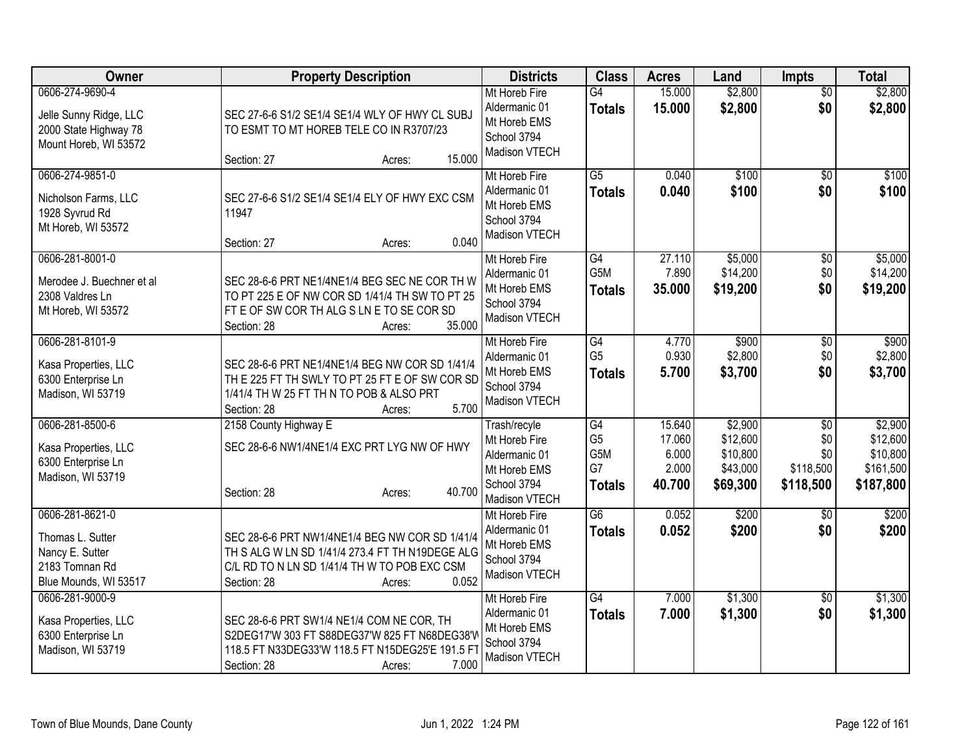| Owner                                                                                             | <b>Property Description</b>                                                                                                                                                         | <b>Districts</b>                                                                               | <b>Class</b>                                | <b>Acres</b>                                 | Land                                                    | <b>Impts</b>                                | <b>Total</b>                                              |
|---------------------------------------------------------------------------------------------------|-------------------------------------------------------------------------------------------------------------------------------------------------------------------------------------|------------------------------------------------------------------------------------------------|---------------------------------------------|----------------------------------------------|---------------------------------------------------------|---------------------------------------------|-----------------------------------------------------------|
| 0606-274-9690-4<br>Jelle Sunny Ridge, LLC<br>2000 State Highway 78<br>Mount Horeb, WI 53572       | SEC 27-6-6 S1/2 SE1/4 SE1/4 WLY OF HWY CL SUBJ<br>TO ESMT TO MT HOREB TELE CO IN R3707/23<br>15.000<br>Section: 27<br>Acres:                                                        | Mt Horeb Fire<br>Aldermanic 01<br>Mt Horeb EMS<br>School 3794<br>Madison VTECH                 | $\overline{G4}$<br><b>Totals</b>            | 15.000<br>15.000                             | \$2,800<br>\$2,800                                      | $\overline{50}$<br>\$0                      | \$2,800<br>\$2,800                                        |
| 0606-274-9851-0<br>Nicholson Farms, LLC<br>1928 Syvrud Rd<br>Mt Horeb, WI 53572                   | SEC 27-6-6 S1/2 SE1/4 SE1/4 ELY OF HWY EXC CSM<br>11947<br>0.040<br>Section: 27<br>Acres:                                                                                           | Mt Horeb Fire<br>Aldermanic 01<br>Mt Horeb EMS<br>School 3794<br>Madison VTECH                 | $\overline{G5}$<br><b>Totals</b>            | 0.040<br>0.040                               | \$100<br>\$100                                          | $\overline{50}$<br>\$0                      | \$100<br>\$100                                            |
| 0606-281-8001-0<br>Merodee J. Buechner et al<br>2308 Valdres Ln<br>Mt Horeb, WI 53572             | SEC 28-6-6 PRT NE1/4NE1/4 BEG SEC NE COR TH W<br>TO PT 225 E OF NW COR SD 1/41/4 TH SW TO PT 25<br>FT E OF SW COR TH ALG S LN E TO SE COR SD<br>35.000<br>Section: 28<br>Acres:     | Mt Horeb Fire<br>Aldermanic 01<br>Mt Horeb EMS<br>School 3794<br>Madison VTECH                 | G4<br>G <sub>5</sub> M<br><b>Totals</b>     | 27.110<br>7.890<br>35.000                    | \$5,000<br>\$14,200<br>\$19,200                         | \$0<br>\$0<br>\$0                           | \$5,000<br>\$14,200<br>\$19,200                           |
| 0606-281-8101-9<br>Kasa Properties, LLC<br>6300 Enterprise Ln<br>Madison, WI 53719                | SEC 28-6-6 PRT NE1/4NE1/4 BEG NW COR SD 1/41/4<br>THE 225 FT TH SWLY TO PT 25 FT E OF SW COR SD<br>1/41/4 TH W 25 FT TH N TO POB & ALSO PRT<br>5.700<br>Section: 28<br>Acres:       | Mt Horeb Fire<br>Aldermanic 01<br>Mt Horeb EMS<br>School 3794<br>Madison VTECH                 | G4<br>G <sub>5</sub><br><b>Totals</b>       | 4.770<br>0.930<br>5.700                      | \$900<br>\$2,800<br>\$3,700                             | $\sqrt[6]{3}$<br>\$0<br>\$0                 | \$900<br>\$2,800<br>\$3,700                               |
| 0606-281-8500-6<br>Kasa Properties, LLC<br>6300 Enterprise Ln<br>Madison, WI 53719                | 2158 County Highway E<br>SEC 28-6-6 NW1/4NE1/4 EXC PRT LYG NW OF HWY<br>40.700<br>Section: 28<br>Acres:                                                                             | Trash/recyle<br>Mt Horeb Fire<br>Aldermanic 01<br>Mt Horeb EMS<br>School 3794<br>Madison VTECH | G4<br>G <sub>5</sub><br>G5M<br>G7<br>Totals | 15.640<br>17.060<br>6.000<br>2.000<br>40.700 | \$2,900<br>\$12,600<br>\$10,800<br>\$43,000<br>\$69,300 | \$0<br>\$0<br>\$0<br>\$118,500<br>\$118,500 | \$2,900<br>\$12,600<br>\$10,800<br>\$161,500<br>\$187,800 |
| 0606-281-8621-0<br>Thomas L. Sutter<br>Nancy E. Sutter<br>2183 Tomnan Rd<br>Blue Mounds, WI 53517 | SEC 28-6-6 PRT NW1/4NE1/4 BEG NW COR SD 1/41/4<br>TH S ALG W LN SD 1/41/4 273.4 FT TH N19DEGE ALG<br>C/L RD TO N LN SD 1/41/4 TH W TO POB EXC CSM<br>0.052<br>Section: 28<br>Acres: | Mt Horeb Fire<br>Aldermanic 01<br>Mt Horeb EMS<br>School 3794<br>Madison VTECH                 | $\overline{G6}$<br><b>Totals</b>            | 0.052<br>0.052                               | \$200<br>\$200                                          | $\overline{50}$<br>\$0                      | \$200<br>\$200                                            |
| 0606-281-9000-9<br>Kasa Properties, LLC<br>6300 Enterprise Ln<br>Madison, WI 53719                | SEC 28-6-6 PRT SW1/4 NE1/4 COM NE COR, TH<br>S2DEG17'W 303 FT S88DEG37'W 825 FT N68DEG38'V<br>118.5 FT N33DEG33'W 118.5 FT N15DEG25'E 191.5 FT<br>7.000<br>Section: 28<br>Acres:    | Mt Horeb Fire<br>Aldermanic 01<br>Mt Horeb EMS<br>School 3794<br>Madison VTECH                 | $\overline{G4}$<br><b>Totals</b>            | 7.000<br>7.000                               | \$1,300<br>\$1,300                                      | \$0<br>\$0                                  | \$1,300<br>\$1,300                                        |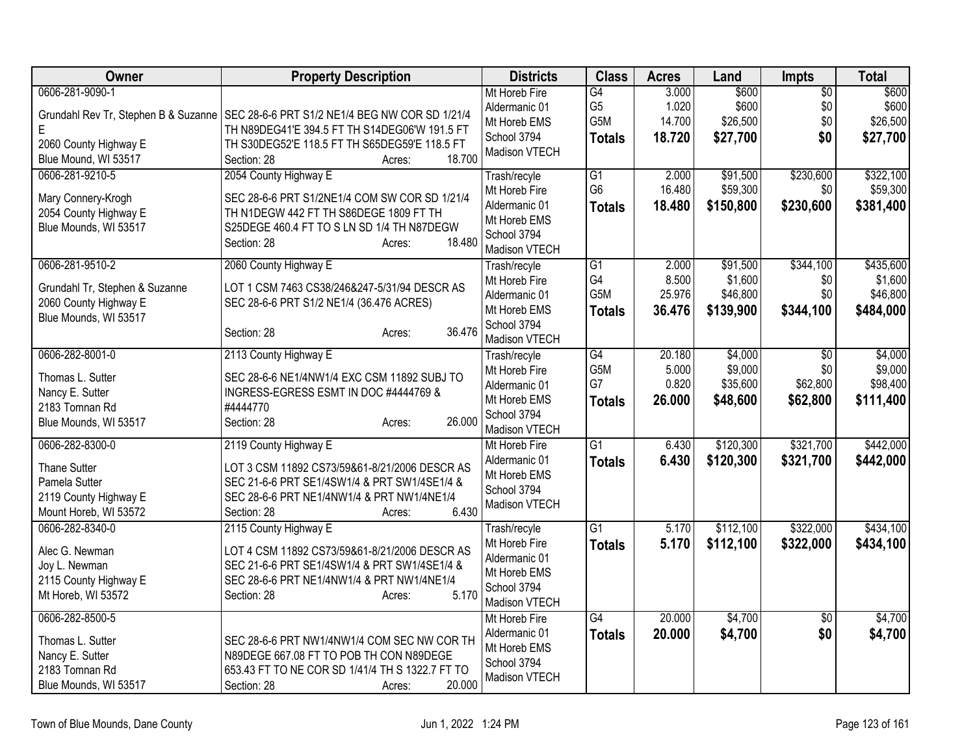| Owner                                                                                                     | <b>Property Description</b>                                                                                                                                                                            | <b>Districts</b>                                                                                                | <b>Class</b>                                       | <b>Acres</b>                       | Land                                         | <b>Impts</b>                         | <b>Total</b>                                  |
|-----------------------------------------------------------------------------------------------------------|--------------------------------------------------------------------------------------------------------------------------------------------------------------------------------------------------------|-----------------------------------------------------------------------------------------------------------------|----------------------------------------------------|------------------------------------|----------------------------------------------|--------------------------------------|-----------------------------------------------|
| 0606-281-9090-1<br>E                                                                                      | Grundahl Rev Tr, Stephen B & Suzanne   SEC 28-6-6 PRT S1/2 NE1/4 BEG NW COR SD 1/21/4<br>TH N89DEG41'E 394.5 FT TH S14DEG06'W 191.5 FT                                                                 | Mt Horeb Fire<br>Aldermanic 01<br>Mt Horeb EMS                                                                  | G4<br>G <sub>5</sub><br>G5M                        | 3.000<br>1.020<br>14.700           | \$600<br>\$600<br>\$26,500                   | \$0<br>\$0<br>\$0                    | \$600<br>\$600<br>\$26,500                    |
| 2060 County Highway E<br>Blue Mound, WI 53517                                                             | TH S30DEG52'E 118.5 FT TH S65DEG59'E 118.5 FT<br>18.700<br>Section: 28<br>Acres:                                                                                                                       | School 3794<br>Madison VTECH                                                                                    | <b>Totals</b>                                      | 18.720                             | \$27,700                                     | \$0                                  | \$27,700                                      |
| 0606-281-9210-5<br>Mary Connery-Krogh<br>2054 County Highway E<br>Blue Mounds, WI 53517                   | 2054 County Highway E<br>SEC 28-6-6 PRT S1/2NE1/4 COM SW COR SD 1/21/4<br>TH N1DEGW 442 FT TH S86DEGE 1809 FT TH<br>S25DEGE 460.4 FT TO S LN SD 1/4 TH N87DEGW<br>18.480<br>Section: 28<br>Acres:      | Trash/recyle<br>Mt Horeb Fire<br>Aldermanic 01<br>Mt Horeb EMS<br>School 3794                                   | $\overline{G1}$<br>G <sub>6</sub><br><b>Totals</b> | 2.000<br>16.480<br>18.480          | \$91,500<br>\$59,300<br>\$150,800            | \$230,600<br>\$0<br>\$230,600        | \$322,100<br>\$59,300<br>\$381,400            |
| 0606-281-9510-2<br>Grundahl Tr, Stephen & Suzanne<br>2060 County Highway E<br>Blue Mounds, WI 53517       | 2060 County Highway E<br>LOT 1 CSM 7463 CS38/246&247-5/31/94 DESCR AS<br>SEC 28-6-6 PRT S1/2 NE1/4 (36.476 ACRES)<br>36.476<br>Section: 28<br>Acres:                                                   | Madison VTECH<br>Trash/recyle<br>Mt Horeb Fire<br>Aldermanic 01<br>Mt Horeb EMS<br>School 3794<br>Madison VTECH | $\overline{G1}$<br>G4<br>G5M<br><b>Totals</b>      | 2.000<br>8.500<br>25.976<br>36.476 | \$91,500<br>\$1,600<br>\$46,800<br>\$139,900 | \$344,100<br>\$0<br>\$0<br>\$344,100 | \$435,600<br>\$1,600<br>\$46,800<br>\$484,000 |
| 0606-282-8001-0<br>Thomas L. Sutter<br>Nancy E. Sutter<br>2183 Tomnan Rd<br>Blue Mounds, WI 53517         | 2113 County Highway E<br>SEC 28-6-6 NE1/4NW1/4 EXC CSM 11892 SUBJ TO<br>INGRESS-EGRESS ESMT IN DOC #4444769 &<br>#4444770<br>26.000<br>Section: 28<br>Acres:                                           | Trash/recyle<br>Mt Horeb Fire<br>Aldermanic 01<br>Mt Horeb EMS<br>School 3794<br>Madison VTECH                  | G4<br>G5M<br>G7<br><b>Totals</b>                   | 20.180<br>5.000<br>0.820<br>26,000 | \$4,000<br>\$9,000<br>\$35,600<br>\$48,600   | \$0<br>\$0<br>\$62,800<br>\$62,800   | \$4,000<br>\$9,000<br>\$98,400<br>\$111,400   |
| 0606-282-8300-0<br><b>Thane Sutter</b><br>Pamela Sutter<br>2119 County Highway E<br>Mount Horeb, WI 53572 | 2119 County Highway E<br>LOT 3 CSM 11892 CS73/59&61-8/21/2006 DESCR AS<br>SEC 21-6-6 PRT SE1/4SW1/4 & PRT SW1/4SE1/4 &<br>SEC 28-6-6 PRT NE1/4NW1/4 & PRT NW1/4NE1/4<br>6.430<br>Section: 28<br>Acres: | Mt Horeb Fire<br>Aldermanic 01<br>Mt Horeb EMS<br>School 3794<br>Madison VTECH                                  | $\overline{G1}$<br><b>Totals</b>                   | 6.430<br>6.430                     | \$120,300<br>\$120,300                       | \$321,700<br>\$321,700               | \$442,000<br>\$442,000                        |
| 0606-282-8340-0<br>Alec G. Newman<br>Joy L. Newman<br>2115 County Highway E<br>Mt Horeb, WI 53572         | 2115 County Highway E<br>LOT 4 CSM 11892 CS73/59&61-8/21/2006 DESCR AS<br>SEC 21-6-6 PRT SE1/4SW1/4 & PRT SW1/4SE1/4 &<br>SEC 28-6-6 PRT NE1/4NW1/4 & PRT NW1/4NE1/4<br>5.170<br>Section: 28<br>Acres: | Trash/recyle<br>Mt Horeb Fire<br>Aldermanic 01<br>Mt Horeb EMS<br>School 3794<br>Madison VTECH                  | $\overline{G1}$<br><b>Totals</b>                   | 5.170<br>5.170                     | \$112,100<br>\$112,100                       | \$322,000<br>\$322,000               | \$434,100<br>\$434,100                        |
| 0606-282-8500-5<br>Thomas L. Sutter<br>Nancy E. Sutter<br>2183 Tomnan Rd<br>Blue Mounds, WI 53517         | SEC 28-6-6 PRT NW1/4NW1/4 COM SEC NW COR TH<br>N89DEGE 667.08 FT TO POB TH CON N89DEGE<br>653.43 FT TO NE COR SD 1/41/4 TH S 1322.7 FT TO<br>20.000<br>Section: 28<br>Acres:                           | Mt Horeb Fire<br>Aldermanic 01<br>Mt Horeb EMS<br>School 3794<br>Madison VTECH                                  | G4<br><b>Totals</b>                                | 20.000<br>20.000                   | \$4,700<br>\$4,700                           | $\overline{50}$<br>\$0               | \$4,700<br>\$4,700                            |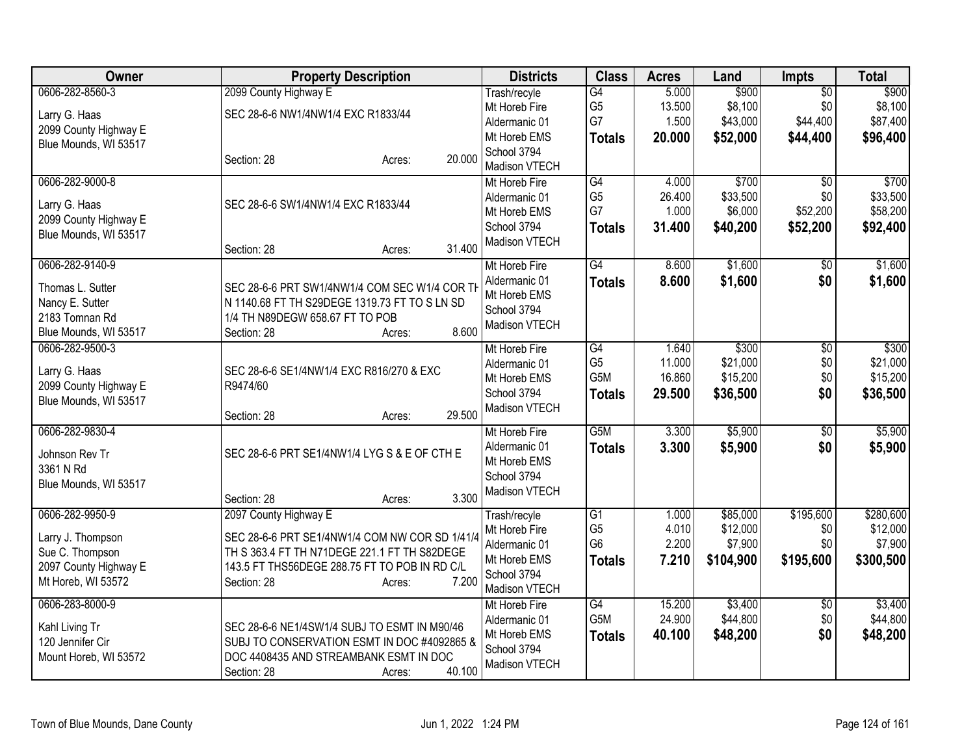| Owner                                                                                                  | <b>Property Description</b>                                                                                                                                                                                | <b>Districts</b>                                                                               | <b>Class</b>                                                         | <b>Acres</b>                        | Land                                         | <b>Impts</b>                                   | <b>Total</b>                                  |
|--------------------------------------------------------------------------------------------------------|------------------------------------------------------------------------------------------------------------------------------------------------------------------------------------------------------------|------------------------------------------------------------------------------------------------|----------------------------------------------------------------------|-------------------------------------|----------------------------------------------|------------------------------------------------|-----------------------------------------------|
| 0606-282-8560-3<br>Larry G. Haas<br>2099 County Highway E<br>Blue Mounds, WI 53517                     | 2099 County Highway E<br>SEC 28-6-6 NW1/4NW1/4 EXC R1833/44                                                                                                                                                | Trash/recyle<br>Mt Horeb Fire<br>Aldermanic 01<br>Mt Horeb EMS<br>School 3794                  | G4<br>G <sub>5</sub><br>G7<br><b>Totals</b>                          | 5.000<br>13.500<br>1.500<br>20.000  | \$900<br>\$8,100<br>\$43,000<br>\$52,000     | $\overline{50}$<br>\$0<br>\$44,400<br>\$44,400 | \$900<br>\$8,100<br>\$87,400<br>\$96,400      |
|                                                                                                        | 20.000<br>Section: 28<br>Acres:                                                                                                                                                                            | Madison VTECH                                                                                  |                                                                      |                                     |                                              |                                                |                                               |
| 0606-282-9000-8<br>Larry G. Haas<br>2099 County Highway E<br>Blue Mounds, WI 53517                     | SEC 28-6-6 SW1/4NW1/4 EXC R1833/44<br>31.400<br>Section: 28<br>Acres:                                                                                                                                      | Mt Horeb Fire<br>Aldermanic 01<br>Mt Horeb EMS<br>School 3794<br>Madison VTECH                 | G4<br>G <sub>5</sub><br>G7<br><b>Totals</b>                          | 4.000<br>26.400<br>1.000<br>31.400  | \$700<br>\$33,500<br>\$6,000<br>\$40,200     | \$0<br>\$0<br>\$52,200<br>\$52,200             | \$700<br>\$33,500<br>\$58,200<br>\$92,400     |
| 0606-282-9140-9<br>Thomas L. Sutter<br>Nancy E. Sutter<br>2183 Tomnan Rd<br>Blue Mounds, WI 53517      | SEC 28-6-6 PRT SW1/4NW1/4 COM SEC W1/4 COR TH<br>N 1140.68 FT TH S29DEGE 1319.73 FT TO S LN SD<br>1/4 TH N89DEGW 658.67 FT TO POB<br>8.600<br>Section: 28<br>Acres:                                        | Mt Horeb Fire<br>Aldermanic 01<br>Mt Horeb EMS<br>School 3794<br>Madison VTECH                 | $\overline{G4}$<br><b>Totals</b>                                     | 8.600<br>8.600                      | \$1,600<br>\$1,600                           | $\overline{50}$<br>\$0                         | \$1,600<br>\$1,600                            |
| 0606-282-9500-3<br>Larry G. Haas<br>2099 County Highway E<br>Blue Mounds, WI 53517                     | SEC 28-6-6 SE1/4NW1/4 EXC R816/270 & EXC<br>R9474/60<br>29.500<br>Section: 28<br>Acres:                                                                                                                    | Mt Horeb Fire<br>Aldermanic 01<br>Mt Horeb EMS<br>School 3794<br>Madison VTECH                 | G4<br>G <sub>5</sub><br>G5M<br><b>Totals</b>                         | 1.640<br>11.000<br>16.860<br>29.500 | \$300<br>\$21,000<br>\$15,200<br>\$36,500    | $\overline{30}$<br>\$0<br>\$0<br>\$0           | \$300<br>\$21,000<br>\$15,200<br>\$36,500     |
| 0606-282-9830-4<br>Johnson Rev Tr<br>3361 N Rd<br>Blue Mounds, WI 53517                                | SEC 28-6-6 PRT SE1/4NW1/4 LYG S & E OF CTH E<br>3.300<br>Section: 28<br>Acres:                                                                                                                             | Mt Horeb Fire<br>Aldermanic 01<br>Mt Horeb EMS<br>School 3794<br>Madison VTECH                 | G <sub>5</sub> M<br><b>Totals</b>                                    | 3.300<br>3.300                      | \$5,900<br>\$5,900                           | $\overline{50}$<br>\$0                         | \$5,900<br>\$5,900                            |
| 0606-282-9950-9<br>Larry J. Thompson<br>Sue C. Thompson<br>2097 County Highway E<br>Mt Horeb, WI 53572 | 2097 County Highway E<br>SEC 28-6-6 PRT SE1/4NW1/4 COM NW COR SD 1/41/4<br>TH S 363.4 FT TH N71DEGE 221.1 FT TH S82DEGE<br>143.5 FT THS56DEGE 288.75 FT TO POB IN RD C/L<br>7.200<br>Section: 28<br>Acres: | Trash/recyle<br>Mt Horeb Fire<br>Aldermanic 01<br>Mt Horeb EMS<br>School 3794<br>Madison VTECH | $\overline{G1}$<br>G <sub>5</sub><br>G <sub>6</sub><br><b>Totals</b> | 1.000<br>4.010<br>2.200<br>7.210    | \$85,000<br>\$12,000<br>\$7,900<br>\$104,900 | \$195,600<br>\$0<br>\$0<br>\$195,600           | \$280,600<br>\$12,000<br>\$7,900<br>\$300,500 |
| 0606-283-8000-9<br>Kahl Living Tr<br>120 Jennifer Cir<br>Mount Horeb, WI 53572                         | SEC 28-6-6 NE1/4SW1/4 SUBJ TO ESMT IN M90/46<br>SUBJ TO CONSERVATION ESMT IN DOC #4092865 &<br>DOC 4408435 AND STREAMBANK ESMT IN DOC<br>40.100<br>Section: 28<br>Acres:                                   | Mt Horeb Fire<br>Aldermanic 01<br>Mt Horeb EMS<br>School 3794<br>Madison VTECH                 | G4<br>G5M<br><b>Totals</b>                                           | 15.200<br>24.900<br>40.100          | \$3,400<br>\$44,800<br>\$48,200              | $\overline{50}$<br>\$0<br>\$0                  | \$3,400<br>\$44,800<br>\$48,200               |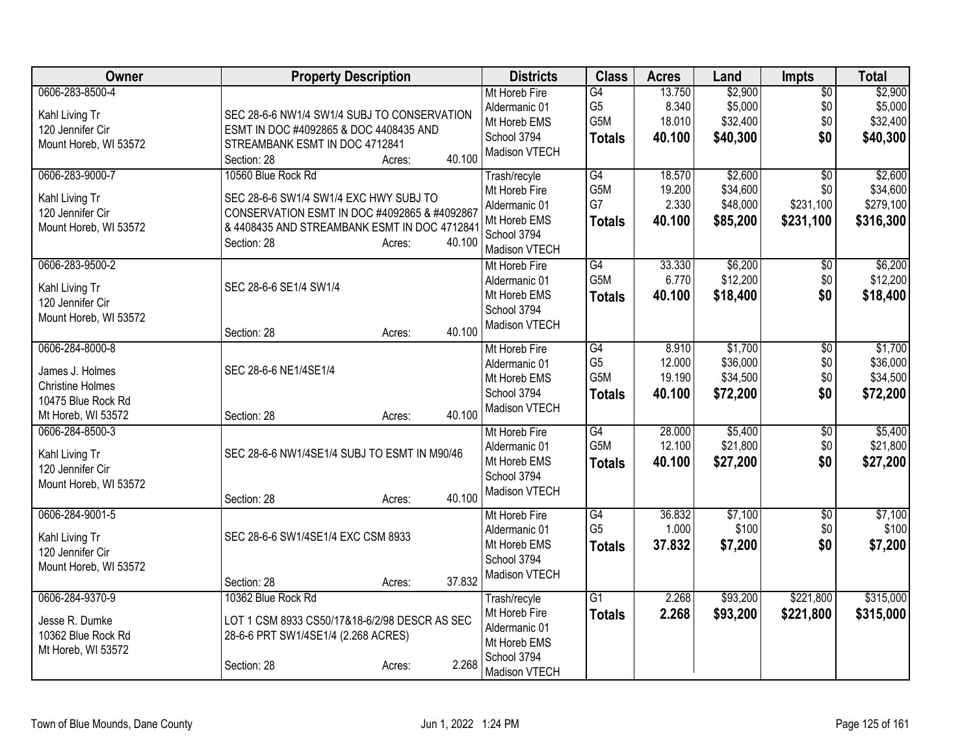| Owner                                                                                                               | <b>Property Description</b>                                                                                                                                                                                                | <b>Districts</b>                                                                                                                 | <b>Class</b>                                             | <b>Acres</b>                                                     | Land                                                                          | <b>Impts</b>                                                    | <b>Total</b>                                                                   |
|---------------------------------------------------------------------------------------------------------------------|----------------------------------------------------------------------------------------------------------------------------------------------------------------------------------------------------------------------------|----------------------------------------------------------------------------------------------------------------------------------|----------------------------------------------------------|------------------------------------------------------------------|-------------------------------------------------------------------------------|-----------------------------------------------------------------|--------------------------------------------------------------------------------|
| 0606-283-8500-4<br>Kahl Living Tr<br>120 Jennifer Cir<br>Mount Horeb, WI 53572<br>0606-283-9000-7<br>Kahl Living Tr | SEC 28-6-6 NW1/4 SW1/4 SUBJ TO CONSERVATION<br>ESMT IN DOC #4092865 & DOC 4408435 AND<br>STREAMBANK ESMT IN DOC 4712841<br>40.100<br>Section: 28<br>Acres:<br>10560 Blue Rock Rd<br>SEC 28-6-6 SW1/4 SW1/4 EXC HWY SUBJ TO | Mt Horeb Fire<br>Aldermanic 01<br>Mt Horeb EMS<br>School 3794<br>Madison VTECH<br>Trash/recyle<br>Mt Horeb Fire<br>Aldermanic 01 | G4<br>G <sub>5</sub><br>G5M<br>Totals<br>G4<br>G5M<br>G7 | 13.750<br>8.340<br>18.010<br>40.100<br>18.570<br>19.200<br>2.330 | \$2,900<br>\$5,000<br>\$32,400<br>\$40,300<br>\$2,600<br>\$34,600<br>\$48,000 | $\overline{50}$<br>\$0<br>\$0<br>\$0<br>\$0<br>\$0<br>\$231,100 | \$2,900<br>\$5,000<br>\$32,400<br>\$40,300<br>\$2,600<br>\$34,600<br>\$279,100 |
| 120 Jennifer Cir<br>Mount Horeb, WI 53572                                                                           | CONSERVATION ESMT IN DOC #4092865 & #4092867<br>& 4408435 AND STREAMBANK ESMT IN DOC 4712841<br>40.100<br>Section: 28<br>Acres:                                                                                            | Mt Horeb EMS<br>School 3794<br>Madison VTECH                                                                                     | <b>Totals</b>                                            | 40.100                                                           | \$85,200                                                                      | \$231,100                                                       | \$316,300                                                                      |
| 0606-283-9500-2<br>Kahl Living Tr<br>120 Jennifer Cir<br>Mount Horeb, WI 53572                                      | SEC 28-6-6 SE1/4 SW1/4<br>40.100<br>Section: 28<br>Acres:                                                                                                                                                                  | Mt Horeb Fire<br>Aldermanic 01<br>Mt Horeb EMS<br>School 3794<br>Madison VTECH                                                   | G4<br>G5M<br><b>Totals</b>                               | 33.330<br>6.770<br>40.100                                        | \$6,200<br>\$12,200<br>\$18,400                                               | $\overline{50}$<br>\$0<br>\$0                                   | \$6,200<br>\$12,200<br>\$18,400                                                |
| 0606-284-8000-8<br>James J. Holmes<br><b>Christine Holmes</b><br>10475 Blue Rock Rd<br>Mt Horeb, WI 53572           | SEC 28-6-6 NE1/4SE1/4<br>40.100<br>Section: 28<br>Acres:                                                                                                                                                                   | Mt Horeb Fire<br>Aldermanic 01<br>Mt Horeb EMS<br>School 3794<br>Madison VTECH                                                   | G4<br>G <sub>5</sub><br>G5M<br><b>Totals</b>             | 8.910<br>12.000<br>19.190<br>40.100                              | \$1,700<br>\$36,000<br>\$34,500<br>\$72,200                                   | $\overline{50}$<br>\$0<br>\$0<br>\$0                            | \$1,700<br>\$36,000<br>\$34,500<br>\$72,200                                    |
| 0606-284-8500-3<br>Kahl Living Tr<br>120 Jennifer Cir<br>Mount Horeb, WI 53572                                      | SEC 28-6-6 NW1/4SE1/4 SUBJ TO ESMT IN M90/46<br>40.100<br>Section: 28<br>Acres:                                                                                                                                            | Mt Horeb Fire<br>Aldermanic 01<br>Mt Horeb EMS<br>School 3794<br>Madison VTECH                                                   | G4<br>G5M<br><b>Totals</b>                               | 28.000<br>12.100<br>40.100                                       | \$5,400<br>\$21,800<br>\$27,200                                               | $\overline{60}$<br>\$0<br>\$0                                   | \$5,400<br>\$21,800<br>\$27,200                                                |
| 0606-284-9001-5<br>Kahl Living Tr<br>120 Jennifer Cir<br>Mount Horeb, WI 53572                                      | SEC 28-6-6 SW1/4SE1/4 EXC CSM 8933<br>37.832<br>Section: 28<br>Acres:                                                                                                                                                      | Mt Horeb Fire<br>Aldermanic 01<br>Mt Horeb EMS<br>School 3794<br>Madison VTECH                                                   | G4<br>G <sub>5</sub><br><b>Totals</b>                    | 36.832<br>1.000<br>37.832                                        | \$7,100<br>\$100<br>\$7,200                                                   | $\overline{50}$<br>\$0<br>\$0                                   | \$7,100<br>\$100<br>\$7,200                                                    |
| 0606-284-9370-9<br>Jesse R. Dumke<br>10362 Blue Rock Rd<br>Mt Horeb, WI 53572                                       | 10362 Blue Rock Rd<br>LOT 1 CSM 8933 CS50/17&18-6/2/98 DESCR AS SEC<br>28-6-6 PRT SW1/4SE1/4 (2.268 ACRES)<br>2.268<br>Section: 28<br>Acres:                                                                               | Trash/recyle<br>Mt Horeb Fire<br>Aldermanic 01<br>Mt Horeb EMS<br>School 3794<br>Madison VTECH                                   | $\overline{G1}$<br><b>Totals</b>                         | 2.268<br>2.268                                                   | \$93,200<br>\$93,200                                                          | \$221,800<br>\$221,800                                          | \$315,000<br>\$315,000                                                         |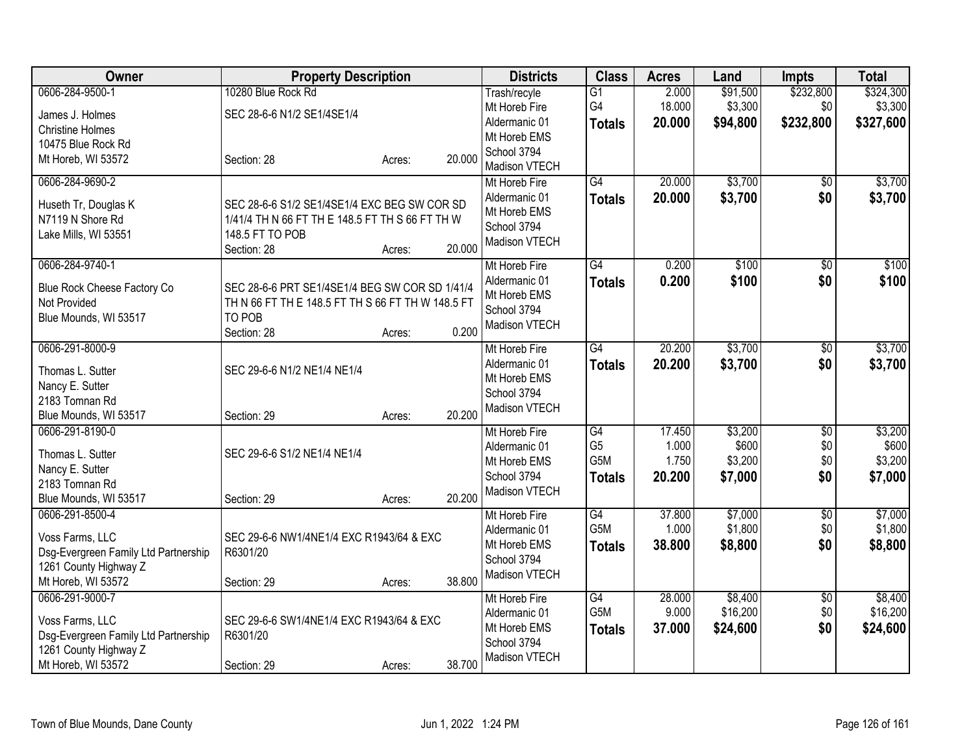| Owner                                                         | <b>Property Description</b>                       |        |        | <b>Districts</b>               | <b>Class</b>     | <b>Acres</b> | Land     | <b>Impts</b>    | <b>Total</b> |
|---------------------------------------------------------------|---------------------------------------------------|--------|--------|--------------------------------|------------------|--------------|----------|-----------------|--------------|
| 0606-284-9500-1                                               | 10280 Blue Rock Rd                                |        |        | Trash/recyle                   | $\overline{G1}$  | 2.000        | \$91,500 | \$232,800       | \$324,300    |
| James J. Holmes                                               | SEC 28-6-6 N1/2 SE1/4SE1/4                        |        |        | Mt Horeb Fire                  | G4               | 18.000       | \$3,300  | \$0             | \$3,300      |
| <b>Christine Holmes</b>                                       |                                                   |        |        | Aldermanic 01                  | <b>Totals</b>    | 20.000       | \$94,800 | \$232,800       | \$327,600    |
| 10475 Blue Rock Rd                                            |                                                   |        |        | Mt Horeb EMS                   |                  |              |          |                 |              |
| Mt Horeb, WI 53572                                            | Section: 28                                       | Acres: | 20.000 | School 3794                    |                  |              |          |                 |              |
| 0606-284-9690-2                                               |                                                   |        |        | Madison VTECH<br>Mt Horeb Fire | G4               | 20.000       | \$3,700  | \$0             | \$3,700      |
|                                                               |                                                   |        |        | Aldermanic 01                  | <b>Totals</b>    | 20.000       | \$3,700  | \$0             | \$3,700      |
| Huseth Tr, Douglas K                                          | SEC 28-6-6 S1/2 SE1/4SE1/4 EXC BEG SW COR SD      |        |        | Mt Horeb EMS                   |                  |              |          |                 |              |
| N7119 N Shore Rd                                              | 1/41/4 TH N 66 FT TH E 148.5 FT TH S 66 FT TH W   |        |        | School 3794                    |                  |              |          |                 |              |
| Lake Mills, WI 53551                                          | 148.5 FT TO POB                                   |        |        | Madison VTECH                  |                  |              |          |                 |              |
|                                                               | Section: 28                                       | Acres: | 20.000 |                                |                  |              |          |                 |              |
| 0606-284-9740-1                                               |                                                   |        |        | Mt Horeb Fire                  | G4               | 0.200        | \$100    | $\overline{50}$ | \$100        |
| Blue Rock Cheese Factory Co                                   | SEC 28-6-6 PRT SE1/4SE1/4 BEG SW COR SD 1/41/4    |        |        | Aldermanic 01                  | <b>Totals</b>    | 0.200        | \$100    | \$0             | \$100        |
| Not Provided                                                  | TH N 66 FT TH E 148.5 FT TH S 66 FT TH W 148.5 FT |        |        | Mt Horeb EMS<br>School 3794    |                  |              |          |                 |              |
| Blue Mounds, WI 53517                                         | TO POB                                            |        |        | Madison VTECH                  |                  |              |          |                 |              |
|                                                               | Section: 28                                       | Acres: | 0.200  |                                |                  |              |          |                 |              |
| 0606-291-8000-9                                               |                                                   |        |        | Mt Horeb Fire                  | G4               | 20.200       | \$3,700  | $\overline{50}$ | \$3,700      |
| Thomas L. Sutter                                              | SEC 29-6-6 N1/2 NE1/4 NE1/4                       |        |        | Aldermanic 01                  | <b>Totals</b>    | 20.200       | \$3,700  | \$0             | \$3,700      |
| Nancy E. Sutter                                               |                                                   |        |        | Mt Horeb EMS                   |                  |              |          |                 |              |
| 2183 Tomnan Rd                                                |                                                   |        |        | School 3794                    |                  |              |          |                 |              |
| Blue Mounds, WI 53517                                         | Section: 29                                       | Acres: | 20.200 | Madison VTECH                  |                  |              |          |                 |              |
| 0606-291-8190-0                                               |                                                   |        |        | Mt Horeb Fire                  | G4               | 17.450       | \$3,200  | \$0             | \$3,200      |
| Thomas L. Sutter                                              | SEC 29-6-6 S1/2 NE1/4 NE1/4                       |        |        | Aldermanic 01                  | G <sub>5</sub>   | 1.000        | \$600    | \$0             | \$600        |
| Nancy E. Sutter                                               |                                                   |        |        | Mt Horeb EMS                   | G <sub>5</sub> M | 1.750        | \$3,200  | \$0             | \$3,200      |
| 2183 Tomnan Rd                                                |                                                   |        |        | School 3794                    | <b>Totals</b>    | 20.200       | \$7,000  | \$0             | \$7,000      |
| Blue Mounds, WI 53517                                         | Section: 29                                       | Acres: | 20.200 | Madison VTECH                  |                  |              |          |                 |              |
| 0606-291-8500-4                                               |                                                   |        |        | Mt Horeb Fire                  | G4               | 37.800       | \$7,000  | \$0             | \$7,000      |
|                                                               |                                                   |        |        | Aldermanic 01                  | G5M              | 1.000        | \$1,800  | \$0             | \$1,800      |
| Voss Farms, LLC                                               | SEC 29-6-6 NW1/4NE1/4 EXC R1943/64 & EXC          |        |        | Mt Horeb EMS                   | <b>Totals</b>    | 38,800       | \$8,800  | \$0             | \$8,800      |
| Dsg-Evergreen Family Ltd Partnership<br>1261 County Highway Z | R6301/20                                          |        |        | School 3794                    |                  |              |          |                 |              |
| Mt Horeb, WI 53572                                            | Section: 29                                       | Acres: | 38.800 | Madison VTECH                  |                  |              |          |                 |              |
| 0606-291-9000-7                                               |                                                   |        |        | Mt Horeb Fire                  | G4               | 28.000       | \$8,400  | \$0             | \$8,400      |
|                                                               |                                                   |        |        | Aldermanic 01                  | G5M              | 9.000        | \$16,200 | \$0             | \$16,200     |
| Voss Farms, LLC                                               | SEC 29-6-6 SW1/4NE1/4 EXC R1943/64 & EXC          |        |        | Mt Horeb EMS                   | <b>Totals</b>    | 37.000       | \$24,600 | \$0             | \$24,600     |
| Dsg-Evergreen Family Ltd Partnership                          | R6301/20                                          |        |        | School 3794                    |                  |              |          |                 |              |
| 1261 County Highway Z                                         |                                                   |        |        | Madison VTECH                  |                  |              |          |                 |              |
| Mt Horeb, WI 53572                                            | Section: 29                                       | Acres: | 38.700 |                                |                  |              |          |                 |              |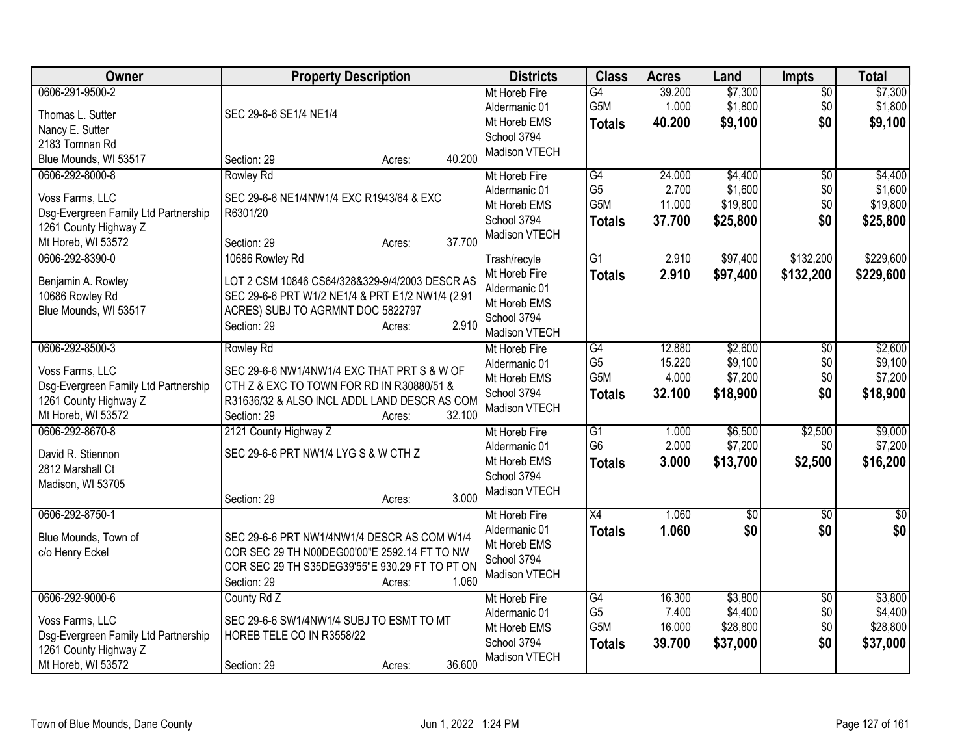| Owner                                                                                                                     | <b>Property Description</b>                                                                                                                                                                     | <b>Districts</b>                                                                               | <b>Class</b>                                              | <b>Acres</b>                        | Land                                       | <b>Impts</b>                         | <b>Total</b>                               |
|---------------------------------------------------------------------------------------------------------------------------|-------------------------------------------------------------------------------------------------------------------------------------------------------------------------------------------------|------------------------------------------------------------------------------------------------|-----------------------------------------------------------|-------------------------------------|--------------------------------------------|--------------------------------------|--------------------------------------------|
| 0606-291-9500-2<br>Thomas L. Sutter<br>Nancy E. Sutter                                                                    | SEC 29-6-6 SE1/4 NE1/4                                                                                                                                                                          | Mt Horeb Fire<br>Aldermanic 01<br>Mt Horeb EMS<br>School 3794                                  | $\overline{G4}$<br>G5M<br><b>Totals</b>                   | 39.200<br>1.000<br>40.200           | \$7,300<br>\$1,800<br>\$9,100              | $\overline{50}$<br>\$0<br>\$0        | \$7,300<br>\$1,800<br>\$9,100              |
| 2183 Tomnan Rd<br>Blue Mounds, WI 53517                                                                                   | 40.200<br>Section: 29<br>Acres:                                                                                                                                                                 | Madison VTECH                                                                                  |                                                           |                                     |                                            |                                      |                                            |
| 0606-292-8000-8<br>Voss Farms, LLC<br>Dsg-Evergreen Family Ltd Partnership<br>1261 County Highway Z<br>Mt Horeb, WI 53572 | <b>Rowley Rd</b><br>SEC 29-6-6 NE1/4NW1/4 EXC R1943/64 & EXC<br>R6301/20<br>37.700<br>Section: 29<br>Acres:                                                                                     | Mt Horeb Fire<br>Aldermanic 01<br>Mt Horeb EMS<br>School 3794<br>Madison VTECH                 | G4<br>G <sub>5</sub><br>G5M<br><b>Totals</b>              | 24.000<br>2.700<br>11.000<br>37.700 | \$4,400<br>\$1,600<br>\$19,800<br>\$25,800 | \$0<br>\$0<br>\$0<br>\$0             | \$4,400<br>\$1,600<br>\$19,800<br>\$25,800 |
| 0606-292-8390-0<br>Benjamin A. Rowley<br>10686 Rowley Rd<br>Blue Mounds, WI 53517                                         | 10686 Rowley Rd<br>LOT 2 CSM 10846 CS64/328&329-9/4/2003 DESCR AS<br>SEC 29-6-6 PRT W1/2 NE1/4 & PRT E1/2 NW1/4 (2.91<br>ACRES) SUBJ TO AGRMNT DOC 5822797<br>2.910<br>Section: 29<br>Acres:    | Trash/recyle<br>Mt Horeb Fire<br>Aldermanic 01<br>Mt Horeb EMS<br>School 3794<br>Madison VTECH | $\overline{G1}$<br><b>Totals</b>                          | 2.910<br>2.910                      | \$97,400<br>\$97,400                       | \$132,200<br>\$132,200               | \$229,600<br>\$229,600                     |
| 0606-292-8500-3<br>Voss Farms, LLC<br>Dsg-Evergreen Family Ltd Partnership<br>1261 County Highway Z<br>Mt Horeb, WI 53572 | <b>Rowley Rd</b><br>SEC 29-6-6 NW1/4NW1/4 EXC THAT PRT S & W OF<br>CTH Z & EXC TO TOWN FOR RD IN R30880/51 &<br>R31636/32 & ALSO INCL ADDL LAND DESCR AS COM<br>32.100<br>Section: 29<br>Acres: | Mt Horeb Fire<br>Aldermanic 01<br>Mt Horeb EMS<br>School 3794<br>Madison VTECH                 | G4<br>G <sub>5</sub><br>G5M<br><b>Totals</b>              | 12.880<br>15.220<br>4.000<br>32.100 | \$2,600<br>\$9,100<br>\$7,200<br>\$18,900  | $\overline{50}$<br>\$0<br>\$0<br>\$0 | \$2,600<br>\$9,100<br>\$7,200<br>\$18,900  |
| 0606-292-8670-8<br>David R. Stiennon<br>2812 Marshall Ct<br>Madison, WI 53705                                             | 2121 County Highway Z<br>SEC 29-6-6 PRT NW1/4 LYG S & W CTH Z<br>3.000<br>Section: 29<br>Acres:                                                                                                 | Mt Horeb Fire<br>Aldermanic 01<br>Mt Horeb EMS<br>School 3794<br>Madison VTECH                 | G1<br>G <sub>6</sub><br><b>Totals</b>                     | 1.000<br>2.000<br>3.000             | \$6,500<br>\$7,200<br>\$13,700             | \$2,500<br>\$0<br>\$2,500            | \$9,000<br>\$7,200<br>\$16,200             |
| 0606-292-8750-1<br>Blue Mounds, Town of<br>c/o Henry Eckel                                                                | SEC 29-6-6 PRT NW1/4NW1/4 DESCR AS COM W1/4<br>COR SEC 29 TH N00DEG00'00"E 2592.14 FT TO NW<br>COR SEC 29 TH S35DEG39'55"E 930.29 FT TO PT ON<br>1.060<br>Section: 29<br>Acres:                 | Mt Horeb Fire<br>Aldermanic 01<br>Mt Horeb EMS<br>School 3794<br>Madison VTECH                 | X4<br><b>Totals</b>                                       | 1.060<br>1.060                      | \$0<br>\$0                                 | $\overline{50}$<br>\$0               | \$0<br>\$0                                 |
| 0606-292-9000-6<br>Voss Farms, LLC<br>Dsg-Evergreen Family Ltd Partnership<br>1261 County Highway Z<br>Mt Horeb, WI 53572 | County Rd Z<br>SEC 29-6-6 SW1/4NW1/4 SUBJ TO ESMT TO MT<br>HOREB TELE CO IN R3558/22<br>36.600<br>Section: 29<br>Acres:                                                                         | Mt Horeb Fire<br>Aldermanic 01<br>Mt Horeb EMS<br>School 3794<br>Madison VTECH                 | $\overline{G4}$<br>G <sub>5</sub><br>G5M<br><b>Totals</b> | 16.300<br>7.400<br>16.000<br>39.700 | \$3,800<br>\$4,400<br>\$28,800<br>\$37,000 | \$0<br>\$0<br>\$0<br>\$0             | \$3,800<br>\$4,400<br>\$28,800<br>\$37,000 |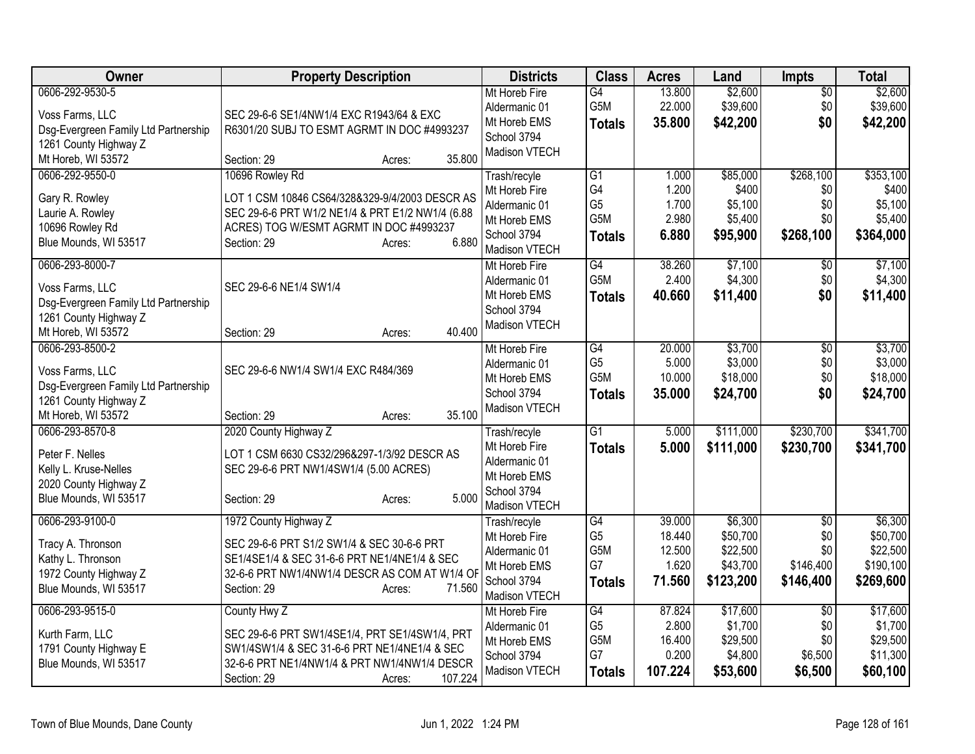| Owner                                | <b>Property Description</b>                      | <b>Districts</b> | <b>Class</b>     | <b>Acres</b>    | Land                | <b>Impts</b>    | <b>Total</b>         |
|--------------------------------------|--------------------------------------------------|------------------|------------------|-----------------|---------------------|-----------------|----------------------|
| 0606-292-9530-5                      |                                                  | Mt Horeb Fire    | G4               | 13.800          | \$2,600             | $\overline{50}$ | \$2,600              |
| Voss Farms, LLC                      | SEC 29-6-6 SE1/4NW1/4 EXC R1943/64 & EXC         | Aldermanic 01    | G5M              | 22.000          | \$39,600            | \$0             | \$39,600             |
| Dsg-Evergreen Family Ltd Partnership | R6301/20 SUBJ TO ESMT AGRMT IN DOC #4993237      | Mt Horeb EMS     | <b>Totals</b>    | 35.800          | \$42,200            | \$0             | \$42,200             |
| 1261 County Highway Z                |                                                  | School 3794      |                  |                 |                     |                 |                      |
| Mt Horeb, WI 53572                   | 35.800<br>Section: 29<br>Acres:                  | Madison VTECH    |                  |                 |                     |                 |                      |
| 0606-292-9550-0                      | 10696 Rowley Rd                                  | Trash/recyle     | $\overline{G1}$  | 1.000           | \$85,000            | \$268,100       | \$353,100            |
| Gary R. Rowley                       | LOT 1 CSM 10846 CS64/328&329-9/4/2003 DESCR AS   | Mt Horeb Fire    | G4               | 1.200           | \$400               | \$0             | \$400                |
| Laurie A. Rowley                     | SEC 29-6-6 PRT W1/2 NE1/4 & PRT E1/2 NW1/4 (6.88 | Aldermanic 01    | G <sub>5</sub>   | 1.700           | \$5,100             | \$0             | \$5,100              |
| 10696 Rowley Rd                      | ACRES) TOG W/ESMT AGRMT IN DOC #4993237          | Mt Horeb EMS     | G <sub>5</sub> M | 2.980           | \$5,400             | \$0             | \$5,400              |
| Blue Mounds, WI 53517                | 6.880<br>Section: 29<br>Acres:                   | School 3794      | <b>Totals</b>    | 6.880           | \$95,900            | \$268,100       | \$364,000            |
|                                      |                                                  | Madison VTECH    |                  |                 |                     |                 |                      |
| 0606-293-8000-7                      |                                                  | Mt Horeb Fire    | $\overline{G4}$  | 38.260          | \$7,100             | \$0             | \$7,100              |
| Voss Farms, LLC                      | SEC 29-6-6 NE1/4 SW1/4                           | Aldermanic 01    | G <sub>5</sub> M | 2.400           | \$4,300             | \$0             | \$4,300              |
| Dsg-Evergreen Family Ltd Partnership |                                                  | Mt Horeb EMS     | <b>Totals</b>    | 40.660          | \$11,400            | \$0             | \$11,400             |
| 1261 County Highway Z                |                                                  | School 3794      |                  |                 |                     |                 |                      |
| Mt Horeb, WI 53572                   | 40.400<br>Section: 29<br>Acres:                  | Madison VTECH    |                  |                 |                     |                 |                      |
| 0606-293-8500-2                      |                                                  | Mt Horeb Fire    | G4               | 20.000          | \$3,700             | $\overline{50}$ | \$3,700              |
| Voss Farms, LLC                      | SEC 29-6-6 NW1/4 SW1/4 EXC R484/369              | Aldermanic 01    | G <sub>5</sub>   | 5.000           | \$3,000             | \$0             | \$3,000              |
| Dsg-Evergreen Family Ltd Partnership |                                                  | Mt Horeb EMS     | G <sub>5</sub> M | 10.000          | \$18,000            | \$0             | \$18,000             |
| 1261 County Highway Z                |                                                  | School 3794      | <b>Totals</b>    | 35.000          | \$24,700            | \$0             | \$24,700             |
| Mt Horeb, WI 53572                   | 35.100<br>Section: 29<br>Acres:                  | Madison VTECH    |                  |                 |                     |                 |                      |
| 0606-293-8570-8                      | 2020 County Highway Z                            | Trash/recyle     | $\overline{G1}$  | 5.000           | \$111,000           | \$230,700       | \$341,700            |
|                                      |                                                  | Mt Horeb Fire    | <b>Totals</b>    | 5.000           | \$111,000           | \$230,700       | \$341,700            |
| Peter F. Nelles                      | LOT 1 CSM 6630 CS32/296&297-1/3/92 DESCR AS      | Aldermanic 01    |                  |                 |                     |                 |                      |
| Kelly L. Kruse-Nelles                | SEC 29-6-6 PRT NW1/4SW1/4 (5.00 ACRES)           | Mt Horeb EMS     |                  |                 |                     |                 |                      |
| 2020 County Highway Z                |                                                  | School 3794      |                  |                 |                     |                 |                      |
| Blue Mounds, WI 53517                | 5.000<br>Section: 29<br>Acres:                   | Madison VTECH    |                  |                 |                     |                 |                      |
| 0606-293-9100-0                      | 1972 County Highway Z                            | Trash/recyle     | $\overline{G4}$  | 39.000          | \$6,300             | $\overline{50}$ | \$6,300              |
| Tracy A. Thronson                    | SEC 29-6-6 PRT S1/2 SW1/4 & SEC 30-6-6 PRT       | Mt Horeb Fire    | G <sub>5</sub>   | 18.440          | \$50,700            | \$0             | \$50,700             |
| Kathy L. Thronson                    | SE1/4SE1/4 & SEC 31-6-6 PRT NE1/4NE1/4 & SEC     | Aldermanic 01    | G5M              | 12.500          | \$22,500            | \$0             | \$22,500             |
| 1972 County Highway Z                | 32-6-6 PRT NW1/4NW1/4 DESCR AS COM AT W1/4 OF    | Mt Horeb EMS     | G7               | 1.620           | \$43,700            | \$146,400       | \$190,100            |
| Blue Mounds, WI 53517                | 71.560<br>Section: 29<br>Acres:                  | School 3794      | <b>Totals</b>    | 71.560          | \$123,200           | \$146,400       | \$269,600            |
|                                      |                                                  | Madison VTECH    |                  |                 |                     |                 |                      |
| 0606-293-9515-0                      | County Hwy Z                                     | Mt Horeb Fire    | $\overline{G4}$  | 87.824          | \$17,600            | $\overline{50}$ | \$17,600             |
| Kurth Farm, LLC                      | SEC 29-6-6 PRT SW1/4SE1/4, PRT SE1/4SW1/4, PRT   | Aldermanic 01    | G <sub>5</sub>   | 2.800           | \$1,700             | \$0             | \$1,700              |
| 1791 County Highway E                | SW1/4SW1/4 & SEC 31-6-6 PRT NE1/4NE1/4 & SEC     | Mt Horeb EMS     | G5M<br>G7        | 16.400<br>0.200 | \$29,500<br>\$4,800 | \$0<br>\$6,500  | \$29,500<br>\$11,300 |
| Blue Mounds, WI 53517                | 32-6-6 PRT NE1/4NW1/4 & PRT NW1/4NW1/4 DESCR     | School 3794      |                  |                 |                     |                 |                      |
|                                      | 107.224<br>Section: 29<br>Acres:                 | Madison VTECH    | <b>Totals</b>    | 107.224         | \$53,600            | \$6,500         | \$60,100             |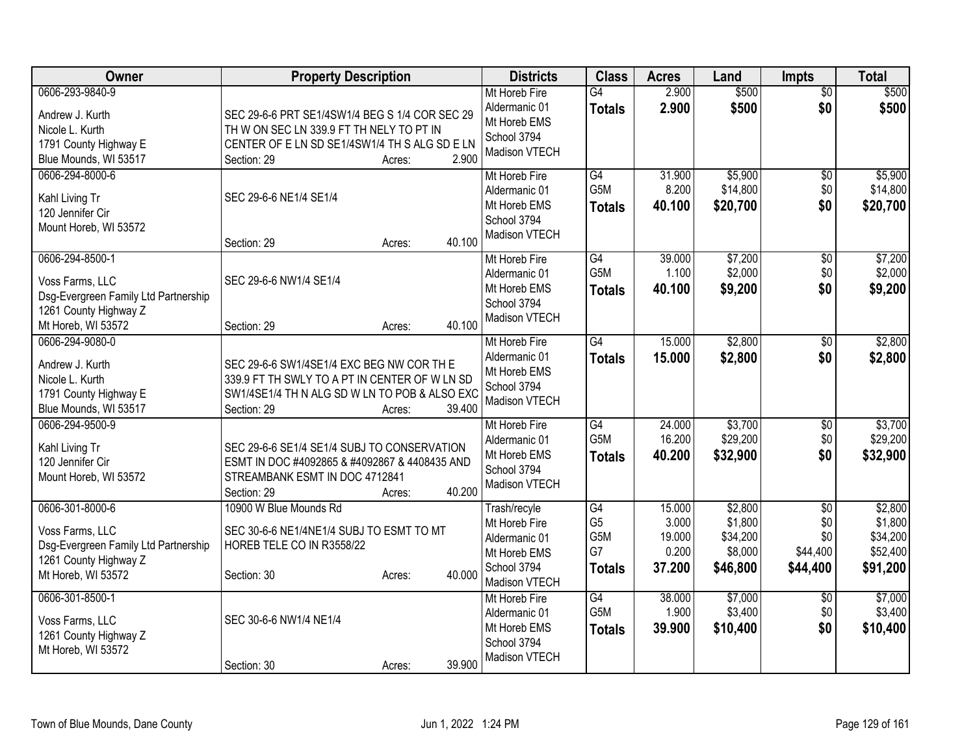| Owner                                                                                                                     | <b>Property Description</b>                                                                                                                                                    | <b>Districts</b>                                                                               | <b>Class</b>                                                    | <b>Acres</b>                                 | Land                                                  | <b>Impts</b>                                          | <b>Total</b>                                           |
|---------------------------------------------------------------------------------------------------------------------------|--------------------------------------------------------------------------------------------------------------------------------------------------------------------------------|------------------------------------------------------------------------------------------------|-----------------------------------------------------------------|----------------------------------------------|-------------------------------------------------------|-------------------------------------------------------|--------------------------------------------------------|
| 0606-293-9840-9<br>Andrew J. Kurth<br>Nicole L. Kurth<br>1791 County Highway E<br>Blue Mounds, WI 53517                   | SEC 29-6-6 PRT SE1/4SW1/4 BEG S 1/4 COR SEC 29<br>TH W ON SEC LN 339.9 FT TH NELY TO PT IN<br>CENTER OF E LN SD SE1/4SW1/4 TH S ALG SD E LN<br>2.900<br>Section: 29<br>Acres:  | Mt Horeb Fire<br>Aldermanic 01<br>Mt Horeb EMS<br>School 3794<br>Madison VTECH                 | $\overline{G4}$<br><b>Totals</b>                                | 2.900<br>2.900                               | \$500<br>\$500                                        | $\overline{50}$<br>\$0                                | \$500<br>\$500                                         |
| 0606-294-8000-6<br>Kahl Living Tr<br>120 Jennifer Cir<br>Mount Horeb, WI 53572                                            | SEC 29-6-6 NE1/4 SE1/4<br>40.100<br>Section: 29<br>Acres:                                                                                                                      | Mt Horeb Fire<br>Aldermanic 01<br>Mt Horeb EMS<br>School 3794<br>Madison VTECH                 | $\overline{G4}$<br>G <sub>5</sub> M<br><b>Totals</b>            | 31.900<br>8.200<br>40.100                    | \$5,900<br>\$14,800<br>\$20,700                       | \$0<br>\$0<br>\$0                                     | \$5,900<br>\$14,800<br>\$20,700                        |
| 0606-294-8500-1<br>Voss Farms, LLC<br>Dsg-Evergreen Family Ltd Partnership<br>1261 County Highway Z<br>Mt Horeb, WI 53572 | SEC 29-6-6 NW1/4 SE1/4<br>40.100<br>Section: 29<br>Acres:                                                                                                                      | Mt Horeb Fire<br>Aldermanic 01<br>Mt Horeb EMS<br>School 3794<br>Madison VTECH                 | $\overline{G4}$<br>G <sub>5</sub> M<br><b>Totals</b>            | 39.000<br>1.100<br>40.100                    | \$7,200<br>\$2,000<br>\$9,200                         | $\overline{50}$<br>\$0<br>\$0                         | \$7,200<br>\$2,000<br>\$9,200                          |
| 0606-294-9080-0<br>Andrew J. Kurth<br>Nicole L. Kurth<br>1791 County Highway E<br>Blue Mounds, WI 53517                   | SEC 29-6-6 SW1/4SE1/4 EXC BEG NW COR TH E<br>339.9 FT TH SWLY TO A PT IN CENTER OF W LN SD<br>SW1/4SE1/4 TH N ALG SD W LN TO POB & ALSO EXC<br>Section: 29<br>39.400<br>Acres: | Mt Horeb Fire<br>Aldermanic 01<br>Mt Horeb EMS<br>School 3794<br>Madison VTECH                 | G4<br><b>Totals</b>                                             | 15.000<br>15.000                             | \$2,800<br>\$2,800                                    | $\sqrt[6]{3}$<br>\$0                                  | \$2,800<br>\$2,800                                     |
| 0606-294-9500-9<br>Kahl Living Tr<br>120 Jennifer Cir<br>Mount Horeb, WI 53572                                            | SEC 29-6-6 SE1/4 SE1/4 SUBJ TO CONSERVATION<br>ESMT IN DOC #4092865 & #4092867 & 4408435 AND<br>STREAMBANK ESMT IN DOC 4712841<br>40.200<br>Section: 29<br>Acres:              | Mt Horeb Fire<br>Aldermanic 01<br>Mt Horeb EMS<br>School 3794<br>Madison VTECH                 | $\overline{G4}$<br>G <sub>5</sub> M<br><b>Totals</b>            | 24.000<br>16.200<br>40.200                   | \$3,700<br>\$29,200<br>\$32,900                       | \$0<br>\$0<br>\$0                                     | \$3,700<br>\$29,200<br>\$32,900                        |
| 0606-301-8000-6<br>Voss Farms, LLC<br>Dsg-Evergreen Family Ltd Partnership<br>1261 County Highway Z<br>Mt Horeb, WI 53572 | 10900 W Blue Mounds Rd<br>SEC 30-6-6 NE1/4NE1/4 SUBJ TO ESMT TO MT<br>HOREB TELE CO IN R3558/22<br>40.000<br>Section: 30<br>Acres:                                             | Trash/recyle<br>Mt Horeb Fire<br>Aldermanic 01<br>Mt Horeb EMS<br>School 3794<br>Madison VTECH | G4<br>G <sub>5</sub><br>G <sub>5</sub> M<br>G7<br><b>Totals</b> | 15.000<br>3.000<br>19.000<br>0.200<br>37.200 | \$2,800<br>\$1,800<br>\$34,200<br>\$8,000<br>\$46,800 | $\overline{50}$<br>\$0<br>\$0<br>\$44,400<br>\$44,400 | \$2,800<br>\$1,800<br>\$34,200<br>\$52,400<br>\$91,200 |
| 0606-301-8500-1<br>Voss Farms, LLC<br>1261 County Highway Z<br>Mt Horeb, WI 53572                                         | SEC 30-6-6 NW1/4 NE1/4<br>39.900<br>Section: 30<br>Acres:                                                                                                                      | Mt Horeb Fire<br>Aldermanic 01<br>Mt Horeb EMS<br>School 3794<br>Madison VTECH                 | $\overline{G4}$<br>G <sub>5</sub> M<br><b>Totals</b>            | 38.000<br>1.900<br>39.900                    | \$7,000<br>\$3,400<br>\$10,400                        | \$0<br>\$0<br>\$0                                     | \$7,000<br>\$3,400<br>\$10,400                         |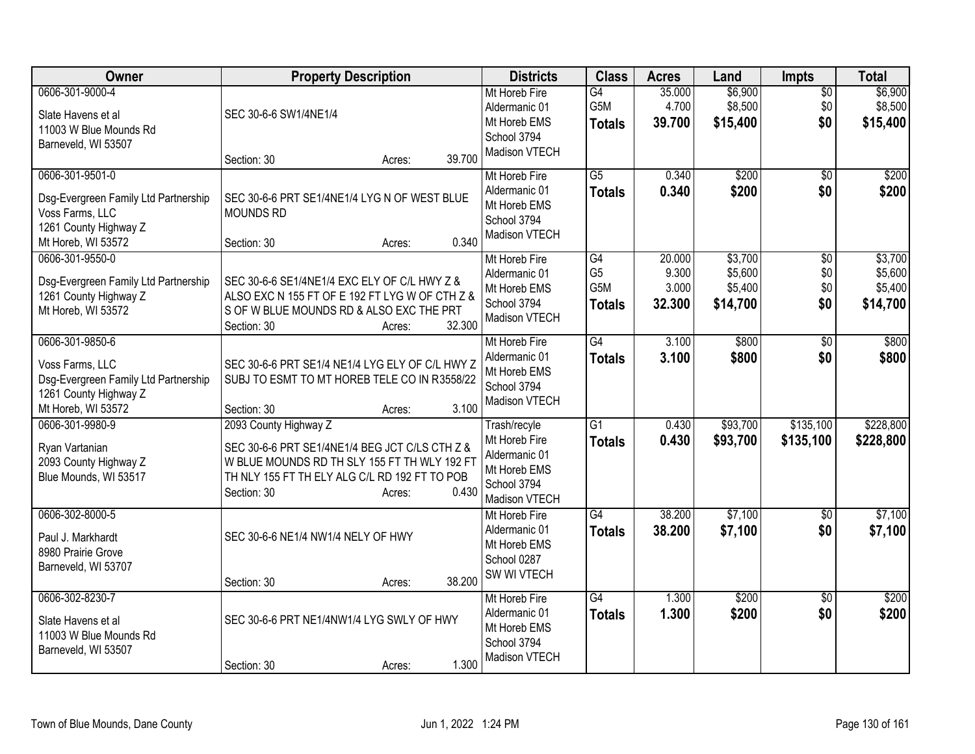| Owner                                                                                                                     | <b>Property Description</b>                                                                                                                                                                                | <b>Districts</b>                                                                               | <b>Class</b>                                 | <b>Acres</b>                       | Land                                      | <b>Impts</b>                  | <b>Total</b>                              |
|---------------------------------------------------------------------------------------------------------------------------|------------------------------------------------------------------------------------------------------------------------------------------------------------------------------------------------------------|------------------------------------------------------------------------------------------------|----------------------------------------------|------------------------------------|-------------------------------------------|-------------------------------|-------------------------------------------|
| 0606-301-9000-4<br>Slate Havens et al<br>11003 W Blue Mounds Rd<br>Barneveld, WI 53507                                    | SEC 30-6-6 SW1/4NE1/4                                                                                                                                                                                      | Mt Horeb Fire<br>Aldermanic 01<br>Mt Horeb EMS<br>School 3794<br>Madison VTECH                 | G4<br>G5M<br><b>Totals</b>                   | 35.000<br>4.700<br>39.700          | \$6,900<br>\$8,500<br>\$15,400            | $\overline{30}$<br>\$0<br>\$0 | \$6,900<br>\$8,500<br>\$15,400            |
|                                                                                                                           | 39.700<br>Section: 30<br>Acres:                                                                                                                                                                            |                                                                                                |                                              |                                    |                                           |                               |                                           |
| 0606-301-9501-0<br>Dsg-Evergreen Family Ltd Partnership<br>Voss Farms, LLC<br>1261 County Highway Z<br>Mt Horeb, WI 53572 | SEC 30-6-6 PRT SE1/4NE1/4 LYG N OF WEST BLUE<br><b>MOUNDS RD</b><br>0.340<br>Section: 30<br>Acres:                                                                                                         | Mt Horeb Fire<br>Aldermanic 01<br>Mt Horeb EMS<br>School 3794<br>Madison VTECH                 | G5<br><b>Totals</b>                          | 0.340<br>0.340                     | \$200<br>\$200                            | $\overline{50}$<br>\$0        | \$200<br>\$200                            |
| 0606-301-9550-0<br>Dsg-Evergreen Family Ltd Partnership<br>1261 County Highway Z<br>Mt Horeb, WI 53572                    | SEC 30-6-6 SE1/4NE1/4 EXC ELY OF C/L HWY Z &<br>ALSO EXC N 155 FT OF E 192 FT LYG W OF CTH Z &<br>S OF W BLUE MOUNDS RD & ALSO EXC THE PRT<br>32.300<br>Section: 30<br>Acres:                              | Mt Horeb Fire<br>Aldermanic 01<br>Mt Horeb EMS<br>School 3794<br>Madison VTECH                 | G4<br>G <sub>5</sub><br>G5M<br><b>Totals</b> | 20.000<br>9.300<br>3.000<br>32.300 | \$3,700<br>\$5,600<br>\$5,400<br>\$14,700 | \$0<br>\$0<br>\$0<br>\$0      | \$3,700<br>\$5,600<br>\$5,400<br>\$14,700 |
| 0606-301-9850-6<br>Voss Farms, LLC<br>Dsg-Evergreen Family Ltd Partnership<br>1261 County Highway Z<br>Mt Horeb, WI 53572 | SEC 30-6-6 PRT SE1/4 NE1/4 LYG ELY OF C/L HWY Z<br>SUBJ TO ESMT TO MT HOREB TELE CO IN R3558/22<br>3.100<br>Section: 30<br>Acres:                                                                          | Mt Horeb Fire<br>Aldermanic 01<br>Mt Horeb EMS<br>School 3794<br>Madison VTECH                 | $\overline{G4}$<br><b>Totals</b>             | 3.100<br>3.100                     | \$800<br>\$800                            | \$0<br>\$0                    | \$800<br>\$800                            |
| 0606-301-9980-9<br>Ryan Vartanian<br>2093 County Highway Z<br>Blue Mounds, WI 53517                                       | 2093 County Highway Z<br>SEC 30-6-6 PRT SE1/4NE1/4 BEG JCT C/LS CTH Z &<br>W BLUE MOUNDS RD TH SLY 155 FT TH WLY 192 FT<br>TH NLY 155 FT TH ELY ALG C/L RD 192 FT TO POB<br>0.430<br>Section: 30<br>Acres: | Trash/recyle<br>Mt Horeb Fire<br>Aldermanic 01<br>Mt Horeb EMS<br>School 3794<br>Madison VTECH | G1<br><b>Totals</b>                          | 0.430<br>0.430                     | \$93,700<br>\$93,700                      | \$135,100<br>\$135,100        | \$228,800<br>\$228,800                    |
| 0606-302-8000-5<br>Paul J. Markhardt<br>8980 Prairie Grove<br>Barneveld, WI 53707                                         | SEC 30-6-6 NE1/4 NW1/4 NELY OF HWY<br>38.200<br>Section: 30<br>Acres:                                                                                                                                      | Mt Horeb Fire<br>Aldermanic 01<br>Mt Horeb EMS<br>School 0287<br>SW WI VTECH                   | $\overline{G4}$<br><b>Totals</b>             | 38.200<br>38.200                   | \$7,100<br>\$7,100                        | \$0<br>\$0                    | \$7,100<br>\$7,100                        |
| 0606-302-8230-7<br>Slate Havens et al<br>11003 W Blue Mounds Rd<br>Barneveld, WI 53507                                    | SEC 30-6-6 PRT NE1/4NW1/4 LYG SWLY OF HWY<br>1.300<br>Section: 30<br>Acres:                                                                                                                                | Mt Horeb Fire<br>Aldermanic 01<br>Mt Horeb EMS<br>School 3794<br>Madison VTECH                 | G4<br><b>Totals</b>                          | 1.300<br>1.300                     | \$200<br>\$200                            | \$0<br>\$0                    | \$200<br>\$200                            |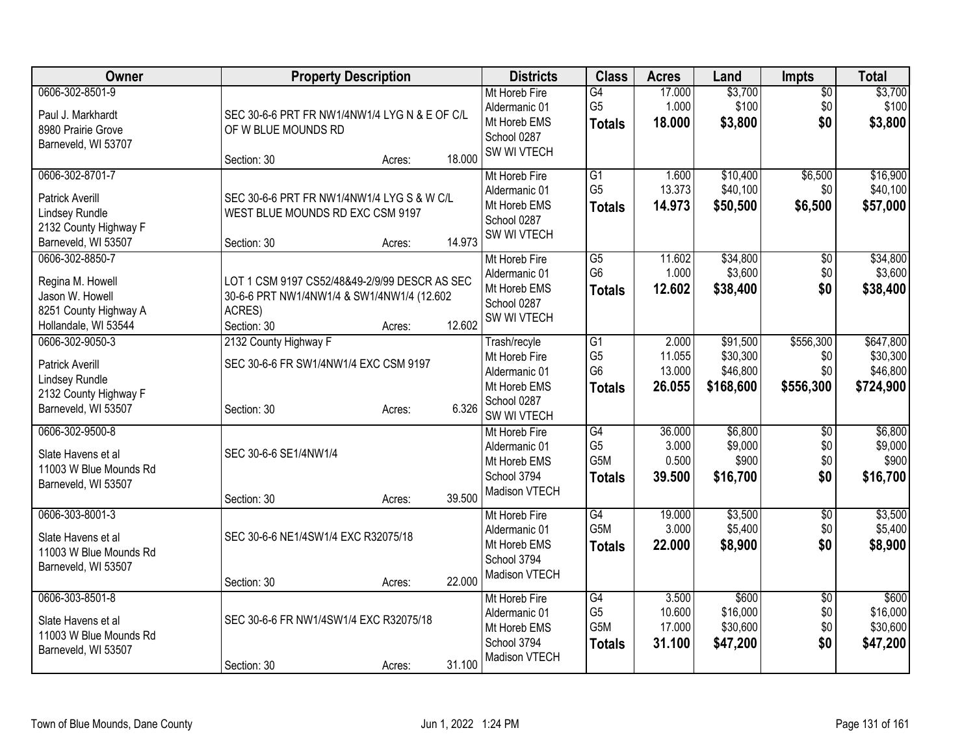| Owner                                                                                                       | <b>Property Description</b>                                                                                          |        |        | <b>Districts</b>                                                                             | <b>Class</b>                                                         | <b>Acres</b>                        | Land                                          | <b>Impts</b>                         | <b>Total</b>                                   |
|-------------------------------------------------------------------------------------------------------------|----------------------------------------------------------------------------------------------------------------------|--------|--------|----------------------------------------------------------------------------------------------|----------------------------------------------------------------------|-------------------------------------|-----------------------------------------------|--------------------------------------|------------------------------------------------|
| 0606-302-8501-9<br>Paul J. Markhardt<br>8980 Prairie Grove<br>Barneveld, WI 53707                           | SEC 30-6-6 PRT FR NW1/4NW1/4 LYG N & E OF C/L<br>OF W BLUE MOUNDS RD                                                 |        |        | Mt Horeb Fire<br>Aldermanic 01<br>Mt Horeb EMS<br>School 0287                                | $\overline{G4}$<br>G <sub>5</sub><br><b>Totals</b>                   | 17.000<br>1.000<br>18.000           | \$3,700<br>\$100<br>\$3,800                   | $\sqrt{6}$<br>\$0<br>\$0             | \$3,700<br>\$100<br>\$3,800                    |
|                                                                                                             | Section: 30                                                                                                          | Acres: | 18.000 | SW WI VTECH                                                                                  |                                                                      |                                     |                                               |                                      |                                                |
| 0606-302-8701-7<br><b>Patrick Averill</b><br>Lindsey Rundle<br>2132 County Highway F<br>Barneveld, WI 53507 | SEC 30-6-6 PRT FR NW1/4NW1/4 LYG S & W C/L<br>WEST BLUE MOUNDS RD EXC CSM 9197<br>Section: 30                        | Acres: | 14.973 | Mt Horeb Fire<br>Aldermanic 01<br>Mt Horeb EMS<br>School 0287<br>SW WI VTECH                 | G1<br>G <sub>5</sub><br><b>Totals</b>                                | 1.600<br>13.373<br>14.973           | \$10,400<br>\$40,100<br>\$50,500              | \$6,500<br>\$0<br>\$6,500            | \$16,900<br>\$40,100<br>\$57,000               |
| 0606-302-8850-7<br>Regina M. Howell<br>Jason W. Howell<br>8251 County Highway A<br>Hollandale, WI 53544     | LOT 1 CSM 9197 CS52/48&49-2/9/99 DESCR AS SEC<br>30-6-6 PRT NW1/4NW1/4 & SW1/4NW1/4 (12.602<br>ACRES)<br>Section: 30 | Acres: | 12.602 | Mt Horeb Fire<br>Aldermanic 01<br>Mt Horeb EMS<br>School 0287<br>SW WI VTECH                 | $\overline{G5}$<br>G <sub>6</sub><br><b>Totals</b>                   | 11.602<br>1.000<br>12.602           | \$34,800<br>\$3,600<br>\$38,400               | \$0<br>\$0<br>\$0                    | \$34,800<br>\$3,600<br>\$38,400                |
| 0606-302-9050-3<br><b>Patrick Averill</b><br>Lindsey Rundle<br>2132 County Highway F<br>Barneveld, WI 53507 | 2132 County Highway F<br>SEC 30-6-6 FR SW1/4NW1/4 EXC CSM 9197<br>Section: 30                                        | Acres: | 6.326  | Trash/recyle<br>Mt Horeb Fire<br>Aldermanic 01<br>Mt Horeb EMS<br>School 0287<br>SW WI VTECH | $\overline{G1}$<br>G <sub>5</sub><br>G <sub>6</sub><br><b>Totals</b> | 2.000<br>11.055<br>13.000<br>26.055 | \$91,500<br>\$30,300<br>\$46,800<br>\$168,600 | \$556,300<br>\$0<br>\$0<br>\$556,300 | \$647,800<br>\$30,300<br>\$46,800<br>\$724,900 |
| 0606-302-9500-8<br>Slate Havens et al<br>11003 W Blue Mounds Rd<br>Barneveld, WI 53507                      | SEC 30-6-6 SE1/4NW1/4<br>Section: 30                                                                                 | Acres: | 39.500 | Mt Horeb Fire<br>Aldermanic 01<br>Mt Horeb EMS<br>School 3794<br>Madison VTECH               | G4<br>G <sub>5</sub><br>G5M<br><b>Totals</b>                         | 36.000<br>3.000<br>0.500<br>39.500  | \$6,800<br>\$9,000<br>\$900<br>\$16,700       | \$0<br>\$0<br>\$0<br>\$0             | \$6,800<br>\$9,000<br>\$900<br>\$16,700        |
| 0606-303-8001-3<br>Slate Havens et al<br>11003 W Blue Mounds Rd<br>Barneveld, WI 53507                      | SEC 30-6-6 NE1/4SW1/4 EXC R32075/18<br>Section: 30                                                                   | Acres: | 22.000 | Mt Horeb Fire<br>Aldermanic 01<br>Mt Horeb EMS<br>School 3794<br>Madison VTECH               | G4<br>G <sub>5</sub> M<br><b>Totals</b>                              | 19.000<br>3.000<br>22.000           | \$3,500<br>\$5,400<br>\$8,900                 | \$0<br>\$0<br>\$0                    | \$3,500<br>\$5,400<br>\$8,900                  |
| 0606-303-8501-8<br>Slate Havens et al<br>11003 W Blue Mounds Rd<br>Barneveld, WI 53507                      | SEC 30-6-6 FR NW1/4SW1/4 EXC R32075/18<br>Section: 30                                                                | Acres: | 31.100 | Mt Horeb Fire<br>Aldermanic 01<br>Mt Horeb EMS<br>School 3794<br>Madison VTECH               | $\overline{G4}$<br>G <sub>5</sub><br>G5M<br><b>Totals</b>            | 3.500<br>10.600<br>17.000<br>31.100 | \$600<br>\$16,000<br>\$30,600<br>\$47,200     | \$0<br>\$0<br>\$0<br>\$0             | \$600<br>\$16,000<br>\$30,600<br>\$47,200      |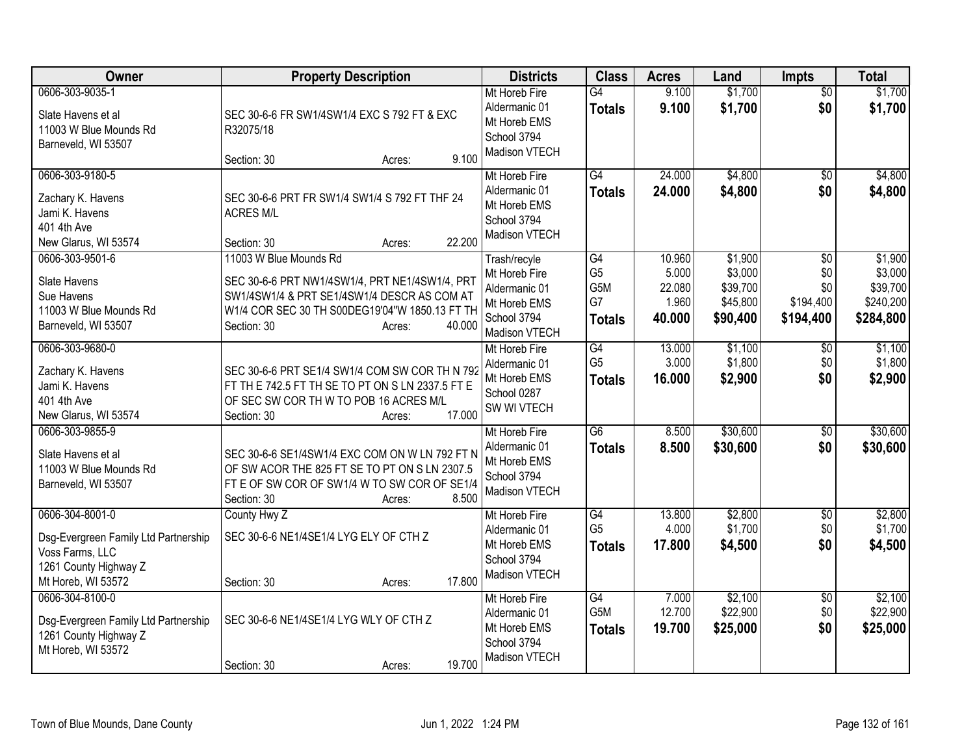| <b>Owner</b>                                                                                                              | <b>Property Description</b>                                                                                                                                                                                  | <b>Districts</b>                                                                               | <b>Class</b>                                         | <b>Acres</b>                                 | Land                                                   | <b>Impts</b>                                            | <b>Total</b>                                             |
|---------------------------------------------------------------------------------------------------------------------------|--------------------------------------------------------------------------------------------------------------------------------------------------------------------------------------------------------------|------------------------------------------------------------------------------------------------|------------------------------------------------------|----------------------------------------------|--------------------------------------------------------|---------------------------------------------------------|----------------------------------------------------------|
| 0606-303-9035-1<br>Slate Havens et al<br>11003 W Blue Mounds Rd<br>Barneveld, WI 53507                                    | SEC 30-6-6 FR SW1/4SW1/4 EXC S 792 FT & EXC<br>R32075/18                                                                                                                                                     | Mt Horeb Fire<br>Aldermanic 01<br>Mt Horeb EMS<br>School 3794<br>Madison VTECH                 | $\overline{G4}$<br><b>Totals</b>                     | 9.100<br>9.100                               | \$1,700<br>\$1,700                                     | $\overline{50}$<br>\$0                                  | \$1,700<br>\$1,700                                       |
| 0606-303-9180-5<br>Zachary K. Havens<br>Jami K. Havens<br>401 4th Ave<br>New Glarus, WI 53574                             | 9.100<br>Section: 30<br>Acres:<br>SEC 30-6-6 PRT FR SW1/4 SW1/4 S 792 FT THF 24<br><b>ACRES M/L</b><br>22.200<br>Section: 30<br>Acres:                                                                       | Mt Horeb Fire<br>Aldermanic 01<br>Mt Horeb EMS<br>School 3794<br>Madison VTECH                 | $\overline{G4}$<br><b>Totals</b>                     | 24.000<br>24.000                             | \$4,800<br>\$4,800                                     | \$0<br>\$0                                              | \$4,800<br>\$4,800                                       |
| 0606-303-9501-6<br>Slate Havens<br>Sue Havens<br>11003 W Blue Mounds Rd<br>Barneveld, WI 53507                            | 11003 W Blue Mounds Rd<br>SEC 30-6-6 PRT NW1/4SW1/4, PRT NE1/4SW1/4, PRT<br>SW1/4SW1/4 & PRT SE1/4SW1/4 DESCR AS COM AT<br>W1/4 COR SEC 30 TH S00DEG19'04"W 1850.13 FT TH<br>40.000<br>Section: 30<br>Acres: | Trash/recyle<br>Mt Horeb Fire<br>Aldermanic 01<br>Mt Horeb EMS<br>School 3794<br>Madison VTECH | G4<br>G <sub>5</sub><br>G5M<br>G7<br><b>Totals</b>   | 10.960<br>5.000<br>22.080<br>1.960<br>40.000 | \$1,900<br>\$3,000<br>\$39,700<br>\$45,800<br>\$90,400 | $\overline{50}$<br>\$0<br>\$0<br>\$194,400<br>\$194,400 | \$1,900<br>\$3,000<br>\$39,700<br>\$240,200<br>\$284,800 |
| 0606-303-9680-0<br>Zachary K. Havens<br>Jami K. Havens<br>401 4th Ave<br>New Glarus, WI 53574                             | SEC 30-6-6 PRT SE1/4 SW1/4 COM SW COR TH N 792<br>FT TH E 742.5 FT TH SE TO PT ON S LN 2337.5 FT E<br>OF SEC SW COR TH W TO POB 16 ACRES M/L<br>17.000<br>Section: 30<br>Acres:                              | Mt Horeb Fire<br>Aldermanic 01<br>Mt Horeb EMS<br>School 0287<br>SW WI VTECH                   | G4<br>G <sub>5</sub><br><b>Totals</b>                | 13.000<br>3.000<br>16.000                    | \$1,100<br>\$1,800<br>\$2,900                          | $\overline{50}$<br>\$0<br>\$0                           | \$1,100<br>\$1,800<br>\$2,900                            |
| 0606-303-9855-9<br>Slate Havens et al<br>11003 W Blue Mounds Rd<br>Barneveld, WI 53507                                    | SEC 30-6-6 SE1/4SW1/4 EXC COM ON W LN 792 FT N<br>OF SW ACOR THE 825 FT SE TO PT ON S LN 2307.5<br>FT E OF SW COR OF SW1/4 W TO SW COR OF SE1/4<br>8.500<br>Section: 30<br>Acres:                            | Mt Horeb Fire<br>Aldermanic 01<br>Mt Horeb EMS<br>School 3794<br>Madison VTECH                 | G6<br><b>Totals</b>                                  | 8.500<br>8.500                               | \$30,600<br>\$30,600                                   | \$0<br>\$0                                              | \$30,600<br>\$30,600                                     |
| 0606-304-8001-0<br>Dsg-Evergreen Family Ltd Partnership<br>Voss Farms, LLC<br>1261 County Highway Z<br>Mt Horeb, WI 53572 | County Hwy Z<br>SEC 30-6-6 NE1/4SE1/4 LYG ELY OF CTH Z<br>17.800<br>Section: 30<br>Acres:                                                                                                                    | Mt Horeb Fire<br>Aldermanic 01<br>Mt Horeb EMS<br>School 3794<br>Madison VTECH                 | G4<br>G <sub>5</sub><br><b>Totals</b>                | 13.800<br>4.000<br>17.800                    | \$2,800<br>\$1,700<br>\$4,500                          | \$0<br>\$0<br>\$0                                       | \$2,800<br>\$1,700<br>\$4,500                            |
| 0606-304-8100-0<br>Dsg-Evergreen Family Ltd Partnership<br>1261 County Highway Z<br>Mt Horeb, WI 53572                    | SEC 30-6-6 NE1/4SE1/4 LYG WLY OF CTH Z<br>19.700<br>Section: 30<br>Acres:                                                                                                                                    | Mt Horeb Fire<br>Aldermanic 01<br>Mt Horeb EMS<br>School 3794<br>Madison VTECH                 | $\overline{G4}$<br>G <sub>5</sub> M<br><b>Totals</b> | 7.000<br>12.700<br>19.700                    | \$2,100<br>\$22,900<br>\$25,000                        | \$0<br>\$0<br>\$0                                       | \$2,100<br>\$22,900<br>\$25,000                          |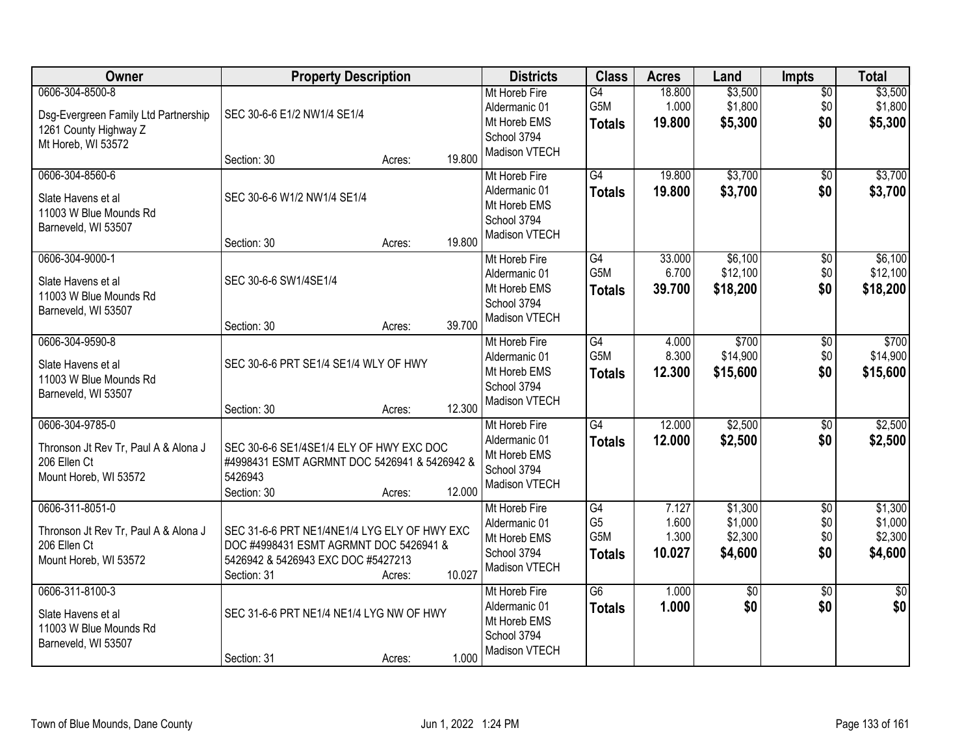| Owner                                                                                                  | <b>Property Description</b>                                                                                                                 |                  | <b>Districts</b>                                                                         | <b>Class</b>                                 | <b>Acres</b>                      | Land                                     | Impts                                | <b>Total</b>                             |
|--------------------------------------------------------------------------------------------------------|---------------------------------------------------------------------------------------------------------------------------------------------|------------------|------------------------------------------------------------------------------------------|----------------------------------------------|-----------------------------------|------------------------------------------|--------------------------------------|------------------------------------------|
| 0606-304-8500-8<br>Dsg-Evergreen Family Ltd Partnership<br>1261 County Highway Z<br>Mt Horeb, WI 53572 | SEC 30-6-6 E1/2 NW1/4 SE1/4                                                                                                                 |                  | Mt Horeb Fire<br>Aldermanic 01<br>Mt Horeb EMS<br>School 3794<br>Madison VTECH           | G4<br>G5M<br><b>Totals</b>                   | 18.800<br>1.000<br>19.800         | \$3,500<br>\$1,800<br>\$5,300            | $\overline{50}$<br>\$0<br>\$0        | \$3,500<br>\$1,800<br>\$5,300            |
|                                                                                                        | Section: 30                                                                                                                                 | Acres:           | 19.800                                                                                   |                                              |                                   |                                          |                                      |                                          |
| 0606-304-8560-6<br>Slate Havens et al<br>11003 W Blue Mounds Rd<br>Barneveld, WI 53507                 | SEC 30-6-6 W1/2 NW1/4 SE1/4<br>Section: 30                                                                                                  | Acres:           | Mt Horeb Fire<br>Aldermanic 01<br>Mt Horeb EMS<br>School 3794<br>Madison VTECH<br>19.800 | $\overline{G4}$<br><b>Totals</b>             | 19.800<br>19.800                  | \$3,700<br>\$3,700                       | \$0<br>\$0                           | \$3,700<br>\$3,700                       |
| 0606-304-9000-1                                                                                        |                                                                                                                                             |                  | Mt Horeb Fire                                                                            | $\overline{G4}$                              | 33.000                            | \$6,100                                  | $\overline{50}$                      | \$6,100                                  |
| Slate Havens et al<br>11003 W Blue Mounds Rd<br>Barneveld, WI 53507                                    | SEC 30-6-6 SW1/4SE1/4                                                                                                                       |                  | Aldermanic 01<br>Mt Horeb EMS<br>School 3794                                             | G5M<br><b>Totals</b>                         | 6.700<br>39.700                   | \$12,100<br>\$18,200                     | \$0<br>\$0                           | \$12,100<br>\$18,200                     |
|                                                                                                        | Section: 30                                                                                                                                 | Acres:           | Madison VTECH<br>39.700                                                                  |                                              |                                   |                                          |                                      |                                          |
| 0606-304-9590-8<br>Slate Havens et al<br>11003 W Blue Mounds Rd<br>Barneveld, WI 53507                 | SEC 30-6-6 PRT SE1/4 SE1/4 WLY OF HWY                                                                                                       |                  | Mt Horeb Fire<br>Aldermanic 01<br>Mt Horeb EMS<br>School 3794                            | G4<br>G5M<br><b>Totals</b>                   | 4.000<br>8.300<br>12.300          | \$700<br>\$14,900<br>\$15,600            | \$0<br>\$0<br>\$0                    | \$700<br>\$14,900<br>\$15,600            |
|                                                                                                        | Section: 30                                                                                                                                 | Acres:           | Madison VTECH<br>12.300                                                                  |                                              |                                   |                                          |                                      |                                          |
| 0606-304-9785-0<br>Thronson Jt Rev Tr, Paul A & Alona J<br>206 Ellen Ct<br>Mount Horeb, WI 53572       | SEC 30-6-6 SE1/4SE1/4 ELY OF HWY EXC DOC<br>#4998431 ESMT AGRMNT DOC 5426941 & 5426942 &<br>5426943<br>Section: 30                          | Acres:           | Mt Horeb Fire<br>Aldermanic 01<br>Mt Horeb EMS<br>School 3794<br>Madison VTECH<br>12.000 | G4<br><b>Totals</b>                          | 12.000<br>12.000                  | \$2,500<br>\$2,500                       | $\overline{50}$<br>\$0               | \$2,500<br>\$2,500                       |
| 0606-311-8051-0<br>Thronson Jt Rev Tr, Paul A & Alona J<br>206 Ellen Ct<br>Mount Horeb, WI 53572       | SEC 31-6-6 PRT NE1/4NE1/4 LYG ELY OF HWY EXC<br>DOC #4998431 ESMT AGRMNT DOC 5426941 &<br>5426942 & 5426943 EXC DOC #5427213<br>Section: 31 | 10.027<br>Acres: | Mt Horeb Fire<br>Aldermanic 01<br>Mt Horeb EMS<br>School 3794<br>Madison VTECH           | G4<br>G <sub>5</sub><br>G5M<br><b>Totals</b> | 7.127<br>1.600<br>1.300<br>10.027 | \$1,300<br>\$1,000<br>\$2,300<br>\$4,600 | $\overline{60}$<br>\$0<br>\$0<br>\$0 | \$1,300<br>\$1,000<br>\$2,300<br>\$4,600 |
| 0606-311-8100-3<br>Slate Havens et al<br>11003 W Blue Mounds Rd<br>Barneveld, WI 53507                 | SEC 31-6-6 PRT NE1/4 NE1/4 LYG NW OF HWY<br>Section: 31                                                                                     | Acres:           | Mt Horeb Fire<br>Aldermanic 01<br>Mt Horeb EMS<br>School 3794<br>Madison VTECH<br>1.000  | $\overline{G6}$<br><b>Totals</b>             | 1.000<br>1.000                    | \$0<br>\$0                               | $\overline{50}$<br>\$0               | $\overline{50}$<br>\$0                   |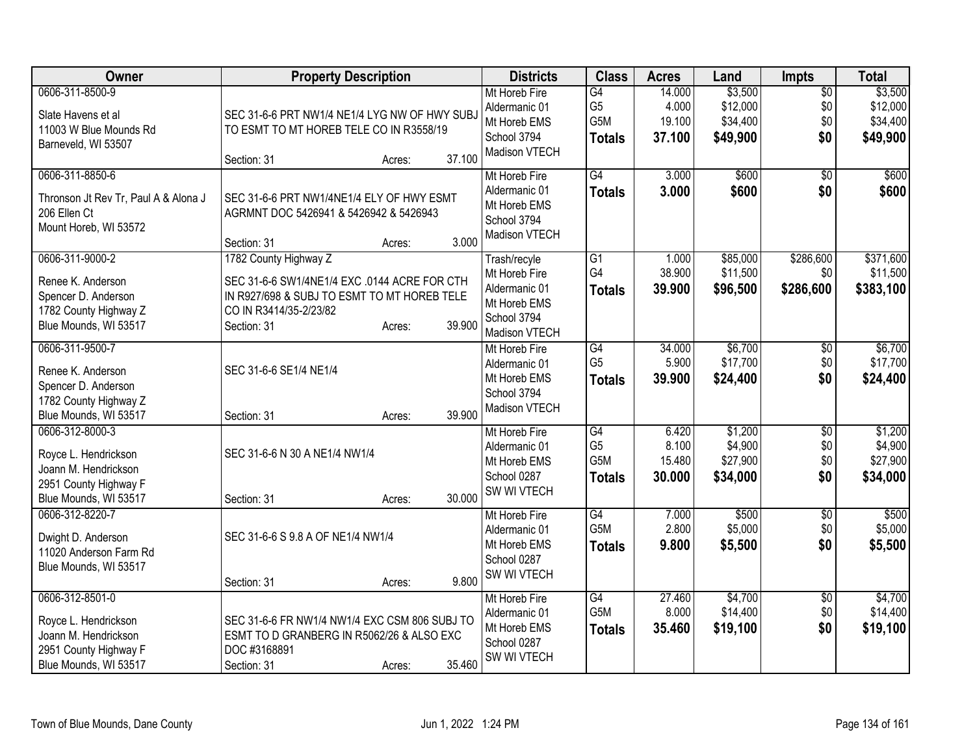| Owner                                                                                                             | <b>Property Description</b>                                                                                                                                                       | <b>Districts</b>                                                                               | <b>Class</b>                                 | <b>Acres</b>                        | Land                                        | Impts                                | <b>Total</b>                                |
|-------------------------------------------------------------------------------------------------------------------|-----------------------------------------------------------------------------------------------------------------------------------------------------------------------------------|------------------------------------------------------------------------------------------------|----------------------------------------------|-------------------------------------|---------------------------------------------|--------------------------------------|---------------------------------------------|
| 0606-311-8500-9<br>Slate Havens et al<br>11003 W Blue Mounds Rd<br>Barneveld, WI 53507                            | SEC 31-6-6 PRT NW1/4 NE1/4 LYG NW OF HWY SUBJ<br>TO ESMT TO MT HOREB TELE CO IN R3558/19<br>37.100<br>Section: 31<br>Acres:                                                       | Mt Horeb Fire<br>Aldermanic 01<br>Mt Horeb EMS<br>School 3794<br>Madison VTECH                 | G4<br>G <sub>5</sub><br>G5M<br><b>Totals</b> | 14.000<br>4.000<br>19.100<br>37.100 | \$3,500<br>\$12,000<br>\$34,400<br>\$49,900 | $\overline{50}$<br>\$0<br>\$0<br>\$0 | \$3,500<br>\$12,000<br>\$34,400<br>\$49,900 |
| 0606-311-8850-6<br>Thronson Jt Rev Tr, Paul A & Alona J<br>206 Ellen Ct<br>Mount Horeb, WI 53572                  | SEC 31-6-6 PRT NW1/4NE1/4 ELY OF HWY ESMT<br>AGRMNT DOC 5426941 & 5426942 & 5426943<br>3.000<br>Section: 31<br>Acres:                                                             | Mt Horeb Fire<br>Aldermanic 01<br>Mt Horeb EMS<br>School 3794<br>Madison VTECH                 | $\overline{G4}$<br><b>Totals</b>             | 3.000<br>3.000                      | \$600<br>\$600                              | $\overline{30}$<br>\$0               | \$600<br>\$600                              |
| 0606-311-9000-2<br>Renee K. Anderson<br>Spencer D. Anderson<br>1782 County Highway Z<br>Blue Mounds, WI 53517     | 1782 County Highway Z<br>SEC 31-6-6 SW1/4NE1/4 EXC .0144 ACRE FOR CTH<br>IN R927/698 & SUBJ TO ESMT TO MT HOREB TELE<br>CO IN R3414/35-2/23/82<br>39.900<br>Section: 31<br>Acres: | Trash/recyle<br>Mt Horeb Fire<br>Aldermanic 01<br>Mt Horeb EMS<br>School 3794<br>Madison VTECH | G1<br>G <sub>4</sub><br><b>Totals</b>        | 1.000<br>38.900<br>39.900           | \$85,000<br>\$11,500<br>\$96,500            | \$286,600<br>\$0<br>\$286,600        | \$371,600<br>\$11,500<br>\$383,100          |
| 0606-311-9500-7<br>Renee K. Anderson<br>Spencer D. Anderson<br>1782 County Highway Z<br>Blue Mounds, WI 53517     | SEC 31-6-6 SE1/4 NE1/4<br>39.900<br>Section: 31<br>Acres:                                                                                                                         | Mt Horeb Fire<br>Aldermanic 01<br>Mt Horeb EMS<br>School 3794<br>Madison VTECH                 | G4<br>G <sub>5</sub><br><b>Totals</b>        | 34.000<br>5.900<br>39.900           | \$6,700<br>\$17,700<br>\$24,400             | $\overline{50}$<br>\$0<br>\$0        | \$6,700<br>\$17,700<br>\$24,400             |
| 0606-312-8000-3<br>Royce L. Hendrickson<br>Joann M. Hendrickson<br>2951 County Highway F<br>Blue Mounds, WI 53517 | SEC 31-6-6 N 30 A NE1/4 NW1/4<br>30.000<br>Section: 31<br>Acres:                                                                                                                  | Mt Horeb Fire<br>Aldermanic 01<br>Mt Horeb EMS<br>School 0287<br>SW WI VTECH                   | G4<br>G <sub>5</sub><br>G5M<br><b>Totals</b> | 6.420<br>8.100<br>15.480<br>30.000  | \$1,200<br>\$4,900<br>\$27,900<br>\$34,000  | $\overline{50}$<br>\$0<br>\$0<br>\$0 | \$1,200<br>\$4,900<br>\$27,900<br>\$34,000  |
| 0606-312-8220-7<br>Dwight D. Anderson<br>11020 Anderson Farm Rd<br>Blue Mounds, WI 53517                          | SEC 31-6-6 S 9.8 A OF NE1/4 NW1/4<br>9.800<br>Section: 31<br>Acres:                                                                                                               | Mt Horeb Fire<br>Aldermanic 01<br>Mt Horeb EMS<br>School 0287<br>SW WI VTECH                   | G4<br>G5M<br><b>Totals</b>                   | 7.000<br>2.800<br>9.800             | \$500<br>\$5,000<br>\$5,500                 | $\overline{50}$<br>\$0<br>\$0        | \$500<br>\$5,000<br>\$5,500                 |
| 0606-312-8501-0<br>Royce L. Hendrickson<br>Joann M. Hendrickson<br>2951 County Highway F<br>Blue Mounds, WI 53517 | SEC 31-6-6 FR NW1/4 NW1/4 EXC CSM 806 SUBJ TO<br>ESMT TO D GRANBERG IN R5062/26 & ALSO EXC<br>DOC #3168891<br>35.460<br>Section: 31<br>Acres:                                     | Mt Horeb Fire<br>Aldermanic 01<br>Mt Horeb EMS<br>School 0287<br>SW WI VTECH                   | G4<br>G5M<br><b>Totals</b>                   | 27.460<br>8.000<br>35.460           | \$4,700<br>\$14,400<br>\$19,100             | \$0<br>\$0<br>\$0                    | \$4,700<br>\$14,400<br>\$19,100             |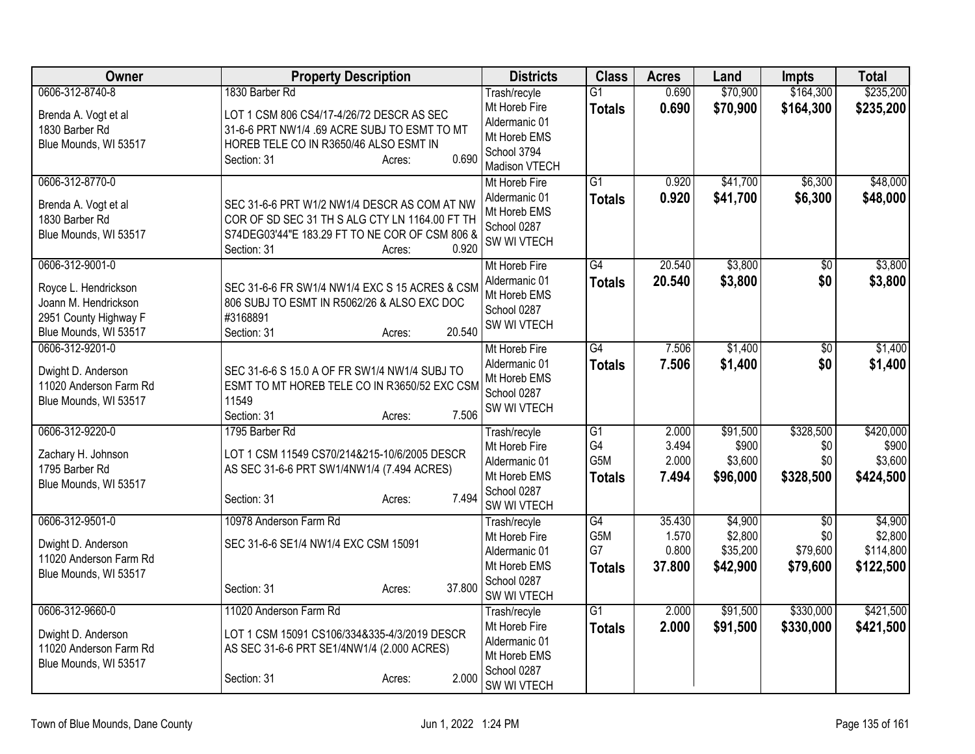| Owner                                  | <b>Property Description</b>                                                               | <b>Districts</b>               | <b>Class</b>    | <b>Acres</b> | Land     | <b>Impts</b>    | <b>Total</b> |
|----------------------------------------|-------------------------------------------------------------------------------------------|--------------------------------|-----------------|--------------|----------|-----------------|--------------|
| 0606-312-8740-8                        | 1830 Barber Rd                                                                            | Trash/recyle                   | G1              | 0.690        | \$70,900 | \$164,300       | \$235,200    |
| Brenda A. Vogt et al<br>1830 Barber Rd | LOT 1 CSM 806 CS4/17-4/26/72 DESCR AS SEC<br>31-6-6 PRT NW1/4 .69 ACRE SUBJ TO ESMT TO MT | Mt Horeb Fire<br>Aldermanic 01 | <b>Totals</b>   | 0.690        | \$70,900 | \$164,300       | \$235,200    |
| Blue Mounds, WI 53517                  | HOREB TELE CO IN R3650/46 ALSO ESMT IN<br>0.690<br>Section: 31<br>Acres:                  | Mt Horeb EMS<br>School 3794    |                 |              |          |                 |              |
| 0606-312-8770-0                        |                                                                                           | Madison VTECH<br>Mt Horeb Fire | $\overline{G1}$ | 0.920        | \$41,700 | \$6,300         | \$48,000     |
|                                        |                                                                                           | Aldermanic 01                  | <b>Totals</b>   | 0.920        | \$41,700 | \$6,300         | \$48,000     |
| Brenda A. Vogt et al                   | SEC 31-6-6 PRT W1/2 NW1/4 DESCR AS COM AT NW                                              | Mt Horeb EMS                   |                 |              |          |                 |              |
| 1830 Barber Rd                         | COR OF SD SEC 31 TH S ALG CTY LN 1164.00 FT TH                                            | School 0287                    |                 |              |          |                 |              |
| Blue Mounds, WI 53517                  | S74DEG03'44"E 183.29 FT TO NE COR OF CSM 806 &<br>0.920<br>Section: 31<br>Acres:          | SW WI VTECH                    |                 |              |          |                 |              |
| 0606-312-9001-0                        |                                                                                           | Mt Horeb Fire                  | G4              | 20.540       | \$3,800  | $\overline{50}$ | \$3,800      |
| Royce L. Hendrickson                   | SEC 31-6-6 FR SW1/4 NW1/4 EXC S 15 ACRES & CSM                                            | Aldermanic 01                  | <b>Totals</b>   | 20.540       | \$3,800  | \$0             | \$3,800      |
| Joann M. Hendrickson                   | 806 SUBJ TO ESMT IN R5062/26 & ALSO EXC DOC                                               | Mt Horeb EMS                   |                 |              |          |                 |              |
| 2951 County Highway F                  | #3168891                                                                                  | School 0287                    |                 |              |          |                 |              |
| Blue Mounds, WI 53517                  | 20.540<br>Section: 31<br>Acres:                                                           | SW WI VTECH                    |                 |              |          |                 |              |
| 0606-312-9201-0                        |                                                                                           | Mt Horeb Fire                  | $\overline{G4}$ | 7.506        | \$1,400  | $\overline{50}$ | \$1,400      |
| Dwight D. Anderson                     | SEC 31-6-6 S 15.0 A OF FR SW1/4 NW1/4 SUBJ TO                                             | Aldermanic 01                  | <b>Totals</b>   | 7.506        | \$1,400  | \$0             | \$1,400      |
| 11020 Anderson Farm Rd                 | ESMT TO MT HOREB TELE CO IN R3650/52 EXC CSM                                              | Mt Horeb EMS                   |                 |              |          |                 |              |
| Blue Mounds, WI 53517                  | 11549                                                                                     | School 0287                    |                 |              |          |                 |              |
|                                        | 7.506<br>Section: 31<br>Acres:                                                            | SW WI VTECH                    |                 |              |          |                 |              |
| 0606-312-9220-0                        | 1795 Barber Rd                                                                            | Trash/recyle                   | $\overline{G1}$ | 2.000        | \$91,500 | \$328,500       | \$420,000    |
| Zachary H. Johnson                     | LOT 1 CSM 11549 CS70/214&215-10/6/2005 DESCR                                              | Mt Horeb Fire                  | G4              | 3.494        | \$900    | \$0             | \$900        |
| 1795 Barber Rd                         | AS SEC 31-6-6 PRT SW1/4NW1/4 (7.494 ACRES)                                                | Aldermanic 01                  | G5M             | 2.000        | \$3,600  | \$0             | \$3,600      |
| Blue Mounds, WI 53517                  |                                                                                           | Mt Horeb EMS                   | <b>Totals</b>   | 7.494        | \$96,000 | \$328,500       | \$424,500    |
|                                        | 7.494<br>Section: 31<br>Acres:                                                            | School 0287                    |                 |              |          |                 |              |
| 0606-312-9501-0                        | 10978 Anderson Farm Rd                                                                    | SW WI VTECH                    | G4              | 35.430       | \$4,900  | \$0             | \$4,900      |
|                                        |                                                                                           | Trash/recyle<br>Mt Horeb Fire  | G5M             | 1.570        | \$2,800  | \$0             | \$2,800      |
| Dwight D. Anderson                     | SEC 31-6-6 SE1/4 NW1/4 EXC CSM 15091                                                      | Aldermanic 01                  | G7              | 0.800        | \$35,200 | \$79,600        | \$114,800    |
| 11020 Anderson Farm Rd                 |                                                                                           | Mt Horeb EMS                   | <b>Totals</b>   | 37.800       | \$42,900 | \$79,600        | \$122,500    |
| Blue Mounds, WI 53517                  |                                                                                           | School 0287                    |                 |              |          |                 |              |
|                                        | 37.800<br>Section: 31<br>Acres:                                                           | SW WI VTECH                    |                 |              |          |                 |              |
| 0606-312-9660-0                        | 11020 Anderson Farm Rd                                                                    | Trash/recyle                   | G1              | 2.000        | \$91,500 | \$330,000       | \$421,500    |
| Dwight D. Anderson                     | LOT 1 CSM 15091 CS106/334&335-4/3/2019 DESCR                                              | Mt Horeb Fire                  | <b>Totals</b>   | 2.000        | \$91,500 | \$330,000       | \$421,500    |
| 11020 Anderson Farm Rd                 | AS SEC 31-6-6 PRT SE1/4NW1/4 (2.000 ACRES)                                                | Aldermanic 01                  |                 |              |          |                 |              |
| Blue Mounds, WI 53517                  |                                                                                           | Mt Horeb EMS                   |                 |              |          |                 |              |
|                                        | 2.000<br>Section: 31<br>Acres:                                                            | School 0287<br>SW WI VTECH     |                 |              |          |                 |              |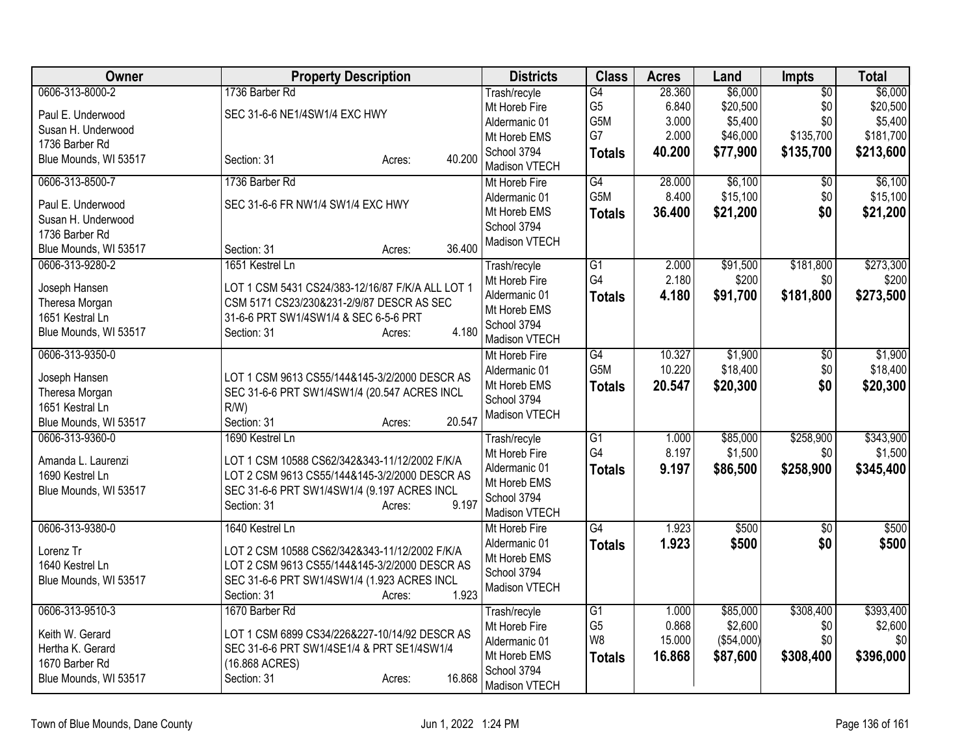| <b>Owner</b>          | <b>Property Description</b>                      | <b>Districts</b>              | <b>Class</b>          | <b>Acres</b>   | Land                | Impts           | <b>Total</b>         |
|-----------------------|--------------------------------------------------|-------------------------------|-----------------------|----------------|---------------------|-----------------|----------------------|
| 0606-313-8000-2       | 1736 Barber Rd                                   | Trash/recyle                  | G4                    | 28.360         | \$6,000             | $\overline{50}$ | \$6,000              |
| Paul E. Underwood     | SEC 31-6-6 NE1/4SW1/4 EXC HWY                    | Mt Horeb Fire                 | G5                    | 6.840          | \$20,500            | \$0             | \$20,500             |
| Susan H. Underwood    |                                                  | Aldermanic 01                 | G5M                   | 3.000          | \$5,400             | \$0             | \$5,400              |
| 1736 Barber Rd        |                                                  | Mt Horeb EMS                  | G7                    | 2.000          | \$46,000            | \$135,700       | \$181,700            |
| Blue Mounds, WI 53517 | 40.200<br>Section: 31<br>Acres:                  | School 3794                   | <b>Totals</b>         | 40.200         | \$77,900            | \$135,700       | \$213,600            |
|                       |                                                  | Madison VTECH                 |                       |                |                     |                 |                      |
| 0606-313-8500-7       | 1736 Barber Rd                                   | Mt Horeb Fire                 | $\overline{G4}$       | 28.000         | \$6,100             | $\overline{30}$ | \$6,100              |
| Paul E. Underwood     | SEC 31-6-6 FR NW1/4 SW1/4 EXC HWY                | Aldermanic 01                 | G <sub>5</sub> M      | 8.400          | \$15,100            | \$0             | \$15,100             |
| Susan H. Underwood    |                                                  | Mt Horeb EMS                  | <b>Totals</b>         | 36.400         | \$21,200            | \$0             | \$21,200             |
| 1736 Barber Rd        |                                                  | School 3794                   |                       |                |                     |                 |                      |
| Blue Mounds, WI 53517 | 36.400<br>Section: 31<br>Acres:                  | Madison VTECH                 |                       |                |                     |                 |                      |
| 0606-313-9280-2       | 1651 Kestrel Ln                                  | Trash/recyle                  | $\overline{G1}$       | 2.000          | \$91,500            | \$181,800       | \$273,300            |
|                       |                                                  | Mt Horeb Fire                 | G4                    | 2.180          | \$200               | \$0             | \$200                |
| Joseph Hansen         | LOT 1 CSM 5431 CS24/383-12/16/87 F/K/A ALL LOT 1 | Aldermanic 01                 | <b>Totals</b>         | 4.180          | \$91,700            | \$181,800       | \$273,500            |
| Theresa Morgan        | CSM 5171 CS23/230&231-2/9/87 DESCR AS SEC        | Mt Horeb EMS                  |                       |                |                     |                 |                      |
| 1651 Kestral Ln       | 31-6-6 PRT SW1/4SW1/4 & SEC 6-5-6 PRT            | School 3794                   |                       |                |                     |                 |                      |
| Blue Mounds, WI 53517 | 4.180<br>Section: 31<br>Acres:                   | Madison VTECH                 |                       |                |                     |                 |                      |
| 0606-313-9350-0       |                                                  | Mt Horeb Fire                 | $\overline{G4}$       | 10.327         | \$1,900             | $\overline{30}$ | \$1,900              |
|                       |                                                  | Aldermanic 01                 | G5M                   | 10.220         | \$18,400            | \$0             | \$18,400             |
| Joseph Hansen         | LOT 1 CSM 9613 CS55/144&145-3/2/2000 DESCR AS    | Mt Horeb EMS                  | <b>Totals</b>         | 20.547         | \$20,300            | \$0             | \$20,300             |
| Theresa Morgan        | SEC 31-6-6 PRT SW1/4SW1/4 (20.547 ACRES INCL     | School 3794                   |                       |                |                     |                 |                      |
| 1651 Kestral Ln       | R/W                                              | Madison VTECH                 |                       |                |                     |                 |                      |
| Blue Mounds, WI 53517 | 20.547<br>Section: 31<br>Acres:                  |                               |                       |                |                     |                 |                      |
| 0606-313-9360-0       | 1690 Kestrel Ln                                  | Trash/recyle                  | $\overline{G1}$<br>G4 | 1.000<br>8.197 | \$85,000<br>\$1,500 | \$258,900       | \$343,900<br>\$1,500 |
| Amanda L. Laurenzi    | LOT 1 CSM 10588 CS62/342&343-11/12/2002 F/K/A    | Mt Horeb Fire                 |                       |                |                     | \$0             |                      |
| 1690 Kestrel Ln       | LOT 2 CSM 9613 CS55/144&145-3/2/2000 DESCR AS    | Aldermanic 01<br>Mt Horeb EMS | <b>Totals</b>         | 9.197          | \$86,500            | \$258,900       | \$345,400            |
| Blue Mounds, WI 53517 | SEC 31-6-6 PRT SW1/4SW1/4 (9.197 ACRES INCL      | School 3794                   |                       |                |                     |                 |                      |
|                       | Section: 31<br>9.197<br>Acres:                   | Madison VTECH                 |                       |                |                     |                 |                      |
| 0606-313-9380-0       | 1640 Kestrel Ln                                  | Mt Horeb Fire                 | G4                    | 1.923          | \$500               | $\overline{50}$ | \$500                |
|                       |                                                  | Aldermanic 01                 |                       | 1.923          | \$500               | \$0             | \$500                |
| Lorenz Tr             | LOT 2 CSM 10588 CS62/342&343-11/12/2002 F/K/A    | Mt Horeb EMS                  | <b>Totals</b>         |                |                     |                 |                      |
| 1640 Kestrel Ln       | LOT 2 CSM 9613 CS55/144&145-3/2/2000 DESCR AS    | School 3794                   |                       |                |                     |                 |                      |
| Blue Mounds, WI 53517 | SEC 31-6-6 PRT SW1/4SW1/4 (1.923 ACRES INCL      | Madison VTECH                 |                       |                |                     |                 |                      |
|                       | 1.923<br>Section: 31<br>Acres:                   |                               |                       |                |                     |                 |                      |
| 0606-313-9510-3       | 1670 Barber Rd                                   | Trash/recyle                  | $\overline{G1}$       | 1.000          | \$85,000            | \$308,400       | \$393,400            |
| Keith W. Gerard       | LOT 1 CSM 6899 CS34/226&227-10/14/92 DESCR AS    | Mt Horeb Fire                 | G <sub>5</sub>        | 0.868          | \$2,600             | \$0             | \$2,600              |
| Hertha K. Gerard      | SEC 31-6-6 PRT SW1/4SE1/4 & PRT SE1/4SW1/4       | Aldermanic 01                 | W <sub>8</sub>        | 15.000         | (\$54,000)          | \$0             | \$0                  |
| 1670 Barber Rd        | (16.868 ACRES)                                   | Mt Horeb EMS                  | <b>Totals</b>         | 16.868         | \$87,600            | \$308,400       | \$396,000            |
| Blue Mounds, WI 53517 | 16.868<br>Section: 31                            | School 3794                   |                       |                |                     |                 |                      |
|                       | Acres:                                           | Madison VTECH                 |                       |                |                     |                 |                      |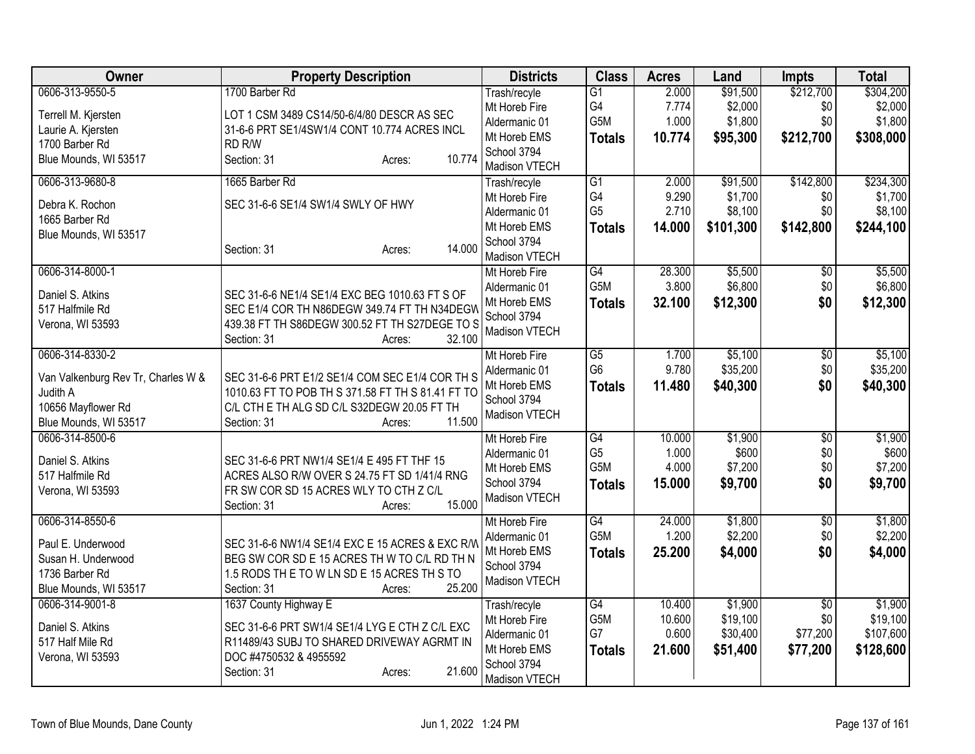| G1<br>Trash/recyle<br>G4<br>7.774<br>\$2,000<br>\$2,000<br>Mt Horeb Fire<br>\$0<br>LOT 1 CSM 3489 CS14/50-6/4/80 DESCR AS SEC<br>Terrell M. Kjersten<br>G5M<br>\$1,800<br>1.000<br>\$1,800<br>\$0<br>Aldermanic 01<br>Laurie A. Kjersten<br>31-6-6 PRT SE1/4SW1/4 CONT 10.774 ACRES INCL<br>Mt Horeb EMS<br>10.774<br>\$95,300<br>\$212,700<br>\$308,000<br><b>Totals</b><br>1700 Barber Rd<br>RD R/W<br>School 3794<br>10.774<br>Blue Mounds, WI 53517<br>Section: 31<br>Acres:<br>Madison VTECH<br>\$142,800<br>\$234,300<br>0606-313-9680-8<br>1665 Barber Rd<br>$\overline{G1}$<br>2.000<br>\$91,500<br>Trash/recyle<br>G4<br>9.290<br>\$1,700<br>\$0<br>Mt Horeb Fire<br>Debra K. Rochon<br>SEC 31-6-6 SE1/4 SW1/4 SWLY OF HWY<br>G <sub>5</sub><br>2.710<br>\$8,100<br>\$0<br>Aldermanic 01<br>1665 Barber Rd<br>\$101,300<br>\$142,800<br>\$244,100<br>Mt Horeb EMS<br><b>Totals</b><br>14.000<br>Blue Mounds, WI 53517<br>School 3794<br>14.000<br>Section: 31<br>Acres:<br>Madison VTECH<br>0606-314-8000-1<br>G4<br>28.300<br>\$5,500<br>\$5,500<br>Mt Horeb Fire<br>\$0<br>G5M<br>3.800<br>\$6,800<br>\$0<br>Aldermanic 01<br>Daniel S. Atkins<br>SEC 31-6-6 NE1/4 SE1/4 EXC BEG 1010.63 FT S OF<br>Mt Horeb EMS<br>32.100<br>\$12,300<br>\$0<br><b>Totals</b><br>517 Halfmile Rd<br>SEC E1/4 COR TH N86DEGW 349.74 FT TH N34DEGW<br>School 3794<br>Verona, WI 53593<br>439.38 FT TH S86DEGW 300.52 FT TH S27DEGE TO S<br>Madison VTECH<br>32.100<br>Section: 31<br>Acres:<br>\$5,100<br>0606-314-8330-2<br>Mt Horeb Fire<br>$\overline{G5}$<br>1.700<br>\$5,100<br>\$0<br>G <sub>6</sub><br>9.780<br>\$35,200<br>\$0<br>Aldermanic 01<br>Van Valkenburg Rev Tr, Charles W &<br>SEC 31-6-6 PRT E1/2 SE1/4 COM SEC E1/4 COR TH S<br>Mt Horeb EMS<br>11.480<br>\$40,300<br>\$0<br><b>Totals</b><br>Judith A<br>1010.63 FT TO POB TH S 371.58 FT TH S 81.41 FT TO<br>School 3794<br>10656 Mayflower Rd<br>C/L CTH E TH ALG SD C/L S32DEGW 20.05 FT TH<br>Madison VTECH<br>11.500<br>Blue Mounds, WI 53517<br>Section: 31<br>Acres:<br>$\overline{G4}$<br>\$1,900<br>0606-314-8500-6<br>Mt Horeb Fire<br>10.000<br>\$1,900<br>$\overline{50}$<br>G <sub>5</sub><br>1.000<br>\$600<br>\$0<br>Aldermanic 01<br>Daniel S. Atkins<br>SEC 31-6-6 PRT NW1/4 SE1/4 E 495 FT THF 15<br>G5M<br>\$7,200<br>\$0<br>4.000<br>Mt Horeb EMS<br>517 Halfmile Rd<br>ACRES ALSO R/W OVER S 24.75 FT SD 1/41/4 RNG<br>15.000<br>\$9,700<br>\$0<br>\$9,700<br>School 3794<br><b>Totals</b><br>Verona, WI 53593<br>FR SW COR SD 15 ACRES WLY TO CTH Z C/L<br>Madison VTECH<br>15.000<br>Section: 31<br>Acres:<br>0606-314-8550-6<br>G4<br>\$1,800<br>\$1,800<br>Mt Horeb Fire<br>24.000<br>$\overline{50}$<br>G5M<br>\$2,200<br>1.200<br>\$0<br>Aldermanic 01<br>Paul E. Underwood<br>SEC 31-6-6 NW1/4 SE1/4 EXC E 15 ACRES & EXC R/W<br>Mt Horeb EMS<br>25.200<br>\$4,000<br>\$0<br>\$4,000<br><b>Totals</b><br>Susan H. Underwood<br>BEG SW COR SD E 15 ACRES TH W TO C/L RD TH N<br>School 3794<br>1.5 RODS THE TO W LN SDE 15 ACRES THIS TO<br>1736 Barber Rd<br>Madison VTECH<br>25.200<br>Blue Mounds, WI 53517<br>Section: 31<br>Acres:<br>G4<br>\$1,900<br>\$1,900<br>0606-314-9001-8<br>1637 County Highway E<br>10.400<br>$\overline{50}$<br>Trash/recyle<br>G5M<br>10.600<br>\$19,100<br>\$0<br>Mt Horeb Fire<br>Daniel S. Atkins<br>SEC 31-6-6 PRT SW1/4 SE1/4 LYG E CTH Z C/L EXC<br>G7<br>0.600<br>\$30,400<br>\$77,200<br>\$107,600<br>Aldermanic 01<br>R11489/43 SUBJ TO SHARED DRIVEWAY AGRMT IN<br>517 Half Mile Rd<br>Mt Horeb EMS<br>21.600<br>\$51,400<br>\$77,200<br>\$128,600<br><b>Totals</b><br>DOC #4750532 & 4955592<br>Verona, WI 53593<br>School 3794<br>21.600<br>Section: 31<br>Acres:<br>Madison VTECH | Owner           | <b>Property Description</b> | <b>Districts</b> | <b>Class</b> | <b>Acres</b> | Land     | <b>Impts</b> | <b>Total</b> |
|---------------------------------------------------------------------------------------------------------------------------------------------------------------------------------------------------------------------------------------------------------------------------------------------------------------------------------------------------------------------------------------------------------------------------------------------------------------------------------------------------------------------------------------------------------------------------------------------------------------------------------------------------------------------------------------------------------------------------------------------------------------------------------------------------------------------------------------------------------------------------------------------------------------------------------------------------------------------------------------------------------------------------------------------------------------------------------------------------------------------------------------------------------------------------------------------------------------------------------------------------------------------------------------------------------------------------------------------------------------------------------------------------------------------------------------------------------------------------------------------------------------------------------------------------------------------------------------------------------------------------------------------------------------------------------------------------------------------------------------------------------------------------------------------------------------------------------------------------------------------------------------------------------------------------------------------------------------------------------------------------------------------------------------------------------------------------------------------------------------------------------------------------------------------------------------------------------------------------------------------------------------------------------------------------------------------------------------------------------------------------------------------------------------------------------------------------------------------------------------------------------------------------------------------------------------------------------------------------------------------------------------------------------------------------------------------------------------------------------------------------------------------------------------------------------------------------------------------------------------------------------------------------------------------------------------------------------------------------------------------------------------------------------------------------------------------------------------------------------------------------------------------------------------------------------------------------------------------------------------------------------------------------------------------------------------------------------------------------------------------------------------------------------------------------------------------------------------------------------------------------------------------------------------------------------------------------------------------------------------------------------------------------------------------------------------------------------------------------|-----------------|-----------------------------|------------------|--------------|--------------|----------|--------------|--------------|
|                                                                                                                                                                                                                                                                                                                                                                                                                                                                                                                                                                                                                                                                                                                                                                                                                                                                                                                                                                                                                                                                                                                                                                                                                                                                                                                                                                                                                                                                                                                                                                                                                                                                                                                                                                                                                                                                                                                                                                                                                                                                                                                                                                                                                                                                                                                                                                                                                                                                                                                                                                                                                                                                                                                                                                                                                                                                                                                                                                                                                                                                                                                                                                                                                                                                                                                                                                                                                                                                                                                                                                                                                                                                                                                           | 0606-313-9550-5 | 1700 Barber Rd              |                  |              | 2.000        | \$91,500 | \$212,700    | \$304,200    |
| \$12,300<br>\$40,300                                                                                                                                                                                                                                                                                                                                                                                                                                                                                                                                                                                                                                                                                                                                                                                                                                                                                                                                                                                                                                                                                                                                                                                                                                                                                                                                                                                                                                                                                                                                                                                                                                                                                                                                                                                                                                                                                                                                                                                                                                                                                                                                                                                                                                                                                                                                                                                                                                                                                                                                                                                                                                                                                                                                                                                                                                                                                                                                                                                                                                                                                                                                                                                                                                                                                                                                                                                                                                                                                                                                                                                                                                                                                                      |                 |                             |                  |              |              |          |              |              |
|                                                                                                                                                                                                                                                                                                                                                                                                                                                                                                                                                                                                                                                                                                                                                                                                                                                                                                                                                                                                                                                                                                                                                                                                                                                                                                                                                                                                                                                                                                                                                                                                                                                                                                                                                                                                                                                                                                                                                                                                                                                                                                                                                                                                                                                                                                                                                                                                                                                                                                                                                                                                                                                                                                                                                                                                                                                                                                                                                                                                                                                                                                                                                                                                                                                                                                                                                                                                                                                                                                                                                                                                                                                                                                                           |                 |                             |                  |              |              |          |              |              |
|                                                                                                                                                                                                                                                                                                                                                                                                                                                                                                                                                                                                                                                                                                                                                                                                                                                                                                                                                                                                                                                                                                                                                                                                                                                                                                                                                                                                                                                                                                                                                                                                                                                                                                                                                                                                                                                                                                                                                                                                                                                                                                                                                                                                                                                                                                                                                                                                                                                                                                                                                                                                                                                                                                                                                                                                                                                                                                                                                                                                                                                                                                                                                                                                                                                                                                                                                                                                                                                                                                                                                                                                                                                                                                                           |                 |                             |                  |              |              |          |              |              |
| \$1,700<br>\$8,100<br>\$6,800<br>\$35,200<br>\$600<br>\$7,200<br>\$2,200                                                                                                                                                                                                                                                                                                                                                                                                                                                                                                                                                                                                                                                                                                                                                                                                                                                                                                                                                                                                                                                                                                                                                                                                                                                                                                                                                                                                                                                                                                                                                                                                                                                                                                                                                                                                                                                                                                                                                                                                                                                                                                                                                                                                                                                                                                                                                                                                                                                                                                                                                                                                                                                                                                                                                                                                                                                                                                                                                                                                                                                                                                                                                                                                                                                                                                                                                                                                                                                                                                                                                                                                                                                  |                 |                             |                  |              |              |          |              |              |
|                                                                                                                                                                                                                                                                                                                                                                                                                                                                                                                                                                                                                                                                                                                                                                                                                                                                                                                                                                                                                                                                                                                                                                                                                                                                                                                                                                                                                                                                                                                                                                                                                                                                                                                                                                                                                                                                                                                                                                                                                                                                                                                                                                                                                                                                                                                                                                                                                                                                                                                                                                                                                                                                                                                                                                                                                                                                                                                                                                                                                                                                                                                                                                                                                                                                                                                                                                                                                                                                                                                                                                                                                                                                                                                           |                 |                             |                  |              |              |          |              |              |
|                                                                                                                                                                                                                                                                                                                                                                                                                                                                                                                                                                                                                                                                                                                                                                                                                                                                                                                                                                                                                                                                                                                                                                                                                                                                                                                                                                                                                                                                                                                                                                                                                                                                                                                                                                                                                                                                                                                                                                                                                                                                                                                                                                                                                                                                                                                                                                                                                                                                                                                                                                                                                                                                                                                                                                                                                                                                                                                                                                                                                                                                                                                                                                                                                                                                                                                                                                                                                                                                                                                                                                                                                                                                                                                           |                 |                             |                  |              |              |          |              |              |
|                                                                                                                                                                                                                                                                                                                                                                                                                                                                                                                                                                                                                                                                                                                                                                                                                                                                                                                                                                                                                                                                                                                                                                                                                                                                                                                                                                                                                                                                                                                                                                                                                                                                                                                                                                                                                                                                                                                                                                                                                                                                                                                                                                                                                                                                                                                                                                                                                                                                                                                                                                                                                                                                                                                                                                                                                                                                                                                                                                                                                                                                                                                                                                                                                                                                                                                                                                                                                                                                                                                                                                                                                                                                                                                           |                 |                             |                  |              |              |          |              |              |
|                                                                                                                                                                                                                                                                                                                                                                                                                                                                                                                                                                                                                                                                                                                                                                                                                                                                                                                                                                                                                                                                                                                                                                                                                                                                                                                                                                                                                                                                                                                                                                                                                                                                                                                                                                                                                                                                                                                                                                                                                                                                                                                                                                                                                                                                                                                                                                                                                                                                                                                                                                                                                                                                                                                                                                                                                                                                                                                                                                                                                                                                                                                                                                                                                                                                                                                                                                                                                                                                                                                                                                                                                                                                                                                           |                 |                             |                  |              |              |          |              |              |
|                                                                                                                                                                                                                                                                                                                                                                                                                                                                                                                                                                                                                                                                                                                                                                                                                                                                                                                                                                                                                                                                                                                                                                                                                                                                                                                                                                                                                                                                                                                                                                                                                                                                                                                                                                                                                                                                                                                                                                                                                                                                                                                                                                                                                                                                                                                                                                                                                                                                                                                                                                                                                                                                                                                                                                                                                                                                                                                                                                                                                                                                                                                                                                                                                                                                                                                                                                                                                                                                                                                                                                                                                                                                                                                           |                 |                             |                  |              |              |          |              |              |
|                                                                                                                                                                                                                                                                                                                                                                                                                                                                                                                                                                                                                                                                                                                                                                                                                                                                                                                                                                                                                                                                                                                                                                                                                                                                                                                                                                                                                                                                                                                                                                                                                                                                                                                                                                                                                                                                                                                                                                                                                                                                                                                                                                                                                                                                                                                                                                                                                                                                                                                                                                                                                                                                                                                                                                                                                                                                                                                                                                                                                                                                                                                                                                                                                                                                                                                                                                                                                                                                                                                                                                                                                                                                                                                           |                 |                             |                  |              |              |          |              |              |
|                                                                                                                                                                                                                                                                                                                                                                                                                                                                                                                                                                                                                                                                                                                                                                                                                                                                                                                                                                                                                                                                                                                                                                                                                                                                                                                                                                                                                                                                                                                                                                                                                                                                                                                                                                                                                                                                                                                                                                                                                                                                                                                                                                                                                                                                                                                                                                                                                                                                                                                                                                                                                                                                                                                                                                                                                                                                                                                                                                                                                                                                                                                                                                                                                                                                                                                                                                                                                                                                                                                                                                                                                                                                                                                           |                 |                             |                  |              |              |          |              |              |
|                                                                                                                                                                                                                                                                                                                                                                                                                                                                                                                                                                                                                                                                                                                                                                                                                                                                                                                                                                                                                                                                                                                                                                                                                                                                                                                                                                                                                                                                                                                                                                                                                                                                                                                                                                                                                                                                                                                                                                                                                                                                                                                                                                                                                                                                                                                                                                                                                                                                                                                                                                                                                                                                                                                                                                                                                                                                                                                                                                                                                                                                                                                                                                                                                                                                                                                                                                                                                                                                                                                                                                                                                                                                                                                           |                 |                             |                  |              |              |          |              |              |
|                                                                                                                                                                                                                                                                                                                                                                                                                                                                                                                                                                                                                                                                                                                                                                                                                                                                                                                                                                                                                                                                                                                                                                                                                                                                                                                                                                                                                                                                                                                                                                                                                                                                                                                                                                                                                                                                                                                                                                                                                                                                                                                                                                                                                                                                                                                                                                                                                                                                                                                                                                                                                                                                                                                                                                                                                                                                                                                                                                                                                                                                                                                                                                                                                                                                                                                                                                                                                                                                                                                                                                                                                                                                                                                           |                 |                             |                  |              |              |          |              |              |
|                                                                                                                                                                                                                                                                                                                                                                                                                                                                                                                                                                                                                                                                                                                                                                                                                                                                                                                                                                                                                                                                                                                                                                                                                                                                                                                                                                                                                                                                                                                                                                                                                                                                                                                                                                                                                                                                                                                                                                                                                                                                                                                                                                                                                                                                                                                                                                                                                                                                                                                                                                                                                                                                                                                                                                                                                                                                                                                                                                                                                                                                                                                                                                                                                                                                                                                                                                                                                                                                                                                                                                                                                                                                                                                           |                 |                             |                  |              |              |          |              |              |
|                                                                                                                                                                                                                                                                                                                                                                                                                                                                                                                                                                                                                                                                                                                                                                                                                                                                                                                                                                                                                                                                                                                                                                                                                                                                                                                                                                                                                                                                                                                                                                                                                                                                                                                                                                                                                                                                                                                                                                                                                                                                                                                                                                                                                                                                                                                                                                                                                                                                                                                                                                                                                                                                                                                                                                                                                                                                                                                                                                                                                                                                                                                                                                                                                                                                                                                                                                                                                                                                                                                                                                                                                                                                                                                           |                 |                             |                  |              |              |          |              |              |
| \$19,100                                                                                                                                                                                                                                                                                                                                                                                                                                                                                                                                                                                                                                                                                                                                                                                                                                                                                                                                                                                                                                                                                                                                                                                                                                                                                                                                                                                                                                                                                                                                                                                                                                                                                                                                                                                                                                                                                                                                                                                                                                                                                                                                                                                                                                                                                                                                                                                                                                                                                                                                                                                                                                                                                                                                                                                                                                                                                                                                                                                                                                                                                                                                                                                                                                                                                                                                                                                                                                                                                                                                                                                                                                                                                                                  |                 |                             |                  |              |              |          |              |              |
|                                                                                                                                                                                                                                                                                                                                                                                                                                                                                                                                                                                                                                                                                                                                                                                                                                                                                                                                                                                                                                                                                                                                                                                                                                                                                                                                                                                                                                                                                                                                                                                                                                                                                                                                                                                                                                                                                                                                                                                                                                                                                                                                                                                                                                                                                                                                                                                                                                                                                                                                                                                                                                                                                                                                                                                                                                                                                                                                                                                                                                                                                                                                                                                                                                                                                                                                                                                                                                                                                                                                                                                                                                                                                                                           |                 |                             |                  |              |              |          |              |              |
|                                                                                                                                                                                                                                                                                                                                                                                                                                                                                                                                                                                                                                                                                                                                                                                                                                                                                                                                                                                                                                                                                                                                                                                                                                                                                                                                                                                                                                                                                                                                                                                                                                                                                                                                                                                                                                                                                                                                                                                                                                                                                                                                                                                                                                                                                                                                                                                                                                                                                                                                                                                                                                                                                                                                                                                                                                                                                                                                                                                                                                                                                                                                                                                                                                                                                                                                                                                                                                                                                                                                                                                                                                                                                                                           |                 |                             |                  |              |              |          |              |              |
|                                                                                                                                                                                                                                                                                                                                                                                                                                                                                                                                                                                                                                                                                                                                                                                                                                                                                                                                                                                                                                                                                                                                                                                                                                                                                                                                                                                                                                                                                                                                                                                                                                                                                                                                                                                                                                                                                                                                                                                                                                                                                                                                                                                                                                                                                                                                                                                                                                                                                                                                                                                                                                                                                                                                                                                                                                                                                                                                                                                                                                                                                                                                                                                                                                                                                                                                                                                                                                                                                                                                                                                                                                                                                                                           |                 |                             |                  |              |              |          |              |              |
|                                                                                                                                                                                                                                                                                                                                                                                                                                                                                                                                                                                                                                                                                                                                                                                                                                                                                                                                                                                                                                                                                                                                                                                                                                                                                                                                                                                                                                                                                                                                                                                                                                                                                                                                                                                                                                                                                                                                                                                                                                                                                                                                                                                                                                                                                                                                                                                                                                                                                                                                                                                                                                                                                                                                                                                                                                                                                                                                                                                                                                                                                                                                                                                                                                                                                                                                                                                                                                                                                                                                                                                                                                                                                                                           |                 |                             |                  |              |              |          |              |              |
|                                                                                                                                                                                                                                                                                                                                                                                                                                                                                                                                                                                                                                                                                                                                                                                                                                                                                                                                                                                                                                                                                                                                                                                                                                                                                                                                                                                                                                                                                                                                                                                                                                                                                                                                                                                                                                                                                                                                                                                                                                                                                                                                                                                                                                                                                                                                                                                                                                                                                                                                                                                                                                                                                                                                                                                                                                                                                                                                                                                                                                                                                                                                                                                                                                                                                                                                                                                                                                                                                                                                                                                                                                                                                                                           |                 |                             |                  |              |              |          |              |              |
|                                                                                                                                                                                                                                                                                                                                                                                                                                                                                                                                                                                                                                                                                                                                                                                                                                                                                                                                                                                                                                                                                                                                                                                                                                                                                                                                                                                                                                                                                                                                                                                                                                                                                                                                                                                                                                                                                                                                                                                                                                                                                                                                                                                                                                                                                                                                                                                                                                                                                                                                                                                                                                                                                                                                                                                                                                                                                                                                                                                                                                                                                                                                                                                                                                                                                                                                                                                                                                                                                                                                                                                                                                                                                                                           |                 |                             |                  |              |              |          |              |              |
|                                                                                                                                                                                                                                                                                                                                                                                                                                                                                                                                                                                                                                                                                                                                                                                                                                                                                                                                                                                                                                                                                                                                                                                                                                                                                                                                                                                                                                                                                                                                                                                                                                                                                                                                                                                                                                                                                                                                                                                                                                                                                                                                                                                                                                                                                                                                                                                                                                                                                                                                                                                                                                                                                                                                                                                                                                                                                                                                                                                                                                                                                                                                                                                                                                                                                                                                                                                                                                                                                                                                                                                                                                                                                                                           |                 |                             |                  |              |              |          |              |              |
|                                                                                                                                                                                                                                                                                                                                                                                                                                                                                                                                                                                                                                                                                                                                                                                                                                                                                                                                                                                                                                                                                                                                                                                                                                                                                                                                                                                                                                                                                                                                                                                                                                                                                                                                                                                                                                                                                                                                                                                                                                                                                                                                                                                                                                                                                                                                                                                                                                                                                                                                                                                                                                                                                                                                                                                                                                                                                                                                                                                                                                                                                                                                                                                                                                                                                                                                                                                                                                                                                                                                                                                                                                                                                                                           |                 |                             |                  |              |              |          |              |              |
|                                                                                                                                                                                                                                                                                                                                                                                                                                                                                                                                                                                                                                                                                                                                                                                                                                                                                                                                                                                                                                                                                                                                                                                                                                                                                                                                                                                                                                                                                                                                                                                                                                                                                                                                                                                                                                                                                                                                                                                                                                                                                                                                                                                                                                                                                                                                                                                                                                                                                                                                                                                                                                                                                                                                                                                                                                                                                                                                                                                                                                                                                                                                                                                                                                                                                                                                                                                                                                                                                                                                                                                                                                                                                                                           |                 |                             |                  |              |              |          |              |              |
|                                                                                                                                                                                                                                                                                                                                                                                                                                                                                                                                                                                                                                                                                                                                                                                                                                                                                                                                                                                                                                                                                                                                                                                                                                                                                                                                                                                                                                                                                                                                                                                                                                                                                                                                                                                                                                                                                                                                                                                                                                                                                                                                                                                                                                                                                                                                                                                                                                                                                                                                                                                                                                                                                                                                                                                                                                                                                                                                                                                                                                                                                                                                                                                                                                                                                                                                                                                                                                                                                                                                                                                                                                                                                                                           |                 |                             |                  |              |              |          |              |              |
|                                                                                                                                                                                                                                                                                                                                                                                                                                                                                                                                                                                                                                                                                                                                                                                                                                                                                                                                                                                                                                                                                                                                                                                                                                                                                                                                                                                                                                                                                                                                                                                                                                                                                                                                                                                                                                                                                                                                                                                                                                                                                                                                                                                                                                                                                                                                                                                                                                                                                                                                                                                                                                                                                                                                                                                                                                                                                                                                                                                                                                                                                                                                                                                                                                                                                                                                                                                                                                                                                                                                                                                                                                                                                                                           |                 |                             |                  |              |              |          |              |              |
|                                                                                                                                                                                                                                                                                                                                                                                                                                                                                                                                                                                                                                                                                                                                                                                                                                                                                                                                                                                                                                                                                                                                                                                                                                                                                                                                                                                                                                                                                                                                                                                                                                                                                                                                                                                                                                                                                                                                                                                                                                                                                                                                                                                                                                                                                                                                                                                                                                                                                                                                                                                                                                                                                                                                                                                                                                                                                                                                                                                                                                                                                                                                                                                                                                                                                                                                                                                                                                                                                                                                                                                                                                                                                                                           |                 |                             |                  |              |              |          |              |              |
|                                                                                                                                                                                                                                                                                                                                                                                                                                                                                                                                                                                                                                                                                                                                                                                                                                                                                                                                                                                                                                                                                                                                                                                                                                                                                                                                                                                                                                                                                                                                                                                                                                                                                                                                                                                                                                                                                                                                                                                                                                                                                                                                                                                                                                                                                                                                                                                                                                                                                                                                                                                                                                                                                                                                                                                                                                                                                                                                                                                                                                                                                                                                                                                                                                                                                                                                                                                                                                                                                                                                                                                                                                                                                                                           |                 |                             |                  |              |              |          |              |              |
|                                                                                                                                                                                                                                                                                                                                                                                                                                                                                                                                                                                                                                                                                                                                                                                                                                                                                                                                                                                                                                                                                                                                                                                                                                                                                                                                                                                                                                                                                                                                                                                                                                                                                                                                                                                                                                                                                                                                                                                                                                                                                                                                                                                                                                                                                                                                                                                                                                                                                                                                                                                                                                                                                                                                                                                                                                                                                                                                                                                                                                                                                                                                                                                                                                                                                                                                                                                                                                                                                                                                                                                                                                                                                                                           |                 |                             |                  |              |              |          |              |              |
|                                                                                                                                                                                                                                                                                                                                                                                                                                                                                                                                                                                                                                                                                                                                                                                                                                                                                                                                                                                                                                                                                                                                                                                                                                                                                                                                                                                                                                                                                                                                                                                                                                                                                                                                                                                                                                                                                                                                                                                                                                                                                                                                                                                                                                                                                                                                                                                                                                                                                                                                                                                                                                                                                                                                                                                                                                                                                                                                                                                                                                                                                                                                                                                                                                                                                                                                                                                                                                                                                                                                                                                                                                                                                                                           |                 |                             |                  |              |              |          |              |              |
|                                                                                                                                                                                                                                                                                                                                                                                                                                                                                                                                                                                                                                                                                                                                                                                                                                                                                                                                                                                                                                                                                                                                                                                                                                                                                                                                                                                                                                                                                                                                                                                                                                                                                                                                                                                                                                                                                                                                                                                                                                                                                                                                                                                                                                                                                                                                                                                                                                                                                                                                                                                                                                                                                                                                                                                                                                                                                                                                                                                                                                                                                                                                                                                                                                                                                                                                                                                                                                                                                                                                                                                                                                                                                                                           |                 |                             |                  |              |              |          |              |              |
|                                                                                                                                                                                                                                                                                                                                                                                                                                                                                                                                                                                                                                                                                                                                                                                                                                                                                                                                                                                                                                                                                                                                                                                                                                                                                                                                                                                                                                                                                                                                                                                                                                                                                                                                                                                                                                                                                                                                                                                                                                                                                                                                                                                                                                                                                                                                                                                                                                                                                                                                                                                                                                                                                                                                                                                                                                                                                                                                                                                                                                                                                                                                                                                                                                                                                                                                                                                                                                                                                                                                                                                                                                                                                                                           |                 |                             |                  |              |              |          |              |              |
|                                                                                                                                                                                                                                                                                                                                                                                                                                                                                                                                                                                                                                                                                                                                                                                                                                                                                                                                                                                                                                                                                                                                                                                                                                                                                                                                                                                                                                                                                                                                                                                                                                                                                                                                                                                                                                                                                                                                                                                                                                                                                                                                                                                                                                                                                                                                                                                                                                                                                                                                                                                                                                                                                                                                                                                                                                                                                                                                                                                                                                                                                                                                                                                                                                                                                                                                                                                                                                                                                                                                                                                                                                                                                                                           |                 |                             |                  |              |              |          |              |              |
|                                                                                                                                                                                                                                                                                                                                                                                                                                                                                                                                                                                                                                                                                                                                                                                                                                                                                                                                                                                                                                                                                                                                                                                                                                                                                                                                                                                                                                                                                                                                                                                                                                                                                                                                                                                                                                                                                                                                                                                                                                                                                                                                                                                                                                                                                                                                                                                                                                                                                                                                                                                                                                                                                                                                                                                                                                                                                                                                                                                                                                                                                                                                                                                                                                                                                                                                                                                                                                                                                                                                                                                                                                                                                                                           |                 |                             |                  |              |              |          |              |              |
|                                                                                                                                                                                                                                                                                                                                                                                                                                                                                                                                                                                                                                                                                                                                                                                                                                                                                                                                                                                                                                                                                                                                                                                                                                                                                                                                                                                                                                                                                                                                                                                                                                                                                                                                                                                                                                                                                                                                                                                                                                                                                                                                                                                                                                                                                                                                                                                                                                                                                                                                                                                                                                                                                                                                                                                                                                                                                                                                                                                                                                                                                                                                                                                                                                                                                                                                                                                                                                                                                                                                                                                                                                                                                                                           |                 |                             |                  |              |              |          |              |              |
|                                                                                                                                                                                                                                                                                                                                                                                                                                                                                                                                                                                                                                                                                                                                                                                                                                                                                                                                                                                                                                                                                                                                                                                                                                                                                                                                                                                                                                                                                                                                                                                                                                                                                                                                                                                                                                                                                                                                                                                                                                                                                                                                                                                                                                                                                                                                                                                                                                                                                                                                                                                                                                                                                                                                                                                                                                                                                                                                                                                                                                                                                                                                                                                                                                                                                                                                                                                                                                                                                                                                                                                                                                                                                                                           |                 |                             |                  |              |              |          |              |              |
|                                                                                                                                                                                                                                                                                                                                                                                                                                                                                                                                                                                                                                                                                                                                                                                                                                                                                                                                                                                                                                                                                                                                                                                                                                                                                                                                                                                                                                                                                                                                                                                                                                                                                                                                                                                                                                                                                                                                                                                                                                                                                                                                                                                                                                                                                                                                                                                                                                                                                                                                                                                                                                                                                                                                                                                                                                                                                                                                                                                                                                                                                                                                                                                                                                                                                                                                                                                                                                                                                                                                                                                                                                                                                                                           |                 |                             |                  |              |              |          |              |              |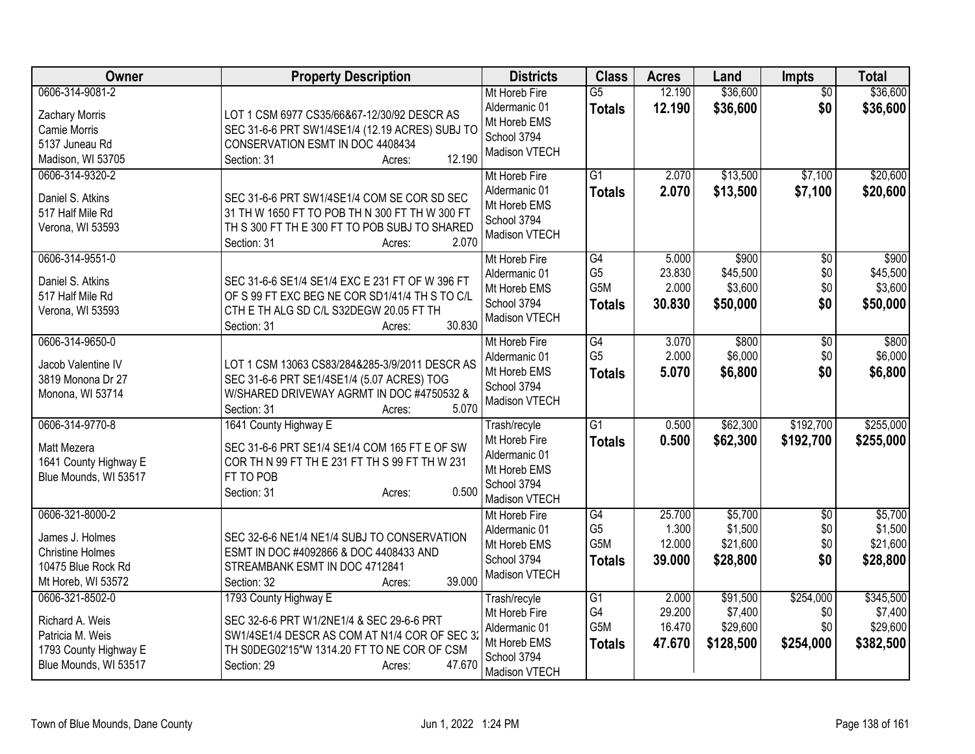| Owner                                                                                                     | <b>Property Description</b>                                                                                                                                                                           | <b>Districts</b>                                                                               | <b>Class</b>                                  | <b>Acres</b>                        | Land                                         | <b>Impts</b>                         | <b>Total</b>                                  |
|-----------------------------------------------------------------------------------------------------------|-------------------------------------------------------------------------------------------------------------------------------------------------------------------------------------------------------|------------------------------------------------------------------------------------------------|-----------------------------------------------|-------------------------------------|----------------------------------------------|--------------------------------------|-----------------------------------------------|
| 0606-314-9081-2<br>Zachary Morris<br>Camie Morris<br>5137 Juneau Rd<br>Madison, WI 53705                  | LOT 1 CSM 6977 CS35/66&67-12/30/92 DESCR AS<br>SEC 31-6-6 PRT SW1/4SE1/4 (12.19 ACRES) SUBJ TO<br>CONSERVATION ESMT IN DOC 4408434<br>12.190<br>Section: 31<br>Acres:                                 | Mt Horeb Fire<br>Aldermanic 01<br>Mt Horeb EMS<br>School 3794<br>Madison VTECH                 | $\overline{G5}$<br><b>Totals</b>              | 12.190<br>12.190                    | \$36,600<br>\$36,600                         | $\overline{50}$<br>\$0               | \$36,600<br>\$36,600                          |
| 0606-314-9320-2<br>Daniel S. Atkins<br>517 Half Mile Rd<br>Verona, WI 53593                               | SEC 31-6-6 PRT SW1/4SE1/4 COM SE COR SD SEC<br>31 TH W 1650 FT TO POB TH N 300 FT TH W 300 FT<br>TH S 300 FT TH E 300 FT TO POB SUBJ TO SHARED<br>2.070<br>Section: 31<br>Acres:                      | Mt Horeb Fire<br>Aldermanic 01<br>Mt Horeb EMS<br>School 3794<br>Madison VTECH                 | G1<br><b>Totals</b>                           | 2.070<br>2.070                      | \$13,500<br>\$13,500                         | \$7,100<br>\$7,100                   | \$20,600<br>\$20,600                          |
| 0606-314-9551-0<br>Daniel S. Atkins<br>517 Half Mile Rd<br>Verona, WI 53593                               | SEC 31-6-6 SE1/4 SE1/4 EXC E 231 FT OF W 396 FT<br>OF S 99 FT EXC BEG NE COR SD1/41/4 TH S TO C/L<br>CTH E TH ALG SD C/L S32DEGW 20.05 FT TH<br>30.830<br>Section: 31<br>Acres:                       | Mt Horeb Fire<br>Aldermanic 01<br>Mt Horeb EMS<br>School 3794<br>Madison VTECH                 | G4<br>G <sub>5</sub><br>G5M<br><b>Totals</b>  | 5.000<br>23.830<br>2.000<br>30.830  | \$900<br>\$45,500<br>\$3,600<br>\$50,000     | $\overline{50}$<br>\$0<br>\$0<br>\$0 | \$900<br>\$45,500<br>\$3,600<br>\$50,000      |
| 0606-314-9650-0<br>Jacob Valentine IV<br>3819 Monona Dr 27<br>Monona, WI 53714                            | LOT 1 CSM 13063 CS83/284&285-3/9/2011 DESCR AS<br>SEC 31-6-6 PRT SE1/4SE1/4 (5.07 ACRES) TOG<br>W/SHARED DRIVEWAY AGRMT IN DOC #4750532 &<br>5.070<br>Section: 31<br>Acres:                           | Mt Horeb Fire<br>Aldermanic 01<br>Mt Horeb EMS<br>School 3794<br>Madison VTECH                 | G4<br>G <sub>5</sub><br><b>Totals</b>         | 3.070<br>2.000<br>5.070             | \$800<br>\$6,000<br>\$6,800                  | \$0<br>\$0<br>\$0                    | \$800<br>\$6,000<br>\$6,800                   |
| 0606-314-9770-8<br>Matt Mezera<br>1641 County Highway E<br>Blue Mounds, WI 53517                          | 1641 County Highway E<br>SEC 31-6-6 PRT SE1/4 SE1/4 COM 165 FT E OF SW<br>COR TH N 99 FT TH E 231 FT TH S 99 FT TH W 231<br>FT TO POB<br>0.500<br>Section: 31<br>Acres:                               | Trash/recyle<br>Mt Horeb Fire<br>Aldermanic 01<br>Mt Horeb EMS<br>School 3794<br>Madison VTECH | $\overline{G1}$<br><b>Totals</b>              | 0.500<br>0.500                      | \$62,300<br>\$62,300                         | \$192,700<br>\$192,700               | \$255,000<br>\$255,000                        |
| 0606-321-8000-2<br>James J. Holmes<br><b>Christine Holmes</b><br>10475 Blue Rock Rd<br>Mt Horeb, WI 53572 | SEC 32-6-6 NE1/4 NE1/4 SUBJ TO CONSERVATION<br>ESMT IN DOC #4092866 & DOC 4408433 AND<br>STREAMBANK ESMT IN DOC 4712841<br>39.000<br>Section: 32<br>Acres:                                            | Mt Horeb Fire<br>Aldermanic 01<br>Mt Horeb EMS<br>School 3794<br>Madison VTECH                 | G4<br>G <sub>5</sub><br>G5M<br><b>Totals</b>  | 25.700<br>1.300<br>12.000<br>39.000 | \$5,700<br>\$1,500<br>\$21,600<br>\$28,800   | $\overline{50}$<br>\$0<br>\$0<br>\$0 | \$5,700<br>\$1,500<br>\$21,600<br>\$28,800    |
| 0606-321-8502-0<br>Richard A. Weis<br>Patricia M. Weis<br>1793 County Highway E<br>Blue Mounds, WI 53517  | 1793 County Highway E<br>SEC 32-6-6 PRT W1/2NE1/4 & SEC 29-6-6 PRT<br>SW1/4SE1/4 DESCR AS COM AT N1/4 COR OF SEC 3:<br>TH S0DEG02'15"W 1314.20 FT TO NE COR OF CSM<br>47.670<br>Section: 29<br>Acres: | Trash/recyle<br>Mt Horeb Fire<br>Aldermanic 01<br>Mt Horeb EMS<br>School 3794<br>Madison VTECH | $\overline{G1}$<br>G4<br>G5M<br><b>Totals</b> | 2.000<br>29.200<br>16.470<br>47.670 | \$91,500<br>\$7,400<br>\$29,600<br>\$128,500 | \$254,000<br>\$0<br>\$0<br>\$254,000 | \$345,500<br>\$7,400<br>\$29,600<br>\$382,500 |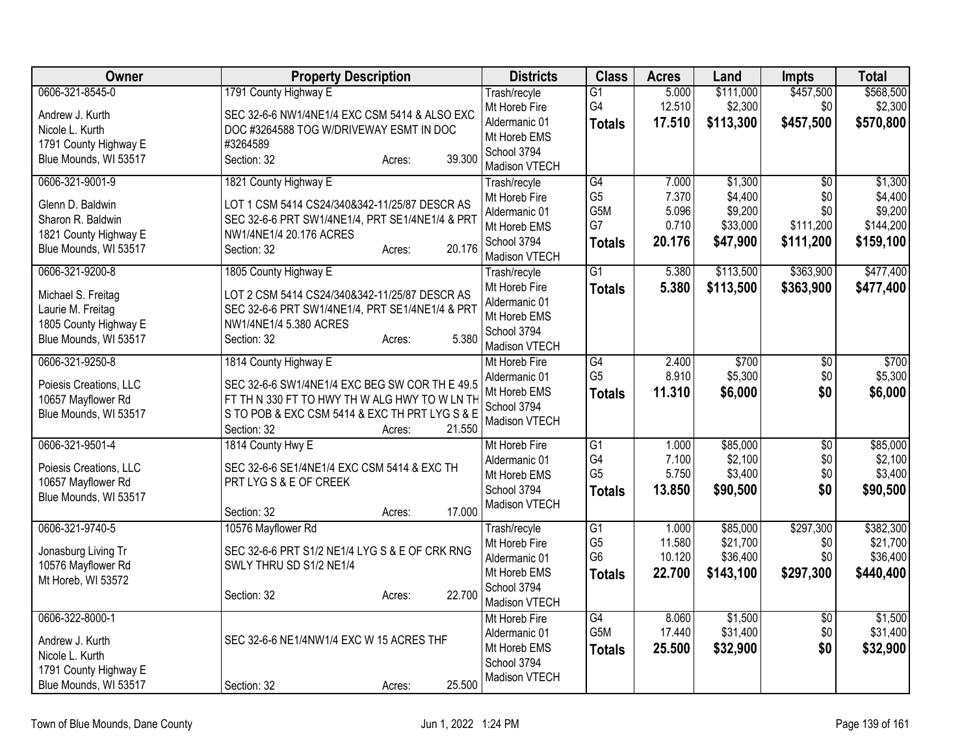| <b>Owner</b>                             | <b>Property Description</b>                              | <b>Districts</b>               | <b>Class</b>          | <b>Acres</b>    | Land                 | <b>Impts</b>     | <b>Total</b>         |
|------------------------------------------|----------------------------------------------------------|--------------------------------|-----------------------|-----------------|----------------------|------------------|----------------------|
| 0606-321-8545-0                          | 1791 County Highway E                                    | Trash/recyle<br>Mt Horeb Fire  | $\overline{G1}$<br>G4 | 5.000<br>12.510 | \$111,000<br>\$2,300 | \$457,500<br>\$0 | \$568,500<br>\$2,300 |
| Andrew J. Kurth                          | SEC 32-6-6 NW1/4NE1/4 EXC CSM 5414 & ALSO EXC            | Aldermanic 01                  | <b>Totals</b>         | 17.510          | \$113,300            | \$457,500        | \$570,800            |
| Nicole L. Kurth<br>1791 County Highway E | DOC #3264588 TOG W/DRIVEWAY ESMT IN DOC<br>#3264589      | Mt Horeb EMS                   |                       |                 |                      |                  |                      |
| Blue Mounds, WI 53517                    | Section: 32<br>39.300<br>Acres:                          | School 3794                    |                       |                 |                      |                  |                      |
|                                          |                                                          | Madison VTECH                  |                       |                 |                      |                  |                      |
| 0606-321-9001-9                          | 1821 County Highway E                                    | Trash/recyle                   | $\overline{G4}$       | 7.000           | \$1,300              | $\overline{50}$  | \$1,300              |
| Glenn D. Baldwin                         | LOT 1 CSM 5414 CS24/340&342-11/25/87 DESCR AS            | Mt Horeb Fire<br>Aldermanic 01 | G <sub>5</sub><br>G5M | 7.370<br>5.096  | \$4,400<br>\$9,200   | \$0<br>\$0       | \$4,400<br>\$9,200   |
| Sharon R. Baldwin                        | SEC 32-6-6 PRT SW1/4NE1/4, PRT SE1/4NE1/4 & PRT          | Mt Horeb EMS                   | G7                    | 0.710           | \$33,000             | \$111,200        | \$144,200            |
| 1821 County Highway E                    | NW1/4NE1/4 20.176 ACRES                                  | School 3794                    | <b>Totals</b>         | 20.176          | \$47,900             | \$111,200        | \$159,100            |
| Blue Mounds, WI 53517                    | 20.176<br>Section: 32<br>Acres:                          | Madison VTECH                  |                       |                 |                      |                  |                      |
| 0606-321-9200-8                          | 1805 County Highway E                                    | Trash/recyle                   | $\overline{G1}$       | 5.380           | \$113,500            | \$363,900        | \$477,400            |
| Michael S. Freitag                       | LOT 2 CSM 5414 CS24/340&342-11/25/87 DESCR AS            | Mt Horeb Fire                  | <b>Totals</b>         | 5.380           | \$113,500            | \$363,900        | \$477,400            |
| Laurie M. Freitag                        | SEC 32-6-6 PRT SW1/4NE1/4, PRT SE1/4NE1/4 & PRT          | Aldermanic 01                  |                       |                 |                      |                  |                      |
| 1805 County Highway E                    | NW1/4NE1/4 5.380 ACRES                                   | Mt Horeb EMS                   |                       |                 |                      |                  |                      |
| Blue Mounds, WI 53517                    | 5.380<br>Section: 32<br>Acres:                           | School 3794<br>Madison VTECH   |                       |                 |                      |                  |                      |
| 0606-321-9250-8                          | 1814 County Highway E                                    | Mt Horeb Fire                  | G4                    | 2.400           | \$700                | $\overline{50}$  | \$700                |
|                                          |                                                          | Aldermanic 01                  | G <sub>5</sub>        | 8.910           | \$5,300              | \$0              | \$5,300              |
| Poiesis Creations, LLC                   | SEC 32-6-6 SW1/4NE1/4 EXC BEG SW COR TH E 49.5           | Mt Horeb EMS                   | <b>Totals</b>         | 11.310          | \$6,000              | \$0              | \$6,000              |
| 10657 Mayflower Rd                       | FT TH N 330 FT TO HWY TH W ALG HWY TO W LN TH            | School 3794                    |                       |                 |                      |                  |                      |
| Blue Mounds, WI 53517                    | S TO POB & EXC CSM 5414 & EXC TH PRT LYG S & E<br>21.550 | Madison VTECH                  |                       |                 |                      |                  |                      |
| 0606-321-9501-4                          | Section: 32<br>Acres:<br>1814 County Hwy E               | Mt Horeb Fire                  | $\overline{G1}$       | 1.000           | \$85,000             | $\overline{50}$  | \$85,000             |
|                                          |                                                          | Aldermanic 01                  | G4                    | 7.100           | \$2,100              | \$0              | \$2,100              |
| Poiesis Creations, LLC                   | SEC 32-6-6 SE1/4NE1/4 EXC CSM 5414 & EXC TH              | Mt Horeb EMS                   | G <sub>5</sub>        | 5.750           | \$3,400              | \$0              | \$3,400              |
| 10657 Mayflower Rd                       | PRT LYG S & E OF CREEK                                   | School 3794                    | <b>Totals</b>         | 13.850          | \$90,500             | \$0              | \$90,500             |
| Blue Mounds, WI 53517                    | 17.000                                                   | Madison VTECH                  |                       |                 |                      |                  |                      |
| 0606-321-9740-5                          | Section: 32<br>Acres:<br>10576 Mayflower Rd              | Trash/recyle                   | $\overline{G1}$       | 1.000           | \$85,000             | \$297,300        | \$382,300            |
|                                          |                                                          | Mt Horeb Fire                  | G <sub>5</sub>        | 11.580          | \$21,700             | \$0              | \$21,700             |
| Jonasburg Living Tr                      | SEC 32-6-6 PRT S1/2 NE1/4 LYG S & E OF CRK RNG           | Aldermanic 01                  | G <sub>6</sub>        | 10.120          | \$36,400             | \$0              | \$36,400             |
| 10576 Mayflower Rd                       | SWLY THRU SD S1/2 NE1/4                                  | Mt Horeb EMS                   | <b>Totals</b>         | 22.700          | \$143,100            | \$297,300        | \$440,400            |
| Mt Horeb, WI 53572                       | 22.700<br>Section: 32                                    | School 3794                    |                       |                 |                      |                  |                      |
|                                          | Acres:                                                   | Madison VTECH                  |                       |                 |                      |                  |                      |
| 0606-322-8000-1                          |                                                          | Mt Horeb Fire                  | G4                    | 8.060           | \$1,500              | $\overline{50}$  | \$1,500              |
| Andrew J. Kurth                          | SEC 32-6-6 NE1/4NW1/4 EXC W 15 ACRES THF                 | Aldermanic 01                  | G5M                   | 17.440          | \$31,400             | \$0              | \$31,400             |
| Nicole L. Kurth                          |                                                          | Mt Horeb EMS                   | <b>Totals</b>         | 25.500          | \$32,900             | \$0              | \$32,900             |
| 1791 County Highway E                    |                                                          | School 3794<br>Madison VTECH   |                       |                 |                      |                  |                      |
| Blue Mounds, WI 53517                    | 25.500<br>Section: 32<br>Acres:                          |                                |                       |                 |                      |                  |                      |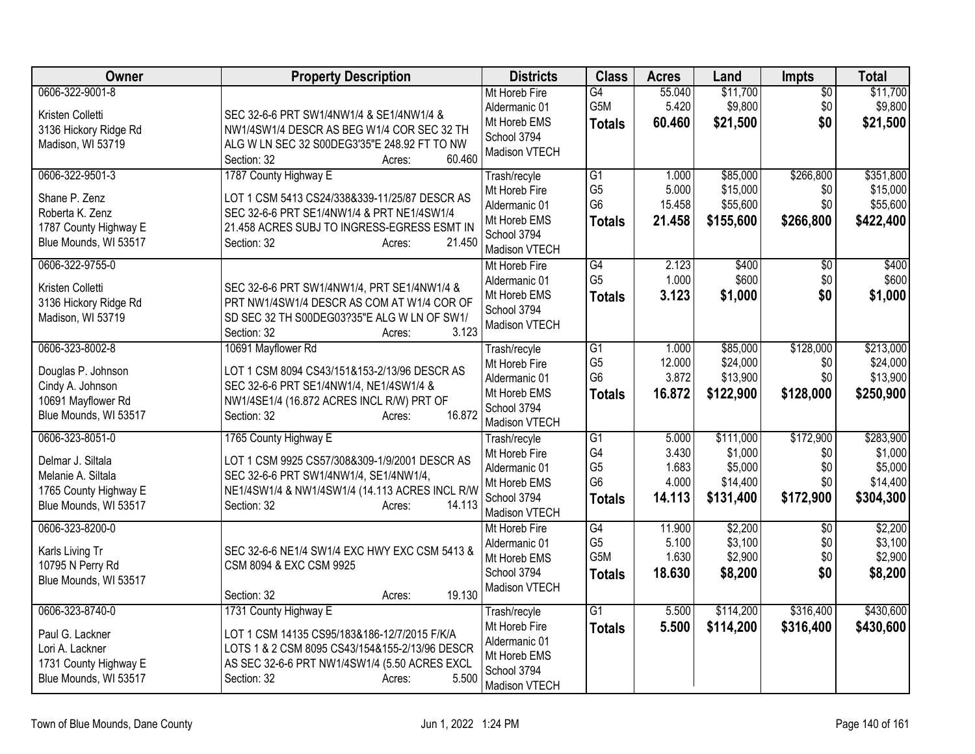| <b>Owner</b>                                                                                                 | <b>Property Description</b>                                                                                                                                                                                | <b>Districts</b>                                                                               | <b>Class</b>                                                               | <b>Acres</b>                               | Land                                                     | <b>Impts</b>                                | <b>Total</b>                                             |
|--------------------------------------------------------------------------------------------------------------|------------------------------------------------------------------------------------------------------------------------------------------------------------------------------------------------------------|------------------------------------------------------------------------------------------------|----------------------------------------------------------------------------|--------------------------------------------|----------------------------------------------------------|---------------------------------------------|----------------------------------------------------------|
| 0606-322-9001-8<br>Kristen Colletti<br>3136 Hickory Ridge Rd<br>Madison, WI 53719                            | SEC 32-6-6 PRT SW1/4NW1/4 & SE1/4NW1/4 &<br>NW1/4SW1/4 DESCR AS BEG W1/4 COR SEC 32 TH<br>ALG W LN SEC 32 S00DEG3'35"E 248.92 FT TO NW<br>60.460<br>Section: 32<br>Acres:                                  | Mt Horeb Fire<br>Aldermanic 01<br>Mt Horeb EMS<br>School 3794<br>Madison VTECH                 | G4<br>G <sub>5</sub> M<br><b>Totals</b>                                    | 55.040<br>5.420<br>60.460                  | \$11,700<br>\$9,800<br>\$21,500                          | $\overline{50}$<br>\$0<br>\$0               | \$11,700<br>\$9,800<br>\$21,500                          |
| 0606-322-9501-3<br>Shane P. Zenz<br>Roberta K. Zenz<br>1787 County Highway E<br>Blue Mounds, WI 53517        | 1787 County Highway E<br>LOT 1 CSM 5413 CS24/338&339-11/25/87 DESCR AS<br>SEC 32-6-6 PRT SE1/4NW1/4 & PRT NE1/4SW1/4<br>21.458 ACRES SUBJ TO INGRESS-EGRESS ESMT IN<br>21.450<br>Section: 32<br>Acres:     | Trash/recyle<br>Mt Horeb Fire<br>Aldermanic 01<br>Mt Horeb EMS<br>School 3794<br>Madison VTECH | G1<br>G <sub>5</sub><br>G <sub>6</sub><br><b>Totals</b>                    | 1.000<br>5.000<br>15.458<br>21.458         | \$85,000<br>\$15,000<br>\$55,600<br>\$155,600            | \$266,800<br>\$0<br>\$0<br>\$266,800        | \$351,800<br>\$15,000<br>\$55,600<br>\$422,400           |
| 0606-322-9755-0<br>Kristen Colletti<br>3136 Hickory Ridge Rd<br>Madison, WI 53719                            | SEC 32-6-6 PRT SW1/4NW1/4, PRT SE1/4NW1/4 &<br>PRT NW1/4SW1/4 DESCR AS COM AT W1/4 COR OF<br>SD SEC 32 TH S00DEG03?35"E ALG W LN OF SW1/<br>3.123<br>Section: 32<br>Acres:                                 | Mt Horeb Fire<br>Aldermanic 01<br>Mt Horeb EMS<br>School 3794<br>Madison VTECH                 | $\overline{G4}$<br>G <sub>5</sub><br><b>Totals</b>                         | 2.123<br>1.000<br>3.123                    | \$400<br>\$600<br>\$1,000                                | $\overline{50}$<br>\$0<br>\$0               | \$400<br>\$600<br>\$1,000                                |
| 0606-323-8002-8<br>Douglas P. Johnson<br>Cindy A. Johnson<br>10691 Mayflower Rd<br>Blue Mounds, WI 53517     | 10691 Mayflower Rd<br>LOT 1 CSM 8094 CS43/151&153-2/13/96 DESCR AS<br>SEC 32-6-6 PRT SE1/4NW1/4, NE1/4SW1/4 &<br>NW1/4SE1/4 (16.872 ACRES INCL R/W) PRT OF<br>16.872<br>Section: 32<br>Acres:              | Trash/recyle<br>Mt Horeb Fire<br>Aldermanic 01<br>Mt Horeb EMS<br>School 3794<br>Madison VTECH | $\overline{G1}$<br>G <sub>5</sub><br>G <sub>6</sub><br><b>Totals</b>       | 1.000<br>12.000<br>3.872<br>16.872         | \$85,000<br>\$24,000<br>\$13,900<br>\$122,900            | \$128,000<br>\$0<br>\$0<br>\$128,000        | \$213,000<br>\$24,000<br>\$13,900<br>\$250,900           |
| 0606-323-8051-0<br>Delmar J. Siltala<br>Melanie A. Siltala<br>1765 County Highway E<br>Blue Mounds, WI 53517 | 1765 County Highway E<br>LOT 1 CSM 9925 CS57/308&309-1/9/2001 DESCR AS<br>SEC 32-6-6 PRT SW1/4NW1/4, SE1/4NW1/4,<br>NE1/4SW1/4 & NW1/4SW1/4 (14.113 ACRES INCL R/W<br>14.113<br>Section: 32<br>Acres:      | Trash/recyle<br>Mt Horeb Fire<br>Aldermanic 01<br>Mt Horeb EMS<br>School 3794<br>Madison VTECH | $\overline{G1}$<br>G4<br>G <sub>5</sub><br>G <sub>6</sub><br><b>Totals</b> | 5.000<br>3.430<br>1.683<br>4.000<br>14.113 | \$111,000<br>\$1,000<br>\$5,000<br>\$14,400<br>\$131,400 | \$172,900<br>\$0<br>\$0<br>\$0<br>\$172,900 | \$283,900<br>\$1,000<br>\$5,000<br>\$14,400<br>\$304,300 |
| 0606-323-8200-0<br>Karls Living Tr<br>10795 N Perry Rd<br>Blue Mounds, WI 53517                              | SEC 32-6-6 NE1/4 SW1/4 EXC HWY EXC CSM 5413 &<br>CSM 8094 & EXC CSM 9925<br>19.130<br>Section: 32<br>Acres:                                                                                                | Mt Horeb Fire<br>Aldermanic 01<br>Mt Horeb EMS<br>School 3794<br>Madison VTECH                 | G4<br>G <sub>5</sub><br>G5M<br><b>Totals</b>                               | 11.900<br>5.100<br>1.630<br>18.630         | \$2,200<br>\$3,100<br>\$2,900<br>\$8,200                 | $\overline{50}$<br>\$0<br>\$0<br>\$0        | \$2,200<br>\$3,100<br>\$2,900<br>\$8,200                 |
| 0606-323-8740-0<br>Paul G. Lackner<br>Lori A. Lackner<br>1731 County Highway E<br>Blue Mounds, WI 53517      | 1731 County Highway E<br>LOT 1 CSM 14135 CS95/183&186-12/7/2015 F/K/A<br>LOTS 1 & 2 CSM 8095 CS43/154&155-2/13/96 DESCR<br>AS SEC 32-6-6 PRT NW1/4SW1/4 (5.50 ACRES EXCL<br>5.500<br>Section: 32<br>Acres: | Trash/recyle<br>Mt Horeb Fire<br>Aldermanic 01<br>Mt Horeb EMS<br>School 3794<br>Madison VTECH | $\overline{G1}$<br><b>Totals</b>                                           | 5.500<br>5.500                             | \$114,200<br>\$114,200                                   | \$316,400<br>\$316,400                      | \$430,600<br>\$430,600                                   |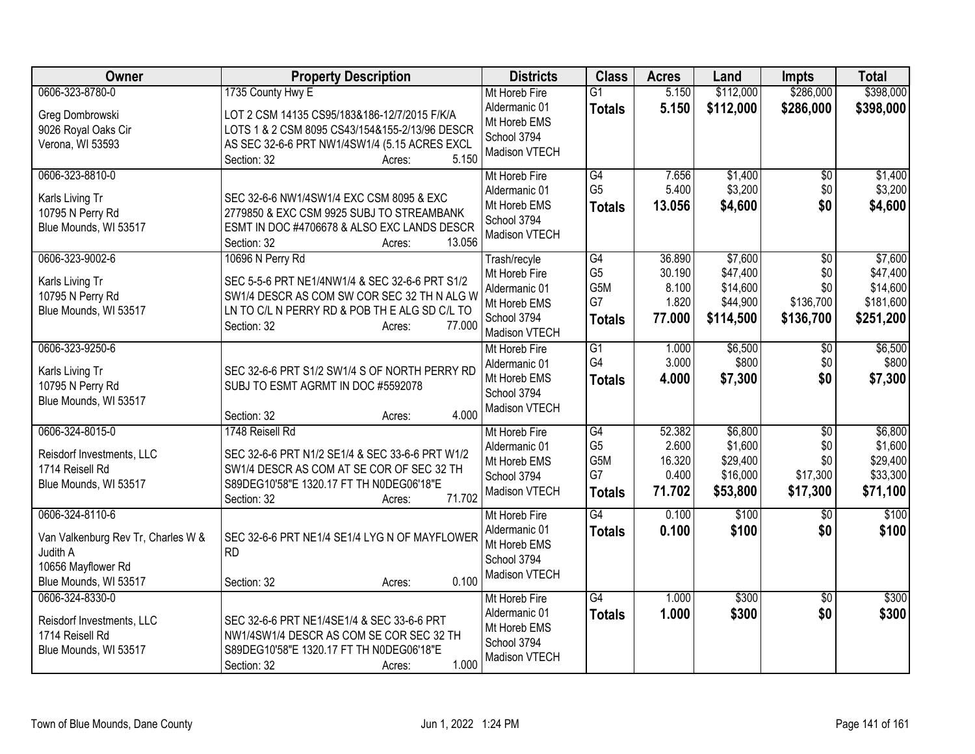| Owner                                  | <b>Property Description</b>                                                                    | <b>Districts</b>               | <b>Class</b>         | <b>Acres</b>    | Land                 | <b>Impts</b>     | <b>Total</b>          |
|----------------------------------------|------------------------------------------------------------------------------------------------|--------------------------------|----------------------|-----------------|----------------------|------------------|-----------------------|
| 0606-323-8780-0                        | 1735 County Hwy E                                                                              | Mt Horeb Fire                  | $\overline{G1}$      | 5.150           | \$112,000            | \$286,000        | \$398,000             |
| Greg Dombrowski<br>9026 Royal Oaks Cir | LOT 2 CSM 14135 CS95/183&186-12/7/2015 F/K/A<br>LOTS 1 & 2 CSM 8095 CS43/154&155-2/13/96 DESCR | Aldermanic 01<br>Mt Horeb EMS  | <b>Totals</b>        | 5.150           | \$112,000            | \$286,000        | \$398,000             |
| Verona, WI 53593                       | AS SEC 32-6-6 PRT NW1/4SW1/4 (5.15 ACRES EXCL<br>5.150<br>Section: 32<br>Acres:                | School 3794<br>Madison VTECH   |                      |                 |                      |                  |                       |
| 0606-323-8810-0                        |                                                                                                | Mt Horeb Fire<br>Aldermanic 01 | G4<br>G <sub>5</sub> | 7.656<br>5.400  | \$1,400<br>\$3,200   | \$0<br>\$0       | \$1,400<br>\$3,200    |
| Karls Living Tr                        | SEC 32-6-6 NW1/4SW1/4 EXC CSM 8095 & EXC                                                       | Mt Horeb EMS                   | <b>Totals</b>        | 13.056          | \$4,600              | \$0              | \$4,600               |
| 10795 N Perry Rd                       | 2779850 & EXC CSM 9925 SUBJ TO STREAMBANK                                                      | School 3794                    |                      |                 |                      |                  |                       |
| Blue Mounds, WI 53517                  | ESMT IN DOC #4706678 & ALSO EXC LANDS DESCR<br>13.056<br>Section: 32<br>Acres:                 | Madison VTECH                  |                      |                 |                      |                  |                       |
| 0606-323-9002-6                        | 10696 N Perry Rd                                                                               | Trash/recyle                   | G4                   | 36.890          | \$7,600              | $\overline{50}$  | \$7,600               |
| Karls Living Tr                        | SEC 5-5-6 PRT NE1/4NW1/4 & SEC 32-6-6 PRT S1/2                                                 | Mt Horeb Fire                  | G <sub>5</sub>       | 30.190          | \$47,400             | \$0              | \$47,400              |
| 10795 N Perry Rd                       | SW1/4 DESCR AS COM SW COR SEC 32 TH N ALG W                                                    | Aldermanic 01<br>Mt Horeb EMS  | G5M<br>G7            | 8.100<br>1.820  | \$14,600<br>\$44,900 | \$0<br>\$136,700 | \$14,600<br>\$181,600 |
| Blue Mounds, WI 53517                  | LN TO C/L N PERRY RD & POB TH E ALG SD C/L TO                                                  | School 3794                    | <b>Totals</b>        | 77.000          | \$114,500            | \$136,700        | \$251,200             |
|                                        | 77.000<br>Section: 32<br>Acres:                                                                | Madison VTECH                  |                      |                 |                      |                  |                       |
| 0606-323-9250-6                        |                                                                                                | Mt Horeb Fire                  | $\overline{G1}$      | 1.000           | \$6,500              | $\overline{50}$  | \$6,500               |
| Karls Living Tr                        | SEC 32-6-6 PRT S1/2 SW1/4 S OF NORTH PERRY RD                                                  | Aldermanic 01                  | G4                   | 3.000           | \$800                | \$0              | \$800                 |
| 10795 N Perry Rd                       | SUBJ TO ESMT AGRMT IN DOC #5592078                                                             | Mt Horeb EMS                   | <b>Totals</b>        | 4.000           | \$7,300              | \$0              | \$7,300               |
| Blue Mounds, WI 53517                  |                                                                                                | School 3794                    |                      |                 |                      |                  |                       |
|                                        | 4.000<br>Section: 32<br>Acres:                                                                 | Madison VTECH                  |                      |                 |                      |                  |                       |
| 0606-324-8015-0                        | 1748 Reisell Rd                                                                                | Mt Horeb Fire                  | G4                   | 52.382          | \$6,800              | \$0              | \$6,800               |
| Reisdorf Investments, LLC              | SEC 32-6-6 PRT N1/2 SE1/4 & SEC 33-6-6 PRT W1/2                                                | Aldermanic 01                  | G <sub>5</sub>       | 2.600           | \$1,600              | \$0              | \$1,600               |
| 1714 Reisell Rd                        | SW1/4 DESCR AS COM AT SE COR OF SEC 32 TH                                                      | Mt Horeb EMS<br>School 3794    | G5M<br>G7            | 16.320<br>0.400 | \$29,400<br>\$16,000 | \$0<br>\$17,300  | \$29,400<br>\$33,300  |
| Blue Mounds, WI 53517                  | S89DEG10'58"E 1320.17 FT TH N0DEG06'18"E                                                       | Madison VTECH                  | <b>Totals</b>        | 71.702          | \$53,800             | \$17,300         | \$71,100              |
|                                        | 71.702<br>Section: 32<br>Acres:                                                                |                                |                      |                 |                      |                  |                       |
| 0606-324-8110-6                        |                                                                                                | Mt Horeb Fire                  | G4                   | 0.100           | \$100                | $\overline{50}$  | \$100                 |
| Van Valkenburg Rev Tr, Charles W &     | SEC 32-6-6 PRT NE1/4 SE1/4 LYG N OF MAYFLOWER                                                  | Aldermanic 01<br>Mt Horeb EMS  | <b>Totals</b>        | 0.100           | \$100                | \$0              | \$100                 |
| Judith A                               | <b>RD</b>                                                                                      | School 3794                    |                      |                 |                      |                  |                       |
| 10656 Mayflower Rd                     |                                                                                                | Madison VTECH                  |                      |                 |                      |                  |                       |
| Blue Mounds, WI 53517                  | 0.100<br>Section: 32<br>Acres:                                                                 |                                |                      |                 |                      |                  |                       |
| 0606-324-8330-0                        |                                                                                                | Mt Horeb Fire<br>Aldermanic 01 | $\overline{G4}$      | 1.000           | \$300                | \$0              | \$300                 |
| Reisdorf Investments, LLC              | SEC 32-6-6 PRT NE1/4SE1/4 & SEC 33-6-6 PRT                                                     | Mt Horeb EMS                   | <b>Totals</b>        | 1.000           | \$300                | \$0              | \$300                 |
| 1714 Reisell Rd                        | NW1/4SW1/4 DESCR AS COM SE COR SEC 32 TH                                                       | School 3794                    |                      |                 |                      |                  |                       |
| Blue Mounds, WI 53517                  | S89DEG10'58"E 1320.17 FT TH N0DEG06'18"E                                                       | Madison VTECH                  |                      |                 |                      |                  |                       |
|                                        | 1.000<br>Section: 32<br>Acres:                                                                 |                                |                      |                 |                      |                  |                       |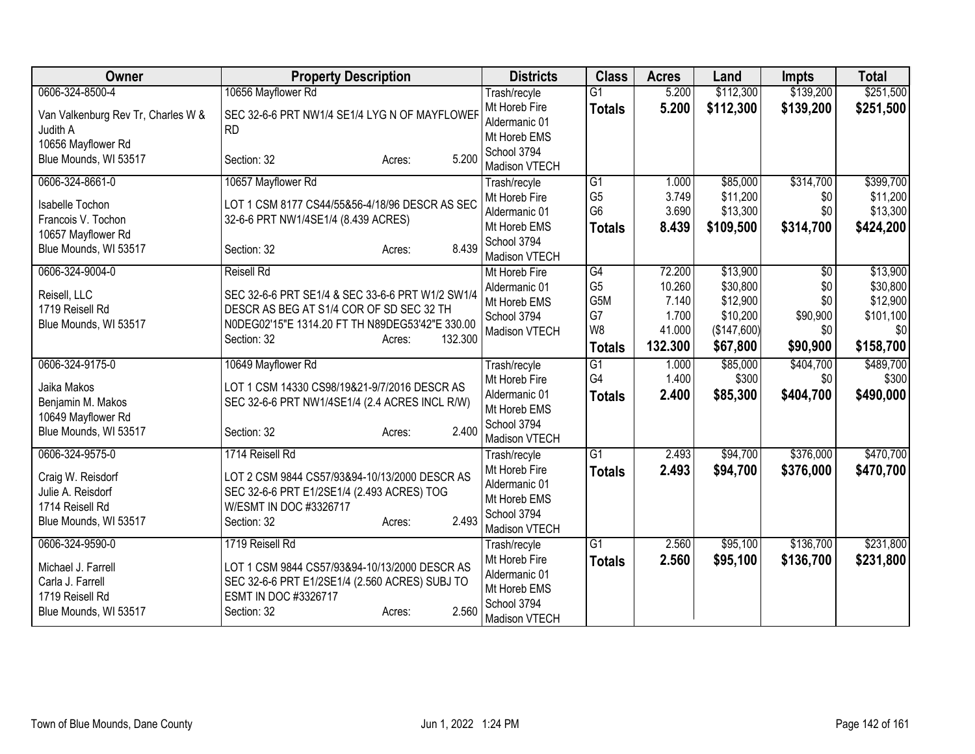| Owner                              | <b>Property Description</b>                      | <b>Districts</b>              | <b>Class</b>                     | <b>Acres</b>   | Land                 | <b>Impts</b> | <b>Total</b>         |
|------------------------------------|--------------------------------------------------|-------------------------------|----------------------------------|----------------|----------------------|--------------|----------------------|
| 0606-324-8500-4                    | 10656 Mayflower Rd                               | Trash/recyle                  | $\overline{G1}$                  | 5.200          | \$112,300            | \$139,200    | \$251,500            |
| Van Valkenburg Rev Tr, Charles W & | SEC 32-6-6 PRT NW1/4 SE1/4 LYG N OF MAYFLOWEF    | Mt Horeb Fire                 | <b>Totals</b>                    | 5.200          | \$112,300            | \$139,200    | \$251,500            |
| Judith A                           | <b>RD</b>                                        | Aldermanic 01                 |                                  |                |                      |              |                      |
| 10656 Mayflower Rd                 |                                                  | Mt Horeb EMS                  |                                  |                |                      |              |                      |
| Blue Mounds, WI 53517              | 5.200<br>Section: 32<br>Acres:                   | School 3794                   |                                  |                |                      |              |                      |
|                                    |                                                  | Madison VTECH                 |                                  |                |                      |              |                      |
| 0606-324-8661-0                    | 10657 Mayflower Rd                               | Trash/recyle                  | $\overline{G1}$                  | 1.000          | \$85,000             | \$314,700    | \$399,700            |
| Isabelle Tochon                    | LOT 1 CSM 8177 CS44/55&56-4/18/96 DESCR AS SEC   | Mt Horeb Fire                 | G <sub>5</sub><br>G <sub>6</sub> | 3.749<br>3.690 | \$11,200<br>\$13,300 | \$0<br>\$0   | \$11,200<br>\$13,300 |
| Francois V. Tochon                 | 32-6-6 PRT NW1/4SE1/4 (8.439 ACRES)              | Aldermanic 01<br>Mt Horeb EMS |                                  | 8.439          |                      |              |                      |
| 10657 Mayflower Rd                 |                                                  | School 3794                   | <b>Totals</b>                    |                | \$109,500            | \$314,700    | \$424,200            |
| Blue Mounds, WI 53517              | 8.439<br>Section: 32<br>Acres:                   | Madison VTECH                 |                                  |                |                      |              |                      |
| 0606-324-9004-0                    | <b>Reisell Rd</b>                                | Mt Horeb Fire                 | $\overline{G4}$                  | 72.200         | \$13,900             | \$0          | \$13,900             |
|                                    |                                                  | Aldermanic 01                 | G <sub>5</sub>                   | 10.260         | \$30,800             | \$0          | \$30,800             |
| Reisell, LLC                       | SEC 32-6-6 PRT SE1/4 & SEC 33-6-6 PRT W1/2 SW1/4 | Mt Horeb EMS                  | G5M                              | 7.140          | \$12,900             | \$0          | \$12,900             |
| 1719 Reisell Rd                    | DESCR AS BEG AT S1/4 COR OF SD SEC 32 TH         | School 3794                   | G7                               | 1.700          | \$10,200             | \$90,900     | \$101,100            |
| Blue Mounds, WI 53517              | N0DEG02'15"E 1314.20 FT TH N89DEG53'42"E 330.00  | Madison VTECH                 | W <sub>8</sub>                   | 41.000         | (\$147,600)          | \$0          | \$0                  |
|                                    | 132.300<br>Section: 32<br>Acres:                 |                               | <b>Totals</b>                    | 132.300        | \$67,800             | \$90,900     | \$158,700            |
| 0606-324-9175-0                    | 10649 Mayflower Rd                               | Trash/recyle                  | $\overline{G1}$                  | 1.000          | \$85,000             | \$404,700    | \$489,700            |
| Jaika Makos                        | LOT 1 CSM 14330 CS98/19&21-9/7/2016 DESCR AS     | Mt Horeb Fire                 | G <sub>4</sub>                   | 1.400          | \$300                | \$0          | \$300                |
| Benjamin M. Makos                  | SEC 32-6-6 PRT NW1/4SE1/4 (2.4 ACRES INCL R/W)   | Aldermanic 01                 | <b>Totals</b>                    | 2.400          | \$85,300             | \$404,700    | \$490,000            |
| 10649 Mayflower Rd                 |                                                  | Mt Horeb EMS                  |                                  |                |                      |              |                      |
| Blue Mounds, WI 53517              | 2.400<br>Section: 32<br>Acres:                   | School 3794                   |                                  |                |                      |              |                      |
|                                    |                                                  | Madison VTECH                 |                                  |                |                      |              |                      |
| 0606-324-9575-0                    | 1714 Reisell Rd                                  | Trash/recyle                  | $\overline{G1}$                  | 2.493          | \$94,700             | \$376,000    | \$470,700            |
| Craig W. Reisdorf                  | LOT 2 CSM 9844 CS57/93&94-10/13/2000 DESCR AS    | Mt Horeb Fire                 | <b>Totals</b>                    | 2.493          | \$94,700             | \$376,000    | \$470,700            |
| Julie A. Reisdorf                  | SEC 32-6-6 PRT E1/2SE1/4 (2.493 ACRES) TOG       | Aldermanic 01                 |                                  |                |                      |              |                      |
| 1714 Reisell Rd                    | W/ESMT IN DOC #3326717                           | Mt Horeb EMS                  |                                  |                |                      |              |                      |
| Blue Mounds, WI 53517              | 2.493<br>Section: 32<br>Acres:                   | School 3794                   |                                  |                |                      |              |                      |
| 0606-324-9590-0                    | 1719 Reisell Rd                                  | Madison VTECH<br>Trash/recyle | $\overline{G1}$                  | 2.560          | \$95,100             | \$136,700    | \$231,800            |
|                                    |                                                  | Mt Horeb Fire                 | <b>Totals</b>                    | 2.560          | \$95,100             | \$136,700    | \$231,800            |
| Michael J. Farrell                 | LOT 1 CSM 9844 CS57/93&94-10/13/2000 DESCR AS    | Aldermanic 01                 |                                  |                |                      |              |                      |
| Carla J. Farrell                   | SEC 32-6-6 PRT E1/2SE1/4 (2.560 ACRES) SUBJ TO   | Mt Horeb EMS                  |                                  |                |                      |              |                      |
| 1719 Reisell Rd                    | ESMT IN DOC #3326717                             | School 3794                   |                                  |                |                      |              |                      |
| Blue Mounds, WI 53517              | 2.560<br>Section: 32<br>Acres:                   | Madison VTECH                 |                                  |                |                      |              |                      |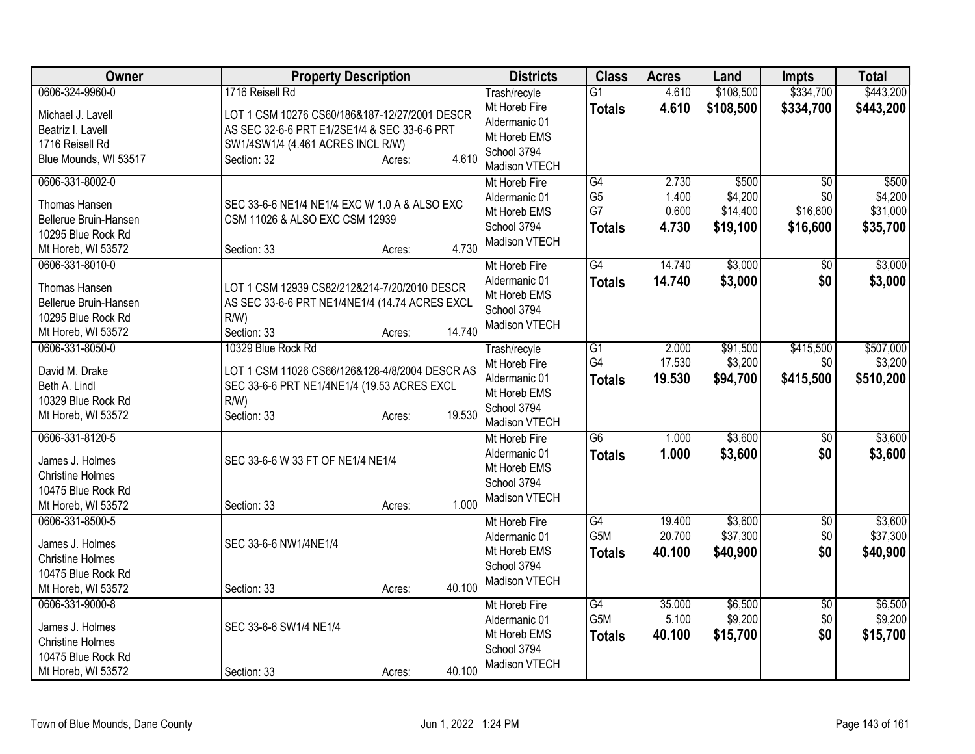| Owner                                                                                                     | <b>Property Description</b>                                                                                                                                                             | <b>Districts</b>                                                                               | <b>Class</b>                                | <b>Acres</b>                     | Land                                     | <b>Impts</b>                                   | <b>Total</b>                             |
|-----------------------------------------------------------------------------------------------------------|-----------------------------------------------------------------------------------------------------------------------------------------------------------------------------------------|------------------------------------------------------------------------------------------------|---------------------------------------------|----------------------------------|------------------------------------------|------------------------------------------------|------------------------------------------|
| 0606-324-9960-0<br>Michael J. Lavell<br>Beatriz I. Lavell<br>1716 Reisell Rd<br>Blue Mounds, WI 53517     | 1716 Reisell Rd<br>LOT 1 CSM 10276 CS60/186&187-12/27/2001 DESCR<br>AS SEC 32-6-6 PRT E1/2SE1/4 & SEC 33-6-6 PRT<br>SW1/4SW1/4 (4.461 ACRES INCL R/W)<br>4.610<br>Section: 32<br>Acres: | Trash/recyle<br>Mt Horeb Fire<br>Aldermanic 01<br>Mt Horeb EMS<br>School 3794<br>Madison VTECH | $\overline{G1}$<br><b>Totals</b>            | 4.610<br>4.610                   | \$108,500<br>\$108,500                   | \$334,700<br>\$334,700                         | \$443,200<br>\$443,200                   |
| 0606-331-8002-0<br>Thomas Hansen<br>Bellerue Bruin-Hansen<br>10295 Blue Rock Rd<br>Mt Horeb, WI 53572     | SEC 33-6-6 NE1/4 NE1/4 EXC W 1.0 A & ALSO EXC<br>CSM 11026 & ALSO EXC CSM 12939<br>4.730<br>Section: 33<br>Acres:                                                                       | Mt Horeb Fire<br>Aldermanic 01<br>Mt Horeb EMS<br>School 3794<br>Madison VTECH                 | G4<br>G <sub>5</sub><br>G7<br><b>Totals</b> | 2.730<br>1.400<br>0.600<br>4.730 | \$500<br>\$4,200<br>\$14,400<br>\$19,100 | $\overline{50}$<br>\$0<br>\$16,600<br>\$16,600 | \$500<br>\$4,200<br>\$31,000<br>\$35,700 |
| 0606-331-8010-0<br>Thomas Hansen<br>Bellerue Bruin-Hansen<br>10295 Blue Rock Rd<br>Mt Horeb, WI 53572     | LOT 1 CSM 12939 CS82/212&214-7/20/2010 DESCR<br>AS SEC 33-6-6 PRT NE1/4NE1/4 (14.74 ACRES EXCL<br>$R/W$ )<br>14.740<br>Section: 33<br>Acres:                                            | Mt Horeb Fire<br>Aldermanic 01<br>Mt Horeb EMS<br>School 3794<br>Madison VTECH                 | G4<br><b>Totals</b>                         | 14.740<br>14.740                 | \$3,000<br>\$3,000                       | $\overline{50}$<br>\$0                         | \$3,000<br>\$3,000                       |
| 0606-331-8050-0<br>David M. Drake<br>Beth A. Lindl<br>10329 Blue Rock Rd<br>Mt Horeb, WI 53572            | 10329 Blue Rock Rd<br>LOT 1 CSM 11026 CS66/126&128-4/8/2004 DESCR AS<br>SEC 33-6-6 PRT NE1/4NE1/4 (19.53 ACRES EXCL<br>$R/W$ )<br>19.530<br>Section: 33<br>Acres:                       | Trash/recyle<br>Mt Horeb Fire<br>Aldermanic 01<br>Mt Horeb EMS<br>School 3794<br>Madison VTECH | $\overline{G1}$<br>G4<br><b>Totals</b>      | 2.000<br>17.530<br>19.530        | \$91,500<br>\$3,200<br>\$94,700          | \$415,500<br>\$0<br>\$415,500                  | \$507,000<br>\$3,200<br>\$510,200        |
| 0606-331-8120-5<br>James J. Holmes<br><b>Christine Holmes</b><br>10475 Blue Rock Rd<br>Mt Horeb, WI 53572 | SEC 33-6-6 W 33 FT OF NE1/4 NE1/4<br>1.000<br>Section: 33<br>Acres:                                                                                                                     | Mt Horeb Fire<br>Aldermanic 01<br>Mt Horeb EMS<br>School 3794<br>Madison VTECH                 | $\overline{G6}$<br><b>Totals</b>            | 1.000<br>1.000                   | \$3,600<br>\$3,600                       | \$0<br>\$0                                     | \$3,600<br>\$3,600                       |
| 0606-331-8500-5<br>James J. Holmes<br><b>Christine Holmes</b><br>10475 Blue Rock Rd<br>Mt Horeb, WI 53572 | SEC 33-6-6 NW1/4NE1/4<br>40.100<br>Section: 33<br>Acres:                                                                                                                                | Mt Horeb Fire<br>Aldermanic 01<br>Mt Horeb EMS<br>School 3794<br>Madison VTECH                 | G4<br>G5M<br><b>Totals</b>                  | 19.400<br>20.700<br>40.100       | \$3,600<br>\$37,300<br>\$40,900          | $\sqrt{6}$<br>\$0<br>\$0                       | \$3,600<br>\$37,300<br>\$40,900          |
| 0606-331-9000-8<br>James J. Holmes<br><b>Christine Holmes</b><br>10475 Blue Rock Rd<br>Mt Horeb, WI 53572 | SEC 33-6-6 SW1/4 NE1/4<br>40.100<br>Section: 33<br>Acres:                                                                                                                               | Mt Horeb Fire<br>Aldermanic 01<br>Mt Horeb EMS<br>School 3794<br>Madison VTECH                 | G4<br>G5M<br><b>Totals</b>                  | 35.000<br>5.100<br>40.100        | \$6,500<br>\$9,200<br>\$15,700           | $\overline{60}$<br>\$0<br>\$0                  | \$6,500<br>\$9,200<br>\$15,700           |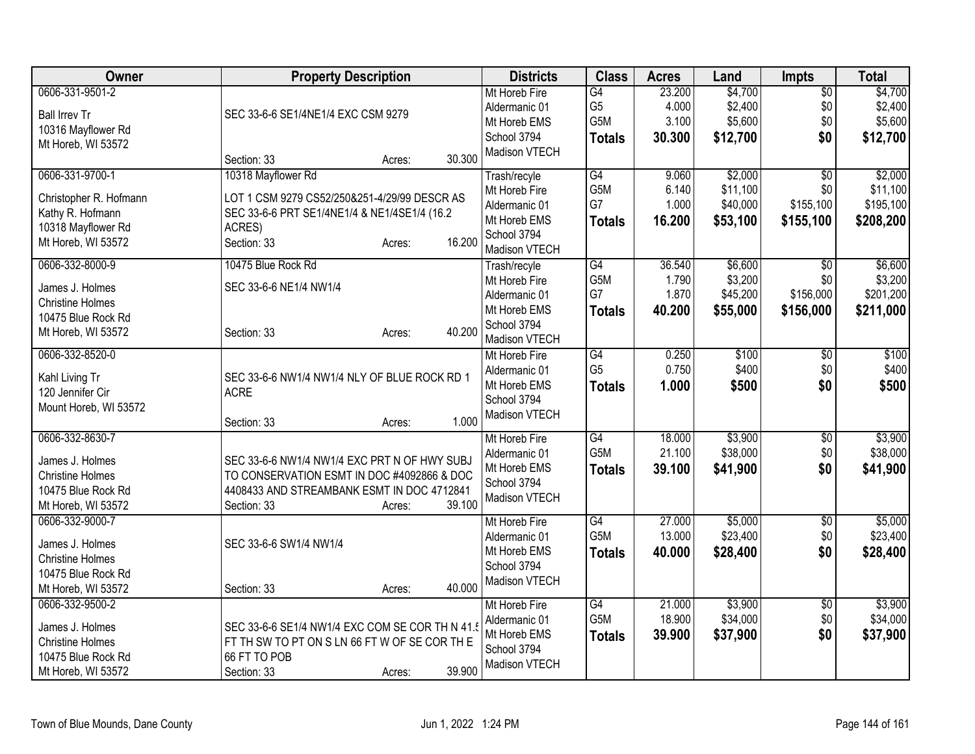| \$4,700<br>0606-331-9501-2<br>$\overline{G4}$<br>23.200<br>$\overline{50}$<br>Mt Horeb Fire<br>G <sub>5</sub><br>4.000<br>\$2,400<br>\$0<br>Aldermanic 01<br>SEC 33-6-6 SE1/4NE1/4 EXC CSM 9279<br><b>Ball Irrev Tr</b><br>G5M<br>3.100<br>\$5,600<br>\$5,600<br>\$0<br>Mt Horeb EMS<br>10316 Mayflower Rd<br>30.300<br>\$12,700<br>\$0<br>School 3794<br>\$12,700<br><b>Totals</b><br>Mt Horeb, WI 53572<br>Madison VTECH<br>30.300<br>Section: 33<br>Acres:<br>10318 Mayflower Rd<br>0606-331-9700-1<br>G4<br>9.060<br>\$2,000<br>Trash/recyle<br>\$0<br>G5M<br>6.140<br>\$11,100<br>\$0<br>Mt Horeb Fire<br>Christopher R. Hofmann<br>LOT 1 CSM 9279 CS52/250&251-4/29/99 DESCR AS<br>G7<br>\$155,100<br>1.000<br>\$40,000<br>Aldermanic 01<br>Kathy R. Hofmann<br>SEC 33-6-6 PRT SE1/4NE1/4 & NE1/4SE1/4 (16.2<br>16.200<br>\$53,100<br>\$155,100<br>Mt Horeb EMS<br><b>Totals</b><br>10318 Mayflower Rd<br>ACRES)<br>School 3794<br>16.200<br>Section: 33<br>Mt Horeb, WI 53572<br>Acres:<br>Madison VTECH<br>0606-332-8000-9<br>\$6,600<br>\$6,600<br>10475 Blue Rock Rd<br>G4<br>36.540<br>$\overline{50}$<br>Trash/recyle<br>G5M<br>1.790<br>\$3,200<br>\$0<br>\$3,200<br>Mt Horeb Fire<br>SEC 33-6-6 NE1/4 NW1/4<br>James J. Holmes<br>G7<br>1.870<br>\$45,200<br>\$156,000<br>\$201,200<br>Aldermanic 01<br><b>Christine Holmes</b><br>\$55,000<br>40.200<br>\$156,000<br>\$211,000<br>Mt Horeb EMS<br><b>Totals</b><br>10475 Blue Rock Rd<br>School 3794<br>40.200<br>Mt Horeb, WI 53572<br>Section: 33<br>Acres:<br>Madison VTECH<br>$\overline{G4}$<br>0.250<br>\$100<br>\$100<br>0606-332-8520-0<br>\$0<br>Mt Horeb Fire<br>G <sub>5</sub><br>0.750<br>\$400<br>\$400<br>\$0<br>Aldermanic 01<br>SEC 33-6-6 NW1/4 NW1/4 NLY OF BLUE ROCK RD 1<br>Kahl Living Tr<br>\$500<br>Mt Horeb EMS<br>1.000<br>\$500<br>\$0 | Owner            | <b>Property Description</b> | <b>Districts</b> | <b>Class</b>  | <b>Acres</b> | Land | <b>Impts</b> | <b>Total</b> |
|---------------------------------------------------------------------------------------------------------------------------------------------------------------------------------------------------------------------------------------------------------------------------------------------------------------------------------------------------------------------------------------------------------------------------------------------------------------------------------------------------------------------------------------------------------------------------------------------------------------------------------------------------------------------------------------------------------------------------------------------------------------------------------------------------------------------------------------------------------------------------------------------------------------------------------------------------------------------------------------------------------------------------------------------------------------------------------------------------------------------------------------------------------------------------------------------------------------------------------------------------------------------------------------------------------------------------------------------------------------------------------------------------------------------------------------------------------------------------------------------------------------------------------------------------------------------------------------------------------------------------------------------------------------------------------------------------------------------------------------------------------------------------------------------------------------------------------|------------------|-----------------------------|------------------|---------------|--------------|------|--------------|--------------|
|                                                                                                                                                                                                                                                                                                                                                                                                                                                                                                                                                                                                                                                                                                                                                                                                                                                                                                                                                                                                                                                                                                                                                                                                                                                                                                                                                                                                                                                                                                                                                                                                                                                                                                                                                                                                                                 |                  |                             |                  |               |              |      |              | \$4,700      |
|                                                                                                                                                                                                                                                                                                                                                                                                                                                                                                                                                                                                                                                                                                                                                                                                                                                                                                                                                                                                                                                                                                                                                                                                                                                                                                                                                                                                                                                                                                                                                                                                                                                                                                                                                                                                                                 |                  |                             |                  |               |              |      |              | \$2,400      |
|                                                                                                                                                                                                                                                                                                                                                                                                                                                                                                                                                                                                                                                                                                                                                                                                                                                                                                                                                                                                                                                                                                                                                                                                                                                                                                                                                                                                                                                                                                                                                                                                                                                                                                                                                                                                                                 |                  |                             |                  |               |              |      |              |              |
|                                                                                                                                                                                                                                                                                                                                                                                                                                                                                                                                                                                                                                                                                                                                                                                                                                                                                                                                                                                                                                                                                                                                                                                                                                                                                                                                                                                                                                                                                                                                                                                                                                                                                                                                                                                                                                 |                  |                             |                  |               |              |      |              |              |
|                                                                                                                                                                                                                                                                                                                                                                                                                                                                                                                                                                                                                                                                                                                                                                                                                                                                                                                                                                                                                                                                                                                                                                                                                                                                                                                                                                                                                                                                                                                                                                                                                                                                                                                                                                                                                                 |                  |                             |                  |               |              |      |              |              |
|                                                                                                                                                                                                                                                                                                                                                                                                                                                                                                                                                                                                                                                                                                                                                                                                                                                                                                                                                                                                                                                                                                                                                                                                                                                                                                                                                                                                                                                                                                                                                                                                                                                                                                                                                                                                                                 |                  |                             |                  |               |              |      |              | \$2,000      |
|                                                                                                                                                                                                                                                                                                                                                                                                                                                                                                                                                                                                                                                                                                                                                                                                                                                                                                                                                                                                                                                                                                                                                                                                                                                                                                                                                                                                                                                                                                                                                                                                                                                                                                                                                                                                                                 |                  |                             |                  |               |              |      |              | \$11,100     |
|                                                                                                                                                                                                                                                                                                                                                                                                                                                                                                                                                                                                                                                                                                                                                                                                                                                                                                                                                                                                                                                                                                                                                                                                                                                                                                                                                                                                                                                                                                                                                                                                                                                                                                                                                                                                                                 |                  |                             |                  |               |              |      |              | \$195,100    |
|                                                                                                                                                                                                                                                                                                                                                                                                                                                                                                                                                                                                                                                                                                                                                                                                                                                                                                                                                                                                                                                                                                                                                                                                                                                                                                                                                                                                                                                                                                                                                                                                                                                                                                                                                                                                                                 |                  |                             |                  |               |              |      |              | \$208,200    |
|                                                                                                                                                                                                                                                                                                                                                                                                                                                                                                                                                                                                                                                                                                                                                                                                                                                                                                                                                                                                                                                                                                                                                                                                                                                                                                                                                                                                                                                                                                                                                                                                                                                                                                                                                                                                                                 |                  |                             |                  |               |              |      |              |              |
|                                                                                                                                                                                                                                                                                                                                                                                                                                                                                                                                                                                                                                                                                                                                                                                                                                                                                                                                                                                                                                                                                                                                                                                                                                                                                                                                                                                                                                                                                                                                                                                                                                                                                                                                                                                                                                 |                  |                             |                  |               |              |      |              |              |
|                                                                                                                                                                                                                                                                                                                                                                                                                                                                                                                                                                                                                                                                                                                                                                                                                                                                                                                                                                                                                                                                                                                                                                                                                                                                                                                                                                                                                                                                                                                                                                                                                                                                                                                                                                                                                                 |                  |                             |                  |               |              |      |              |              |
|                                                                                                                                                                                                                                                                                                                                                                                                                                                                                                                                                                                                                                                                                                                                                                                                                                                                                                                                                                                                                                                                                                                                                                                                                                                                                                                                                                                                                                                                                                                                                                                                                                                                                                                                                                                                                                 |                  |                             |                  |               |              |      |              |              |
|                                                                                                                                                                                                                                                                                                                                                                                                                                                                                                                                                                                                                                                                                                                                                                                                                                                                                                                                                                                                                                                                                                                                                                                                                                                                                                                                                                                                                                                                                                                                                                                                                                                                                                                                                                                                                                 |                  |                             |                  |               |              |      |              |              |
|                                                                                                                                                                                                                                                                                                                                                                                                                                                                                                                                                                                                                                                                                                                                                                                                                                                                                                                                                                                                                                                                                                                                                                                                                                                                                                                                                                                                                                                                                                                                                                                                                                                                                                                                                                                                                                 |                  |                             |                  |               |              |      |              |              |
|                                                                                                                                                                                                                                                                                                                                                                                                                                                                                                                                                                                                                                                                                                                                                                                                                                                                                                                                                                                                                                                                                                                                                                                                                                                                                                                                                                                                                                                                                                                                                                                                                                                                                                                                                                                                                                 |                  |                             |                  |               |              |      |              |              |
|                                                                                                                                                                                                                                                                                                                                                                                                                                                                                                                                                                                                                                                                                                                                                                                                                                                                                                                                                                                                                                                                                                                                                                                                                                                                                                                                                                                                                                                                                                                                                                                                                                                                                                                                                                                                                                 |                  |                             |                  |               |              |      |              |              |
|                                                                                                                                                                                                                                                                                                                                                                                                                                                                                                                                                                                                                                                                                                                                                                                                                                                                                                                                                                                                                                                                                                                                                                                                                                                                                                                                                                                                                                                                                                                                                                                                                                                                                                                                                                                                                                 |                  |                             |                  |               |              |      |              |              |
|                                                                                                                                                                                                                                                                                                                                                                                                                                                                                                                                                                                                                                                                                                                                                                                                                                                                                                                                                                                                                                                                                                                                                                                                                                                                                                                                                                                                                                                                                                                                                                                                                                                                                                                                                                                                                                 |                  |                             |                  |               |              |      |              |              |
|                                                                                                                                                                                                                                                                                                                                                                                                                                                                                                                                                                                                                                                                                                                                                                                                                                                                                                                                                                                                                                                                                                                                                                                                                                                                                                                                                                                                                                                                                                                                                                                                                                                                                                                                                                                                                                 | 120 Jennifer Cir | <b>ACRE</b>                 |                  | <b>Totals</b> |              |      |              |              |
| School 3794<br>Mount Horeb, WI 53572                                                                                                                                                                                                                                                                                                                                                                                                                                                                                                                                                                                                                                                                                                                                                                                                                                                                                                                                                                                                                                                                                                                                                                                                                                                                                                                                                                                                                                                                                                                                                                                                                                                                                                                                                                                            |                  |                             |                  |               |              |      |              |              |
| Madison VTECH<br>1.000<br>Section: 33<br>Acres:                                                                                                                                                                                                                                                                                                                                                                                                                                                                                                                                                                                                                                                                                                                                                                                                                                                                                                                                                                                                                                                                                                                                                                                                                                                                                                                                                                                                                                                                                                                                                                                                                                                                                                                                                                                 |                  |                             |                  |               |              |      |              |              |
| 0606-332-8630-7<br>G4<br>18.000<br>\$3,900<br>Mt Horeb Fire<br>\$0                                                                                                                                                                                                                                                                                                                                                                                                                                                                                                                                                                                                                                                                                                                                                                                                                                                                                                                                                                                                                                                                                                                                                                                                                                                                                                                                                                                                                                                                                                                                                                                                                                                                                                                                                              |                  |                             |                  |               |              |      |              | \$3,900      |
| G5M<br>21.100<br>\$38,000<br>\$0<br>Aldermanic 01<br>James J. Holmes<br>SEC 33-6-6 NW1/4 NW1/4 EXC PRT N OF HWY SUBJ                                                                                                                                                                                                                                                                                                                                                                                                                                                                                                                                                                                                                                                                                                                                                                                                                                                                                                                                                                                                                                                                                                                                                                                                                                                                                                                                                                                                                                                                                                                                                                                                                                                                                                            |                  |                             |                  |               |              |      |              | \$38,000     |
| \$0<br>39.100<br>\$41,900<br>Mt Horeb EMS<br><b>Totals</b><br>TO CONSERVATION ESMT IN DOC #4092866 & DOC<br><b>Christine Holmes</b>                                                                                                                                                                                                                                                                                                                                                                                                                                                                                                                                                                                                                                                                                                                                                                                                                                                                                                                                                                                                                                                                                                                                                                                                                                                                                                                                                                                                                                                                                                                                                                                                                                                                                             |                  |                             |                  |               |              |      |              | \$41,900     |
| School 3794<br>4408433 AND STREAMBANK ESMT IN DOC 4712841<br>10475 Blue Rock Rd                                                                                                                                                                                                                                                                                                                                                                                                                                                                                                                                                                                                                                                                                                                                                                                                                                                                                                                                                                                                                                                                                                                                                                                                                                                                                                                                                                                                                                                                                                                                                                                                                                                                                                                                                 |                  |                             |                  |               |              |      |              |              |
| Madison VTECH<br>39.100<br>Mt Horeb, WI 53572<br>Section: 33<br>Acres:                                                                                                                                                                                                                                                                                                                                                                                                                                                                                                                                                                                                                                                                                                                                                                                                                                                                                                                                                                                                                                                                                                                                                                                                                                                                                                                                                                                                                                                                                                                                                                                                                                                                                                                                                          |                  |                             |                  |               |              |      |              |              |
| 0606-332-9000-7<br>27.000<br>\$5,000<br>G4<br>$\overline{50}$<br>Mt Horeb Fire                                                                                                                                                                                                                                                                                                                                                                                                                                                                                                                                                                                                                                                                                                                                                                                                                                                                                                                                                                                                                                                                                                                                                                                                                                                                                                                                                                                                                                                                                                                                                                                                                                                                                                                                                  |                  |                             |                  |               |              |      |              | \$5,000      |
| G5M<br>13.000<br>\$23,400<br>\$0<br>Aldermanic 01                                                                                                                                                                                                                                                                                                                                                                                                                                                                                                                                                                                                                                                                                                                                                                                                                                                                                                                                                                                                                                                                                                                                                                                                                                                                                                                                                                                                                                                                                                                                                                                                                                                                                                                                                                               |                  |                             |                  |               |              |      |              | \$23,400     |
| SEC 33-6-6 SW1/4 NW1/4<br>James J. Holmes<br>\$28,400<br>\$0<br>Mt Horeb EMS<br>40.000<br><b>Totals</b>                                                                                                                                                                                                                                                                                                                                                                                                                                                                                                                                                                                                                                                                                                                                                                                                                                                                                                                                                                                                                                                                                                                                                                                                                                                                                                                                                                                                                                                                                                                                                                                                                                                                                                                         |                  |                             |                  |               |              |      |              | \$28,400     |
| <b>Christine Holmes</b><br>School 3794                                                                                                                                                                                                                                                                                                                                                                                                                                                                                                                                                                                                                                                                                                                                                                                                                                                                                                                                                                                                                                                                                                                                                                                                                                                                                                                                                                                                                                                                                                                                                                                                                                                                                                                                                                                          |                  |                             |                  |               |              |      |              |              |
| 10475 Blue Rock Rd<br>Madison VTECH                                                                                                                                                                                                                                                                                                                                                                                                                                                                                                                                                                                                                                                                                                                                                                                                                                                                                                                                                                                                                                                                                                                                                                                                                                                                                                                                                                                                                                                                                                                                                                                                                                                                                                                                                                                             |                  |                             |                  |               |              |      |              |              |
| 40.000<br>Mt Horeb, WI 53572<br>Section: 33<br>Acres:                                                                                                                                                                                                                                                                                                                                                                                                                                                                                                                                                                                                                                                                                                                                                                                                                                                                                                                                                                                                                                                                                                                                                                                                                                                                                                                                                                                                                                                                                                                                                                                                                                                                                                                                                                           |                  |                             |                  |               |              |      |              |              |
| \$3,900<br>0606-332-9500-2<br>G4<br>21.000<br>Mt Horeb Fire<br>$\sqrt{6}$                                                                                                                                                                                                                                                                                                                                                                                                                                                                                                                                                                                                                                                                                                                                                                                                                                                                                                                                                                                                                                                                                                                                                                                                                                                                                                                                                                                                                                                                                                                                                                                                                                                                                                                                                       |                  |                             |                  |               |              |      |              | \$3,900      |
| G5M<br>18.900<br>\$34,000<br>\$0<br>Aldermanic 01<br>SEC 33-6-6 SE1/4 NW1/4 EXC COM SE COR TH N 41.<br>James J. Holmes                                                                                                                                                                                                                                                                                                                                                                                                                                                                                                                                                                                                                                                                                                                                                                                                                                                                                                                                                                                                                                                                                                                                                                                                                                                                                                                                                                                                                                                                                                                                                                                                                                                                                                          |                  |                             |                  |               |              |      |              | \$34,000     |
| \$0<br>Mt Horeb EMS<br>39.900<br>\$37,900<br><b>Totals</b><br>FT TH SW TO PT ON S LN 66 FT W OF SE COR TH E<br><b>Christine Holmes</b>                                                                                                                                                                                                                                                                                                                                                                                                                                                                                                                                                                                                                                                                                                                                                                                                                                                                                                                                                                                                                                                                                                                                                                                                                                                                                                                                                                                                                                                                                                                                                                                                                                                                                          |                  |                             |                  |               |              |      |              | \$37,900     |
| School 3794<br>66 FT TO POB<br>10475 Blue Rock Rd                                                                                                                                                                                                                                                                                                                                                                                                                                                                                                                                                                                                                                                                                                                                                                                                                                                                                                                                                                                                                                                                                                                                                                                                                                                                                                                                                                                                                                                                                                                                                                                                                                                                                                                                                                               |                  |                             |                  |               |              |      |              |              |
| Madison VTECH<br>39.900<br>Mt Horeb, WI 53572<br>Section: 33<br>Acres:                                                                                                                                                                                                                                                                                                                                                                                                                                                                                                                                                                                                                                                                                                                                                                                                                                                                                                                                                                                                                                                                                                                                                                                                                                                                                                                                                                                                                                                                                                                                                                                                                                                                                                                                                          |                  |                             |                  |               |              |      |              |              |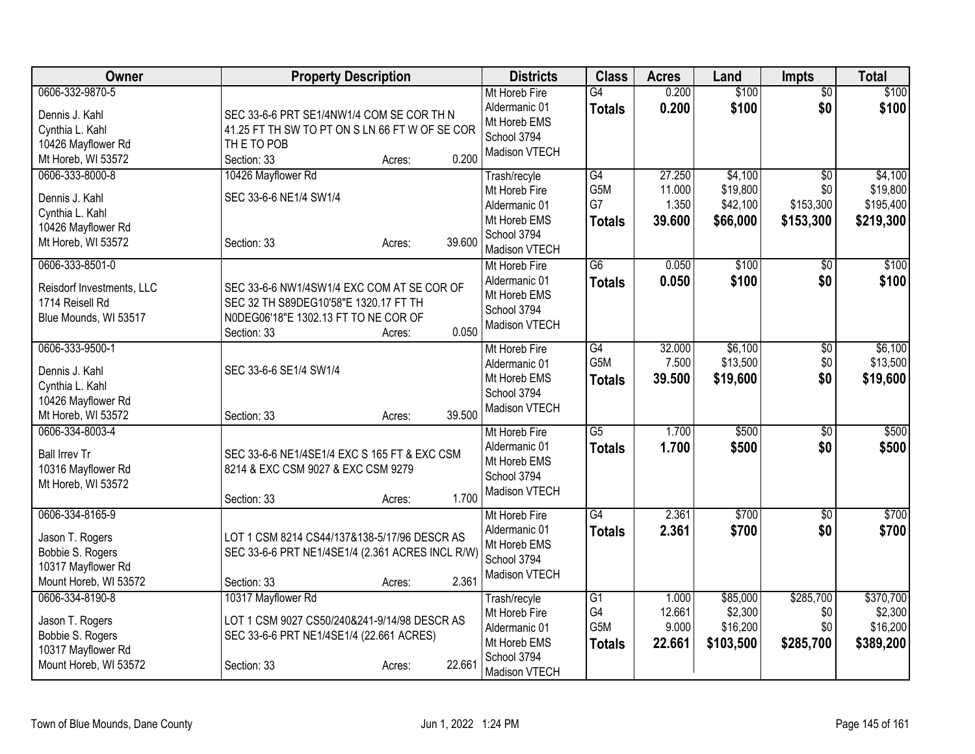| Owner                                                                                                 | <b>Property Description</b>                                                                                                                                   | <b>Districts</b>                                                                               | <b>Class</b>                                  | <b>Acres</b>                        | Land                                         | <b>Impts</b>                         | <b>Total</b>                                  |
|-------------------------------------------------------------------------------------------------------|---------------------------------------------------------------------------------------------------------------------------------------------------------------|------------------------------------------------------------------------------------------------|-----------------------------------------------|-------------------------------------|----------------------------------------------|--------------------------------------|-----------------------------------------------|
| 0606-332-9870-5<br>Dennis J. Kahl<br>Cynthia L. Kahl<br>10426 Mayflower Rd<br>Mt Horeb, WI 53572      | SEC 33-6-6 PRT SE1/4NW1/4 COM SE COR TH N<br>41.25 FT TH SW TO PT ON S LN 66 FT W OF SE COR<br>THE TO POB<br>0.200<br>Section: 33<br>Acres:                   | Mt Horeb Fire<br>Aldermanic 01<br>Mt Horeb EMS<br>School 3794<br>Madison VTECH                 | $\overline{G4}$<br><b>Totals</b>              | 0.200<br>0.200                      | \$100<br>\$100                               | $\overline{50}$<br>\$0               | \$100<br>\$100                                |
| 0606-333-8000-8<br>Dennis J. Kahl<br>Cynthia L. Kahl<br>10426 Mayflower Rd<br>Mt Horeb, WI 53572      | 10426 Mayflower Rd<br>SEC 33-6-6 NE1/4 SW1/4<br>39.600<br>Section: 33<br>Acres:                                                                               | Trash/recyle<br>Mt Horeb Fire<br>Aldermanic 01<br>Mt Horeb EMS<br>School 3794<br>Madison VTECH | G4<br>G5M<br>G7<br><b>Totals</b>              | 27.250<br>11.000<br>1.350<br>39.600 | \$4,100<br>\$19,800<br>\$42,100<br>\$66,000  | \$0<br>\$0<br>\$153,300<br>\$153,300 | \$4,100<br>\$19,800<br>\$195,400<br>\$219,300 |
| 0606-333-8501-0<br>Reisdorf Investments, LLC<br>1714 Reisell Rd<br>Blue Mounds, WI 53517              | SEC 33-6-6 NW1/4SW1/4 EXC COM AT SE COR OF<br>SEC 32 TH S89DEG10'58"E 1320.17 FT TH<br>N0DEG06'18"E 1302.13 FT TO NE COR OF<br>0.050<br>Section: 33<br>Acres: | Mt Horeb Fire<br>Aldermanic 01<br>Mt Horeb EMS<br>School 3794<br>Madison VTECH                 | $\overline{G6}$<br><b>Totals</b>              | 0.050<br>0.050                      | \$100<br>\$100                               | $\overline{50}$<br>\$0               | \$100<br>\$100                                |
| 0606-333-9500-1<br>Dennis J. Kahl<br>Cynthia L. Kahl<br>10426 Mayflower Rd<br>Mt Horeb, WI 53572      | SEC 33-6-6 SE1/4 SW1/4<br>39.500<br>Section: 33<br>Acres:                                                                                                     | Mt Horeb Fire<br>Aldermanic 01<br>Mt Horeb EMS<br>School 3794<br>Madison VTECH                 | G4<br>G5M<br><b>Totals</b>                    | 32.000<br>7.500<br>39.500           | \$6,100<br>\$13,500<br>\$19,600              | $\overline{50}$<br>\$0<br>\$0        | \$6,100<br>\$13,500<br>\$19,600               |
| 0606-334-8003-4<br><b>Ball Irrev Tr</b><br>10316 Mayflower Rd<br>Mt Horeb, WI 53572                   | SEC 33-6-6 NE1/4SE1/4 EXC S 165 FT & EXC CSM<br>8214 & EXC CSM 9027 & EXC CSM 9279<br>1.700<br>Section: 33<br>Acres:                                          | Mt Horeb Fire<br>Aldermanic 01<br>Mt Horeb EMS<br>School 3794<br>Madison VTECH                 | $\overline{G5}$<br><b>Totals</b>              | 1.700<br>1.700                      | \$500<br>\$500                               | $\overline{50}$<br>\$0               | \$500<br>\$500                                |
| 0606-334-8165-9<br>Jason T. Rogers<br>Bobbie S. Rogers<br>10317 Mayflower Rd<br>Mount Horeb, WI 53572 | LOT 1 CSM 8214 CS44/137&138-5/17/96 DESCR AS<br>SEC 33-6-6 PRT NE1/4SE1/4 (2.361 ACRES INCL R/W)<br>2.361<br>Section: 33<br>Acres:                            | Mt Horeb Fire<br>Aldermanic 01<br>Mt Horeb EMS<br>School 3794<br>Madison VTECH                 | $\overline{G4}$<br><b>Totals</b>              | 2.361<br>2.361                      | \$700<br>\$700                               | $\overline{30}$<br>\$0               | \$700<br>\$700                                |
| 0606-334-8190-8<br>Jason T. Rogers<br>Bobbie S. Rogers<br>10317 Mayflower Rd<br>Mount Horeb, WI 53572 | 10317 Mayflower Rd<br>LOT 1 CSM 9027 CS50/240&241-9/14/98 DESCR AS<br>SEC 33-6-6 PRT NE1/4SE1/4 (22.661 ACRES)<br>22.661<br>Section: 33<br>Acres:             | Trash/recyle<br>Mt Horeb Fire<br>Aldermanic 01<br>Mt Horeb EMS<br>School 3794<br>Madison VTECH | $\overline{G1}$<br>G4<br>G5M<br><b>Totals</b> | 1.000<br>12.661<br>9.000<br>22.661  | \$85,000<br>\$2,300<br>\$16,200<br>\$103,500 | \$285,700<br>\$0<br>\$0<br>\$285,700 | \$370,700<br>\$2,300<br>\$16,200<br>\$389,200 |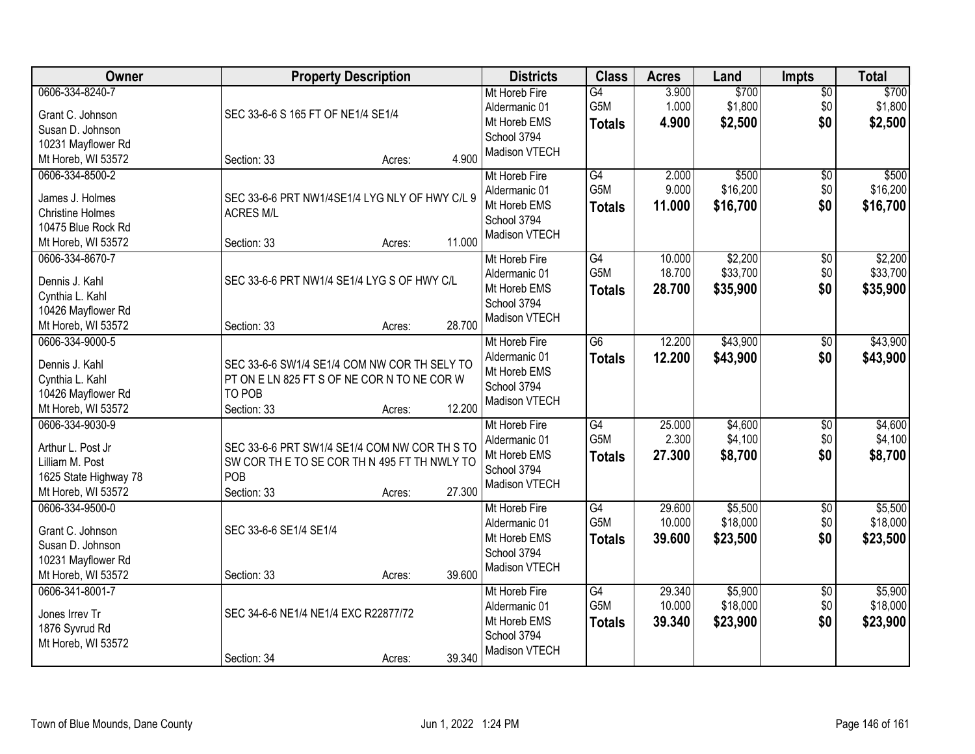| \$700<br>0606-334-8240-7<br>3.900<br>Mt Horeb Fire<br>$\overline{G4}$<br>$\overline{50}$                                                                    |          |
|-------------------------------------------------------------------------------------------------------------------------------------------------------------|----------|
|                                                                                                                                                             | \$700    |
| G5M<br>1.000<br>\$1,800<br>\$0<br>Aldermanic 01<br>SEC 33-6-6 S 165 FT OF NE1/4 SE1/4<br>Grant C. Johnson                                                   | \$1,800  |
| Mt Horeb EMS<br>4.900<br>\$2,500<br>\$0<br><b>Totals</b><br>Susan D. Johnson                                                                                | \$2,500  |
| School 3794<br>10231 Mayflower Rd                                                                                                                           |          |
| Madison VTECH<br>4.900<br>Mt Horeb, WI 53572<br>Section: 33<br>Acres:                                                                                       |          |
| \$500<br>0606-334-8500-2<br>G4<br>2.000<br>Mt Horeb Fire<br>\$0                                                                                             | \$500    |
| G <sub>5</sub> M<br>9.000<br>\$16,200<br>\$0<br>Aldermanic 01<br>James J. Holmes                                                                            | \$16,200 |
| SEC 33-6-6 PRT NW1/4SE1/4 LYG NLY OF HWY C/L 9<br>\$0<br>Mt Horeb EMS<br>11.000<br>\$16,700<br><b>Totals</b><br><b>Christine Holmes</b><br><b>ACRES M/L</b> | \$16,700 |
| School 3794<br>10475 Blue Rock Rd                                                                                                                           |          |
| Madison VTECH<br>11.000<br>Section: 33<br>Mt Horeb, WI 53572<br>Acres:                                                                                      |          |
| \$2,200<br>0606-334-8670-7<br>Mt Horeb Fire<br>G4<br>10.000<br>$\overline{50}$                                                                              | \$2,200  |
| G <sub>5</sub> M<br>18.700<br>\$33,700<br>\$0<br>Aldermanic 01                                                                                              | \$33,700 |
| SEC 33-6-6 PRT NW1/4 SE1/4 LYG S OF HWY C/L<br>Dennis J. Kahl<br>Mt Horeb EMS<br>28.700<br>\$35,900<br>\$0<br>Totals                                        | \$35,900 |
| Cynthia L. Kahl<br>School 3794                                                                                                                              |          |
| 10426 Mayflower Rd<br>Madison VTECH                                                                                                                         |          |
| 28.700<br>Mt Horeb, WI 53572<br>Section: 33<br>Acres:                                                                                                       |          |
| \$43,900<br>0606-334-9000-5<br>$\overline{G6}$<br>12.200<br>Mt Horeb Fire<br>\$0                                                                            | \$43,900 |
| \$0<br>Aldermanic 01<br>12.200<br>\$43,900<br><b>Totals</b><br>Dennis J. Kahl<br>SEC 33-6-6 SW1/4 SE1/4 COM NW COR TH SELY TO                               | \$43,900 |
| Mt Horeb EMS<br>Cynthia L. Kahl<br>PT ON E LN 825 FT S OF NE COR N TO NE COR W                                                                              |          |
| School 3794<br>TO POB<br>10426 Mayflower Rd                                                                                                                 |          |
| Madison VTECH<br>Mt Horeb, WI 53572<br>Section: 33<br>12.200<br>Acres:                                                                                      |          |
| $\overline{G4}$<br>25.000<br>\$4,600<br>0606-334-9030-9<br>Mt Horeb Fire<br>\$0                                                                             | \$4,600  |
| G <sub>5</sub> M<br>2.300<br>\$4,100<br>\$0<br>Aldermanic 01                                                                                                | \$4,100  |
| Arthur L. Post Jr<br>SEC 33-6-6 PRT SW1/4 SE1/4 COM NW COR TH S TO<br>27.300<br>\$0<br>Mt Horeb EMS<br>\$8,700<br><b>Totals</b>                             | \$8,700  |
| Lilliam M. Post<br>SW COR THE TO SE COR THN 495 FT THNWLY TO<br>School 3794<br>POB                                                                          |          |
| 1625 State Highway 78<br>Madison VTECH<br>27.300                                                                                                            |          |
| Mt Horeb, WI 53572<br>Section: 33<br>Acres:<br>G4<br>\$5,500<br>0606-334-9500-0<br>29.600                                                                   | \$5,500  |
| $\overline{60}$<br>Mt Horeb Fire<br>G5M<br>\$18,000<br>10.000<br>\$0<br>Aldermanic 01                                                                       | \$18,000 |
| Grant C. Johnson<br>SEC 33-6-6 SE1/4 SE1/4<br>Mt Horeb EMS<br>39.600<br>\$0                                                                                 |          |
| \$23,500<br><b>Totals</b><br>Susan D. Johnson<br>School 3794                                                                                                | \$23,500 |
| 10231 Mayflower Rd<br>Madison VTECH                                                                                                                         |          |
| 39.600<br>Mt Horeb, WI 53572<br>Section: 33<br>Acres:                                                                                                       |          |
| 0606-341-8001-7<br>G4<br>\$5,900<br>Mt Horeb Fire<br>29.340<br>\$0                                                                                          | \$5,900  |
| G5M<br>10.000<br>\$18,000<br>\$0<br>Aldermanic 01<br>SEC 34-6-6 NE1/4 NE1/4 EXC R22877/72<br>Jones Irrev Tr                                                 | \$18,000 |
| \$0<br>Mt Horeb EMS<br>39.340<br>\$23,900<br><b>Totals</b><br>1876 Syvrud Rd                                                                                | \$23,900 |
| School 3794<br>Mt Horeb, WI 53572                                                                                                                           |          |
| Madison VTECH<br>39.340<br>Section: 34<br>Acres:                                                                                                            |          |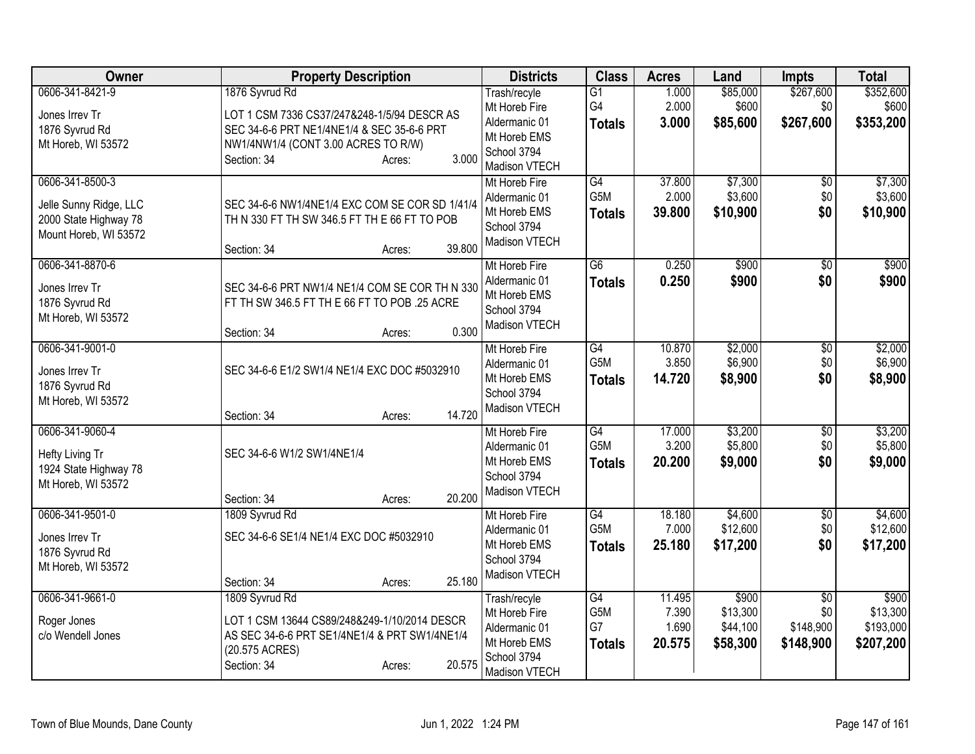| Owner                                                                                       | <b>Property Description</b>                                                                                                                                                          | <b>Districts</b>                                                                               | <b>Class</b>                     | <b>Acres</b>                       | Land                                      | Impts                                            | <b>Total</b>                                |
|---------------------------------------------------------------------------------------------|--------------------------------------------------------------------------------------------------------------------------------------------------------------------------------------|------------------------------------------------------------------------------------------------|----------------------------------|------------------------------------|-------------------------------------------|--------------------------------------------------|---------------------------------------------|
| 0606-341-8421-9<br>Jones Irrev Tr<br>1876 Syvrud Rd<br>Mt Horeb, WI 53572                   | 1876 Syvrud Rd<br>LOT 1 CSM 7336 CS37/247&248-1/5/94 DESCR AS<br>SEC 34-6-6 PRT NE1/4NE1/4 & SEC 35-6-6 PRT<br>NW1/4NW1/4 (CONT 3.00 ACRES TO R/W)<br>3.000<br>Section: 34<br>Acres: | Trash/recyle<br>Mt Horeb Fire<br>Aldermanic 01<br>Mt Horeb EMS<br>School 3794<br>Madison VTECH | G1<br>G4<br><b>Totals</b>        | 1.000<br>2.000<br>3.000            | \$85,000<br>\$600<br>\$85,600             | \$267,600<br>\$0<br>\$267,600                    | \$352,600<br>\$600<br>\$353,200             |
| 0606-341-8500-3<br>Jelle Sunny Ridge, LLC<br>2000 State Highway 78<br>Mount Horeb, WI 53572 | SEC 34-6-6 NW1/4NE1/4 EXC COM SE COR SD 1/41/4<br>TH N 330 FT TH SW 346.5 FT TH E 66 FT TO POB<br>39.800<br>Section: 34<br>Acres:                                                    | Mt Horeb Fire<br>Aldermanic 01<br>Mt Horeb EMS<br>School 3794<br>Madison VTECH                 | G4<br>G5M<br><b>Totals</b>       | 37.800<br>2.000<br>39.800          | \$7,300<br>\$3,600<br>\$10,900            | $\overline{60}$<br>\$0<br>\$0                    | \$7,300<br>\$3,600<br>\$10,900              |
| 0606-341-8870-6<br>Jones Irrev Tr<br>1876 Syvrud Rd<br>Mt Horeb, WI 53572                   | SEC 34-6-6 PRT NW1/4 NE1/4 COM SE COR TH N 330<br>FT TH SW 346.5 FT TH E 66 FT TO POB .25 ACRE<br>0.300<br>Section: 34<br>Acres:                                                     | Mt Horeb Fire<br>Aldermanic 01<br>Mt Horeb EMS<br>School 3794<br>Madison VTECH                 | G6<br><b>Totals</b>              | 0.250<br>0.250                     | \$900<br>\$900                            | $\overline{50}$<br>\$0                           | \$900<br>\$900                              |
| 0606-341-9001-0<br>Jones Irrev Tr<br>1876 Syvrud Rd<br>Mt Horeb, WI 53572                   | SEC 34-6-6 E1/2 SW1/4 NE1/4 EXC DOC #5032910<br>14.720<br>Section: 34<br>Acres:                                                                                                      | Mt Horeb Fire<br>Aldermanic 01<br>Mt Horeb EMS<br>School 3794<br>Madison VTECH                 | G4<br>G5M<br><b>Totals</b>       | 10.870<br>3.850<br>14.720          | \$2,000<br>\$6,900<br>\$8,900             | $\overline{50}$<br>\$0<br>\$0                    | \$2,000<br>\$6,900<br>\$8,900               |
| 0606-341-9060-4<br>Hefty Living Tr<br>1924 State Highway 78<br>Mt Horeb, WI 53572           | SEC 34-6-6 W1/2 SW1/4NE1/4<br>20.200<br>Section: 34<br>Acres:                                                                                                                        | Mt Horeb Fire<br>Aldermanic 01<br>Mt Horeb EMS<br>School 3794<br>Madison VTECH                 | G4<br>G5M<br><b>Totals</b>       | 17.000<br>3.200<br>20.200          | \$3,200<br>\$5,800<br>\$9,000             | \$0<br>\$0<br>\$0                                | \$3,200<br>\$5,800<br>\$9,000               |
| 0606-341-9501-0<br>Jones Irrev Tr<br>1876 Syvrud Rd<br>Mt Horeb, WI 53572                   | 1809 Syvrud Rd<br>SEC 34-6-6 SE1/4 NE1/4 EXC DOC #5032910<br>25.180<br>Section: 34<br>Acres:                                                                                         | Mt Horeb Fire<br>Aldermanic 01<br>Mt Horeb EMS<br>School 3794<br>Madison VTECH                 | G4<br>G5M<br><b>Totals</b>       | 18.180<br>7.000<br>25.180          | \$4,600<br>\$12,600<br>\$17,200           | \$0<br>\$0<br>\$0                                | \$4,600<br>\$12,600<br>\$17,200             |
| 0606-341-9661-0<br>Roger Jones<br>c/o Wendell Jones                                         | 1809 Syvrud Rd<br>LOT 1 CSM 13644 CS89/248&249-1/10/2014 DESCR<br>AS SEC 34-6-6 PRT SE1/4NE1/4 & PRT SW1/4NE1/4<br>(20.575 ACRES)<br>20.575<br>Section: 34<br>Acres:                 | Trash/recyle<br>Mt Horeb Fire<br>Aldermanic 01<br>Mt Horeb EMS<br>School 3794<br>Madison VTECH | G4<br>G5M<br>G7<br><b>Totals</b> | 11.495<br>7.390<br>1.690<br>20.575 | \$900<br>\$13,300<br>\$44,100<br>\$58,300 | $\overline{50}$<br>\$0<br>\$148,900<br>\$148,900 | \$900<br>\$13,300<br>\$193,000<br>\$207,200 |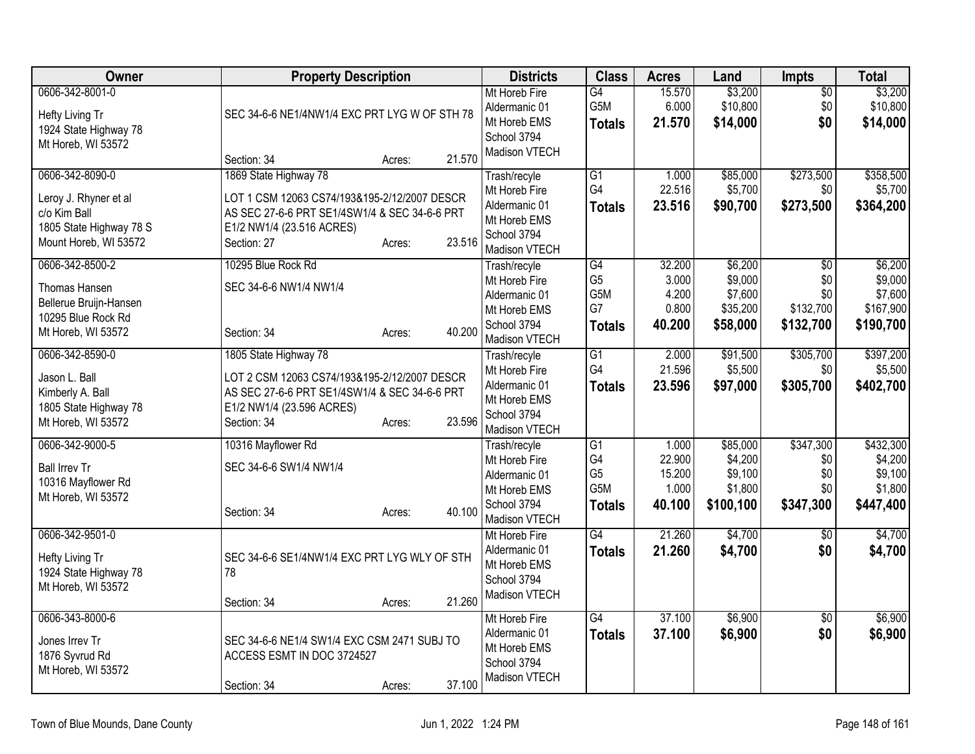| Owner                                                                                                        | <b>Property Description</b>                                                                                                                                                            | <b>Districts</b>                                                                               | <b>Class</b>                                                    | <b>Acres</b>                                 | Land                                                   | Impts                                                   | <b>Total</b>                                            |
|--------------------------------------------------------------------------------------------------------------|----------------------------------------------------------------------------------------------------------------------------------------------------------------------------------------|------------------------------------------------------------------------------------------------|-----------------------------------------------------------------|----------------------------------------------|--------------------------------------------------------|---------------------------------------------------------|---------------------------------------------------------|
| 0606-342-8001-0<br>Hefty Living Tr<br>1924 State Highway 78<br>Mt Horeb, WI 53572                            | SEC 34-6-6 NE1/4NW1/4 EXC PRT LYG W OF STH 78<br>21.570<br>Section: 34<br>Acres:                                                                                                       | Mt Horeb Fire<br>Aldermanic 01<br>Mt Horeb EMS<br>School 3794<br>Madison VTECH                 | G4<br>G5M<br><b>Totals</b>                                      | 15.570<br>6.000<br>21.570                    | \$3,200<br>\$10,800<br>\$14,000                        | \$0<br>\$0<br>\$0                                       | \$3,200<br>\$10,800<br>\$14,000                         |
| 0606-342-8090-0<br>Leroy J. Rhyner et al<br>c/o Kim Ball<br>1805 State Highway 78 S<br>Mount Horeb, WI 53572 | 1869 State Highway 78<br>LOT 1 CSM 12063 CS74/193&195-2/12/2007 DESCR<br>AS SEC 27-6-6 PRT SE1/4SW1/4 & SEC 34-6-6 PRT<br>E1/2 NW1/4 (23.516 ACRES)<br>23.516<br>Section: 27<br>Acres: | Trash/recyle<br>Mt Horeb Fire<br>Aldermanic 01<br>Mt Horeb EMS<br>School 3794<br>Madison VTECH | G1<br>G4<br>Totals                                              | 1.000<br>22.516<br>23.516                    | \$85,000<br>\$5,700<br>\$90,700                        | \$273,500<br>\$0<br>\$273,500                           | \$358,500<br>\$5,700<br>\$364,200                       |
| 0606-342-8500-2<br>Thomas Hansen<br>Bellerue Bruijn-Hansen<br>10295 Blue Rock Rd<br>Mt Horeb, WI 53572       | 10295 Blue Rock Rd<br>SEC 34-6-6 NW1/4 NW1/4<br>40.200<br>Section: 34<br>Acres:                                                                                                        | Trash/recyle<br>Mt Horeb Fire<br>Aldermanic 01<br>Mt Horeb EMS<br>School 3794<br>Madison VTECH | G4<br>G <sub>5</sub><br>G5M<br>G7<br><b>Totals</b>              | 32.200<br>3.000<br>4.200<br>0.800<br>40.200  | \$6,200<br>\$9,000<br>\$7,600<br>\$35,200<br>\$58,000  | $\overline{50}$<br>\$0<br>\$0<br>\$132,700<br>\$132,700 | \$6,200<br>\$9,000<br>\$7,600<br>\$167,900<br>\$190,700 |
| 0606-342-8590-0<br>Jason L. Ball<br>Kimberly A. Ball<br>1805 State Highway 78<br>Mt Horeb, WI 53572          | 1805 State Highway 78<br>LOT 2 CSM 12063 CS74/193&195-2/12/2007 DESCR<br>AS SEC 27-6-6 PRT SE1/4SW1/4 & SEC 34-6-6 PRT<br>E1/2 NW1/4 (23.596 ACRES)<br>23.596<br>Section: 34<br>Acres: | Trash/recyle<br>Mt Horeb Fire<br>Aldermanic 01<br>Mt Horeb EMS<br>School 3794<br>Madison VTECH | $\overline{G1}$<br>G4<br><b>Totals</b>                          | 2.000<br>21.596<br>23.596                    | \$91,500<br>\$5,500<br>\$97,000                        | \$305,700<br>\$0<br>\$305,700                           | \$397,200<br>\$5,500<br>\$402,700                       |
| 0606-342-9000-5<br><b>Ball Irrev Tr</b><br>10316 Mayflower Rd<br>Mt Horeb, WI 53572                          | 10316 Mayflower Rd<br>SEC 34-6-6 SW1/4 NW1/4<br>40.100<br>Section: 34<br>Acres:                                                                                                        | Trash/recyle<br>Mt Horeb Fire<br>Aldermanic 01<br>Mt Horeb EMS<br>School 3794<br>Madison VTECH | $\overline{G1}$<br>G4<br>G <sub>5</sub><br>G5M<br><b>Totals</b> | 1.000<br>22.900<br>15.200<br>1.000<br>40.100 | \$85,000<br>\$4,200<br>\$9,100<br>\$1,800<br>\$100,100 | \$347,300<br>\$0<br>\$0<br>\$0<br>\$347,300             | \$432,300<br>\$4,200<br>\$9,100<br>\$1,800<br>\$447,400 |
| 0606-342-9501-0<br>Hefty Living Tr<br>1924 State Highway 78<br>Mt Horeb, WI 53572                            | SEC 34-6-6 SE1/4NW1/4 EXC PRT LYG WLY OF STH<br>78<br>21.260<br>Section: 34<br>Acres:                                                                                                  | Mt Horeb Fire<br>Aldermanic 01<br>Mt Horeb EMS<br>School 3794<br>Madison VTECH                 | $\overline{G4}$<br><b>Totals</b>                                | 21.260<br>21.260                             | \$4,700<br>\$4,700                                     | $\overline{50}$<br>\$0                                  | \$4,700<br>\$4,700                                      |
| 0606-343-8000-6<br>Jones Irrev Tr<br>1876 Syvrud Rd<br>Mt Horeb, WI 53572                                    | SEC 34-6-6 NE1/4 SW1/4 EXC CSM 2471 SUBJ TO<br>ACCESS ESMT IN DOC 3724527<br>37.100<br>Section: 34<br>Acres:                                                                           | Mt Horeb Fire<br>Aldermanic 01<br>Mt Horeb EMS<br>School 3794<br>Madison VTECH                 | G4<br><b>Totals</b>                                             | 37.100<br>37.100                             | \$6,900<br>\$6,900                                     | $\overline{50}$<br>\$0                                  | \$6,900<br>\$6,900                                      |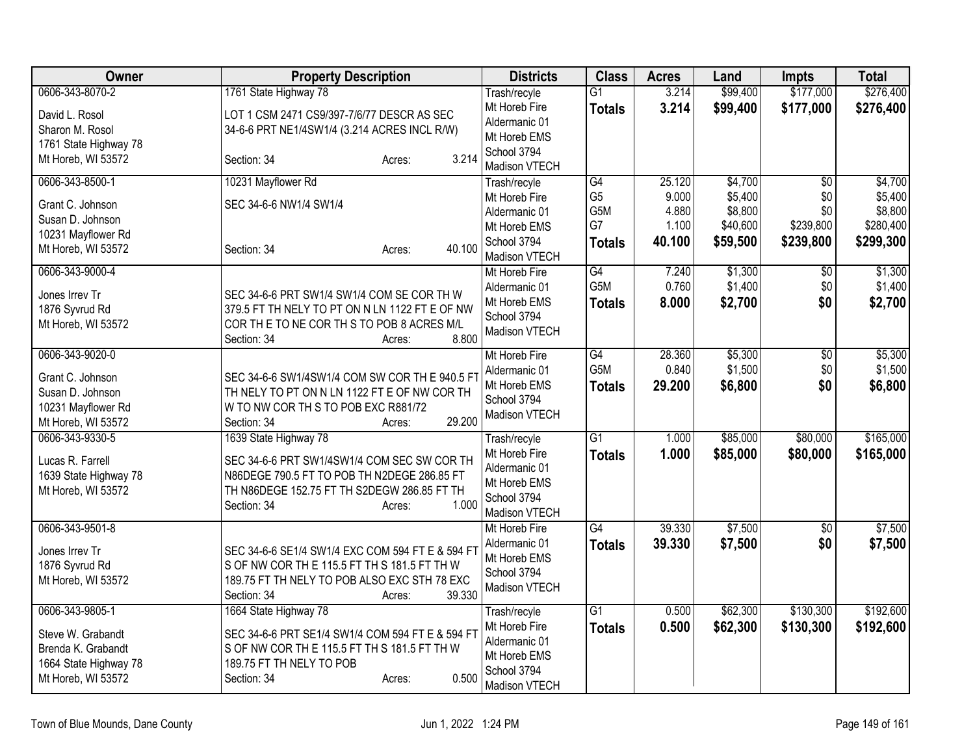| <b>Owner</b>                                                                                              | <b>Property Description</b>                                                                                                                                                                          | <b>Districts</b>                                                                               | <b>Class</b>                                 | <b>Acres</b>                      | Land                                       | <b>Impts</b>                         | <b>Total</b>                                 |
|-----------------------------------------------------------------------------------------------------------|------------------------------------------------------------------------------------------------------------------------------------------------------------------------------------------------------|------------------------------------------------------------------------------------------------|----------------------------------------------|-----------------------------------|--------------------------------------------|--------------------------------------|----------------------------------------------|
| 0606-343-8070-2                                                                                           | 1761 State Highway 78                                                                                                                                                                                | Trash/recyle                                                                                   | $\overline{G1}$                              | 3.214                             | \$99,400                                   | \$177,000                            | \$276,400                                    |
| David L. Rosol<br>Sharon M. Rosol<br>1761 State Highway 78                                                | LOT 1 CSM 2471 CS9/397-7/6/77 DESCR AS SEC<br>34-6-6 PRT NE1/4SW1/4 (3.214 ACRES INCL R/W)                                                                                                           | Mt Horeb Fire<br>Aldermanic 01<br>Mt Horeb EMS<br>School 3794                                  | <b>Totals</b>                                | 3.214                             | \$99,400                                   | \$177,000                            | \$276,400                                    |
| Mt Horeb, WI 53572                                                                                        | 3.214<br>Section: 34<br>Acres:                                                                                                                                                                       | Madison VTECH                                                                                  |                                              |                                   |                                            |                                      |                                              |
| 0606-343-8500-1                                                                                           | 10231 Mayflower Rd                                                                                                                                                                                   | Trash/recyle                                                                                   | G4                                           | 25.120                            | \$4,700                                    | $\overline{50}$                      | \$4,700                                      |
| Grant C. Johnson<br>Susan D. Johnson<br>10231 Mayflower Rd<br>Mt Horeb, WI 53572                          | SEC 34-6-6 NW1/4 SW1/4<br>40.100<br>Section: 34<br>Acres:                                                                                                                                            | Mt Horeb Fire<br>Aldermanic 01<br>Mt Horeb EMS<br>School 3794<br>Madison VTECH                 | G <sub>5</sub><br>G5M<br>G7<br><b>Totals</b> | 9.000<br>4.880<br>1.100<br>40.100 | \$5,400<br>\$8,800<br>\$40,600<br>\$59,500 | \$0<br>\$0<br>\$239,800<br>\$239,800 | \$5,400<br>\$8,800<br>\$280,400<br>\$299,300 |
| 0606-343-9000-4<br>Jones Irrev Tr<br>1876 Syvrud Rd<br>Mt Horeb, WI 53572                                 | SEC 34-6-6 PRT SW1/4 SW1/4 COM SE COR TH W<br>379.5 FT TH NELY TO PT ON N LN 1122 FT E OF NW<br>COR THE TO NE COR THIS TO POB 8 ACRES M/L<br>8.800<br>Section: 34<br>Acres:                          | Mt Horeb Fire<br>Aldermanic 01<br>Mt Horeb EMS<br>School 3794<br>Madison VTECH                 | G4<br>G <sub>5</sub> M<br><b>Totals</b>      | 7.240<br>0.760<br>8.000           | \$1,300<br>\$1,400<br>\$2,700              | \$0<br>\$0<br>\$0                    | \$1,300<br>\$1,400<br>\$2,700                |
| 0606-343-9020-0<br>Grant C. Johnson<br>Susan D. Johnson<br>10231 Mayflower Rd<br>Mt Horeb, WI 53572       | SEC 34-6-6 SW1/4SW1/4 COM SW COR TH E 940.5 F<br>TH NELY TO PT ON N LN 1122 FT E OF NW COR TH<br>W TO NW COR TH S TO POB EXC R881/72<br>29.200<br>Section: 34<br>Acres:                              | Mt Horeb Fire<br>Aldermanic 01<br>Mt Horeb EMS<br>School 3794<br>Madison VTECH                 | $\overline{G4}$<br>G5M<br><b>Totals</b>      | 28.360<br>0.840<br>29.200         | \$5,300<br>\$1,500<br>\$6,800              | $\overline{50}$<br>\$0<br>\$0        | \$5,300<br>\$1,500<br>\$6,800                |
| 0606-343-9330-5<br>Lucas R. Farrell<br>1639 State Highway 78<br>Mt Horeb, WI 53572                        | 1639 State Highway 78<br>SEC 34-6-6 PRT SW1/4SW1/4 COM SEC SW COR TH<br>N86DEGE 790.5 FT TO POB TH N2DEGE 286.85 FT<br>TH N86DEGE 152.75 FT TH S2DEGW 286.85 FT TH<br>1.000<br>Section: 34<br>Acres: | Trash/recyle<br>Mt Horeb Fire<br>Aldermanic 01<br>Mt Horeb EMS<br>School 3794<br>Madison VTECH | $\overline{G1}$<br><b>Totals</b>             | 1.000<br>1.000                    | \$85,000<br>\$85,000                       | \$80,000<br>\$80,000                 | \$165,000<br>\$165,000                       |
| 0606-343-9501-8<br>Jones Irrev Tr<br>1876 Syvrud Rd<br>Mt Horeb, WI 53572                                 | SEC 34-6-6 SE1/4 SW1/4 EXC COM 594 FT E & 594 FT<br>S OF NW COR THE 115.5 FT TH S 181.5 FT TH W<br>189.75 FT TH NELY TO POB ALSO EXC STH 78 EXC<br>39.330<br>Section: 34<br>Acres:                   | Mt Horeb Fire<br>Aldermanic 01<br>Mt Horeb EMS<br>School 3794<br>Madison VTECH                 | G4<br><b>Totals</b>                          | 39.330<br>39.330                  | \$7,500<br>\$7,500                         | \$0<br>\$0                           | \$7,500<br>\$7,500                           |
| 0606-343-9805-1<br>Steve W. Grabandt<br>Brenda K. Grabandt<br>1664 State Highway 78<br>Mt Horeb, WI 53572 | 1664 State Highway 78<br>SEC 34-6-6 PRT SE1/4 SW1/4 COM 594 FT E & 594 FT<br>S OF NW COR THE 115.5 FT TH S 181.5 FT TH W<br>189.75 FT TH NELY TO POB<br>0.500<br>Section: 34<br>Acres:               | Trash/recyle<br>Mt Horeb Fire<br>Aldermanic 01<br>Mt Horeb EMS<br>School 3794<br>Madison VTECH | $\overline{G1}$<br><b>Totals</b>             | 0.500<br>0.500                    | \$62,300<br>\$62,300                       | \$130,300<br>\$130,300               | \$192,600<br>\$192,600                       |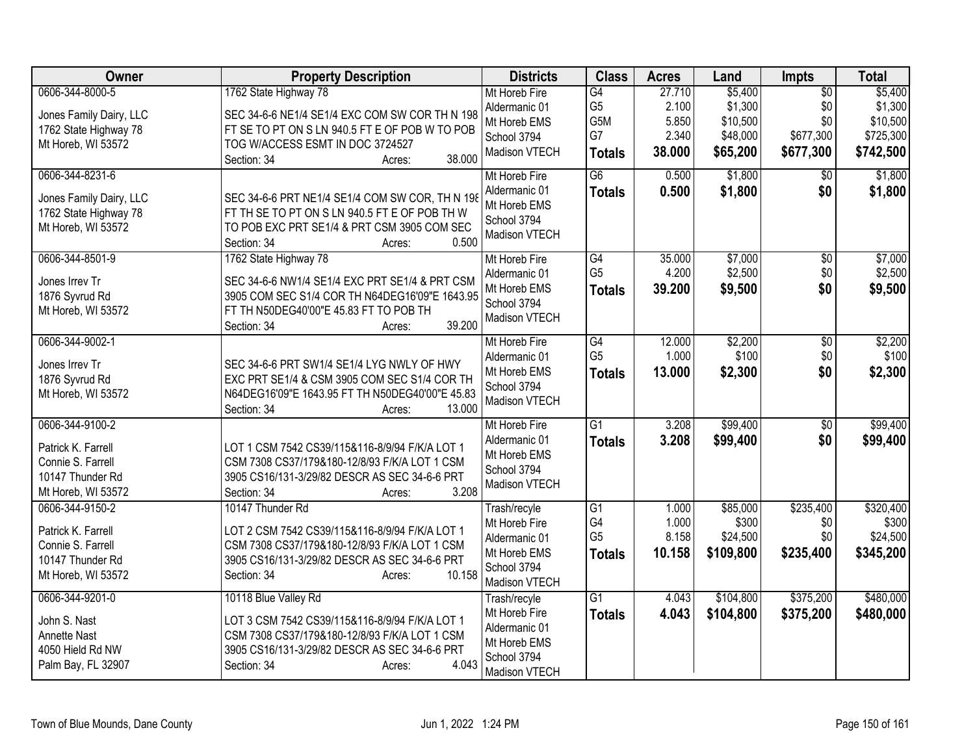| Owner                                                                                                | <b>Property Description</b>                                                                                                                                                                                | <b>Districts</b>                                                                               | <b>Class</b>                                             | <b>Acres</b>                                | Land                                                   | <b>Impts</b>                                            | <b>Total</b>                                             |
|------------------------------------------------------------------------------------------------------|------------------------------------------------------------------------------------------------------------------------------------------------------------------------------------------------------------|------------------------------------------------------------------------------------------------|----------------------------------------------------------|---------------------------------------------|--------------------------------------------------------|---------------------------------------------------------|----------------------------------------------------------|
| 0606-344-8000-5<br>Jones Family Dairy, LLC<br>1762 State Highway 78<br>Mt Horeb, WI 53572            | 1762 State Highway 78<br>SEC 34-6-6 NE1/4 SE1/4 EXC COM SW COR TH N 198<br>FT SE TO PT ON S LN 940.5 FT E OF POB W TO POB<br>TOG W/ACCESS ESMT IN DOC 3724527<br>38.000<br>Section: 34<br>Acres:           | Mt Horeb Fire<br>Aldermanic 01<br>Mt Horeb EMS<br>School 3794<br>Madison VTECH                 | G4<br>G <sub>5</sub><br>G5M<br>G7<br><b>Totals</b>       | 27.710<br>2.100<br>5.850<br>2.340<br>38.000 | \$5,400<br>\$1,300<br>\$10,500<br>\$48,000<br>\$65,200 | $\overline{50}$<br>\$0<br>\$0<br>\$677,300<br>\$677,300 | \$5,400<br>\$1,300<br>\$10,500<br>\$725,300<br>\$742,500 |
| 0606-344-8231-6<br>Jones Family Dairy, LLC<br>1762 State Highway 78<br>Mt Horeb, WI 53572            | SEC 34-6-6 PRT NE1/4 SE1/4 COM SW COR, TH N 198<br>FT TH SE TO PT ON S LN 940.5 FT E OF POB TH W<br>TO POB EXC PRT SE1/4 & PRT CSM 3905 COM SEC<br>0.500<br>Section: 34<br>Acres:                          | Mt Horeb Fire<br>Aldermanic 01<br>Mt Horeb EMS<br>School 3794<br>Madison VTECH                 | $\overline{G6}$<br><b>Totals</b>                         | 0.500<br>0.500                              | \$1,800<br>\$1,800                                     | \$0<br>\$0                                              | \$1,800<br>\$1,800                                       |
| 0606-344-8501-9<br>Jones Irrev Tr<br>1876 Syvrud Rd<br>Mt Horeb, WI 53572                            | 1762 State Highway 78<br>SEC 34-6-6 NW1/4 SE1/4 EXC PRT SE1/4 & PRT CSM<br>3905 COM SEC S1/4 COR TH N64DEG16'09"E 1643.95<br>FT TH N50DEG40'00"E 45.83 FT TO POB TH<br>39.200<br>Section: 34<br>Acres:     | Mt Horeb Fire<br>Aldermanic 01<br>Mt Horeb EMS<br>School 3794<br>Madison VTECH                 | G4<br>G <sub>5</sub><br><b>Totals</b>                    | 35.000<br>4.200<br>39.200                   | \$7,000<br>\$2,500<br>\$9,500                          | \$0<br>\$0<br>\$0                                       | \$7,000<br>\$2,500<br>\$9,500                            |
| 0606-344-9002-1<br>Jones Irrev Tr<br>1876 Syvrud Rd<br>Mt Horeb, WI 53572                            | SEC 34-6-6 PRT SW1/4 SE1/4 LYG NWLY OF HWY<br>EXC PRT SE1/4 & CSM 3905 COM SEC S1/4 COR TH<br>N64DEG16'09"E 1643.95 FT TH N50DEG40'00"E 45.83<br>13.000<br>Section: 34<br>Acres:                           | Mt Horeb Fire<br>Aldermanic 01<br>Mt Horeb EMS<br>School 3794<br>Madison VTECH                 | G4<br>G <sub>5</sub><br><b>Totals</b>                    | 12.000<br>1.000<br>13.000                   | \$2,200<br>\$100<br>\$2,300                            | $\overline{50}$<br>\$0<br>\$0                           | \$2,200<br>\$100<br>\$2,300                              |
| 0606-344-9100-2<br>Patrick K. Farrell<br>Connie S. Farrell<br>10147 Thunder Rd<br>Mt Horeb, WI 53572 | LOT 1 CSM 7542 CS39/115&116-8/9/94 F/K/A LOT 1<br>CSM 7308 CS37/179&180-12/8/93 F/K/A LOT 1 CSM<br>3905 CS16/131-3/29/82 DESCR AS SEC 34-6-6 PRT<br>3.208<br>Section: 34<br>Acres:                         | Mt Horeb Fire<br>Aldermanic 01<br>Mt Horeb EMS<br>School 3794<br>Madison VTECH                 | $\overline{G1}$<br><b>Totals</b>                         | 3.208<br>3.208                              | \$99,400<br>\$99,400                                   | $\overline{50}$<br>\$0                                  | \$99,400<br>\$99,400                                     |
| 0606-344-9150-2<br>Patrick K. Farrell<br>Connie S. Farrell<br>10147 Thunder Rd<br>Mt Horeb, WI 53572 | 10147 Thunder Rd<br>LOT 2 CSM 7542 CS39/115&116-8/9/94 F/K/A LOT 1<br>CSM 7308 CS37/179&180-12/8/93 F/K/A LOT 1 CSM<br>3905 CS16/131-3/29/82 DESCR AS SEC 34-6-6 PRT<br>10.158<br>Section: 34<br>Acres:    | Trash/recyle<br>Mt Horeb Fire<br>Aldermanic 01<br>Mt Horeb EMS<br>School 3794<br>Madison VTECH | $\overline{G1}$<br>G4<br>G <sub>5</sub><br><b>Totals</b> | 1.000<br>1.000<br>8.158<br>10.158           | \$85,000<br>\$300<br>\$24,500<br>\$109,800             | \$235,400<br>\$0<br>\$0<br>\$235,400                    | \$320,400<br>\$300<br>\$24,500<br>\$345,200              |
| 0606-344-9201-0<br>John S. Nast<br><b>Annette Nast</b><br>4050 Hield Rd NW<br>Palm Bay, FL 32907     | 10118 Blue Valley Rd<br>LOT 3 CSM 7542 CS39/115&116-8/9/94 F/K/A LOT 1<br>CSM 7308 CS37/179&180-12/8/93 F/K/A LOT 1 CSM<br>3905 CS16/131-3/29/82 DESCR AS SEC 34-6-6 PRT<br>4.043<br>Section: 34<br>Acres: | Trash/recyle<br>Mt Horeb Fire<br>Aldermanic 01<br>Mt Horeb EMS<br>School 3794<br>Madison VTECH | $\overline{G1}$<br><b>Totals</b>                         | 4.043<br>4.043                              | \$104,800<br>\$104,800                                 | \$375,200<br>\$375,200                                  | \$480,000<br>\$480,000                                   |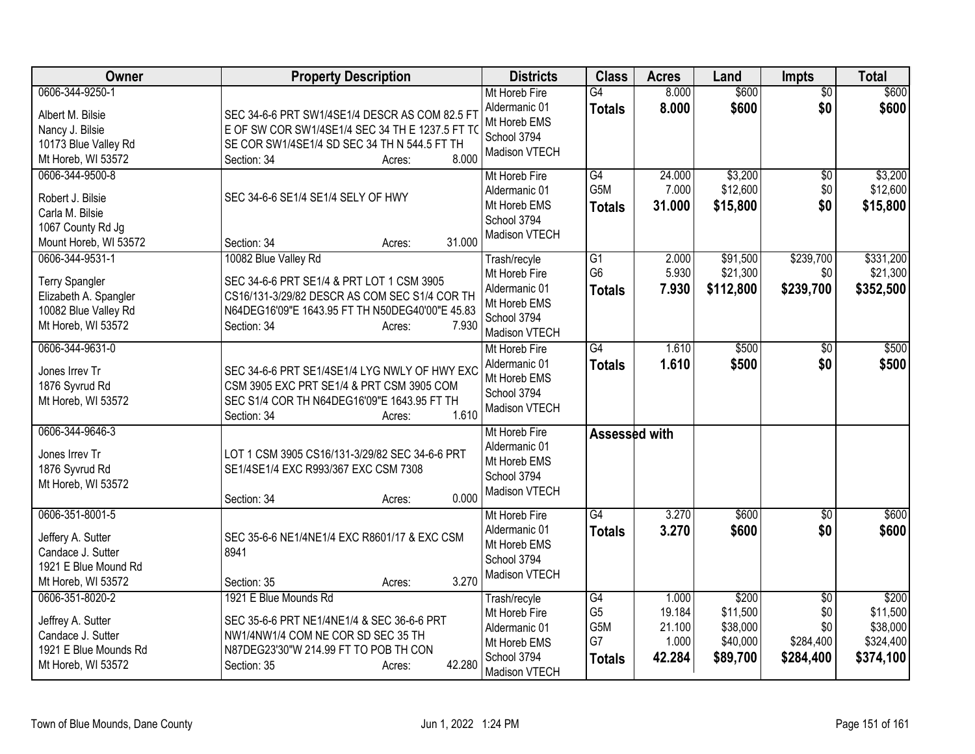| Owner                                                                                                           | <b>Property Description</b>                                                                                                                                                                             | <b>Districts</b>                                                                               | <b>Class</b>                                       | <b>Acres</b>                                 | Land                                                  | <b>Impts</b>                                            | <b>Total</b>                                            |
|-----------------------------------------------------------------------------------------------------------------|---------------------------------------------------------------------------------------------------------------------------------------------------------------------------------------------------------|------------------------------------------------------------------------------------------------|----------------------------------------------------|----------------------------------------------|-------------------------------------------------------|---------------------------------------------------------|---------------------------------------------------------|
| 0606-344-9250-1<br>Albert M. Bilsie<br>Nancy J. Bilsie<br>10173 Blue Valley Rd<br>Mt Horeb, WI 53572            | SEC 34-6-6 PRT SW1/4SE1/4 DESCR AS COM 82.5 FT<br>E OF SW COR SW1/4SE1/4 SEC 34 TH E 1237.5 FT TO<br>SE COR SW1/4SE1/4 SD SEC 34 TH N 544.5 FT TH<br>8.000<br>Section: 34<br>Acres:                     | Mt Horeb Fire<br>Aldermanic 01<br>Mt Horeb EMS<br>School 3794<br>Madison VTECH                 | $\overline{G4}$<br><b>Totals</b>                   | 8.000<br>8.000                               | \$600<br>\$600                                        | $\overline{50}$<br>\$0                                  | \$600<br>\$600                                          |
| 0606-344-9500-8<br>Robert J. Bilsie<br>Carla M. Bilsie<br>1067 County Rd Jg<br>Mount Horeb, WI 53572            | SEC 34-6-6 SE1/4 SE1/4 SELY OF HWY<br>31.000<br>Section: 34<br>Acres:                                                                                                                                   | Mt Horeb Fire<br>Aldermanic 01<br>Mt Horeb EMS<br>School 3794<br>Madison VTECH                 | G4<br>G5M<br><b>Totals</b>                         | 24.000<br>7.000<br>31.000                    | \$3,200<br>\$12,600<br>\$15,800                       | \$0<br>\$0<br>\$0                                       | \$3,200<br>\$12,600<br>\$15,800                         |
| 0606-344-9531-1<br><b>Terry Spangler</b><br>Elizabeth A. Spangler<br>10082 Blue Valley Rd<br>Mt Horeb, WI 53572 | 10082 Blue Valley Rd<br>SEC 34-6-6 PRT SE1/4 & PRT LOT 1 CSM 3905<br>CS16/131-3/29/82 DESCR AS COM SEC S1/4 COR TH<br>N64DEG16'09"E 1643.95 FT TH N50DEG40'00"E 45.83<br>7.930<br>Section: 34<br>Acres: | Trash/recyle<br>Mt Horeb Fire<br>Aldermanic 01<br>Mt Horeb EMS<br>School 3794<br>Madison VTECH | G1<br>G <sub>6</sub><br><b>Totals</b>              | 2.000<br>5.930<br>7.930                      | \$91,500<br>\$21,300<br>\$112,800                     | \$239,700<br>\$0<br>\$239,700                           | \$331,200<br>\$21,300<br>\$352,500                      |
| 0606-344-9631-0<br>Jones Irrev Tr<br>1876 Syvrud Rd<br>Mt Horeb, WI 53572                                       | SEC 34-6-6 PRT SE1/4SE1/4 LYG NWLY OF HWY EXC<br>CSM 3905 EXC PRT SE1/4 & PRT CSM 3905 COM<br>SEC S1/4 COR TH N64DEG16'09"E 1643.95 FT TH<br>1.610<br>Section: 34<br>Acres:                             | Mt Horeb Fire<br>Aldermanic 01<br>Mt Horeb EMS<br>School 3794<br>Madison VTECH                 | $\overline{G4}$<br><b>Totals</b>                   | 1.610<br>1.610                               | \$500<br>\$500                                        | $\overline{50}$<br>\$0                                  | \$500<br>\$500                                          |
| 0606-344-9646-3<br>Jones Irrev Tr<br>1876 Syvrud Rd<br>Mt Horeb, WI 53572                                       | LOT 1 CSM 3905 CS16/131-3/29/82 SEC 34-6-6 PRT<br>SE1/4SE1/4 EXC R993/367 EXC CSM 7308<br>0.000<br>Section: 34<br>Acres:                                                                                | Mt Horeb Fire<br>Aldermanic 01<br>Mt Horeb EMS<br>School 3794<br>Madison VTECH                 | Assessed with                                      |                                              |                                                       |                                                         |                                                         |
| 0606-351-8001-5<br>Jeffery A. Sutter<br>Candace J. Sutter<br>1921 E Blue Mound Rd<br>Mt Horeb, WI 53572         | SEC 35-6-6 NE1/4NE1/4 EXC R8601/17 & EXC CSM<br>8941<br>3.270<br>Section: 35<br>Acres:                                                                                                                  | Mt Horeb Fire<br>Aldermanic 01<br>Mt Horeb EMS<br>School 3794<br>Madison VTECH                 | $\overline{G4}$<br><b>Totals</b>                   | 3.270<br>3.270                               | \$600<br>\$600                                        | $\overline{50}$<br>\$0                                  | \$600<br>\$600                                          |
| 0606-351-8020-2<br>Jeffrey A. Sutter<br>Candace J. Sutter<br>1921 E Blue Mounds Rd<br>Mt Horeb, WI 53572        | 1921 E Blue Mounds Rd<br>SEC 35-6-6 PRT NE1/4NE1/4 & SEC 36-6-6 PRT<br>NW1/4NW1/4 COM NE COR SD SEC 35 TH<br>N87DEG23'30"W 214.99 FT TO POB TH CON<br>42.280<br>Section: 35<br>Acres:                   | Trash/recyle<br>Mt Horeb Fire<br>Aldermanic 01<br>Mt Horeb EMS<br>School 3794<br>Madison VTECH | G4<br>G <sub>5</sub><br>G5M<br>G7<br><b>Totals</b> | 1.000<br>19.184<br>21.100<br>1.000<br>42.284 | \$200<br>\$11,500<br>\$38,000<br>\$40,000<br>\$89,700 | $\overline{50}$<br>\$0<br>\$0<br>\$284,400<br>\$284,400 | \$200<br>\$11,500<br>\$38,000<br>\$324,400<br>\$374,100 |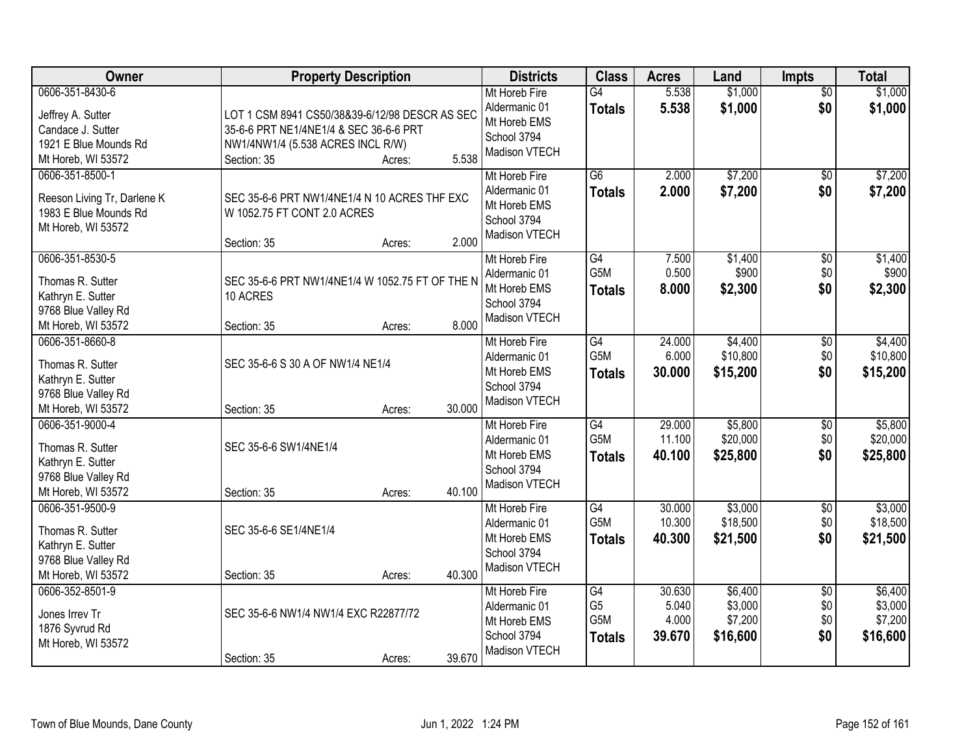| Owner                                                                                                    | <b>Property Description</b>                                                                                                                                     | <b>Districts</b>                                                                      | <b>Class</b>                                 | <b>Acres</b>                       | Land                                      | <b>Impts</b>                         | <b>Total</b>                              |
|----------------------------------------------------------------------------------------------------------|-----------------------------------------------------------------------------------------------------------------------------------------------------------------|---------------------------------------------------------------------------------------|----------------------------------------------|------------------------------------|-------------------------------------------|--------------------------------------|-------------------------------------------|
| 0606-351-8430-6<br>Jeffrey A. Sutter<br>Candace J. Sutter<br>1921 E Blue Mounds Rd<br>Mt Horeb, WI 53572 | LOT 1 CSM 8941 CS50/38&39-6/12/98 DESCR AS SEC<br>35-6-6 PRT NE1/4NE1/4 & SEC 36-6-6 PRT<br>NW1/4NW1/4 (5.538 ACRES INCL R/W)<br>5.538<br>Section: 35<br>Acres: | Mt Horeb Fire<br>Aldermanic 01<br>Mt Horeb EMS<br>School 3794<br>Madison VTECH        | G4<br><b>Totals</b>                          | 5.538<br>5.538                     | \$1,000<br>\$1,000                        | $\overline{50}$<br>\$0               | \$1,000<br>\$1,000                        |
| 0606-351-8500-1<br>Reeson Living Tr, Darlene K<br>1983 E Blue Mounds Rd<br>Mt Horeb, WI 53572            | SEC 35-6-6 PRT NW1/4NE1/4 N 10 ACRES THF EXC<br>W 1052.75 FT CONT 2.0 ACRES<br>2.000<br>Section: 35<br>Acres:                                                   | Mt Horeb Fire<br>Aldermanic 01<br>Mt Horeb EMS<br>School 3794<br>Madison VTECH        | $\overline{G6}$<br><b>Totals</b>             | 2.000<br>2.000                     | \$7,200<br>\$7,200                        | \$0<br>\$0                           | \$7,200<br>\$7,200                        |
| 0606-351-8530-5<br>Thomas R. Sutter<br>Kathryn E. Sutter<br>9768 Blue Valley Rd<br>Mt Horeb, WI 53572    | SEC 35-6-6 PRT NW1/4NE1/4 W 1052.75 FT OF THE N<br>10 ACRES<br>8.000<br>Section: 35<br>Acres:                                                                   | Mt Horeb Fire<br>Aldermanic 01<br>Mt Horeb EMS<br>School 3794<br><b>Madison VTECH</b> | G4<br>G5M<br><b>Totals</b>                   | 7.500<br>0.500<br>8.000            | \$1,400<br>\$900<br>\$2,300               | \$0<br>\$0<br>\$0                    | \$1,400<br>\$900<br>\$2,300               |
| 0606-351-8660-8<br>Thomas R. Sutter<br>Kathryn E. Sutter<br>9768 Blue Valley Rd<br>Mt Horeb, WI 53572    | SEC 35-6-6 S 30 A OF NW1/4 NE1/4<br>30.000<br>Section: 35<br>Acres:                                                                                             | Mt Horeb Fire<br>Aldermanic 01<br>Mt Horeb EMS<br>School 3794<br>Madison VTECH        | G4<br>G5M<br><b>Totals</b>                   | 24.000<br>6.000<br>30.000          | \$4,400<br>\$10,800<br>\$15,200           | \$0<br>\$0<br>\$0                    | \$4,400<br>\$10,800<br>\$15,200           |
| 0606-351-9000-4<br>Thomas R. Sutter<br>Kathryn E. Sutter<br>9768 Blue Valley Rd<br>Mt Horeb, WI 53572    | SEC 35-6-6 SW1/4NE1/4<br>40.100<br>Section: 35<br>Acres:                                                                                                        | Mt Horeb Fire<br>Aldermanic 01<br>Mt Horeb EMS<br>School 3794<br>Madison VTECH        | G4<br>G <sub>5</sub> M<br><b>Totals</b>      | 29.000<br>11.100<br>40.100         | \$5,800<br>\$20,000<br>\$25,800           | $\overline{50}$<br>\$0<br>\$0        | \$5,800<br>\$20,000<br>\$25,800           |
| 0606-351-9500-9<br>Thomas R. Sutter<br>Kathryn E. Sutter<br>9768 Blue Valley Rd<br>Mt Horeb, WI 53572    | SEC 35-6-6 SE1/4NE1/4<br>40.300<br>Section: 35<br>Acres:                                                                                                        | Mt Horeb Fire<br>Aldermanic 01<br>Mt Horeb EMS<br>School 3794<br>Madison VTECH        | G4<br>G5M<br><b>Totals</b>                   | 30.000<br>10.300<br>40.300         | \$3,000<br>\$18,500<br>\$21,500           | $\sqrt{6}$<br>\$0<br>\$0             | \$3,000<br>\$18,500<br>\$21,500           |
| 0606-352-8501-9<br>Jones Irrev Tr<br>1876 Syvrud Rd<br>Mt Horeb, WI 53572                                | SEC 35-6-6 NW1/4 NW1/4 EXC R22877/72<br>39.670<br>Section: 35<br>Acres:                                                                                         | Mt Horeb Fire<br>Aldermanic 01<br>Mt Horeb EMS<br>School 3794<br>Madison VTECH        | G4<br>G <sub>5</sub><br>G5M<br><b>Totals</b> | 30.630<br>5.040<br>4.000<br>39.670 | \$6,400<br>\$3,000<br>\$7,200<br>\$16,600 | $\overline{50}$<br>\$0<br>\$0<br>\$0 | \$6,400<br>\$3,000<br>\$7,200<br>\$16,600 |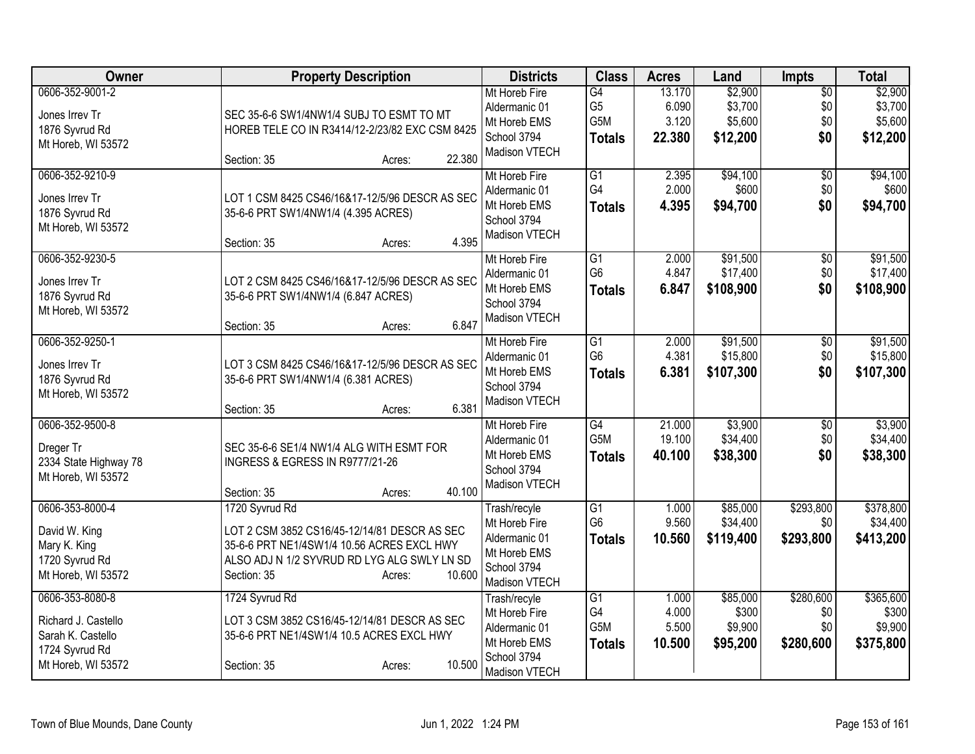| Owner                                                                                               | <b>Property Description</b>                                                                                                                                                                    | <b>Districts</b>                                                                               | <b>Class</b>                                       | <b>Acres</b>                       | Land                                      | Impts                                | <b>Total</b>                               |
|-----------------------------------------------------------------------------------------------------|------------------------------------------------------------------------------------------------------------------------------------------------------------------------------------------------|------------------------------------------------------------------------------------------------|----------------------------------------------------|------------------------------------|-------------------------------------------|--------------------------------------|--------------------------------------------|
| 0606-352-9001-2<br>Jones Irrev Tr<br>1876 Syvrud Rd<br>Mt Horeb, WI 53572                           | SEC 35-6-6 SW1/4NW1/4 SUBJ TO ESMT TO MT<br>HOREB TELE CO IN R3414/12-2/23/82 EXC CSM 8425<br>22.380<br>Section: 35<br>Acres:                                                                  | Mt Horeb Fire<br>Aldermanic 01<br>Mt Horeb EMS<br>School 3794<br>Madison VTECH                 | G4<br>G <sub>5</sub><br>G5M<br><b>Totals</b>       | 13.170<br>6.090<br>3.120<br>22.380 | \$2,900<br>\$3,700<br>\$5,600<br>\$12,200 | $\overline{50}$<br>\$0<br>\$0<br>\$0 | \$2,900<br>\$3,700<br>\$5,600<br>\$12,200  |
| 0606-352-9210-9<br>Jones Irrev Tr<br>1876 Syvrud Rd<br>Mt Horeb, WI 53572                           | LOT 1 CSM 8425 CS46/16&17-12/5/96 DESCR AS SEC<br>35-6-6 PRT SW1/4NW1/4 (4.395 ACRES)<br>4.395<br>Section: 35<br>Acres:                                                                        | Mt Horeb Fire<br>Aldermanic 01<br>Mt Horeb EMS<br>School 3794<br>Madison VTECH                 | G1<br>G4<br><b>Totals</b>                          | 2.395<br>2.000<br>4.395            | \$94,100<br>\$600<br>\$94,700             | \$0<br>\$0<br>\$0                    | \$94,100<br>\$600<br>\$94,700              |
| 0606-352-9230-5<br>Jones Irrev Tr<br>1876 Syvrud Rd<br>Mt Horeb, WI 53572                           | LOT 2 CSM 8425 CS46/16&17-12/5/96 DESCR AS SEC<br>35-6-6 PRT SW1/4NW1/4 (6.847 ACRES)<br>6.847<br>Section: 35<br>Acres:                                                                        | Mt Horeb Fire<br>Aldermanic 01<br>Mt Horeb EMS<br>School 3794<br>Madison VTECH                 | G1<br>G <sub>6</sub><br><b>Totals</b>              | 2.000<br>4.847<br>6.847            | \$91,500<br>\$17,400<br>\$108,900         | \$0<br>\$0<br>\$0                    | \$91,500<br>\$17,400<br>\$108,900          |
| 0606-352-9250-1<br>Jones Irrev Tr<br>1876 Syvrud Rd<br>Mt Horeb, WI 53572                           | LOT 3 CSM 8425 CS46/16&17-12/5/96 DESCR AS SEC<br>35-6-6 PRT SW1/4NW1/4 (6.381 ACRES)<br>6.381<br>Section: 35<br>Acres:                                                                        | Mt Horeb Fire<br>Aldermanic 01<br>Mt Horeb EMS<br>School 3794<br>Madison VTECH                 | $\overline{G1}$<br>G <sub>6</sub><br><b>Totals</b> | 2.000<br>4.381<br>6.381            | \$91,500<br>\$15,800<br>\$107,300         | $\overline{50}$<br>\$0<br>\$0        | \$91,500<br>\$15,800<br>\$107,300          |
| 0606-352-9500-8<br>Dreger Tr<br>2334 State Highway 78<br>Mt Horeb, WI 53572                         | SEC 35-6-6 SE1/4 NW1/4 ALG WITH ESMT FOR<br><b>INGRESS &amp; EGRESS IN R9777/21-26</b><br>40.100<br>Section: 35<br>Acres:                                                                      | Mt Horeb Fire<br>Aldermanic 01<br>Mt Horeb EMS<br>School 3794<br>Madison VTECH                 | G4<br>G <sub>5</sub> M<br><b>Totals</b>            | 21.000<br>19.100<br>40.100         | \$3,900<br>\$34,400<br>\$38,300           | $\overline{50}$<br>\$0<br>\$0        | \$3,900<br>\$34,400<br>\$38,300            |
| 0606-353-8000-4<br>David W. King<br>Mary K. King<br>1720 Syvrud Rd<br>Mt Horeb, WI 53572            | 1720 Syvrud Rd<br>LOT 2 CSM 3852 CS16/45-12/14/81 DESCR AS SEC<br>35-6-6 PRT NE1/4SW1/4 10.56 ACRES EXCL HWY<br>ALSO ADJ N 1/2 SYVRUD RD LYG ALG SWLY LN SD<br>10.600<br>Section: 35<br>Acres: | Trash/recyle<br>Mt Horeb Fire<br>Aldermanic 01<br>Mt Horeb EMS<br>School 3794<br>Madison VTECH | G1<br>G <sub>6</sub><br><b>Totals</b>              | 1.000<br>9.560<br>10.560           | \$85,000<br>\$34,400<br>\$119,400         | \$293,800<br>\$0<br>\$293,800        | \$378,800<br>\$34,400<br>\$413,200         |
| 0606-353-8080-8<br>Richard J. Castello<br>Sarah K. Castello<br>1724 Syvrud Rd<br>Mt Horeb, WI 53572 | 1724 Syvrud Rd<br>LOT 3 CSM 3852 CS16/45-12/14/81 DESCR AS SEC<br>35-6-6 PRT NE1/4SW1/4 10.5 ACRES EXCL HWY<br>10.500<br>Section: 35<br>Acres:                                                 | Trash/recyle<br>Mt Horeb Fire<br>Aldermanic 01<br>Mt Horeb EMS<br>School 3794<br>Madison VTECH | G <sub>1</sub><br>G4<br>G5M<br><b>Totals</b>       | 1.000<br>4.000<br>5.500<br>10.500  | \$85,000<br>\$300<br>\$9,900<br>\$95,200  | \$280,600<br>\$0<br>\$0<br>\$280,600 | \$365,600<br>\$300<br>\$9,900<br>\$375,800 |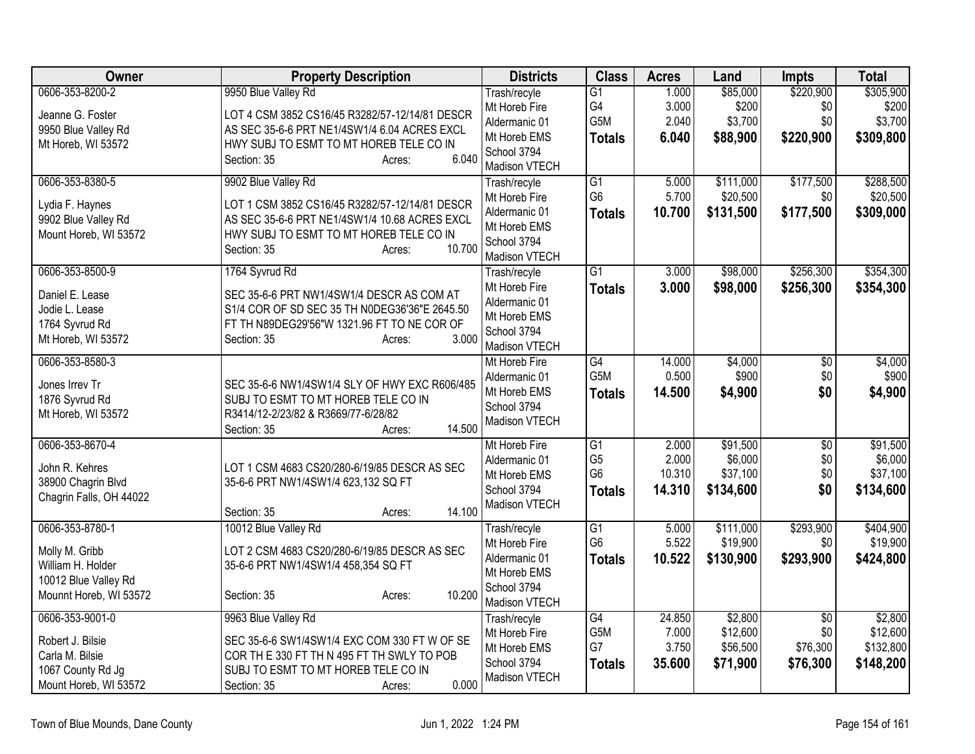| Owner                   | <b>Property Description</b>                    | <b>Districts</b>              | <b>Class</b>    | <b>Acres</b> | Land      | <b>Impts</b>    | <b>Total</b> |
|-------------------------|------------------------------------------------|-------------------------------|-----------------|--------------|-----------|-----------------|--------------|
| 0606-353-8200-2         | 9950 Blue Valley Rd                            | Trash/recyle                  | $\overline{G1}$ | 1.000        | \$85,000  | \$220,900       | \$305,900    |
| Jeanne G. Foster        | LOT 4 CSM 3852 CS16/45 R3282/57-12/14/81 DESCR | Mt Horeb Fire                 | G4              | 3.000        | \$200     | \$0             | \$200        |
| 9950 Blue Valley Rd     | AS SEC 35-6-6 PRT NE1/4SW1/4 6.04 ACRES EXCL   | Aldermanic 01                 | G5M             | 2.040        | \$3,700   | \$0             | \$3,700      |
| Mt Horeb, WI 53572      | HWY SUBJ TO ESMT TO MT HOREB TELE CO IN        | Mt Horeb EMS                  | <b>Totals</b>   | 6.040        | \$88,900  | \$220,900       | \$309,800    |
|                         | 6.040<br>Section: 35<br>Acres:                 | School 3794                   |                 |              |           |                 |              |
|                         |                                                | Madison VTECH                 |                 |              |           |                 |              |
| 0606-353-8380-5         | 9902 Blue Valley Rd                            | Trash/recyle                  | G1              | 5.000        | \$111,000 | \$177,500       | \$288,500    |
| Lydia F. Haynes         | LOT 1 CSM 3852 CS16/45 R3282/57-12/14/81 DESCR | Mt Horeb Fire                 | G <sub>6</sub>  | 5.700        | \$20,500  | \$0             | \$20,500     |
| 9902 Blue Valley Rd     | AS SEC 35-6-6 PRT NE1/4SW1/4 10.68 ACRES EXCL  | Aldermanic 01                 | <b>Totals</b>   | 10.700       | \$131,500 | \$177,500       | \$309,000    |
| Mount Horeb, WI 53572   | HWY SUBJ TO ESMT TO MT HOREB TELE CO IN        | Mt Horeb EMS                  |                 |              |           |                 |              |
|                         | 10.700<br>Section: 35<br>Acres:                | School 3794<br>Madison VTECH  |                 |              |           |                 |              |
| 0606-353-8500-9         | 1764 Syvrud Rd                                 |                               | G <sub>1</sub>  | 3.000        | \$98,000  | \$256,300       | \$354,300    |
|                         |                                                | Trash/recyle<br>Mt Horeb Fire |                 |              |           |                 |              |
| Daniel E. Lease         | SEC 35-6-6 PRT NW1/4SW1/4 DESCR AS COM AT      | Aldermanic 01                 | <b>Totals</b>   | 3.000        | \$98,000  | \$256,300       | \$354,300    |
| Jodie L. Lease          | S1/4 COR OF SD SEC 35 TH N0DEG36'36"E 2645.50  | Mt Horeb EMS                  |                 |              |           |                 |              |
| 1764 Syvrud Rd          | FT TH N89DEG29'56"W 1321.96 FT TO NE COR OF    | School 3794                   |                 |              |           |                 |              |
| Mt Horeb, WI 53572      | 3.000<br>Section: 35<br>Acres:                 | Madison VTECH                 |                 |              |           |                 |              |
| 0606-353-8580-3         |                                                | Mt Horeb Fire                 | G4              | 14.000       | \$4,000   | $\overline{50}$ | \$4,000      |
|                         |                                                | Aldermanic 01                 | G5M             | 0.500        | \$900     | \$0             | \$900        |
| Jones Irrev Tr          | SEC 35-6-6 NW1/4SW1/4 SLY OF HWY EXC R606/485  | Mt Horeb EMS                  | <b>Totals</b>   | 14.500       | \$4,900   | \$0             | \$4,900      |
| 1876 Syvrud Rd          | SUBJ TO ESMT TO MT HOREB TELE CO IN            | School 3794                   |                 |              |           |                 |              |
| Mt Horeb, WI 53572      | R3414/12-2/23/82 & R3669/77-6/28/82            | Madison VTECH                 |                 |              |           |                 |              |
|                         | 14.500<br>Section: 35<br>Acres:                |                               |                 |              |           |                 |              |
| 0606-353-8670-4         |                                                | Mt Horeb Fire                 | G1              | 2.000        | \$91,500  | $\overline{50}$ | \$91,500     |
| John R. Kehres          | LOT 1 CSM 4683 CS20/280-6/19/85 DESCR AS SEC   | Aldermanic 01                 | G <sub>5</sub>  | 2.000        | \$6,000   | \$0             | \$6,000      |
| 38900 Chagrin Blvd      | 35-6-6 PRT NW1/4SW1/4 623,132 SQ FT            | Mt Horeb EMS                  | G <sub>6</sub>  | 10.310       | \$37,100  | \$0             | \$37,100     |
| Chagrin Falls, OH 44022 |                                                | School 3794                   | <b>Totals</b>   | 14.310       | \$134,600 | \$0             | \$134,600    |
|                         | 14.100<br>Section: 35<br>Acres:                | Madison VTECH                 |                 |              |           |                 |              |
| 0606-353-8780-1         | 10012 Blue Valley Rd                           | Trash/recyle                  | $\overline{G1}$ | 5.000        | \$111,000 | \$293,900       | \$404,900    |
| Molly M. Gribb          | LOT 2 CSM 4683 CS20/280-6/19/85 DESCR AS SEC   | Mt Horeb Fire                 | G <sub>6</sub>  | 5.522        | \$19,900  | \$0             | \$19,900     |
| William H. Holder       | 35-6-6 PRT NW1/4SW1/4 458,354 SQ FT            | Aldermanic 01                 | <b>Totals</b>   | 10.522       | \$130,900 | \$293,900       | \$424,800    |
| 10012 Blue Valley Rd    |                                                | Mt Horeb EMS                  |                 |              |           |                 |              |
| Mounnt Horeb, WI 53572  | 10.200<br>Section: 35<br>Acres:                | School 3794                   |                 |              |           |                 |              |
|                         |                                                | Madison VTECH                 |                 |              |           |                 |              |
| 0606-353-9001-0         | 9963 Blue Valley Rd                            | Trash/recyle                  | G4              | 24.850       | \$2,800   | $\overline{30}$ | \$2,800      |
| Robert J. Bilsie        | SEC 35-6-6 SW1/4SW1/4 EXC COM 330 FT W OF SE   | Mt Horeb Fire                 | G5M             | 7.000        | \$12,600  | \$0             | \$12,600     |
| Carla M. Bilsie         | COR TH E 330 FT TH N 495 FT TH SWLY TO POB     | Mt Horeb EMS                  | G7              | 3.750        | \$56,500  | \$76,300        | \$132,800    |
| 1067 County Rd Jg       | SUBJ TO ESMT TO MT HOREB TELE CO IN            | School 3794                   | <b>Totals</b>   | 35.600       | \$71,900  | \$76,300        | \$148,200    |
| Mount Horeb, WI 53572   | 0.000<br>Section: 35<br>Acres:                 | Madison VTECH                 |                 |              |           |                 |              |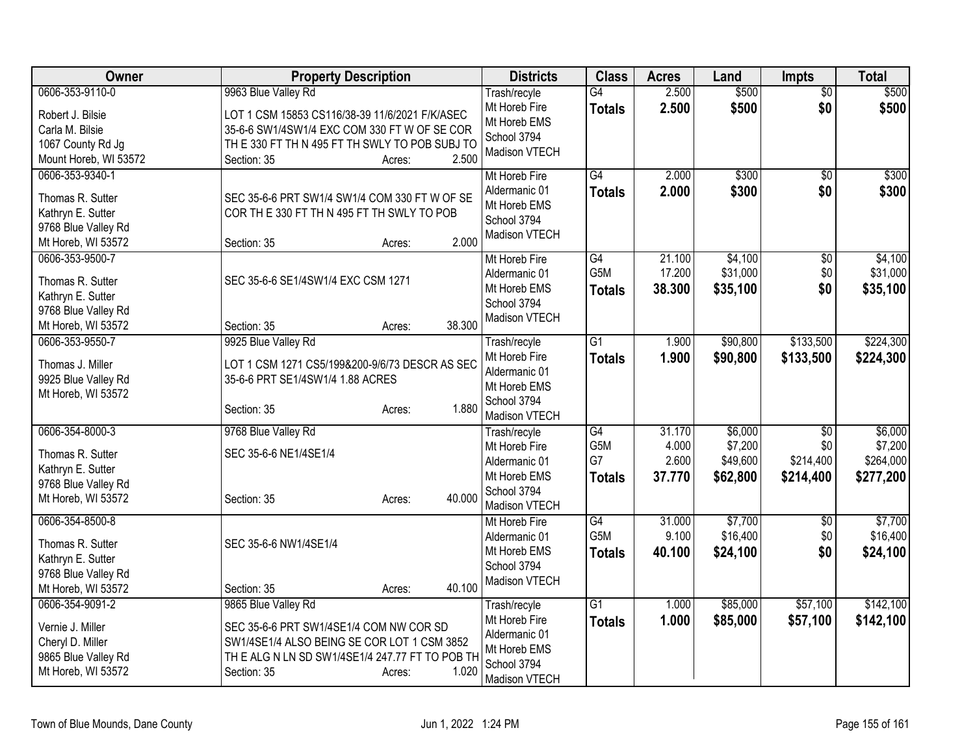| Owner                                    | <b>Property Description</b>                    | <b>Districts</b>            | <b>Class</b>     | <b>Acres</b> | Land     | <b>Impts</b>    | <b>Total</b> |
|------------------------------------------|------------------------------------------------|-----------------------------|------------------|--------------|----------|-----------------|--------------|
| 0606-353-9110-0                          | 9963 Blue Valley Rd                            | Trash/recyle                | G4               | 2.500        | \$500    | $\overline{50}$ | \$500        |
| Robert J. Bilsie                         | LOT 1 CSM 15853 CS116/38-39 11/6/2021 F/K/ASEC | Mt Horeb Fire               | <b>Totals</b>    | 2.500        | \$500    | \$0             | \$500        |
| Carla M. Bilsie                          | 35-6-6 SW1/4SW1/4 EXC COM 330 FT W OF SE COR   | Mt Horeb EMS<br>School 3794 |                  |              |          |                 |              |
| 1067 County Rd Jg                        | TH E 330 FT TH N 495 FT TH SWLY TO POB SUBJ TO | Madison VTECH               |                  |              |          |                 |              |
| Mount Horeb, WI 53572                    | 2.500<br>Section: 35<br>Acres:                 |                             |                  |              |          |                 |              |
| 0606-353-9340-1                          |                                                | Mt Horeb Fire               | G4               | 2.000        | \$300    | $\overline{30}$ | \$300        |
| Thomas R. Sutter                         | SEC 35-6-6 PRT SW1/4 SW1/4 COM 330 FT W OF SE  | Aldermanic 01               | <b>Totals</b>    | 2.000        | \$300    | \$0             | \$300        |
| Kathryn E. Sutter                        | COR TH E 330 FT TH N 495 FT TH SWLY TO POB     | Mt Horeb EMS                |                  |              |          |                 |              |
| 9768 Blue Valley Rd                      |                                                | School 3794                 |                  |              |          |                 |              |
| Mt Horeb, WI 53572                       | 2.000<br>Section: 35<br>Acres:                 | Madison VTECH               |                  |              |          |                 |              |
| 0606-353-9500-7                          |                                                | Mt Horeb Fire               | G4               | 21.100       | \$4,100  | \$0             | \$4,100      |
|                                          |                                                | Aldermanic 01               | G5M              | 17.200       | \$31,000 | \$0             | \$31,000     |
| Thomas R. Sutter                         | SEC 35-6-6 SE1/4SW1/4 EXC CSM 1271             | Mt Horeb EMS                | <b>Totals</b>    | 38.300       | \$35,100 | \$0             | \$35,100     |
| Kathryn E. Sutter<br>9768 Blue Valley Rd |                                                | School 3794                 |                  |              |          |                 |              |
| Mt Horeb, WI 53572                       | 38.300<br>Section: 35<br>Acres:                | Madison VTECH               |                  |              |          |                 |              |
| 0606-353-9550-7                          | 9925 Blue Valley Rd                            | Trash/recyle                | $\overline{G1}$  | 1.900        | \$90,800 | \$133,500       | \$224,300    |
|                                          |                                                | Mt Horeb Fire               | <b>Totals</b>    | 1.900        | \$90,800 | \$133,500       | \$224,300    |
| Thomas J. Miller                         | LOT 1 CSM 1271 CS5/199&200-9/6/73 DESCR AS SEC | Aldermanic 01               |                  |              |          |                 |              |
| 9925 Blue Valley Rd                      | 35-6-6 PRT SE1/4SW1/4 1.88 ACRES               | Mt Horeb EMS                |                  |              |          |                 |              |
| Mt Horeb, WI 53572                       |                                                | School 3794                 |                  |              |          |                 |              |
|                                          | 1.880<br>Section: 35<br>Acres:                 | Madison VTECH               |                  |              |          |                 |              |
| 0606-354-8000-3                          | 9768 Blue Valley Rd                            | Trash/recyle                | G4               | 31.170       | \$6,000  | \$0             | \$6,000      |
| Thomas R. Sutter                         | SEC 35-6-6 NE1/4SE1/4                          | Mt Horeb Fire               | G5M              | 4.000        | \$7,200  | \$0             | \$7,200      |
| Kathryn E. Sutter                        |                                                | Aldermanic 01               | G7               | 2.600        | \$49,600 | \$214,400       | \$264,000    |
| 9768 Blue Valley Rd                      |                                                | Mt Horeb EMS                | <b>Totals</b>    | 37.770       | \$62,800 | \$214,400       | \$277,200    |
| Mt Horeb, WI 53572                       | 40.000<br>Section: 35<br>Acres:                | School 3794                 |                  |              |          |                 |              |
|                                          |                                                | Madison VTECH               |                  |              |          |                 |              |
| 0606-354-8500-8                          |                                                | Mt Horeb Fire               | G4               | 31.000       | \$7,700  | $\sqrt{6}$      | \$7,700      |
| Thomas R. Sutter                         | SEC 35-6-6 NW1/4SE1/4                          | Aldermanic 01               | G <sub>5</sub> M | 9.100        | \$16,400 | \$0             | \$16,400     |
| Kathryn E. Sutter                        |                                                | Mt Horeb EMS                | <b>Totals</b>    | 40.100       | \$24,100 | \$0             | \$24,100     |
| 9768 Blue Valley Rd                      |                                                | School 3794                 |                  |              |          |                 |              |
| Mt Horeb, WI 53572                       | 40.100<br>Section: 35<br>Acres:                | Madison VTECH               |                  |              |          |                 |              |
| 0606-354-9091-2                          | 9865 Blue Valley Rd                            | Trash/recyle                | $\overline{G1}$  | 1.000        | \$85,000 | \$57,100        | \$142,100    |
| Vernie J. Miller                         | SEC 35-6-6 PRT SW1/4SE1/4 COM NW COR SD        | Mt Horeb Fire               | <b>Totals</b>    | 1.000        | \$85,000 | \$57,100        | \$142,100    |
| Cheryl D. Miller                         | SW1/4SE1/4 ALSO BEING SE COR LOT 1 CSM 3852    | Aldermanic 01               |                  |              |          |                 |              |
| 9865 Blue Valley Rd                      | THE ALG N LN SD SW1/4SE1/4 247.77 FT TO POB TH | Mt Horeb EMS                |                  |              |          |                 |              |
| Mt Horeb, WI 53572                       | 1.020<br>Section: 35<br>Acres:                 | School 3794                 |                  |              |          |                 |              |
|                                          |                                                | Madison VTECH               |                  |              |          |                 |              |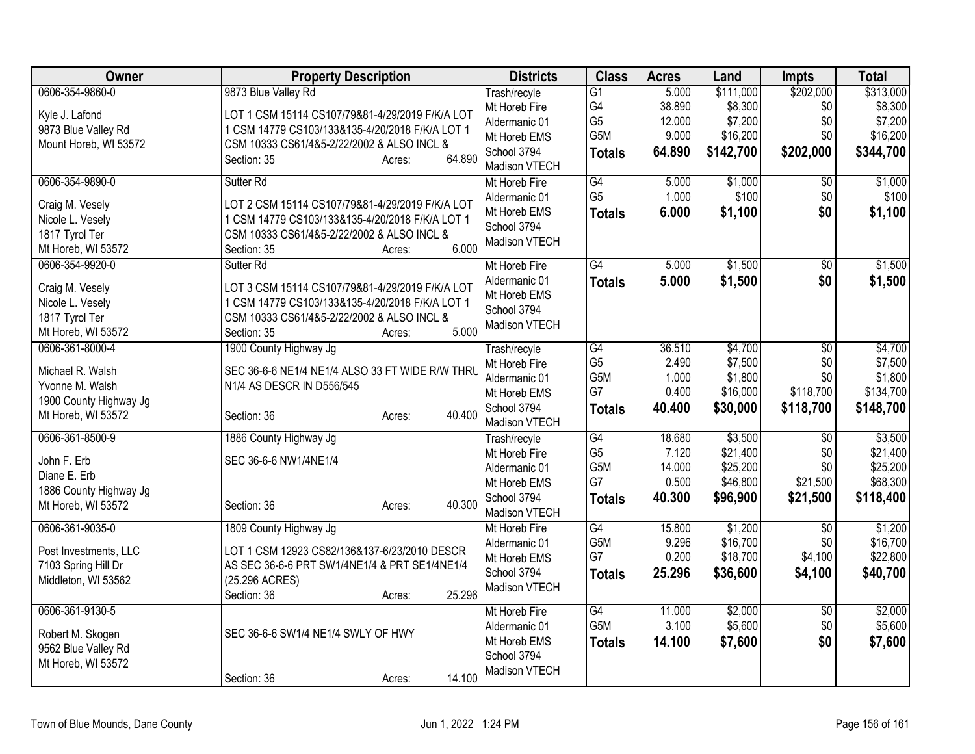| <b>Owner</b>           | <b>Property Description</b>                          | <b>Districts</b> | <b>Class</b>    | <b>Acres</b> | Land      | <b>Impts</b>    | <b>Total</b> |
|------------------------|------------------------------------------------------|------------------|-----------------|--------------|-----------|-----------------|--------------|
| 0606-354-9860-0        | 9873 Blue Valley Rd                                  | Trash/recyle     | $\overline{G1}$ | 5.000        | \$111,000 | \$202,000       | \$313,000    |
| Kyle J. Lafond         | LOT 1 CSM 15114 CS107/79&81-4/29/2019 F/K/A LOT      | Mt Horeb Fire    | G4              | 38.890       | \$8,300   | \$0             | \$8,300      |
| 9873 Blue Valley Rd    | 1 CSM 14779 CS103/133&135-4/20/2018 F/K/A LOT 1      | Aldermanic 01    | G <sub>5</sub>  | 12.000       | \$7,200   | \$0             | \$7,200      |
|                        |                                                      | Mt Horeb EMS     | G5M             | 9.000        | \$16,200  | \$0             | \$16,200     |
| Mount Horeb, WI 53572  | CSM 10333 CS61/4&5-2/22/2002 & ALSO INCL &<br>64.890 | School 3794      | <b>Totals</b>   | 64.890       | \$142,700 | \$202,000       | \$344,700    |
|                        | Section: 35<br>Acres:                                | Madison VTECH    |                 |              |           |                 |              |
| 0606-354-9890-0        | Sutter Rd                                            | Mt Horeb Fire    | G4              | 5.000        | \$1,000   | $\overline{50}$ | \$1,000      |
| Craig M. Vesely        | LOT 2 CSM 15114 CS107/79&81-4/29/2019 F/K/A LOT      | Aldermanic 01    | G <sub>5</sub>  | 1.000        | \$100     | \$0             | \$100        |
| Nicole L. Vesely       | 1 CSM 14779 CS103/133&135-4/20/2018 F/K/A LOT 1      | Mt Horeb EMS     | <b>Totals</b>   | 6.000        | \$1,100   | \$0             | \$1,100      |
| 1817 Tyrol Ter         | CSM 10333 CS61/4&5-2/22/2002 & ALSO INCL &           | School 3794      |                 |              |           |                 |              |
| Mt Horeb, WI 53572     | 6.000<br>Section: 35<br>Acres:                       | Madison VTECH    |                 |              |           |                 |              |
| 0606-354-9920-0        | Sutter <sub>Rd</sub>                                 | Mt Horeb Fire    | $\overline{G4}$ | 5.000        | \$1,500   | $\overline{30}$ | \$1,500      |
|                        | LOT 3 CSM 15114 CS107/79&81-4/29/2019 F/K/A LOT      | Aldermanic 01    | <b>Totals</b>   | 5.000        | \$1,500   | \$0             | \$1,500      |
| Craig M. Vesely        |                                                      | Mt Horeb EMS     |                 |              |           |                 |              |
| Nicole L. Vesely       | 1 CSM 14779 CS103/133&135-4/20/2018 F/K/A LOT 1      | School 3794      |                 |              |           |                 |              |
| 1817 Tyrol Ter         | CSM 10333 CS61/4&5-2/22/2002 & ALSO INCL &           | Madison VTECH    |                 |              |           |                 |              |
| Mt Horeb, WI 53572     | 5.000<br>Section: 35<br>Acres:                       |                  |                 |              |           |                 |              |
| 0606-361-8000-4        | 1900 County Highway Jg                               | Trash/recyle     | G4              | 36.510       | \$4,700   | $\overline{50}$ | \$4,700      |
| Michael R. Walsh       | SEC 36-6-6 NE1/4 NE1/4 ALSO 33 FT WIDE R/W THRU      | Mt Horeb Fire    | G <sub>5</sub>  | 2.490        | \$7,500   | \$0             | \$7,500      |
| Yvonne M. Walsh        | N1/4 AS DESCR IN D556/545                            | Aldermanic 01    | G5M             | 1.000        | \$1,800   | \$0             | \$1,800      |
| 1900 County Highway Jg |                                                      | Mt Horeb EMS     | G7              | 0.400        | \$16,000  | \$118,700       | \$134,700    |
| Mt Horeb, WI 53572     | 40.400<br>Section: 36<br>Acres:                      | School 3794      | <b>Totals</b>   | 40.400       | \$30,000  | \$118,700       | \$148,700    |
|                        |                                                      | Madison VTECH    |                 |              |           |                 |              |
| 0606-361-8500-9        | 1886 County Highway Jg                               | Trash/recyle     | $\overline{G4}$ | 18.680       | \$3,500   | $\overline{50}$ | \$3,500      |
| John F. Erb            | SEC 36-6-6 NW1/4NE1/4                                | Mt Horeb Fire    | G <sub>5</sub>  | 7.120        | \$21,400  | \$0             | \$21,400     |
| Diane E. Erb           |                                                      | Aldermanic 01    | G5M             | 14.000       | \$25,200  | \$0             | \$25,200     |
| 1886 County Highway Jg |                                                      | Mt Horeb EMS     | G7              | 0.500        | \$46,800  | \$21,500        | \$68,300     |
| Mt Horeb, WI 53572     | 40.300<br>Section: 36<br>Acres:                      | School 3794      | <b>Totals</b>   | 40.300       | \$96,900  | \$21,500        | \$118,400    |
|                        |                                                      | Madison VTECH    |                 |              |           |                 |              |
| 0606-361-9035-0        | 1809 County Highway Jg                               | Mt Horeb Fire    | G4              | 15.800       | \$1,200   | \$0             | \$1,200      |
| Post Investments, LLC  | LOT 1 CSM 12923 CS82/136&137-6/23/2010 DESCR         | Aldermanic 01    | G5M             | 9.296        | \$16,700  | \$0             | \$16,700     |
| 7103 Spring Hill Dr    | AS SEC 36-6-6 PRT SW1/4NE1/4 & PRT SE1/4NE1/4        | Mt Horeb EMS     | G7              | 0.200        | \$18,700  | \$4,100         | \$22,800     |
| Middleton, WI 53562    | (25.296 ACRES)                                       | School 3794      | <b>Totals</b>   | 25.296       | \$36,600  | \$4,100         | \$40,700     |
|                        | 25.296<br>Section: 36<br>Acres:                      | Madison VTECH    |                 |              |           |                 |              |
| 0606-361-9130-5        |                                                      | Mt Horeb Fire    | $\overline{G4}$ | 11.000       | \$2,000   | \$0             | \$2,000      |
|                        |                                                      | Aldermanic 01    | G5M             | 3.100        | \$5,600   | \$0             | \$5,600      |
| Robert M. Skogen       | SEC 36-6-6 SW1/4 NE1/4 SWLY OF HWY                   | Mt Horeb EMS     |                 | 14.100       |           | \$0             |              |
| 9562 Blue Valley Rd    |                                                      | School 3794      | <b>Totals</b>   |              | \$7,600   |                 | \$7,600      |
| Mt Horeb, WI 53572     |                                                      |                  |                 |              |           |                 |              |
|                        | 14.100<br>Section: 36<br>Acres:                      | Madison VTECH    |                 |              |           |                 |              |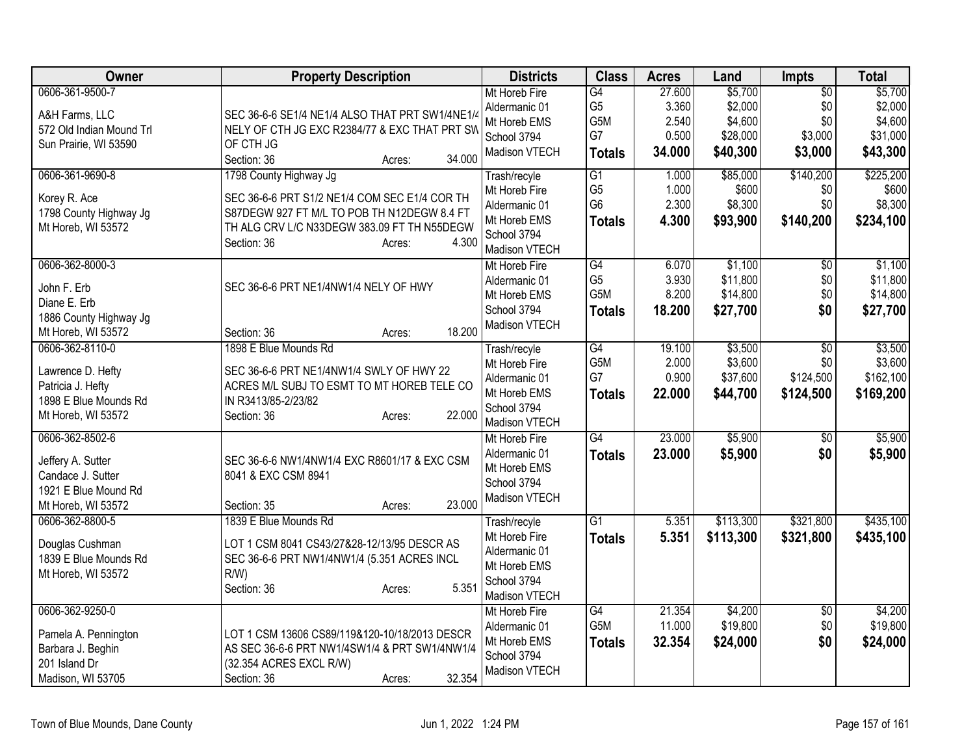| Owner                                                                                                    | <b>Property Description</b>                                                                                                                                                                                                                | <b>Districts</b>                                                                               | <b>Class</b>                                                         | <b>Acres</b>                                | Land                                                  | <b>Impts</b>                                        | <b>Total</b>                                          |
|----------------------------------------------------------------------------------------------------------|--------------------------------------------------------------------------------------------------------------------------------------------------------------------------------------------------------------------------------------------|------------------------------------------------------------------------------------------------|----------------------------------------------------------------------|---------------------------------------------|-------------------------------------------------------|-----------------------------------------------------|-------------------------------------------------------|
| 0606-361-9500-7<br>A&H Farms, LLC<br>572 Old Indian Mound Trl<br>Sun Prairie, WI 53590                   | SEC 36-6-6 SE1/4 NE1/4 ALSO THAT PRT SW1/4NE1/4<br>NELY OF CTH JG EXC R2384/77 & EXC THAT PRT SW<br>OF CTH JG                                                                                                                              | Mt Horeb Fire<br>Aldermanic 01<br>Mt Horeb EMS<br>School 3794<br>Madison VTECH                 | G4<br>G <sub>5</sub><br>G5M<br>G7<br><b>Totals</b>                   | 27.600<br>3.360<br>2.540<br>0.500<br>34.000 | \$5,700<br>\$2,000<br>\$4,600<br>\$28,000<br>\$40,300 | $\overline{50}$<br>\$0<br>\$0<br>\$3,000<br>\$3,000 | \$5,700<br>\$2,000<br>\$4,600<br>\$31,000<br>\$43,300 |
| 0606-361-9690-8<br>Korey R. Ace<br>1798 County Highway Jg<br>Mt Horeb, WI 53572                          | 34.000<br>Section: 36<br>Acres:<br>1798 County Highway Jg<br>SEC 36-6-6 PRT S1/2 NE1/4 COM SEC E1/4 COR TH<br>S87DEGW 927 FT M/L TO POB TH N12DEGW 8.4 FT<br>TH ALG CRV L/C N33DEGW 383.09 FT TH N55DEGW<br>4.300<br>Section: 36<br>Acres: | Trash/recyle<br>Mt Horeb Fire<br>Aldermanic 01<br>Mt Horeb EMS<br>School 3794<br>Madison VTECH | $\overline{G1}$<br>G <sub>5</sub><br>G <sub>6</sub><br><b>Totals</b> | 1.000<br>1.000<br>2.300<br>4.300            | \$85,000<br>\$600<br>\$8,300<br>\$93,900              | \$140,200<br>\$0<br>\$0<br>\$140,200                | \$225,200<br>\$600<br>\$8,300<br>\$234,100            |
| 0606-362-8000-3<br>John F. Erb<br>Diane E. Erb<br>1886 County Highway Jg<br>Mt Horeb, WI 53572           | SEC 36-6-6 PRT NE1/4NW1/4 NELY OF HWY<br>18.200<br>Section: 36<br>Acres:                                                                                                                                                                   | Mt Horeb Fire<br>Aldermanic 01<br>Mt Horeb EMS<br>School 3794<br>Madison VTECH                 | $\overline{G4}$<br>G <sub>5</sub><br>G5M<br><b>Totals</b>            | 6.070<br>3.930<br>8.200<br>18.200           | \$1,100<br>\$11,800<br>\$14,800<br>\$27,700           | $\overline{50}$<br>\$0<br>\$0<br>\$0                | \$1,100<br>\$11,800<br>\$14,800<br>\$27,700           |
| 0606-362-8110-0<br>Lawrence D. Hefty<br>Patricia J. Hefty<br>1898 E Blue Mounds Rd<br>Mt Horeb, WI 53572 | 1898 E Blue Mounds Rd<br>SEC 36-6-6 PRT NE1/4NW1/4 SWLY OF HWY 22<br>ACRES M/L SUBJ TO ESMT TO MT HOREB TELE CO<br>IN R3413/85-2/23/82<br>22.000<br>Section: 36<br>Acres:                                                                  | Trash/recyle<br>Mt Horeb Fire<br>Aldermanic 01<br>Mt Horeb EMS<br>School 3794<br>Madison VTECH | G4<br>G5M<br>G7<br><b>Totals</b>                                     | 19.100<br>2.000<br>0.900<br>22.000          | \$3,500<br>\$3,600<br>\$37,600<br>\$44,700            | $\overline{50}$<br>\$0<br>\$124,500<br>\$124,500    | \$3,500<br>\$3,600<br>\$162,100<br>\$169,200          |
| 0606-362-8502-6<br>Jeffery A. Sutter<br>Candace J. Sutter<br>1921 E Blue Mound Rd<br>Mt Horeb, WI 53572  | SEC 36-6-6 NW1/4NW1/4 EXC R8601/17 & EXC CSM<br>8041 & EXC CSM 8941<br>23.000<br>Section: 35<br>Acres:                                                                                                                                     | Mt Horeb Fire<br>Aldermanic 01<br>Mt Horeb EMS<br>School 3794<br>Madison VTECH                 | $\overline{G4}$<br><b>Totals</b>                                     | 23.000<br>23.000                            | \$5,900<br>\$5,900                                    | $\overline{50}$<br>\$0                              | \$5,900<br>\$5,900                                    |
| 0606-362-8800-5<br>Douglas Cushman<br>1839 E Blue Mounds Rd<br>Mt Horeb, WI 53572                        | 1839 E Blue Mounds Rd<br>LOT 1 CSM 8041 CS43/27&28-12/13/95 DESCR AS<br>SEC 36-6-6 PRT NW1/4NW1/4 (5.351 ACRES INCL<br>$R/W$ )<br>5.351<br>Section: 36<br>Acres:                                                                           | Trash/recyle<br>Mt Horeb Fire<br>Aldermanic 01<br>Mt Horeb EMS<br>School 3794<br>Madison VTECH | $\overline{G1}$<br><b>Totals</b>                                     | 5.351<br>5.351                              | \$113,300<br>\$113,300                                | \$321,800<br>\$321,800                              | \$435,100<br>\$435,100                                |
| 0606-362-9250-0<br>Pamela A. Pennington<br>Barbara J. Beghin<br>201 Island Dr<br>Madison, WI 53705       | LOT 1 CSM 13606 CS89/119&120-10/18/2013 DESCR<br>AS SEC 36-6-6 PRT NW1/4SW1/4 & PRT SW1/4NW1/4<br>(32.354 ACRES EXCL R/W)<br>32.354<br>Section: 36<br>Acres:                                                                               | Mt Horeb Fire<br>Aldermanic 01<br>Mt Horeb EMS<br>School 3794<br>Madison VTECH                 | $\overline{G4}$<br>G <sub>5</sub> M<br><b>Totals</b>                 | 21.354<br>11.000<br>32.354                  | \$4,200<br>\$19,800<br>\$24,000                       | \$0<br>\$0<br>\$0                                   | \$4,200<br>\$19,800<br>\$24,000                       |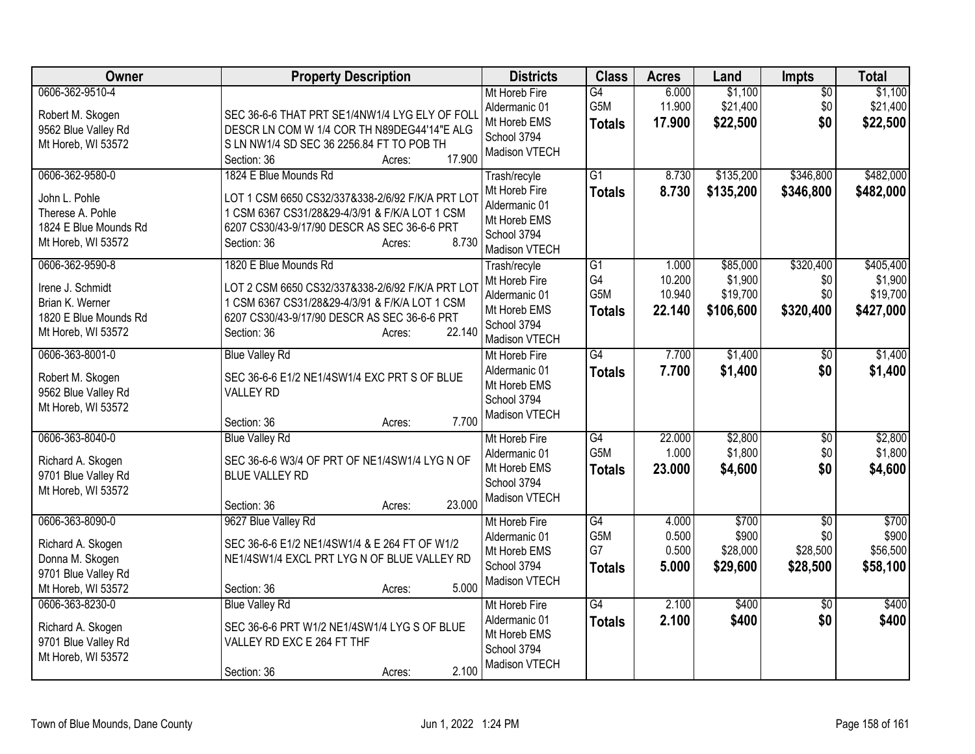| Owner                                                                                                 | <b>Property Description</b>                                                                                                                                                                                    | <b>Districts</b>                                                                               | <b>Class</b>                                  | <b>Acres</b>                        | Land                                         | <b>Impts</b>                                   | <b>Total</b>                                  |
|-------------------------------------------------------------------------------------------------------|----------------------------------------------------------------------------------------------------------------------------------------------------------------------------------------------------------------|------------------------------------------------------------------------------------------------|-----------------------------------------------|-------------------------------------|----------------------------------------------|------------------------------------------------|-----------------------------------------------|
| 0606-362-9510-4<br>Robert M. Skogen<br>9562 Blue Valley Rd<br>Mt Horeb, WI 53572                      | SEC 36-6-6 THAT PRT SE1/4NW1/4 LYG ELY OF FOLI<br>DESCR LN COM W 1/4 COR TH N89DEG44'14"E ALG<br>S LN NW1/4 SD SEC 36 2256.84 FT TO POB TH<br>17.900<br>Section: 36<br>Acres:                                  | Mt Horeb Fire<br>Aldermanic 01<br>Mt Horeb EMS<br>School 3794<br>Madison VTECH                 | $\overline{G4}$<br>G5M<br><b>Totals</b>       | 6.000<br>11.900<br>17,900           | \$1,100<br>\$21,400<br>\$22,500              | $\overline{50}$<br>\$0<br>\$0                  | \$1,100<br>\$21,400<br>\$22,500               |
| 0606-362-9580-0<br>John L. Pohle<br>Therese A. Pohle<br>1824 E Blue Mounds Rd<br>Mt Horeb, WI 53572   | 1824 E Blue Mounds Rd<br>LOT 1 CSM 6650 CS32/337&338-2/6/92 F/K/A PRT LOT<br>1 CSM 6367 CS31/28&29-4/3/91 & F/K/A LOT 1 CSM<br>6207 CS30/43-9/17/90 DESCR AS SEC 36-6-6 PRT<br>8.730<br>Section: 36<br>Acres:  | Trash/recyle<br>Mt Horeb Fire<br>Aldermanic 01<br>Mt Horeb EMS<br>School 3794<br>Madison VTECH | $\overline{G1}$<br><b>Totals</b>              | 8.730<br>8.730                      | \$135,200<br>\$135,200                       | \$346,800<br>\$346,800                         | \$482,000<br>\$482,000                        |
| 0606-362-9590-8<br>Irene J. Schmidt<br>Brian K. Werner<br>1820 E Blue Mounds Rd<br>Mt Horeb, WI 53572 | 1820 E Blue Mounds Rd<br>LOT 2 CSM 6650 CS32/337&338-2/6/92 F/K/A PRT LOT<br>1 CSM 6367 CS31/28&29-4/3/91 & F/K/A LOT 1 CSM<br>6207 CS30/43-9/17/90 DESCR AS SEC 36-6-6 PRT<br>22.140<br>Section: 36<br>Acres: | Trash/recyle<br>Mt Horeb Fire<br>Aldermanic 01<br>Mt Horeb EMS<br>School 3794<br>Madison VTECH | $\overline{G1}$<br>G4<br>G5M<br><b>Totals</b> | 1.000<br>10.200<br>10.940<br>22.140 | \$85,000<br>\$1,900<br>\$19,700<br>\$106,600 | \$320,400<br>\$0<br>\$0<br>\$320,400           | \$405,400<br>\$1,900<br>\$19,700<br>\$427,000 |
| 0606-363-8001-0<br>Robert M. Skogen<br>9562 Blue Valley Rd<br>Mt Horeb, WI 53572                      | <b>Blue Valley Rd</b><br>SEC 36-6-6 E1/2 NE1/4SW1/4 EXC PRT S OF BLUE<br><b>VALLEY RD</b><br>7.700<br>Section: 36<br>Acres:                                                                                    | Mt Horeb Fire<br>Aldermanic 01<br>Mt Horeb EMS<br>School 3794<br>Madison VTECH                 | G4<br><b>Totals</b>                           | 7.700<br>7.700                      | \$1,400<br>\$1,400                           | $\sqrt{6}$<br>\$0                              | \$1,400<br>\$1,400                            |
| 0606-363-8040-0<br>Richard A. Skogen<br>9701 Blue Valley Rd<br>Mt Horeb, WI 53572                     | <b>Blue Valley Rd</b><br>SEC 36-6-6 W3/4 OF PRT OF NE1/4SW1/4 LYG N OF<br><b>BLUE VALLEY RD</b><br>23.000<br>Section: 36<br>Acres:                                                                             | Mt Horeb Fire<br>Aldermanic 01<br>Mt Horeb EMS<br>School 3794<br>Madison VTECH                 | G4<br>G5M<br><b>Totals</b>                    | 22.000<br>1.000<br>23.000           | \$2,800<br>\$1,800<br>\$4,600                | \$0<br>\$0<br>\$0                              | \$2,800<br>\$1,800<br>\$4,600                 |
| 0606-363-8090-0<br>Richard A. Skogen<br>Donna M. Skogen<br>9701 Blue Valley Rd<br>Mt Horeb, WI 53572  | 9627 Blue Valley Rd<br>SEC 36-6-6 E1/2 NE1/4SW1/4 & E 264 FT OF W1/2<br>NE1/4SW1/4 EXCL PRT LYG N OF BLUE VALLEY RD<br>5.000<br>Section: 36<br>Acres:                                                          | Mt Horeb Fire<br>Aldermanic 01<br>Mt Horeb EMS<br>School 3794<br>Madison VTECH                 | G4<br>G5M<br>G7<br><b>Totals</b>              | 4.000<br>0.500<br>0.500<br>5.000    | \$700<br>\$900<br>\$28,000<br>\$29,600       | $\overline{50}$<br>\$0<br>\$28,500<br>\$28,500 | \$700<br>\$900<br>\$56,500<br>\$58,100        |
| 0606-363-8230-0<br>Richard A. Skogen<br>9701 Blue Valley Rd<br>Mt Horeb, WI 53572                     | <b>Blue Valley Rd</b><br>SEC 36-6-6 PRT W1/2 NE1/4SW1/4 LYG S OF BLUE<br>VALLEY RD EXC E 264 FT THF<br>2.100<br>Section: 36<br>Acres:                                                                          | Mt Horeb Fire<br>Aldermanic 01<br>Mt Horeb EMS<br>School 3794<br>Madison VTECH                 | $\overline{G4}$<br><b>Totals</b>              | 2.100<br>2.100                      | \$400<br>\$400                               | $\overline{50}$<br>\$0                         | \$400<br>\$400                                |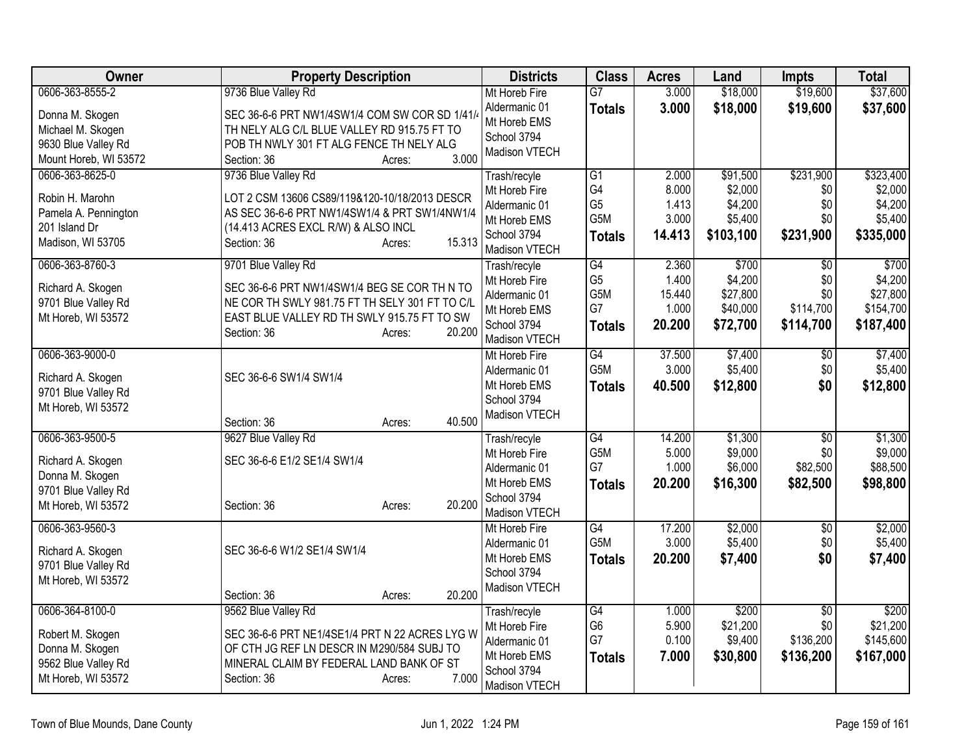| Owner                               | <b>Property Description</b>                                                                  | <b>Districts</b>               | <b>Class</b>                      | <b>Acres</b>   | Land                | <b>Impts</b>    | <b>Total</b>     |
|-------------------------------------|----------------------------------------------------------------------------------------------|--------------------------------|-----------------------------------|----------------|---------------------|-----------------|------------------|
| 0606-363-8555-2                     | 9736 Blue Valley Rd                                                                          | Mt Horeb Fire                  | $\overline{G7}$                   | 3.000          | \$18,000            | \$19,600        | \$37,600         |
| Donna M. Skogen                     | SEC 36-6-6 PRT NW1/4SW1/4 COM SW COR SD 1/41/                                                | Aldermanic 01                  | <b>Totals</b>                     | 3.000          | \$18,000            | \$19,600        | \$37,600         |
| Michael M. Skogen                   | TH NELY ALG C/L BLUE VALLEY RD 915.75 FT TO                                                  | Mt Horeb EMS                   |                                   |                |                     |                 |                  |
| 9630 Blue Valley Rd                 | POB TH NWLY 301 FT ALG FENCE TH NELY ALG                                                     | School 3794                    |                                   |                |                     |                 |                  |
| Mount Horeb, WI 53572               | 3.000<br>Section: 36<br>Acres:                                                               | Madison VTECH                  |                                   |                |                     |                 |                  |
| 0606-363-8625-0                     | 9736 Blue Valley Rd                                                                          | Trash/recyle                   | $\overline{G1}$                   | 2.000          | \$91,500            | \$231,900       | \$323,400        |
| Robin H. Marohn                     | LOT 2 CSM 13606 CS89/119&120-10/18/2013 DESCR                                                | Mt Horeb Fire                  | G4                                | 8.000          | \$2,000             | \$0             | \$2,000          |
| Pamela A. Pennington                | AS SEC 36-6-6 PRT NW1/4SW1/4 & PRT SW1/4NW1/4                                                | Aldermanic 01                  | G <sub>5</sub>                    | 1.413          | \$4,200             | \$0             | \$4,200          |
| 201 Island Dr                       | (14.413 ACRES EXCL R/W) & ALSO INCL                                                          | Mt Horeb EMS                   | G <sub>5</sub> M                  | 3.000          | \$5,400             | \$0             | \$5,400          |
| Madison, WI 53705                   | 15.313<br>Section: 36<br>Acres:                                                              | School 3794                    | <b>Totals</b>                     | 14.413         | \$103,100           | \$231,900       | \$335,000        |
|                                     |                                                                                              | Madison VTECH                  |                                   |                |                     |                 |                  |
| 0606-363-8760-3                     | 9701 Blue Valley Rd                                                                          | Trash/recyle                   | $\overline{G4}$<br>G <sub>5</sub> | 2.360<br>1.400 | \$700               | $\overline{30}$ | \$700<br>\$4,200 |
| Richard A. Skogen                   | SEC 36-6-6 PRT NW1/4SW1/4 BEG SE COR TH N TO                                                 | Mt Horeb Fire<br>Aldermanic 01 | G5M                               | 15.440         | \$4,200<br>\$27,800 | \$0<br>\$0      | \$27,800         |
| 9701 Blue Valley Rd                 | NE COR TH SWLY 981.75 FT TH SELY 301 FT TO C/L                                               | Mt Horeb EMS                   | G7                                | 1.000          | \$40,000            | \$114,700       | \$154,700        |
| Mt Horeb, WI 53572                  | EAST BLUE VALLEY RD TH SWLY 915.75 FT TO SW                                                  | School 3794                    | <b>Totals</b>                     | 20.200         | \$72,700            | \$114,700       | \$187,400        |
|                                     | 20.200<br>Section: 36<br>Acres:                                                              | Madison VTECH                  |                                   |                |                     |                 |                  |
| 0606-363-9000-0                     |                                                                                              | Mt Horeb Fire                  | $\overline{G4}$                   | 37.500         | \$7,400             | \$0             | \$7,400          |
|                                     |                                                                                              | Aldermanic 01                  | G5M                               | 3.000          | \$5,400             | \$0             | \$5,400          |
| Richard A. Skogen                   | SEC 36-6-6 SW1/4 SW1/4                                                                       | Mt Horeb EMS                   | <b>Totals</b>                     | 40.500         | \$12,800            | \$0             | \$12,800         |
| 9701 Blue Valley Rd                 |                                                                                              | School 3794                    |                                   |                |                     |                 |                  |
| Mt Horeb, WI 53572                  | 40.500<br>Section: 36<br>Acres:                                                              | <b>Madison VTECH</b>           |                                   |                |                     |                 |                  |
| 0606-363-9500-5                     | 9627 Blue Valley Rd                                                                          | Trash/recyle                   | $\overline{G4}$                   | 14.200         | \$1,300             | $\sqrt{6}$      | \$1,300          |
|                                     |                                                                                              | Mt Horeb Fire                  | G5M                               | 5.000          | \$9,000             | \$0             | \$9,000          |
| Richard A. Skogen                   | SEC 36-6-6 E1/2 SE1/4 SW1/4                                                                  | Aldermanic 01                  | G7                                | 1.000          | \$6,000             | \$82,500        | \$88,500         |
| Donna M. Skogen                     |                                                                                              | Mt Horeb EMS                   | <b>Totals</b>                     | 20.200         | \$16,300            | \$82,500        | \$98,800         |
| 9701 Blue Valley Rd                 |                                                                                              | School 3794                    |                                   |                |                     |                 |                  |
| Mt Horeb, WI 53572                  | 20.200<br>Section: 36<br>Acres:                                                              | Madison VTECH                  |                                   |                |                     |                 |                  |
| 0606-363-9560-3                     |                                                                                              | Mt Horeb Fire                  | G4                                | 17.200         | \$2,000             | \$0             | \$2,000          |
| Richard A. Skogen                   | SEC 36-6-6 W1/2 SE1/4 SW1/4                                                                  | Aldermanic 01                  | G5M                               | 3.000          | \$5,400             | \$0             | \$5,400          |
| 9701 Blue Valley Rd                 |                                                                                              | Mt Horeb EMS                   | <b>Totals</b>                     | 20.200         | \$7,400             | \$0             | \$7,400          |
| Mt Horeb, WI 53572                  |                                                                                              | School 3794                    |                                   |                |                     |                 |                  |
|                                     | 20.200<br>Section: 36<br>Acres:                                                              | Madison VTECH                  |                                   |                |                     |                 |                  |
| 0606-364-8100-0                     | 9562 Blue Valley Rd                                                                          | Trash/recyle                   | G4                                | 1.000          | \$200               | \$0             | \$200            |
|                                     |                                                                                              | Mt Horeb Fire                  | G <sub>6</sub>                    | 5.900          | \$21,200            | \$0             | \$21,200         |
| Robert M. Skogen<br>Donna M. Skogen | SEC 36-6-6 PRT NE1/4SE1/4 PRT N 22 ACRES LYG W<br>OF CTH JG REF LN DESCR IN M290/584 SUBJ TO | Aldermanic 01                  | G7                                | 0.100          | \$9,400             | \$136,200       | \$145,600        |
| 9562 Blue Valley Rd                 | MINERAL CLAIM BY FEDERAL LAND BANK OF ST                                                     | Mt Horeb EMS                   | <b>Totals</b>                     | 7.000          | \$30,800            | \$136,200       | \$167,000        |
| Mt Horeb, WI 53572                  | 7.000<br>Section: 36<br>Acres:                                                               | School 3794                    |                                   |                |                     |                 |                  |
|                                     |                                                                                              | Madison VTECH                  |                                   |                |                     |                 |                  |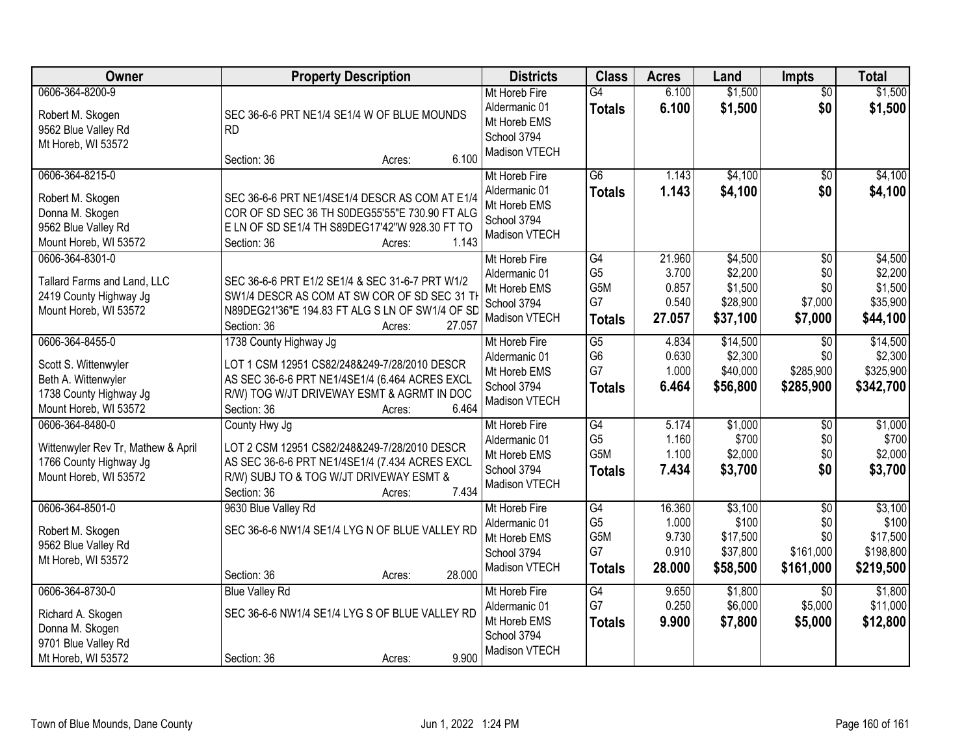| Owner                                                                                                             | <b>Property Description</b>                                                                                                                                                                                            | <b>Districts</b>                                                               | <b>Class</b>                                              | <b>Acres</b>                                | Land                                                  | <b>Impts</b>                                        | <b>Total</b>                                           |
|-------------------------------------------------------------------------------------------------------------------|------------------------------------------------------------------------------------------------------------------------------------------------------------------------------------------------------------------------|--------------------------------------------------------------------------------|-----------------------------------------------------------|---------------------------------------------|-------------------------------------------------------|-----------------------------------------------------|--------------------------------------------------------|
| 0606-364-8200-9<br>Robert M. Skogen<br>9562 Blue Valley Rd<br>Mt Horeb, WI 53572                                  | SEC 36-6-6 PRT NE1/4 SE1/4 W OF BLUE MOUNDS<br><b>RD</b>                                                                                                                                                               | Mt Horeb Fire<br>Aldermanic 01<br>Mt Horeb EMS<br>School 3794<br>Madison VTECH | $\overline{G4}$<br><b>Totals</b>                          | 6.100<br>6.100                              | \$1,500<br>\$1,500                                    | $\overline{50}$<br>\$0                              | \$1,500<br>\$1,500                                     |
| 0606-364-8215-0<br>Robert M. Skogen<br>Donna M. Skogen<br>9562 Blue Valley Rd<br>Mount Horeb, WI 53572            | 6.100<br>Section: 36<br>Acres:<br>SEC 36-6-6 PRT NE1/4SE1/4 DESCR AS COM AT E1/4<br>COR OF SD SEC 36 TH S0DEG55'55"E 730.90 FT ALG<br>E LN OF SD SE1/4 TH S89DEG17'42"W 928.30 FT TO<br>1.143<br>Section: 36<br>Acres: | Mt Horeb Fire<br>Aldermanic 01<br>Mt Horeb EMS<br>School 3794<br>Madison VTECH | $\overline{G6}$<br><b>Totals</b>                          | 1.143<br>1.143                              | \$4,100<br>\$4,100                                    | $\overline{50}$<br>\$0                              | \$4,100<br>\$4,100                                     |
| 0606-364-8301-0<br>Tallard Farms and Land, LLC<br>2419 County Highway Jg<br>Mount Horeb, WI 53572                 | SEC 36-6-6 PRT E1/2 SE1/4 & SEC 31-6-7 PRT W1/2<br>SW1/4 DESCR AS COM AT SW COR OF SD SEC 31 TI<br>N89DEG21'36"E 194.83 FT ALG S LN OF SW1/4 OF SD<br>Section: 36<br>27.057<br>Acres:                                  | Mt Horeb Fire<br>Aldermanic 01<br>Mt Horeb EMS<br>School 3794<br>Madison VTECH | G4<br>G <sub>5</sub><br>G5M<br>G7<br><b>Totals</b>        | 21.960<br>3.700<br>0.857<br>0.540<br>27.057 | \$4,500<br>\$2,200<br>\$1,500<br>\$28,900<br>\$37,100 | \$0<br>\$0<br>\$0<br>\$7,000<br>\$7,000             | \$4,500<br>\$2,200<br>\$1,500<br>\$35,900<br>\$44,100  |
| 0606-364-8455-0<br>Scott S. Wittenwyler<br>Beth A. Wittenwyler<br>1738 County Highway Jg<br>Mount Horeb, WI 53572 | 1738 County Highway Jg<br>LOT 1 CSM 12951 CS82/248&249-7/28/2010 DESCR<br>AS SEC 36-6-6 PRT NE1/4SE1/4 (6.464 ACRES EXCL<br>R/W) TOG W/JT DRIVEWAY ESMT & AGRMT IN DOC<br>6.464<br>Section: 36<br>Acres:               | Mt Horeb Fire<br>Aldermanic 01<br>Mt Horeb EMS<br>School 3794<br>Madison VTECH | $\overline{G5}$<br>G <sub>6</sub><br>G7<br><b>Totals</b>  | 4.834<br>0.630<br>1.000<br>6.464            | \$14,500<br>\$2,300<br>\$40,000<br>\$56,800           | \$0<br>\$0<br>\$285,900<br>\$285,900                | \$14,500<br>\$2,300<br>\$325,900<br>\$342,700          |
| 0606-364-8480-0<br>Wittenwyler Rev Tr, Mathew & April<br>1766 County Highway Jg<br>Mount Horeb, WI 53572          | County Hwy Jg<br>LOT 2 CSM 12951 CS82/248&249-7/28/2010 DESCR<br>AS SEC 36-6-6 PRT NE1/4SE1/4 (7.434 ACRES EXCL<br>R/W) SUBJ TO & TOG W/JT DRIVEWAY ESMT &<br>7.434<br>Section: 36<br>Acres:                           | Mt Horeb Fire<br>Aldermanic 01<br>Mt Horeb EMS<br>School 3794<br>Madison VTECH | $\overline{G4}$<br>G <sub>5</sub><br>G5M<br><b>Totals</b> | 5.174<br>1.160<br>1.100<br>7.434            | \$1,000<br>\$700<br>\$2,000<br>\$3,700                | \$0<br>\$0<br>\$0<br>\$0                            | \$1,000<br>\$700<br>\$2,000<br>\$3,700                 |
| 0606-364-8501-0<br>Robert M. Skogen<br>9562 Blue Valley Rd<br>Mt Horeb, WI 53572                                  | 9630 Blue Valley Rd<br>SEC 36-6-6 NW1/4 SE1/4 LYG N OF BLUE VALLEY RD<br>28.000<br>Section: 36<br>Acres:                                                                                                               | Mt Horeb Fire<br>Aldermanic 01<br>Mt Horeb EMS<br>School 3794<br>Madison VTECH | G4<br>G <sub>5</sub><br>G5M<br>G7<br><b>Totals</b>        | 16.360<br>1.000<br>9.730<br>0.910<br>28.000 | \$3,100<br>\$100<br>\$17,500<br>\$37,800<br>\$58,500  | $\sqrt{$0}$<br>\$0<br>\$0<br>\$161,000<br>\$161,000 | \$3,100<br>\$100<br>\$17,500<br>\$198,800<br>\$219,500 |
| 0606-364-8730-0<br>Richard A. Skogen<br>Donna M. Skogen<br>9701 Blue Valley Rd<br>Mt Horeb, WI 53572              | <b>Blue Valley Rd</b><br>SEC 36-6-6 NW1/4 SE1/4 LYG S OF BLUE VALLEY RD<br>9.900<br>Section: 36<br>Acres:                                                                                                              | Mt Horeb Fire<br>Aldermanic 01<br>Mt Horeb EMS<br>School 3794<br>Madison VTECH | G4<br>G7<br><b>Totals</b>                                 | 9.650<br>0.250<br>9.900                     | \$1,800<br>\$6,000<br>\$7,800                         | $\overline{30}$<br>\$5,000<br>\$5,000               | \$1,800<br>\$11,000<br>\$12,800                        |